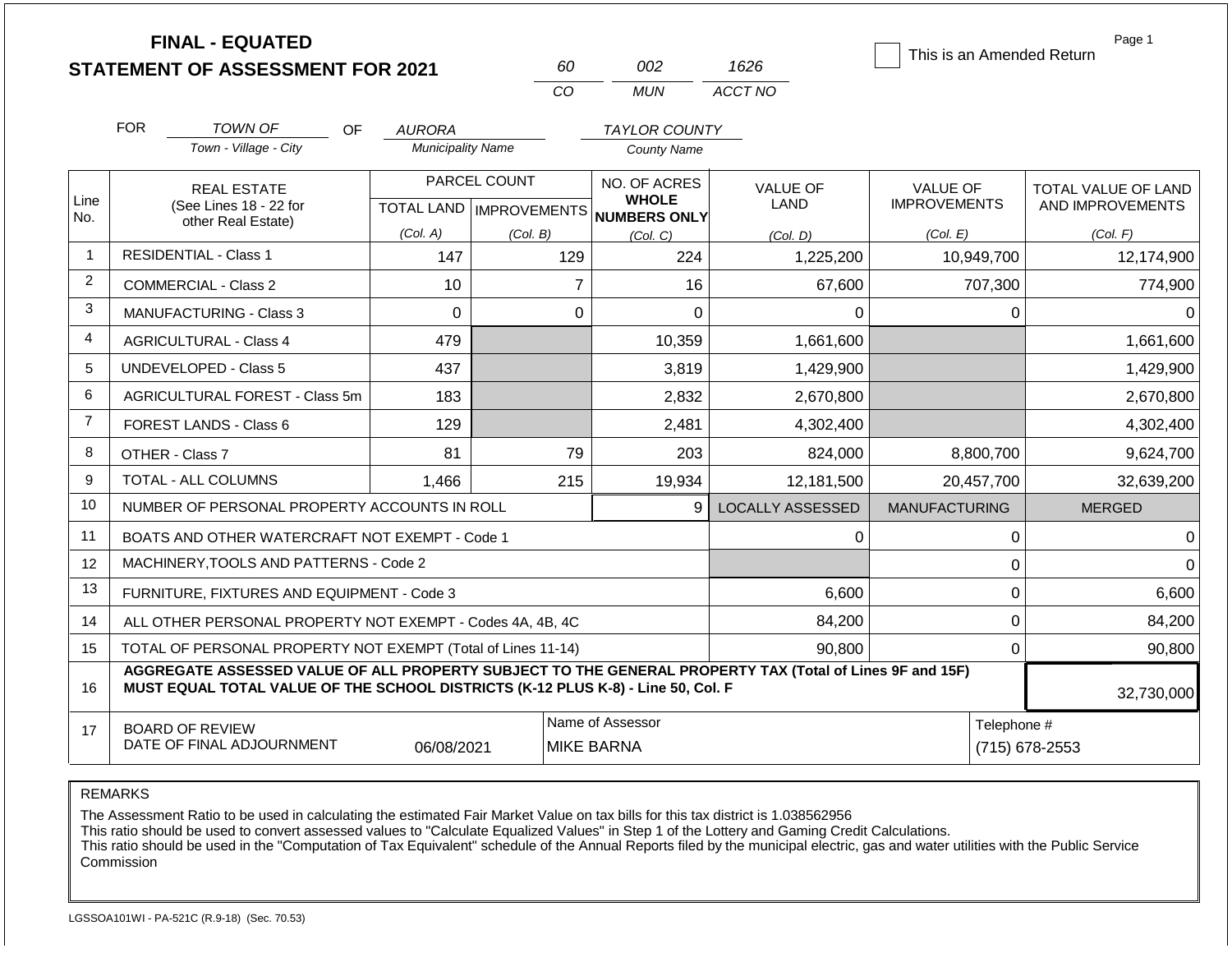|                | <b>FINAL - EQUATED</b><br><b>STATEMENT OF ASSESSMENT FOR 2021</b>                                                                                                                            |                                                                                      | 60                                        | 002                                                 | 1626                           | This is an Amended Return              | Page 1                                         |  |  |
|----------------|----------------------------------------------------------------------------------------------------------------------------------------------------------------------------------------------|--------------------------------------------------------------------------------------|-------------------------------------------|-----------------------------------------------------|--------------------------------|----------------------------------------|------------------------------------------------|--|--|
|                |                                                                                                                                                                                              |                                                                                      | C <sub>O</sub>                            | <b>MUN</b>                                          | ACCT NO                        |                                        |                                                |  |  |
|                | <b>FOR</b><br><b>TOWN OF</b>                                                                                                                                                                 | OF.<br><b>AURORA</b>                                                                 |                                           | <b>TAYLOR COUNTY</b>                                |                                |                                        |                                                |  |  |
|                | Town - Village - City                                                                                                                                                                        | <b>Municipality Name</b>                                                             |                                           | <b>County Name</b>                                  |                                |                                        |                                                |  |  |
| Line<br>No.    | <b>REAL ESTATE</b><br>(See Lines 18 - 22 for                                                                                                                                                 |                                                                                      | PARCEL COUNT<br>TOTAL LAND   IMPROVEMENTS | NO. OF ACRES<br><b>WHOLE</b><br><b>NUMBERS ONLY</b> | <b>VALUE OF</b><br><b>LAND</b> | <b>VALUE OF</b><br><b>IMPROVEMENTS</b> | <b>TOTAL VALUE OF LAND</b><br>AND IMPROVEMENTS |  |  |
|                | other Real Estate)                                                                                                                                                                           | (Col. A)                                                                             | (Col. B)                                  | (Col. C)                                            | (Col, D)                       | (Col. E)                               | (Col. F)                                       |  |  |
| 1              | <b>RESIDENTIAL - Class 1</b>                                                                                                                                                                 | 147                                                                                  | 129                                       | 224                                                 | 1,225,200                      | 10,949,700                             | 12,174,900                                     |  |  |
| 2              | <b>COMMERCIAL - Class 2</b>                                                                                                                                                                  | 10                                                                                   | $\overline{7}$                            | 16                                                  | 67,600                         | 707,300                                | 774,900                                        |  |  |
| 3              | <b>MANUFACTURING - Class 3</b>                                                                                                                                                               | $\Omega$                                                                             | $\Omega$                                  | $\Omega$                                            | 0                              | $\Omega$                               | $\Omega$                                       |  |  |
| 4              | <b>AGRICULTURAL - Class 4</b>                                                                                                                                                                | 479                                                                                  |                                           | 10,359                                              | 1,661,600                      |                                        | 1,661,600                                      |  |  |
| 5              | <b>UNDEVELOPED - Class 5</b>                                                                                                                                                                 | 437                                                                                  |                                           | 3,819                                               | 1,429,900                      |                                        | 1,429,900                                      |  |  |
| 6              | AGRICULTURAL FOREST - Class 5m                                                                                                                                                               | 183                                                                                  |                                           | 2,832                                               | 2,670,800                      |                                        | 2,670,800                                      |  |  |
| $\overline{7}$ | <b>FOREST LANDS - Class 6</b>                                                                                                                                                                | 129                                                                                  |                                           | 2,481                                               | 4,302,400                      |                                        | 4,302,400                                      |  |  |
| 8              | OTHER - Class 7                                                                                                                                                                              | 81                                                                                   | 79                                        | 203                                                 | 824,000                        | 8,800,700                              | 9,624,700                                      |  |  |
| 9              | <b>TOTAL - ALL COLUMNS</b>                                                                                                                                                                   | 1,466                                                                                | 215                                       | 19,934                                              | 12,181,500                     | 20,457,700                             | 32,639,200                                     |  |  |
| 10             | NUMBER OF PERSONAL PROPERTY ACCOUNTS IN ROLL                                                                                                                                                 |                                                                                      |                                           | $\mathbf{Q}$                                        | <b>LOCALLY ASSESSED</b>        | <b>MANUFACTURING</b>                   | <b>MERGED</b>                                  |  |  |
| 11             | BOATS AND OTHER WATERCRAFT NOT EXEMPT - Code 1                                                                                                                                               |                                                                                      |                                           |                                                     | 0                              | 0                                      | $\Omega$                                       |  |  |
| 12             | MACHINERY, TOOLS AND PATTERNS - Code 2                                                                                                                                                       |                                                                                      |                                           |                                                     |                                | $\mathbf 0$                            | $\Omega$                                       |  |  |
| 13             | FURNITURE, FIXTURES AND EQUIPMENT - Code 3                                                                                                                                                   |                                                                                      |                                           |                                                     | 6,600                          | $\pmb{0}$                              | 6,600                                          |  |  |
| 14             | ALL OTHER PERSONAL PROPERTY NOT EXEMPT - Codes 4A, 4B, 4C                                                                                                                                    |                                                                                      |                                           |                                                     | 84,200                         | $\overline{0}$                         | 84,200                                         |  |  |
| 15             | TOTAL OF PERSONAL PROPERTY NOT EXEMPT (Total of Lines 11-14)                                                                                                                                 |                                                                                      |                                           |                                                     | 90,800                         | 0                                      | 90,800                                         |  |  |
| 16             | AGGREGATE ASSESSED VALUE OF ALL PROPERTY SUBJECT TO THE GENERAL PROPERTY TAX (Total of Lines 9F and 15F)<br>MUST EQUAL TOTAL VALUE OF THE SCHOOL DISTRICTS (K-12 PLUS K-8) - Line 50, Col. F |                                                                                      |                                           |                                                     |                                |                                        | 32,730,000                                     |  |  |
| 17             | <b>BOARD OF REVIEW</b><br>DATE OF FINAL ADJOURNMENT                                                                                                                                          | Name of Assessor<br>Telephone #<br>(715) 678-2553<br>06/08/2021<br><b>MIKE BARNA</b> |                                           |                                                     |                                |                                        |                                                |  |  |

The Assessment Ratio to be used in calculating the estimated Fair Market Value on tax bills for this tax district is 1.038562956

This ratio should be used to convert assessed values to "Calculate Equalized Values" in Step 1 of the Lottery and Gaming Credit Calculations.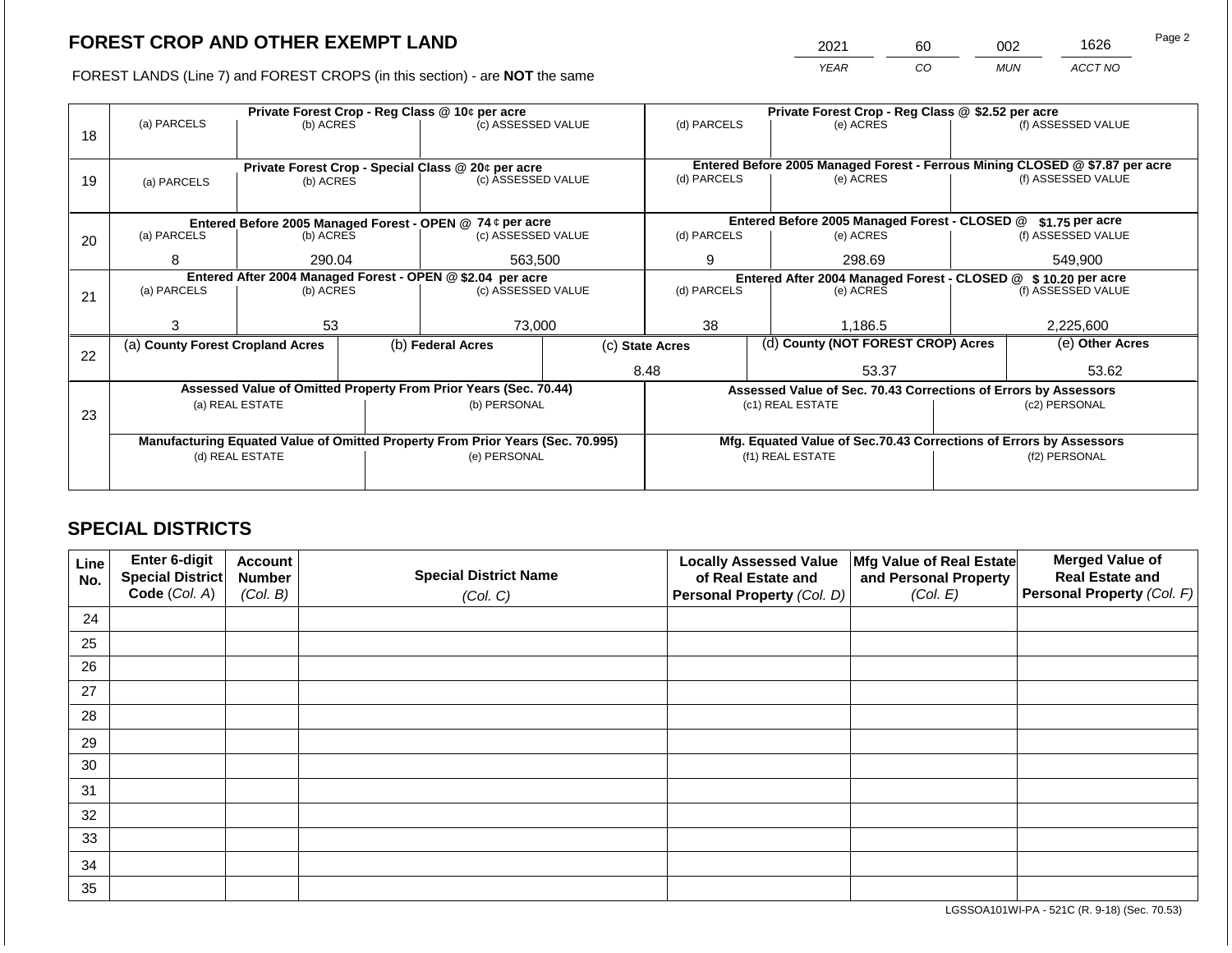2021 60 002 1626

FOREST LANDS (Line 7) and FOREST CROPS (in this section) - are **NOT** the same *YEAR CO MUN ACCT NO*

|    |                                                            | Private Forest Crop - Reg Class @ 10¢ per acre |  | Private Forest Crop - Reg Class @ \$2.52 per acre                              |                                               |                                                                                             |                                                               |                                                                    |               |                    |
|----|------------------------------------------------------------|------------------------------------------------|--|--------------------------------------------------------------------------------|-----------------------------------------------|---------------------------------------------------------------------------------------------|---------------------------------------------------------------|--------------------------------------------------------------------|---------------|--------------------|
|    | (a) PARCELS                                                | (b) ACRES                                      |  | (c) ASSESSED VALUE                                                             |                                               | (d) PARCELS                                                                                 |                                                               | (e) ACRES                                                          |               | (f) ASSESSED VALUE |
| 18 |                                                            |                                                |  |                                                                                |                                               |                                                                                             |                                                               |                                                                    |               |                    |
|    |                                                            |                                                |  |                                                                                |                                               |                                                                                             |                                                               |                                                                    |               |                    |
| 19 |                                                            |                                                |  | Private Forest Crop - Special Class @ 20¢ per acre<br>(c) ASSESSED VALUE       |                                               | Entered Before 2005 Managed Forest - Ferrous Mining CLOSED @ \$7.87 per acre<br>(d) PARCELS |                                                               | (e) ACRES                                                          |               | (f) ASSESSED VALUE |
|    | (a) PARCELS                                                | (b) ACRES                                      |  |                                                                                |                                               |                                                                                             |                                                               |                                                                    |               |                    |
|    |                                                            |                                                |  |                                                                                |                                               |                                                                                             |                                                               |                                                                    |               |                    |
|    | Entered Before 2005 Managed Forest - OPEN @ 74 ¢ per acre  |                                                |  |                                                                                | Entered Before 2005 Managed Forest - CLOSED @ |                                                                                             | \$1.75 per acre                                               |                                                                    |               |                    |
| 20 | (a) PARCELS                                                | (b) ACRES                                      |  | (c) ASSESSED VALUE                                                             |                                               | (d) PARCELS                                                                                 |                                                               | (e) ACRES                                                          |               | (f) ASSESSED VALUE |
|    |                                                            |                                                |  |                                                                                |                                               |                                                                                             |                                                               |                                                                    |               |                    |
|    | 8                                                          | 290.04                                         |  | 563,500                                                                        |                                               | 9<br>298.69                                                                                 |                                                               |                                                                    | 549,900       |                    |
|    | Entered After 2004 Managed Forest - OPEN @ \$2.04 per acre |                                                |  |                                                                                |                                               |                                                                                             | Entered After 2004 Managed Forest - CLOSED @ \$10.20 per acre |                                                                    |               |                    |
| 21 | (a) PARCELS                                                | (b) ACRES                                      |  | (c) ASSESSED VALUE                                                             |                                               | (d) PARCELS<br>(e) ACRES                                                                    |                                                               | (f) ASSESSED VALUE                                                 |               |                    |
|    |                                                            |                                                |  |                                                                                |                                               |                                                                                             |                                                               |                                                                    |               |                    |
|    | 3                                                          | 53                                             |  | 73,000                                                                         |                                               | 38                                                                                          |                                                               | 1,186.5                                                            |               | 2,225,600          |
|    | (a) County Forest Cropland Acres                           |                                                |  | (b) Federal Acres                                                              |                                               | (d) County (NOT FOREST CROP) Acres<br>(c) State Acres                                       |                                                               |                                                                    |               | (e) Other Acres    |
| 22 |                                                            |                                                |  |                                                                                |                                               |                                                                                             |                                                               |                                                                    |               |                    |
|    |                                                            |                                                |  |                                                                                |                                               | 8.48                                                                                        |                                                               | 53.37                                                              |               | 53.62              |
|    |                                                            |                                                |  | Assessed Value of Omitted Property From Prior Years (Sec. 70.44)               |                                               |                                                                                             |                                                               | Assessed Value of Sec. 70.43 Corrections of Errors by Assessors    |               |                    |
|    |                                                            | (a) REAL ESTATE                                |  | (b) PERSONAL                                                                   |                                               |                                                                                             |                                                               | (c1) REAL ESTATE                                                   |               | (c2) PERSONAL      |
| 23 |                                                            |                                                |  |                                                                                |                                               |                                                                                             |                                                               |                                                                    |               |                    |
|    |                                                            |                                                |  | Manufacturing Equated Value of Omitted Property From Prior Years (Sec. 70.995) |                                               |                                                                                             |                                                               | Mfg. Equated Value of Sec.70.43 Corrections of Errors by Assessors |               |                    |
|    |                                                            | (d) REAL ESTATE                                |  | (e) PERSONAL                                                                   |                                               | (f1) REAL ESTATE                                                                            |                                                               |                                                                    | (f2) PERSONAL |                    |
|    |                                                            |                                                |  |                                                                                |                                               |                                                                                             |                                                               |                                                                    |               |                    |
|    |                                                            |                                                |  |                                                                                |                                               |                                                                                             |                                                               |                                                                    |               |                    |

## **SPECIAL DISTRICTS**

| Line<br>No. | Enter 6-digit<br>Special District | <b>Account</b><br><b>Number</b> | <b>Special District Name</b> | <b>Locally Assessed Value</b><br>of Real Estate and | Mfg Value of Real Estate<br>and Personal Property | <b>Merged Value of</b><br><b>Real Estate and</b> |
|-------------|-----------------------------------|---------------------------------|------------------------------|-----------------------------------------------------|---------------------------------------------------|--------------------------------------------------|
|             | Code (Col. A)                     | (Col. B)                        | (Col. C)                     | Personal Property (Col. D)                          | (Col. E)                                          | Personal Property (Col. F)                       |
| 24          |                                   |                                 |                              |                                                     |                                                   |                                                  |
| 25          |                                   |                                 |                              |                                                     |                                                   |                                                  |
| 26          |                                   |                                 |                              |                                                     |                                                   |                                                  |
| 27          |                                   |                                 |                              |                                                     |                                                   |                                                  |
| 28          |                                   |                                 |                              |                                                     |                                                   |                                                  |
| 29          |                                   |                                 |                              |                                                     |                                                   |                                                  |
| 30          |                                   |                                 |                              |                                                     |                                                   |                                                  |
| 31          |                                   |                                 |                              |                                                     |                                                   |                                                  |
| 32          |                                   |                                 |                              |                                                     |                                                   |                                                  |
| 33          |                                   |                                 |                              |                                                     |                                                   |                                                  |
| 34          |                                   |                                 |                              |                                                     |                                                   |                                                  |
| 35          |                                   |                                 |                              |                                                     |                                                   |                                                  |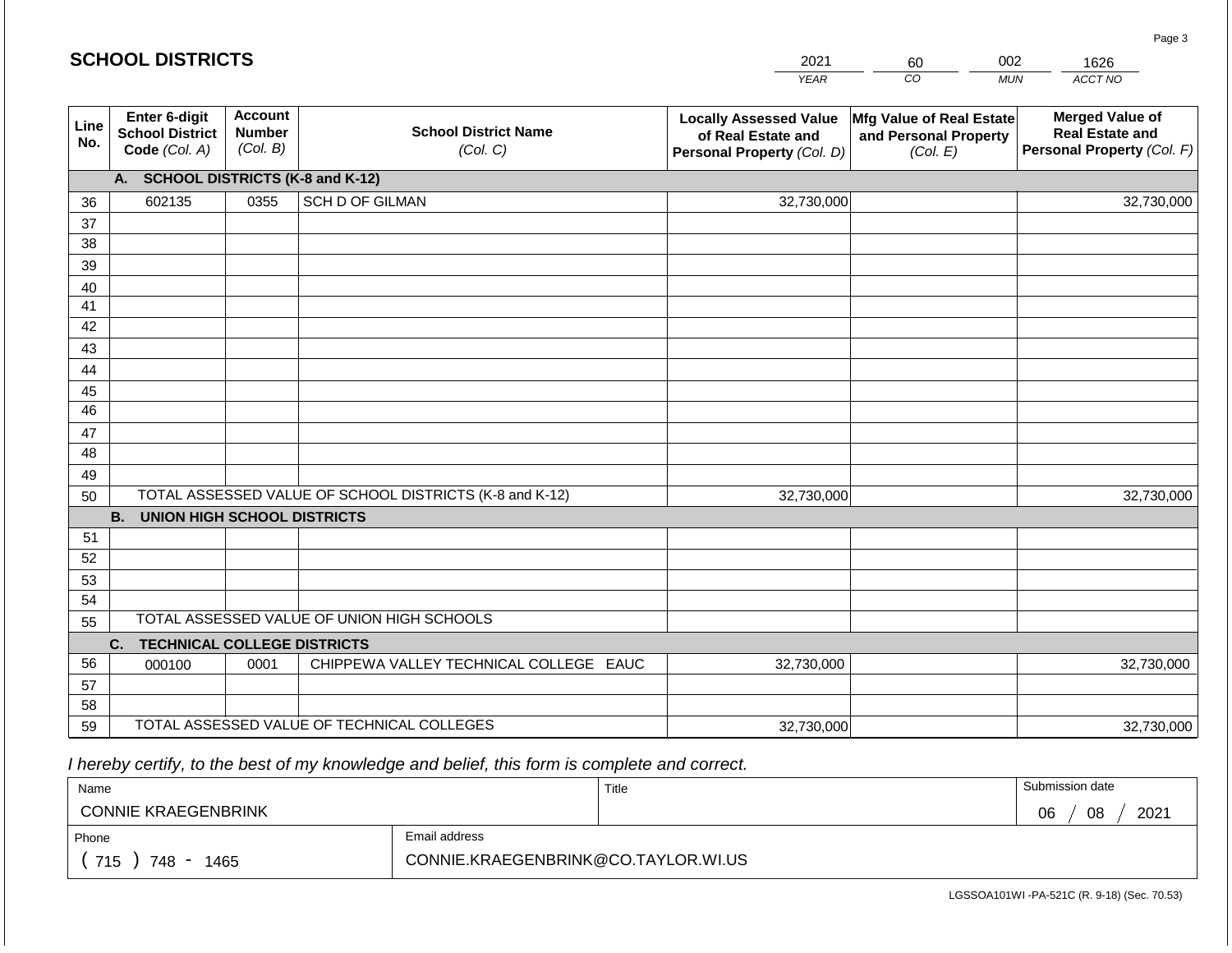|             | <b>SCHOOL DISTRICTS</b>                                         |                                             |                                                         | 2021                                                                              | 60                                                            | 002<br>1626                                                                    |
|-------------|-----------------------------------------------------------------|---------------------------------------------|---------------------------------------------------------|-----------------------------------------------------------------------------------|---------------------------------------------------------------|--------------------------------------------------------------------------------|
|             |                                                                 |                                             |                                                         | <b>YEAR</b>                                                                       | CO                                                            | ACCT NO<br><b>MUN</b>                                                          |
| Line<br>No. | <b>Enter 6-digit</b><br><b>School District</b><br>Code (Col. A) | <b>Account</b><br><b>Number</b><br>(Col. B) | <b>School District Name</b><br>(Col. C)                 | <b>Locally Assessed Value</b><br>of Real Estate and<br>Personal Property (Col. D) | Mfg Value of Real Estate<br>and Personal Property<br>(Col. E) | <b>Merged Value of</b><br><b>Real Estate and</b><br>Personal Property (Col. F) |
|             | A.                                                              |                                             | <b>SCHOOL DISTRICTS (K-8 and K-12)</b>                  |                                                                                   |                                                               |                                                                                |
| 36          | 602135                                                          | 0355                                        | <b>SCH D OF GILMAN</b>                                  | 32,730,000                                                                        |                                                               | 32,730,000                                                                     |
| 37          |                                                                 |                                             |                                                         |                                                                                   |                                                               |                                                                                |
| 38          |                                                                 |                                             |                                                         |                                                                                   |                                                               |                                                                                |
| 39          |                                                                 |                                             |                                                         |                                                                                   |                                                               |                                                                                |
| 40          |                                                                 |                                             |                                                         |                                                                                   |                                                               |                                                                                |
| 41<br>42    |                                                                 |                                             |                                                         |                                                                                   |                                                               |                                                                                |
| 43          |                                                                 |                                             |                                                         |                                                                                   |                                                               |                                                                                |
| 44          |                                                                 |                                             |                                                         |                                                                                   |                                                               |                                                                                |
| 45          |                                                                 |                                             |                                                         |                                                                                   |                                                               |                                                                                |
| 46          |                                                                 |                                             |                                                         |                                                                                   |                                                               |                                                                                |
| 47          |                                                                 |                                             |                                                         |                                                                                   |                                                               |                                                                                |
| 48          |                                                                 |                                             |                                                         |                                                                                   |                                                               |                                                                                |
| 49          |                                                                 |                                             |                                                         |                                                                                   |                                                               |                                                                                |
| 50          |                                                                 |                                             | TOTAL ASSESSED VALUE OF SCHOOL DISTRICTS (K-8 and K-12) | 32,730,000                                                                        |                                                               | 32,730,000                                                                     |
|             | <b>B. UNION HIGH SCHOOL DISTRICTS</b>                           |                                             |                                                         |                                                                                   |                                                               |                                                                                |
| 51          |                                                                 |                                             |                                                         |                                                                                   |                                                               |                                                                                |
| 52<br>53    |                                                                 |                                             |                                                         |                                                                                   |                                                               |                                                                                |
| 54          |                                                                 |                                             |                                                         |                                                                                   |                                                               |                                                                                |
| 55          |                                                                 |                                             | TOTAL ASSESSED VALUE OF UNION HIGH SCHOOLS              |                                                                                   |                                                               |                                                                                |
|             | <b>TECHNICAL COLLEGE DISTRICTS</b><br>C.                        |                                             |                                                         |                                                                                   |                                                               |                                                                                |
| 56          | 000100                                                          | 0001                                        | CHIPPEWA VALLEY TECHNICAL COLLEGE EAUC                  | 32,730,000                                                                        |                                                               | 32,730,000                                                                     |
| 57          |                                                                 |                                             |                                                         |                                                                                   |                                                               |                                                                                |
| 58          |                                                                 |                                             |                                                         |                                                                                   |                                                               |                                                                                |
| 59          |                                                                 |                                             | TOTAL ASSESSED VALUE OF TECHNICAL COLLEGES              | 32,730,000                                                                        |                                                               | 32,730,000                                                                     |

 *I hereby certify, to the best of my knowledge and belief, this form is complete and correct.*

| Name                       |                                     | Title | Submission date  |
|----------------------------|-------------------------------------|-------|------------------|
| <b>CONNIE KRAEGENBRINK</b> |                                     |       | 08<br>2021<br>06 |
| Phone                      | Email address                       |       |                  |
| 715<br>748<br>1465         | CONNIE.KRAEGENBRINK@CO.TAYLOR.WI.US |       |                  |

LGSSOA101WI -PA-521C (R. 9-18) (Sec. 70.53)

Page 3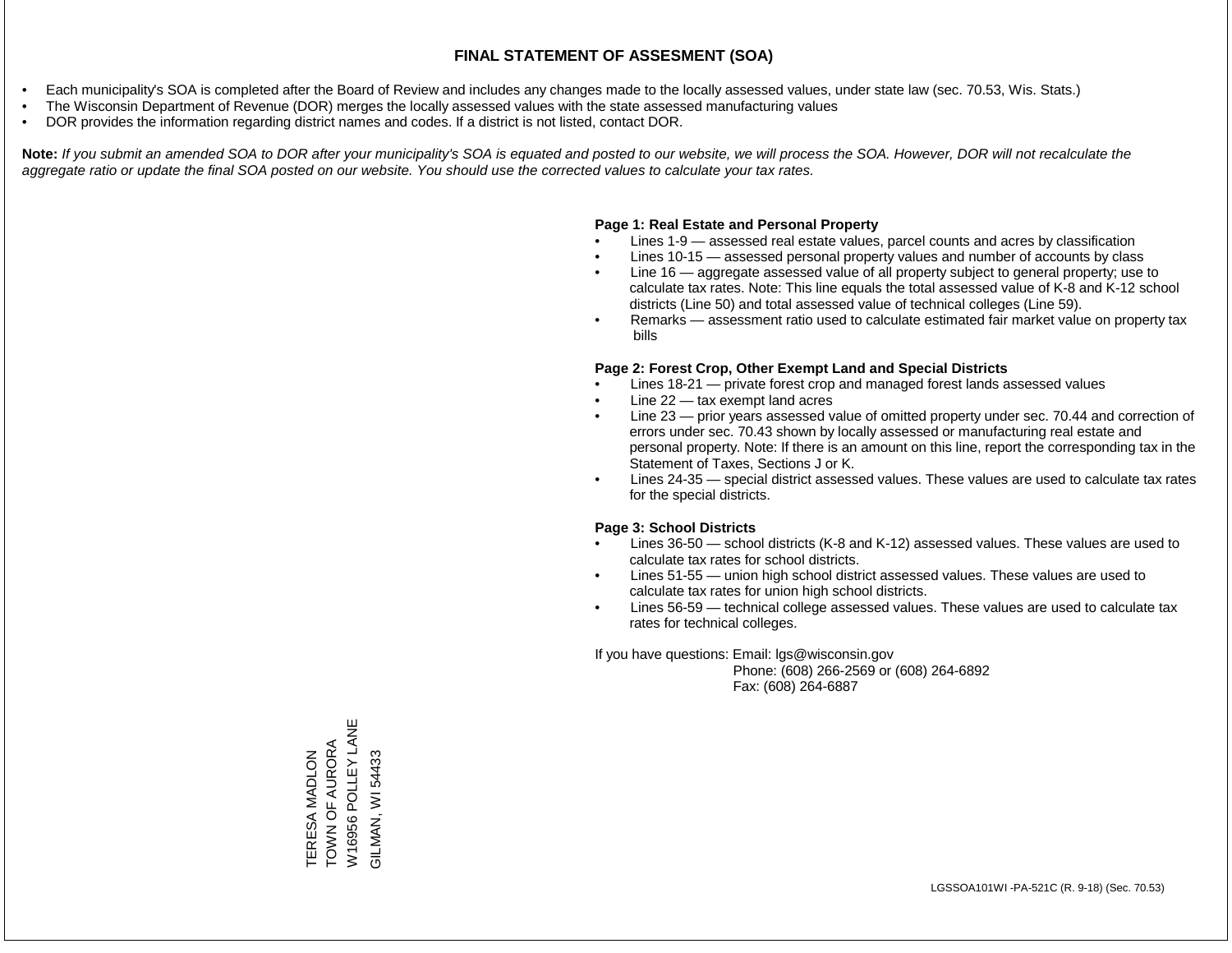- Each municipality's SOA is completed after the Board of Review and includes any changes made to the locally assessed values, under state law (sec. 70.53, Wis. Stats.)
- The Wisconsin Department of Revenue (DOR) merges the locally assessed values with the state assessed manufacturing values
- DOR provides the information regarding district names and codes. If a district is not listed, contact DOR.

Note: If you submit an amended SOA to DOR after your municipality's SOA is equated and posted to our website, we will process the SOA. However, DOR will not recalculate the *aggregate ratio or update the final SOA posted on our website. You should use the corrected values to calculate your tax rates.*

#### **Page 1: Real Estate and Personal Property**

- Lines 1-9 assessed real estate values, parcel counts and acres by classification
- Lines 10-15 assessed personal property values and number of accounts by class
- Line 16 aggregate assessed value of all property subject to general property; use to calculate tax rates. Note: This line equals the total assessed value of K-8 and K-12 school districts (Line 50) and total assessed value of technical colleges (Line 59).
- Remarks assessment ratio used to calculate estimated fair market value on property tax bills

#### **Page 2: Forest Crop, Other Exempt Land and Special Districts**

- Lines 18-21 private forest crop and managed forest lands assessed values
- Line  $22 -$  tax exempt land acres
- Line 23 prior years assessed value of omitted property under sec. 70.44 and correction of errors under sec. 70.43 shown by locally assessed or manufacturing real estate and personal property. Note: If there is an amount on this line, report the corresponding tax in the Statement of Taxes, Sections J or K.
- Lines 24-35 special district assessed values. These values are used to calculate tax rates for the special districts.

#### **Page 3: School Districts**

- Lines 36-50 school districts (K-8 and K-12) assessed values. These values are used to calculate tax rates for school districts.
- Lines 51-55 union high school district assessed values. These values are used to calculate tax rates for union high school districts.
- Lines 56-59 technical college assessed values. These values are used to calculate tax rates for technical colleges.

If you have questions: Email: lgs@wisconsin.gov

 Phone: (608) 266-2569 or (608) 264-6892 Fax: (608) 264-6887

W16956 POLLEY LANE W16956 POLLEY LANE TOWN OF AURORA TERESA MADLON<br>TOWN OF AURORA GILMAN, WI 54433 TERESA MADLON GILMAN, WI 54433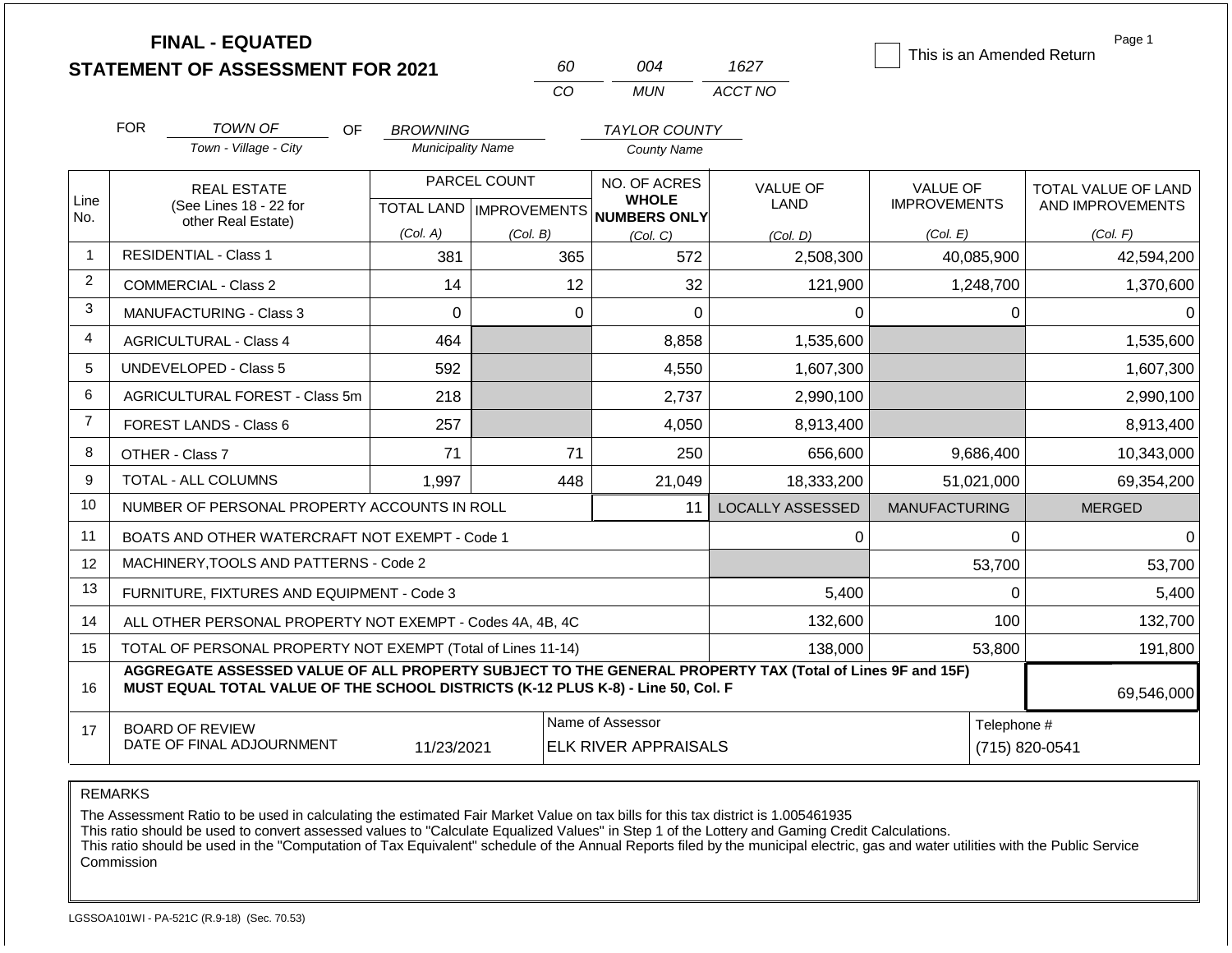|                |                                                                                                                                                                                              | <b>FINAL - EQUATED</b><br><b>STATEMENT OF ASSESSMENT FOR 2021</b>                                                                   |                          |              | 60       | 004                                                 | 1627                    |                      |                | Page 1<br>This is an Amended Return |
|----------------|----------------------------------------------------------------------------------------------------------------------------------------------------------------------------------------------|-------------------------------------------------------------------------------------------------------------------------------------|--------------------------|--------------|----------|-----------------------------------------------------|-------------------------|----------------------|----------------|-------------------------------------|
|                |                                                                                                                                                                                              |                                                                                                                                     |                          | CO           |          | <b>MUN</b>                                          | ACCT NO                 |                      |                |                                     |
|                | <b>FOR</b>                                                                                                                                                                                   | <b>TOWN OF</b><br>OF                                                                                                                | <b>BROWNING</b>          |              |          | <b>TAYLOR COUNTY</b>                                |                         |                      |                |                                     |
|                |                                                                                                                                                                                              | Town - Village - City                                                                                                               | <b>Municipality Name</b> |              |          | County Name                                         |                         |                      |                |                                     |
|                | <b>REAL ESTATE</b>                                                                                                                                                                           |                                                                                                                                     |                          | PARCEL COUNT |          | NO. OF ACRES                                        | <b>VALUE OF</b>         | <b>VALUE OF</b>      |                | <b>TOTAL VALUE OF LAND</b>          |
| Line<br>No.    |                                                                                                                                                                                              | (See Lines 18 - 22 for<br>other Real Estate)                                                                                        |                          |              |          | <b>WHOLE</b><br>TOTAL LAND MPROVEMENTS NUMBERS ONLY | LAND                    | <b>IMPROVEMENTS</b>  |                | AND IMPROVEMENTS                    |
|                |                                                                                                                                                                                              |                                                                                                                                     | (Col. A)                 | (Col. B)     |          | (Col, C)                                            | (Col, D)                | (Col. E)             |                | (Col. F)                            |
| -1             |                                                                                                                                                                                              | <b>RESIDENTIAL - Class 1</b>                                                                                                        | 381                      |              | 365      | 572                                                 | 2,508,300               |                      | 40,085,900     | 42,594,200                          |
| 2              |                                                                                                                                                                                              | <b>COMMERCIAL - Class 2</b>                                                                                                         | 14                       |              | 12       | 32                                                  | 121,900                 |                      | 1,248,700      | 1,370,600                           |
| 3              |                                                                                                                                                                                              | <b>MANUFACTURING - Class 3</b>                                                                                                      | $\Omega$                 |              | $\Omega$ | $\overline{0}$                                      | 0                       |                      | 0              | $\Omega$                            |
| 4              |                                                                                                                                                                                              | <b>AGRICULTURAL - Class 4</b>                                                                                                       | 464                      |              |          | 8,858                                               | 1,535,600               |                      |                | 1,535,600                           |
| 5              |                                                                                                                                                                                              | UNDEVELOPED - Class 5                                                                                                               | 592                      |              |          | 4,550                                               | 1,607,300               |                      |                | 1,607,300                           |
| 6              |                                                                                                                                                                                              | AGRICULTURAL FOREST - Class 5m                                                                                                      | 218                      |              |          | 2,737                                               | 2,990,100               |                      |                | 2,990,100                           |
| $\overline{7}$ |                                                                                                                                                                                              | <b>FOREST LANDS - Class 6</b>                                                                                                       | 257                      |              |          | 4,050                                               | 8,913,400               |                      |                | 8,913,400                           |
| 8              |                                                                                                                                                                                              | OTHER - Class 7                                                                                                                     | 71                       |              | 71       | 250                                                 | 656,600                 |                      | 9,686,400      | 10,343,000                          |
| 9              |                                                                                                                                                                                              | <b>TOTAL - ALL COLUMNS</b>                                                                                                          | 1,997                    |              | 448      | 21,049                                              | 18,333,200              |                      | 51,021,000     | 69,354,200                          |
| 10             |                                                                                                                                                                                              | NUMBER OF PERSONAL PROPERTY ACCOUNTS IN ROLL                                                                                        |                          |              |          | 11                                                  | <b>LOCALLY ASSESSED</b> | <b>MANUFACTURING</b> |                | <b>MERGED</b>                       |
| 11             |                                                                                                                                                                                              | BOATS AND OTHER WATERCRAFT NOT EXEMPT - Code 1                                                                                      |                          |              |          |                                                     | $\Omega$                |                      | $\Omega$       | $\Omega$                            |
| 12             |                                                                                                                                                                                              | MACHINERY, TOOLS AND PATTERNS - Code 2                                                                                              |                          |              |          |                                                     |                         |                      | 53,700         | 53,700                              |
| 13             |                                                                                                                                                                                              | FURNITURE, FIXTURES AND EQUIPMENT - Code 3                                                                                          |                          |              |          |                                                     | 5,400                   |                      | $\Omega$       | 5,400                               |
| 14             |                                                                                                                                                                                              | ALL OTHER PERSONAL PROPERTY NOT EXEMPT - Codes 4A, 4B, 4C                                                                           |                          |              |          |                                                     | 132,600                 |                      | 100            | 132,700                             |
| 15             |                                                                                                                                                                                              | TOTAL OF PERSONAL PROPERTY NOT EXEMPT (Total of Lines 11-14)                                                                        |                          |              | 138,000  | 53,800                                              |                         | 191,800              |                |                                     |
| 16             | AGGREGATE ASSESSED VALUE OF ALL PROPERTY SUBJECT TO THE GENERAL PROPERTY TAX (Total of Lines 9F and 15F)<br>MUST EQUAL TOTAL VALUE OF THE SCHOOL DISTRICTS (K-12 PLUS K-8) - Line 50, Col. F |                                                                                                                                     |                          |              |          |                                                     |                         |                      |                | 69,546,000                          |
| 17             |                                                                                                                                                                                              | Name of Assessor<br>Telephone #<br><b>BOARD OF REVIEW</b><br>DATE OF FINAL ADJOURNMENT<br>11/23/2021<br><b>ELK RIVER APPRAISALS</b> |                          |              |          |                                                     |                         |                      | (715) 820-0541 |                                     |

The Assessment Ratio to be used in calculating the estimated Fair Market Value on tax bills for this tax district is 1.005461935

This ratio should be used to convert assessed values to "Calculate Equalized Values" in Step 1 of the Lottery and Gaming Credit Calculations.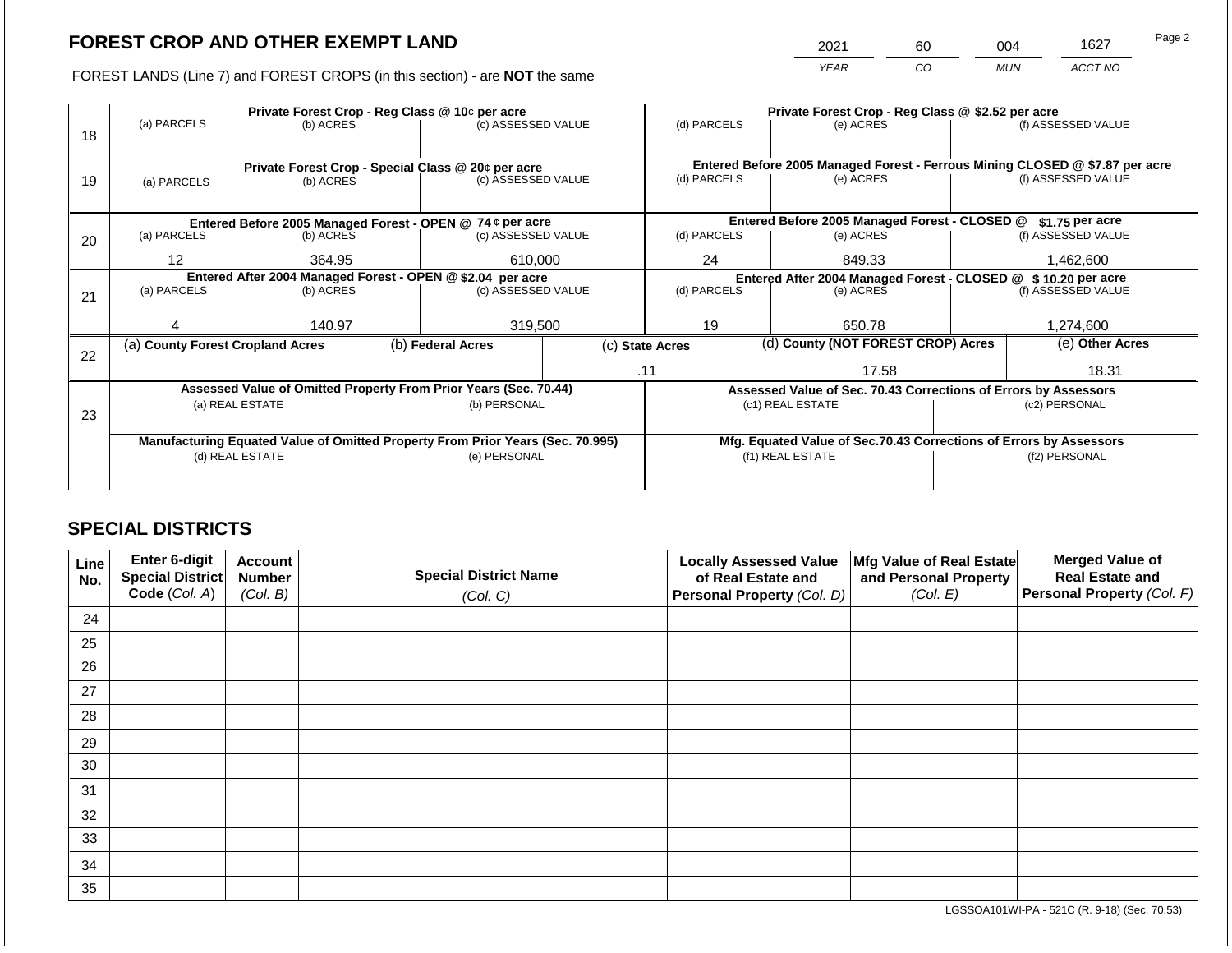2021 60 004 1627

FOREST LANDS (Line 7) and FOREST CROPS (in this section) - are **NOT** the same *YEAR CO MUN ACCT NO*

|    |                                                            |                 | Private Forest Crop - Reg Class @ \$2.52 per acre |                                                                                |                                               |                                                       |                 |                                                                    |                    |                                                                              |
|----|------------------------------------------------------------|-----------------|---------------------------------------------------|--------------------------------------------------------------------------------|-----------------------------------------------|-------------------------------------------------------|-----------------|--------------------------------------------------------------------|--------------------|------------------------------------------------------------------------------|
|    | (a) PARCELS                                                | (b) ACRES       |                                                   | (c) ASSESSED VALUE                                                             |                                               | (d) PARCELS                                           |                 | (e) ACRES                                                          |                    | (f) ASSESSED VALUE                                                           |
| 18 |                                                            |                 |                                                   |                                                                                |                                               |                                                       |                 |                                                                    |                    |                                                                              |
|    |                                                            |                 |                                                   |                                                                                |                                               |                                                       |                 |                                                                    |                    |                                                                              |
|    |                                                            |                 |                                                   | Private Forest Crop - Special Class @ 20¢ per acre                             |                                               |                                                       |                 |                                                                    |                    | Entered Before 2005 Managed Forest - Ferrous Mining CLOSED @ \$7.87 per acre |
| 19 | (a) PARCELS                                                | (b) ACRES       | (c) ASSESSED VALUE                                |                                                                                |                                               | (d) PARCELS                                           |                 | (e) ACRES                                                          |                    | (f) ASSESSED VALUE                                                           |
|    |                                                            |                 |                                                   |                                                                                |                                               |                                                       |                 |                                                                    |                    |                                                                              |
|    | Entered Before 2005 Managed Forest - OPEN @ 74 ¢ per acre  |                 |                                                   |                                                                                | Entered Before 2005 Managed Forest - CLOSED @ |                                                       | \$1.75 per acre |                                                                    |                    |                                                                              |
| 20 | (a) PARCELS                                                | (b) ACRES       |                                                   | (c) ASSESSED VALUE                                                             |                                               | (d) PARCELS                                           |                 | (e) ACRES                                                          |                    | (f) ASSESSED VALUE                                                           |
|    |                                                            |                 |                                                   |                                                                                |                                               |                                                       |                 |                                                                    |                    |                                                                              |
|    | $12 \overline{ }$                                          | 364.95          |                                                   | 610,000                                                                        |                                               | 24                                                    |                 | 849.33                                                             |                    | 1,462,600                                                                    |
|    | Entered After 2004 Managed Forest - OPEN @ \$2.04 per acre |                 |                                                   |                                                                                |                                               |                                                       |                 | Entered After 2004 Managed Forest - CLOSED @ \$10.20 per acre      |                    |                                                                              |
| 21 | (a) PARCELS                                                | (b) ACRES       |                                                   | (c) ASSESSED VALUE                                                             |                                               | (d) PARCELS<br>(e) ACRES                              |                 |                                                                    | (f) ASSESSED VALUE |                                                                              |
|    |                                                            |                 |                                                   |                                                                                |                                               |                                                       |                 |                                                                    |                    |                                                                              |
|    |                                                            | 140.97          |                                                   | 319,500                                                                        |                                               | 19                                                    |                 | 650.78                                                             |                    | 1,274,600                                                                    |
|    | (a) County Forest Cropland Acres                           |                 |                                                   | (b) Federal Acres                                                              |                                               | (d) County (NOT FOREST CROP) Acres<br>(c) State Acres |                 |                                                                    |                    | (e) Other Acres                                                              |
| 22 |                                                            |                 |                                                   |                                                                                |                                               |                                                       |                 |                                                                    |                    |                                                                              |
|    |                                                            |                 |                                                   |                                                                                |                                               | .11                                                   |                 | 17.58                                                              |                    | 18.31                                                                        |
|    |                                                            |                 |                                                   | Assessed Value of Omitted Property From Prior Years (Sec. 70.44)               |                                               |                                                       |                 | Assessed Value of Sec. 70.43 Corrections of Errors by Assessors    |                    |                                                                              |
|    |                                                            | (a) REAL ESTATE |                                                   | (b) PERSONAL                                                                   |                                               |                                                       |                 | (c1) REAL ESTATE                                                   |                    | (c2) PERSONAL                                                                |
| 23 |                                                            |                 |                                                   |                                                                                |                                               |                                                       |                 |                                                                    |                    |                                                                              |
|    |                                                            |                 |                                                   | Manufacturing Equated Value of Omitted Property From Prior Years (Sec. 70.995) |                                               |                                                       |                 | Mfg. Equated Value of Sec.70.43 Corrections of Errors by Assessors |                    |                                                                              |
|    |                                                            | (d) REAL ESTATE |                                                   | (e) PERSONAL                                                                   |                                               |                                                       |                 | (f1) REAL ESTATE                                                   | (f2) PERSONAL      |                                                                              |
|    |                                                            |                 |                                                   |                                                                                |                                               |                                                       |                 |                                                                    |                    |                                                                              |
|    |                                                            |                 |                                                   |                                                                                |                                               |                                                       |                 |                                                                    |                    |                                                                              |

## **SPECIAL DISTRICTS**

| Line<br>No. | Enter 6-digit<br>Special District<br>Code (Col. A) | <b>Account</b><br><b>Number</b><br>(Col. B) | <b>Special District Name</b><br>(Col. C) | <b>Locally Assessed Value</b><br>of Real Estate and<br><b>Personal Property (Col. D)</b> | Mfg Value of Real Estate<br>and Personal Property<br>(Col. E) | <b>Merged Value of</b><br><b>Real Estate and</b><br>Personal Property (Col. F) |
|-------------|----------------------------------------------------|---------------------------------------------|------------------------------------------|------------------------------------------------------------------------------------------|---------------------------------------------------------------|--------------------------------------------------------------------------------|
| 24          |                                                    |                                             |                                          |                                                                                          |                                                               |                                                                                |
| 25          |                                                    |                                             |                                          |                                                                                          |                                                               |                                                                                |
| 26          |                                                    |                                             |                                          |                                                                                          |                                                               |                                                                                |
| 27          |                                                    |                                             |                                          |                                                                                          |                                                               |                                                                                |
| 28          |                                                    |                                             |                                          |                                                                                          |                                                               |                                                                                |
| 29          |                                                    |                                             |                                          |                                                                                          |                                                               |                                                                                |
| 30          |                                                    |                                             |                                          |                                                                                          |                                                               |                                                                                |
| 31          |                                                    |                                             |                                          |                                                                                          |                                                               |                                                                                |
| 32          |                                                    |                                             |                                          |                                                                                          |                                                               |                                                                                |
| 33          |                                                    |                                             |                                          |                                                                                          |                                                               |                                                                                |
| 34          |                                                    |                                             |                                          |                                                                                          |                                                               |                                                                                |
| 35          |                                                    |                                             |                                          |                                                                                          |                                                               |                                                                                |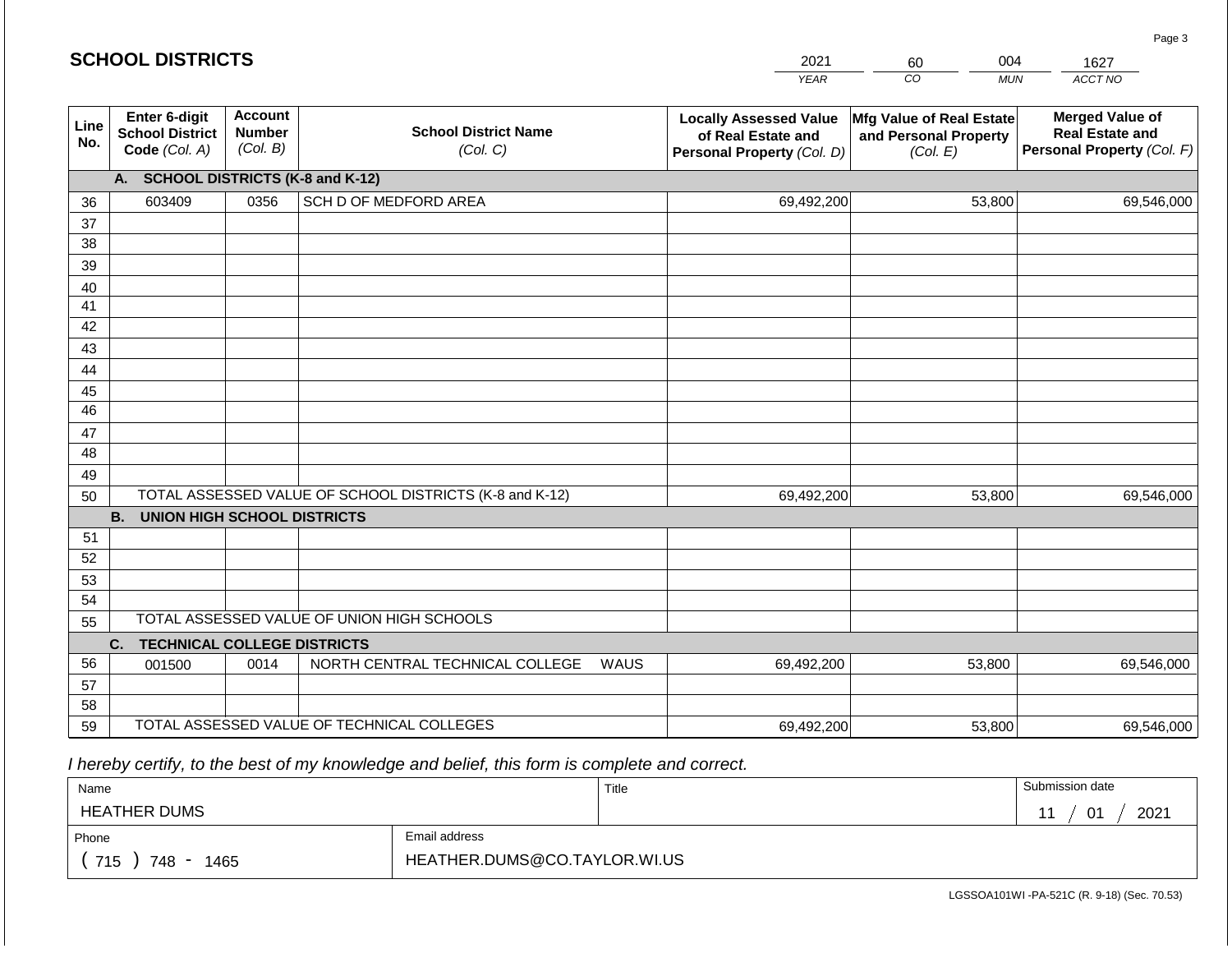#### *YEAR*  <sup>2</sup> *CO MUN ACCT NO*  1627 **Line No. Enter 6-digit School District Code** *(Col. A)* **Account Number** *(Col. B)* **School District Name** *(Col. C)* **Locally Assessed Value of Real Estate and Personal Property** *(Col. D)* **Mfg Value of Real Estate and Personal Property** *(Col. E)* **Merged Value of Real Estate and Personal Property** *(Col. F)* **A. SCHOOL DISTRICTS (K-8 and K-12)** 36 37 38 39 40 41 42 43 44 45 46 47 48 49 50 TOTAL ASSESSED VALUE OF SCHOOL DISTRICTS (K-8 and K-12) **B. UNION HIGH SCHOOL DISTRICTS** 51 52 53 54 55 **C. TECHNICAL COLLEGE DISTRICTS** 56 57 58 59 TOTAL ASSESSED VALUE OF TECHNICAL COLLEGES TOTAL ASSESSED VALUE OF UNION HIGH SCHOOLS 603409 0356 SCH D OF MEDFORD AREA 69,492,200 69,492,200 001500 | 0014 | NORTH CENTRAL TECHNICAL COLLEGE WAUS 69,492,200 53,800 69,546,000 53,800 69,546,000 53,800 69,546,000 69,492,200 53,800 69,546,000

 *I hereby certify, to the best of my knowledge and belief, this form is complete and correct.*

| Name                                           |                              | Title | Submission date |
|------------------------------------------------|------------------------------|-------|-----------------|
| <b>HEATHER DUMS</b>                            |                              |       | 2021<br>. ሰ1    |
| Phone                                          | Email address                |       |                 |
| 715<br>748<br>1465<br>$\overline{\phantom{a}}$ | HEATHER.DUMS@CO.TAYLOR.WI.US |       |                 |

Page 3

| <b>SCHOOL DISTRICTS</b> |  |
|-------------------------|--|
|-------------------------|--|

| 2021 | 60 | በበ4        | 16  |  |
|------|----|------------|-----|--|
| EAR  | CO | <b>MUN</b> | ACC |  |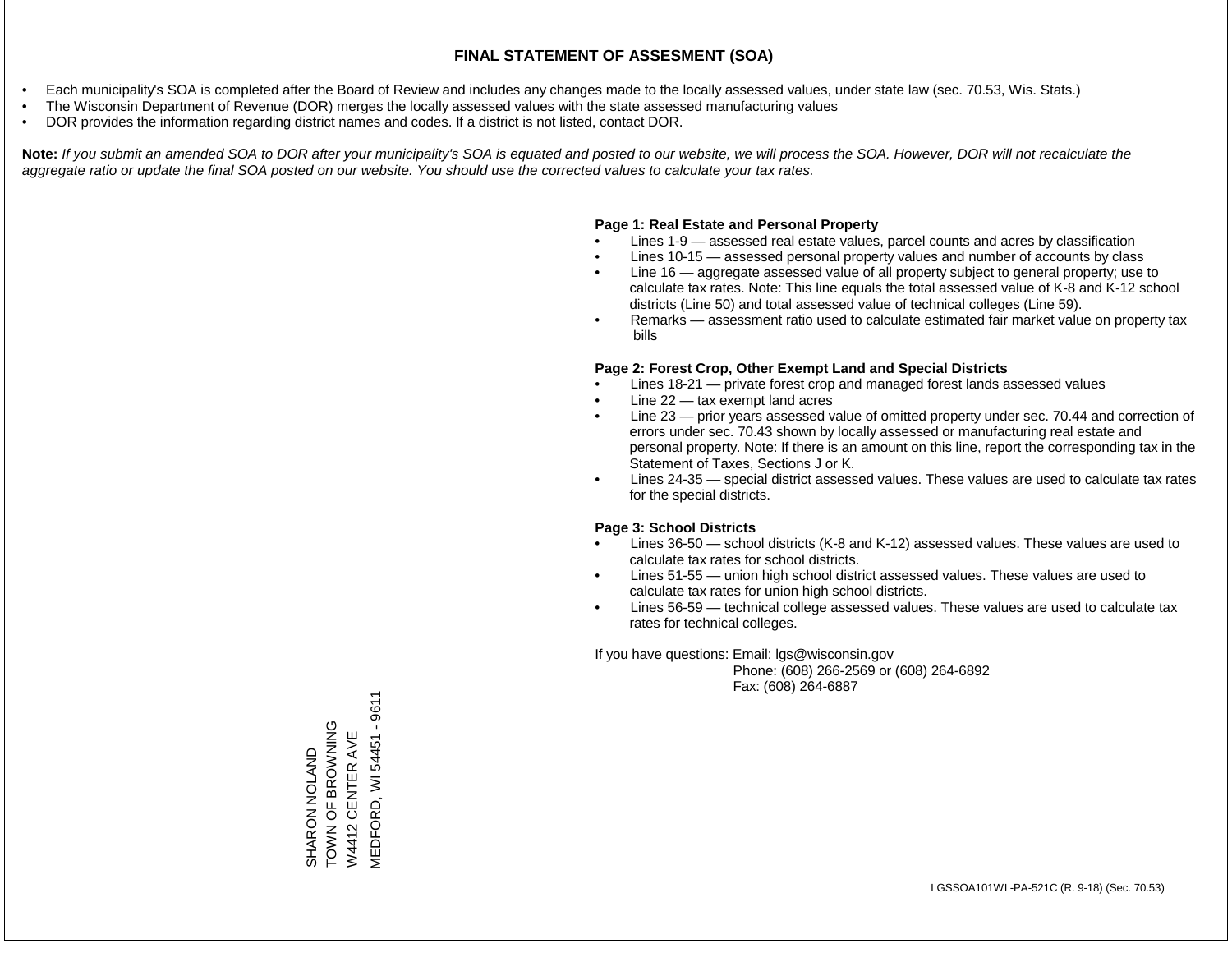- Each municipality's SOA is completed after the Board of Review and includes any changes made to the locally assessed values, under state law (sec. 70.53, Wis. Stats.)
- The Wisconsin Department of Revenue (DOR) merges the locally assessed values with the state assessed manufacturing values
- DOR provides the information regarding district names and codes. If a district is not listed, contact DOR.

Note: If you submit an amended SOA to DOR after your municipality's SOA is equated and posted to our website, we will process the SOA. However, DOR will not recalculate the *aggregate ratio or update the final SOA posted on our website. You should use the corrected values to calculate your tax rates.*

#### **Page 1: Real Estate and Personal Property**

- Lines 1-9 assessed real estate values, parcel counts and acres by classification
- Lines 10-15 assessed personal property values and number of accounts by class
- Line 16 aggregate assessed value of all property subject to general property; use to calculate tax rates. Note: This line equals the total assessed value of K-8 and K-12 school districts (Line 50) and total assessed value of technical colleges (Line 59).
- Remarks assessment ratio used to calculate estimated fair market value on property tax bills

#### **Page 2: Forest Crop, Other Exempt Land and Special Districts**

- Lines 18-21 private forest crop and managed forest lands assessed values
- Line  $22 -$  tax exempt land acres
- Line 23 prior years assessed value of omitted property under sec. 70.44 and correction of errors under sec. 70.43 shown by locally assessed or manufacturing real estate and personal property. Note: If there is an amount on this line, report the corresponding tax in the Statement of Taxes, Sections J or K.
- Lines 24-35 special district assessed values. These values are used to calculate tax rates for the special districts.

#### **Page 3: School Districts**

- Lines 36-50 school districts (K-8 and K-12) assessed values. These values are used to calculate tax rates for school districts.
- Lines 51-55 union high school district assessed values. These values are used to calculate tax rates for union high school districts.
- Lines 56-59 technical college assessed values. These values are used to calculate tax rates for technical colleges.

If you have questions: Email: lgs@wisconsin.gov

 Phone: (608) 266-2569 or (608) 264-6892 Fax: (608) 264-6887

**MEDFORD, WI 54451 - 9611** MEDFORD, WI 54451 - 9611SHARON NOLAND<br>TOWN OF BROWNING<br>W4412 CENTER AVE **TOWN OF BROWN** W4412 CENTER AVE SHARON NOLAND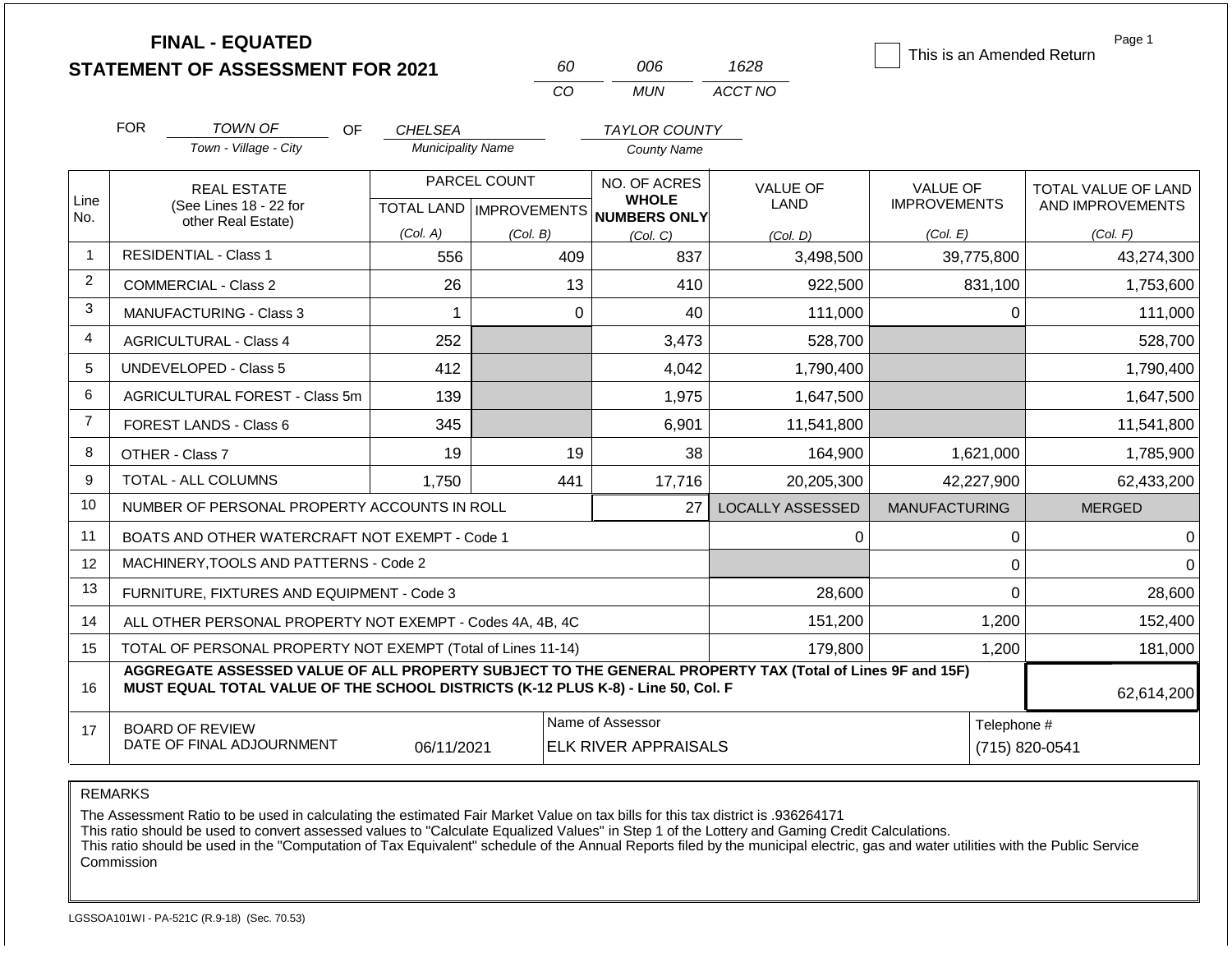|                |            | <b>FINAL - EQUATED</b><br><b>STATEMENT OF ASSESSMENT FOR 2021</b>                                                                                                                            |                          | 60           | 006                                                                 | 1628                    | This is an Amended Return              | Page 1                                  |
|----------------|------------|----------------------------------------------------------------------------------------------------------------------------------------------------------------------------------------------|--------------------------|--------------|---------------------------------------------------------------------|-------------------------|----------------------------------------|-----------------------------------------|
|                |            |                                                                                                                                                                                              |                          | CO           | <b>MUN</b>                                                          | ACCT NO                 |                                        |                                         |
|                | <b>FOR</b> | TOWN OF<br>OF.                                                                                                                                                                               | <b>CHELSEA</b>           |              | <b>TAYLOR COUNTY</b>                                                |                         |                                        |                                         |
|                |            | Town - Village - City                                                                                                                                                                        | <b>Municipality Name</b> |              | <b>County Name</b>                                                  |                         |                                        |                                         |
| Line           |            | <b>REAL ESTATE</b><br>(See Lines 18 - 22 for                                                                                                                                                 |                          | PARCEL COUNT | NO. OF ACRES<br><b>WHOLE</b><br>TOTAL LAND MPROVEMENTS NUMBERS ONLY | <b>VALUE OF</b><br>LAND | <b>VALUE OF</b><br><b>IMPROVEMENTS</b> | TOTAL VALUE OF LAND<br>AND IMPROVEMENTS |
| No.            |            | other Real Estate)                                                                                                                                                                           | (Col. A)                 | (Col. B)     | (Col. C)                                                            | (Col, D)                | (Col. E)                               | (Col. F)                                |
| $\mathbf{1}$   |            | <b>RESIDENTIAL - Class 1</b>                                                                                                                                                                 | 556                      | 409          | 837                                                                 | 3,498,500               | 39,775,800                             | 43,274,300                              |
| 2              |            | COMMERCIAL - Class 2                                                                                                                                                                         | 26                       | 13           | 410                                                                 | 922,500                 | 831,100                                | 1,753,600                               |
| 3              |            | MANUFACTURING - Class 3                                                                                                                                                                      | 1                        | $\Omega$     | 40                                                                  | 111,000                 | $\mathbf 0$                            | 111,000                                 |
| 4              |            | <b>AGRICULTURAL - Class 4</b>                                                                                                                                                                | 252                      |              | 3,473                                                               | 528,700                 |                                        | 528,700                                 |
| 5              |            | <b>UNDEVELOPED - Class 5</b>                                                                                                                                                                 | 412                      |              | 4,042                                                               | 1,790,400               |                                        | 1,790,400                               |
| 6              |            | AGRICULTURAL FOREST - Class 5m                                                                                                                                                               | 139                      |              | 1,975                                                               | 1,647,500               |                                        | 1,647,500                               |
| $\overline{7}$ |            | <b>FOREST LANDS - Class 6</b>                                                                                                                                                                | 345                      |              | 6,901                                                               | 11,541,800              |                                        | 11,541,800                              |
| 8              |            | OTHER - Class 7                                                                                                                                                                              | 19                       | 19           | 38                                                                  | 164,900                 | 1,621,000                              | 1,785,900                               |
| 9              |            | TOTAL - ALL COLUMNS                                                                                                                                                                          | 1.750                    | 441          | 17,716                                                              | 20,205,300              | 42,227,900                             | 62,433,200                              |
| 10             |            | NUMBER OF PERSONAL PROPERTY ACCOUNTS IN ROLL                                                                                                                                                 |                          |              | 27                                                                  | <b>LOCALLY ASSESSED</b> | <b>MANUFACTURING</b>                   | <b>MERGED</b>                           |
| 11             |            | BOATS AND OTHER WATERCRAFT NOT EXEMPT - Code 1                                                                                                                                               |                          |              |                                                                     | 0                       | $\boldsymbol{0}$                       | $\mathbf 0$                             |
| 12             |            | MACHINERY, TOOLS AND PATTERNS - Code 2                                                                                                                                                       |                          |              |                                                                     |                         | $\mathbf 0$                            | $\Omega$                                |
| 13             |            | FURNITURE, FIXTURES AND EQUIPMENT - Code 3                                                                                                                                                   |                          |              |                                                                     | 28,600                  | $\mathbf 0$                            | 28,600                                  |
| 14             |            | ALL OTHER PERSONAL PROPERTY NOT EXEMPT - Codes 4A, 4B, 4C                                                                                                                                    |                          |              |                                                                     | 151,200                 | 1,200                                  | 152,400                                 |
| 15             |            | TOTAL OF PERSONAL PROPERTY NOT EXEMPT (Total of Lines 11-14)                                                                                                                                 |                          |              |                                                                     | 179,800                 | 1,200                                  | 181,000                                 |
| 16             |            | AGGREGATE ASSESSED VALUE OF ALL PROPERTY SUBJECT TO THE GENERAL PROPERTY TAX (Total of Lines 9F and 15F)<br>MUST EQUAL TOTAL VALUE OF THE SCHOOL DISTRICTS (K-12 PLUS K-8) - Line 50, Col. F |                          |              |                                                                     |                         |                                        | 62,614,200                              |
| 17             |            | <b>BOARD OF REVIEW</b><br>DATE OF FINAL ADJOURNMENT                                                                                                                                          | 06/11/2021               |              | Name of Assessor<br><b>ELK RIVER APPRAISALS</b>                     |                         | Telephone #                            | (715) 820-0541                          |

The Assessment Ratio to be used in calculating the estimated Fair Market Value on tax bills for this tax district is .936264171

This ratio should be used to convert assessed values to "Calculate Equalized Values" in Step 1 of the Lottery and Gaming Credit Calculations.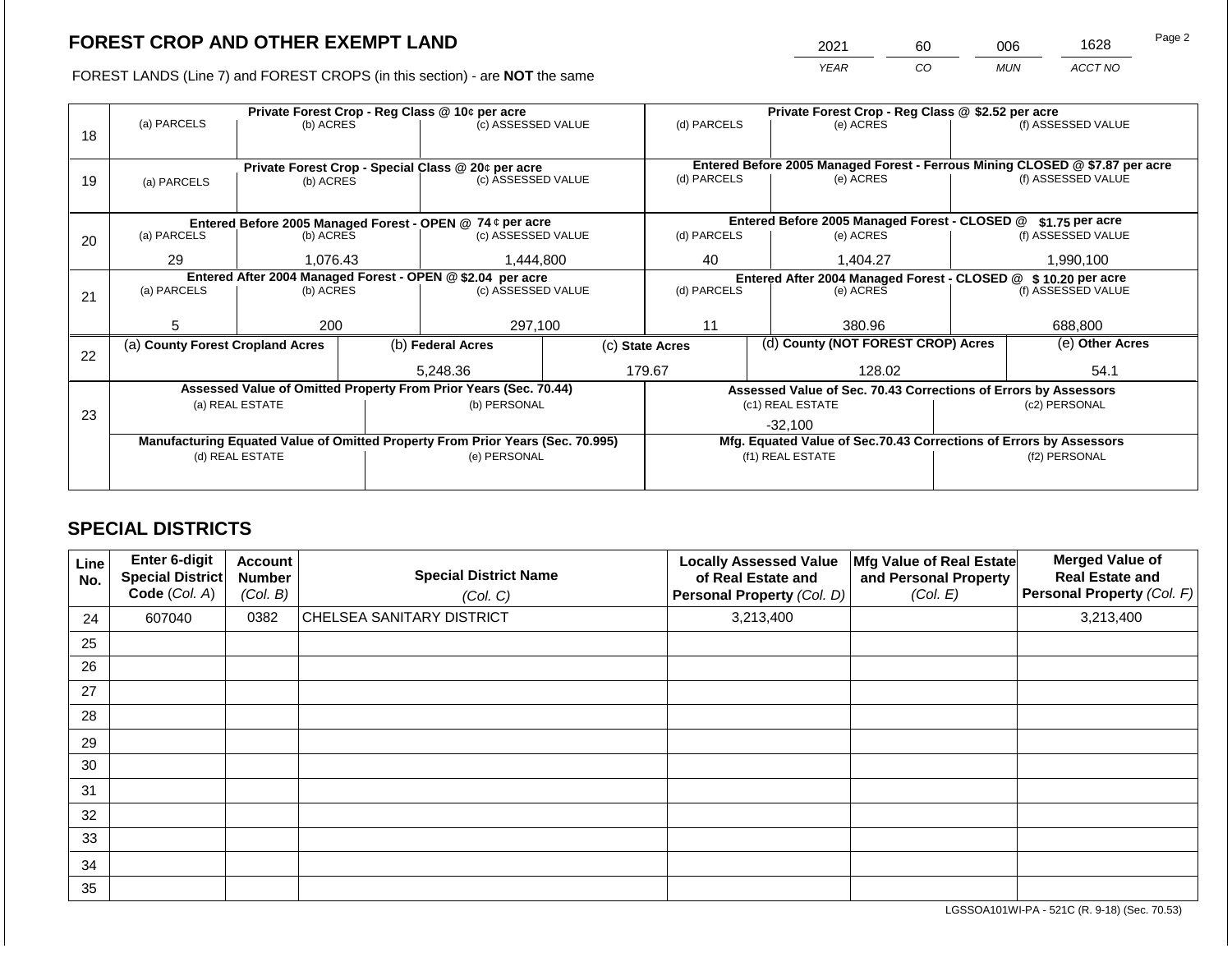2021 60 006 1628

FOREST LANDS (Line 7) and FOREST CROPS (in this section) - are **NOT** the same *YEAR CO MUN ACCT NO*

|    |                                                                                | Private Forest Crop - Reg Class @ 10¢ per acre |  | Private Forest Crop - Reg Class @ \$2.52 per acre                                |  |                                                                              |                                                                 |           |                    |                                                                    |
|----|--------------------------------------------------------------------------------|------------------------------------------------|--|----------------------------------------------------------------------------------|--|------------------------------------------------------------------------------|-----------------------------------------------------------------|-----------|--------------------|--------------------------------------------------------------------|
| 18 | (a) PARCELS                                                                    | (b) ACRES                                      |  | (c) ASSESSED VALUE                                                               |  | (d) PARCELS                                                                  | (e) ACRES                                                       |           |                    | (f) ASSESSED VALUE                                                 |
|    |                                                                                |                                                |  |                                                                                  |  |                                                                              |                                                                 |           |                    |                                                                    |
|    |                                                                                |                                                |  |                                                                                  |  | Entered Before 2005 Managed Forest - Ferrous Mining CLOSED @ \$7.87 per acre |                                                                 |           |                    |                                                                    |
| 19 | (a) PARCELS                                                                    | (b) ACRES                                      |  | Private Forest Crop - Special Class @ 20¢ per acre<br>(c) ASSESSED VALUE         |  | (d) PARCELS<br>(e) ACRES                                                     |                                                                 |           | (f) ASSESSED VALUE |                                                                    |
|    |                                                                                |                                                |  |                                                                                  |  |                                                                              |                                                                 |           |                    |                                                                    |
|    |                                                                                |                                                |  |                                                                                  |  |                                                                              |                                                                 |           |                    |                                                                    |
|    |                                                                                |                                                |  | Entered Before 2005 Managed Forest - OPEN @ 74 ¢ per acre                        |  |                                                                              | Entered Before 2005 Managed Forest - CLOSED @                   |           |                    | \$1.75 per acre                                                    |
| 20 | (a) PARCELS                                                                    | (b) ACRES                                      |  | (c) ASSESSED VALUE                                                               |  | (d) PARCELS                                                                  | (e) ACRES                                                       |           |                    | (f) ASSESSED VALUE                                                 |
|    | 29                                                                             | 1,444,800                                      |  |                                                                                  |  |                                                                              |                                                                 | 1,990,100 |                    |                                                                    |
|    |                                                                                | 1,076.43                                       |  |                                                                                  |  | 40<br>1,404.27                                                               |                                                                 |           |                    |                                                                    |
|    |                                                                                |                                                |  | Entered After 2004 Managed Forest - OPEN @ \$2.04 per acre<br>(c) ASSESSED VALUE |  | Entered After 2004 Managed Forest - CLOSED @ \$ 10.20 per acre<br>(e) ACRES  |                                                                 |           |                    |                                                                    |
| 21 | (a) PARCELS                                                                    | (b) ACRES                                      |  |                                                                                  |  | (d) PARCELS                                                                  |                                                                 |           |                    | (f) ASSESSED VALUE                                                 |
|    |                                                                                |                                                |  |                                                                                  |  |                                                                              |                                                                 |           |                    |                                                                    |
|    | 5.                                                                             | 200                                            |  | 297,100                                                                          |  | 11                                                                           |                                                                 | 380.96    |                    | 688,800                                                            |
|    | (a) County Forest Cropland Acres                                               |                                                |  | (b) Federal Acres                                                                |  | (d) County (NOT FOREST CROP) Acres<br>(c) State Acres                        |                                                                 |           |                    | (e) Other Acres                                                    |
| 22 |                                                                                |                                                |  |                                                                                  |  |                                                                              |                                                                 |           |                    |                                                                    |
|    |                                                                                |                                                |  | 5.248.36                                                                         |  | 179.67                                                                       |                                                                 | 128.02    |                    | 54.1                                                               |
|    |                                                                                |                                                |  | Assessed Value of Omitted Property From Prior Years (Sec. 70.44)                 |  |                                                                              | Assessed Value of Sec. 70.43 Corrections of Errors by Assessors |           |                    |                                                                    |
|    |                                                                                | (a) REAL ESTATE                                |  | (b) PERSONAL                                                                     |  |                                                                              | (c1) REAL ESTATE                                                |           |                    | (c2) PERSONAL                                                      |
| 23 |                                                                                |                                                |  |                                                                                  |  |                                                                              | $-32,100$                                                       |           |                    |                                                                    |
|    | Manufacturing Equated Value of Omitted Property From Prior Years (Sec. 70.995) |                                                |  |                                                                                  |  |                                                                              |                                                                 |           |                    | Mfg. Equated Value of Sec.70.43 Corrections of Errors by Assessors |
|    |                                                                                | (d) REAL ESTATE                                |  | (e) PERSONAL                                                                     |  |                                                                              | (f1) REAL ESTATE                                                |           | (f2) PERSONAL      |                                                                    |
|    |                                                                                |                                                |  |                                                                                  |  |                                                                              |                                                                 |           |                    |                                                                    |
|    |                                                                                |                                                |  |                                                                                  |  |                                                                              |                                                                 |           |                    |                                                                    |

## **SPECIAL DISTRICTS**

| Line<br>No. | <b>Enter 6-digit</b><br>Special District<br>Code (Col. A) | <b>Account</b><br><b>Number</b><br>(Col. B) | <b>Special District Name</b><br>(Col. C) | <b>Locally Assessed Value</b><br>of Real Estate and<br>Personal Property (Col. D) | Mfg Value of Real Estate<br>and Personal Property<br>(Col. E) | <b>Merged Value of</b><br><b>Real Estate and</b><br>Personal Property (Col. F) |
|-------------|-----------------------------------------------------------|---------------------------------------------|------------------------------------------|-----------------------------------------------------------------------------------|---------------------------------------------------------------|--------------------------------------------------------------------------------|
| 24          | 607040                                                    | 0382                                        | <b>CHELSEA SANITARY DISTRICT</b>         | 3,213,400                                                                         |                                                               | 3,213,400                                                                      |
| 25          |                                                           |                                             |                                          |                                                                                   |                                                               |                                                                                |
| 26          |                                                           |                                             |                                          |                                                                                   |                                                               |                                                                                |
| 27          |                                                           |                                             |                                          |                                                                                   |                                                               |                                                                                |
| 28          |                                                           |                                             |                                          |                                                                                   |                                                               |                                                                                |
| 29          |                                                           |                                             |                                          |                                                                                   |                                                               |                                                                                |
| 30          |                                                           |                                             |                                          |                                                                                   |                                                               |                                                                                |
| 31          |                                                           |                                             |                                          |                                                                                   |                                                               |                                                                                |
| 32          |                                                           |                                             |                                          |                                                                                   |                                                               |                                                                                |
| 33          |                                                           |                                             |                                          |                                                                                   |                                                               |                                                                                |
| 34          |                                                           |                                             |                                          |                                                                                   |                                                               |                                                                                |
| 35          |                                                           |                                             |                                          |                                                                                   |                                                               |                                                                                |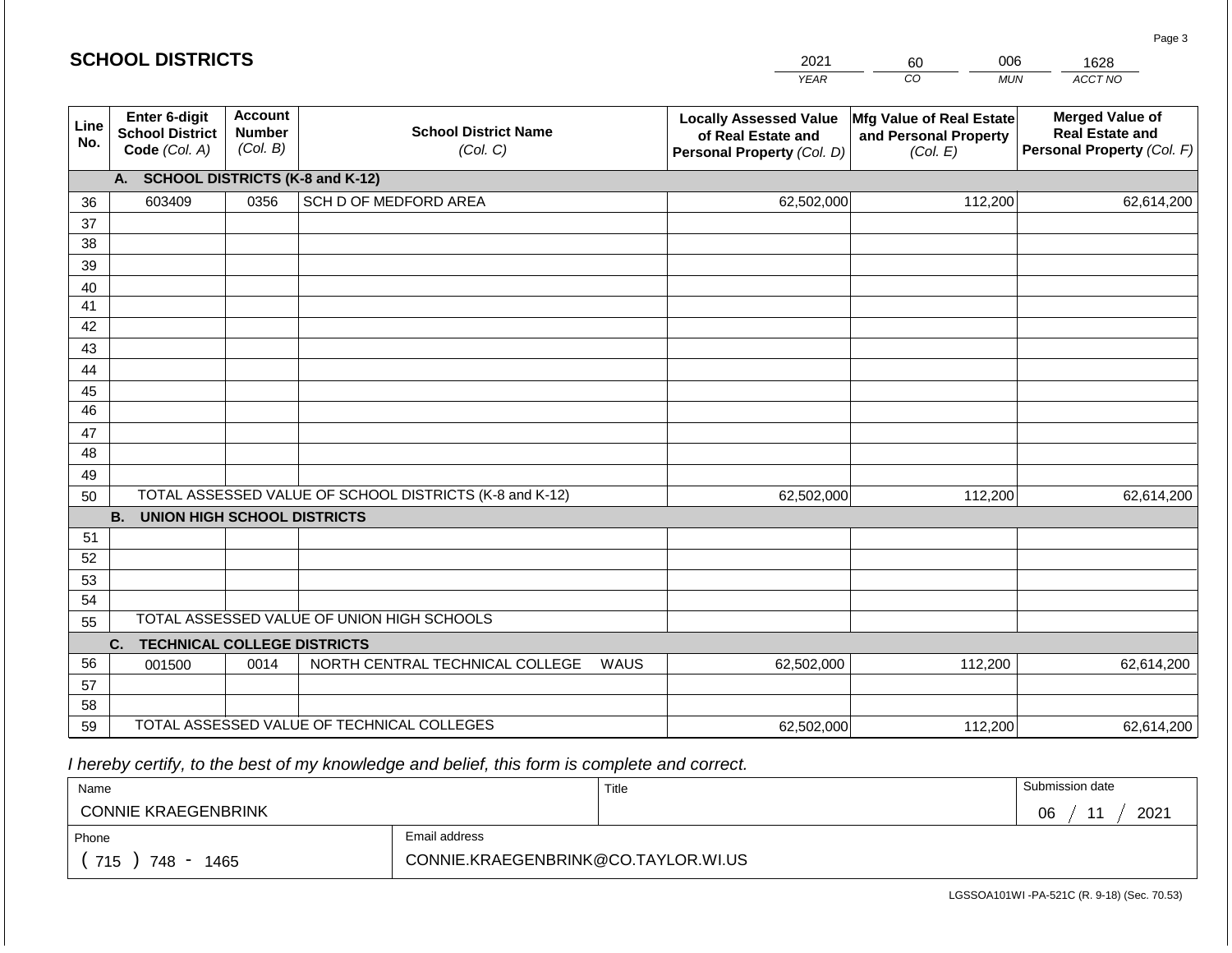#### *YEAR*  2021  $\overline{co}$ 60 *MUN*  006 *ACCT NO*  1628 **SCHOOL DISTRICTS Line No. Enter 6-digit School District Code** *(Col. A)* **Account Number** *(Col. B)* **School District Name** *(Col. C)* **Locally Assessed Value of Real Estate and Personal Property** *(Col. D)* **Mfg Value of Real Estate and Personal Property** *(Col. E)* **Merged Value of Real Estate and Personal Property** *(Col. F)* **A. SCHOOL DISTRICTS (K-8 and K-12)** 36 37 38 39 40 41 42 43 44 45 46 47 48 49 50 TOTAL ASSESSED VALUE OF SCHOOL DISTRICTS (K-8 and K-12) **B. UNION HIGH SCHOOL DISTRICTS** 51 52 53 54 55 **C. TECHNICAL COLLEGE DISTRICTS** 56 57 58 59 TOTAL ASSESSED VALUE OF TECHNICAL COLLEGES TOTAL ASSESSED VALUE OF UNION HIGH SCHOOLS 603409 0356 SCH D OF MEDFORD AREA 62,502,000 62,502,000 001500 | 0014 | NORTH CENTRAL TECHNICAL COLLEGE WAUS 62,502,000 112,200 62,614,200 112,200 62,614,200 112,200 62,614,200 62,502,000 112,200 62,614,200

 *I hereby certify, to the best of my knowledge and belief, this form is complete and correct.*

| Name                                           |                                     | Title | Submission date  |
|------------------------------------------------|-------------------------------------|-------|------------------|
| <b>CONNIE KRAEGENBRINK</b>                     |                                     |       | 2021<br>06<br>44 |
| Phone                                          | Email address                       |       |                  |
| 715<br>748<br>1465<br>$\overline{\phantom{a}}$ | CONNIE.KRAEGENBRINK@CO.TAYLOR.WI.US |       |                  |

Page 3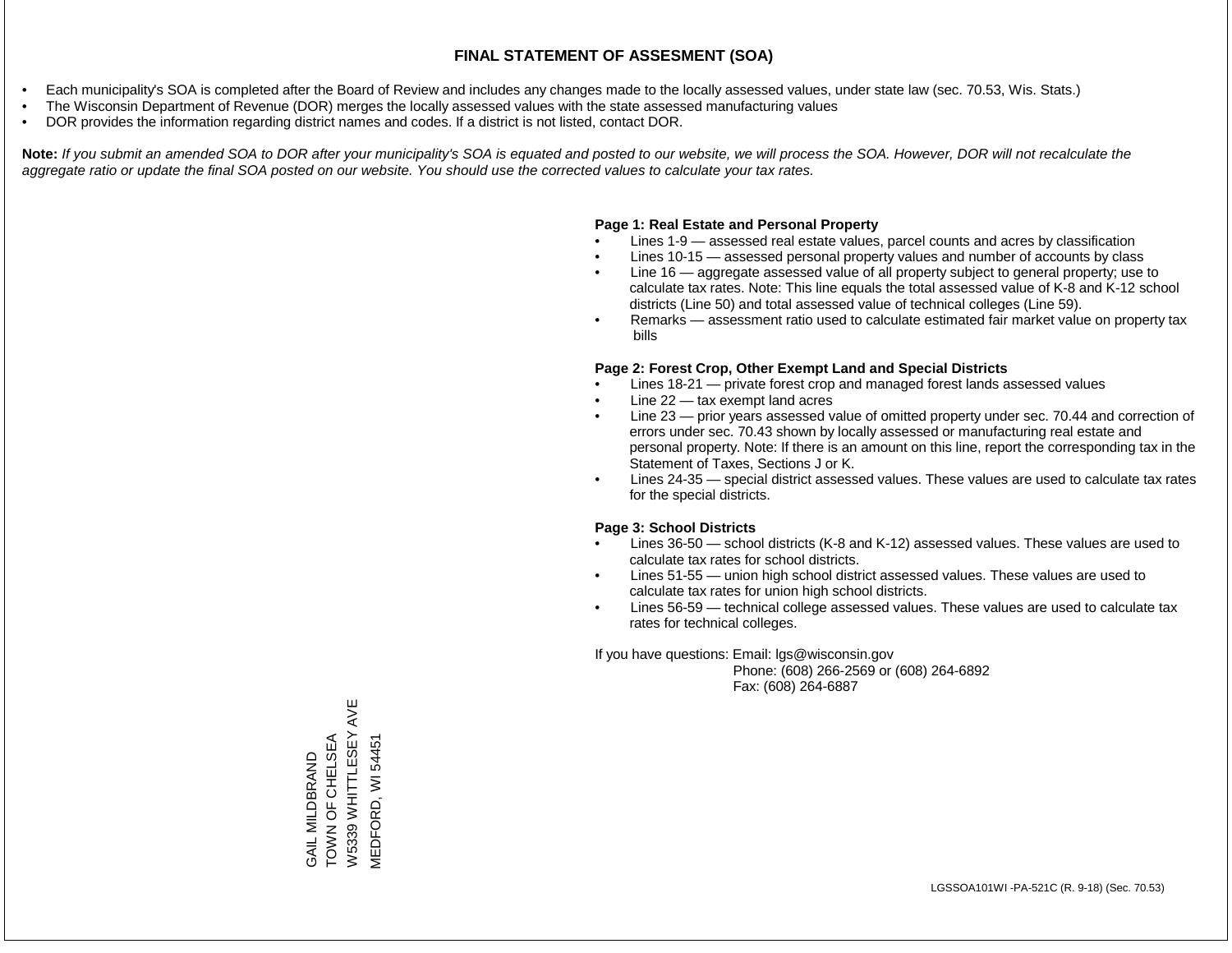- Each municipality's SOA is completed after the Board of Review and includes any changes made to the locally assessed values, under state law (sec. 70.53, Wis. Stats.)
- The Wisconsin Department of Revenue (DOR) merges the locally assessed values with the state assessed manufacturing values
- DOR provides the information regarding district names and codes. If a district is not listed, contact DOR.

Note: If you submit an amended SOA to DOR after your municipality's SOA is equated and posted to our website, we will process the SOA. However, DOR will not recalculate the *aggregate ratio or update the final SOA posted on our website. You should use the corrected values to calculate your tax rates.*

### **Page 1: Real Estate and Personal Property**

- Lines 1-9 assessed real estate values, parcel counts and acres by classification
- Lines 10-15 assessed personal property values and number of accounts by class
- Line 16 aggregate assessed value of all property subject to general property; use to calculate tax rates. Note: This line equals the total assessed value of K-8 and K-12 school districts (Line 50) and total assessed value of technical colleges (Line 59).
- Remarks assessment ratio used to calculate estimated fair market value on property tax bills

#### **Page 2: Forest Crop, Other Exempt Land and Special Districts**

- Lines 18-21 private forest crop and managed forest lands assessed values
- Line  $22 -$  tax exempt land acres
- Line 23 prior years assessed value of omitted property under sec. 70.44 and correction of errors under sec. 70.43 shown by locally assessed or manufacturing real estate and personal property. Note: If there is an amount on this line, report the corresponding tax in the Statement of Taxes, Sections J or K.
- Lines 24-35 special district assessed values. These values are used to calculate tax rates for the special districts.

#### **Page 3: School Districts**

- Lines 36-50 school districts (K-8 and K-12) assessed values. These values are used to calculate tax rates for school districts.
- Lines 51-55 union high school district assessed values. These values are used to calculate tax rates for union high school districts.
- Lines 56-59 technical college assessed values. These values are used to calculate tax rates for technical colleges.

If you have questions: Email: lgs@wisconsin.gov

 Phone: (608) 266-2569 or (608) 264-6892 Fax: (608) 264-6887

AVE W5339 WHITTLESEY AVE GAIL MILDBRAND<br>TOWN OF CHELSEA<br>W5339 WHITTLESEY A TOWN OF CHELSEA **MEDFORD, WI 54451** MEDFORD, WI 54451GAIL MILDBRAND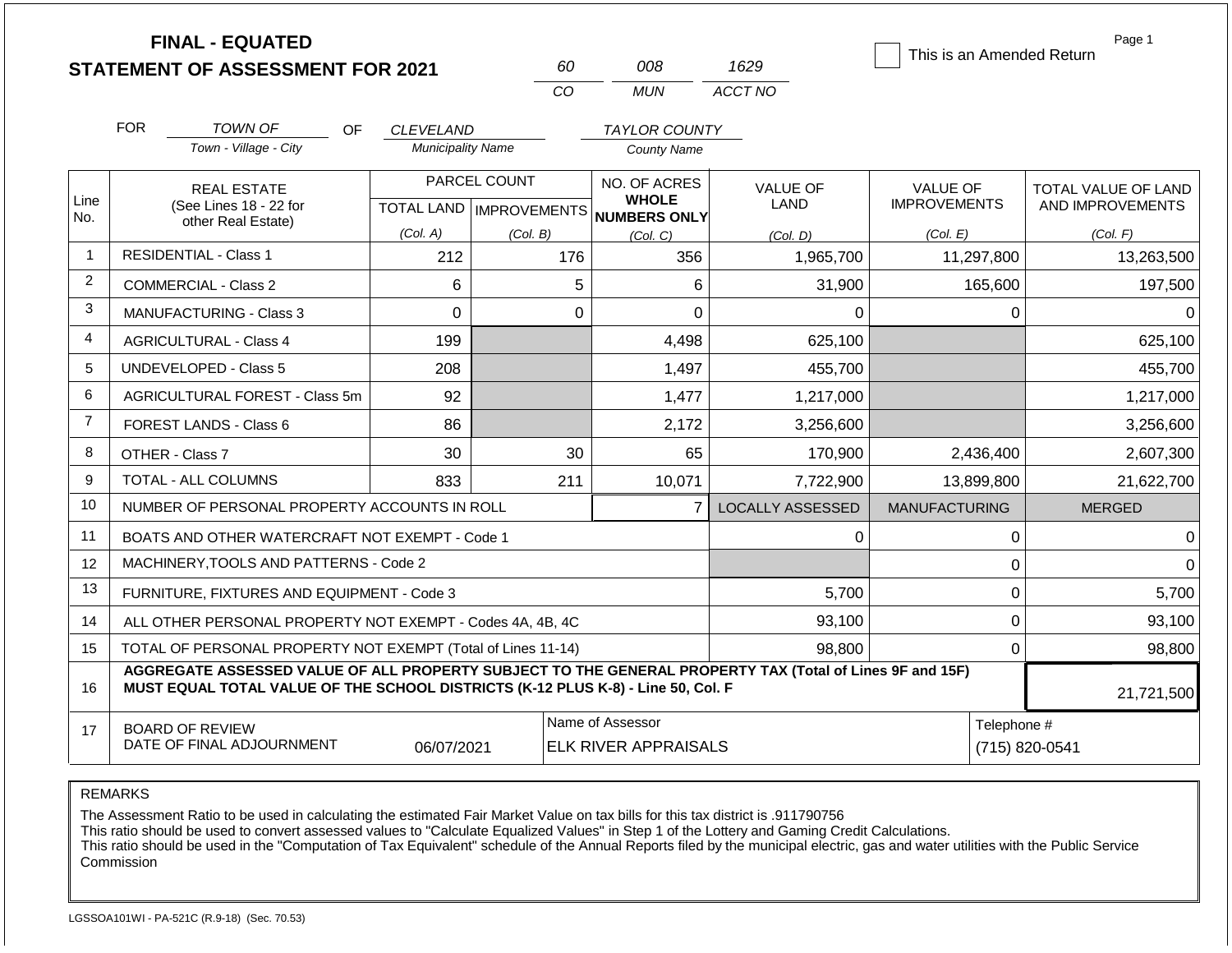|                |                                            | <b>FINAL - EQUATED</b><br><b>STATEMENT OF ASSESSMENT FOR 2021</b>                                                                                                                            |                                              | 60                                   |                  | 008                          | 1629                    | This is an Amended Return | Page 1              |
|----------------|--------------------------------------------|----------------------------------------------------------------------------------------------------------------------------------------------------------------------------------------------|----------------------------------------------|--------------------------------------|------------------|------------------------------|-------------------------|---------------------------|---------------------|
|                |                                            |                                                                                                                                                                                              |                                              | CO                                   |                  | <b>MUN</b>                   | ACCT NO                 |                           |                     |
|                |                                            |                                                                                                                                                                                              |                                              |                                      |                  |                              |                         |                           |                     |
|                | <b>FOR</b>                                 | TOWN OF<br>OF.<br>Town - Village - City                                                                                                                                                      | <b>CLEVELAND</b><br><b>Municipality Name</b> |                                      |                  | <b>TAYLOR COUNTY</b>         |                         |                           |                     |
|                |                                            |                                                                                                                                                                                              |                                              |                                      |                  | <b>County Name</b>           |                         |                           |                     |
|                |                                            | <b>REAL ESTATE</b>                                                                                                                                                                           |                                              | PARCEL COUNT                         |                  | NO. OF ACRES<br><b>WHOLE</b> | <b>VALUE OF</b>         | <b>VALUE OF</b>           | TOTAL VALUE OF LAND |
| Line<br>No.    |                                            | (See Lines 18 - 22 for<br>other Real Estate)                                                                                                                                                 |                                              | TOTAL LAND IMPROVEMENTS NUMBERS ONLY |                  |                              | LAND                    | <b>IMPROVEMENTS</b>       | AND IMPROVEMENTS    |
|                |                                            |                                                                                                                                                                                              | (Col. A)                                     | (Col. B)                             |                  | (Col, C)                     | (Col, D)                | (Col. E)                  | (Col. F)            |
| $\mathbf 1$    |                                            | <b>RESIDENTIAL - Class 1</b>                                                                                                                                                                 | 212                                          |                                      | 176              | 356                          | 1,965,700               | 11,297,800                | 13,263,500          |
| $\overline{2}$ |                                            | <b>COMMERCIAL - Class 2</b>                                                                                                                                                                  | 6                                            |                                      | 5                | 6                            | 31,900                  | 165,600                   | 197,500             |
| 3              | $\Omega$<br><b>MANUFACTURING - Class 3</b> |                                                                                                                                                                                              |                                              |                                      | $\Omega$         | 0                            | $\Omega$                | $\Omega$                  | 0                   |
| 4              |                                            | <b>AGRICULTURAL - Class 4</b>                                                                                                                                                                | 199                                          |                                      |                  | 4,498                        | 625,100                 |                           | 625,100             |
| 5              |                                            | <b>UNDEVELOPED - Class 5</b>                                                                                                                                                                 | 208                                          |                                      |                  | 1,497                        | 455,700                 |                           | 455,700             |
| 6              |                                            | AGRICULTURAL FOREST - Class 5m                                                                                                                                                               | 92                                           |                                      |                  | 1,477                        | 1,217,000               |                           | 1,217,000           |
| $\overline{7}$ |                                            | <b>FOREST LANDS - Class 6</b>                                                                                                                                                                | 86                                           |                                      |                  | 2,172                        | 3,256,600               |                           | 3,256,600           |
| 8              |                                            | OTHER - Class 7                                                                                                                                                                              | 30                                           |                                      | 30               | 65                           | 170,900                 | 2,436,400                 | 2,607,300           |
| 9              |                                            | <b>TOTAL - ALL COLUMNS</b>                                                                                                                                                                   | 833                                          |                                      | 211              | 10,071                       | 7,722,900               | 13,899,800                | 21,622,700          |
| 10             |                                            | NUMBER OF PERSONAL PROPERTY ACCOUNTS IN ROLL                                                                                                                                                 |                                              |                                      |                  | $\overline{7}$               | <b>LOCALLY ASSESSED</b> | <b>MANUFACTURING</b>      | <b>MERGED</b>       |
| 11             |                                            | BOATS AND OTHER WATERCRAFT NOT EXEMPT - Code 1                                                                                                                                               |                                              |                                      |                  |                              | 0                       | $\boldsymbol{0}$          | 0                   |
| 12             |                                            | MACHINERY, TOOLS AND PATTERNS - Code 2                                                                                                                                                       |                                              |                                      |                  |                              |                         | $\mathbf 0$               | $\Omega$            |
| 13             |                                            | FURNITURE, FIXTURES AND EQUIPMENT - Code 3                                                                                                                                                   |                                              |                                      |                  |                              | 5,700                   | $\mathbf 0$               | 5,700               |
| 14             |                                            | ALL OTHER PERSONAL PROPERTY NOT EXEMPT - Codes 4A, 4B, 4C                                                                                                                                    |                                              |                                      |                  |                              | 93,100                  | $\mathbf 0$               | 93,100              |
| 15             |                                            | TOTAL OF PERSONAL PROPERTY NOT EXEMPT (Total of Lines 11-14)                                                                                                                                 |                                              |                                      |                  |                              | 98,800                  | $\mathbf 0$               | 98,800              |
| 16             |                                            | AGGREGATE ASSESSED VALUE OF ALL PROPERTY SUBJECT TO THE GENERAL PROPERTY TAX (Total of Lines 9F and 15F)<br>MUST EQUAL TOTAL VALUE OF THE SCHOOL DISTRICTS (K-12 PLUS K-8) - Line 50, Col. F |                                              |                                      |                  |                              |                         |                           | 21,721,500          |
| 17             |                                            | <b>BOARD OF REVIEW</b>                                                                                                                                                                       |                                              |                                      | Name of Assessor |                              |                         | Telephone #               |                     |
|                |                                            | DATE OF FINAL ADJOURNMENT                                                                                                                                                                    | 06/07/2021                                   |                                      |                  | <b>ELK RIVER APPRAISALS</b>  |                         |                           | (715) 820-0541      |

The Assessment Ratio to be used in calculating the estimated Fair Market Value on tax bills for this tax district is .911790756

This ratio should be used to convert assessed values to "Calculate Equalized Values" in Step 1 of the Lottery and Gaming Credit Calculations.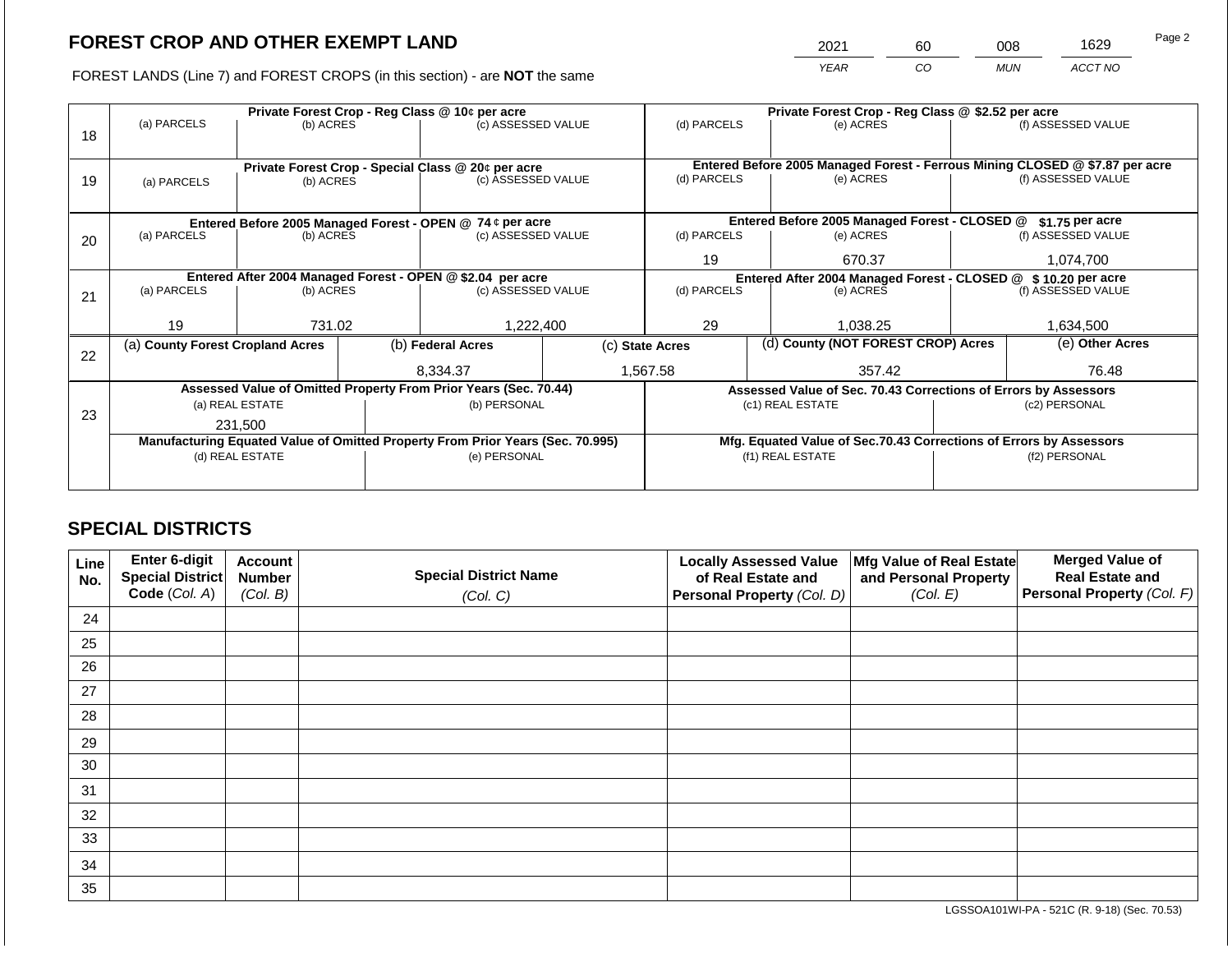2021 60 008 1629

FOREST LANDS (Line 7) and FOREST CROPS (in this section) - are **NOT** the same *YEAR CO MUN ACCT NO*

|    |                                                                                |                 |  | Private Forest Crop - Reg Class @ 10¢ per acre                   |                                                               | Private Forest Crop - Reg Class @ \$2.52 per acre                            |  |                                                                    |                    |                    |
|----|--------------------------------------------------------------------------------|-----------------|--|------------------------------------------------------------------|---------------------------------------------------------------|------------------------------------------------------------------------------|--|--------------------------------------------------------------------|--------------------|--------------------|
| 18 | (a) PARCELS                                                                    | (b) ACRES       |  | (c) ASSESSED VALUE                                               |                                                               | (d) PARCELS                                                                  |  | (e) ACRES                                                          |                    | (f) ASSESSED VALUE |
|    |                                                                                |                 |  |                                                                  |                                                               |                                                                              |  |                                                                    |                    |                    |
|    |                                                                                |                 |  | Private Forest Crop - Special Class @ 20¢ per acre               |                                                               | Entered Before 2005 Managed Forest - Ferrous Mining CLOSED @ \$7.87 per acre |  |                                                                    |                    |                    |
| 19 | (a) PARCELS                                                                    | (b) ACRES       |  | (c) ASSESSED VALUE                                               |                                                               | (d) PARCELS                                                                  |  | (e) ACRES                                                          |                    | (f) ASSESSED VALUE |
|    |                                                                                |                 |  |                                                                  |                                                               |                                                                              |  |                                                                    |                    |                    |
|    |                                                                                |                 |  |                                                                  |                                                               |                                                                              |  | Entered Before 2005 Managed Forest - CLOSED @                      |                    | \$1.75 per acre    |
|    | Entered Before 2005 Managed Forest - OPEN @ 74 ¢ per acre                      |                 |  |                                                                  |                                                               |                                                                              |  |                                                                    |                    |                    |
| 20 | (a) PARCELS                                                                    | (b) ACRES       |  | (c) ASSESSED VALUE                                               |                                                               | (d) PARCELS                                                                  |  | (e) ACRES                                                          |                    | (f) ASSESSED VALUE |
|    |                                                                                |                 |  |                                                                  |                                                               | 19                                                                           |  | 670.37                                                             |                    | 1,074,700          |
|    | Entered After 2004 Managed Forest - OPEN @ \$2.04 per acre                     |                 |  |                                                                  | Entered After 2004 Managed Forest - CLOSED @ \$10.20 per acre |                                                                              |  |                                                                    |                    |                    |
| 21 | (a) PARCELS                                                                    | (b) ACRES       |  | (c) ASSESSED VALUE                                               |                                                               | (d) PARCELS<br>(e) ACRES                                                     |  |                                                                    | (f) ASSESSED VALUE |                    |
|    |                                                                                |                 |  |                                                                  |                                                               |                                                                              |  |                                                                    |                    |                    |
|    | 19                                                                             | 731.02          |  | 1,222,400                                                        |                                                               | 29                                                                           |  | 1,038.25                                                           |                    | 1,634,500          |
|    | (a) County Forest Cropland Acres                                               |                 |  | (b) Federal Acres                                                |                                                               | (c) State Acres                                                              |  | (d) County (NOT FOREST CROP) Acres                                 |                    | (e) Other Acres    |
| 22 |                                                                                |                 |  |                                                                  |                                                               |                                                                              |  |                                                                    |                    |                    |
|    |                                                                                |                 |  | 8.334.37                                                         |                                                               | 1,567.58                                                                     |  | 357.42                                                             | 76.48              |                    |
|    |                                                                                |                 |  | Assessed Value of Omitted Property From Prior Years (Sec. 70.44) |                                                               |                                                                              |  | Assessed Value of Sec. 70.43 Corrections of Errors by Assessors    |                    |                    |
|    |                                                                                | (a) REAL ESTATE |  | (b) PERSONAL                                                     |                                                               |                                                                              |  | (c1) REAL ESTATE                                                   |                    | (c2) PERSONAL      |
| 23 | 231.500                                                                        |                 |  |                                                                  |                                                               |                                                                              |  |                                                                    |                    |                    |
|    | Manufacturing Equated Value of Omitted Property From Prior Years (Sec. 70.995) |                 |  |                                                                  |                                                               |                                                                              |  | Mfg. Equated Value of Sec.70.43 Corrections of Errors by Assessors |                    |                    |
|    | (d) REAL ESTATE                                                                |                 |  | (e) PERSONAL                                                     |                                                               |                                                                              |  | (f1) REAL ESTATE                                                   | (f2) PERSONAL      |                    |
|    |                                                                                |                 |  |                                                                  |                                                               |                                                                              |  |                                                                    |                    |                    |
|    |                                                                                |                 |  |                                                                  |                                                               |                                                                              |  |                                                                    |                    |                    |

## **SPECIAL DISTRICTS**

| Line<br>No. | Enter 6-digit<br>Special District<br>Code (Col. A) | <b>Account</b><br><b>Number</b><br>(Col. B) | <b>Special District Name</b><br>(Col. C) | <b>Locally Assessed Value</b><br>of Real Estate and<br><b>Personal Property (Col. D)</b> | Mfg Value of Real Estate<br>and Personal Property<br>(Col. E) | <b>Merged Value of</b><br><b>Real Estate and</b><br>Personal Property (Col. F) |
|-------------|----------------------------------------------------|---------------------------------------------|------------------------------------------|------------------------------------------------------------------------------------------|---------------------------------------------------------------|--------------------------------------------------------------------------------|
| 24          |                                                    |                                             |                                          |                                                                                          |                                                               |                                                                                |
| 25          |                                                    |                                             |                                          |                                                                                          |                                                               |                                                                                |
| 26          |                                                    |                                             |                                          |                                                                                          |                                                               |                                                                                |
| 27          |                                                    |                                             |                                          |                                                                                          |                                                               |                                                                                |
| 28          |                                                    |                                             |                                          |                                                                                          |                                                               |                                                                                |
| 29          |                                                    |                                             |                                          |                                                                                          |                                                               |                                                                                |
| 30          |                                                    |                                             |                                          |                                                                                          |                                                               |                                                                                |
| 31          |                                                    |                                             |                                          |                                                                                          |                                                               |                                                                                |
| 32          |                                                    |                                             |                                          |                                                                                          |                                                               |                                                                                |
| 33          |                                                    |                                             |                                          |                                                                                          |                                                               |                                                                                |
| 34          |                                                    |                                             |                                          |                                                                                          |                                                               |                                                                                |
| 35          |                                                    |                                             |                                          |                                                                                          |                                                               |                                                                                |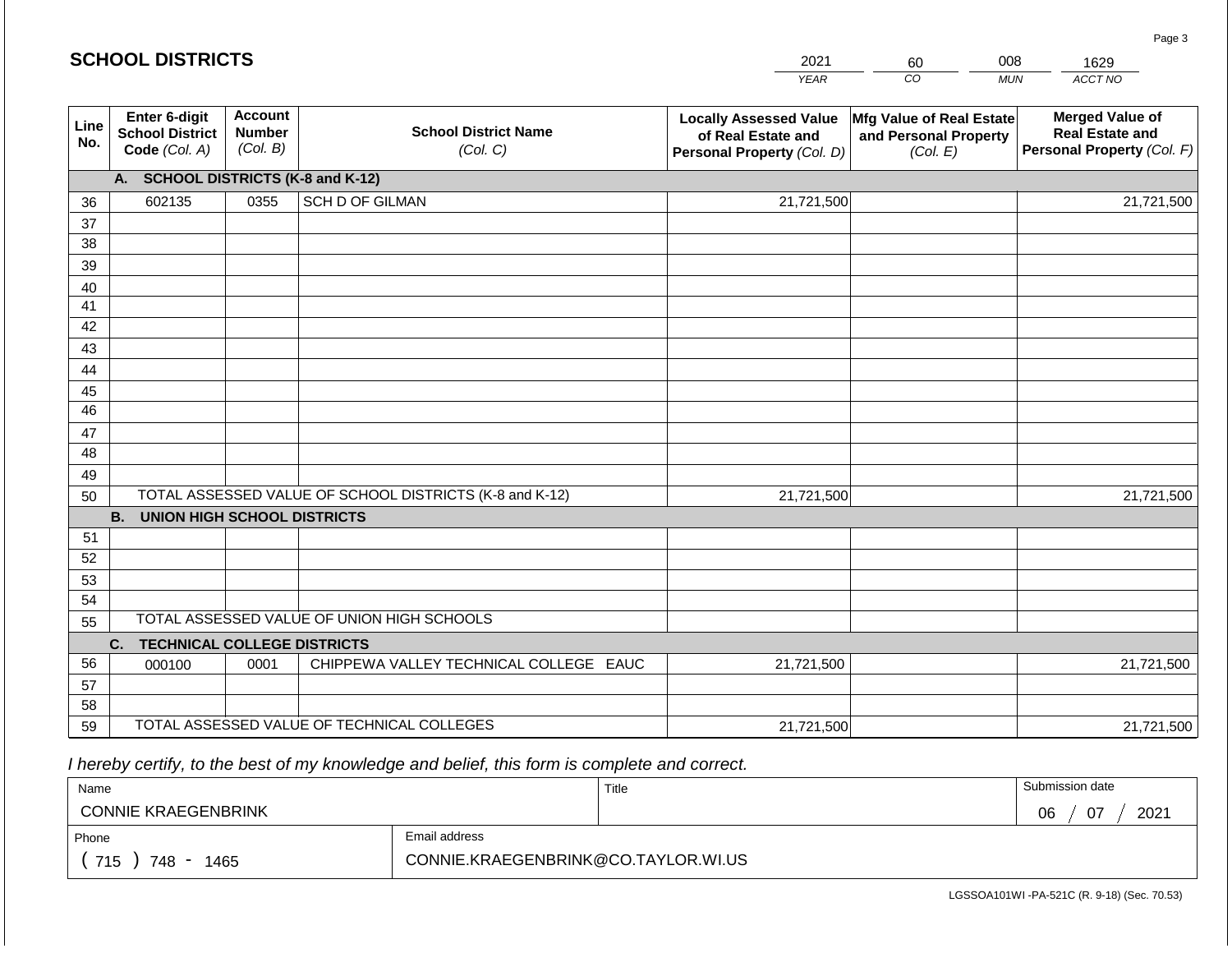| <b>SCHOOL DISTRICTS</b><br>2021<br>008<br>1629<br>60 |                                                          |                                             |                                                         |                                                                                   |                                                               |                                                                                |
|------------------------------------------------------|----------------------------------------------------------|---------------------------------------------|---------------------------------------------------------|-----------------------------------------------------------------------------------|---------------------------------------------------------------|--------------------------------------------------------------------------------|
|                                                      |                                                          |                                             |                                                         | <b>YEAR</b>                                                                       | CO                                                            | ACCT NO<br><b>MUN</b>                                                          |
| Line<br>No.                                          | Enter 6-digit<br><b>School District</b><br>Code (Col. A) | <b>Account</b><br><b>Number</b><br>(Col. B) | <b>School District Name</b><br>(Col. C)                 | <b>Locally Assessed Value</b><br>of Real Estate and<br>Personal Property (Col. D) | Mfg Value of Real Estate<br>and Personal Property<br>(Col. E) | <b>Merged Value of</b><br><b>Real Estate and</b><br>Personal Property (Col. F) |
|                                                      | A. SCHOOL DISTRICTS (K-8 and K-12)                       |                                             |                                                         |                                                                                   |                                                               |                                                                                |
| 36                                                   | 602135                                                   | 0355                                        | <b>SCH D OF GILMAN</b>                                  | 21,721,500                                                                        |                                                               | 21,721,500                                                                     |
| 37                                                   |                                                          |                                             |                                                         |                                                                                   |                                                               |                                                                                |
| 38                                                   |                                                          |                                             |                                                         |                                                                                   |                                                               |                                                                                |
| 39                                                   |                                                          |                                             |                                                         |                                                                                   |                                                               |                                                                                |
| 40                                                   |                                                          |                                             |                                                         |                                                                                   |                                                               |                                                                                |
| 41<br>42                                             |                                                          |                                             |                                                         |                                                                                   |                                                               |                                                                                |
| 43                                                   |                                                          |                                             |                                                         |                                                                                   |                                                               |                                                                                |
| 44                                                   |                                                          |                                             |                                                         |                                                                                   |                                                               |                                                                                |
| 45                                                   |                                                          |                                             |                                                         |                                                                                   |                                                               |                                                                                |
| 46                                                   |                                                          |                                             |                                                         |                                                                                   |                                                               |                                                                                |
| 47                                                   |                                                          |                                             |                                                         |                                                                                   |                                                               |                                                                                |
| 48                                                   |                                                          |                                             |                                                         |                                                                                   |                                                               |                                                                                |
| 49                                                   |                                                          |                                             |                                                         |                                                                                   |                                                               |                                                                                |
| 50                                                   |                                                          |                                             | TOTAL ASSESSED VALUE OF SCHOOL DISTRICTS (K-8 and K-12) | 21,721,500                                                                        |                                                               | 21,721,500                                                                     |
|                                                      | <b>B. UNION HIGH SCHOOL DISTRICTS</b>                    |                                             |                                                         |                                                                                   |                                                               |                                                                                |
| 51                                                   |                                                          |                                             |                                                         |                                                                                   |                                                               |                                                                                |
| 52                                                   |                                                          |                                             |                                                         |                                                                                   |                                                               |                                                                                |
| 53                                                   |                                                          |                                             |                                                         |                                                                                   |                                                               |                                                                                |
| 54                                                   |                                                          |                                             | TOTAL ASSESSED VALUE OF UNION HIGH SCHOOLS              |                                                                                   |                                                               |                                                                                |
| 55                                                   |                                                          |                                             |                                                         |                                                                                   |                                                               |                                                                                |
| 56                                                   | <b>TECHNICAL COLLEGE DISTRICTS</b><br>C.                 | 0001                                        | CHIPPEWA VALLEY TECHNICAL COLLEGE EAUC                  |                                                                                   |                                                               |                                                                                |
| 57                                                   | 000100                                                   |                                             |                                                         | 21,721,500                                                                        |                                                               | 21,721,500                                                                     |
| 58                                                   |                                                          |                                             |                                                         |                                                                                   |                                                               |                                                                                |
| 59                                                   |                                                          |                                             | TOTAL ASSESSED VALUE OF TECHNICAL COLLEGES              | 21,721,500                                                                        |                                                               | 21,721,500                                                                     |

 *I hereby certify, to the best of my knowledge and belief, this form is complete and correct.*

| Name                       |                                     | Title | Submission date        |
|----------------------------|-------------------------------------|-------|------------------------|
| <b>CONNIE KRAEGENBRINK</b> |                                     |       | $\cap$ 7<br>2021<br>06 |
| Phone                      | Email address                       |       |                        |
| 715<br>748<br>1465         | CONNIE.KRAEGENBRINK@CO.TAYLOR.WI.US |       |                        |

LGSSOA101WI -PA-521C (R. 9-18) (Sec. 70.53)

Page 3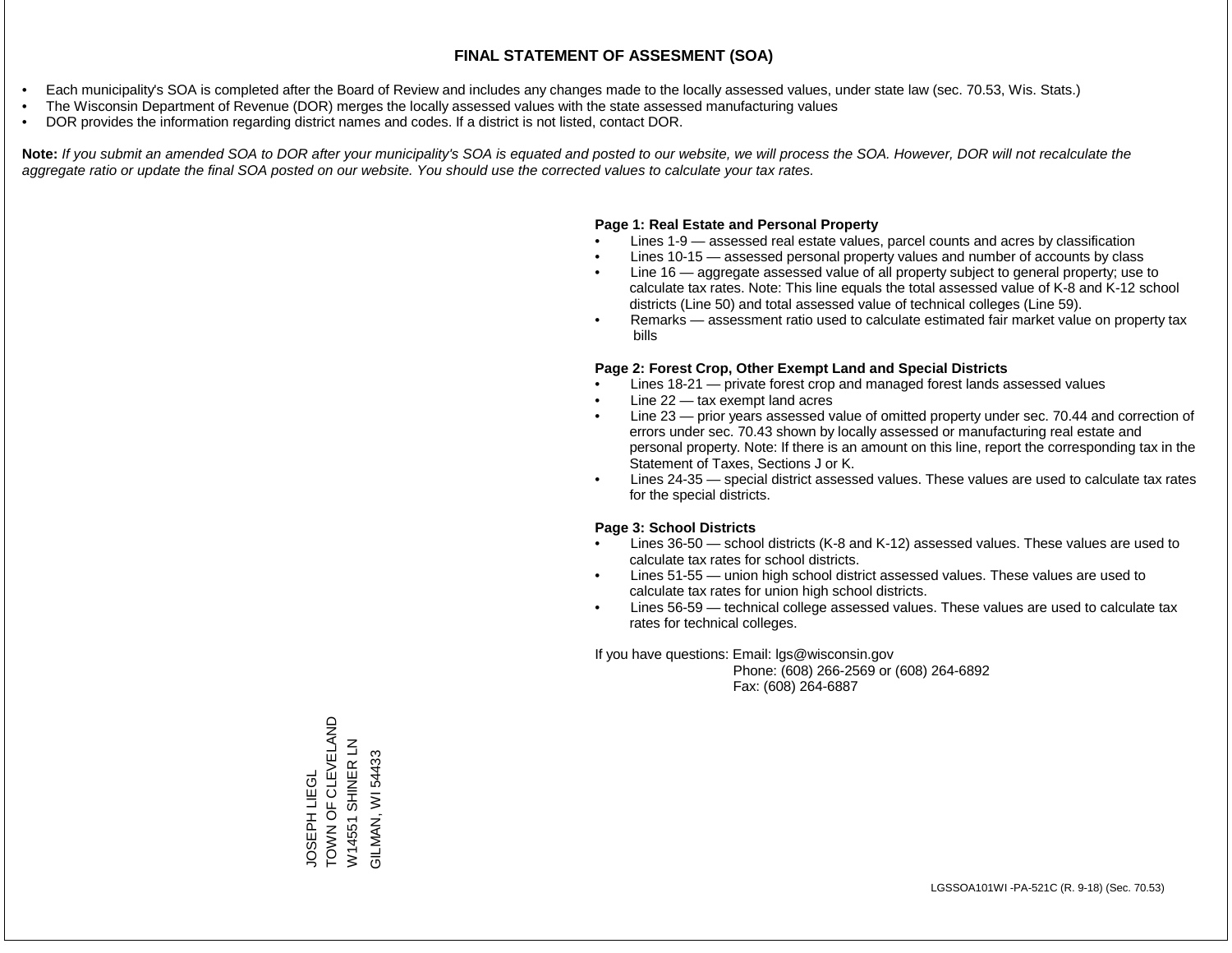- Each municipality's SOA is completed after the Board of Review and includes any changes made to the locally assessed values, under state law (sec. 70.53, Wis. Stats.)
- The Wisconsin Department of Revenue (DOR) merges the locally assessed values with the state assessed manufacturing values
- DOR provides the information regarding district names and codes. If a district is not listed, contact DOR.

Note: If you submit an amended SOA to DOR after your municipality's SOA is equated and posted to our website, we will process the SOA. However, DOR will not recalculate the *aggregate ratio or update the final SOA posted on our website. You should use the corrected values to calculate your tax rates.*

#### **Page 1: Real Estate and Personal Property**

- Lines 1-9 assessed real estate values, parcel counts and acres by classification
- Lines 10-15 assessed personal property values and number of accounts by class
- Line 16 aggregate assessed value of all property subject to general property; use to calculate tax rates. Note: This line equals the total assessed value of K-8 and K-12 school districts (Line 50) and total assessed value of technical colleges (Line 59).
- Remarks assessment ratio used to calculate estimated fair market value on property tax bills

#### **Page 2: Forest Crop, Other Exempt Land and Special Districts**

- Lines 18-21 private forest crop and managed forest lands assessed values
- Line  $22 -$  tax exempt land acres
- Line 23 prior years assessed value of omitted property under sec. 70.44 and correction of errors under sec. 70.43 shown by locally assessed or manufacturing real estate and personal property. Note: If there is an amount on this line, report the corresponding tax in the Statement of Taxes, Sections J or K.
- Lines 24-35 special district assessed values. These values are used to calculate tax rates for the special districts.

#### **Page 3: School Districts**

- Lines 36-50 school districts (K-8 and K-12) assessed values. These values are used to calculate tax rates for school districts.
- Lines 51-55 union high school district assessed values. These values are used to calculate tax rates for union high school districts.
- Lines 56-59 technical college assessed values. These values are used to calculate tax rates for technical colleges.

If you have questions: Email: lgs@wisconsin.gov

 Phone: (608) 266-2569 or (608) 264-6892 Fax: (608) 264-6887

TOWN OF CLEVELAND TOWN OF CLEVELAND W14551 SHINER LN W14551 SHINER LN GILMAN, WI 54433 GILMAN, WI 54433**OSEPH LIEGL** JOSEPH LIEGL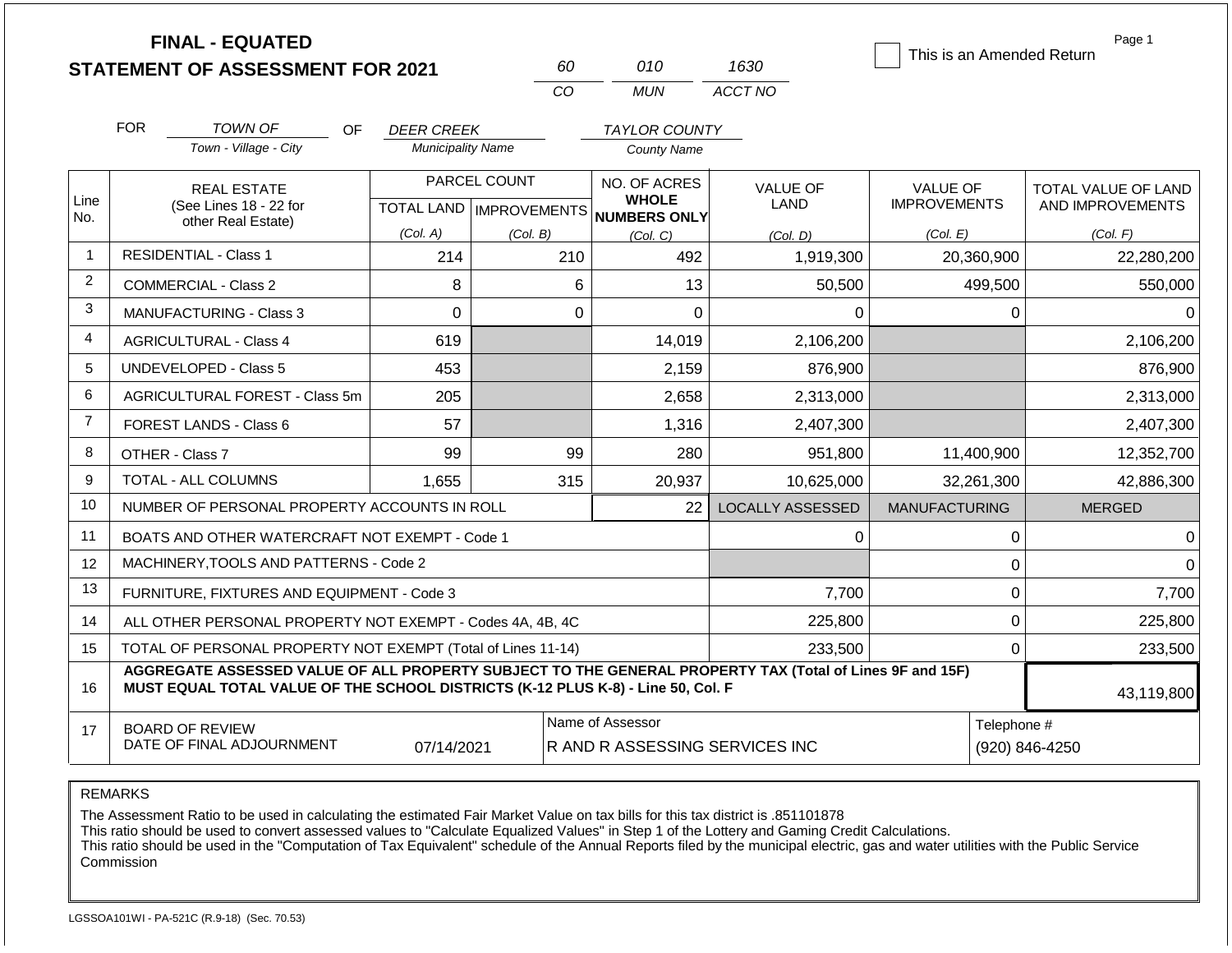|                |            | <b>FINAL - EQUATED</b><br><b>STATEMENT OF ASSESSMENT FOR 2021</b>                                                                                                                            |                           |              | 60      | 010                                              | 1630                    | This is an Amended Return     | Page 1              |
|----------------|------------|----------------------------------------------------------------------------------------------------------------------------------------------------------------------------------------------|---------------------------|--------------|---------|--------------------------------------------------|-------------------------|-------------------------------|---------------------|
|                |            |                                                                                                                                                                                              |                           |              | CO      | <b>MUN</b>                                       | ACCT NO                 |                               |                     |
|                | <b>FOR</b> | <b>TOWN OF</b><br>OF.                                                                                                                                                                        | <b>DEER CREEK</b>         |              |         | <b>TAYLOR COUNTY</b>                             |                         |                               |                     |
|                |            | Town - Village - City                                                                                                                                                                        | <b>Municipality Name</b>  |              |         | <b>County Name</b>                               |                         |                               |                     |
|                |            | <b>REAL ESTATE</b>                                                                                                                                                                           |                           | PARCEL COUNT |         | NO. OF ACRES                                     | <b>VALUE OF</b>         | <b>VALUE OF</b>               | TOTAL VALUE OF LAND |
| Line<br>No.    |            | (See Lines 18 - 22 for<br>other Real Estate)                                                                                                                                                 | TOTAL LAND   IMPROVEMENTS |              |         | <b>WHOLE</b><br><b>NUMBERS ONLY</b>              | LAND                    | <b>IMPROVEMENTS</b>           | AND IMPROVEMENTS    |
|                |            |                                                                                                                                                                                              | (Col. A)                  | (Col. B)     |         | (Col, C)                                         | (Col. D)                | (Col. E)                      | (Col. F)            |
| $\mathbf{1}$   |            | <b>RESIDENTIAL - Class 1</b>                                                                                                                                                                 | 214                       |              | 210     | 492                                              | 1,919,300               | 20,360,900                    | 22,280,200          |
| $\overline{2}$ |            | <b>COMMERCIAL - Class 2</b>                                                                                                                                                                  | 8                         |              | 6       | 13                                               | 50,500                  | 499,500                       | 550,000             |
| 3              |            | MANUFACTURING - Class 3                                                                                                                                                                      | $\Omega$                  |              | 0       | $\overline{0}$                                   | $\mathbf 0$             | 0                             | $\Omega$            |
| 4              |            | <b>AGRICULTURAL - Class 4</b>                                                                                                                                                                | 619                       |              |         | 14,019                                           | 2,106,200               |                               | 2,106,200           |
| 5              |            | UNDEVELOPED - Class 5                                                                                                                                                                        | 453                       |              |         | 2,159                                            | 876,900                 |                               | 876,900             |
| 6              |            | AGRICULTURAL FOREST - Class 5m                                                                                                                                                               | 205                       |              |         | 2,658                                            | 2,313,000               |                               | 2,313,000           |
| $\overline{7}$ |            | <b>FOREST LANDS - Class 6</b>                                                                                                                                                                | 57                        |              |         | 1,316                                            | 2,407,300               |                               | 2,407,300           |
| 8              |            | OTHER - Class 7                                                                                                                                                                              | 99                        |              | 99      | 280                                              | 951,800                 | 11,400,900                    | 12,352,700          |
| 9              |            | <b>TOTAL - ALL COLUMNS</b>                                                                                                                                                                   | 1,655                     |              | 315     | 20,937                                           | 10,625,000              | 32,261,300                    | 42,886,300          |
| 10             |            | NUMBER OF PERSONAL PROPERTY ACCOUNTS IN ROLL                                                                                                                                                 |                           |              |         | 22                                               | <b>LOCALLY ASSESSED</b> | <b>MANUFACTURING</b>          | <b>MERGED</b>       |
| 11             |            | BOATS AND OTHER WATERCRAFT NOT EXEMPT - Code 1                                                                                                                                               |                           |              |         |                                                  | 0                       | 0                             | 0                   |
| 12             |            | MACHINERY, TOOLS AND PATTERNS - Code 2                                                                                                                                                       |                           |              |         |                                                  |                         | $\mathbf 0$                   | $\Omega$            |
| 13             |            | FURNITURE, FIXTURES AND EQUIPMENT - Code 3                                                                                                                                                   |                           |              |         |                                                  | 7,700                   | $\pmb{0}$                     | 7,700               |
| 14             |            | ALL OTHER PERSONAL PROPERTY NOT EXEMPT - Codes 4A, 4B, 4C                                                                                                                                    |                           |              |         |                                                  | 225,800                 | $\overline{0}$                | 225,800             |
| 15             |            | TOTAL OF PERSONAL PROPERTY NOT EXEMPT (Total of Lines 11-14)                                                                                                                                 |                           |              | 233,500 |                                                  |                         | $\mathbf 0$                   | 233,500             |
| 16             |            | AGGREGATE ASSESSED VALUE OF ALL PROPERTY SUBJECT TO THE GENERAL PROPERTY TAX (Total of Lines 9F and 15F)<br>MUST EQUAL TOTAL VALUE OF THE SCHOOL DISTRICTS (K-12 PLUS K-8) - Line 50, Col. F |                           |              |         |                                                  |                         |                               | 43,119,800          |
| 17             |            | <b>BOARD OF REVIEW</b><br>DATE OF FINAL ADJOURNMENT                                                                                                                                          | 07/14/2021                |              |         | Name of Assessor<br>RAND RASSESSING SERVICES INC |                         | Telephone #<br>(920) 846-4250 |                     |

The Assessment Ratio to be used in calculating the estimated Fair Market Value on tax bills for this tax district is .851101878

This ratio should be used to convert assessed values to "Calculate Equalized Values" in Step 1 of the Lottery and Gaming Credit Calculations.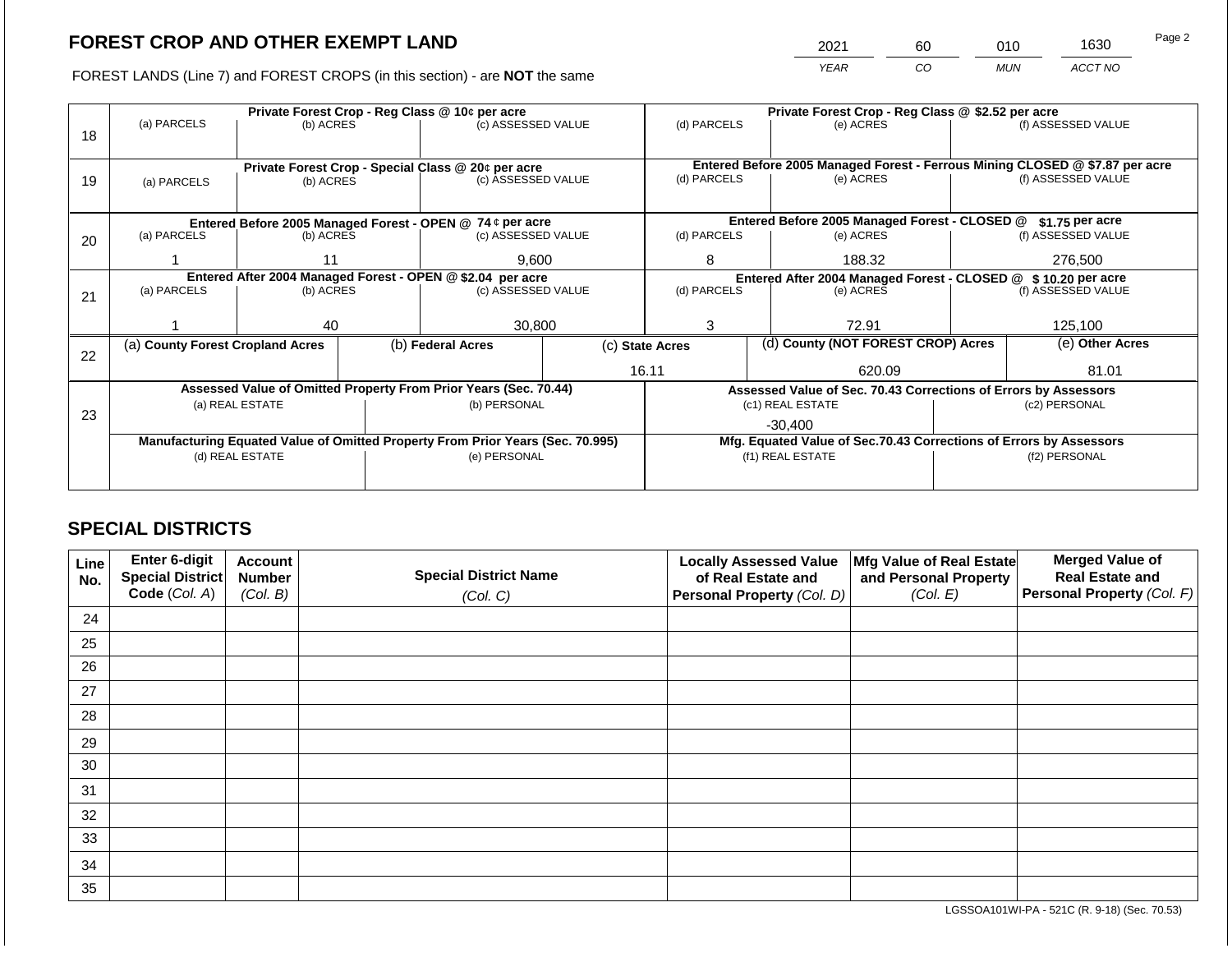2021 60 010 1630

FOREST LANDS (Line 7) and FOREST CROPS (in this section) - are **NOT** the same *YEAR CO MUN ACCT NO*

|    |                                                                                       | Private Forest Crop - Reg Class @ 10¢ per acre                                 |  | Private Forest Crop - Reg Class @ \$2.52 per acre                |                                                               |                                                                              |  |                                                                 |               |                    |
|----|---------------------------------------------------------------------------------------|--------------------------------------------------------------------------------|--|------------------------------------------------------------------|---------------------------------------------------------------|------------------------------------------------------------------------------|--|-----------------------------------------------------------------|---------------|--------------------|
| 18 | (a) PARCELS                                                                           | (b) ACRES                                                                      |  | (c) ASSESSED VALUE                                               |                                                               | (d) PARCELS                                                                  |  | (e) ACRES                                                       |               | (f) ASSESSED VALUE |
|    |                                                                                       |                                                                                |  |                                                                  |                                                               |                                                                              |  |                                                                 |               |                    |
|    |                                                                                       |                                                                                |  | Private Forest Crop - Special Class @ 20¢ per acre               |                                                               | Entered Before 2005 Managed Forest - Ferrous Mining CLOSED @ \$7.87 per acre |  |                                                                 |               |                    |
| 19 | (a) PARCELS                                                                           | (b) ACRES                                                                      |  | (c) ASSESSED VALUE                                               |                                                               | (d) PARCELS                                                                  |  | (e) ACRES                                                       |               | (f) ASSESSED VALUE |
|    |                                                                                       |                                                                                |  |                                                                  |                                                               |                                                                              |  |                                                                 |               |                    |
|    |                                                                                       |                                                                                |  |                                                                  |                                                               |                                                                              |  | Entered Before 2005 Managed Forest - CLOSED @                   |               | $$1.75$ per acre   |
|    | Entered Before 2005 Managed Forest - OPEN @ 74 ¢ per acre<br>(a) PARCELS<br>(b) ACRES |                                                                                |  | (c) ASSESSED VALUE                                               |                                                               | (d) PARCELS                                                                  |  | (e) ACRES                                                       |               | (f) ASSESSED VALUE |
| 20 |                                                                                       |                                                                                |  |                                                                  |                                                               |                                                                              |  |                                                                 |               |                    |
|    |                                                                                       |                                                                                |  | 9,600                                                            |                                                               | 8                                                                            |  | 188.32                                                          | 276,500       |                    |
|    | Entered After 2004 Managed Forest - OPEN @ \$2.04 per acre                            |                                                                                |  |                                                                  | Entered After 2004 Managed Forest - CLOSED @ \$10.20 per acre |                                                                              |  |                                                                 |               |                    |
| 21 | (a) PARCELS                                                                           | (b) ACRES                                                                      |  | (c) ASSESSED VALUE                                               |                                                               | (d) PARCELS                                                                  |  | (e) ACRES                                                       |               | (f) ASSESSED VALUE |
|    |                                                                                       |                                                                                |  |                                                                  |                                                               |                                                                              |  |                                                                 |               |                    |
|    |                                                                                       | 40                                                                             |  | 30,800                                                           |                                                               | 3                                                                            |  | 72.91                                                           |               | 125,100            |
|    | (a) County Forest Cropland Acres                                                      |                                                                                |  | (b) Federal Acres                                                |                                                               | (c) State Acres                                                              |  | (d) County (NOT FOREST CROP) Acres                              |               | (e) Other Acres    |
| 22 |                                                                                       |                                                                                |  |                                                                  |                                                               |                                                                              |  |                                                                 |               |                    |
|    |                                                                                       |                                                                                |  |                                                                  |                                                               | 16.11                                                                        |  | 620.09                                                          |               | 81.01              |
|    |                                                                                       |                                                                                |  | Assessed Value of Omitted Property From Prior Years (Sec. 70.44) |                                                               |                                                                              |  | Assessed Value of Sec. 70.43 Corrections of Errors by Assessors |               |                    |
| 23 |                                                                                       | (a) REAL ESTATE                                                                |  | (b) PERSONAL                                                     |                                                               |                                                                              |  | (c1) REAL ESTATE                                                |               | (c2) PERSONAL      |
|    |                                                                                       |                                                                                |  |                                                                  |                                                               |                                                                              |  | $-30.400$                                                       |               |                    |
|    |                                                                                       | Manufacturing Equated Value of Omitted Property From Prior Years (Sec. 70.995) |  |                                                                  |                                                               | Mfg. Equated Value of Sec.70.43 Corrections of Errors by Assessors           |  |                                                                 |               |                    |
|    | (d) REAL ESTATE                                                                       |                                                                                |  | (e) PERSONAL                                                     |                                                               | (f1) REAL ESTATE                                                             |  |                                                                 | (f2) PERSONAL |                    |
|    |                                                                                       |                                                                                |  |                                                                  |                                                               |                                                                              |  |                                                                 |               |                    |
|    |                                                                                       |                                                                                |  |                                                                  |                                                               |                                                                              |  |                                                                 |               |                    |

## **SPECIAL DISTRICTS**

| Line<br>No. | Enter 6-digit<br>Special District | <b>Account</b><br><b>Number</b> | <b>Special District Name</b> | <b>Locally Assessed Value</b><br>of Real Estate and | Mfg Value of Real Estate<br>and Personal Property | <b>Merged Value of</b><br><b>Real Estate and</b> |
|-------------|-----------------------------------|---------------------------------|------------------------------|-----------------------------------------------------|---------------------------------------------------|--------------------------------------------------|
|             | Code (Col. A)                     | (Col. B)                        | (Col. C)                     | Personal Property (Col. D)                          | (Col. E)                                          | Personal Property (Col. F)                       |
| 24          |                                   |                                 |                              |                                                     |                                                   |                                                  |
| 25          |                                   |                                 |                              |                                                     |                                                   |                                                  |
| 26          |                                   |                                 |                              |                                                     |                                                   |                                                  |
| 27          |                                   |                                 |                              |                                                     |                                                   |                                                  |
| 28          |                                   |                                 |                              |                                                     |                                                   |                                                  |
| 29          |                                   |                                 |                              |                                                     |                                                   |                                                  |
| 30          |                                   |                                 |                              |                                                     |                                                   |                                                  |
| 31          |                                   |                                 |                              |                                                     |                                                   |                                                  |
| 32          |                                   |                                 |                              |                                                     |                                                   |                                                  |
| 33          |                                   |                                 |                              |                                                     |                                                   |                                                  |
| 34          |                                   |                                 |                              |                                                     |                                                   |                                                  |
| 35          |                                   |                                 |                              |                                                     |                                                   |                                                  |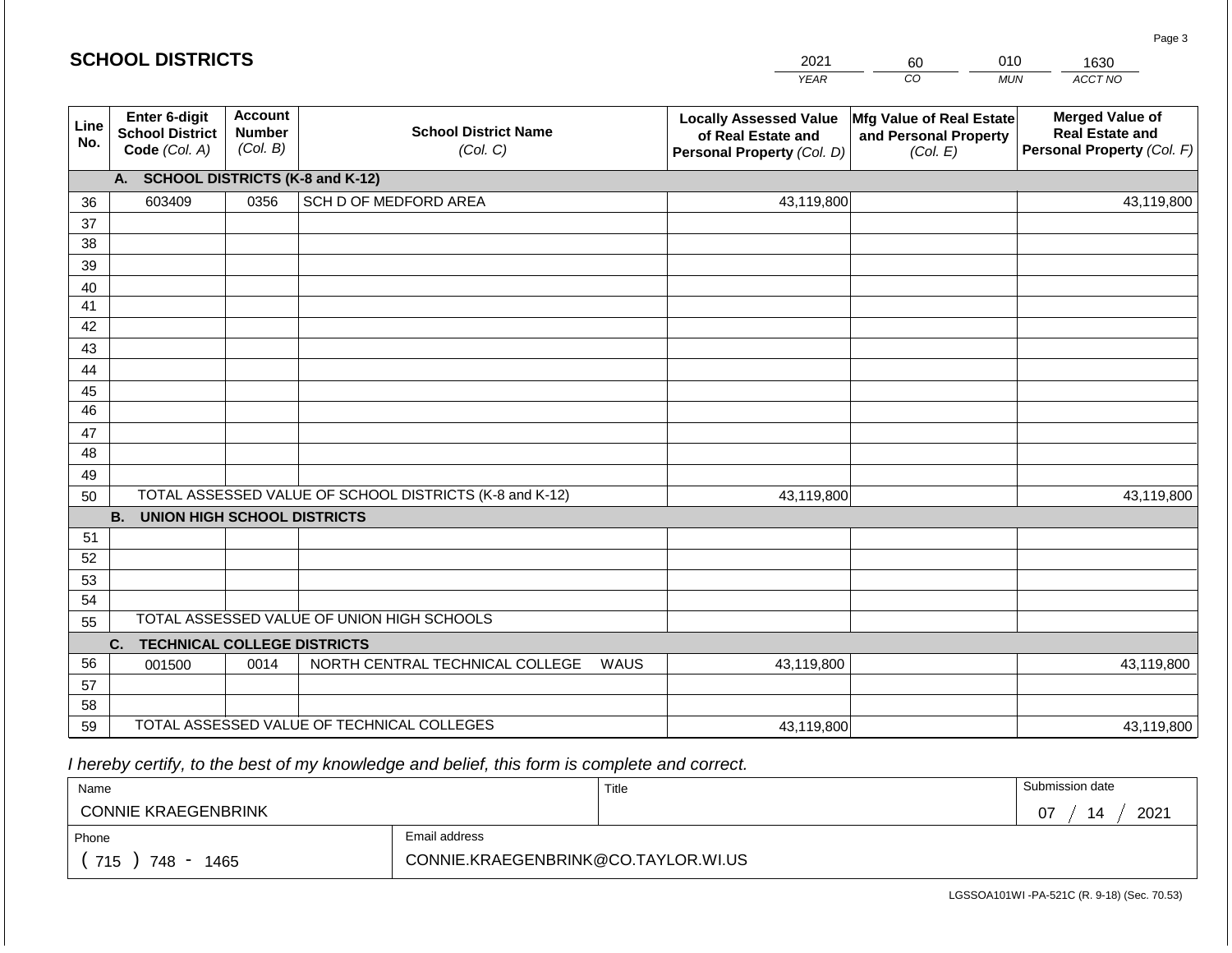#### *YEAR*   $\overline{co}$ *MUN ACCT NO*  1630 **Line No. Enter 6-digit School District Code** *(Col. A)* **Account Number** *(Col. B)* **School District Name** *(Col. C)* **Locally Assessed Value of Real Estate and Personal Property** *(Col. D)* **Mfg Value of Real Estate and Personal Property** *(Col. E)* **Merged Value of Real Estate and Personal Property** *(Col. F)* **A. SCHOOL DISTRICTS (K-8 and K-12)** 36 37 38 39 40 41 42 43 44 45 46 47 48 49 50 TOTAL ASSESSED VALUE OF SCHOOL DISTRICTS (K-8 and K-12) **B. UNION HIGH SCHOOL DISTRICTS** 51 52 53 54 55 **C. TECHNICAL COLLEGE DISTRICTS** 56 57 58 59 TOTAL ASSESSED VALUE OF TECHNICAL COLLEGES TOTAL ASSESSED VALUE OF UNION HIGH SCHOOLS 603409 0356 SCH D OF MEDFORD AREA 43,119,800 43,119,800 001500 | 0014 | NORTH CENTRAL TECHNICAL COLLEGE WAUS 43,119,800 43,119,800 43,119,800 43,119,800 43,119,800 43,119,800

 *I hereby certify, to the best of my knowledge and belief, this form is complete and correct.*

| Name                                           |                                     | Title | Submission date |
|------------------------------------------------|-------------------------------------|-------|-----------------|
| <b>CONNIE KRAEGENBRINK</b>                     |                                     |       | 2021<br>ስ7      |
| Phone                                          | Email address                       |       |                 |
| 715<br>748<br>1465<br>$\overline{\phantom{a}}$ | CONNIE.KRAEGENBRINK@CO.TAYLOR.WI.US |       |                 |

LGSSOA101WI -PA-521C (R. 9-18) (Sec. 70.53)

Page 3

2021 60 010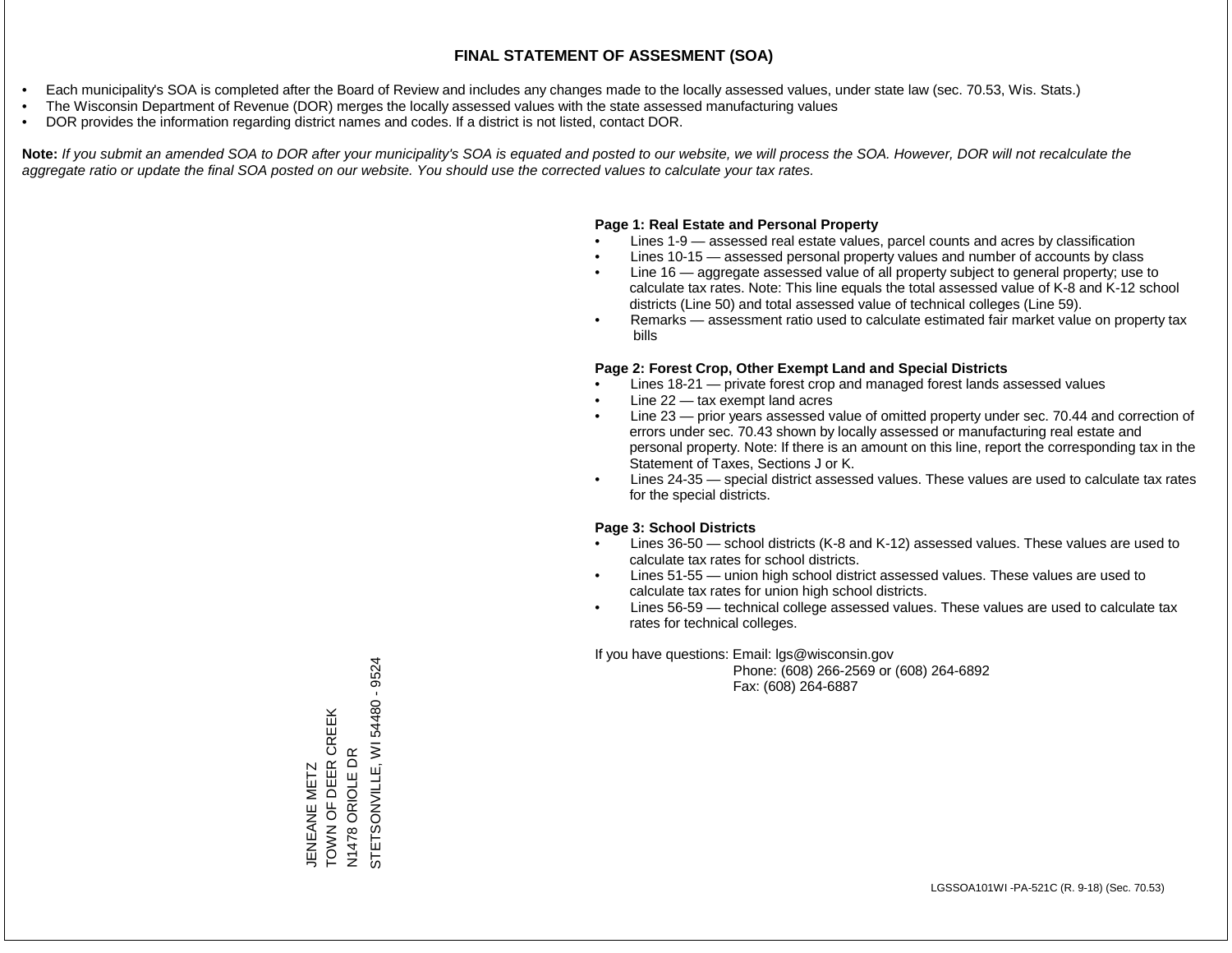- Each municipality's SOA is completed after the Board of Review and includes any changes made to the locally assessed values, under state law (sec. 70.53, Wis. Stats.)
- The Wisconsin Department of Revenue (DOR) merges the locally assessed values with the state assessed manufacturing values
- DOR provides the information regarding district names and codes. If a district is not listed, contact DOR.

Note: If you submit an amended SOA to DOR after your municipality's SOA is equated and posted to our website, we will process the SOA. However, DOR will not recalculate the *aggregate ratio or update the final SOA posted on our website. You should use the corrected values to calculate your tax rates.*

### **Page 1: Real Estate and Personal Property**

- Lines 1-9 assessed real estate values, parcel counts and acres by classification
- Lines 10-15 assessed personal property values and number of accounts by class
- Line 16 aggregate assessed value of all property subject to general property; use to calculate tax rates. Note: This line equals the total assessed value of K-8 and K-12 school districts (Line 50) and total assessed value of technical colleges (Line 59).
- Remarks assessment ratio used to calculate estimated fair market value on property tax bills

#### **Page 2: Forest Crop, Other Exempt Land and Special Districts**

- Lines 18-21 private forest crop and managed forest lands assessed values
- Line  $22 -$  tax exempt land acres
- Line 23 prior years assessed value of omitted property under sec. 70.44 and correction of errors under sec. 70.43 shown by locally assessed or manufacturing real estate and personal property. Note: If there is an amount on this line, report the corresponding tax in the Statement of Taxes, Sections J or K.
- Lines 24-35 special district assessed values. These values are used to calculate tax rates for the special districts.

#### **Page 3: School Districts**

- Lines 36-50 school districts (K-8 and K-12) assessed values. These values are used to calculate tax rates for school districts.
- Lines 51-55 union high school district assessed values. These values are used to calculate tax rates for union high school districts.
- Lines 56-59 technical college assessed values. These values are used to calculate tax rates for technical colleges.

If you have questions: Email: lgs@wisconsin.gov

 Phone: (608) 266-2569 or (608) 264-6892 Fax: (608) 264-6887

N1478 ORIOLE DR<br>STETSONVILLE, WI 54480 - 9524 STETSONVILLE, WI 54480 - 9524TOWN OF DEER CREEK JENEANE METZ<br>TOWN OF DEER CREEK N1478 ORIOLE DR JENEANE METZ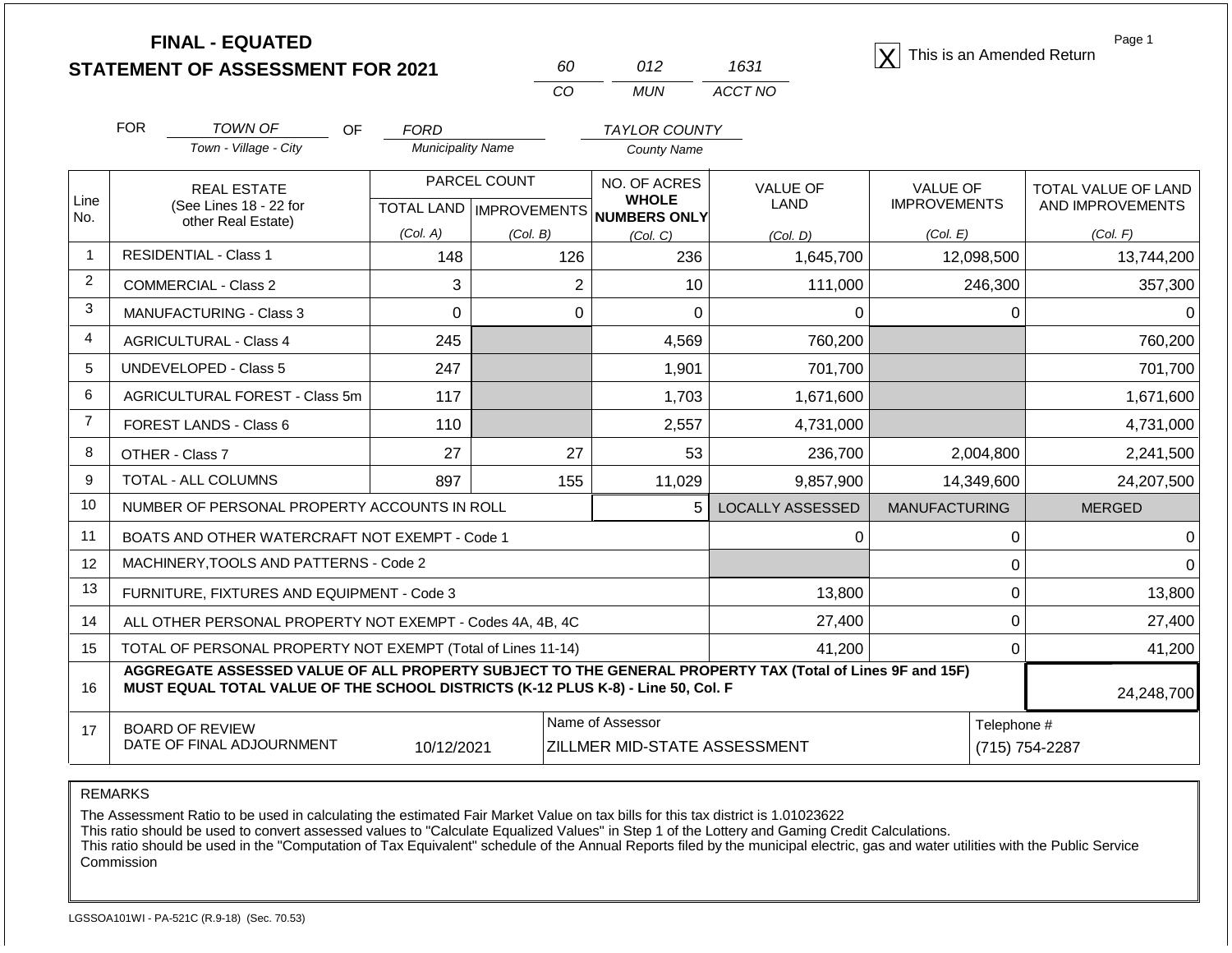**STATEMENT OF ASSESSMENT FOR 2021**

| RΩ | N12 | 1631    |
|----|-----|---------|
| Γn | MUN | ACCT NO |

**FINAL - EQUATED**<br>  $\overline{X}$  This is an Amended Return

Page 1

|                | <b>FOR</b>                                                                                                                                                                                   | <b>TOWN OF</b><br><b>OF</b>                               | <b>FORD</b>              |                                                                                           | <b>TAYLOR COUNTY</b>         |                         |                      |                     |  |
|----------------|----------------------------------------------------------------------------------------------------------------------------------------------------------------------------------------------|-----------------------------------------------------------|--------------------------|-------------------------------------------------------------------------------------------|------------------------------|-------------------------|----------------------|---------------------|--|
|                |                                                                                                                                                                                              | Town - Village - City                                     | <b>Municipality Name</b> |                                                                                           | <b>County Name</b>           |                         |                      |                     |  |
| Line           |                                                                                                                                                                                              | <b>REAL ESTATE</b>                                        | PARCEL COUNT             |                                                                                           | NO. OF ACRES<br><b>WHOLE</b> | <b>VALUE OF</b>         | <b>VALUE OF</b>      | TOTAL VALUE OF LAND |  |
| No.            |                                                                                                                                                                                              | (See Lines 18 - 22 for<br>other Real Estate)              |                          | TOTAL LAND   IMPROVEMENTS                                                                 | <b>NUMBERS ONLY</b>          | <b>LAND</b>             | <b>IMPROVEMENTS</b>  | AND IMPROVEMENTS    |  |
|                |                                                                                                                                                                                              |                                                           | (Col. A)                 | (Col, B)                                                                                  | (Col, C)                     | (Col, D)                | (Col. E)             | (Col. F)            |  |
| $\mathbf{1}$   |                                                                                                                                                                                              | <b>RESIDENTIAL - Class 1</b>                              | 148                      | 126                                                                                       | 236                          | 1,645,700               | 12,098,500           | 13,744,200          |  |
| 2              |                                                                                                                                                                                              | <b>COMMERCIAL - Class 2</b>                               | 3                        | $\overline{2}$                                                                            | 10                           | 111,000                 | 246,300              | 357,300             |  |
| 3              |                                                                                                                                                                                              | <b>MANUFACTURING - Class 3</b>                            | 0                        | 0                                                                                         | 0                            | $\Omega$                | $\Omega$             | 0                   |  |
| $\overline{4}$ |                                                                                                                                                                                              | <b>AGRICULTURAL - Class 4</b>                             | 245                      |                                                                                           | 4,569                        | 760,200                 |                      | 760,200             |  |
| 5              |                                                                                                                                                                                              | <b>UNDEVELOPED - Class 5</b>                              | 247                      |                                                                                           | 1,901                        | 701,700                 |                      | 701,700             |  |
| 6              |                                                                                                                                                                                              | AGRICULTURAL FOREST - Class 5m                            | 117                      | 1,703<br>1,671,600                                                                        |                              |                         | 1,671,600            |                     |  |
| $\overline{7}$ |                                                                                                                                                                                              | FOREST LANDS - Class 6                                    | 110<br>2,557             |                                                                                           | 4,731,000                    |                         | 4,731,000            |                     |  |
| 8              |                                                                                                                                                                                              | OTHER - Class 7                                           | 27                       | 27                                                                                        | 53                           | 236,700                 | 2,004,800            | 2,241,500           |  |
| 9              |                                                                                                                                                                                              | TOTAL - ALL COLUMNS                                       | 897<br>155               |                                                                                           | 11,029                       | 9,857,900               | 14,349,600           | 24,207,500          |  |
| 10             |                                                                                                                                                                                              | NUMBER OF PERSONAL PROPERTY ACCOUNTS IN ROLL              |                          |                                                                                           | 5                            | <b>LOCALLY ASSESSED</b> | <b>MANUFACTURING</b> | <b>MERGED</b>       |  |
| 11             |                                                                                                                                                                                              | BOATS AND OTHER WATERCRAFT NOT EXEMPT - Code 1            |                          |                                                                                           |                              | 0                       | 0                    | ∩                   |  |
| 12             |                                                                                                                                                                                              | MACHINERY, TOOLS AND PATTERNS - Code 2                    |                          |                                                                                           |                              |                         | 0                    |                     |  |
| 13             |                                                                                                                                                                                              | FURNITURE, FIXTURES AND EQUIPMENT - Code 3                |                          |                                                                                           |                              | 13,800                  | $\Omega$             | 13,800              |  |
| 14             |                                                                                                                                                                                              | ALL OTHER PERSONAL PROPERTY NOT EXEMPT - Codes 4A, 4B, 4C |                          |                                                                                           |                              | 27,400                  | 0                    | 27,400              |  |
| 15             | TOTAL OF PERSONAL PROPERTY NOT EXEMPT (Total of Lines 11-14)                                                                                                                                 |                                                           |                          |                                                                                           |                              | 41,200                  | $\Omega$             | 41,200              |  |
| 16             | AGGREGATE ASSESSED VALUE OF ALL PROPERTY SUBJECT TO THE GENERAL PROPERTY TAX (Total of Lines 9F and 15F)<br>MUST EQUAL TOTAL VALUE OF THE SCHOOL DISTRICTS (K-12 PLUS K-8) - Line 50, Col. F |                                                           |                          |                                                                                           |                              |                         | 24,248,700           |                     |  |
| 17             |                                                                                                                                                                                              | <b>BOARD OF REVIEW</b>                                    |                          |                                                                                           | Name of Assessor             |                         | Telephone #          |                     |  |
|                |                                                                                                                                                                                              |                                                           |                          | DATE OF FINAL ADJOURNMENT<br>10/12/2021<br>ZILLMER MID-STATE ASSESSMENT<br>(715) 754-2287 |                              |                         |                      |                     |  |

REMARKS

The Assessment Ratio to be used in calculating the estimated Fair Market Value on tax bills for this tax district is 1.01023622

This ratio should be used to convert assessed values to "Calculate Equalized Values" in Step 1 of the Lottery and Gaming Credit Calculations.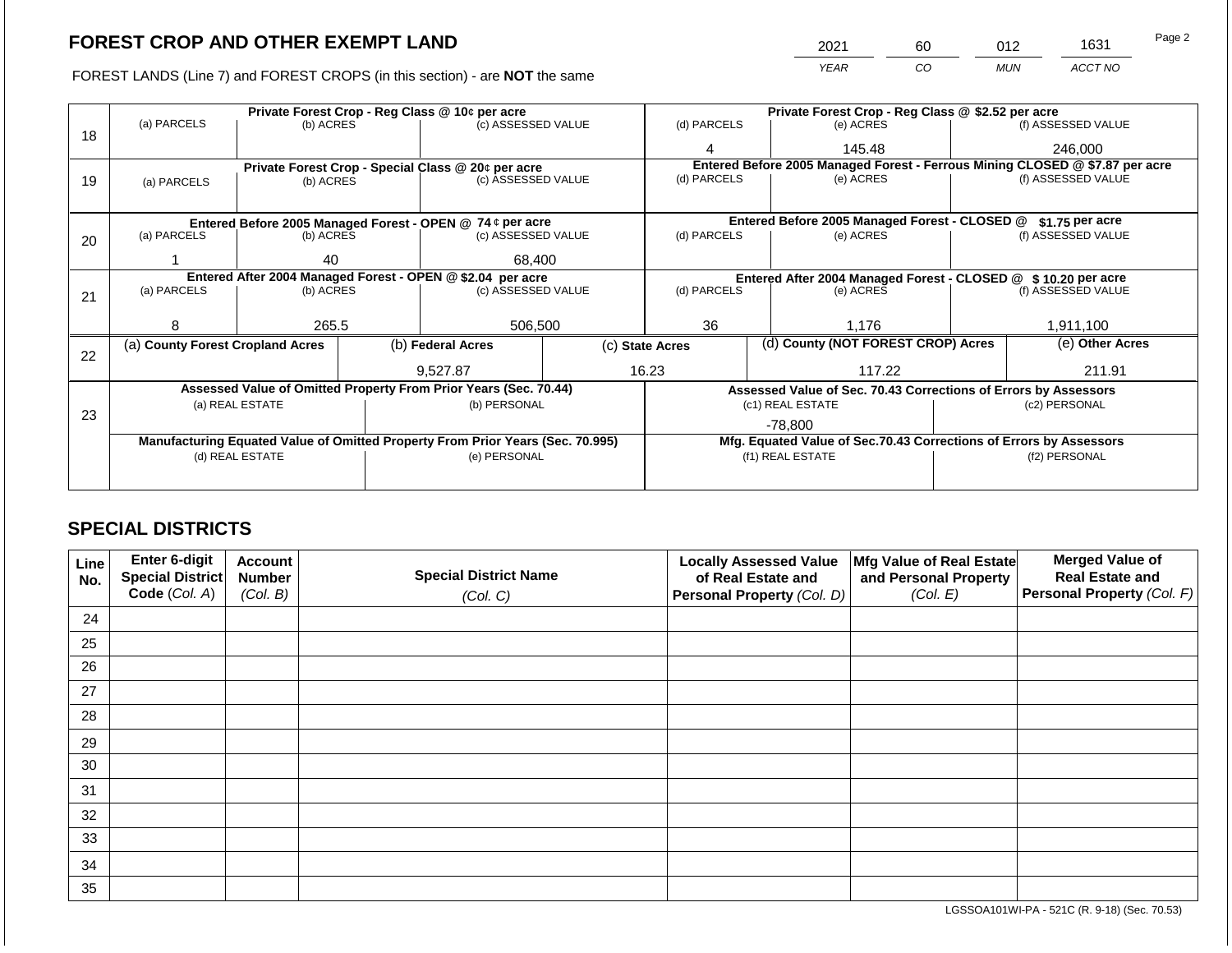FOREST LANDS (Line 7) and FOREST CROPS (in this section) - are NOT the same

|    |                                  |                                                            |  | Private Forest Crop - Reg Class @ 10¢ per acre                                 |       | Private Forest Crop - Reg Class @ \$2.52 per acre     |                                                                |                                                                    |                    |                                                                              |  |
|----|----------------------------------|------------------------------------------------------------|--|--------------------------------------------------------------------------------|-------|-------------------------------------------------------|----------------------------------------------------------------|--------------------------------------------------------------------|--------------------|------------------------------------------------------------------------------|--|
|    | (a) PARCELS                      | (b) ACRES                                                  |  | (c) ASSESSED VALUE                                                             |       | (d) PARCELS                                           |                                                                | (e) ACRES                                                          |                    | (f) ASSESSED VALUE                                                           |  |
| 18 |                                  |                                                            |  |                                                                                |       | 145.48                                                |                                                                |                                                                    | 246,000            |                                                                              |  |
|    |                                  |                                                            |  | Private Forest Crop - Special Class @ 20¢ per acre                             |       |                                                       |                                                                |                                                                    |                    | Entered Before 2005 Managed Forest - Ferrous Mining CLOSED @ \$7.87 per acre |  |
| 19 | (a) PARCELS                      | (b) ACRES                                                  |  | (c) ASSESSED VALUE                                                             |       | (d) PARCELS                                           |                                                                | (e) ACRES                                                          |                    | (f) ASSESSED VALUE                                                           |  |
|    |                                  |                                                            |  |                                                                                |       |                                                       |                                                                |                                                                    |                    |                                                                              |  |
|    |                                  |                                                            |  | Entered Before 2005 Managed Forest - OPEN @ 74 ¢ per acre                      |       |                                                       |                                                                | Entered Before 2005 Managed Forest - CLOSED @                      |                    | \$1.75 per acre                                                              |  |
| 20 | (a) PARCELS                      | (b) ACRES                                                  |  | (c) ASSESSED VALUE                                                             |       | (d) PARCELS                                           |                                                                | (e) ACRES                                                          |                    | (f) ASSESSED VALUE                                                           |  |
|    |                                  |                                                            |  |                                                                                |       |                                                       |                                                                |                                                                    |                    |                                                                              |  |
|    |                                  | 68,400<br>40                                               |  |                                                                                |       |                                                       |                                                                |                                                                    |                    |                                                                              |  |
|    |                                  | Entered After 2004 Managed Forest - OPEN @ \$2.04 per acre |  |                                                                                |       |                                                       | Entered After 2004 Managed Forest - CLOSED @ \$ 10.20 per acre |                                                                    |                    |                                                                              |  |
| 21 | (a) PARCELS                      | (b) ACRES                                                  |  | (c) ASSESSED VALUE                                                             |       | (d) PARCELS                                           | (e) ACRES                                                      |                                                                    | (f) ASSESSED VALUE |                                                                              |  |
|    |                                  |                                                            |  |                                                                                |       |                                                       |                                                                |                                                                    |                    |                                                                              |  |
|    | я                                | 265.5                                                      |  | 506,500                                                                        |       | 36                                                    |                                                                | 1.176                                                              |                    | 1,911,100                                                                    |  |
| 22 | (a) County Forest Cropland Acres |                                                            |  | (b) Federal Acres                                                              |       | (d) County (NOT FOREST CROP) Acres<br>(c) State Acres |                                                                |                                                                    | (e) Other Acres    |                                                                              |  |
|    |                                  |                                                            |  | 9,527.87                                                                       | 16.23 |                                                       | 117.22                                                         |                                                                    | 211.91             |                                                                              |  |
|    |                                  |                                                            |  | Assessed Value of Omitted Property From Prior Years (Sec. 70.44)               |       |                                                       |                                                                | Assessed Value of Sec. 70.43 Corrections of Errors by Assessors    |                    |                                                                              |  |
|    |                                  | (a) REAL ESTATE                                            |  | (b) PERSONAL                                                                   |       |                                                       |                                                                | (c1) REAL ESTATE                                                   |                    | (c2) PERSONAL                                                                |  |
| 23 |                                  |                                                            |  |                                                                                |       | $-78.800$                                             |                                                                |                                                                    |                    |                                                                              |  |
|    |                                  |                                                            |  | Manufacturing Equated Value of Omitted Property From Prior Years (Sec. 70.995) |       |                                                       |                                                                | Mfg. Equated Value of Sec.70.43 Corrections of Errors by Assessors |                    |                                                                              |  |
|    |                                  | (d) REAL ESTATE                                            |  | (e) PERSONAL                                                                   |       |                                                       |                                                                | (f1) REAL ESTATE                                                   |                    | (f2) PERSONAL                                                                |  |
|    |                                  |                                                            |  |                                                                                |       |                                                       |                                                                |                                                                    |                    |                                                                              |  |
|    |                                  |                                                            |  |                                                                                |       |                                                       |                                                                |                                                                    |                    |                                                                              |  |

## **SPECIAL DISTRICTS**

| Line<br>No. | <b>Enter 6-digit</b><br>Special District | <b>Account</b><br><b>Number</b> | <b>Special District Name</b> | <b>Locally Assessed Value</b><br>of Real Estate and | Mfg Value of Real Estate<br>and Personal Property | <b>Merged Value of</b><br><b>Real Estate and</b> |
|-------------|------------------------------------------|---------------------------------|------------------------------|-----------------------------------------------------|---------------------------------------------------|--------------------------------------------------|
|             | Code (Col. A)                            | (Col. B)                        | (Col. C)                     | Personal Property (Col. D)                          | (Col. E)                                          | Personal Property (Col. F)                       |
| 24          |                                          |                                 |                              |                                                     |                                                   |                                                  |
| 25          |                                          |                                 |                              |                                                     |                                                   |                                                  |
| 26          |                                          |                                 |                              |                                                     |                                                   |                                                  |
| 27          |                                          |                                 |                              |                                                     |                                                   |                                                  |
| 28          |                                          |                                 |                              |                                                     |                                                   |                                                  |
| 29          |                                          |                                 |                              |                                                     |                                                   |                                                  |
| 30          |                                          |                                 |                              |                                                     |                                                   |                                                  |
| 31          |                                          |                                 |                              |                                                     |                                                   |                                                  |
| 32          |                                          |                                 |                              |                                                     |                                                   |                                                  |
| 33          |                                          |                                 |                              |                                                     |                                                   |                                                  |
| 34          |                                          |                                 |                              |                                                     |                                                   |                                                  |
| 35          |                                          |                                 |                              |                                                     |                                                   |                                                  |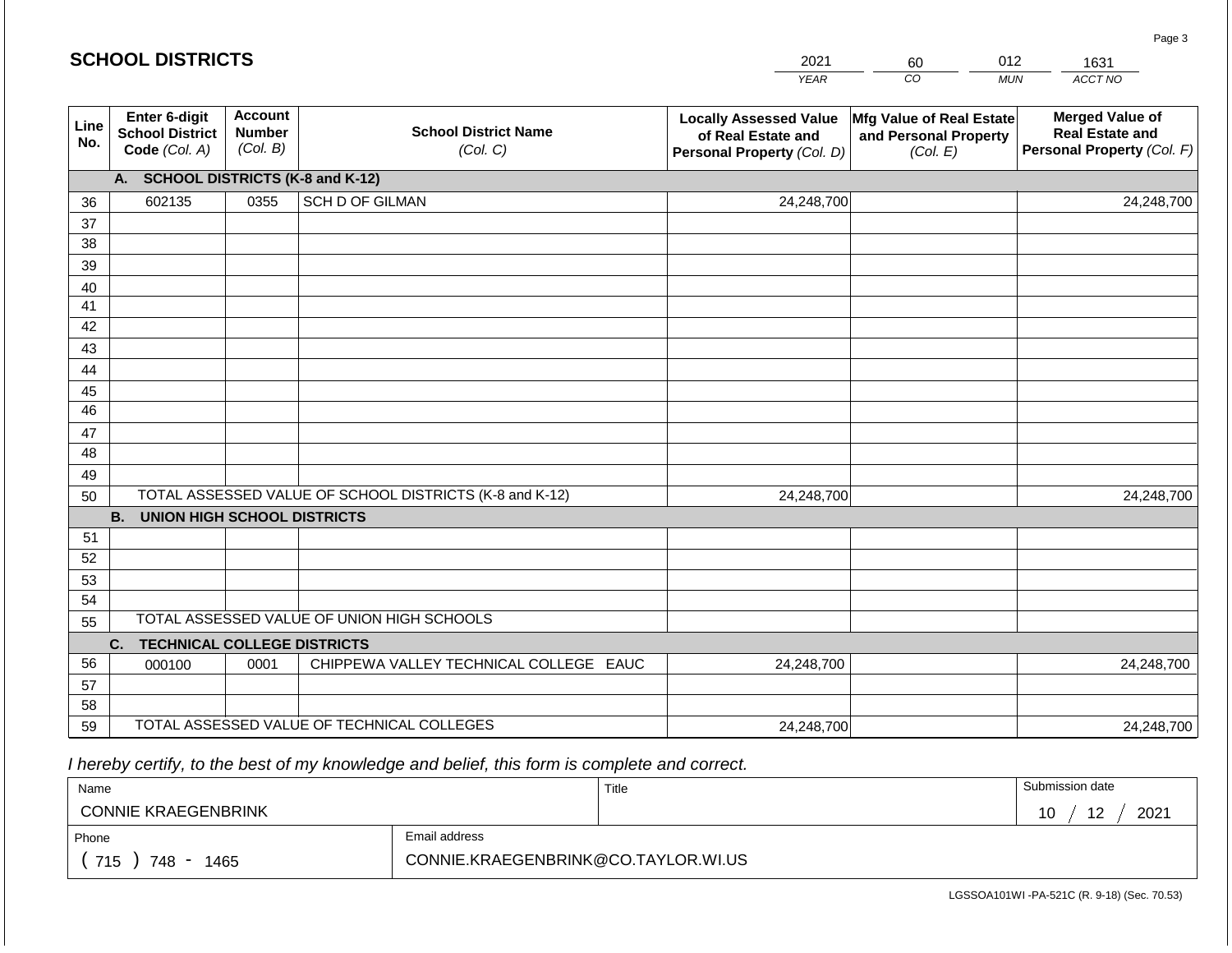| <b>SCHOOL DISTRICTS</b> |                                                                 |                                             |                                                         | 2021                                                                              | 60                                                            | 012<br>1631                                                                    |
|-------------------------|-----------------------------------------------------------------|---------------------------------------------|---------------------------------------------------------|-----------------------------------------------------------------------------------|---------------------------------------------------------------|--------------------------------------------------------------------------------|
|                         |                                                                 |                                             |                                                         | <b>YEAR</b>                                                                       | CO                                                            | ACCT NO<br><b>MUN</b>                                                          |
| Line<br>No.             | <b>Enter 6-digit</b><br><b>School District</b><br>Code (Col. A) | <b>Account</b><br><b>Number</b><br>(Col. B) | <b>School District Name</b><br>(Col. C)                 | <b>Locally Assessed Value</b><br>of Real Estate and<br>Personal Property (Col. D) | Mfg Value of Real Estate<br>and Personal Property<br>(Col. E) | <b>Merged Value of</b><br><b>Real Estate and</b><br>Personal Property (Col. F) |
|                         | А.                                                              |                                             | <b>SCHOOL DISTRICTS (K-8 and K-12)</b>                  |                                                                                   |                                                               |                                                                                |
| 36                      | 602135                                                          | 0355                                        | <b>SCH D OF GILMAN</b>                                  | 24,248,700                                                                        |                                                               | 24,248,700                                                                     |
| 37                      |                                                                 |                                             |                                                         |                                                                                   |                                                               |                                                                                |
| 38                      |                                                                 |                                             |                                                         |                                                                                   |                                                               |                                                                                |
| 39                      |                                                                 |                                             |                                                         |                                                                                   |                                                               |                                                                                |
| 40                      |                                                                 |                                             |                                                         |                                                                                   |                                                               |                                                                                |
| 41<br>42                |                                                                 |                                             |                                                         |                                                                                   |                                                               |                                                                                |
| 43                      |                                                                 |                                             |                                                         |                                                                                   |                                                               |                                                                                |
| 44                      |                                                                 |                                             |                                                         |                                                                                   |                                                               |                                                                                |
| 45                      |                                                                 |                                             |                                                         |                                                                                   |                                                               |                                                                                |
| 46                      |                                                                 |                                             |                                                         |                                                                                   |                                                               |                                                                                |
| 47                      |                                                                 |                                             |                                                         |                                                                                   |                                                               |                                                                                |
| 48                      |                                                                 |                                             |                                                         |                                                                                   |                                                               |                                                                                |
| 49                      |                                                                 |                                             |                                                         |                                                                                   |                                                               |                                                                                |
| 50                      |                                                                 |                                             | TOTAL ASSESSED VALUE OF SCHOOL DISTRICTS (K-8 and K-12) | 24,248,700                                                                        |                                                               | 24,248,700                                                                     |
|                         | <b>B.</b><br><b>UNION HIGH SCHOOL DISTRICTS</b>                 |                                             |                                                         |                                                                                   |                                                               |                                                                                |
| 51                      |                                                                 |                                             |                                                         |                                                                                   |                                                               |                                                                                |
| 52                      |                                                                 |                                             |                                                         |                                                                                   |                                                               |                                                                                |
| 53                      |                                                                 |                                             |                                                         |                                                                                   |                                                               |                                                                                |
| 54                      |                                                                 |                                             | TOTAL ASSESSED VALUE OF UNION HIGH SCHOOLS              |                                                                                   |                                                               |                                                                                |
| 55                      |                                                                 |                                             |                                                         |                                                                                   |                                                               |                                                                                |
| 56                      | <b>TECHNICAL COLLEGE DISTRICTS</b><br>C.                        |                                             |                                                         |                                                                                   |                                                               |                                                                                |
| 57                      | 000100                                                          | 0001                                        | CHIPPEWA VALLEY TECHNICAL COLLEGE EAUC                  | 24,248,700                                                                        |                                                               | 24,248,700                                                                     |
| 58                      |                                                                 |                                             |                                                         |                                                                                   |                                                               |                                                                                |
| 59                      |                                                                 |                                             | TOTAL ASSESSED VALUE OF TECHNICAL COLLEGES              | 24,248,700                                                                        |                                                               | 24,248,700                                                                     |

 *I hereby certify, to the best of my knowledge and belief, this form is complete and correct.*

| Name                       |                                     | Title | Submission date |
|----------------------------|-------------------------------------|-------|-----------------|
| <b>CONNIE KRAEGENBRINK</b> |                                     |       | 2021<br>12      |
| Phone                      | Email address                       |       |                 |
| 715<br>748<br>1465         | CONNIE.KRAEGENBRINK@CO.TAYLOR.WI.US |       |                 |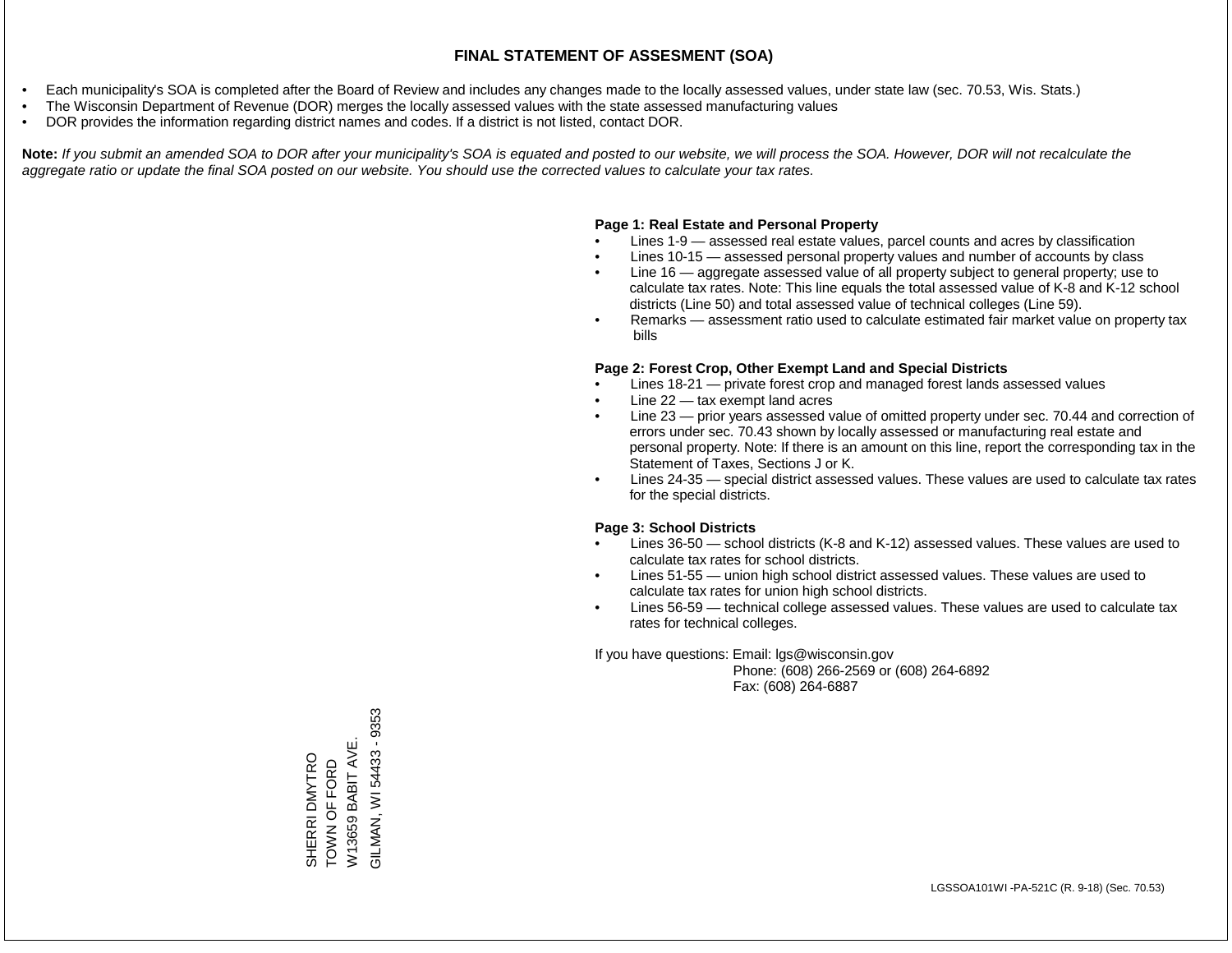- Each municipality's SOA is completed after the Board of Review and includes any changes made to the locally assessed values, under state law (sec. 70.53, Wis. Stats.)
- The Wisconsin Department of Revenue (DOR) merges the locally assessed values with the state assessed manufacturing values
- DOR provides the information regarding district names and codes. If a district is not listed, contact DOR.

Note: If you submit an amended SOA to DOR after your municipality's SOA is equated and posted to our website, we will process the SOA. However, DOR will not recalculate the *aggregate ratio or update the final SOA posted on our website. You should use the corrected values to calculate your tax rates.*

#### **Page 1: Real Estate and Personal Property**

- Lines 1-9 assessed real estate values, parcel counts and acres by classification
- Lines 10-15 assessed personal property values and number of accounts by class
- Line 16 aggregate assessed value of all property subject to general property; use to calculate tax rates. Note: This line equals the total assessed value of K-8 and K-12 school districts (Line 50) and total assessed value of technical colleges (Line 59).
- Remarks assessment ratio used to calculate estimated fair market value on property tax bills

#### **Page 2: Forest Crop, Other Exempt Land and Special Districts**

- Lines 18-21 private forest crop and managed forest lands assessed values
- Line  $22 -$  tax exempt land acres
- Line 23 prior years assessed value of omitted property under sec. 70.44 and correction of errors under sec. 70.43 shown by locally assessed or manufacturing real estate and personal property. Note: If there is an amount on this line, report the corresponding tax in the Statement of Taxes, Sections J or K.
- Lines 24-35 special district assessed values. These values are used to calculate tax rates for the special districts.

#### **Page 3: School Districts**

- Lines 36-50 school districts (K-8 and K-12) assessed values. These values are used to calculate tax rates for school districts.
- Lines 51-55 union high school district assessed values. These values are used to calculate tax rates for union high school districts.
- Lines 56-59 technical college assessed values. These values are used to calculate tax rates for technical colleges.

If you have questions: Email: lgs@wisconsin.gov

 Phone: (608) 266-2569 or (608) 264-6892 Fax: (608) 264-6887

GILMAN, WI 54433 - 9353 GILMAN, WI 54433 - 9353W13659 BABIT AVE. W13659 BABIT AVE. SHERRI DMYTRO<br>TOWN OF FORD SHERRI DMYTRO TOWN OF FORD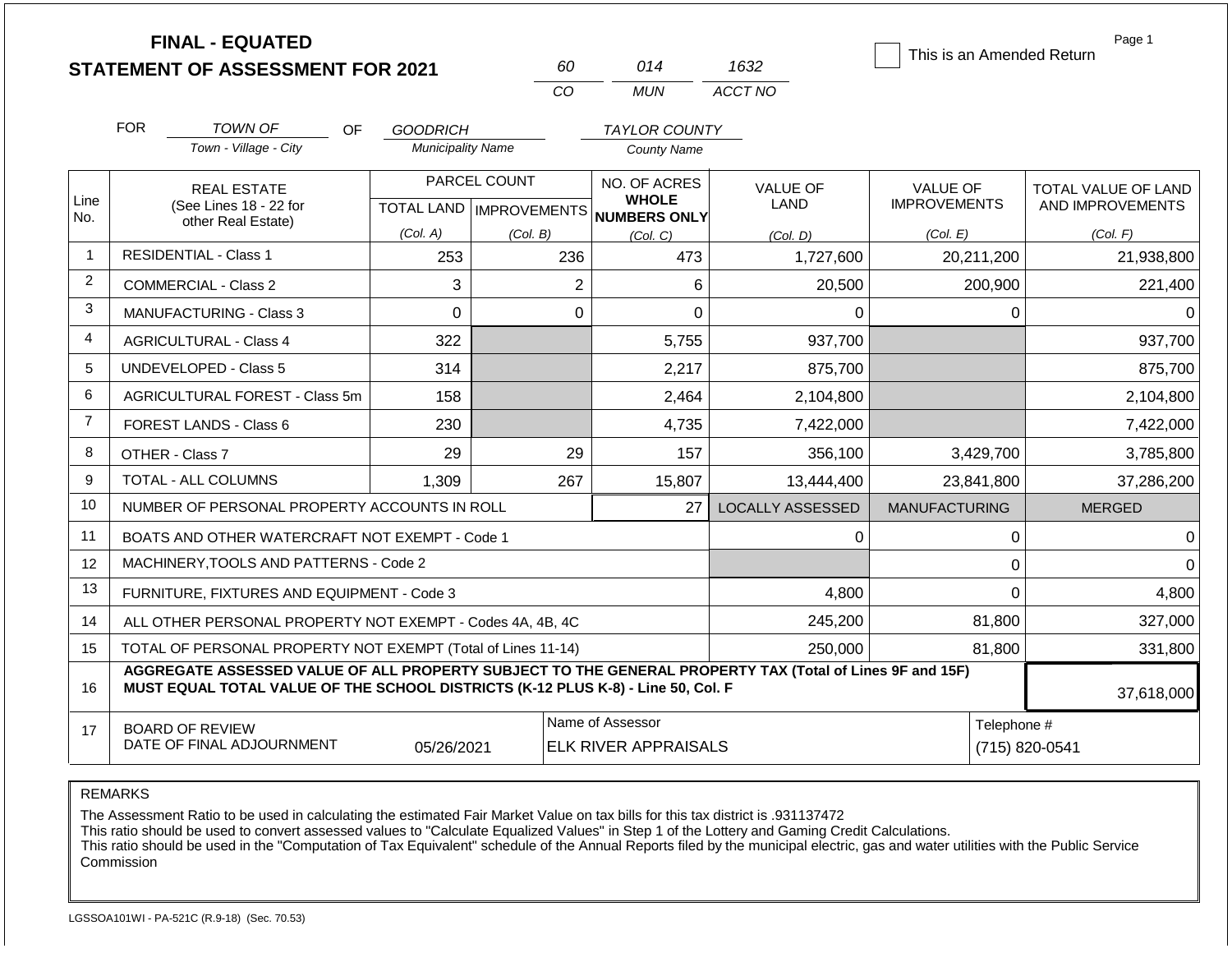|                |                                                                                                                                                                                              | <b>FINAL - EQUATED</b><br><b>STATEMENT OF ASSESSMENT FOR 2021</b> |                              |                          | 60                        | 014                                                            | 1632                    | This is an Amended Return | Page 1                  |
|----------------|----------------------------------------------------------------------------------------------------------------------------------------------------------------------------------------------|-------------------------------------------------------------------|------------------------------|--------------------------|---------------------------|----------------------------------------------------------------|-------------------------|---------------------------|-------------------------|
|                |                                                                                                                                                                                              |                                                                   |                              |                          | CO                        | <b>MUN</b>                                                     | ACCT NO                 |                           |                         |
|                |                                                                                                                                                                                              |                                                                   |                              |                          |                           |                                                                |                         |                           |                         |
|                | <b>FOR</b>                                                                                                                                                                                   | <b>TOWN OF</b><br>Town - Village - City                           | <b>OF</b><br><b>GOODRICH</b> | <b>Municipality Name</b> |                           | <b>TAYLOR COUNTY</b><br><b>County Name</b>                     |                         |                           |                         |
|                |                                                                                                                                                                                              |                                                                   |                              |                          |                           |                                                                |                         |                           |                         |
| Line           |                                                                                                                                                                                              | <b>REAL ESTATE</b>                                                |                              | PARCEL COUNT             |                           | NO. OF ACRES<br><b>WHOLE</b>                                   | VALUE OF                | <b>VALUE OF</b>           | TOTAL VALUE OF LAND     |
| No.            |                                                                                                                                                                                              | (See Lines 18 - 22 for<br>other Real Estate)                      |                              |                          | TOTAL LAND   IMPROVEMENTS | <b>NUMBERS ONLY</b>                                            | LAND                    | <b>IMPROVEMENTS</b>       | AND IMPROVEMENTS        |
|                |                                                                                                                                                                                              |                                                                   | (Col. A)                     |                          | (Col. B)                  | (Col, C)                                                       | (Col. D)                | (Col. E)                  | (Col. F)                |
| $\mathbf{1}$   |                                                                                                                                                                                              | <b>RESIDENTIAL - Class 1</b>                                      |                              | 253                      | 236                       | 473                                                            | 1,727,600               | 20,211,200                | 21,938,800              |
| $\overline{2}$ |                                                                                                                                                                                              | COMMERCIAL - Class 2                                              |                              | 3                        | $\overline{2}$            | 6                                                              | 20,500                  | 200,900                   | 221,400                 |
| 3              |                                                                                                                                                                                              | <b>MANUFACTURING - Class 3</b>                                    |                              | $\Omega$                 | $\Omega$                  | $\Omega$                                                       | 0                       |                           | 0<br>$\Omega$           |
| 4              |                                                                                                                                                                                              | <b>AGRICULTURAL - Class 4</b>                                     |                              | 322                      |                           | 5,755                                                          | 937,700                 |                           | 937,700                 |
| 5              |                                                                                                                                                                                              | UNDEVELOPED - Class 5                                             |                              | 314                      |                           | 2,217                                                          | 875,700                 |                           | 875,700                 |
| 6              |                                                                                                                                                                                              | AGRICULTURAL FOREST - Class 5m                                    |                              | 158                      |                           | 2,464                                                          | 2,104,800               |                           | 2,104,800               |
| $\overline{7}$ |                                                                                                                                                                                              | <b>FOREST LANDS - Class 6</b>                                     |                              | 230                      |                           | 4,735                                                          | 7,422,000               |                           | 7,422,000               |
| 8              | OTHER - Class 7                                                                                                                                                                              |                                                                   |                              | 29                       | 29                        | 157                                                            | 356,100                 | 3,429,700                 | 3,785,800               |
| 9              |                                                                                                                                                                                              | <b>TOTAL - ALL COLUMNS</b>                                        | 1,309                        |                          | 267                       | 15,807                                                         | 13,444,400              | 23,841,800                | 37,286,200              |
| 10             |                                                                                                                                                                                              | NUMBER OF PERSONAL PROPERTY ACCOUNTS IN ROLL                      |                              |                          |                           | 27                                                             | <b>LOCALLY ASSESSED</b> | <b>MANUFACTURING</b>      | <b>MERGED</b>           |
| 11             |                                                                                                                                                                                              | BOATS AND OTHER WATERCRAFT NOT EXEMPT - Code 1                    |                              |                          |                           |                                                                | 0                       |                           | 0<br>0                  |
| 12             |                                                                                                                                                                                              | MACHINERY, TOOLS AND PATTERNS - Code 2                            |                              |                          |                           |                                                                |                         |                           | $\mathbf 0$<br>$\Omega$ |
| 13             |                                                                                                                                                                                              | FURNITURE, FIXTURES AND EQUIPMENT - Code 3                        |                              |                          |                           |                                                                | 4,800                   |                           | $\mathbf 0$<br>4,800    |
| 14             |                                                                                                                                                                                              | ALL OTHER PERSONAL PROPERTY NOT EXEMPT - Codes 4A, 4B, 4C         |                              |                          |                           |                                                                | 245,200                 | 81,800                    | 327,000                 |
| 15             | TOTAL OF PERSONAL PROPERTY NOT EXEMPT (Total of Lines 11-14)                                                                                                                                 |                                                                   |                              |                          |                           |                                                                | 250,000                 | 81,800                    | 331,800                 |
| 16             | AGGREGATE ASSESSED VALUE OF ALL PROPERTY SUBJECT TO THE GENERAL PROPERTY TAX (Total of Lines 9F and 15F)<br>MUST EQUAL TOTAL VALUE OF THE SCHOOL DISTRICTS (K-12 PLUS K-8) - Line 50, Col. F |                                                                   |                              |                          |                           |                                                                |                         |                           | 37,618,000              |
| 17             | <b>BOARD OF REVIEW</b><br>DATE OF FINAL ADJOURNMENT<br>05/26/2021                                                                                                                            |                                                                   |                              |                          |                           | Name of Assessor<br>Telephone #<br><b>ELK RIVER APPRAISALS</b> |                         |                           | (715) 820-0541          |

The Assessment Ratio to be used in calculating the estimated Fair Market Value on tax bills for this tax district is .931137472

This ratio should be used to convert assessed values to "Calculate Equalized Values" in Step 1 of the Lottery and Gaming Credit Calculations.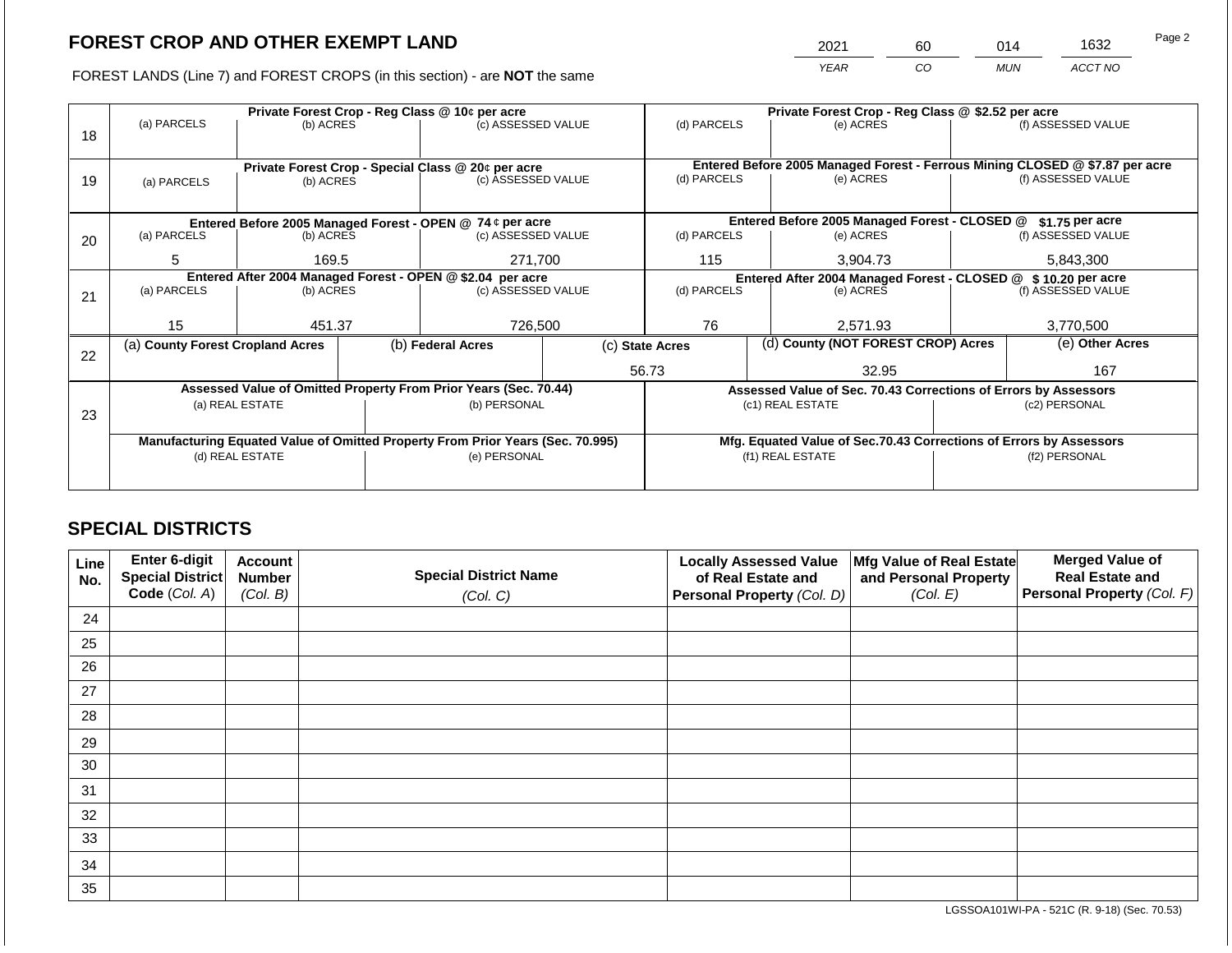2021 60 014 1632

FOREST LANDS (Line 7) and FOREST CROPS (in this section) - are **NOT** the same *YEAR CO MUN ACCT NO*

|    | Private Forest Crop - Reg Class @ 10¢ per acre                                 |                                                                 |  |                                                                  |                    |                                                                              | Private Forest Crop - Reg Class @ \$2.52 per acre                            |                                                                    |           |                    |  |
|----|--------------------------------------------------------------------------------|-----------------------------------------------------------------|--|------------------------------------------------------------------|--------------------|------------------------------------------------------------------------------|------------------------------------------------------------------------------|--------------------------------------------------------------------|-----------|--------------------|--|
| 18 | (a) PARCELS                                                                    | (b) ACRES                                                       |  | (c) ASSESSED VALUE                                               |                    | (d) PARCELS                                                                  |                                                                              | (e) ACRES                                                          |           | (f) ASSESSED VALUE |  |
|    |                                                                                |                                                                 |  |                                                                  |                    |                                                                              |                                                                              |                                                                    |           |                    |  |
|    |                                                                                |                                                                 |  |                                                                  |                    |                                                                              | Entered Before 2005 Managed Forest - Ferrous Mining CLOSED @ \$7.87 per acre |                                                                    |           |                    |  |
| 19 | (a) PARCELS                                                                    | Private Forest Crop - Special Class @ 20¢ per acre<br>(b) ACRES |  | (c) ASSESSED VALUE                                               |                    | (d) PARCELS                                                                  |                                                                              | (e) ACRES                                                          |           | (f) ASSESSED VALUE |  |
|    |                                                                                |                                                                 |  |                                                                  |                    |                                                                              |                                                                              |                                                                    |           |                    |  |
|    |                                                                                |                                                                 |  |                                                                  |                    |                                                                              |                                                                              |                                                                    |           |                    |  |
|    |                                                                                |                                                                 |  | Entered Before 2005 Managed Forest - OPEN @ 74 ¢ per acre        |                    |                                                                              |                                                                              | Entered Before 2005 Managed Forest - CLOSED @                      |           | \$1.75 per acre    |  |
| 20 | (a) PARCELS                                                                    | (b) ACRES                                                       |  | (c) ASSESSED VALUE                                               |                    | (d) PARCELS                                                                  |                                                                              | (e) ACRES                                                          |           | (f) ASSESSED VALUE |  |
|    | 5                                                                              | 271,700<br>169.5                                                |  |                                                                  | 115                |                                                                              | 3,904.73                                                                     |                                                                    | 5,843,300 |                    |  |
|    |                                                                                |                                                                 |  |                                                                  |                    |                                                                              |                                                                              |                                                                    |           |                    |  |
|    | (a) PARCELS                                                                    |                                                                 |  | Entered After 2004 Managed Forest - OPEN @ \$2.04 per acre       |                    | Entered After 2004 Managed Forest - CLOSED @ \$10.20 per acre<br>(d) PARCELS |                                                                              |                                                                    |           |                    |  |
| 21 |                                                                                | (b) ACRES                                                       |  |                                                                  | (c) ASSESSED VALUE |                                                                              |                                                                              | (e) ACRES                                                          |           | (f) ASSESSED VALUE |  |
|    |                                                                                |                                                                 |  |                                                                  |                    |                                                                              |                                                                              |                                                                    |           |                    |  |
|    | 15                                                                             | 451.37                                                          |  | 726,500                                                          |                    | 76                                                                           |                                                                              | 2.571.93                                                           |           | 3,770,500          |  |
|    | (a) County Forest Cropland Acres                                               |                                                                 |  | (b) Federal Acres                                                |                    | (c) State Acres                                                              |                                                                              | (d) County (NOT FOREST CROP) Acres                                 |           | (e) Other Acres    |  |
| 22 |                                                                                |                                                                 |  |                                                                  |                    |                                                                              |                                                                              |                                                                    |           |                    |  |
|    |                                                                                |                                                                 |  |                                                                  |                    | 56.73                                                                        |                                                                              | 32.95                                                              |           | 167                |  |
|    |                                                                                |                                                                 |  | Assessed Value of Omitted Property From Prior Years (Sec. 70.44) |                    |                                                                              |                                                                              | Assessed Value of Sec. 70.43 Corrections of Errors by Assessors    |           |                    |  |
|    |                                                                                | (a) REAL ESTATE                                                 |  | (b) PERSONAL                                                     |                    |                                                                              |                                                                              | (c1) REAL ESTATE                                                   |           | (c2) PERSONAL      |  |
| 23 |                                                                                |                                                                 |  |                                                                  |                    |                                                                              |                                                                              |                                                                    |           |                    |  |
|    | Manufacturing Equated Value of Omitted Property From Prior Years (Sec. 70.995) |                                                                 |  |                                                                  |                    |                                                                              |                                                                              | Mfg. Equated Value of Sec.70.43 Corrections of Errors by Assessors |           |                    |  |
|    |                                                                                | (d) REAL ESTATE                                                 |  | (e) PERSONAL                                                     |                    |                                                                              |                                                                              | (f1) REAL ESTATE                                                   |           | (f2) PERSONAL      |  |
|    |                                                                                |                                                                 |  |                                                                  |                    |                                                                              |                                                                              |                                                                    |           |                    |  |
|    |                                                                                |                                                                 |  |                                                                  |                    |                                                                              |                                                                              |                                                                    |           |                    |  |

## **SPECIAL DISTRICTS**

| Line<br>No. | <b>Enter 6-digit</b><br>Special District | <b>Account</b><br><b>Number</b> | <b>Special District Name</b> | <b>Locally Assessed Value</b><br>of Real Estate and | Mfg Value of Real Estate<br>and Personal Property | <b>Merged Value of</b><br><b>Real Estate and</b> |
|-------------|------------------------------------------|---------------------------------|------------------------------|-----------------------------------------------------|---------------------------------------------------|--------------------------------------------------|
|             | Code (Col. A)                            | (Col. B)                        | (Col. C)                     | Personal Property (Col. D)                          | (Col. E)                                          | <b>Personal Property (Col. F)</b>                |
| 24          |                                          |                                 |                              |                                                     |                                                   |                                                  |
| 25          |                                          |                                 |                              |                                                     |                                                   |                                                  |
| 26          |                                          |                                 |                              |                                                     |                                                   |                                                  |
| 27          |                                          |                                 |                              |                                                     |                                                   |                                                  |
| 28          |                                          |                                 |                              |                                                     |                                                   |                                                  |
| 29          |                                          |                                 |                              |                                                     |                                                   |                                                  |
| 30          |                                          |                                 |                              |                                                     |                                                   |                                                  |
| 31          |                                          |                                 |                              |                                                     |                                                   |                                                  |
| 32          |                                          |                                 |                              |                                                     |                                                   |                                                  |
| 33          |                                          |                                 |                              |                                                     |                                                   |                                                  |
| 34          |                                          |                                 |                              |                                                     |                                                   |                                                  |
| 35          |                                          |                                 |                              |                                                     |                                                   |                                                  |

LGSSOA101WI-PA - 521C (R. 9-18) (Sec. 70.53)

Page 2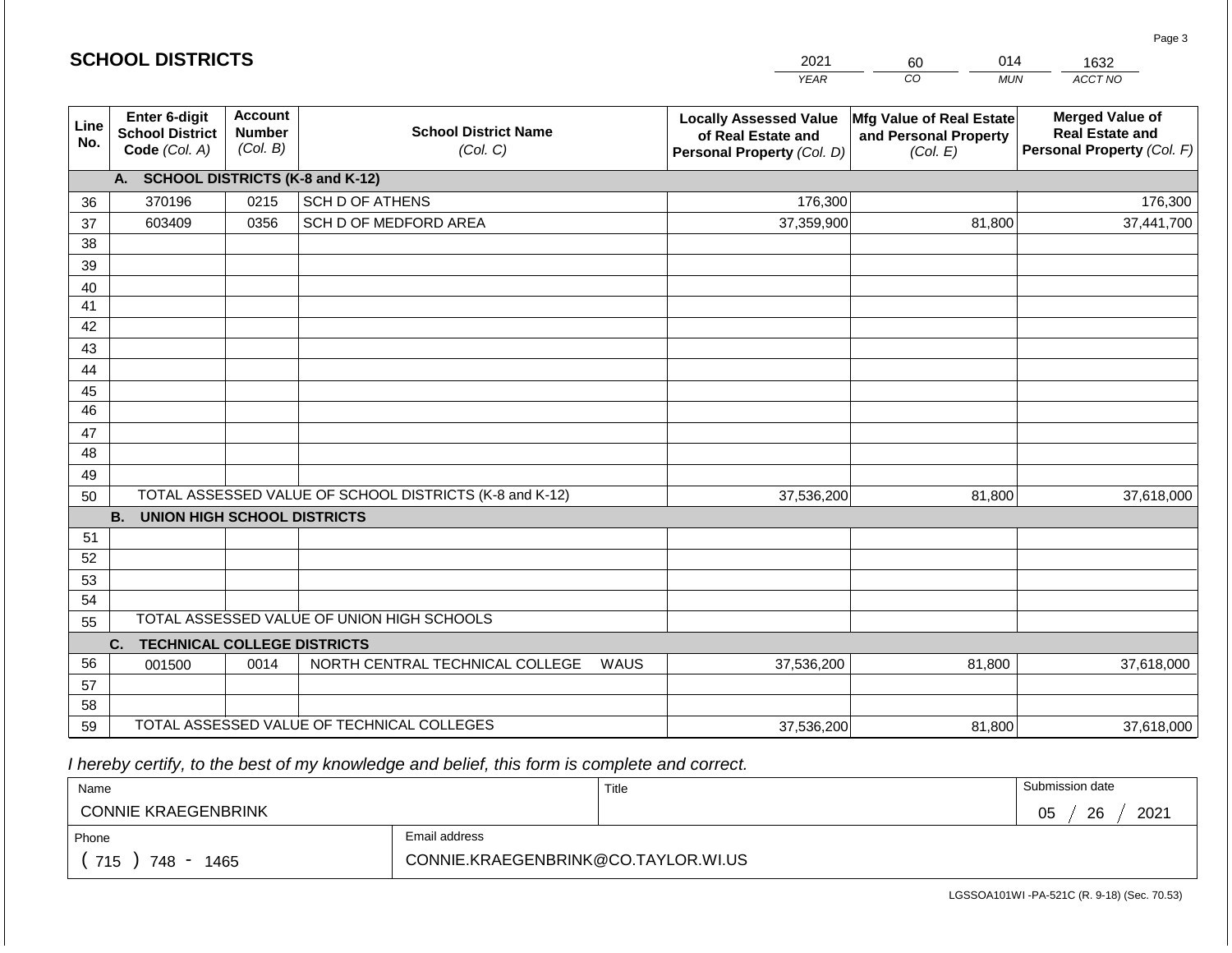| <b>SCHOOL DISTRICTS</b> |                                                          |                                             |                                                         |      | 2021                                                                              | 014<br>60                                                     | 1632                                                                           |
|-------------------------|----------------------------------------------------------|---------------------------------------------|---------------------------------------------------------|------|-----------------------------------------------------------------------------------|---------------------------------------------------------------|--------------------------------------------------------------------------------|
|                         |                                                          |                                             |                                                         |      | <b>YEAR</b>                                                                       | CO<br><b>MUN</b>                                              | ACCT NO                                                                        |
| Line<br>No.             | Enter 6-digit<br><b>School District</b><br>Code (Col. A) | <b>Account</b><br><b>Number</b><br>(Col. B) | <b>School District Name</b><br>(Col. C)                 |      | <b>Locally Assessed Value</b><br>of Real Estate and<br>Personal Property (Col. D) | Mfg Value of Real Estate<br>and Personal Property<br>(Col. E) | <b>Merged Value of</b><br><b>Real Estate and</b><br>Personal Property (Col. F) |
|                         | A. SCHOOL DISTRICTS (K-8 and K-12)                       |                                             |                                                         |      |                                                                                   |                                                               |                                                                                |
| 36                      | 370196                                                   | 0215                                        | <b>SCH D OF ATHENS</b>                                  |      | 176,300                                                                           |                                                               | 176,300                                                                        |
| 37                      | 603409                                                   | 0356                                        | SCH D OF MEDFORD AREA                                   |      | 37,359,900                                                                        | 81,800                                                        | 37,441,700                                                                     |
| 38                      |                                                          |                                             |                                                         |      |                                                                                   |                                                               |                                                                                |
| 39                      |                                                          |                                             |                                                         |      |                                                                                   |                                                               |                                                                                |
| 40                      |                                                          |                                             |                                                         |      |                                                                                   |                                                               |                                                                                |
| 41                      |                                                          |                                             |                                                         |      |                                                                                   |                                                               |                                                                                |
| 42                      |                                                          |                                             |                                                         |      |                                                                                   |                                                               |                                                                                |
| 43                      |                                                          |                                             |                                                         |      |                                                                                   |                                                               |                                                                                |
| 44<br>45                |                                                          |                                             |                                                         |      |                                                                                   |                                                               |                                                                                |
| $\overline{46}$         |                                                          |                                             |                                                         |      |                                                                                   |                                                               |                                                                                |
| 47                      |                                                          |                                             |                                                         |      |                                                                                   |                                                               |                                                                                |
| 48                      |                                                          |                                             |                                                         |      |                                                                                   |                                                               |                                                                                |
| 49                      |                                                          |                                             |                                                         |      |                                                                                   |                                                               |                                                                                |
| 50                      |                                                          |                                             | TOTAL ASSESSED VALUE OF SCHOOL DISTRICTS (K-8 and K-12) |      | 37,536,200                                                                        | 81,800                                                        | 37,618,000                                                                     |
|                         | <b>B.</b><br><b>UNION HIGH SCHOOL DISTRICTS</b>          |                                             |                                                         |      |                                                                                   |                                                               |                                                                                |
| 51                      |                                                          |                                             |                                                         |      |                                                                                   |                                                               |                                                                                |
| 52                      |                                                          |                                             |                                                         |      |                                                                                   |                                                               |                                                                                |
| 53                      |                                                          |                                             |                                                         |      |                                                                                   |                                                               |                                                                                |
| 54                      |                                                          |                                             |                                                         |      |                                                                                   |                                                               |                                                                                |
| 55                      |                                                          |                                             | TOTAL ASSESSED VALUE OF UNION HIGH SCHOOLS              |      |                                                                                   |                                                               |                                                                                |
|                         | <b>TECHNICAL COLLEGE DISTRICTS</b><br>C.                 |                                             |                                                         |      |                                                                                   |                                                               |                                                                                |
| 56                      | 001500                                                   | 0014                                        | NORTH CENTRAL TECHNICAL COLLEGE                         | WAUS | 37,536,200                                                                        | 81,800                                                        | 37,618,000                                                                     |
| 57<br>58                |                                                          |                                             |                                                         |      |                                                                                   |                                                               |                                                                                |
| 59                      |                                                          |                                             | TOTAL ASSESSED VALUE OF TECHNICAL COLLEGES              |      |                                                                                   |                                                               |                                                                                |
|                         |                                                          |                                             |                                                         |      | 37,536,200                                                                        | 81,800                                                        | 37,618,000                                                                     |

 *I hereby certify, to the best of my knowledge and belief, this form is complete and correct.*

**SCHOOL DISTRICTS**

| Name                                           |                                     | Title | Submission date  |
|------------------------------------------------|-------------------------------------|-------|------------------|
| <b>CONNIE KRAEGENBRINK</b>                     |                                     |       | 26<br>2021<br>05 |
| Phone                                          | Email address                       |       |                  |
| 715<br>1465<br>748<br>$\overline{\phantom{0}}$ | CONNIE.KRAEGENBRINK@CO.TAYLOR.WI.US |       |                  |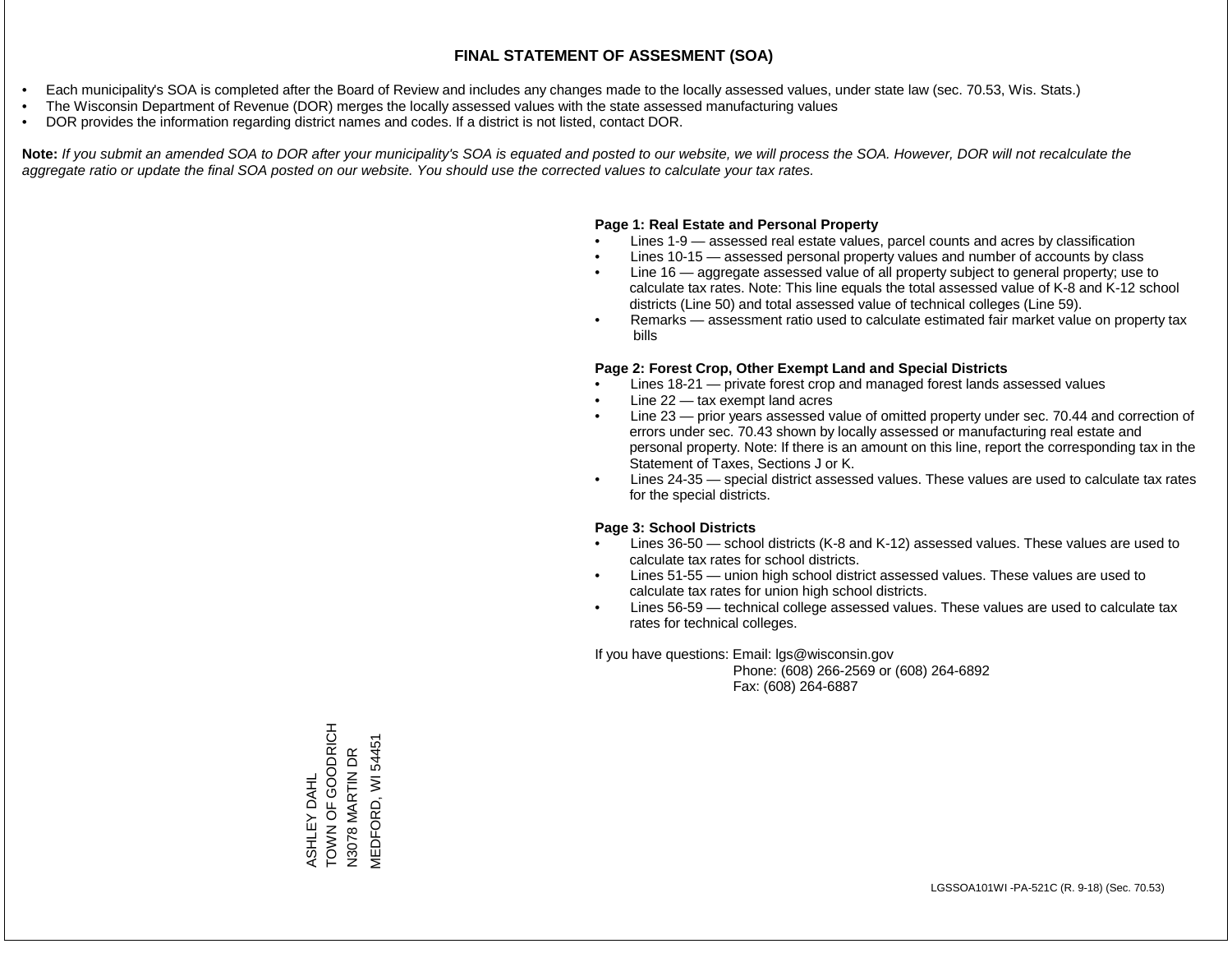- Each municipality's SOA is completed after the Board of Review and includes any changes made to the locally assessed values, under state law (sec. 70.53, Wis. Stats.)
- The Wisconsin Department of Revenue (DOR) merges the locally assessed values with the state assessed manufacturing values
- DOR provides the information regarding district names and codes. If a district is not listed, contact DOR.

Note: If you submit an amended SOA to DOR after your municipality's SOA is equated and posted to our website, we will process the SOA. However, DOR will not recalculate the *aggregate ratio or update the final SOA posted on our website. You should use the corrected values to calculate your tax rates.*

### **Page 1: Real Estate and Personal Property**

- Lines 1-9 assessed real estate values, parcel counts and acres by classification
- Lines 10-15 assessed personal property values and number of accounts by class
- Line 16 aggregate assessed value of all property subject to general property; use to calculate tax rates. Note: This line equals the total assessed value of K-8 and K-12 school districts (Line 50) and total assessed value of technical colleges (Line 59).
- Remarks assessment ratio used to calculate estimated fair market value on property tax bills

#### **Page 2: Forest Crop, Other Exempt Land and Special Districts**

- Lines 18-21 private forest crop and managed forest lands assessed values
- Line  $22 -$  tax exempt land acres
- Line 23 prior years assessed value of omitted property under sec. 70.44 and correction of errors under sec. 70.43 shown by locally assessed or manufacturing real estate and personal property. Note: If there is an amount on this line, report the corresponding tax in the Statement of Taxes, Sections J or K.
- Lines 24-35 special district assessed values. These values are used to calculate tax rates for the special districts.

#### **Page 3: School Districts**

- Lines 36-50 school districts (K-8 and K-12) assessed values. These values are used to calculate tax rates for school districts.
- Lines 51-55 union high school district assessed values. These values are used to calculate tax rates for union high school districts.
- Lines 56-59 technical college assessed values. These values are used to calculate tax rates for technical colleges.

If you have questions: Email: lgs@wisconsin.gov

 Phone: (608) 266-2569 or (608) 264-6892 Fax: (608) 264-6887

**TOINOOO LO NNOL** TOWN OF GOODRICH **MEDFORD, WI 54451** MEDFORD, WI 54451N3078 MARTIN DR N3078 MARTIN DR ASHLEY DAHL ASHLEY DAHL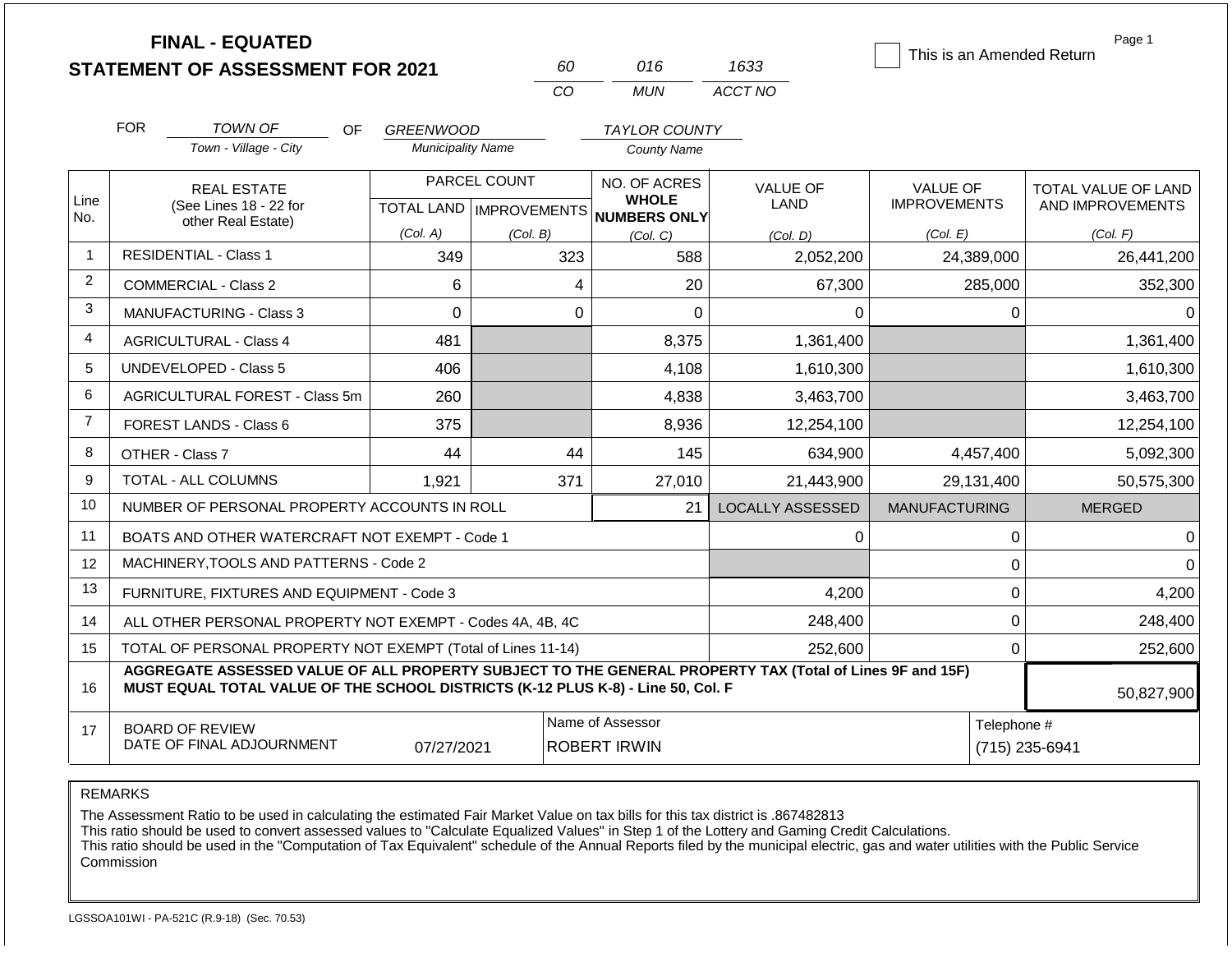|                |            | <b>FINAL - EQUATED</b><br><b>STATEMENT OF ASSESSMENT FOR 2021</b>                                                                                                                            |                                           |          | 60  | 016                                                 | 1633                           | This is an Amended Return              | Page 1                                         |  |
|----------------|------------|----------------------------------------------------------------------------------------------------------------------------------------------------------------------------------------------|-------------------------------------------|----------|-----|-----------------------------------------------------|--------------------------------|----------------------------------------|------------------------------------------------|--|
|                |            |                                                                                                                                                                                              |                                           |          | CO  | <b>MUN</b>                                          | ACCT NO                        |                                        |                                                |  |
|                | <b>FOR</b> | <b>TOWN OF</b><br>OF.                                                                                                                                                                        | <b>GREENWOOD</b>                          |          |     | <b>TAYLOR COUNTY</b>                                |                                |                                        |                                                |  |
|                |            | Town - Village - City                                                                                                                                                                        | <b>Municipality Name</b>                  |          |     | <b>County Name</b>                                  |                                |                                        |                                                |  |
| Line<br>No.    |            | <b>REAL ESTATE</b><br>(See Lines 18 - 22 for                                                                                                                                                 | PARCEL COUNT<br>TOTAL LAND   IMPROVEMENTS |          |     | NO. OF ACRES<br><b>WHOLE</b><br><b>NUMBERS ONLY</b> | <b>VALUE OF</b><br><b>LAND</b> | <b>VALUE OF</b><br><b>IMPROVEMENTS</b> | <b>TOTAL VALUE OF LAND</b><br>AND IMPROVEMENTS |  |
|                |            | other Real Estate)                                                                                                                                                                           | (Col. A)                                  | (Col. B) |     | (Col, C)                                            | (Col. D)                       | (Col. E)                               | (Col. F)                                       |  |
| $\mathbf{1}$   |            | <b>RESIDENTIAL - Class 1</b>                                                                                                                                                                 | 349                                       |          | 323 | 588                                                 | 2,052,200                      | 24,389,000                             | 26,441,200                                     |  |
| 2              |            | <b>COMMERCIAL - Class 2</b>                                                                                                                                                                  | 6                                         |          | 4   | 20                                                  | 67,300                         | 285,000                                | 352,300                                        |  |
| 3              |            | <b>MANUFACTURING - Class 3</b>                                                                                                                                                               | $\Omega$                                  |          | 0   | $\Omega$                                            | $\Omega$                       | $\Omega$                               | $\Omega$                                       |  |
| 4              |            | <b>AGRICULTURAL - Class 4</b>                                                                                                                                                                | 481                                       |          |     | 8,375                                               | 1,361,400                      |                                        | 1,361,400                                      |  |
| 5              |            | <b>UNDEVELOPED - Class 5</b>                                                                                                                                                                 | 406                                       |          |     | 4,108                                               | 1,610,300                      |                                        | 1,610,300                                      |  |
| 6              |            | AGRICULTURAL FOREST - Class 5m                                                                                                                                                               | 260                                       |          |     | 4,838                                               | 3,463,700                      |                                        | 3,463,700                                      |  |
| $\overline{7}$ |            | FOREST LANDS - Class 6                                                                                                                                                                       | 375                                       |          |     | 8,936                                               | 12,254,100                     |                                        | 12,254,100                                     |  |
| 8              |            | OTHER - Class 7                                                                                                                                                                              | 44                                        |          | 44  | 145                                                 | 634,900                        | 4,457,400                              | 5,092,300                                      |  |
| 9              |            | <b>TOTAL - ALL COLUMNS</b>                                                                                                                                                                   | 1,921                                     |          | 371 | 27,010                                              | 21,443,900                     | 29,131,400                             | 50,575,300                                     |  |
| 10             |            | NUMBER OF PERSONAL PROPERTY ACCOUNTS IN ROLL                                                                                                                                                 |                                           |          |     | 21                                                  | <b>LOCALLY ASSESSED</b>        | <b>MANUFACTURING</b>                   | <b>MERGED</b>                                  |  |
| 11             |            | BOATS AND OTHER WATERCRAFT NOT EXEMPT - Code 1                                                                                                                                               |                                           |          |     |                                                     | 0                              | 0                                      | $\Omega$                                       |  |
| 12             |            | MACHINERY, TOOLS AND PATTERNS - Code 2                                                                                                                                                       |                                           |          |     |                                                     |                                | $\mathbf 0$                            | $\Omega$                                       |  |
| 13             |            | FURNITURE, FIXTURES AND EQUIPMENT - Code 3                                                                                                                                                   |                                           |          |     |                                                     | 4,200                          | $\pmb{0}$                              | 4,200                                          |  |
| 14             |            | ALL OTHER PERSONAL PROPERTY NOT EXEMPT - Codes 4A, 4B, 4C                                                                                                                                    |                                           |          |     |                                                     | 248,400                        | $\mathbf 0$                            | 248,400                                        |  |
| 15             |            | TOTAL OF PERSONAL PROPERTY NOT EXEMPT (Total of Lines 11-14)                                                                                                                                 |                                           |          |     |                                                     | 252,600                        | $\mathbf 0$                            | 252,600                                        |  |
| 16             |            | AGGREGATE ASSESSED VALUE OF ALL PROPERTY SUBJECT TO THE GENERAL PROPERTY TAX (Total of Lines 9F and 15F)<br>MUST EQUAL TOTAL VALUE OF THE SCHOOL DISTRICTS (K-12 PLUS K-8) - Line 50, Col. F |                                           |          |     |                                                     |                                |                                        | 50,827,900                                     |  |
| 17             |            | <b>BOARD OF REVIEW</b><br>DATE OF FINAL ADJOURNMENT                                                                                                                                          | 07/27/2021                                |          |     | Name of Assessor<br><b>ROBERT IRWIN</b>             |                                |                                        | Telephone #<br>(715) 235-6941                  |  |

The Assessment Ratio to be used in calculating the estimated Fair Market Value on tax bills for this tax district is .867482813

This ratio should be used to convert assessed values to "Calculate Equalized Values" in Step 1 of the Lottery and Gaming Credit Calculations.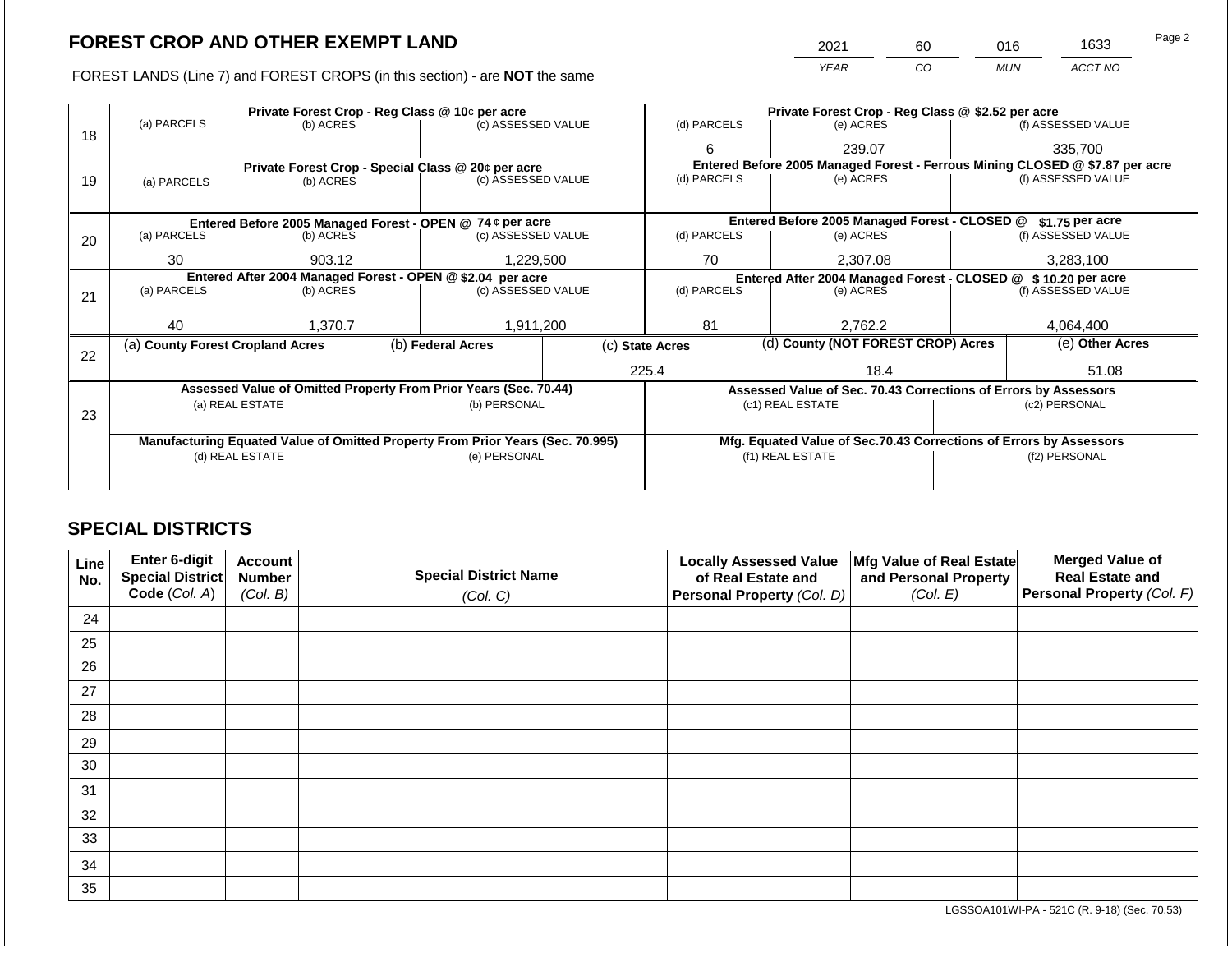FOREST LANDS (Line 7) and FOREST CROPS (in this section) - are NOT the same

| 2021 | 60 | 016        | 1633    | Page 2 |
|------|----|------------|---------|--------|
| YEAR | CО | <b>MUN</b> | ACCT NO |        |

|    |                                                                                |                 |  | Private Forest Crop - Reg Class @ 10¢ per acre                   |  | Private Forest Crop - Reg Class @ \$2.52 per acre                            |                                                                    |                                                                 |                 |                                                               |  |
|----|--------------------------------------------------------------------------------|-----------------|--|------------------------------------------------------------------|--|------------------------------------------------------------------------------|--------------------------------------------------------------------|-----------------------------------------------------------------|-----------------|---------------------------------------------------------------|--|
|    | (a) PARCELS                                                                    | (b) ACRES       |  | (c) ASSESSED VALUE                                               |  | (d) PARCELS                                                                  |                                                                    | (e) ACRES                                                       |                 | (f) ASSESSED VALUE                                            |  |
| 18 |                                                                                |                 |  |                                                                  |  | 6                                                                            |                                                                    | 239.07                                                          |                 | 335,700                                                       |  |
|    |                                                                                |                 |  | Private Forest Crop - Special Class @ 20¢ per acre               |  | Entered Before 2005 Managed Forest - Ferrous Mining CLOSED @ \$7.87 per acre |                                                                    |                                                                 |                 |                                                               |  |
| 19 | (a) PARCELS                                                                    | (b) ACRES       |  | (c) ASSESSED VALUE                                               |  | (d) PARCELS                                                                  |                                                                    | (e) ACRES                                                       |                 | (f) ASSESSED VALUE                                            |  |
|    |                                                                                |                 |  |                                                                  |  |                                                                              |                                                                    |                                                                 |                 |                                                               |  |
|    |                                                                                |                 |  | Entered Before 2005 Managed Forest - OPEN @ 74 ¢ per acre        |  |                                                                              |                                                                    | Entered Before 2005 Managed Forest - CLOSED @                   |                 | \$1.75 per acre                                               |  |
| 20 | (a) PARCELS                                                                    | (b) ACRES       |  | (c) ASSESSED VALUE                                               |  | (d) PARCELS                                                                  |                                                                    | (e) ACRES                                                       |                 | (f) ASSESSED VALUE                                            |  |
|    |                                                                                |                 |  |                                                                  |  |                                                                              |                                                                    |                                                                 |                 |                                                               |  |
|    | 30                                                                             | 903.12          |  | 1,229,500                                                        |  | 70<br>2,307.08                                                               |                                                                    |                                                                 |                 | 3,283,100                                                     |  |
|    | Entered After 2004 Managed Forest - OPEN @ \$2.04 per acre                     |                 |  |                                                                  |  |                                                                              |                                                                    |                                                                 |                 | Entered After 2004 Managed Forest - CLOSED @ \$10.20 per acre |  |
| 21 | (a) PARCELS                                                                    | (b) ACRES       |  | (c) ASSESSED VALUE                                               |  | (d) PARCELS                                                                  |                                                                    | (e) ACRES                                                       |                 | (f) ASSESSED VALUE                                            |  |
|    |                                                                                |                 |  |                                                                  |  |                                                                              |                                                                    |                                                                 |                 |                                                               |  |
|    | 40                                                                             | 1,370.7         |  | 1,911,200                                                        |  | 81                                                                           |                                                                    | 2,762.2                                                         |                 | 4,064,400                                                     |  |
| 22 | (a) County Forest Cropland Acres                                               |                 |  | (b) Federal Acres                                                |  | (d) County (NOT FOREST CROP) Acres<br>(c) State Acres                        |                                                                    |                                                                 | (e) Other Acres |                                                               |  |
|    |                                                                                |                 |  |                                                                  |  | 225.4<br>18.4                                                                |                                                                    |                                                                 |                 | 51.08                                                         |  |
|    |                                                                                |                 |  | Assessed Value of Omitted Property From Prior Years (Sec. 70.44) |  |                                                                              |                                                                    | Assessed Value of Sec. 70.43 Corrections of Errors by Assessors |                 |                                                               |  |
|    |                                                                                | (a) REAL ESTATE |  | (b) PERSONAL                                                     |  |                                                                              | (c1) REAL ESTATE                                                   |                                                                 |                 | (c2) PERSONAL                                                 |  |
| 23 |                                                                                |                 |  |                                                                  |  |                                                                              |                                                                    |                                                                 |                 |                                                               |  |
|    | Manufacturing Equated Value of Omitted Property From Prior Years (Sec. 70.995) |                 |  |                                                                  |  |                                                                              | Mfg. Equated Value of Sec.70.43 Corrections of Errors by Assessors |                                                                 |                 |                                                               |  |
|    |                                                                                | (d) REAL ESTATE |  | (e) PERSONAL                                                     |  | (f1) REAL ESTATE                                                             |                                                                    |                                                                 | (f2) PERSONAL   |                                                               |  |
|    |                                                                                |                 |  |                                                                  |  |                                                                              |                                                                    |                                                                 |                 |                                                               |  |
|    |                                                                                |                 |  |                                                                  |  |                                                                              |                                                                    |                                                                 |                 |                                                               |  |

## **SPECIAL DISTRICTS**

| <b>Line</b><br>No. | Enter 6-digit<br>Special District | <b>Account</b><br><b>Number</b> | <b>Special District Name</b> | <b>Locally Assessed Value</b><br>of Real Estate and | Mfg Value of Real Estate<br>and Personal Property | <b>Merged Value of</b><br><b>Real Estate and</b> |
|--------------------|-----------------------------------|---------------------------------|------------------------------|-----------------------------------------------------|---------------------------------------------------|--------------------------------------------------|
|                    | Code (Col. A)                     | (Col. B)                        | (Col. C)                     | Personal Property (Col. D)                          | (Col. E)                                          | Personal Property (Col. F)                       |
| 24                 |                                   |                                 |                              |                                                     |                                                   |                                                  |
| 25                 |                                   |                                 |                              |                                                     |                                                   |                                                  |
| 26                 |                                   |                                 |                              |                                                     |                                                   |                                                  |
| 27                 |                                   |                                 |                              |                                                     |                                                   |                                                  |
| 28                 |                                   |                                 |                              |                                                     |                                                   |                                                  |
| 29                 |                                   |                                 |                              |                                                     |                                                   |                                                  |
| 30                 |                                   |                                 |                              |                                                     |                                                   |                                                  |
| 31                 |                                   |                                 |                              |                                                     |                                                   |                                                  |
| 32                 |                                   |                                 |                              |                                                     |                                                   |                                                  |
| 33                 |                                   |                                 |                              |                                                     |                                                   |                                                  |
| 34                 |                                   |                                 |                              |                                                     |                                                   |                                                  |
| 35                 |                                   |                                 |                              |                                                     |                                                   |                                                  |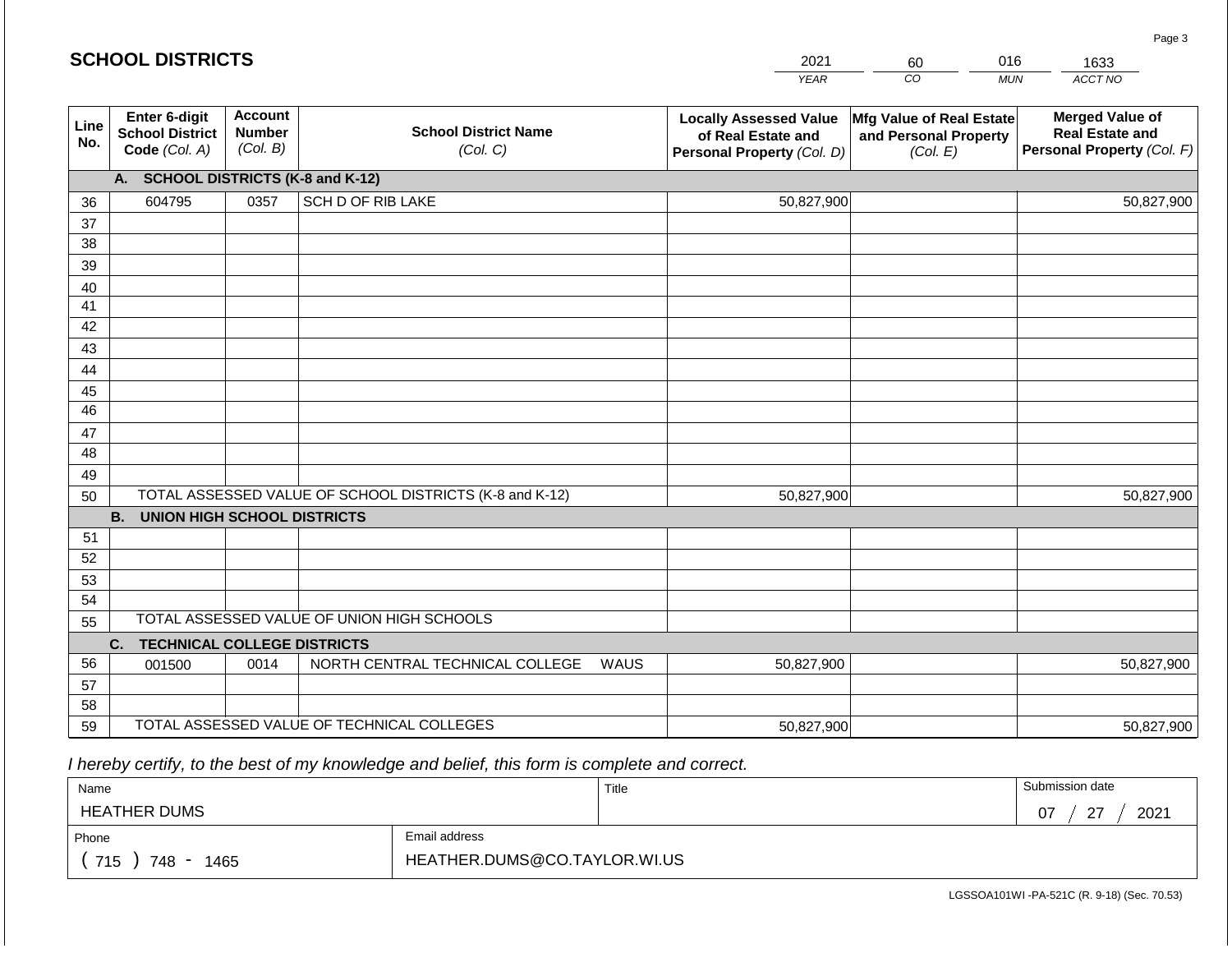| <b>SCHOOL DISTRICTS</b><br>2021<br>016<br>60 |                                                          |                                             |                                                         |      |                                                                                   |                                                               |            | 1633                                                                           |
|----------------------------------------------|----------------------------------------------------------|---------------------------------------------|---------------------------------------------------------|------|-----------------------------------------------------------------------------------|---------------------------------------------------------------|------------|--------------------------------------------------------------------------------|
|                                              |                                                          |                                             |                                                         |      | <b>YEAR</b>                                                                       | CO                                                            | <b>MUN</b> | ACCT NO                                                                        |
| Line<br>No.                                  | Enter 6-digit<br><b>School District</b><br>Code (Col. A) | <b>Account</b><br><b>Number</b><br>(Col. B) | <b>School District Name</b><br>(Col. C)                 |      | <b>Locally Assessed Value</b><br>of Real Estate and<br>Personal Property (Col. D) | Mfg Value of Real Estate<br>and Personal Property<br>(Col. E) |            | <b>Merged Value of</b><br><b>Real Estate and</b><br>Personal Property (Col. F) |
|                                              | A. SCHOOL DISTRICTS (K-8 and K-12)                       |                                             |                                                         |      |                                                                                   |                                                               |            |                                                                                |
| 36                                           | 604795                                                   | 0357                                        | SCH D OF RIB LAKE                                       |      | 50,827,900                                                                        |                                                               |            | 50,827,900                                                                     |
| 37                                           |                                                          |                                             |                                                         |      |                                                                                   |                                                               |            |                                                                                |
| 38                                           |                                                          |                                             |                                                         |      |                                                                                   |                                                               |            |                                                                                |
| 39                                           |                                                          |                                             |                                                         |      |                                                                                   |                                                               |            |                                                                                |
| 40                                           |                                                          |                                             |                                                         |      |                                                                                   |                                                               |            |                                                                                |
| 41<br>42                                     |                                                          |                                             |                                                         |      |                                                                                   |                                                               |            |                                                                                |
| 43                                           |                                                          |                                             |                                                         |      |                                                                                   |                                                               |            |                                                                                |
| 44                                           |                                                          |                                             |                                                         |      |                                                                                   |                                                               |            |                                                                                |
| 45                                           |                                                          |                                             |                                                         |      |                                                                                   |                                                               |            |                                                                                |
| 46                                           |                                                          |                                             |                                                         |      |                                                                                   |                                                               |            |                                                                                |
| 47                                           |                                                          |                                             |                                                         |      |                                                                                   |                                                               |            |                                                                                |
| 48                                           |                                                          |                                             |                                                         |      |                                                                                   |                                                               |            |                                                                                |
| 49                                           |                                                          |                                             |                                                         |      |                                                                                   |                                                               |            |                                                                                |
| 50                                           |                                                          |                                             | TOTAL ASSESSED VALUE OF SCHOOL DISTRICTS (K-8 and K-12) |      | 50,827,900                                                                        |                                                               |            | 50,827,900                                                                     |
|                                              | <b>B. UNION HIGH SCHOOL DISTRICTS</b>                    |                                             |                                                         |      |                                                                                   |                                                               |            |                                                                                |
| 51                                           |                                                          |                                             |                                                         |      |                                                                                   |                                                               |            |                                                                                |
| 52                                           |                                                          |                                             |                                                         |      |                                                                                   |                                                               |            |                                                                                |
| 53                                           |                                                          |                                             |                                                         |      |                                                                                   |                                                               |            |                                                                                |
| 54                                           |                                                          |                                             | TOTAL ASSESSED VALUE OF UNION HIGH SCHOOLS              |      |                                                                                   |                                                               |            |                                                                                |
| 55                                           | <b>TECHNICAL COLLEGE DISTRICTS</b><br>C.                 |                                             |                                                         |      |                                                                                   |                                                               |            |                                                                                |
| 56                                           | 001500                                                   | 0014                                        | NORTH CENTRAL TECHNICAL COLLEGE                         | WAUS | 50,827,900                                                                        |                                                               |            | 50,827,900                                                                     |
| 57                                           |                                                          |                                             |                                                         |      |                                                                                   |                                                               |            |                                                                                |
| 58                                           |                                                          |                                             |                                                         |      |                                                                                   |                                                               |            |                                                                                |
| 59                                           |                                                          |                                             | TOTAL ASSESSED VALUE OF TECHNICAL COLLEGES              |      | 50,827,900                                                                        |                                                               |            | 50,827,900                                                                     |

 *I hereby certify, to the best of my knowledge and belief, this form is complete and correct.*

| Name                |                              | Title | Submission date      |  |  |
|---------------------|------------------------------|-------|----------------------|--|--|
| <b>HEATHER DUMS</b> |                              |       | $\sim$<br>2021<br>07 |  |  |
| Phone               | Email address                |       |                      |  |  |
| 715<br>748<br>1465  | HEATHER.DUMS@CO.TAYLOR.WI.US |       |                      |  |  |

LGSSOA101WI -PA-521C (R. 9-18) (Sec. 70.53)

Page 3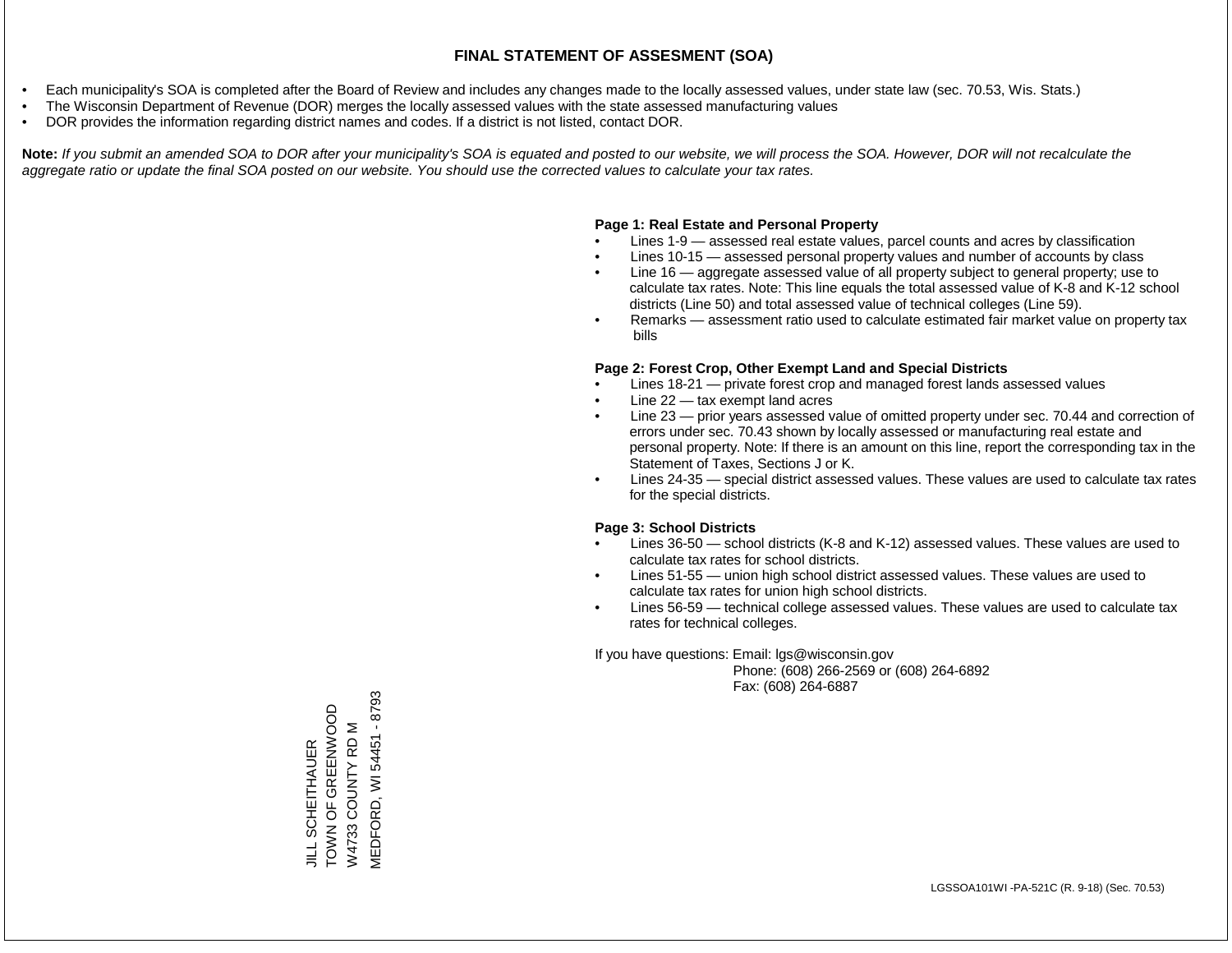- Each municipality's SOA is completed after the Board of Review and includes any changes made to the locally assessed values, under state law (sec. 70.53, Wis. Stats.)
- The Wisconsin Department of Revenue (DOR) merges the locally assessed values with the state assessed manufacturing values
- DOR provides the information regarding district names and codes. If a district is not listed, contact DOR.

Note: If you submit an amended SOA to DOR after your municipality's SOA is equated and posted to our website, we will process the SOA. However, DOR will not recalculate the *aggregate ratio or update the final SOA posted on our website. You should use the corrected values to calculate your tax rates.*

#### **Page 1: Real Estate and Personal Property**

- Lines 1-9 assessed real estate values, parcel counts and acres by classification
- Lines 10-15 assessed personal property values and number of accounts by class
- Line 16 aggregate assessed value of all property subject to general property; use to calculate tax rates. Note: This line equals the total assessed value of K-8 and K-12 school districts (Line 50) and total assessed value of technical colleges (Line 59).
- Remarks assessment ratio used to calculate estimated fair market value on property tax bills

#### **Page 2: Forest Crop, Other Exempt Land and Special Districts**

- Lines 18-21 private forest crop and managed forest lands assessed values
- Line  $22 -$  tax exempt land acres
- Line 23 prior years assessed value of omitted property under sec. 70.44 and correction of errors under sec. 70.43 shown by locally assessed or manufacturing real estate and personal property. Note: If there is an amount on this line, report the corresponding tax in the Statement of Taxes, Sections J or K.
- Lines 24-35 special district assessed values. These values are used to calculate tax rates for the special districts.

#### **Page 3: School Districts**

- Lines 36-50 school districts (K-8 and K-12) assessed values. These values are used to calculate tax rates for school districts.
- Lines 51-55 union high school district assessed values. These values are used to calculate tax rates for union high school districts.
- Lines 56-59 technical college assessed values. These values are used to calculate tax rates for technical colleges.

If you have questions: Email: lgs@wisconsin.gov

 Phone: (608) 266-2569 or (608) 264-6892 Fax: (608) 264-6887

**MEDFORD, WI 54451 - 8793** MEDFORD, WI 54451 - 8793JILL SCHEITHAUER<br>TOWN OF GREENWOOD<br>W4733 COUNTY RD M TOWN OF GREENWOOD W4733 COUNTY RD M JILL SCHEITHAUER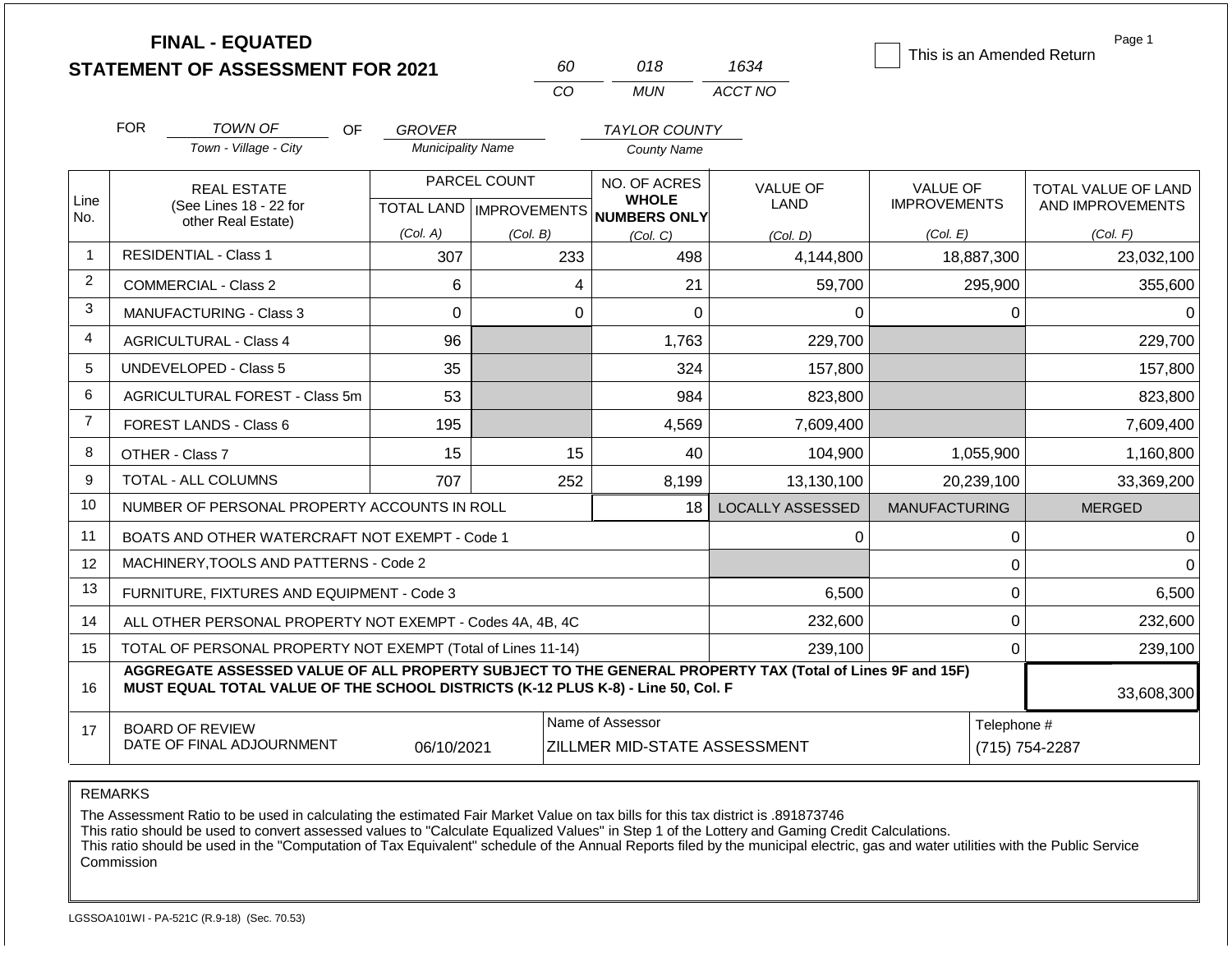|                | <b>FINAL - EQUATED</b><br><b>STATEMENT OF ASSESSMENT FOR 2021</b>                                                                                                                            |     |                          |                                           | 60          | 018                                          | 1634                    |                                 |                | Page 1<br>This is an Amended Return     |
|----------------|----------------------------------------------------------------------------------------------------------------------------------------------------------------------------------------------|-----|--------------------------|-------------------------------------------|-------------|----------------------------------------------|-------------------------|---------------------------------|----------------|-----------------------------------------|
|                |                                                                                                                                                                                              |     |                          |                                           | <b>CO</b>   | <b>MUN</b>                                   | ACCT NO                 |                                 |                |                                         |
|                | <b>FOR</b><br>TOWN OF                                                                                                                                                                        | OF. | <b>GROVER</b>            |                                           |             | <b>TAYLOR COUNTY</b>                         |                         |                                 |                |                                         |
|                | Town - Village - City                                                                                                                                                                        |     | <b>Municipality Name</b> |                                           |             | <b>County Name</b>                           |                         |                                 |                |                                         |
| Line           | <b>REAL ESTATE</b><br>(See Lines 18 - 22 for                                                                                                                                                 |     |                          | PARCEL COUNT<br>TOTAL LAND   IMPROVEMENTS |             | NO. OF ACRES<br><b>WHOLE</b><br>NUMBERS ONLY | <b>VALUE OF</b><br>LAND | VALUE OF<br><b>IMPROVEMENTS</b> |                | TOTAL VALUE OF LAND<br>AND IMPROVEMENTS |
| No.            | other Real Estate)                                                                                                                                                                           |     | (Col. A)                 | (Col. B)                                  |             | (Col, C)                                     | (Col. D)                | (Col. E)                        |                | (Col. F)                                |
| $\overline{1}$ | <b>RESIDENTIAL - Class 1</b>                                                                                                                                                                 |     | 307                      |                                           | 233         | 498                                          | 4,144,800               |                                 | 18,887,300     | 23,032,100                              |
| $\overline{2}$ | <b>COMMERCIAL - Class 2</b>                                                                                                                                                                  |     | 6                        |                                           | 4           | 21                                           | 59,700                  |                                 | 295,900        | 355,600                                 |
| 3              | MANUFACTURING - Class 3                                                                                                                                                                      |     | $\Omega$                 |                                           | $\mathbf 0$ | $\Omega$                                     | $\Omega$                |                                 | 0              | 0                                       |
| 4              | <b>AGRICULTURAL - Class 4</b>                                                                                                                                                                |     | 96                       |                                           |             | 1,763                                        | 229,700                 |                                 |                | 229,700                                 |
| 5              | UNDEVELOPED - Class 5                                                                                                                                                                        |     | 35                       |                                           |             | 324                                          | 157,800                 |                                 |                | 157,800                                 |
| 6              | AGRICULTURAL FOREST - Class 5m                                                                                                                                                               |     | 53                       |                                           |             | 984                                          | 823,800                 |                                 |                | 823,800                                 |
| $\overline{7}$ | FOREST LANDS - Class 6                                                                                                                                                                       |     | 195                      |                                           |             | 4,569                                        | 7,609,400               |                                 |                | 7,609,400                               |
| 8              | OTHER - Class 7                                                                                                                                                                              |     | 15                       |                                           | 15          | 40                                           | 104,900                 |                                 | 1,055,900      | 1,160,800                               |
| 9              | <b>TOTAL - ALL COLUMNS</b>                                                                                                                                                                   |     | 707                      |                                           | 252         | 8,199                                        | 13,130,100              |                                 | 20,239,100     | 33,369,200                              |
| 10             | NUMBER OF PERSONAL PROPERTY ACCOUNTS IN ROLL                                                                                                                                                 |     |                          |                                           |             | 18                                           | <b>LOCALLY ASSESSED</b> | <b>MANUFACTURING</b>            |                | <b>MERGED</b>                           |
| 11             | BOATS AND OTHER WATERCRAFT NOT EXEMPT - Code 1                                                                                                                                               |     |                          |                                           |             |                                              | 0                       |                                 | 0              | 0                                       |
| 12             | MACHINERY, TOOLS AND PATTERNS - Code 2                                                                                                                                                       |     |                          |                                           |             |                                              |                         |                                 | 0              | $\Omega$                                |
| 13             | FURNITURE, FIXTURES AND EQUIPMENT - Code 3                                                                                                                                                   |     |                          |                                           |             |                                              | 6,500                   |                                 | 0              | 6,500                                   |
| 14             | ALL OTHER PERSONAL PROPERTY NOT EXEMPT - Codes 4A, 4B, 4C                                                                                                                                    |     |                          |                                           |             |                                              | 232,600                 |                                 | 0              | 232,600                                 |
| 15             | TOTAL OF PERSONAL PROPERTY NOT EXEMPT (Total of Lines 11-14)                                                                                                                                 |     |                          | 239,100                                   | 0           |                                              | 239,100                 |                                 |                |                                         |
| 16             | AGGREGATE ASSESSED VALUE OF ALL PROPERTY SUBJECT TO THE GENERAL PROPERTY TAX (Total of Lines 9F and 15F)<br>MUST EQUAL TOTAL VALUE OF THE SCHOOL DISTRICTS (K-12 PLUS K-8) - Line 50, Col. F |     |                          |                                           |             |                                              |                         |                                 |                | 33,608,300                              |
| 17             | Name of Assessor<br><b>BOARD OF REVIEW</b><br>DATE OF FINAL ADJOURNMENT<br>06/10/2021<br>ZILLMER MID-STATE ASSESSMENT                                                                        |     |                          |                                           |             |                                              |                         | Telephone #                     | (715) 754-2287 |                                         |

The Assessment Ratio to be used in calculating the estimated Fair Market Value on tax bills for this tax district is .891873746

This ratio should be used to convert assessed values to "Calculate Equalized Values" in Step 1 of the Lottery and Gaming Credit Calculations.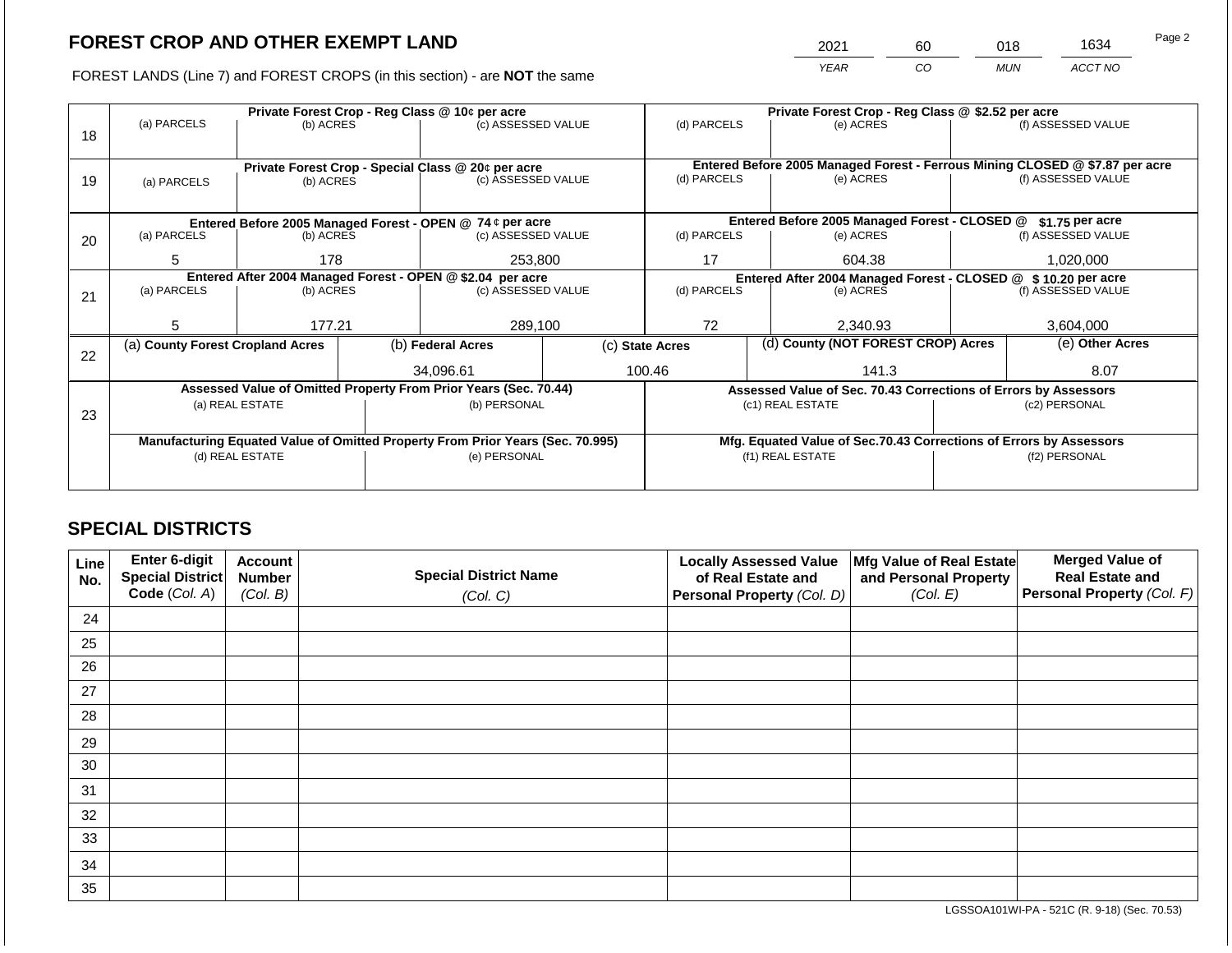2021 60 018 1634

FOREST LANDS (Line 7) and FOREST CROPS (in this section) - are **NOT** the same *YEAR CO MUN ACCT NO*

|    |                                                            |                 |                                                                                | Private Forest Crop - Reg Class @ 10¢ per acre                           |                 | Private Forest Crop - Reg Class @ \$2.52 per acre                            |                                                                    |                                                                 |               |                    |
|----|------------------------------------------------------------|-----------------|--------------------------------------------------------------------------------|--------------------------------------------------------------------------|-----------------|------------------------------------------------------------------------------|--------------------------------------------------------------------|-----------------------------------------------------------------|---------------|--------------------|
|    | (a) PARCELS                                                | (b) ACRES       |                                                                                | (c) ASSESSED VALUE                                                       |                 | (d) PARCELS                                                                  |                                                                    | (e) ACRES                                                       |               | (f) ASSESSED VALUE |
| 18 |                                                            |                 |                                                                                |                                                                          |                 |                                                                              |                                                                    |                                                                 |               |                    |
|    |                                                            |                 |                                                                                |                                                                          |                 | Entered Before 2005 Managed Forest - Ferrous Mining CLOSED @ \$7.87 per acre |                                                                    |                                                                 |               |                    |
|    |                                                            |                 |                                                                                | Private Forest Crop - Special Class @ 20¢ per acre<br>(c) ASSESSED VALUE |                 | (d) PARCELS                                                                  |                                                                    | (e) ACRES                                                       |               | (f) ASSESSED VALUE |
| 19 | (a) PARCELS                                                | (b) ACRES       |                                                                                |                                                                          |                 |                                                                              |                                                                    |                                                                 |               |                    |
|    |                                                            |                 |                                                                                |                                                                          |                 |                                                                              |                                                                    |                                                                 |               |                    |
|    |                                                            |                 |                                                                                | Entered Before 2005 Managed Forest - OPEN @ 74 ¢ per acre                |                 |                                                                              |                                                                    | Entered Before 2005 Managed Forest - CLOSED @                   |               | $$1.75$ per acre   |
| 20 | (a) PARCELS                                                | (b) ACRES       |                                                                                | (c) ASSESSED VALUE                                                       |                 | (d) PARCELS                                                                  |                                                                    | (e) ACRES                                                       |               | (f) ASSESSED VALUE |
|    |                                                            |                 |                                                                                |                                                                          |                 |                                                                              |                                                                    |                                                                 |               |                    |
|    | 5                                                          | 178             |                                                                                | 253,800                                                                  |                 | 17                                                                           |                                                                    | 604.38                                                          |               | 1,020,000          |
|    | Entered After 2004 Managed Forest - OPEN @ \$2.04 per acre |                 |                                                                                |                                                                          |                 |                                                                              | Entered After 2004 Managed Forest - CLOSED @ \$ 10.20 per acre     |                                                                 |               |                    |
| 21 | (a) PARCELS                                                | (b) ACRES       |                                                                                | (c) ASSESSED VALUE                                                       |                 | (d) PARCELS                                                                  |                                                                    | (e) ACRES                                                       |               | (f) ASSESSED VALUE |
|    |                                                            |                 |                                                                                |                                                                          |                 |                                                                              |                                                                    |                                                                 |               |                    |
|    | 5.                                                         | 177.21          |                                                                                | 289,100                                                                  |                 | 72                                                                           |                                                                    | 2,340.93                                                        |               | 3,604,000          |
|    | (a) County Forest Cropland Acres                           |                 |                                                                                | (b) Federal Acres                                                        | (c) State Acres | (d) County (NOT FOREST CROP) Acres                                           |                                                                    |                                                                 |               | (e) Other Acres    |
| 22 |                                                            |                 |                                                                                |                                                                          |                 |                                                                              |                                                                    |                                                                 |               |                    |
|    |                                                            |                 |                                                                                | 34,096.61                                                                |                 | 100.46                                                                       |                                                                    | 141.3                                                           |               | 8.07               |
|    |                                                            |                 |                                                                                | Assessed Value of Omitted Property From Prior Years (Sec. 70.44)         |                 |                                                                              |                                                                    | Assessed Value of Sec. 70.43 Corrections of Errors by Assessors |               |                    |
|    |                                                            | (a) REAL ESTATE |                                                                                | (b) PERSONAL                                                             |                 |                                                                              |                                                                    | (c1) REAL ESTATE                                                |               | (c2) PERSONAL      |
| 23 |                                                            |                 |                                                                                |                                                                          |                 |                                                                              |                                                                    |                                                                 |               |                    |
|    |                                                            |                 | Manufacturing Equated Value of Omitted Property From Prior Years (Sec. 70.995) |                                                                          |                 |                                                                              | Mfg. Equated Value of Sec.70.43 Corrections of Errors by Assessors |                                                                 |               |                    |
|    |                                                            | (d) REAL ESTATE |                                                                                | (e) PERSONAL                                                             |                 |                                                                              |                                                                    | (f1) REAL ESTATE                                                | (f2) PERSONAL |                    |
|    |                                                            |                 |                                                                                |                                                                          |                 |                                                                              |                                                                    |                                                                 |               |                    |
|    |                                                            |                 |                                                                                |                                                                          |                 |                                                                              |                                                                    |                                                                 |               |                    |

## **SPECIAL DISTRICTS**

| Line<br>No. | Enter 6-digit<br>Special District<br>Code (Col. A) | <b>Account</b><br><b>Number</b><br>(Col. B) | <b>Special District Name</b><br>(Col. C) | <b>Locally Assessed Value</b><br>of Real Estate and<br><b>Personal Property (Col. D)</b> | Mfg Value of Real Estate<br>and Personal Property<br>(Col. E) | <b>Merged Value of</b><br><b>Real Estate and</b><br>Personal Property (Col. F) |
|-------------|----------------------------------------------------|---------------------------------------------|------------------------------------------|------------------------------------------------------------------------------------------|---------------------------------------------------------------|--------------------------------------------------------------------------------|
| 24          |                                                    |                                             |                                          |                                                                                          |                                                               |                                                                                |
| 25          |                                                    |                                             |                                          |                                                                                          |                                                               |                                                                                |
| 26          |                                                    |                                             |                                          |                                                                                          |                                                               |                                                                                |
| 27          |                                                    |                                             |                                          |                                                                                          |                                                               |                                                                                |
| 28          |                                                    |                                             |                                          |                                                                                          |                                                               |                                                                                |
| 29          |                                                    |                                             |                                          |                                                                                          |                                                               |                                                                                |
| 30          |                                                    |                                             |                                          |                                                                                          |                                                               |                                                                                |
| 31          |                                                    |                                             |                                          |                                                                                          |                                                               |                                                                                |
| 32          |                                                    |                                             |                                          |                                                                                          |                                                               |                                                                                |
| 33          |                                                    |                                             |                                          |                                                                                          |                                                               |                                                                                |
| 34          |                                                    |                                             |                                          |                                                                                          |                                                               |                                                                                |
| 35          |                                                    |                                             |                                          |                                                                                          |                                                               |                                                                                |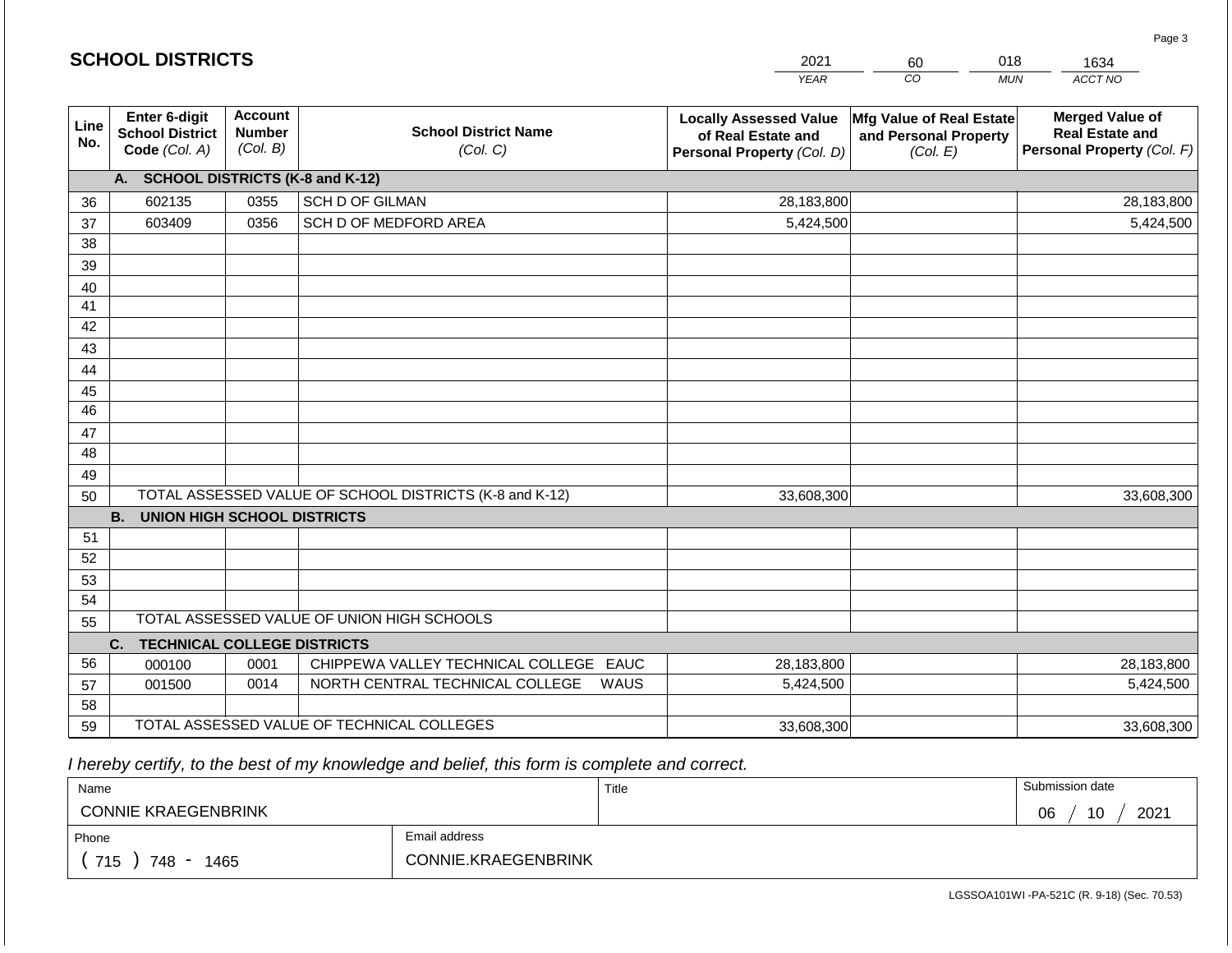|             | <b>SCHOOL DISTRICTS</b>                                         |                                             |                                                         | 2021                                                                              | 60                                                            | 018<br>1634                                                                    |
|-------------|-----------------------------------------------------------------|---------------------------------------------|---------------------------------------------------------|-----------------------------------------------------------------------------------|---------------------------------------------------------------|--------------------------------------------------------------------------------|
|             |                                                                 |                                             |                                                         | <b>YEAR</b>                                                                       | CO                                                            | ACCT NO<br><b>MUN</b>                                                          |
| Line<br>No. | <b>Enter 6-digit</b><br><b>School District</b><br>Code (Col. A) | <b>Account</b><br><b>Number</b><br>(Col. B) | <b>School District Name</b><br>(Col. C)                 | <b>Locally Assessed Value</b><br>of Real Estate and<br>Personal Property (Col. D) | Mfg Value of Real Estate<br>and Personal Property<br>(Col. E) | <b>Merged Value of</b><br><b>Real Estate and</b><br>Personal Property (Col. F) |
|             | A. SCHOOL DISTRICTS (K-8 and K-12)                              |                                             |                                                         |                                                                                   |                                                               |                                                                                |
| 36          | 602135                                                          | 0355                                        | <b>SCH D OF GILMAN</b>                                  | 28,183,800                                                                        |                                                               | 28,183,800                                                                     |
| 37          | 603409                                                          | 0356                                        | SCH D OF MEDFORD AREA                                   | 5,424,500                                                                         |                                                               | 5,424,500                                                                      |
| 38          |                                                                 |                                             |                                                         |                                                                                   |                                                               |                                                                                |
| 39          |                                                                 |                                             |                                                         |                                                                                   |                                                               |                                                                                |
| 40          |                                                                 |                                             |                                                         |                                                                                   |                                                               |                                                                                |
| 41          |                                                                 |                                             |                                                         |                                                                                   |                                                               |                                                                                |
| 42          |                                                                 |                                             |                                                         |                                                                                   |                                                               |                                                                                |
| 43          |                                                                 |                                             |                                                         |                                                                                   |                                                               |                                                                                |
| 44          |                                                                 |                                             |                                                         |                                                                                   |                                                               |                                                                                |
| 45<br>46    |                                                                 |                                             |                                                         |                                                                                   |                                                               |                                                                                |
| 47          |                                                                 |                                             |                                                         |                                                                                   |                                                               |                                                                                |
| 48          |                                                                 |                                             |                                                         |                                                                                   |                                                               |                                                                                |
| 49          |                                                                 |                                             |                                                         |                                                                                   |                                                               |                                                                                |
| 50          |                                                                 |                                             | TOTAL ASSESSED VALUE OF SCHOOL DISTRICTS (K-8 and K-12) | 33,608,300                                                                        |                                                               | 33,608,300                                                                     |
|             | <b>B.</b><br><b>UNION HIGH SCHOOL DISTRICTS</b>                 |                                             |                                                         |                                                                                   |                                                               |                                                                                |
| 51          |                                                                 |                                             |                                                         |                                                                                   |                                                               |                                                                                |
| 52          |                                                                 |                                             |                                                         |                                                                                   |                                                               |                                                                                |
| 53          |                                                                 |                                             |                                                         |                                                                                   |                                                               |                                                                                |
| 54          |                                                                 |                                             |                                                         |                                                                                   |                                                               |                                                                                |
| 55          |                                                                 |                                             | TOTAL ASSESSED VALUE OF UNION HIGH SCHOOLS              |                                                                                   |                                                               |                                                                                |
|             | <b>TECHNICAL COLLEGE DISTRICTS</b><br>C.                        |                                             |                                                         |                                                                                   |                                                               |                                                                                |
| 56          | 000100                                                          | 0001                                        | CHIPPEWA VALLEY TECHNICAL COLLEGE EAUC                  | 28,183,800                                                                        |                                                               | 28,183,800                                                                     |
| 57          | 001500                                                          | 0014                                        | NORTH CENTRAL TECHNICAL COLLEGE<br>WAUS                 | 5,424,500                                                                         |                                                               | 5,424,500                                                                      |
| 58          |                                                                 |                                             |                                                         |                                                                                   |                                                               |                                                                                |
| 59          |                                                                 |                                             | TOTAL ASSESSED VALUE OF TECHNICAL COLLEGES              | 33,608,300                                                                        |                                                               | 33,608,300                                                                     |

 *I hereby certify, to the best of my knowledge and belief, this form is complete and correct.*

| Name                       |                     | Title | Submission date  |
|----------------------------|---------------------|-------|------------------|
| <b>CONNIE KRAEGENBRINK</b> |                     |       | 2021<br>10<br>06 |
| Phone                      | Email address       |       |                  |
| 715<br>748<br>1465         | CONNIE.KRAEGENBRINK |       |                  |

Page 3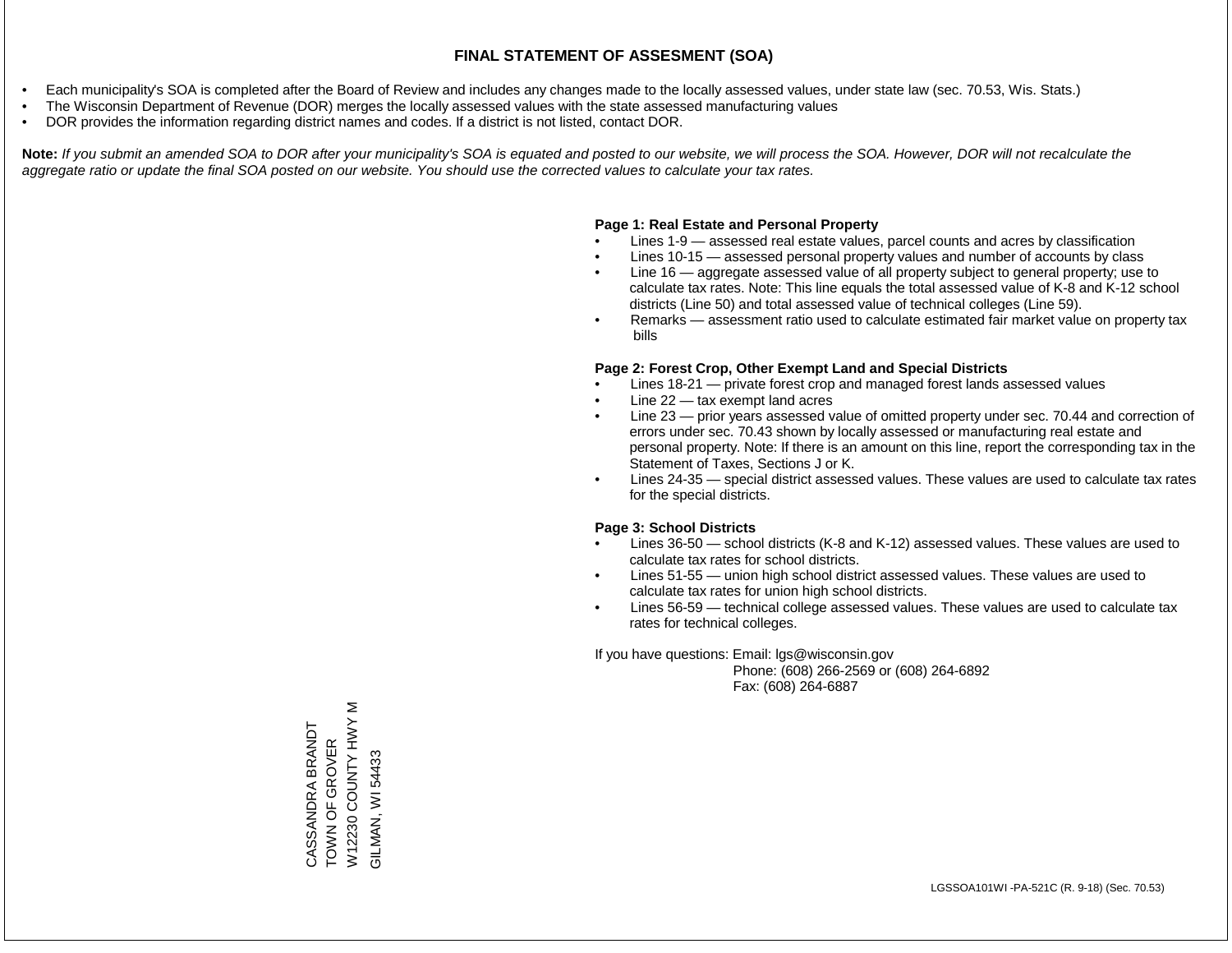- Each municipality's SOA is completed after the Board of Review and includes any changes made to the locally assessed values, under state law (sec. 70.53, Wis. Stats.)
- The Wisconsin Department of Revenue (DOR) merges the locally assessed values with the state assessed manufacturing values
- DOR provides the information regarding district names and codes. If a district is not listed, contact DOR.

Note: If you submit an amended SOA to DOR after your municipality's SOA is equated and posted to our website, we will process the SOA. However, DOR will not recalculate the *aggregate ratio or update the final SOA posted on our website. You should use the corrected values to calculate your tax rates.*

#### **Page 1: Real Estate and Personal Property**

- Lines 1-9 assessed real estate values, parcel counts and acres by classification
- Lines 10-15 assessed personal property values and number of accounts by class
- Line 16 aggregate assessed value of all property subject to general property; use to calculate tax rates. Note: This line equals the total assessed value of K-8 and K-12 school districts (Line 50) and total assessed value of technical colleges (Line 59).
- Remarks assessment ratio used to calculate estimated fair market value on property tax bills

#### **Page 2: Forest Crop, Other Exempt Land and Special Districts**

- Lines 18-21 private forest crop and managed forest lands assessed values
- Line  $22 -$  tax exempt land acres
- Line 23 prior years assessed value of omitted property under sec. 70.44 and correction of errors under sec. 70.43 shown by locally assessed or manufacturing real estate and personal property. Note: If there is an amount on this line, report the corresponding tax in the Statement of Taxes, Sections J or K.
- Lines 24-35 special district assessed values. These values are used to calculate tax rates for the special districts.

#### **Page 3: School Districts**

- Lines 36-50 school districts (K-8 and K-12) assessed values. These values are used to calculate tax rates for school districts.
- Lines 51-55 union high school district assessed values. These values are used to calculate tax rates for union high school districts.
- Lines 56-59 technical college assessed values. These values are used to calculate tax rates for technical colleges.

If you have questions: Email: lgs@wisconsin.gov

 Phone: (608) 266-2569 or (608) 264-6892 Fax: (608) 264-6887

 $\geq$ W12230 COUNTY HWY M W12230 COUNTY HWY CASSANDRA BRANDT<br>TOWN OF GROVER CASSANDRA BRANDT TOWN OF GROVER **GILMAN, WI 54433** GILMAN, WI 54433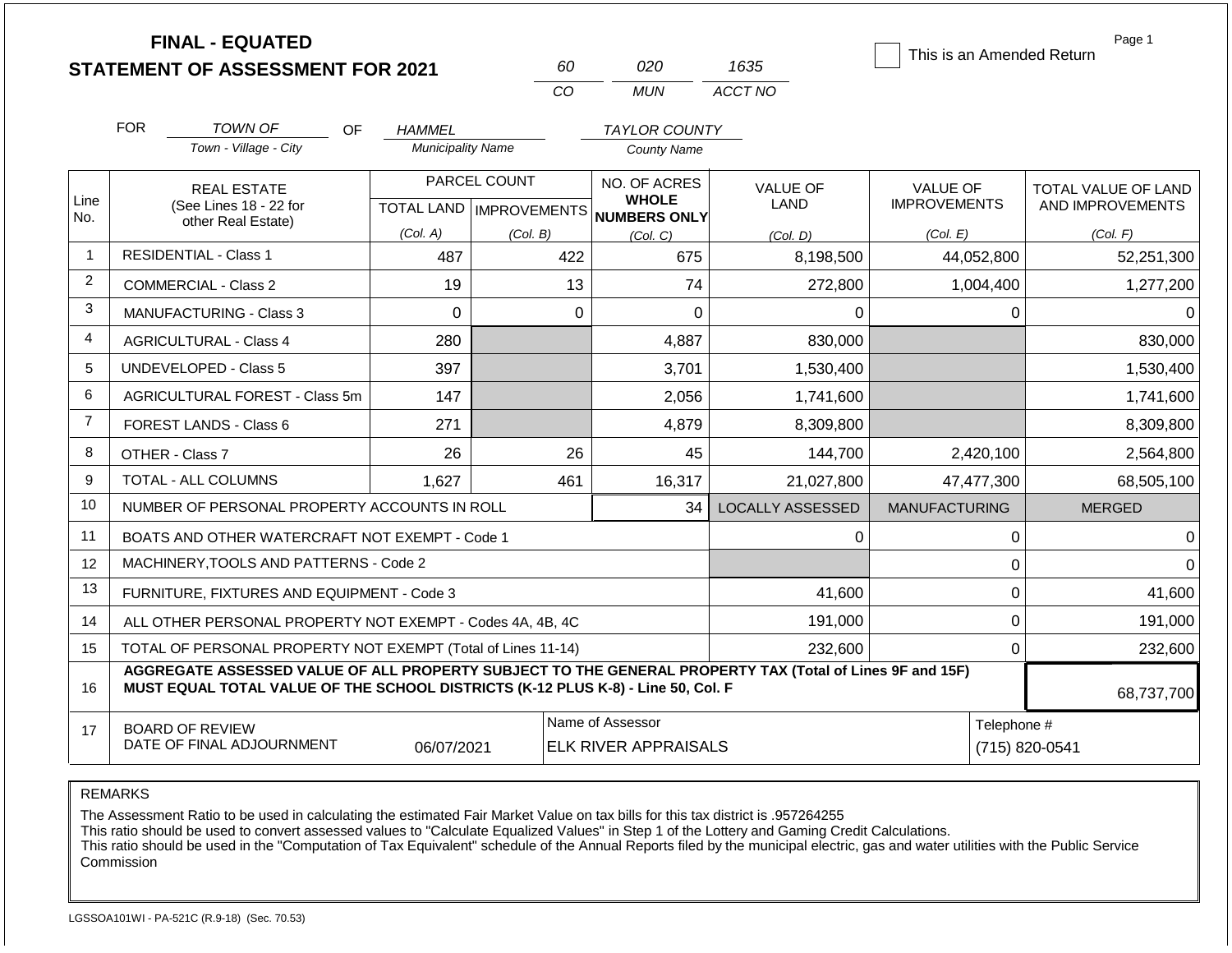|                |            | <b>FINAL - EQUATED</b><br><b>STATEMENT OF ASSESSMENT FOR 2021</b>                                                                                                                            |                          | 60                                               | 020                                                                              | 1635                    | This is an Amended Return              | Page 1                                  |
|----------------|------------|----------------------------------------------------------------------------------------------------------------------------------------------------------------------------------------------|--------------------------|--------------------------------------------------|----------------------------------------------------------------------------------|-------------------------|----------------------------------------|-----------------------------------------|
|                |            |                                                                                                                                                                                              |                          | CO                                               | <b>MUN</b>                                                                       | ACCT NO                 |                                        |                                         |
|                | <b>FOR</b> | <b>TOWN OF</b><br>OF.                                                                                                                                                                        | <b>HAMMEL</b>            |                                                  | <b>TAYLOR COUNTY</b>                                                             |                         |                                        |                                         |
|                |            | Town - Village - City                                                                                                                                                                        | <b>Municipality Name</b> |                                                  | <b>County Name</b>                                                               |                         |                                        |                                         |
| Line           |            | <b>REAL ESTATE</b><br>(See Lines 18 - 22 for                                                                                                                                                 |                          | PARCEL COUNT<br><b>TOTAL LAND   IMPROVEMENTS</b> | NO. OF ACRES<br><b>WHOLE</b>                                                     | <b>VALUE OF</b><br>LAND | <b>VALUE OF</b><br><b>IMPROVEMENTS</b> | TOTAL VALUE OF LAND<br>AND IMPROVEMENTS |
| No.            |            | other Real Estate)                                                                                                                                                                           | (Col. A)                 | (Col. B)                                         | <b>NUMBERS ONLY</b><br>(Col, C)                                                  | (Col, D)                | (Col. E)                               | (Col. F)                                |
| $\mathbf{1}$   |            | <b>RESIDENTIAL - Class 1</b>                                                                                                                                                                 | 487                      | 422                                              | 675                                                                              | 8,198,500               | 44,052,800                             | 52,251,300                              |
| $\overline{2}$ |            | COMMERCIAL - Class 2                                                                                                                                                                         | 19                       |                                                  | 13<br>74                                                                         | 272,800                 | 1,004,400                              | 1,277,200                               |
| 3              |            | <b>MANUFACTURING - Class 3</b>                                                                                                                                                               | $\Omega$                 |                                                  | 0<br>$\Omega$                                                                    | 0                       |                                        | 0<br>0                                  |
| 4              |            | <b>AGRICULTURAL - Class 4</b>                                                                                                                                                                | 280                      |                                                  | 4,887                                                                            | 830,000                 |                                        | 830,000                                 |
| 5              |            | <b>UNDEVELOPED - Class 5</b>                                                                                                                                                                 | 397                      |                                                  | 3,701                                                                            | 1,530,400               |                                        | 1,530,400                               |
| 6              |            | AGRICULTURAL FOREST - Class 5m                                                                                                                                                               | 147                      |                                                  | 2,056                                                                            | 1,741,600               |                                        | 1,741,600                               |
| $\overline{7}$ |            | FOREST LANDS - Class 6                                                                                                                                                                       | 271                      |                                                  | 4,879                                                                            | 8,309,800               |                                        | 8,309,800                               |
| 8              |            | OTHER - Class 7                                                                                                                                                                              | 26                       |                                                  | 26<br>45                                                                         | 144,700                 | 2,420,100                              | 2,564,800                               |
| 9              |            | TOTAL - ALL COLUMNS                                                                                                                                                                          | 1,627                    | 461                                              | 16,317                                                                           | 21,027,800              | 47,477,300                             | 68,505,100                              |
| 10             |            | NUMBER OF PERSONAL PROPERTY ACCOUNTS IN ROLL                                                                                                                                                 |                          |                                                  | 34                                                                               | <b>LOCALLY ASSESSED</b> | <b>MANUFACTURING</b>                   | <b>MERGED</b>                           |
| 11             |            | BOATS AND OTHER WATERCRAFT NOT EXEMPT - Code 1                                                                                                                                               |                          |                                                  |                                                                                  | 0                       |                                        | $\pmb{0}$<br>0                          |
| 12             |            | MACHINERY, TOOLS AND PATTERNS - Code 2                                                                                                                                                       |                          |                                                  |                                                                                  |                         |                                        | $\mathbf 0$<br>$\Omega$                 |
| 13             |            | FURNITURE, FIXTURES AND EQUIPMENT - Code 3                                                                                                                                                   |                          |                                                  |                                                                                  | 41,600                  |                                        | $\mathbf 0$<br>41,600                   |
| 14             |            | ALL OTHER PERSONAL PROPERTY NOT EXEMPT - Codes 4A, 4B, 4C                                                                                                                                    |                          |                                                  |                                                                                  | 191,000                 |                                        | $\mathbf 0$<br>191,000                  |
| 15             |            | TOTAL OF PERSONAL PROPERTY NOT EXEMPT (Total of Lines 11-14)                                                                                                                                 |                          |                                                  |                                                                                  | 232,600                 |                                        | $\mathbf 0$<br>232,600                  |
| 16             |            | AGGREGATE ASSESSED VALUE OF ALL PROPERTY SUBJECT TO THE GENERAL PROPERTY TAX (Total of Lines 9F and 15F)<br>MUST EQUAL TOTAL VALUE OF THE SCHOOL DISTRICTS (K-12 PLUS K-8) - Line 50, Col. F |                          |                                                  |                                                                                  |                         |                                        | 68,737,700                              |
| 17             |            | <b>BOARD OF REVIEW</b><br>DATE OF FINAL ADJOURNMENT                                                                                                                                          | 06/07/2021               |                                                  | Name of Assessor<br>Telephone #<br><b>ELK RIVER APPRAISALS</b><br>(715) 820-0541 |                         |                                        |                                         |

The Assessment Ratio to be used in calculating the estimated Fair Market Value on tax bills for this tax district is .957264255

This ratio should be used to convert assessed values to "Calculate Equalized Values" in Step 1 of the Lottery and Gaming Credit Calculations.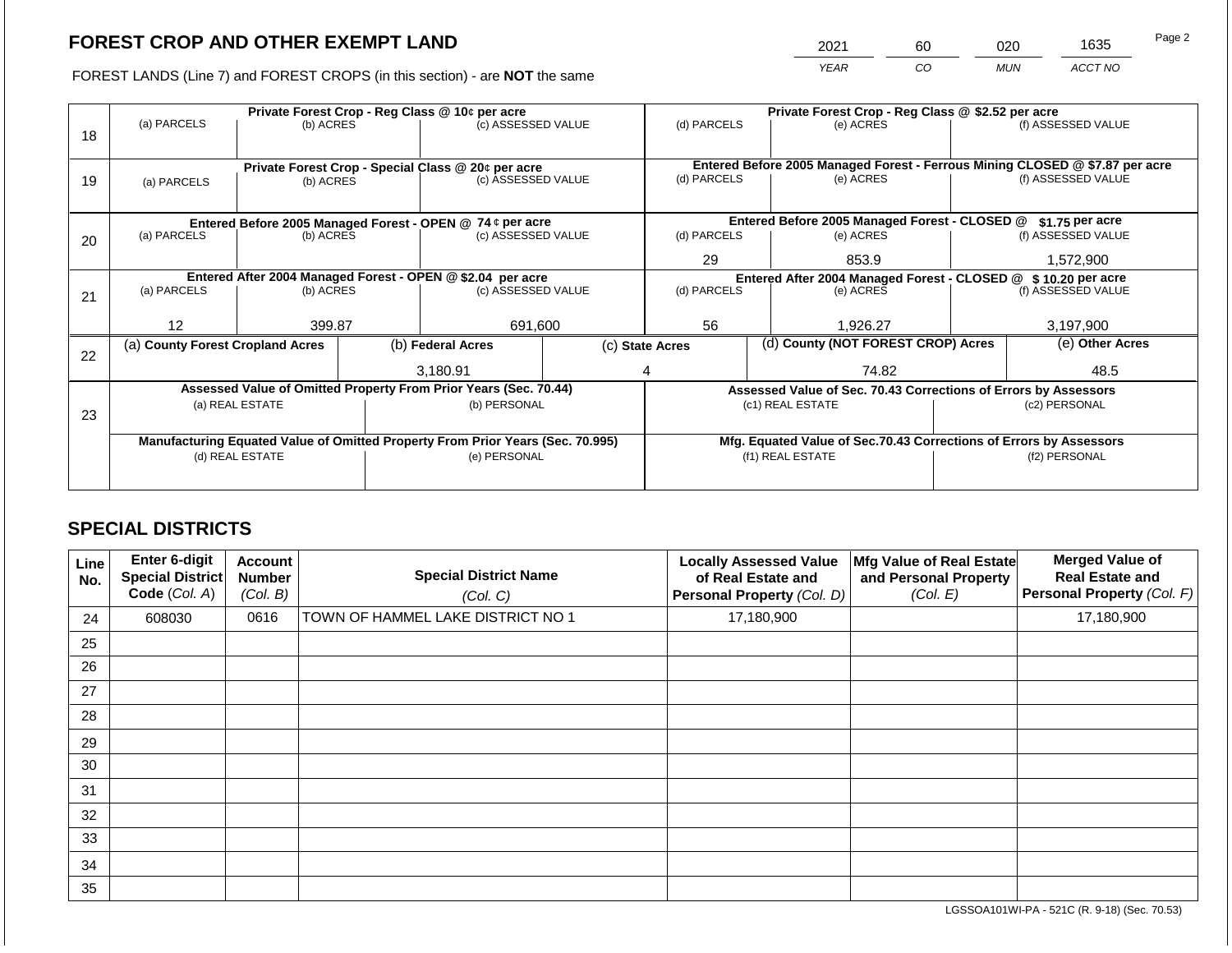2021 60 020 1635

FOREST LANDS (Line 7) and FOREST CROPS (in this section) - are **NOT** the same *YEAR CO MUN ACCT NO*

|    |                                                           |                                                                                |                    | Private Forest Crop - Reg Class @ 10¢ per acre                           |                                               |                                                                    |                 | Private Forest Crop - Reg Class @ \$2.52 per acre |                                                                 |                                                                              |
|----|-----------------------------------------------------------|--------------------------------------------------------------------------------|--------------------|--------------------------------------------------------------------------|-----------------------------------------------|--------------------------------------------------------------------|-----------------|---------------------------------------------------|-----------------------------------------------------------------|------------------------------------------------------------------------------|
| 18 | (a) PARCELS                                               | (b) ACRES                                                                      |                    | (c) ASSESSED VALUE                                                       |                                               | (d) PARCELS                                                        |                 | (e) ACRES                                         |                                                                 | (f) ASSESSED VALUE                                                           |
|    |                                                           |                                                                                |                    |                                                                          |                                               |                                                                    |                 |                                                   |                                                                 |                                                                              |
|    |                                                           |                                                                                |                    |                                                                          |                                               |                                                                    |                 |                                                   |                                                                 | Entered Before 2005 Managed Forest - Ferrous Mining CLOSED @ \$7.87 per acre |
| 19 | (a) PARCELS                                               | (b) ACRES                                                                      |                    | Private Forest Crop - Special Class @ 20¢ per acre<br>(c) ASSESSED VALUE |                                               | (d) PARCELS                                                        |                 | (e) ACRES                                         |                                                                 | (f) ASSESSED VALUE                                                           |
|    |                                                           |                                                                                |                    |                                                                          |                                               |                                                                    |                 |                                                   |                                                                 |                                                                              |
|    |                                                           |                                                                                |                    |                                                                          |                                               |                                                                    |                 |                                                   |                                                                 |                                                                              |
|    | Entered Before 2005 Managed Forest - OPEN @ 74 ¢ per acre |                                                                                |                    |                                                                          | Entered Before 2005 Managed Forest - CLOSED @ |                                                                    | \$1.75 per acre |                                                   |                                                                 |                                                                              |
| 20 | (a) PARCELS                                               | (b) ACRES                                                                      | (c) ASSESSED VALUE |                                                                          | (d) PARCELS                                   |                                                                    | (e) ACRES       |                                                   | (f) ASSESSED VALUE                                              |                                                                              |
|    |                                                           |                                                                                |                    |                                                                          |                                               | 29                                                                 |                 | 853.9                                             |                                                                 | 1,572,900                                                                    |
|    |                                                           |                                                                                |                    | Entered After 2004 Managed Forest - OPEN @ \$2.04 per acre               |                                               |                                                                    |                 |                                                   | Entered After 2004 Managed Forest - CLOSED @ \$10.20 per acre   |                                                                              |
|    | (a) PARCELS                                               | (b) ACRES                                                                      |                    | (c) ASSESSED VALUE                                                       |                                               | (d) PARCELS                                                        |                 | (e) ACRES                                         |                                                                 | (f) ASSESSED VALUE                                                           |
| 21 |                                                           |                                                                                |                    |                                                                          |                                               |                                                                    |                 |                                                   |                                                                 |                                                                              |
|    | 12                                                        | 399.87                                                                         |                    | 691,600                                                                  |                                               | 56                                                                 |                 | 1,926.27                                          |                                                                 | 3,197,900                                                                    |
|    |                                                           |                                                                                |                    | (b) Federal Acres                                                        |                                               |                                                                    |                 | (d) County (NOT FOREST CROP) Acres                |                                                                 | (e) Other Acres                                                              |
| 22 | (a) County Forest Cropland Acres                          |                                                                                |                    |                                                                          |                                               | (c) State Acres                                                    |                 |                                                   |                                                                 |                                                                              |
|    |                                                           |                                                                                |                    | 3,180.91                                                                 |                                               | 74.82                                                              |                 |                                                   | 48.5                                                            |                                                                              |
|    |                                                           |                                                                                |                    | Assessed Value of Omitted Property From Prior Years (Sec. 70.44)         |                                               |                                                                    |                 |                                                   | Assessed Value of Sec. 70.43 Corrections of Errors by Assessors |                                                                              |
|    |                                                           | (a) REAL ESTATE                                                                |                    | (b) PERSONAL                                                             |                                               |                                                                    |                 | (c1) REAL ESTATE                                  |                                                                 | (c2) PERSONAL                                                                |
| 23 |                                                           |                                                                                |                    |                                                                          |                                               |                                                                    |                 |                                                   |                                                                 |                                                                              |
|    |                                                           | Manufacturing Equated Value of Omitted Property From Prior Years (Sec. 70.995) |                    |                                                                          |                                               | Mfg. Equated Value of Sec.70.43 Corrections of Errors by Assessors |                 |                                                   |                                                                 |                                                                              |
|    | (d) REAL ESTATE                                           |                                                                                | (e) PERSONAL       |                                                                          |                                               | (f1) REAL ESTATE                                                   |                 |                                                   | (f2) PERSONAL                                                   |                                                                              |
|    |                                                           |                                                                                |                    |                                                                          |                                               |                                                                    |                 |                                                   |                                                                 |                                                                              |
|    |                                                           |                                                                                |                    |                                                                          |                                               |                                                                    |                 |                                                   |                                                                 |                                                                              |

# **SPECIAL DISTRICTS**

| Line<br>No. | <b>Enter 6-digit</b><br>Special District<br>Code (Col. A) | <b>Account</b><br><b>Number</b><br>(Col. B) | <b>Special District Name</b><br>(Col. C) | <b>Locally Assessed Value</b><br>of Real Estate and<br>Personal Property (Col. D) | Mfg Value of Real Estate<br>and Personal Property<br>(Col. E) | <b>Merged Value of</b><br><b>Real Estate and</b><br><b>Personal Property (Col. F)</b> |
|-------------|-----------------------------------------------------------|---------------------------------------------|------------------------------------------|-----------------------------------------------------------------------------------|---------------------------------------------------------------|---------------------------------------------------------------------------------------|
| 24          | 608030                                                    | 0616                                        | TOWN OF HAMMEL LAKE DISTRICT NO 1        | 17,180,900                                                                        |                                                               | 17,180,900                                                                            |
| 25          |                                                           |                                             |                                          |                                                                                   |                                                               |                                                                                       |
| 26          |                                                           |                                             |                                          |                                                                                   |                                                               |                                                                                       |
| 27          |                                                           |                                             |                                          |                                                                                   |                                                               |                                                                                       |
| 28          |                                                           |                                             |                                          |                                                                                   |                                                               |                                                                                       |
| 29          |                                                           |                                             |                                          |                                                                                   |                                                               |                                                                                       |
| 30          |                                                           |                                             |                                          |                                                                                   |                                                               |                                                                                       |
| 31          |                                                           |                                             |                                          |                                                                                   |                                                               |                                                                                       |
| 32          |                                                           |                                             |                                          |                                                                                   |                                                               |                                                                                       |
| 33          |                                                           |                                             |                                          |                                                                                   |                                                               |                                                                                       |
| 34          |                                                           |                                             |                                          |                                                                                   |                                                               |                                                                                       |
| 35          |                                                           |                                             |                                          |                                                                                   |                                                               |                                                                                       |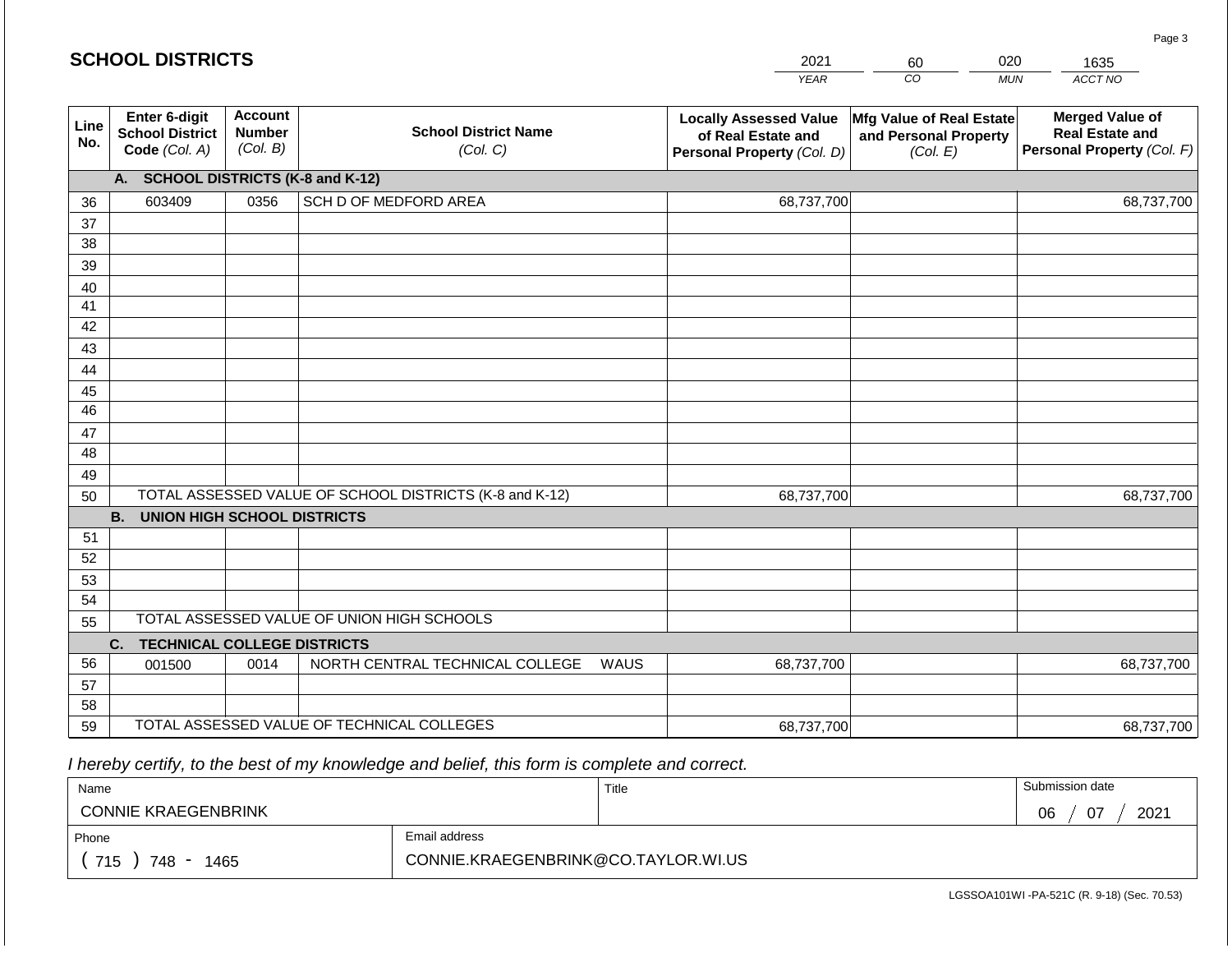|             | <b>SCHOOL DISTRICTS</b>                                  |                                             |                                                         |      | 2021                                                                              | 60                                                            | 020<br>1635                                                                    |
|-------------|----------------------------------------------------------|---------------------------------------------|---------------------------------------------------------|------|-----------------------------------------------------------------------------------|---------------------------------------------------------------|--------------------------------------------------------------------------------|
|             |                                                          |                                             |                                                         |      | <b>YEAR</b>                                                                       | CO                                                            | ACCT NO<br><b>MUN</b>                                                          |
| Line<br>No. | Enter 6-digit<br><b>School District</b><br>Code (Col. A) | <b>Account</b><br><b>Number</b><br>(Col. B) | <b>School District Name</b><br>(Col. C)                 |      | <b>Locally Assessed Value</b><br>of Real Estate and<br>Personal Property (Col. D) | Mfg Value of Real Estate<br>and Personal Property<br>(Col. E) | <b>Merged Value of</b><br><b>Real Estate and</b><br>Personal Property (Col. F) |
|             | <b>SCHOOL DISTRICTS (K-8 and K-12)</b><br><b>A.</b>      |                                             |                                                         |      |                                                                                   |                                                               |                                                                                |
| 36          | 603409                                                   | 0356                                        | SCH D OF MEDFORD AREA                                   |      | 68,737,700                                                                        |                                                               | 68,737,700                                                                     |
| 37          |                                                          |                                             |                                                         |      |                                                                                   |                                                               |                                                                                |
| 38          |                                                          |                                             |                                                         |      |                                                                                   |                                                               |                                                                                |
| 39          |                                                          |                                             |                                                         |      |                                                                                   |                                                               |                                                                                |
| 40          |                                                          |                                             |                                                         |      |                                                                                   |                                                               |                                                                                |
| 41<br>42    |                                                          |                                             |                                                         |      |                                                                                   |                                                               |                                                                                |
| 43          |                                                          |                                             |                                                         |      |                                                                                   |                                                               |                                                                                |
| 44          |                                                          |                                             |                                                         |      |                                                                                   |                                                               |                                                                                |
| 45          |                                                          |                                             |                                                         |      |                                                                                   |                                                               |                                                                                |
| 46          |                                                          |                                             |                                                         |      |                                                                                   |                                                               |                                                                                |
| 47          |                                                          |                                             |                                                         |      |                                                                                   |                                                               |                                                                                |
| 48          |                                                          |                                             |                                                         |      |                                                                                   |                                                               |                                                                                |
| 49          |                                                          |                                             |                                                         |      |                                                                                   |                                                               |                                                                                |
| 50          |                                                          |                                             | TOTAL ASSESSED VALUE OF SCHOOL DISTRICTS (K-8 and K-12) |      | 68,737,700                                                                        |                                                               | 68,737,700                                                                     |
|             | <b>B.</b><br><b>UNION HIGH SCHOOL DISTRICTS</b>          |                                             |                                                         |      |                                                                                   |                                                               |                                                                                |
| 51          |                                                          |                                             |                                                         |      |                                                                                   |                                                               |                                                                                |
| 52          |                                                          |                                             |                                                         |      |                                                                                   |                                                               |                                                                                |
| 53          |                                                          |                                             |                                                         |      |                                                                                   |                                                               |                                                                                |
| 54          |                                                          |                                             | TOTAL ASSESSED VALUE OF UNION HIGH SCHOOLS              |      |                                                                                   |                                                               |                                                                                |
| 55          |                                                          |                                             |                                                         |      |                                                                                   |                                                               |                                                                                |
| 56          | <b>TECHNICAL COLLEGE DISTRICTS</b><br>C.<br>001500       | 0014                                        | NORTH CENTRAL TECHNICAL COLLEGE                         | WAUS | 68,737,700                                                                        |                                                               | 68,737,700                                                                     |
| 57          |                                                          |                                             |                                                         |      |                                                                                   |                                                               |                                                                                |
| 58          |                                                          |                                             |                                                         |      |                                                                                   |                                                               |                                                                                |
| 59          |                                                          |                                             | TOTAL ASSESSED VALUE OF TECHNICAL COLLEGES              |      | 68,737,700                                                                        |                                                               | 68,737,700                                                                     |

| Name                       |                                     | Title | Submission date  |
|----------------------------|-------------------------------------|-------|------------------|
| <b>CONNIE KRAEGENBRINK</b> |                                     |       | 2021<br>07<br>06 |
| Phone                      | Email address                       |       |                  |
| 715<br>748<br>1465         | CONNIE.KRAEGENBRINK@CO.TAYLOR.WI.US |       |                  |

LGSSOA101WI -PA-521C (R. 9-18) (Sec. 70.53)

Page 3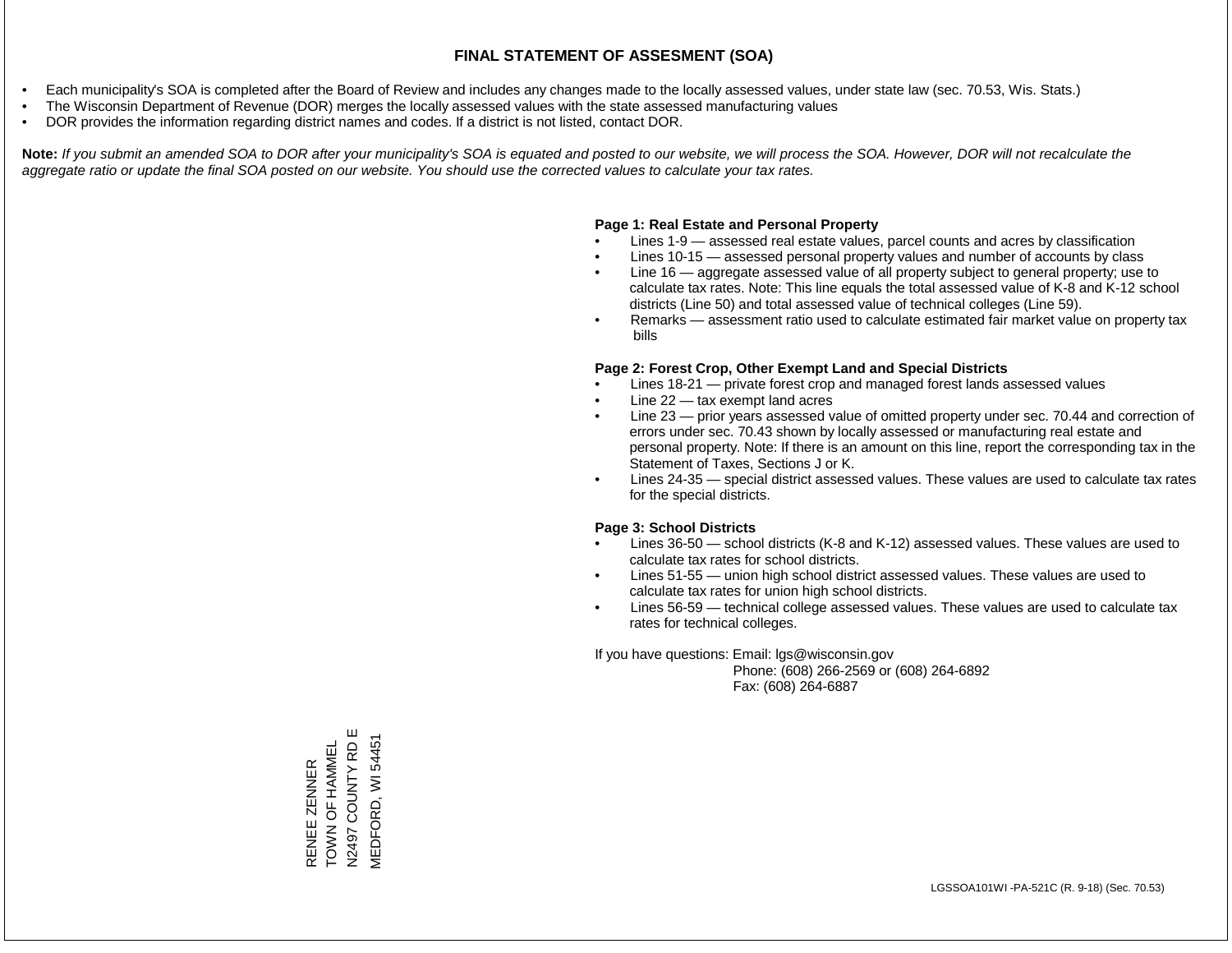- Each municipality's SOA is completed after the Board of Review and includes any changes made to the locally assessed values, under state law (sec. 70.53, Wis. Stats.)
- The Wisconsin Department of Revenue (DOR) merges the locally assessed values with the state assessed manufacturing values
- DOR provides the information regarding district names and codes. If a district is not listed, contact DOR.

Note: If you submit an amended SOA to DOR after your municipality's SOA is equated and posted to our website, we will process the SOA. However, DOR will not recalculate the *aggregate ratio or update the final SOA posted on our website. You should use the corrected values to calculate your tax rates.*

#### **Page 1: Real Estate and Personal Property**

- Lines 1-9 assessed real estate values, parcel counts and acres by classification
- Lines 10-15 assessed personal property values and number of accounts by class
- Line 16 aggregate assessed value of all property subject to general property; use to calculate tax rates. Note: This line equals the total assessed value of K-8 and K-12 school districts (Line 50) and total assessed value of technical colleges (Line 59).
- Remarks assessment ratio used to calculate estimated fair market value on property tax bills

#### **Page 2: Forest Crop, Other Exempt Land and Special Districts**

- Lines 18-21 private forest crop and managed forest lands assessed values
- Line  $22 -$  tax exempt land acres
- Line 23 prior years assessed value of omitted property under sec. 70.44 and correction of errors under sec. 70.43 shown by locally assessed or manufacturing real estate and personal property. Note: If there is an amount on this line, report the corresponding tax in the Statement of Taxes, Sections J or K.
- Lines 24-35 special district assessed values. These values are used to calculate tax rates for the special districts.

#### **Page 3: School Districts**

- Lines 36-50 school districts (K-8 and K-12) assessed values. These values are used to calculate tax rates for school districts.
- Lines 51-55 union high school district assessed values. These values are used to calculate tax rates for union high school districts.
- Lines 56-59 technical college assessed values. These values are used to calculate tax rates for technical colleges.

If you have questions: Email: lgs@wisconsin.gov

 Phone: (608) 266-2569 or (608) 264-6892 Fax: (608) 264-6887

RENEE ZENNER<br>TOWN OF HAMMEL<br>N2497 COUNTY RD E N2497 COUNTY RD E **MEDFORD, WI 54451** MEDFORD, WI 54451TOWN OF HAMMEL RENEE ZENNER

Ш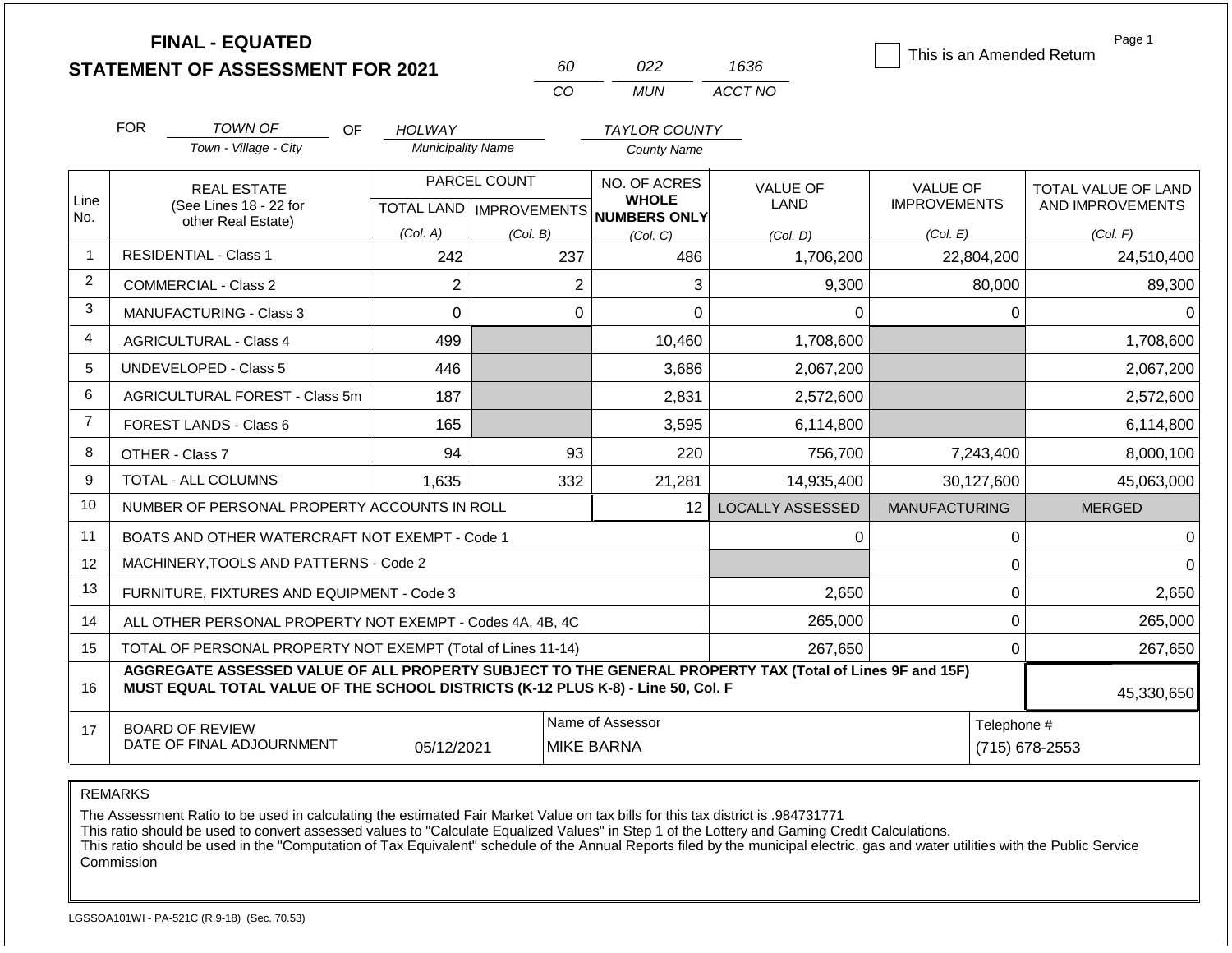|                | <b>FINAL - EQUATED</b><br><b>STATEMENT OF ASSESSMENT FOR 2021</b>                                                                                                                            |                          | 60                                        | 022                                          | 1636                    | This is an Amended Return              | Page 1                                  |
|----------------|----------------------------------------------------------------------------------------------------------------------------------------------------------------------------------------------|--------------------------|-------------------------------------------|----------------------------------------------|-------------------------|----------------------------------------|-----------------------------------------|
|                |                                                                                                                                                                                              |                          | <b>CO</b>                                 | <b>MUN</b>                                   | ACCT NO                 |                                        |                                         |
|                | <b>FOR</b><br><b>TOWN OF</b><br>OF.                                                                                                                                                          | HOLWAY                   |                                           | <b>TAYLOR COUNTY</b>                         |                         |                                        |                                         |
|                | Town - Village - City                                                                                                                                                                        | <b>Municipality Name</b> |                                           | <b>County Name</b>                           |                         |                                        |                                         |
| Line<br>No.    | <b>REAL ESTATE</b><br>(See Lines 18 - 22 for                                                                                                                                                 |                          | PARCEL COUNT<br>TOTAL LAND   IMPROVEMENTS | NO. OF ACRES<br><b>WHOLE</b><br>NUMBERS ONLY | VALUE OF<br>LAND        | <b>VALUE OF</b><br><b>IMPROVEMENTS</b> | TOTAL VALUE OF LAND<br>AND IMPROVEMENTS |
|                | other Real Estate)                                                                                                                                                                           | (Col. A)                 | (Col. B)                                  | (Col, C)                                     | (Col. D)                | (Col. E)                               | (Col. F)                                |
| $\overline{1}$ | <b>RESIDENTIAL - Class 1</b>                                                                                                                                                                 | 242                      | 237                                       | 486                                          | 1,706,200               | 22,804,200                             | 24,510,400                              |
| $\overline{2}$ | <b>COMMERCIAL - Class 2</b>                                                                                                                                                                  | $\overline{2}$           | $\overline{2}$                            | 3                                            | 9,300                   | 80,000                                 | 89,300                                  |
| 3              | MANUFACTURING - Class 3                                                                                                                                                                      | $\Omega$                 | $\overline{0}$                            | $\overline{0}$                               | $\Omega$                | $\mathbf 0$                            | $\Omega$                                |
| 4              | <b>AGRICULTURAL - Class 4</b>                                                                                                                                                                | 499                      |                                           | 10,460                                       | 1,708,600               |                                        | 1,708,600                               |
| 5              | <b>UNDEVELOPED - Class 5</b>                                                                                                                                                                 | 446                      |                                           | 3,686                                        | 2,067,200               |                                        | 2,067,200                               |
| 6              | <b>AGRICULTURAL FOREST - Class 5m</b>                                                                                                                                                        | 187                      |                                           | 2,831                                        | 2,572,600               |                                        | 2,572,600                               |
| $\overline{7}$ | <b>FOREST LANDS - Class 6</b>                                                                                                                                                                | 165                      |                                           | 3,595                                        | 6,114,800               |                                        | 6,114,800                               |
| 8              | OTHER - Class 7                                                                                                                                                                              | 94                       | 93                                        | 220                                          | 756,700                 | 7,243,400                              | 8,000,100                               |
| 9              | <b>TOTAL - ALL COLUMNS</b>                                                                                                                                                                   | 1,635                    | 332                                       | 21,281                                       | 14,935,400              | 30,127,600                             | 45,063,000                              |
| 10             | NUMBER OF PERSONAL PROPERTY ACCOUNTS IN ROLL                                                                                                                                                 |                          |                                           | 12 <sup>2</sup>                              | <b>LOCALLY ASSESSED</b> | <b>MANUFACTURING</b>                   | <b>MERGED</b>                           |
| 11             | BOATS AND OTHER WATERCRAFT NOT EXEMPT - Code 1                                                                                                                                               |                          |                                           |                                              | 0                       | $\mathbf 0$                            | $\Omega$                                |
| 12             | MACHINERY, TOOLS AND PATTERNS - Code 2                                                                                                                                                       |                          |                                           |                                              |                         | $\mathbf 0$                            | $\Omega$                                |
| 13             | FURNITURE, FIXTURES AND EQUIPMENT - Code 3                                                                                                                                                   |                          |                                           |                                              | 2,650                   | $\pmb{0}$                              | 2,650                                   |
| 14             | ALL OTHER PERSONAL PROPERTY NOT EXEMPT - Codes 4A, 4B, 4C                                                                                                                                    |                          |                                           |                                              | 265,000                 | $\mathbf 0$                            | 265,000                                 |
| 15             | TOTAL OF PERSONAL PROPERTY NOT EXEMPT (Total of Lines 11-14)                                                                                                                                 |                          |                                           |                                              | 267,650                 | $\mathbf 0$                            | 267,650                                 |
| 16             | AGGREGATE ASSESSED VALUE OF ALL PROPERTY SUBJECT TO THE GENERAL PROPERTY TAX (Total of Lines 9F and 15F)<br>MUST EQUAL TOTAL VALUE OF THE SCHOOL DISTRICTS (K-12 PLUS K-8) - Line 50, Col. F |                          |                                           |                                              |                         |                                        | 45,330,650                              |
| 17             | <b>BOARD OF REVIEW</b><br>DATE OF FINAL ADJOURNMENT                                                                                                                                          | 05/12/2021               |                                           | Name of Assessor<br><b>MIKE BARNA</b>        | Telephone #             | (715) 678-2553                         |                                         |

The Assessment Ratio to be used in calculating the estimated Fair Market Value on tax bills for this tax district is .984731771

This ratio should be used to convert assessed values to "Calculate Equalized Values" in Step 1 of the Lottery and Gaming Credit Calculations.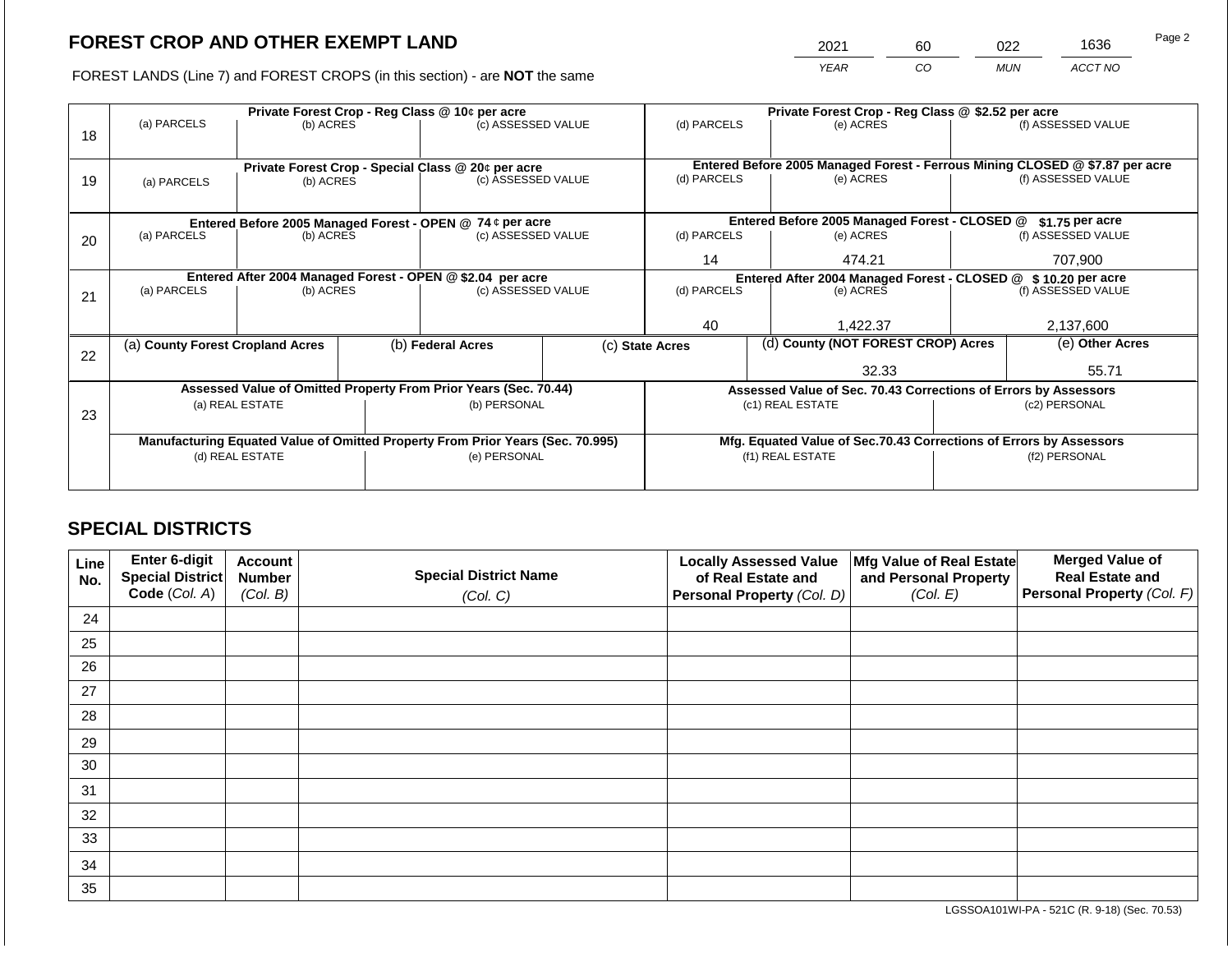2021 60 022 1636

FOREST LANDS (Line 7) and FOREST CROPS (in this section) - are **NOT** the same *YEAR CO MUN ACCT NO*

|    |                                                                                |                 | Private Forest Crop - Reg Class @ \$2.52 per acre |                                                                          |                                               |                 |                  |                                                                 |                                                                    |                                                                              |  |
|----|--------------------------------------------------------------------------------|-----------------|---------------------------------------------------|--------------------------------------------------------------------------|-----------------------------------------------|-----------------|------------------|-----------------------------------------------------------------|--------------------------------------------------------------------|------------------------------------------------------------------------------|--|
| 18 | (a) PARCELS                                                                    | (b) ACRES       |                                                   | (c) ASSESSED VALUE                                                       |                                               | (d) PARCELS     |                  | (e) ACRES                                                       |                                                                    | (f) ASSESSED VALUE                                                           |  |
|    |                                                                                |                 |                                                   |                                                                          |                                               |                 |                  |                                                                 |                                                                    |                                                                              |  |
|    |                                                                                |                 |                                                   |                                                                          |                                               |                 |                  |                                                                 |                                                                    | Entered Before 2005 Managed Forest - Ferrous Mining CLOSED @ \$7.87 per acre |  |
| 19 | (a) PARCELS                                                                    | (b) ACRES       |                                                   | Private Forest Crop - Special Class @ 20¢ per acre<br>(c) ASSESSED VALUE |                                               | (d) PARCELS     |                  | (e) ACRES                                                       |                                                                    | (f) ASSESSED VALUE                                                           |  |
|    |                                                                                |                 |                                                   |                                                                          |                                               |                 |                  |                                                                 |                                                                    |                                                                              |  |
|    |                                                                                |                 |                                                   |                                                                          |                                               |                 |                  |                                                                 |                                                                    |                                                                              |  |
|    | Entered Before 2005 Managed Forest - OPEN @ 74 ¢ per acre                      |                 |                                                   |                                                                          | Entered Before 2005 Managed Forest - CLOSED @ |                 | $$1.75$ per acre |                                                                 |                                                                    |                                                                              |  |
| 20 | (a) PARCELS                                                                    | (b) ACRES       |                                                   | (c) ASSESSED VALUE                                                       |                                               | (d) PARCELS     |                  | (e) ACRES                                                       |                                                                    | (f) ASSESSED VALUE                                                           |  |
|    |                                                                                |                 |                                                   |                                                                          |                                               | 14              |                  | 474.21                                                          |                                                                    | 707,900                                                                      |  |
|    | Entered After 2004 Managed Forest - OPEN @ \$2.04 per acre                     |                 |                                                   |                                                                          |                                               |                 |                  |                                                                 | Entered After 2004 Managed Forest - CLOSED @ \$10.20 per acre      |                                                                              |  |
| 21 | (a) PARCELS                                                                    | (b) ACRES       |                                                   | (c) ASSESSED VALUE                                                       |                                               | (d) PARCELS     |                  | (e) ACRES                                                       |                                                                    | (f) ASSESSED VALUE                                                           |  |
|    |                                                                                |                 |                                                   |                                                                          |                                               |                 |                  |                                                                 |                                                                    |                                                                              |  |
|    |                                                                                |                 |                                                   |                                                                          |                                               | 40              |                  | 1.422.37                                                        |                                                                    | 2,137,600                                                                    |  |
|    | (a) County Forest Cropland Acres                                               |                 |                                                   | (b) Federal Acres                                                        |                                               | (c) State Acres |                  | (d) County (NOT FOREST CROP) Acres                              |                                                                    | (e) Other Acres                                                              |  |
| 22 |                                                                                |                 |                                                   |                                                                          |                                               |                 |                  |                                                                 |                                                                    |                                                                              |  |
|    |                                                                                |                 |                                                   |                                                                          |                                               |                 |                  | 32.33                                                           |                                                                    | 55.71                                                                        |  |
|    |                                                                                |                 |                                                   | Assessed Value of Omitted Property From Prior Years (Sec. 70.44)         |                                               |                 |                  | Assessed Value of Sec. 70.43 Corrections of Errors by Assessors |                                                                    |                                                                              |  |
| 23 |                                                                                | (a) REAL ESTATE |                                                   | (b) PERSONAL                                                             |                                               |                 |                  | (c1) REAL ESTATE                                                |                                                                    | (c2) PERSONAL                                                                |  |
|    |                                                                                |                 |                                                   |                                                                          |                                               |                 |                  |                                                                 |                                                                    |                                                                              |  |
|    | Manufacturing Equated Value of Omitted Property From Prior Years (Sec. 70.995) |                 |                                                   |                                                                          |                                               |                 |                  |                                                                 | Mfg. Equated Value of Sec.70.43 Corrections of Errors by Assessors |                                                                              |  |
|    | (d) REAL ESTATE                                                                |                 |                                                   | (e) PERSONAL                                                             | (f1) REAL ESTATE                              |                 |                  | (f2) PERSONAL                                                   |                                                                    |                                                                              |  |
|    |                                                                                |                 |                                                   |                                                                          |                                               |                 |                  |                                                                 |                                                                    |                                                                              |  |
|    |                                                                                |                 |                                                   |                                                                          |                                               |                 |                  |                                                                 |                                                                    |                                                                              |  |

# **SPECIAL DISTRICTS**

| Line<br>No. | Enter 6-digit<br>Special District<br>Code (Col. A) | <b>Account</b><br><b>Number</b><br>(Col. B) | <b>Special District Name</b> | <b>Locally Assessed Value</b><br>of Real Estate and<br>Personal Property (Col. D) | Mfg Value of Real Estate<br>and Personal Property<br>(Col. E) | <b>Merged Value of</b><br><b>Real Estate and</b><br><b>Personal Property (Col. F)</b> |
|-------------|----------------------------------------------------|---------------------------------------------|------------------------------|-----------------------------------------------------------------------------------|---------------------------------------------------------------|---------------------------------------------------------------------------------------|
|             |                                                    |                                             | (Col. C)                     |                                                                                   |                                                               |                                                                                       |
| 24          |                                                    |                                             |                              |                                                                                   |                                                               |                                                                                       |
| 25          |                                                    |                                             |                              |                                                                                   |                                                               |                                                                                       |
| 26          |                                                    |                                             |                              |                                                                                   |                                                               |                                                                                       |
| 27          |                                                    |                                             |                              |                                                                                   |                                                               |                                                                                       |
| 28          |                                                    |                                             |                              |                                                                                   |                                                               |                                                                                       |
| 29          |                                                    |                                             |                              |                                                                                   |                                                               |                                                                                       |
| 30          |                                                    |                                             |                              |                                                                                   |                                                               |                                                                                       |
| 31          |                                                    |                                             |                              |                                                                                   |                                                               |                                                                                       |
| 32          |                                                    |                                             |                              |                                                                                   |                                                               |                                                                                       |
| 33          |                                                    |                                             |                              |                                                                                   |                                                               |                                                                                       |
| 34          |                                                    |                                             |                              |                                                                                   |                                                               |                                                                                       |
| 35          |                                                    |                                             |                              |                                                                                   |                                                               |                                                                                       |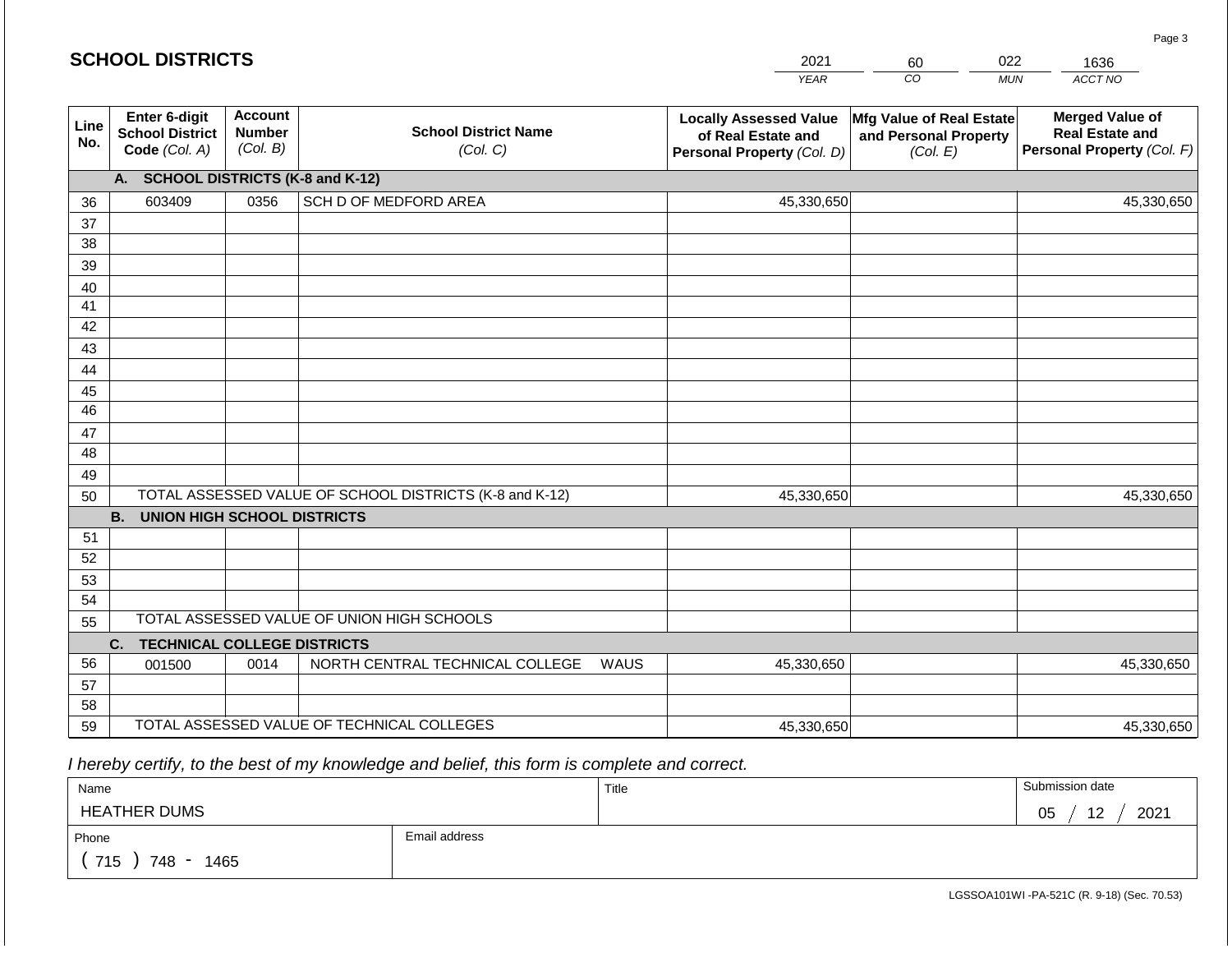|                 | <b>SCHOOL DISTRICTS</b>                                  |                                             |                                                         | 2021                                                                              | 60                                                            | 022        | 1636                                                                           |
|-----------------|----------------------------------------------------------|---------------------------------------------|---------------------------------------------------------|-----------------------------------------------------------------------------------|---------------------------------------------------------------|------------|--------------------------------------------------------------------------------|
|                 |                                                          |                                             |                                                         | <b>YEAR</b>                                                                       | CO                                                            | <b>MUN</b> | ACCT NO                                                                        |
| Line<br>No.     | Enter 6-digit<br><b>School District</b><br>Code (Col. A) | <b>Account</b><br><b>Number</b><br>(Col. B) | <b>School District Name</b><br>(Col. C)                 | <b>Locally Assessed Value</b><br>of Real Estate and<br>Personal Property (Col. D) | Mfg Value of Real Estate<br>and Personal Property<br>(Col. E) |            | <b>Merged Value of</b><br><b>Real Estate and</b><br>Personal Property (Col. F) |
|                 | A.                                                       |                                             | <b>SCHOOL DISTRICTS (K-8 and K-12)</b>                  |                                                                                   |                                                               |            |                                                                                |
| 36              | 603409                                                   | 0356                                        | SCH D OF MEDFORD AREA                                   | 45,330,650                                                                        |                                                               |            | 45,330,650                                                                     |
| 37              |                                                          |                                             |                                                         |                                                                                   |                                                               |            |                                                                                |
| 38              |                                                          |                                             |                                                         |                                                                                   |                                                               |            |                                                                                |
| 39              |                                                          |                                             |                                                         |                                                                                   |                                                               |            |                                                                                |
| 40              |                                                          |                                             |                                                         |                                                                                   |                                                               |            |                                                                                |
| 41<br>42        |                                                          |                                             |                                                         |                                                                                   |                                                               |            |                                                                                |
| 43              |                                                          |                                             |                                                         |                                                                                   |                                                               |            |                                                                                |
| 44              |                                                          |                                             |                                                         |                                                                                   |                                                               |            |                                                                                |
| 45              |                                                          |                                             |                                                         |                                                                                   |                                                               |            |                                                                                |
| $\overline{46}$ |                                                          |                                             |                                                         |                                                                                   |                                                               |            |                                                                                |
| 47              |                                                          |                                             |                                                         |                                                                                   |                                                               |            |                                                                                |
| 48              |                                                          |                                             |                                                         |                                                                                   |                                                               |            |                                                                                |
| 49              |                                                          |                                             |                                                         |                                                                                   |                                                               |            |                                                                                |
| 50              |                                                          |                                             | TOTAL ASSESSED VALUE OF SCHOOL DISTRICTS (K-8 and K-12) | 45,330,650                                                                        |                                                               |            | 45,330,650                                                                     |
|                 | <b>B.</b><br><b>UNION HIGH SCHOOL DISTRICTS</b>          |                                             |                                                         |                                                                                   |                                                               |            |                                                                                |
| 51              |                                                          |                                             |                                                         |                                                                                   |                                                               |            |                                                                                |
| 52              |                                                          |                                             |                                                         |                                                                                   |                                                               |            |                                                                                |
| 53<br>54        |                                                          |                                             |                                                         |                                                                                   |                                                               |            |                                                                                |
| 55              |                                                          |                                             | TOTAL ASSESSED VALUE OF UNION HIGH SCHOOLS              |                                                                                   |                                                               |            |                                                                                |
|                 | <b>TECHNICAL COLLEGE DISTRICTS</b><br>C.                 |                                             |                                                         |                                                                                   |                                                               |            |                                                                                |
| 56              | 001500                                                   | 0014                                        | NORTH CENTRAL TECHNICAL COLLEGE<br><b>WAUS</b>          | 45,330,650                                                                        |                                                               |            | 45,330,650                                                                     |
| 57              |                                                          |                                             |                                                         |                                                                                   |                                                               |            |                                                                                |
| 58              |                                                          |                                             |                                                         |                                                                                   |                                                               |            |                                                                                |
| 59              |                                                          |                                             | TOTAL ASSESSED VALUE OF TECHNICAL COLLEGES              | 45,330,650                                                                        |                                                               |            | 45,330,650                                                                     |

| Name                 |               | Title | Submission date  |
|----------------------|---------------|-------|------------------|
| <b>HEATHER DUMS</b>  |               |       | 2021<br>12<br>05 |
| Phone                | Email address |       |                  |
| 715<br>1465<br>748 - |               |       |                  |

Page 3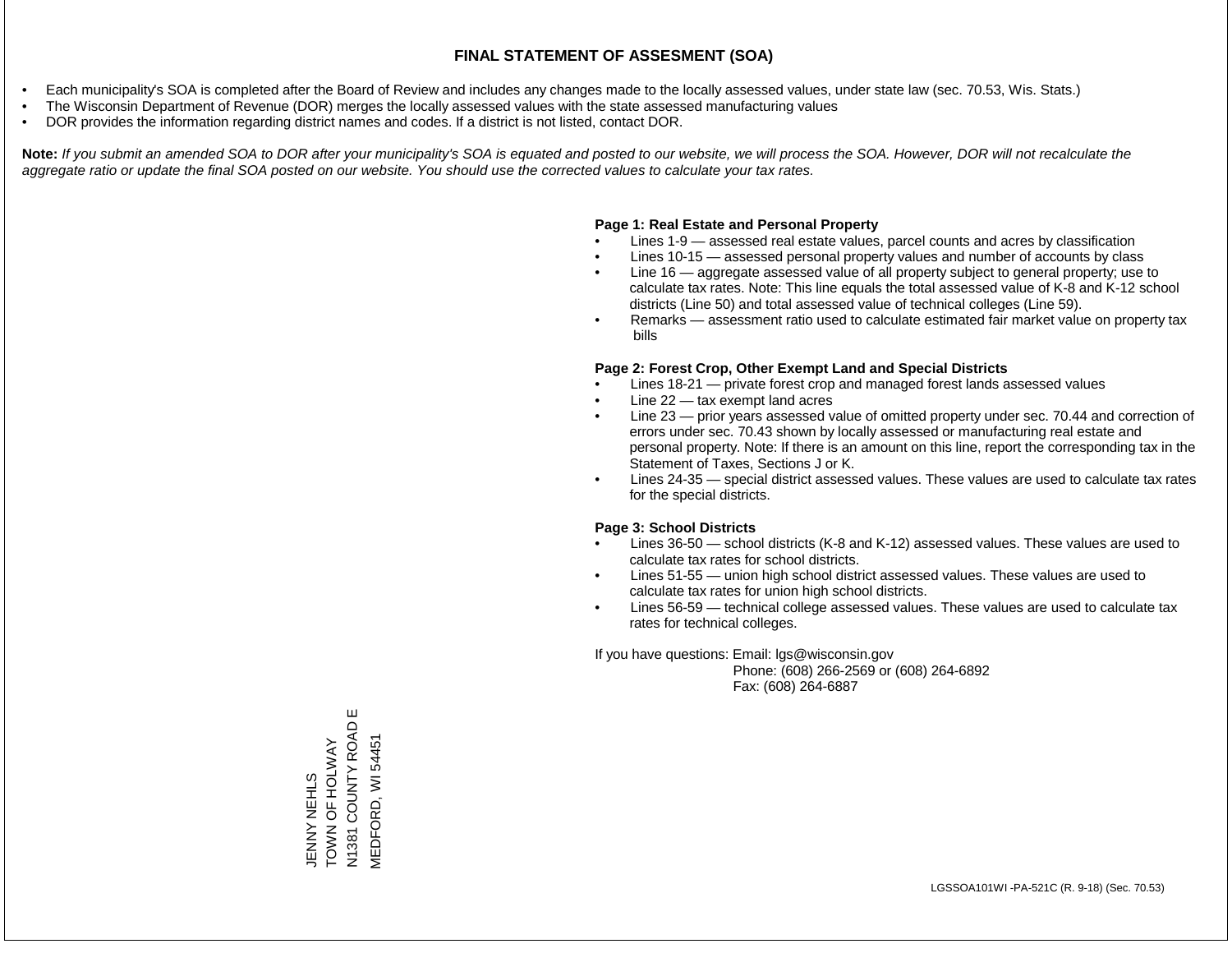- Each municipality's SOA is completed after the Board of Review and includes any changes made to the locally assessed values, under state law (sec. 70.53, Wis. Stats.)
- The Wisconsin Department of Revenue (DOR) merges the locally assessed values with the state assessed manufacturing values
- DOR provides the information regarding district names and codes. If a district is not listed, contact DOR.

Note: If you submit an amended SOA to DOR after your municipality's SOA is equated and posted to our website, we will process the SOA. However, DOR will not recalculate the *aggregate ratio or update the final SOA posted on our website. You should use the corrected values to calculate your tax rates.*

#### **Page 1: Real Estate and Personal Property**

- Lines 1-9 assessed real estate values, parcel counts and acres by classification
- Lines 10-15 assessed personal property values and number of accounts by class
- Line 16 aggregate assessed value of all property subject to general property; use to calculate tax rates. Note: This line equals the total assessed value of K-8 and K-12 school districts (Line 50) and total assessed value of technical colleges (Line 59).
- Remarks assessment ratio used to calculate estimated fair market value on property tax bills

#### **Page 2: Forest Crop, Other Exempt Land and Special Districts**

- Lines 18-21 private forest crop and managed forest lands assessed values
- Line  $22 -$  tax exempt land acres
- Line 23 prior years assessed value of omitted property under sec. 70.44 and correction of errors under sec. 70.43 shown by locally assessed or manufacturing real estate and personal property. Note: If there is an amount on this line, report the corresponding tax in the Statement of Taxes, Sections J or K.
- Lines 24-35 special district assessed values. These values are used to calculate tax rates for the special districts.

#### **Page 3: School Districts**

- Lines 36-50 school districts (K-8 and K-12) assessed values. These values are used to calculate tax rates for school districts.
- Lines 51-55 union high school district assessed values. These values are used to calculate tax rates for union high school districts.
- Lines 56-59 technical college assessed values. These values are used to calculate tax rates for technical colleges.

If you have questions: Email: lgs@wisconsin.gov

 Phone: (608) 266-2569 or (608) 264-6892 Fax: (608) 264-6887

N1381 COUNTY ROAD E N1381 COUNTY ROAD **MEDFORD, WI 54451** TOWN OF HOLMON MEDFORD, WI 54451JENNY NEHLS<br>TOWN OF HOLWAY

Ш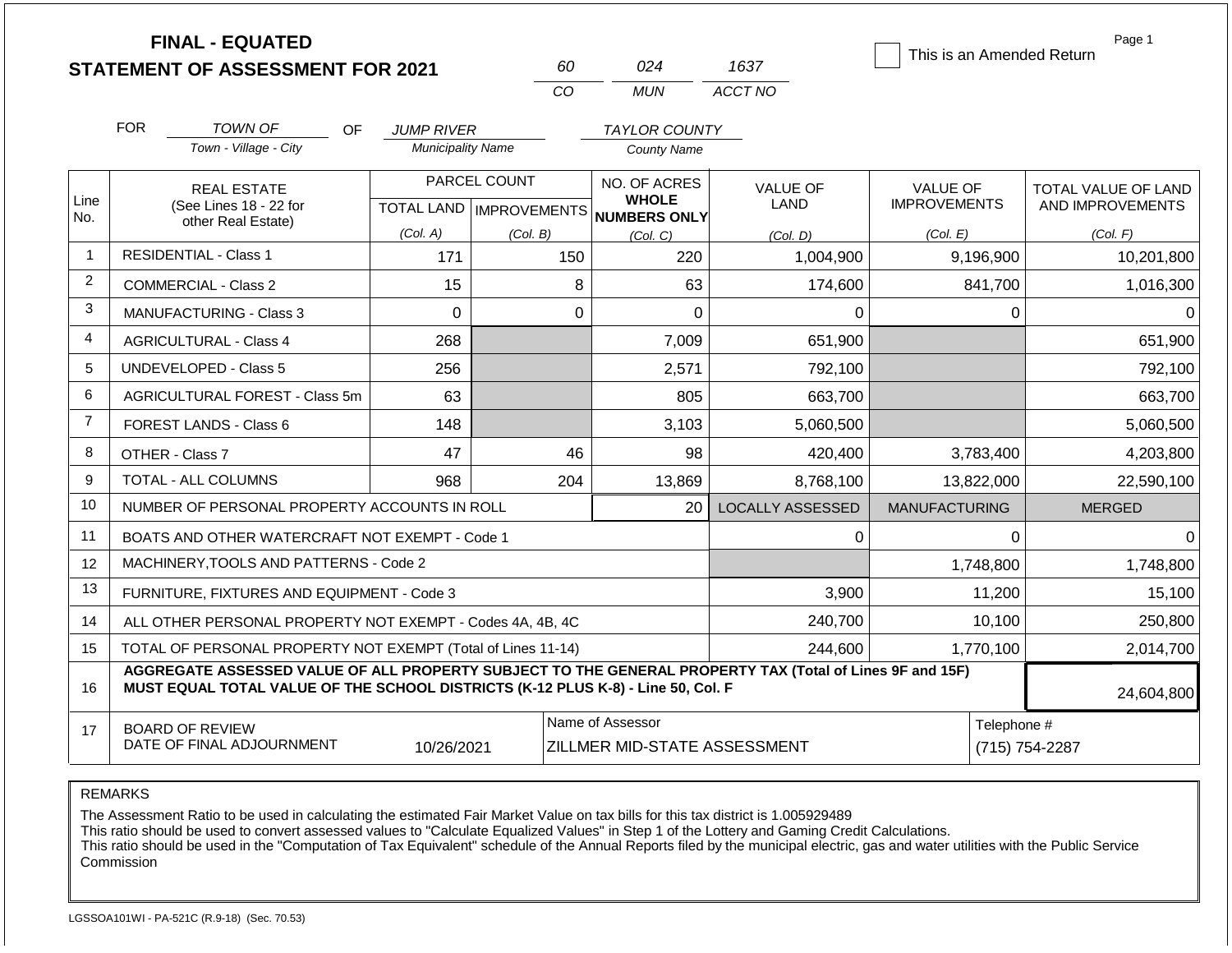|                |            | <b>FINAL - EQUATED</b><br><b>STATEMENT OF ASSESSMENT FOR 2021</b>                                                                                                                            |                          |          | 60                                                                  | 024                  | 1637                    | This is an Amended Return              | Page 1                                  |
|----------------|------------|----------------------------------------------------------------------------------------------------------------------------------------------------------------------------------------------|--------------------------|----------|---------------------------------------------------------------------|----------------------|-------------------------|----------------------------------------|-----------------------------------------|
|                |            |                                                                                                                                                                                              |                          |          | CO                                                                  | <b>MUN</b>           | ACCT NO                 |                                        |                                         |
|                | <b>FOR</b> | <b>TOWN OF</b><br><b>OF</b>                                                                                                                                                                  | <b>JUMP RIVER</b>        |          |                                                                     | <b>TAYLOR COUNTY</b> |                         |                                        |                                         |
|                |            | Town - Village - City                                                                                                                                                                        | <b>Municipality Name</b> |          |                                                                     | <b>County Name</b>   |                         |                                        |                                         |
| Line           |            | <b>REAL ESTATE</b><br>(See Lines 18 - 22 for                                                                                                                                                 | PARCEL COUNT             |          | NO. OF ACRES<br><b>WHOLE</b><br>TOTAL LAND MPROVEMENTS NUMBERS ONLY |                      | <b>VALUE OF</b><br>LAND | <b>VALUE OF</b><br><b>IMPROVEMENTS</b> | TOTAL VALUE OF LAND<br>AND IMPROVEMENTS |
| No.            |            | other Real Estate)                                                                                                                                                                           | (Col. A)                 | (Col. B) |                                                                     | (Col, C)             | (Col. D)                | (Col. E)                               | (Col. F)                                |
| $\mathbf{1}$   |            | <b>RESIDENTIAL - Class 1</b>                                                                                                                                                                 | 171                      |          | 150                                                                 | 220                  | 1,004,900               | 9,196,900                              | 10,201,800                              |
| $\overline{2}$ |            | <b>COMMERCIAL - Class 2</b>                                                                                                                                                                  | 15                       |          | 8                                                                   | 63                   | 174,600                 | 841,700                                | 1,016,300                               |
| 3              |            | MANUFACTURING - Class 3                                                                                                                                                                      | $\overline{0}$           |          | $\mathbf 0$                                                         | $\overline{0}$       | 0                       | $\Omega$                               | $\Omega$                                |
| 4              |            | <b>AGRICULTURAL - Class 4</b>                                                                                                                                                                | 268                      |          |                                                                     | 7,009                | 651,900                 |                                        | 651,900                                 |
| 5              |            | <b>UNDEVELOPED - Class 5</b>                                                                                                                                                                 | 256                      |          |                                                                     | 2,571                | 792,100                 |                                        | 792,100                                 |
| 6              |            | AGRICULTURAL FOREST - Class 5m                                                                                                                                                               | 63                       |          |                                                                     | 805                  | 663,700                 |                                        | 663,700                                 |
| $\overline{7}$ |            | FOREST LANDS - Class 6                                                                                                                                                                       | 148                      |          |                                                                     | 3,103                | 5,060,500               |                                        | 5,060,500                               |
| 8              |            | OTHER - Class 7                                                                                                                                                                              | 47                       |          | 46                                                                  | 98                   | 420,400                 | 3,783,400                              | 4,203,800                               |
| 9              |            | <b>TOTAL - ALL COLUMNS</b>                                                                                                                                                                   | 968                      |          | 204                                                                 | 13,869               | 8,768,100               | 13,822,000                             | 22,590,100                              |
| 10             |            | NUMBER OF PERSONAL PROPERTY ACCOUNTS IN ROLL                                                                                                                                                 |                          |          |                                                                     | 20                   | <b>LOCALLY ASSESSED</b> | <b>MANUFACTURING</b>                   | <b>MERGED</b>                           |
| 11             |            | BOATS AND OTHER WATERCRAFT NOT EXEMPT - Code 1                                                                                                                                               |                          |          |                                                                     |                      | 0                       | $\mathbf 0$                            | $\mathbf 0$                             |
| 12             |            | MACHINERY, TOOLS AND PATTERNS - Code 2                                                                                                                                                       |                          |          |                                                                     |                      |                         | 1,748,800                              | 1,748,800                               |
| 13             |            | FURNITURE, FIXTURES AND EQUIPMENT - Code 3                                                                                                                                                   |                          |          |                                                                     |                      | 3,900                   | 11,200                                 | 15,100                                  |
| 14             |            | ALL OTHER PERSONAL PROPERTY NOT EXEMPT - Codes 4A, 4B, 4C                                                                                                                                    |                          |          |                                                                     |                      | 240,700                 | 10,100                                 | 250,800                                 |
| 15             |            | TOTAL OF PERSONAL PROPERTY NOT EXEMPT (Total of Lines 11-14)                                                                                                                                 |                          |          |                                                                     |                      | 244,600                 | 1,770,100                              | 2,014,700                               |
| 16             |            | AGGREGATE ASSESSED VALUE OF ALL PROPERTY SUBJECT TO THE GENERAL PROPERTY TAX (Total of Lines 9F and 15F)<br>MUST EQUAL TOTAL VALUE OF THE SCHOOL DISTRICTS (K-12 PLUS K-8) - Line 50, Col. F |                          |          |                                                                     |                      |                         |                                        | 24,604,800                              |
| 17             |            | <b>BOARD OF REVIEW</b><br>DATE OF FINAL ADJOURNMENT                                                                                                                                          | 10/26/2021               |          | Name of Assessor<br><b>ZILLMER MID-STATE ASSESSMENT</b>             |                      |                         |                                        | Telephone #<br>(715) 754-2287           |

The Assessment Ratio to be used in calculating the estimated Fair Market Value on tax bills for this tax district is 1.005929489

This ratio should be used to convert assessed values to "Calculate Equalized Values" in Step 1 of the Lottery and Gaming Credit Calculations.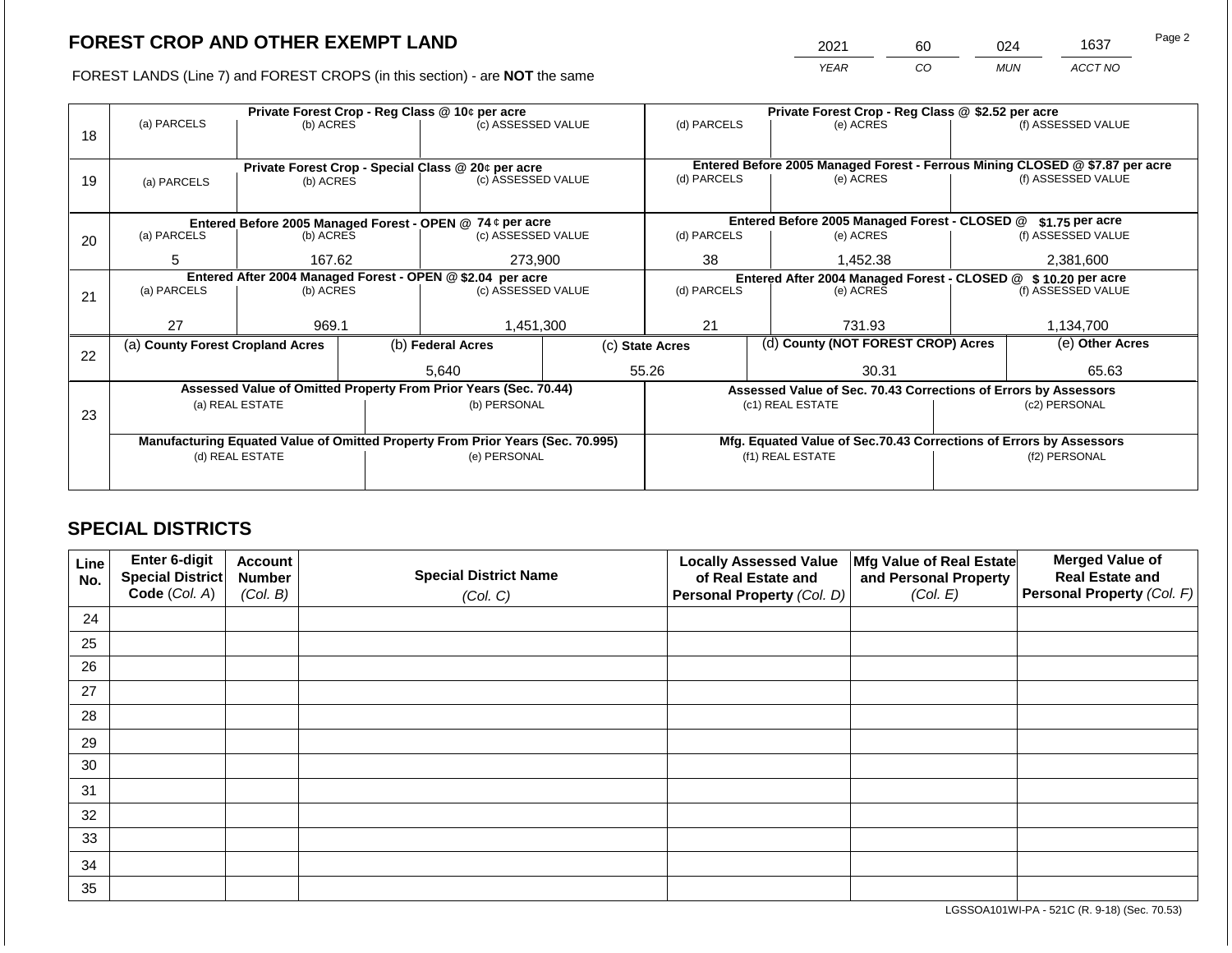2021 60 024 1637

FOREST LANDS (Line 7) and FOREST CROPS (in this section) - are **NOT** the same *YEAR CO MUN ACCT NO*

|    |                                                                                |                                                            |  | Private Forest Crop - Reg Class @ 10¢ per acre                   | Private Forest Crop - Reg Class @ \$2.52 per acre |                                                               |                                                                              |                                                                    |  |                    |  |
|----|--------------------------------------------------------------------------------|------------------------------------------------------------|--|------------------------------------------------------------------|---------------------------------------------------|---------------------------------------------------------------|------------------------------------------------------------------------------|--------------------------------------------------------------------|--|--------------------|--|
| 18 | (a) PARCELS                                                                    | (b) ACRES                                                  |  | (c) ASSESSED VALUE                                               |                                                   | (d) PARCELS                                                   |                                                                              | (e) ACRES                                                          |  | (f) ASSESSED VALUE |  |
|    |                                                                                |                                                            |  |                                                                  |                                                   |                                                               |                                                                              |                                                                    |  |                    |  |
|    |                                                                                |                                                            |  | Private Forest Crop - Special Class @ 20¢ per acre               |                                                   |                                                               | Entered Before 2005 Managed Forest - Ferrous Mining CLOSED @ \$7.87 per acre |                                                                    |  |                    |  |
| 19 | (a) PARCELS                                                                    | (b) ACRES                                                  |  | (c) ASSESSED VALUE                                               |                                                   | (d) PARCELS                                                   |                                                                              | (e) ACRES                                                          |  | (f) ASSESSED VALUE |  |
|    |                                                                                |                                                            |  |                                                                  |                                                   |                                                               |                                                                              |                                                                    |  |                    |  |
|    |                                                                                |                                                            |  |                                                                  |                                                   |                                                               |                                                                              |                                                                    |  |                    |  |
|    |                                                                                |                                                            |  | Entered Before 2005 Managed Forest - OPEN @ 74 ¢ per acre        |                                                   |                                                               |                                                                              | Entered Before 2005 Managed Forest - CLOSED @                      |  | $$1.75$ per acre   |  |
| 20 | (a) PARCELS<br>(b) ACRES                                                       |                                                            |  | (c) ASSESSED VALUE                                               |                                                   | (d) PARCELS                                                   |                                                                              | (e) ACRES                                                          |  | (f) ASSESSED VALUE |  |
|    | 5                                                                              | 167.62                                                     |  | 273,900                                                          |                                                   | 38                                                            |                                                                              | 1,452.38                                                           |  | 2,381,600          |  |
|    |                                                                                | Entered After 2004 Managed Forest - OPEN @ \$2.04 per acre |  |                                                                  |                                                   | Entered After 2004 Managed Forest - CLOSED @ \$10.20 per acre |                                                                              |                                                                    |  |                    |  |
|    | (a) PARCELS                                                                    | (b) ACRES                                                  |  | (c) ASSESSED VALUE                                               |                                                   | (d) PARCELS                                                   |                                                                              | (e) ACRES                                                          |  | (f) ASSESSED VALUE |  |
| 21 |                                                                                |                                                            |  |                                                                  |                                                   |                                                               |                                                                              |                                                                    |  |                    |  |
|    | 27                                                                             | 969.1                                                      |  | 1,451,300                                                        |                                                   | 21                                                            |                                                                              | 731.93                                                             |  | 1,134,700          |  |
|    |                                                                                |                                                            |  |                                                                  |                                                   |                                                               |                                                                              | (d) County (NOT FOREST CROP) Acres                                 |  | (e) Other Acres    |  |
| 22 | (a) County Forest Cropland Acres                                               |                                                            |  | (b) Federal Acres                                                |                                                   | (c) State Acres                                               |                                                                              |                                                                    |  |                    |  |
|    |                                                                                |                                                            |  | 5,640                                                            |                                                   | 55.26                                                         |                                                                              | 30.31                                                              |  | 65.63              |  |
|    |                                                                                |                                                            |  | Assessed Value of Omitted Property From Prior Years (Sec. 70.44) |                                                   |                                                               |                                                                              | Assessed Value of Sec. 70.43 Corrections of Errors by Assessors    |  |                    |  |
|    |                                                                                | (a) REAL ESTATE                                            |  | (b) PERSONAL                                                     |                                                   |                                                               |                                                                              | (c1) REAL ESTATE                                                   |  | (c2) PERSONAL      |  |
| 23 |                                                                                |                                                            |  |                                                                  |                                                   |                                                               |                                                                              |                                                                    |  |                    |  |
|    | Manufacturing Equated Value of Omitted Property From Prior Years (Sec. 70.995) |                                                            |  |                                                                  |                                                   |                                                               |                                                                              | Mfg. Equated Value of Sec.70.43 Corrections of Errors by Assessors |  |                    |  |
|    |                                                                                | (d) REAL ESTATE                                            |  | (e) PERSONAL                                                     |                                                   |                                                               |                                                                              | (f1) REAL ESTATE                                                   |  | (f2) PERSONAL      |  |
|    |                                                                                |                                                            |  |                                                                  |                                                   |                                                               |                                                                              |                                                                    |  |                    |  |
|    |                                                                                |                                                            |  |                                                                  |                                                   |                                                               |                                                                              |                                                                    |  |                    |  |

# **SPECIAL DISTRICTS**

| Line<br>No. | Enter 6-digit<br>Special District<br>Code (Col. A) | <b>Account</b><br><b>Number</b><br>(Col. B) | <b>Special District Name</b><br>(Col. C) | <b>Locally Assessed Value</b><br>of Real Estate and<br>Personal Property (Col. D) | Mfg Value of Real Estate<br>and Personal Property<br>(Col. E) | <b>Merged Value of</b><br><b>Real Estate and</b><br>Personal Property (Col. F) |
|-------------|----------------------------------------------------|---------------------------------------------|------------------------------------------|-----------------------------------------------------------------------------------|---------------------------------------------------------------|--------------------------------------------------------------------------------|
| 24          |                                                    |                                             |                                          |                                                                                   |                                                               |                                                                                |
| 25          |                                                    |                                             |                                          |                                                                                   |                                                               |                                                                                |
| 26          |                                                    |                                             |                                          |                                                                                   |                                                               |                                                                                |
| 27          |                                                    |                                             |                                          |                                                                                   |                                                               |                                                                                |
| 28          |                                                    |                                             |                                          |                                                                                   |                                                               |                                                                                |
| 29          |                                                    |                                             |                                          |                                                                                   |                                                               |                                                                                |
| 30          |                                                    |                                             |                                          |                                                                                   |                                                               |                                                                                |
| 31          |                                                    |                                             |                                          |                                                                                   |                                                               |                                                                                |
| 32          |                                                    |                                             |                                          |                                                                                   |                                                               |                                                                                |
| 33          |                                                    |                                             |                                          |                                                                                   |                                                               |                                                                                |
| 34          |                                                    |                                             |                                          |                                                                                   |                                                               |                                                                                |
| 35          |                                                    |                                             |                                          |                                                                                   |                                                               |                                                                                |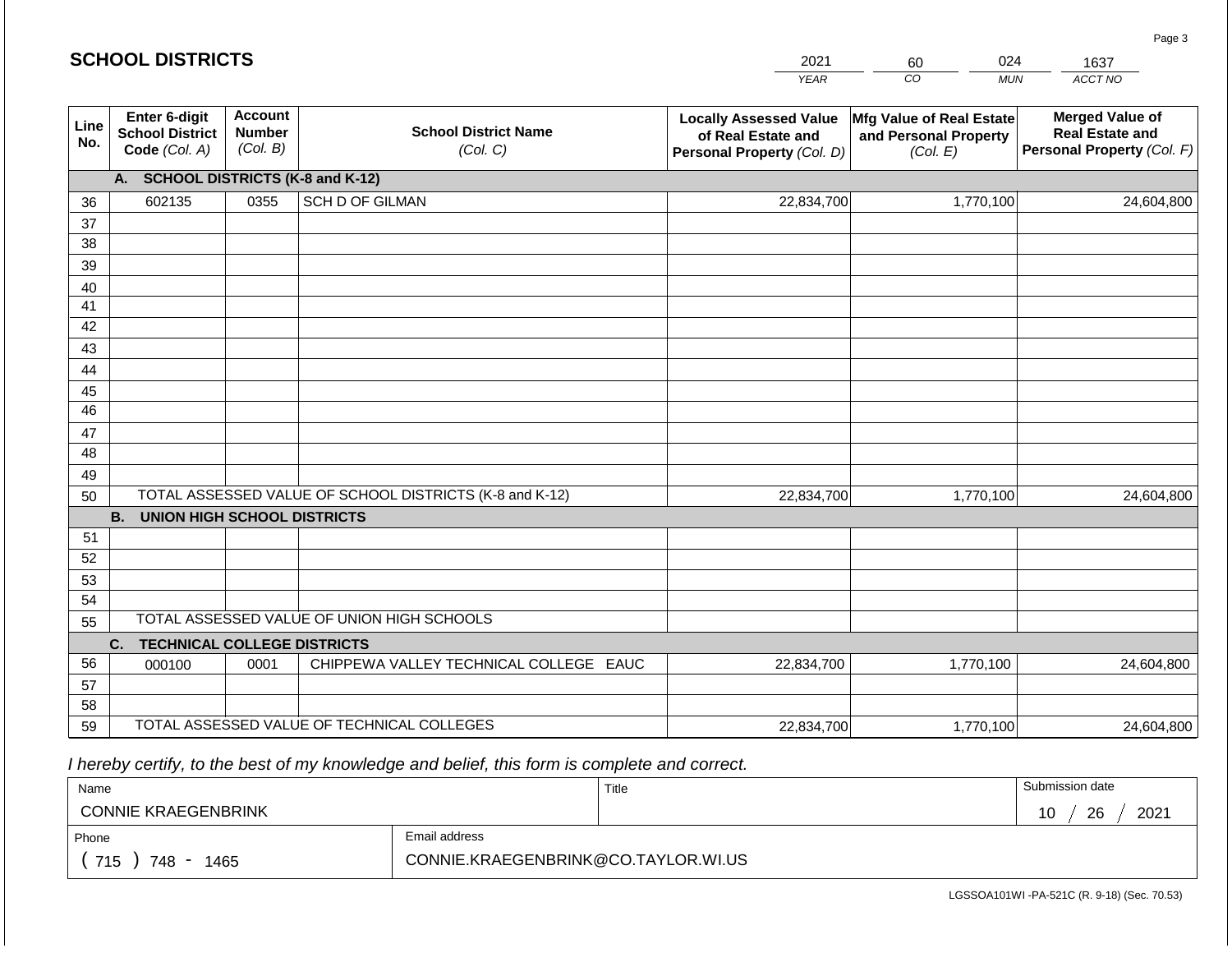|             | <b>SCHOOL DISTRICTS</b>                                                                |                                             |                                                         | 2021                                                                              | 024<br>60                                                     | 1637                                                                           |  |  |  |
|-------------|----------------------------------------------------------------------------------------|---------------------------------------------|---------------------------------------------------------|-----------------------------------------------------------------------------------|---------------------------------------------------------------|--------------------------------------------------------------------------------|--|--|--|
|             |                                                                                        |                                             |                                                         | <b>YEAR</b>                                                                       | CO<br><b>MUN</b>                                              | ACCT NO                                                                        |  |  |  |
| Line<br>No. | Enter 6-digit<br><b>School District</b><br>Code (Col. A)                               | <b>Account</b><br><b>Number</b><br>(Col. B) | <b>School District Name</b><br>(Col. C)                 | <b>Locally Assessed Value</b><br>of Real Estate and<br>Personal Property (Col. D) | Mfg Value of Real Estate<br>and Personal Property<br>(Col. E) | <b>Merged Value of</b><br><b>Real Estate and</b><br>Personal Property (Col. F) |  |  |  |
|             | <b>SCHOOL DISTRICTS (K-8 and K-12)</b><br>A.                                           |                                             |                                                         |                                                                                   |                                                               |                                                                                |  |  |  |
| 36          | 602135                                                                                 | 0355                                        | <b>SCH D OF GILMAN</b>                                  | 22,834,700                                                                        | 1,770,100                                                     | 24,604,800                                                                     |  |  |  |
| 37          |                                                                                        |                                             |                                                         |                                                                                   |                                                               |                                                                                |  |  |  |
| 38          |                                                                                        |                                             |                                                         |                                                                                   |                                                               |                                                                                |  |  |  |
| 39          |                                                                                        |                                             |                                                         |                                                                                   |                                                               |                                                                                |  |  |  |
| 40          |                                                                                        |                                             |                                                         |                                                                                   |                                                               |                                                                                |  |  |  |
| 41<br>42    |                                                                                        |                                             |                                                         |                                                                                   |                                                               |                                                                                |  |  |  |
| 43          |                                                                                        |                                             |                                                         |                                                                                   |                                                               |                                                                                |  |  |  |
| 44          |                                                                                        |                                             |                                                         |                                                                                   |                                                               |                                                                                |  |  |  |
| 45          |                                                                                        |                                             |                                                         |                                                                                   |                                                               |                                                                                |  |  |  |
| 46          |                                                                                        |                                             |                                                         |                                                                                   |                                                               |                                                                                |  |  |  |
| 47          |                                                                                        |                                             |                                                         |                                                                                   |                                                               |                                                                                |  |  |  |
| 48          |                                                                                        |                                             |                                                         |                                                                                   |                                                               |                                                                                |  |  |  |
| 49          |                                                                                        |                                             |                                                         |                                                                                   |                                                               |                                                                                |  |  |  |
| 50          |                                                                                        |                                             | TOTAL ASSESSED VALUE OF SCHOOL DISTRICTS (K-8 and K-12) | 22,834,700                                                                        | 1,770,100                                                     | 24,604,800                                                                     |  |  |  |
|             | <b>B.</b><br><b>UNION HIGH SCHOOL DISTRICTS</b>                                        |                                             |                                                         |                                                                                   |                                                               |                                                                                |  |  |  |
| 51          |                                                                                        |                                             |                                                         |                                                                                   |                                                               |                                                                                |  |  |  |
| 52          |                                                                                        |                                             |                                                         |                                                                                   |                                                               |                                                                                |  |  |  |
| 53          |                                                                                        |                                             |                                                         |                                                                                   |                                                               |                                                                                |  |  |  |
| 54          |                                                                                        |                                             |                                                         |                                                                                   |                                                               |                                                                                |  |  |  |
|             | TOTAL ASSESSED VALUE OF UNION HIGH SCHOOLS<br>55<br><b>TECHNICAL COLLEGE DISTRICTS</b> |                                             |                                                         |                                                                                   |                                                               |                                                                                |  |  |  |
| 56          | C.                                                                                     | 0001                                        | CHIPPEWA VALLEY TECHNICAL COLLEGE EAUC                  | 22,834,700                                                                        | 1,770,100                                                     | 24,604,800                                                                     |  |  |  |
| 57          | 000100                                                                                 |                                             |                                                         |                                                                                   |                                                               |                                                                                |  |  |  |
| 58          |                                                                                        |                                             |                                                         |                                                                                   |                                                               |                                                                                |  |  |  |
| 59          |                                                                                        |                                             | TOTAL ASSESSED VALUE OF TECHNICAL COLLEGES              | 22,834,700                                                                        | 1,770,100                                                     | 24,604,800                                                                     |  |  |  |

| Name                                           |                                     | Title | Submission date  |
|------------------------------------------------|-------------------------------------|-------|------------------|
| <b>CONNIE KRAEGENBRINK</b>                     |                                     |       | 2021<br>26<br>10 |
| Phone                                          | Email address                       |       |                  |
| 715<br>748<br>1465<br>$\overline{\phantom{a}}$ | CONNIE.KRAEGENBRINK@CO.TAYLOR.WI.US |       |                  |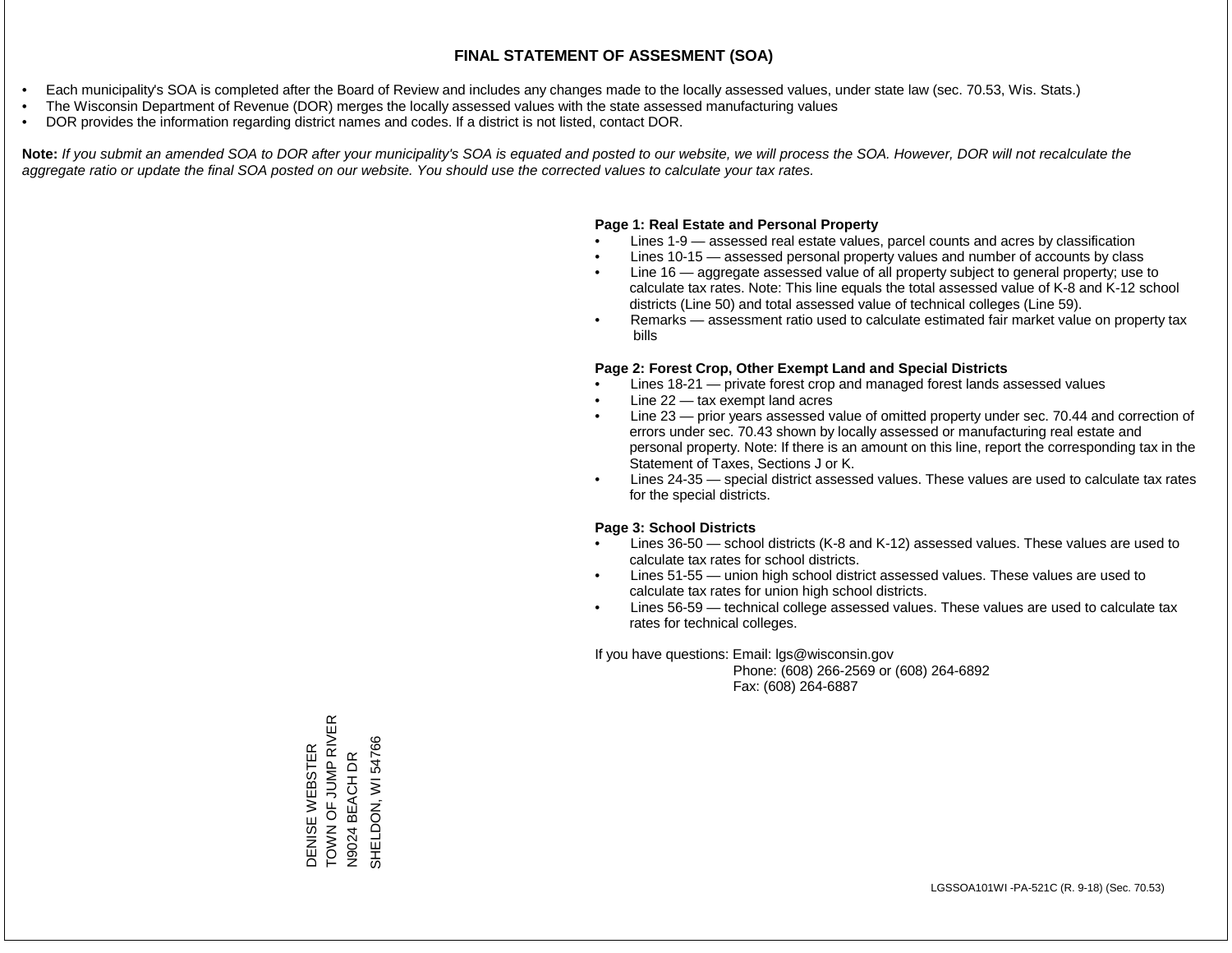- Each municipality's SOA is completed after the Board of Review and includes any changes made to the locally assessed values, under state law (sec. 70.53, Wis. Stats.)
- The Wisconsin Department of Revenue (DOR) merges the locally assessed values with the state assessed manufacturing values
- DOR provides the information regarding district names and codes. If a district is not listed, contact DOR.

Note: If you submit an amended SOA to DOR after your municipality's SOA is equated and posted to our website, we will process the SOA. However, DOR will not recalculate the *aggregate ratio or update the final SOA posted on our website. You should use the corrected values to calculate your tax rates.*

### **Page 1: Real Estate and Personal Property**

- Lines 1-9 assessed real estate values, parcel counts and acres by classification
- Lines 10-15 assessed personal property values and number of accounts by class
- Line 16 aggregate assessed value of all property subject to general property; use to calculate tax rates. Note: This line equals the total assessed value of K-8 and K-12 school districts (Line 50) and total assessed value of technical colleges (Line 59).
- Remarks assessment ratio used to calculate estimated fair market value on property tax bills

### **Page 2: Forest Crop, Other Exempt Land and Special Districts**

- Lines 18-21 private forest crop and managed forest lands assessed values
- Line  $22 -$  tax exempt land acres
- Line 23 prior years assessed value of omitted property under sec. 70.44 and correction of errors under sec. 70.43 shown by locally assessed or manufacturing real estate and personal property. Note: If there is an amount on this line, report the corresponding tax in the Statement of Taxes, Sections J or K.
- Lines 24-35 special district assessed values. These values are used to calculate tax rates for the special districts.

### **Page 3: School Districts**

- Lines 36-50 school districts (K-8 and K-12) assessed values. These values are used to calculate tax rates for school districts.
- Lines 51-55 union high school district assessed values. These values are used to calculate tax rates for union high school districts.
- Lines 56-59 technical college assessed values. These values are used to calculate tax rates for technical colleges.

If you have questions: Email: lgs@wisconsin.gov

 Phone: (608) 266-2569 or (608) 264-6892 Fax: (608) 264-6887

DENISE WEBSTER<br>TOWN OF JUMP RIVER<br>N9024 BEACH DR TOWN OF JUMP RIVER SHELDON, WI54766 SHELDON, WI 54766DENISE WEBSTER N9024 BEACH DR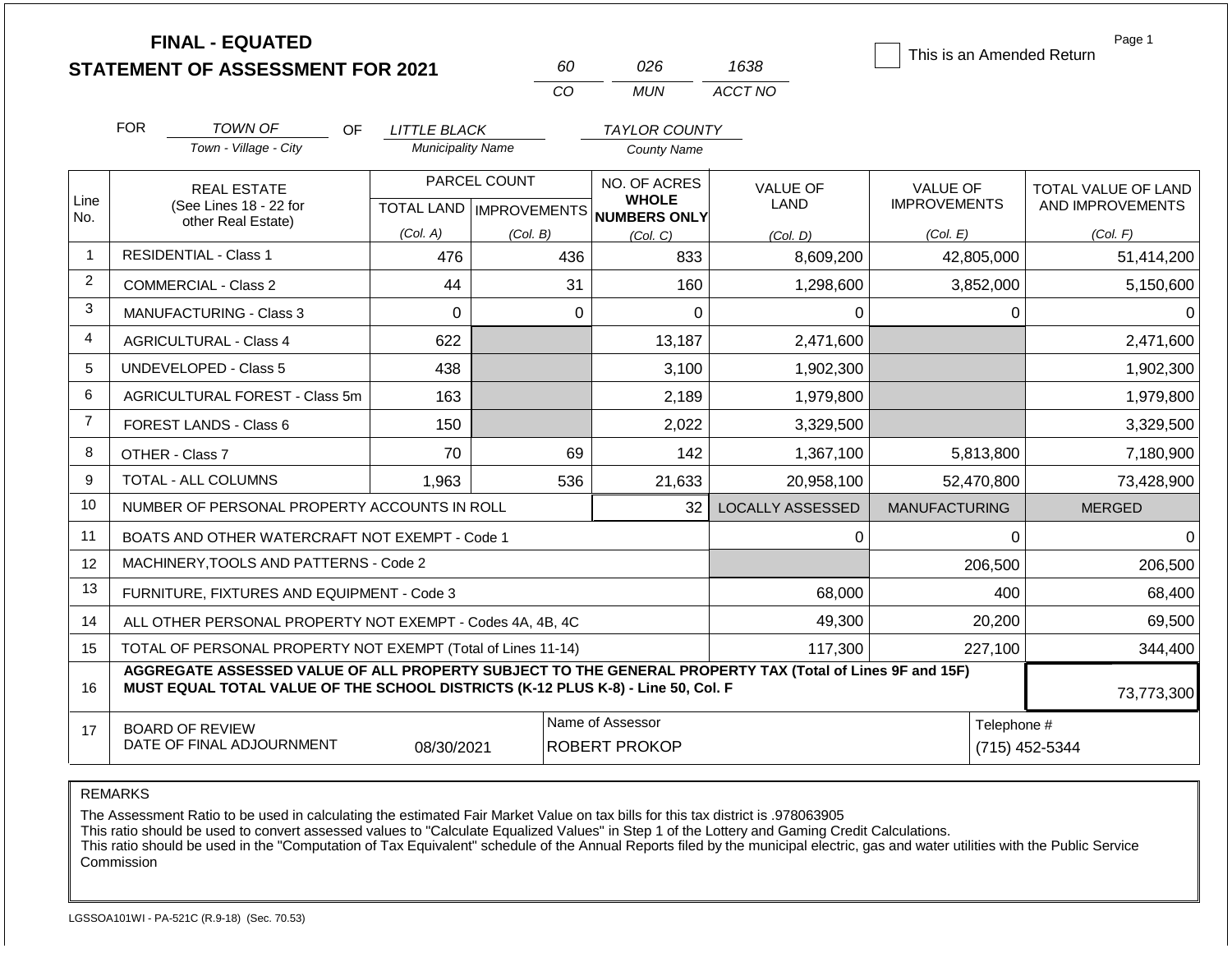|                |                                                                                                                                                                                              | <b>FINAL - EQUATED</b><br><b>STATEMENT OF ASSESSMENT FOR 2021</b> |                                           | 60       | 026                                                 | 1638                           | This is an Amended Return              | Page 1                                  |  |
|----------------|----------------------------------------------------------------------------------------------------------------------------------------------------------------------------------------------|-------------------------------------------------------------------|-------------------------------------------|----------|-----------------------------------------------------|--------------------------------|----------------------------------------|-----------------------------------------|--|
|                |                                                                                                                                                                                              |                                                                   |                                           | CO.      | <b>MUN</b>                                          | ACCT NO                        |                                        |                                         |  |
|                | <b>FOR</b>                                                                                                                                                                                   | TOWN OF<br>OF.                                                    | LITTLE BLACK                              |          | <b>TAYLOR COUNTY</b>                                |                                |                                        |                                         |  |
|                | Town - Village - City                                                                                                                                                                        |                                                                   | <b>Municipality Name</b>                  |          | <b>County Name</b>                                  |                                |                                        |                                         |  |
| Line<br>No.    |                                                                                                                                                                                              | <b>REAL ESTATE</b><br>(See Lines 18 - 22 for                      | PARCEL COUNT<br>TOTAL LAND   IMPROVEMENTS |          | NO. OF ACRES<br><b>WHOLE</b><br><b>NUMBERS ONLY</b> | <b>VALUE OF</b><br><b>LAND</b> | <b>VALUE OF</b><br><b>IMPROVEMENTS</b> | TOTAL VALUE OF LAND<br>AND IMPROVEMENTS |  |
|                |                                                                                                                                                                                              | other Real Estate)                                                | (Col. A)                                  | (Col. B) | (Col, C)                                            | (Col. D)                       | (Col. E)                               | (Col. F)                                |  |
| $\overline{1}$ | <b>RESIDENTIAL - Class 1</b>                                                                                                                                                                 |                                                                   | 476                                       | 436      | 833                                                 | 8,609,200                      | 42,805,000                             | 51,414,200                              |  |
| 2              | <b>COMMERCIAL - Class 2</b>                                                                                                                                                                  |                                                                   | 44                                        |          | 31<br>160                                           | 1,298,600                      | 3,852,000                              | 5,150,600                               |  |
| 3              |                                                                                                                                                                                              | <b>MANUFACTURING - Class 3</b>                                    | $\mathbf 0$                               |          | $\Omega$<br>$\Omega$                                | 0                              | 0                                      | $\Omega$                                |  |
| 4              | <b>AGRICULTURAL - Class 4</b>                                                                                                                                                                |                                                                   | 622                                       |          | 13,187                                              | 2,471,600                      |                                        | 2,471,600                               |  |
| 5              |                                                                                                                                                                                              | <b>UNDEVELOPED - Class 5</b>                                      | 438                                       |          | 3,100                                               | 1,902,300                      |                                        | 1,902,300                               |  |
| 6              |                                                                                                                                                                                              | AGRICULTURAL FOREST - Class 5m                                    | 163                                       |          | 2,189                                               | 1,979,800                      |                                        | 1,979,800                               |  |
| $\overline{7}$ |                                                                                                                                                                                              | <b>FOREST LANDS - Class 6</b>                                     | 150                                       |          | 2,022                                               | 3,329,500                      |                                        | 3,329,500                               |  |
| 8              |                                                                                                                                                                                              | OTHER - Class 7                                                   | 70                                        |          | 69<br>142                                           | 1,367,100                      | 5,813,800                              | 7,180,900                               |  |
| 9              |                                                                                                                                                                                              | <b>TOTAL - ALL COLUMNS</b>                                        | 1,963                                     | 536      | 21,633                                              | 20,958,100                     | 52,470,800                             | 73,428,900                              |  |
| 10             |                                                                                                                                                                                              | NUMBER OF PERSONAL PROPERTY ACCOUNTS IN ROLL                      |                                           |          | 32                                                  | <b>LOCALLY ASSESSED</b>        | <b>MANUFACTURING</b>                   | <b>MERGED</b>                           |  |
| 11             |                                                                                                                                                                                              | BOATS AND OTHER WATERCRAFT NOT EXEMPT - Code 1                    |                                           |          |                                                     | 0                              | $\Omega$                               | $\Omega$                                |  |
| 12             |                                                                                                                                                                                              | MACHINERY, TOOLS AND PATTERNS - Code 2                            |                                           |          |                                                     |                                | 206,500                                | 206,500                                 |  |
| 13             |                                                                                                                                                                                              | FURNITURE, FIXTURES AND EQUIPMENT - Code 3                        |                                           |          |                                                     | 68,000                         | 400                                    | 68,400                                  |  |
| 14             |                                                                                                                                                                                              | ALL OTHER PERSONAL PROPERTY NOT EXEMPT - Codes 4A, 4B, 4C         |                                           |          |                                                     | 49,300                         | 20,200                                 | 69,500                                  |  |
| 15             |                                                                                                                                                                                              | TOTAL OF PERSONAL PROPERTY NOT EXEMPT (Total of Lines 11-14)      |                                           |          |                                                     | 117,300                        | 227,100                                | 344,400                                 |  |
| 16             | AGGREGATE ASSESSED VALUE OF ALL PROPERTY SUBJECT TO THE GENERAL PROPERTY TAX (Total of Lines 9F and 15F)<br>MUST EQUAL TOTAL VALUE OF THE SCHOOL DISTRICTS (K-12 PLUS K-8) - Line 50, Col. F |                                                                   |                                           |          |                                                     |                                |                                        |                                         |  |
| 17             |                                                                                                                                                                                              | <b>BOARD OF REVIEW</b><br>DATE OF FINAL ADJOURNMENT               | 08/30/2021                                |          | Name of Assessor<br><b>ROBERT PROKOP</b>            |                                |                                        | Telephone #<br>(715) 452-5344           |  |

The Assessment Ratio to be used in calculating the estimated Fair Market Value on tax bills for this tax district is .978063905

This ratio should be used to convert assessed values to "Calculate Equalized Values" in Step 1 of the Lottery and Gaming Credit Calculations.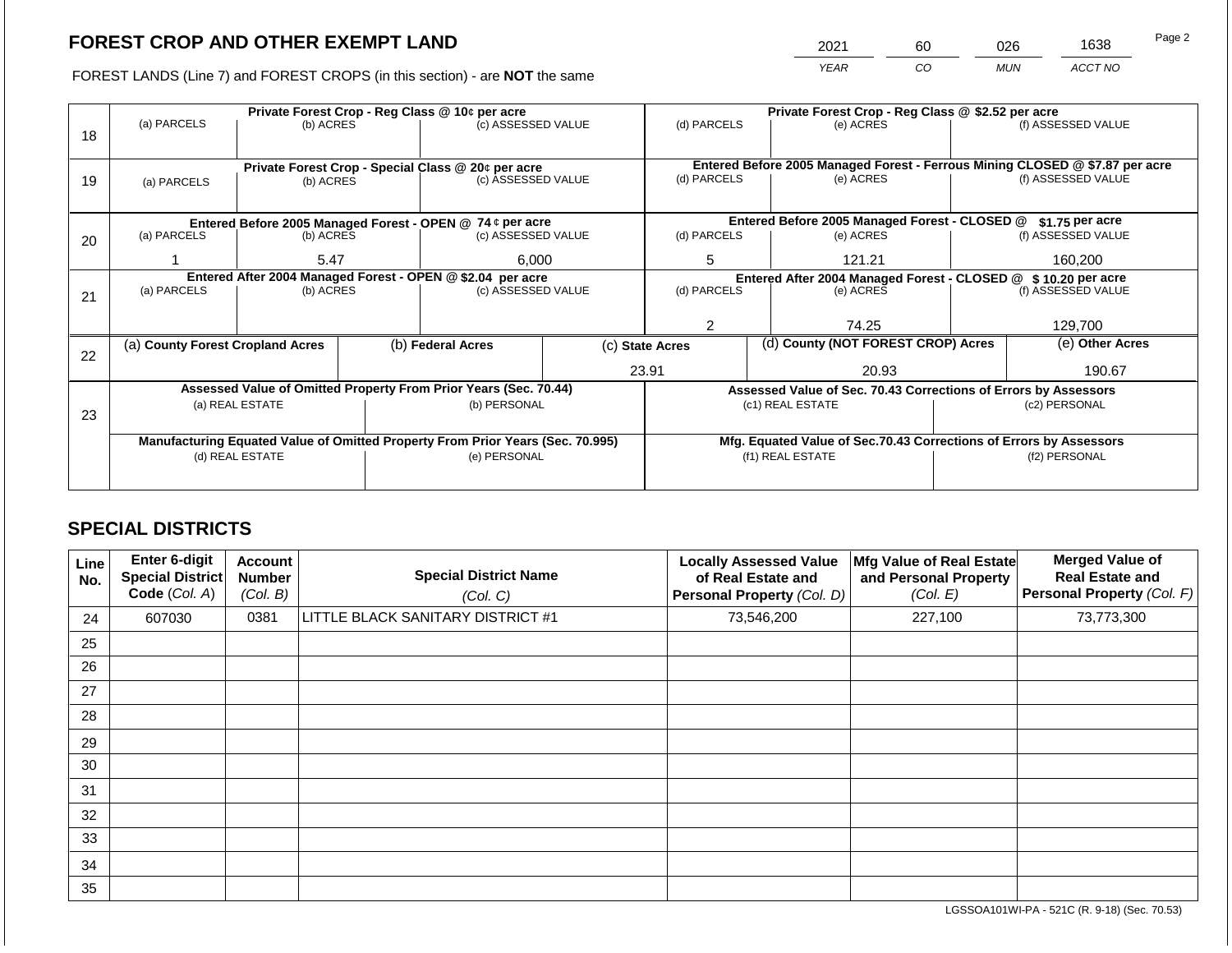2021 60 026 1638

FOREST LANDS (Line 7) and FOREST CROPS (in this section) - are **NOT** the same *YEAR CO MUN ACCT NO*

|    |                                                            |                 |  | Private Forest Crop - Reg Class @ 10¢ per acre                                 |                                                                | Private Forest Crop - Reg Class @ \$2.52 per acre                            |                                                                    |  |                    |  |
|----|------------------------------------------------------------|-----------------|--|--------------------------------------------------------------------------------|----------------------------------------------------------------|------------------------------------------------------------------------------|--------------------------------------------------------------------|--|--------------------|--|
|    | (a) PARCELS                                                | (b) ACRES       |  | (c) ASSESSED VALUE                                                             |                                                                | (d) PARCELS                                                                  | (e) ACRES                                                          |  | (f) ASSESSED VALUE |  |
| 18 |                                                            |                 |  |                                                                                |                                                                |                                                                              |                                                                    |  |                    |  |
|    |                                                            |                 |  |                                                                                |                                                                | Entered Before 2005 Managed Forest - Ferrous Mining CLOSED @ \$7.87 per acre |                                                                    |  |                    |  |
| 19 |                                                            |                 |  | Private Forest Crop - Special Class @ 20¢ per acre<br>(c) ASSESSED VALUE       |                                                                | (d) PARCELS                                                                  | (e) ACRES                                                          |  | (f) ASSESSED VALUE |  |
|    | (a) PARCELS                                                | (b) ACRES       |  |                                                                                |                                                                |                                                                              |                                                                    |  |                    |  |
|    |                                                            |                 |  |                                                                                |                                                                |                                                                              |                                                                    |  |                    |  |
|    |                                                            |                 |  | Entered Before 2005 Managed Forest - OPEN @ 74 ¢ per acre                      |                                                                |                                                                              | Entered Before 2005 Managed Forest - CLOSED @                      |  | $$1.75$ per acre   |  |
| 20 | (a) PARCELS                                                | (b) ACRES       |  | (c) ASSESSED VALUE                                                             |                                                                | (d) PARCELS                                                                  | (e) ACRES                                                          |  | (f) ASSESSED VALUE |  |
|    |                                                            | 6,000           |  | 5                                                                              |                                                                |                                                                              |                                                                    |  |                    |  |
|    |                                                            | 5.47            |  |                                                                                |                                                                |                                                                              | 121.21                                                             |  | 160.200            |  |
|    | Entered After 2004 Managed Forest - OPEN @ \$2.04 per acre |                 |  |                                                                                | Entered After 2004 Managed Forest - CLOSED @ \$ 10.20 per acre |                                                                              |                                                                    |  |                    |  |
| 21 | (a) PARCELS                                                | (b) ACRES       |  | (c) ASSESSED VALUE                                                             |                                                                | (d) PARCELS                                                                  | (e) ACRES                                                          |  | (f) ASSESSED VALUE |  |
|    |                                                            |                 |  |                                                                                |                                                                |                                                                              |                                                                    |  |                    |  |
|    |                                                            |                 |  |                                                                                |                                                                |                                                                              | 74.25                                                              |  | 129,700            |  |
|    | (a) County Forest Cropland Acres                           |                 |  | (b) Federal Acres                                                              |                                                                | (d) County (NOT FOREST CROP) Acres<br>(c) State Acres                        |                                                                    |  | (e) Other Acres    |  |
| 22 |                                                            |                 |  |                                                                                |                                                                |                                                                              |                                                                    |  |                    |  |
|    |                                                            |                 |  |                                                                                |                                                                | 23.91                                                                        | 20.93                                                              |  | 190.67             |  |
|    |                                                            |                 |  | Assessed Value of Omitted Property From Prior Years (Sec. 70.44)               |                                                                |                                                                              | Assessed Value of Sec. 70.43 Corrections of Errors by Assessors    |  |                    |  |
|    |                                                            | (a) REAL ESTATE |  | (b) PERSONAL                                                                   |                                                                |                                                                              | (c1) REAL ESTATE                                                   |  | (c2) PERSONAL      |  |
| 23 |                                                            |                 |  |                                                                                |                                                                |                                                                              |                                                                    |  |                    |  |
|    |                                                            |                 |  | Manufacturing Equated Value of Omitted Property From Prior Years (Sec. 70.995) |                                                                |                                                                              | Mfg. Equated Value of Sec.70.43 Corrections of Errors by Assessors |  |                    |  |
|    | (d) REAL ESTATE                                            |                 |  | (e) PERSONAL                                                                   |                                                                | (f1) REAL ESTATE                                                             |                                                                    |  | (f2) PERSONAL      |  |
|    |                                                            |                 |  |                                                                                |                                                                |                                                                              |                                                                    |  |                    |  |
|    |                                                            |                 |  |                                                                                |                                                                |                                                                              |                                                                    |  |                    |  |

# **SPECIAL DISTRICTS**

| Line<br>No. | <b>Enter 6-digit</b><br><b>Special District</b><br>Code (Col. A) | <b>Account</b><br><b>Number</b><br>(Col. B) | <b>Special District Name</b><br>(Col. C) | <b>Locally Assessed Value</b><br>of Real Estate and<br><b>Personal Property (Col. D)</b> | Mfg Value of Real Estate<br>and Personal Property<br>(Col. E) | <b>Merged Value of</b><br><b>Real Estate and</b><br>Personal Property (Col. F) |
|-------------|------------------------------------------------------------------|---------------------------------------------|------------------------------------------|------------------------------------------------------------------------------------------|---------------------------------------------------------------|--------------------------------------------------------------------------------|
| 24          | 607030                                                           | 0381                                        | LITTLE BLACK SANITARY DISTRICT #1        | 73,546,200                                                                               | 227,100                                                       | 73,773,300                                                                     |
| 25          |                                                                  |                                             |                                          |                                                                                          |                                                               |                                                                                |
| 26          |                                                                  |                                             |                                          |                                                                                          |                                                               |                                                                                |
| 27          |                                                                  |                                             |                                          |                                                                                          |                                                               |                                                                                |
| 28          |                                                                  |                                             |                                          |                                                                                          |                                                               |                                                                                |
| 29          |                                                                  |                                             |                                          |                                                                                          |                                                               |                                                                                |
| 30          |                                                                  |                                             |                                          |                                                                                          |                                                               |                                                                                |
| 31          |                                                                  |                                             |                                          |                                                                                          |                                                               |                                                                                |
| 32          |                                                                  |                                             |                                          |                                                                                          |                                                               |                                                                                |
| 33          |                                                                  |                                             |                                          |                                                                                          |                                                               |                                                                                |
| 34          |                                                                  |                                             |                                          |                                                                                          |                                                               |                                                                                |
| 35          |                                                                  |                                             |                                          |                                                                                          |                                                               |                                                                                |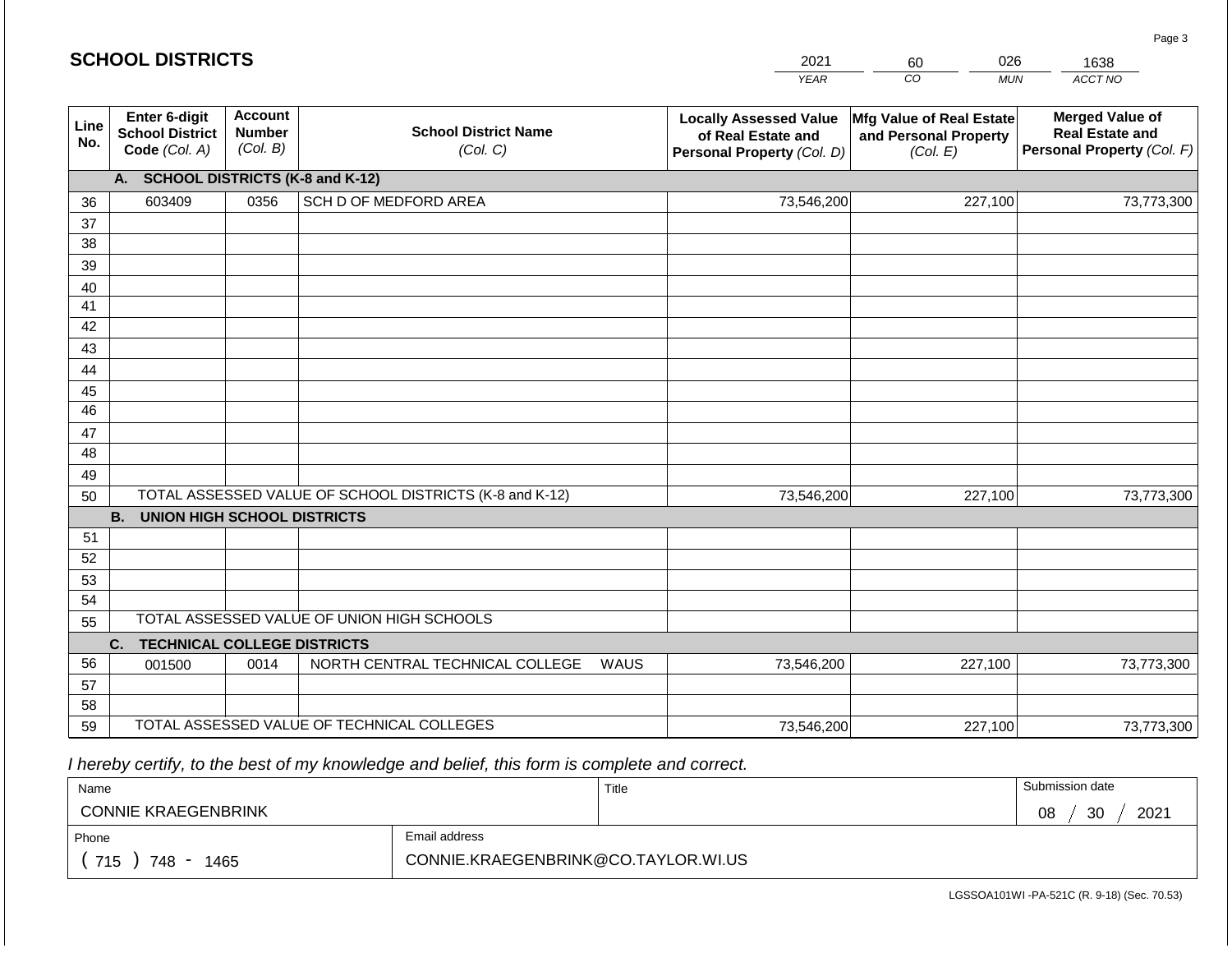|             | <b>SCHOOL DISTRICTS</b>                                  |                                             |                                                         |      | 2021                                                                              | 026<br>60                                                     | 1638                                                                           |
|-------------|----------------------------------------------------------|---------------------------------------------|---------------------------------------------------------|------|-----------------------------------------------------------------------------------|---------------------------------------------------------------|--------------------------------------------------------------------------------|
|             |                                                          |                                             |                                                         |      | <b>YEAR</b>                                                                       | CO<br><b>MUN</b>                                              | ACCT NO                                                                        |
| Line<br>No. | Enter 6-digit<br><b>School District</b><br>Code (Col. A) | <b>Account</b><br><b>Number</b><br>(Col. B) | <b>School District Name</b><br>(Col. C)                 |      | <b>Locally Assessed Value</b><br>of Real Estate and<br>Personal Property (Col. D) | Mfg Value of Real Estate<br>and Personal Property<br>(Col. E) | <b>Merged Value of</b><br><b>Real Estate and</b><br>Personal Property (Col. F) |
|             | <b>SCHOOL DISTRICTS (K-8 and K-12)</b><br>A.             |                                             |                                                         |      |                                                                                   |                                                               |                                                                                |
| 36          | 603409                                                   | 0356                                        | SCH D OF MEDFORD AREA                                   |      | 73,546,200                                                                        | 227,100                                                       | 73,773,300                                                                     |
| 37          |                                                          |                                             |                                                         |      |                                                                                   |                                                               |                                                                                |
| 38          |                                                          |                                             |                                                         |      |                                                                                   |                                                               |                                                                                |
| 39          |                                                          |                                             |                                                         |      |                                                                                   |                                                               |                                                                                |
| 40          |                                                          |                                             |                                                         |      |                                                                                   |                                                               |                                                                                |
| 41<br>42    |                                                          |                                             |                                                         |      |                                                                                   |                                                               |                                                                                |
| 43          |                                                          |                                             |                                                         |      |                                                                                   |                                                               |                                                                                |
| 44          |                                                          |                                             |                                                         |      |                                                                                   |                                                               |                                                                                |
| 45          |                                                          |                                             |                                                         |      |                                                                                   |                                                               |                                                                                |
| 46          |                                                          |                                             |                                                         |      |                                                                                   |                                                               |                                                                                |
| 47          |                                                          |                                             |                                                         |      |                                                                                   |                                                               |                                                                                |
| 48          |                                                          |                                             |                                                         |      |                                                                                   |                                                               |                                                                                |
| 49          |                                                          |                                             |                                                         |      |                                                                                   |                                                               |                                                                                |
| 50          |                                                          |                                             | TOTAL ASSESSED VALUE OF SCHOOL DISTRICTS (K-8 and K-12) |      | 73,546,200                                                                        | 227,100                                                       | 73,773,300                                                                     |
|             | <b>B.</b><br><b>UNION HIGH SCHOOL DISTRICTS</b>          |                                             |                                                         |      |                                                                                   |                                                               |                                                                                |
| 51          |                                                          |                                             |                                                         |      |                                                                                   |                                                               |                                                                                |
| 52          |                                                          |                                             |                                                         |      |                                                                                   |                                                               |                                                                                |
| 53          |                                                          |                                             |                                                         |      |                                                                                   |                                                               |                                                                                |
| 54          |                                                          |                                             | TOTAL ASSESSED VALUE OF UNION HIGH SCHOOLS              |      |                                                                                   |                                                               |                                                                                |
| 55          | <b>TECHNICAL COLLEGE DISTRICTS</b><br>C.                 |                                             |                                                         |      |                                                                                   |                                                               |                                                                                |
| 56          | 001500                                                   | 0014                                        | NORTH CENTRAL TECHNICAL COLLEGE                         | WAUS | 73,546,200                                                                        | 227,100                                                       | 73,773,300                                                                     |
| 57          |                                                          |                                             |                                                         |      |                                                                                   |                                                               |                                                                                |
| 58          |                                                          |                                             |                                                         |      |                                                                                   |                                                               |                                                                                |
| 59          |                                                          |                                             | TOTAL ASSESSED VALUE OF TECHNICAL COLLEGES              |      | 73,546,200                                                                        | 227,100                                                       | 73,773,300                                                                     |

| Name                       |                                     | Title | Submission date  |
|----------------------------|-------------------------------------|-------|------------------|
| <b>CONNIE KRAEGENBRINK</b> |                                     |       | 2021<br>30<br>08 |
| Phone                      | Email address                       |       |                  |
| 715<br>748<br>1465         | CONNIE.KRAEGENBRINK@CO.TAYLOR.WI.US |       |                  |

LGSSOA101WI -PA-521C (R. 9-18) (Sec. 70.53)

Page 3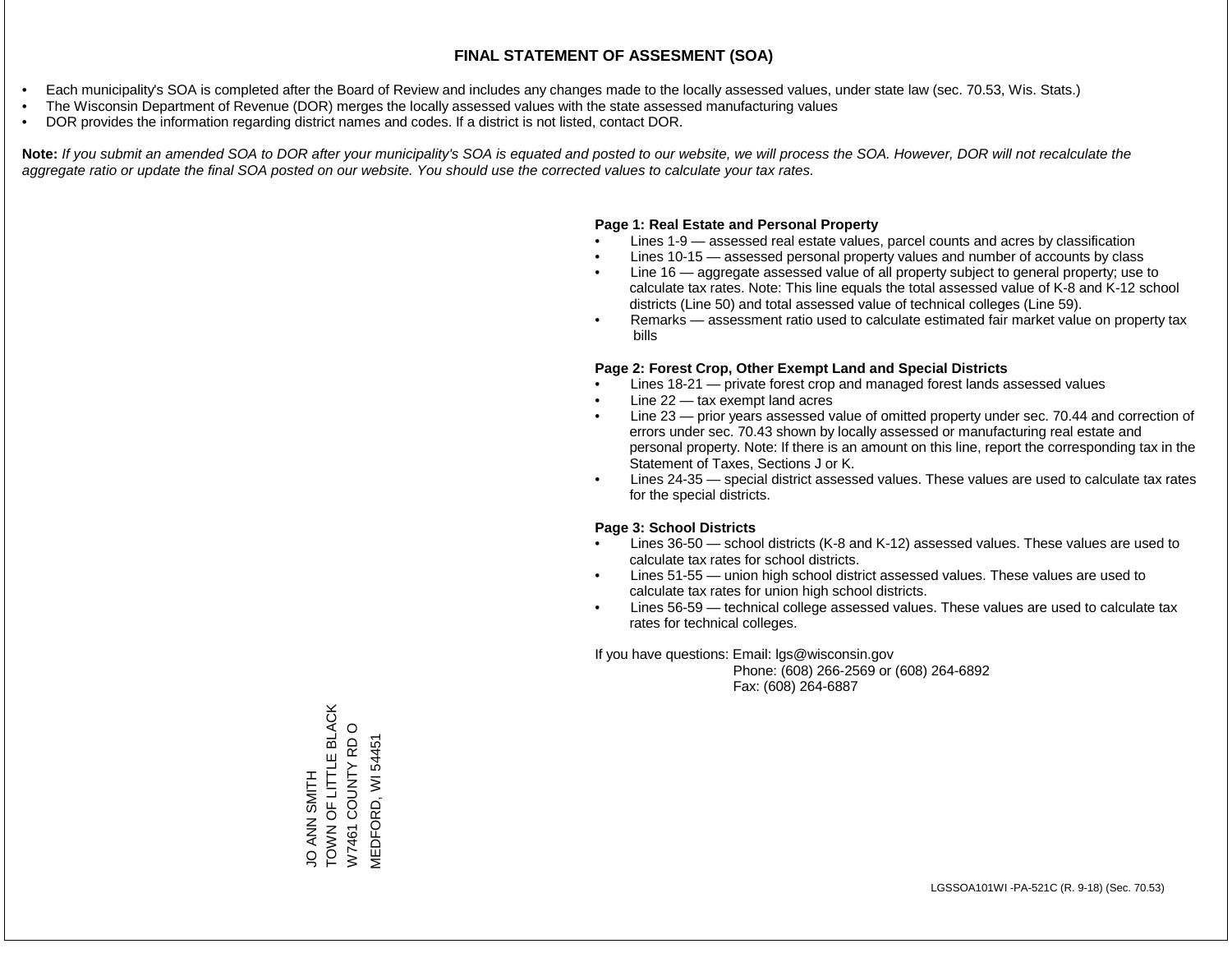- Each municipality's SOA is completed after the Board of Review and includes any changes made to the locally assessed values, under state law (sec. 70.53, Wis. Stats.)
- The Wisconsin Department of Revenue (DOR) merges the locally assessed values with the state assessed manufacturing values
- DOR provides the information regarding district names and codes. If a district is not listed, contact DOR.

Note: If you submit an amended SOA to DOR after your municipality's SOA is equated and posted to our website, we will process the SOA. However, DOR will not recalculate the *aggregate ratio or update the final SOA posted on our website. You should use the corrected values to calculate your tax rates.*

#### **Page 1: Real Estate and Personal Property**

- Lines 1-9 assessed real estate values, parcel counts and acres by classification
- Lines 10-15 assessed personal property values and number of accounts by class
- Line 16 aggregate assessed value of all property subject to general property; use to calculate tax rates. Note: This line equals the total assessed value of K-8 and K-12 school districts (Line 50) and total assessed value of technical colleges (Line 59).
- Remarks assessment ratio used to calculate estimated fair market value on property tax bills

#### **Page 2: Forest Crop, Other Exempt Land and Special Districts**

- Lines 18-21 private forest crop and managed forest lands assessed values
- Line  $22 -$  tax exempt land acres
- Line 23 prior years assessed value of omitted property under sec. 70.44 and correction of errors under sec. 70.43 shown by locally assessed or manufacturing real estate and personal property. Note: If there is an amount on this line, report the corresponding tax in the Statement of Taxes, Sections J or K.
- Lines 24-35 special district assessed values. These values are used to calculate tax rates for the special districts.

#### **Page 3: School Districts**

- Lines 36-50 school districts (K-8 and K-12) assessed values. These values are used to calculate tax rates for school districts.
- Lines 51-55 union high school district assessed values. These values are used to calculate tax rates for union high school districts.
- Lines 56-59 technical college assessed values. These values are used to calculate tax rates for technical colleges.

If you have questions: Email: lgs@wisconsin.gov

 Phone: (608) 266-2569 or (608) 264-6892 Fax: (608) 264-6887

TOWN OF LITTLE BLACK JO ANN SMITH<br>TOWN OF LITTLE BLACK  $\circ$ W7461 COUNTY RD O W7461 COUNTY RD **MEDFORD, WI 54451** MEDFORD, WI 54451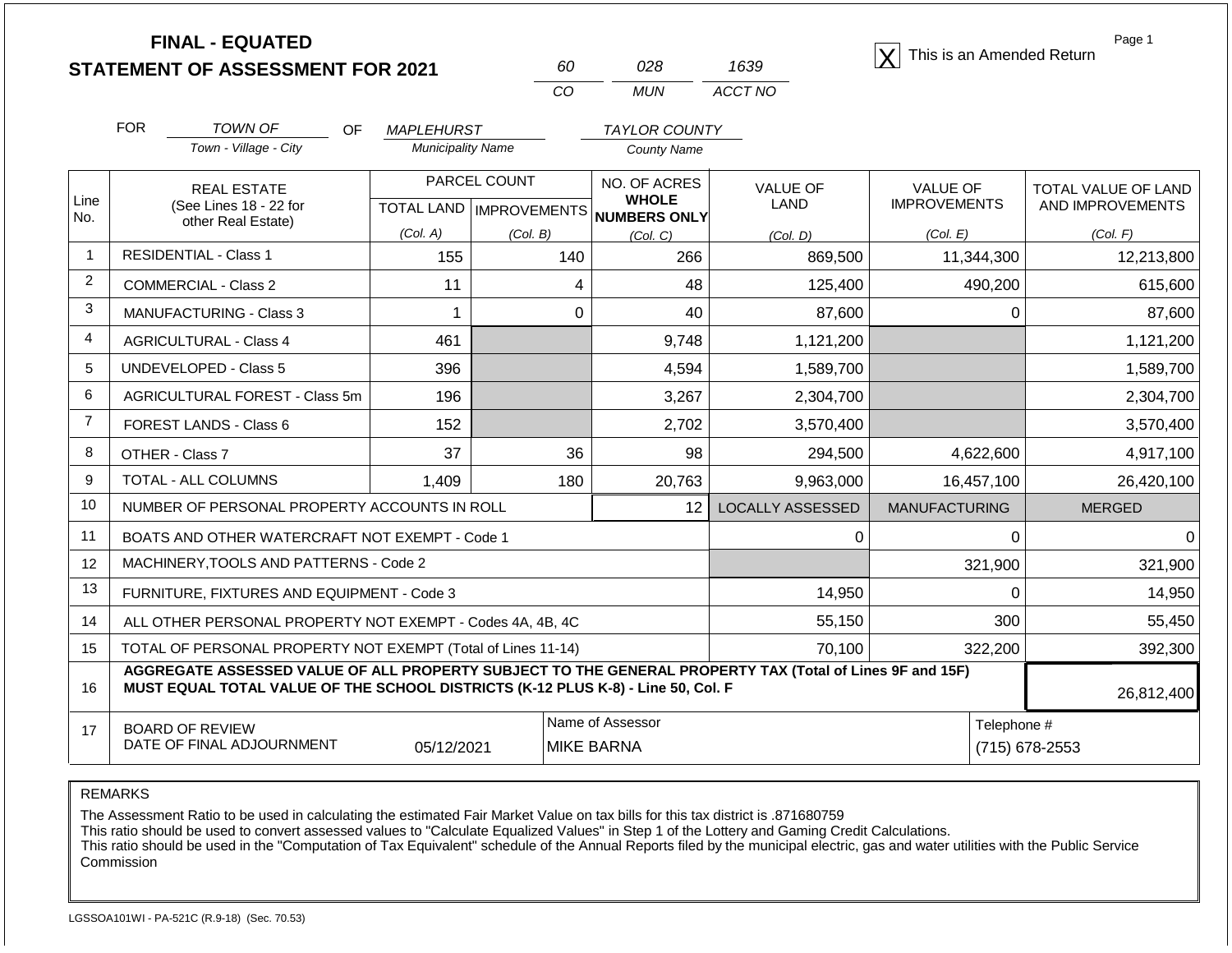|                |                                                                                                                                                                                              | <b>FINAL - EQUATED</b><br><b>STATEMENT OF ASSESSMENT FOR 2021</b> |                          | 60                                               | 028                                          | 1639                    | This is an Amended Return              | Page 1                                  |
|----------------|----------------------------------------------------------------------------------------------------------------------------------------------------------------------------------------------|-------------------------------------------------------------------|--------------------------|--------------------------------------------------|----------------------------------------------|-------------------------|----------------------------------------|-----------------------------------------|
|                |                                                                                                                                                                                              |                                                                   |                          | CO                                               | <b>MUN</b>                                   | ACCT NO                 |                                        |                                         |
|                | <b>FOR</b>                                                                                                                                                                                   | TOWN OF<br><b>OF</b>                                              | <b>MAPLEHURST</b>        |                                                  | <b>TAYLOR COUNTY</b>                         |                         |                                        |                                         |
|                |                                                                                                                                                                                              | Town - Village - City                                             | <b>Municipality Name</b> |                                                  | <b>County Name</b>                           |                         |                                        |                                         |
| Line<br>No.    |                                                                                                                                                                                              | <b>REAL ESTATE</b><br>(See Lines 18 - 22 for                      |                          | PARCEL COUNT<br><b>TOTAL LAND   IMPROVEMENTS</b> | NO. OF ACRES<br><b>WHOLE</b><br>NUMBERS ONLY | <b>VALUE OF</b><br>LAND | <b>VALUE OF</b><br><b>IMPROVEMENTS</b> | TOTAL VALUE OF LAND<br>AND IMPROVEMENTS |
|                |                                                                                                                                                                                              | other Real Estate)                                                | (Col. A)                 | (Col. B)                                         | (Col, C)                                     | (Col, D)                | (Col. E)                               | (Col. F)                                |
| $\overline{1}$ | <b>RESIDENTIAL - Class 1</b>                                                                                                                                                                 |                                                                   | 155                      | 140                                              | 266                                          | 869,500                 | 11,344,300                             | 12,213,800                              |
| $\overline{2}$ |                                                                                                                                                                                              | <b>COMMERCIAL - Class 2</b>                                       | 11                       |                                                  | 48<br>4                                      | 125,400                 | 490,200                                | 615,600                                 |
| 3              | MANUFACTURING - Class 3                                                                                                                                                                      |                                                                   | $\mathbf 1$              |                                                  | $\mathbf 0$<br>40                            | 87,600                  | $\pmb{0}$                              | 87,600                                  |
| $\overline{4}$ |                                                                                                                                                                                              | <b>AGRICULTURAL - Class 4</b>                                     | 461                      |                                                  | 9,748                                        | 1,121,200               |                                        | 1,121,200                               |
| 5              |                                                                                                                                                                                              | <b>UNDEVELOPED - Class 5</b>                                      | 396                      |                                                  | 4,594                                        | 1,589,700               |                                        | 1,589,700                               |
| 6              |                                                                                                                                                                                              | AGRICULTURAL FOREST - Class 5m                                    | 196                      |                                                  | 3,267                                        | 2,304,700               |                                        | 2,304,700                               |
| $\overline{7}$ |                                                                                                                                                                                              | FOREST LANDS - Class 6                                            | 152                      |                                                  | 2,702                                        | 3,570,400               |                                        | 3,570,400                               |
| 8              |                                                                                                                                                                                              | OTHER - Class 7                                                   | 37                       |                                                  | 36<br>98                                     | 294,500                 | 4,622,600                              | 4,917,100                               |
| 9              |                                                                                                                                                                                              | TOTAL - ALL COLUMNS                                               | 1,409                    | 180                                              | 20,763                                       | 9,963,000               | 16,457,100                             | 26,420,100                              |
| 10             |                                                                                                                                                                                              | NUMBER OF PERSONAL PROPERTY ACCOUNTS IN ROLL                      |                          |                                                  | 12                                           | <b>LOCALLY ASSESSED</b> | <b>MANUFACTURING</b>                   | <b>MERGED</b>                           |
| 11             |                                                                                                                                                                                              | BOATS AND OTHER WATERCRAFT NOT EXEMPT - Code 1                    |                          |                                                  |                                              | 0                       | $\Omega$                               | $\Omega$                                |
| 12             |                                                                                                                                                                                              | MACHINERY, TOOLS AND PATTERNS - Code 2                            |                          |                                                  |                                              |                         | 321,900                                | 321,900                                 |
| 13             |                                                                                                                                                                                              | FURNITURE, FIXTURES AND EQUIPMENT - Code 3                        |                          |                                                  |                                              | 14,950                  | $\mathbf 0$                            | 14,950                                  |
| 14             |                                                                                                                                                                                              | ALL OTHER PERSONAL PROPERTY NOT EXEMPT - Codes 4A, 4B, 4C         |                          |                                                  |                                              | 55,150                  | 300                                    | 55,450                                  |
| 15             |                                                                                                                                                                                              | TOTAL OF PERSONAL PROPERTY NOT EXEMPT (Total of Lines 11-14)      |                          |                                                  |                                              | 70,100                  | 322,200                                | 392,300                                 |
| 16             | AGGREGATE ASSESSED VALUE OF ALL PROPERTY SUBJECT TO THE GENERAL PROPERTY TAX (Total of Lines 9F and 15F)<br>MUST EQUAL TOTAL VALUE OF THE SCHOOL DISTRICTS (K-12 PLUS K-8) - Line 50, Col. F |                                                                   |                          |                                                  |                                              |                         |                                        | 26,812,400                              |
| 17             |                                                                                                                                                                                              | <b>BOARD OF REVIEW</b>                                            |                          |                                                  | Name of Assessor                             |                         | Telephone #                            |                                         |
|                |                                                                                                                                                                                              | DATE OF FINAL ADJOURNMENT                                         | 05/12/2021               |                                                  | <b>MIKE BARNA</b>                            |                         | (715) 678-2553                         |                                         |

The Assessment Ratio to be used in calculating the estimated Fair Market Value on tax bills for this tax district is .871680759

This ratio should be used to convert assessed values to "Calculate Equalized Values" in Step 1 of the Lottery and Gaming Credit Calculations.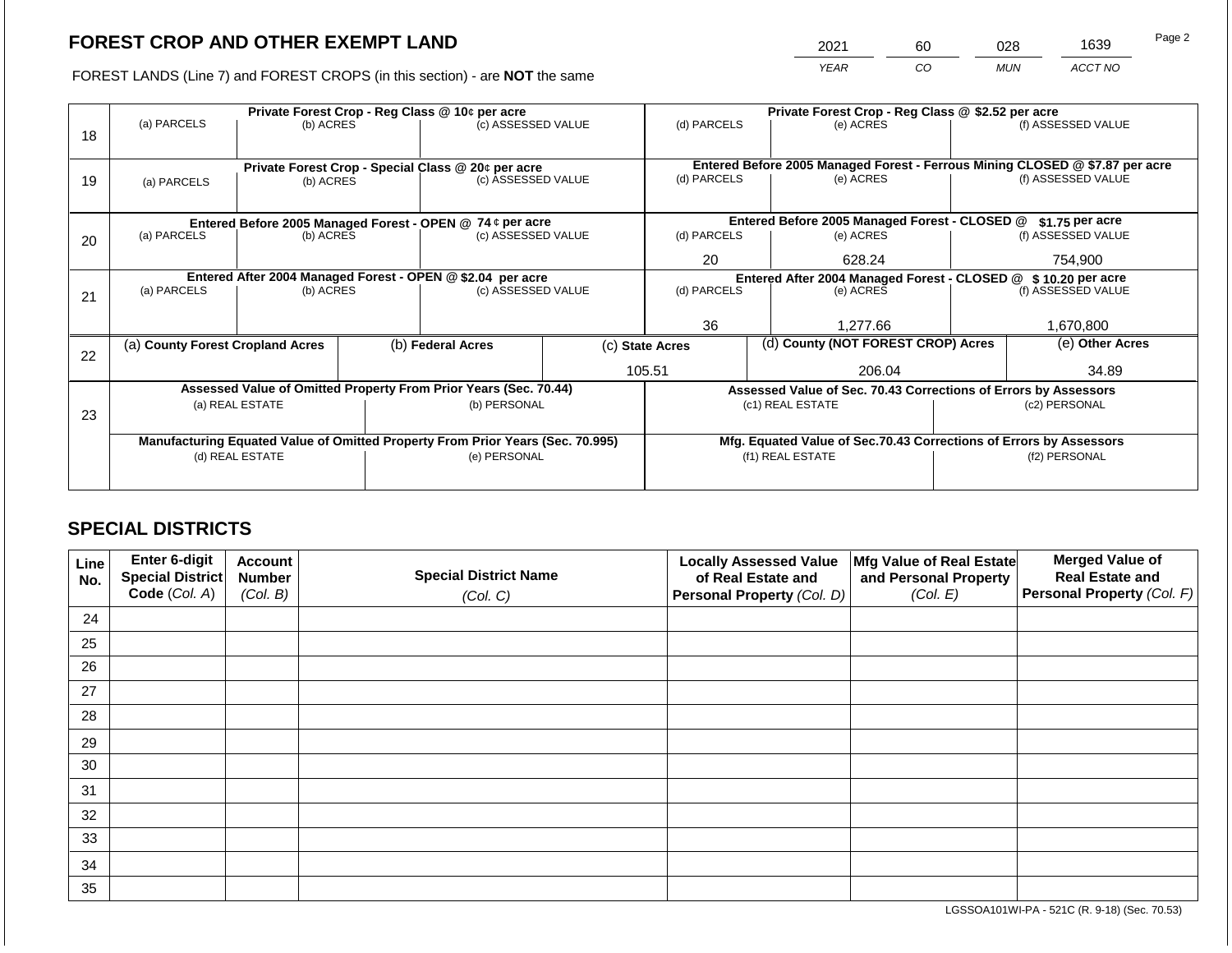2021 60 028 1639

FOREST LANDS (Line 7) and FOREST CROPS (in this section) - are **NOT** the same *YEAR CO MUN ACCT NO*

|    |                                                                                | Private Forest Crop - Reg Class @ 10¢ per acre |  |                                                                  |                 |                                                                              | Private Forest Crop - Reg Class @ \$2.52 per acre                  |                                                                                     |               |                    |
|----|--------------------------------------------------------------------------------|------------------------------------------------|--|------------------------------------------------------------------|-----------------|------------------------------------------------------------------------------|--------------------------------------------------------------------|-------------------------------------------------------------------------------------|---------------|--------------------|
| 18 | (a) PARCELS                                                                    | (b) ACRES                                      |  | (c) ASSESSED VALUE                                               |                 | (d) PARCELS                                                                  |                                                                    | (e) ACRES                                                                           |               | (f) ASSESSED VALUE |
|    |                                                                                |                                                |  |                                                                  |                 |                                                                              |                                                                    |                                                                                     |               |                    |
|    |                                                                                |                                                |  | Private Forest Crop - Special Class @ 20¢ per acre               |                 | Entered Before 2005 Managed Forest - Ferrous Mining CLOSED @ \$7.87 per acre |                                                                    |                                                                                     |               |                    |
| 19 | (a) PARCELS                                                                    | (b) ACRES                                      |  | (c) ASSESSED VALUE                                               |                 | (d) PARCELS                                                                  |                                                                    | (e) ACRES                                                                           |               | (f) ASSESSED VALUE |
|    |                                                                                |                                                |  |                                                                  |                 |                                                                              |                                                                    |                                                                                     |               |                    |
|    |                                                                                |                                                |  | Entered Before 2005 Managed Forest - OPEN @ 74 ¢ per acre        |                 |                                                                              |                                                                    | Entered Before 2005 Managed Forest - CLOSED @                                       |               | $$1.75$ per acre   |
| 20 | (a) PARCELS                                                                    | (b) ACRES                                      |  | (c) ASSESSED VALUE                                               |                 | (d) PARCELS                                                                  |                                                                    | (e) ACRES                                                                           |               | (f) ASSESSED VALUE |
|    |                                                                                |                                                |  | 20                                                               |                 | 628.24                                                                       |                                                                    | 754,900                                                                             |               |                    |
|    | Entered After 2004 Managed Forest - OPEN @ \$2.04 per acre                     |                                                |  |                                                                  |                 |                                                                              |                                                                    | Entered After 2004 Managed Forest - CLOSED @ \$10.20 per acre                       |               |                    |
| 21 | (a) PARCELS                                                                    | (b) ACRES                                      |  | (c) ASSESSED VALUE                                               |                 | (d) PARCELS<br>(e) ACRES                                                     |                                                                    |                                                                                     |               | (f) ASSESSED VALUE |
|    |                                                                                |                                                |  |                                                                  |                 |                                                                              |                                                                    |                                                                                     |               |                    |
|    |                                                                                |                                                |  |                                                                  |                 | 36                                                                           |                                                                    | 1.277.66                                                                            |               | 1,670,800          |
| 22 | (a) County Forest Cropland Acres                                               |                                                |  | (b) Federal Acres                                                | (c) State Acres |                                                                              |                                                                    | (d) County (NOT FOREST CROP) Acres                                                  |               | (e) Other Acres    |
|    |                                                                                |                                                |  |                                                                  |                 | 105.51                                                                       |                                                                    | 206.04                                                                              |               | 34.89              |
|    |                                                                                |                                                |  | Assessed Value of Omitted Property From Prior Years (Sec. 70.44) |                 |                                                                              |                                                                    |                                                                                     |               |                    |
|    |                                                                                | (a) REAL ESTATE                                |  | (b) PERSONAL                                                     |                 |                                                                              |                                                                    | Assessed Value of Sec. 70.43 Corrections of Errors by Assessors<br>(c1) REAL ESTATE |               | (c2) PERSONAL      |
| 23 |                                                                                |                                                |  |                                                                  |                 |                                                                              |                                                                    |                                                                                     |               |                    |
|    |                                                                                |                                                |  |                                                                  |                 |                                                                              |                                                                    |                                                                                     |               |                    |
|    | Manufacturing Equated Value of Omitted Property From Prior Years (Sec. 70.995) |                                                |  |                                                                  |                 |                                                                              | Mfg. Equated Value of Sec.70.43 Corrections of Errors by Assessors |                                                                                     |               |                    |
|    |                                                                                | (d) REAL ESTATE                                |  | (e) PERSONAL                                                     |                 |                                                                              |                                                                    | (f1) REAL ESTATE                                                                    | (f2) PERSONAL |                    |
|    |                                                                                |                                                |  |                                                                  |                 |                                                                              |                                                                    |                                                                                     |               |                    |

# **SPECIAL DISTRICTS**

| Line<br>No. | Enter 6-digit<br>Special District<br>Code (Col. A) | <b>Account</b><br><b>Number</b><br>(Col. B) | <b>Special District Name</b><br>(Col. C) | <b>Locally Assessed Value</b><br>of Real Estate and<br><b>Personal Property (Col. D)</b> | Mfg Value of Real Estate<br>and Personal Property<br>(Col. E) | <b>Merged Value of</b><br><b>Real Estate and</b><br>Personal Property (Col. F) |
|-------------|----------------------------------------------------|---------------------------------------------|------------------------------------------|------------------------------------------------------------------------------------------|---------------------------------------------------------------|--------------------------------------------------------------------------------|
| 24          |                                                    |                                             |                                          |                                                                                          |                                                               |                                                                                |
| 25          |                                                    |                                             |                                          |                                                                                          |                                                               |                                                                                |
| 26          |                                                    |                                             |                                          |                                                                                          |                                                               |                                                                                |
| 27          |                                                    |                                             |                                          |                                                                                          |                                                               |                                                                                |
| 28          |                                                    |                                             |                                          |                                                                                          |                                                               |                                                                                |
| 29          |                                                    |                                             |                                          |                                                                                          |                                                               |                                                                                |
| 30          |                                                    |                                             |                                          |                                                                                          |                                                               |                                                                                |
| 31          |                                                    |                                             |                                          |                                                                                          |                                                               |                                                                                |
| 32          |                                                    |                                             |                                          |                                                                                          |                                                               |                                                                                |
| 33          |                                                    |                                             |                                          |                                                                                          |                                                               |                                                                                |
| 34          |                                                    |                                             |                                          |                                                                                          |                                                               |                                                                                |
| 35          |                                                    |                                             |                                          |                                                                                          |                                                               |                                                                                |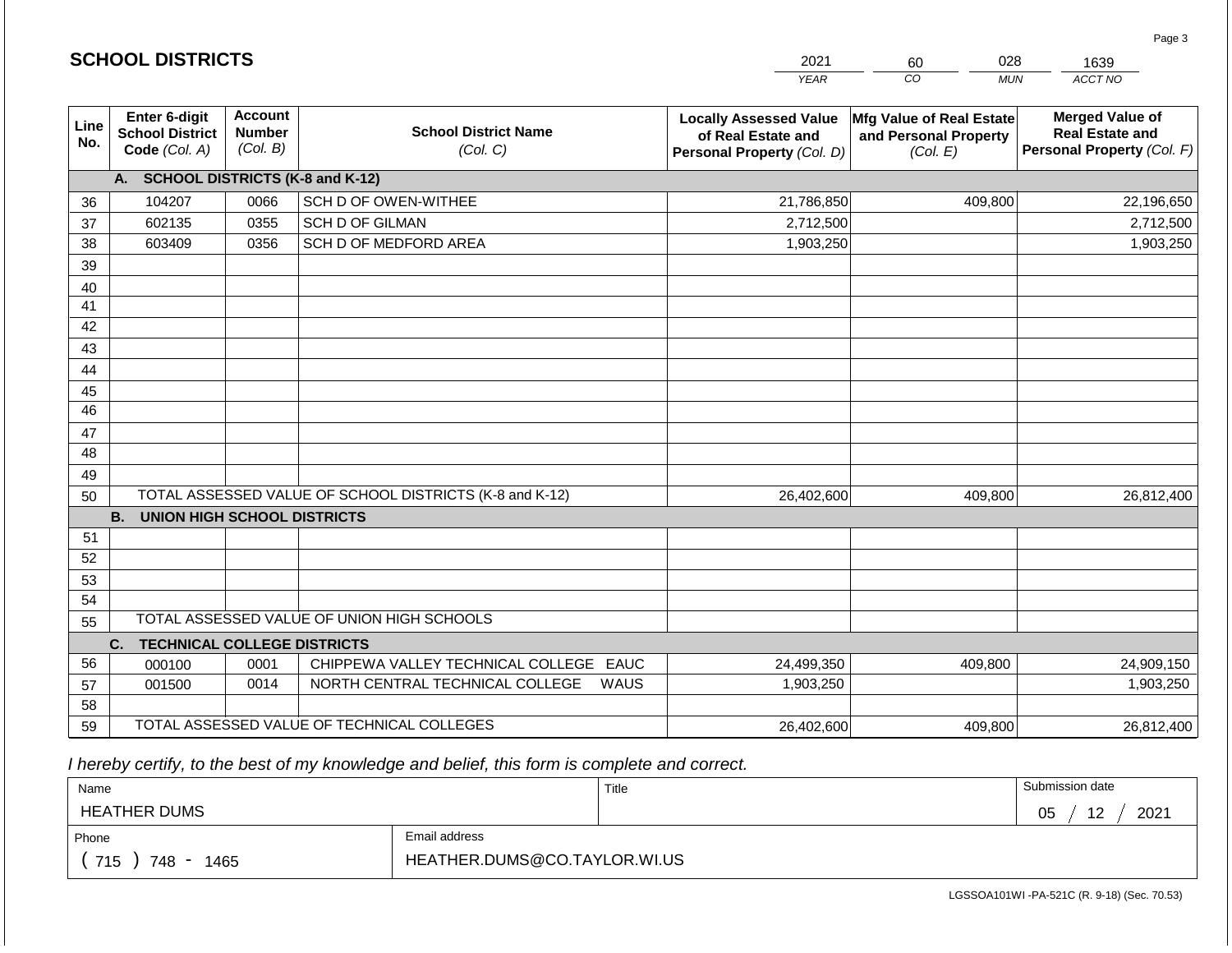|             | <b>SCHOOL DISTRICTS</b>                                                                                 |      |                                                         | 2021                                                                              | 028<br>60                                                     | 1639                                                                           |  |
|-------------|---------------------------------------------------------------------------------------------------------|------|---------------------------------------------------------|-----------------------------------------------------------------------------------|---------------------------------------------------------------|--------------------------------------------------------------------------------|--|
|             |                                                                                                         |      |                                                         | <b>YEAR</b>                                                                       | CO<br><b>MUN</b>                                              | ACCT NO                                                                        |  |
| Line<br>No. | Enter 6-digit<br><b>Account</b><br><b>Number</b><br><b>School District</b><br>(Col. B)<br>Code (Col. A) |      | <b>School District Name</b><br>(Col. C)                 | <b>Locally Assessed Value</b><br>of Real Estate and<br>Personal Property (Col. D) | Mfg Value of Real Estate<br>and Personal Property<br>(Col. E) | <b>Merged Value of</b><br><b>Real Estate and</b><br>Personal Property (Col. F) |  |
|             | A. SCHOOL DISTRICTS (K-8 and K-12)                                                                      |      |                                                         |                                                                                   |                                                               |                                                                                |  |
| 36          | 104207                                                                                                  | 0066 | SCH D OF OWEN-WITHEE                                    | 21,786,850                                                                        | 409,800                                                       | 22,196,650                                                                     |  |
| 37          | 602135                                                                                                  | 0355 | <b>SCH D OF GILMAN</b>                                  | 2,712,500                                                                         |                                                               | 2,712,500                                                                      |  |
| 38          | 603409                                                                                                  | 0356 | SCH D OF MEDFORD AREA                                   | 1,903,250                                                                         |                                                               | 1,903,250                                                                      |  |
| 39          |                                                                                                         |      |                                                         |                                                                                   |                                                               |                                                                                |  |
| 40          |                                                                                                         |      |                                                         |                                                                                   |                                                               |                                                                                |  |
| 41          |                                                                                                         |      |                                                         |                                                                                   |                                                               |                                                                                |  |
| 42          |                                                                                                         |      |                                                         |                                                                                   |                                                               |                                                                                |  |
| 43          |                                                                                                         |      |                                                         |                                                                                   |                                                               |                                                                                |  |
| 44          |                                                                                                         |      |                                                         |                                                                                   |                                                               |                                                                                |  |
| 45          |                                                                                                         |      |                                                         |                                                                                   |                                                               |                                                                                |  |
| 46          |                                                                                                         |      |                                                         |                                                                                   |                                                               |                                                                                |  |
| 47          |                                                                                                         |      |                                                         |                                                                                   |                                                               |                                                                                |  |
| 48          |                                                                                                         |      |                                                         |                                                                                   |                                                               |                                                                                |  |
| 49<br>50    |                                                                                                         |      | TOTAL ASSESSED VALUE OF SCHOOL DISTRICTS (K-8 and K-12) | 26,402,600                                                                        | 409,800                                                       | 26,812,400                                                                     |  |
|             | <b>B.</b><br><b>UNION HIGH SCHOOL DISTRICTS</b>                                                         |      |                                                         |                                                                                   |                                                               |                                                                                |  |
| 51          |                                                                                                         |      |                                                         |                                                                                   |                                                               |                                                                                |  |
| 52          |                                                                                                         |      |                                                         |                                                                                   |                                                               |                                                                                |  |
| 53          |                                                                                                         |      |                                                         |                                                                                   |                                                               |                                                                                |  |
| 54          |                                                                                                         |      |                                                         |                                                                                   |                                                               |                                                                                |  |
| 55          |                                                                                                         |      | TOTAL ASSESSED VALUE OF UNION HIGH SCHOOLS              |                                                                                   |                                                               |                                                                                |  |
|             | <b>TECHNICAL COLLEGE DISTRICTS</b><br>C.                                                                |      |                                                         |                                                                                   |                                                               |                                                                                |  |
| 56          | 000100                                                                                                  | 0001 | CHIPPEWA VALLEY TECHNICAL COLLEGE EAUC                  | 24,499,350                                                                        | 409,800                                                       | 24,909,150                                                                     |  |
| 57          | 001500                                                                                                  | 0014 | NORTH CENTRAL TECHNICAL COLLEGE<br>WAUS                 | 1,903,250                                                                         |                                                               | 1,903,250                                                                      |  |
| 58          |                                                                                                         |      |                                                         |                                                                                   |                                                               |                                                                                |  |
| 59          |                                                                                                         |      | TOTAL ASSESSED VALUE OF TECHNICAL COLLEGES              | 26,402,600                                                                        | 409,800                                                       | 26,812,400                                                                     |  |

**SCHOOL DISTRICTS**

| Name                |                              | Title | Submission date  |
|---------------------|------------------------------|-------|------------------|
| <b>HEATHER DUMS</b> |                              |       | 2021<br>05<br>12 |
| Phone               | Email address                |       |                  |
| 715<br>748<br>1465  | HEATHER.DUMS@CO.TAYLOR.WI.US |       |                  |

LGSSOA101WI -PA-521C (R. 9-18) (Sec. 70.53)

Page 3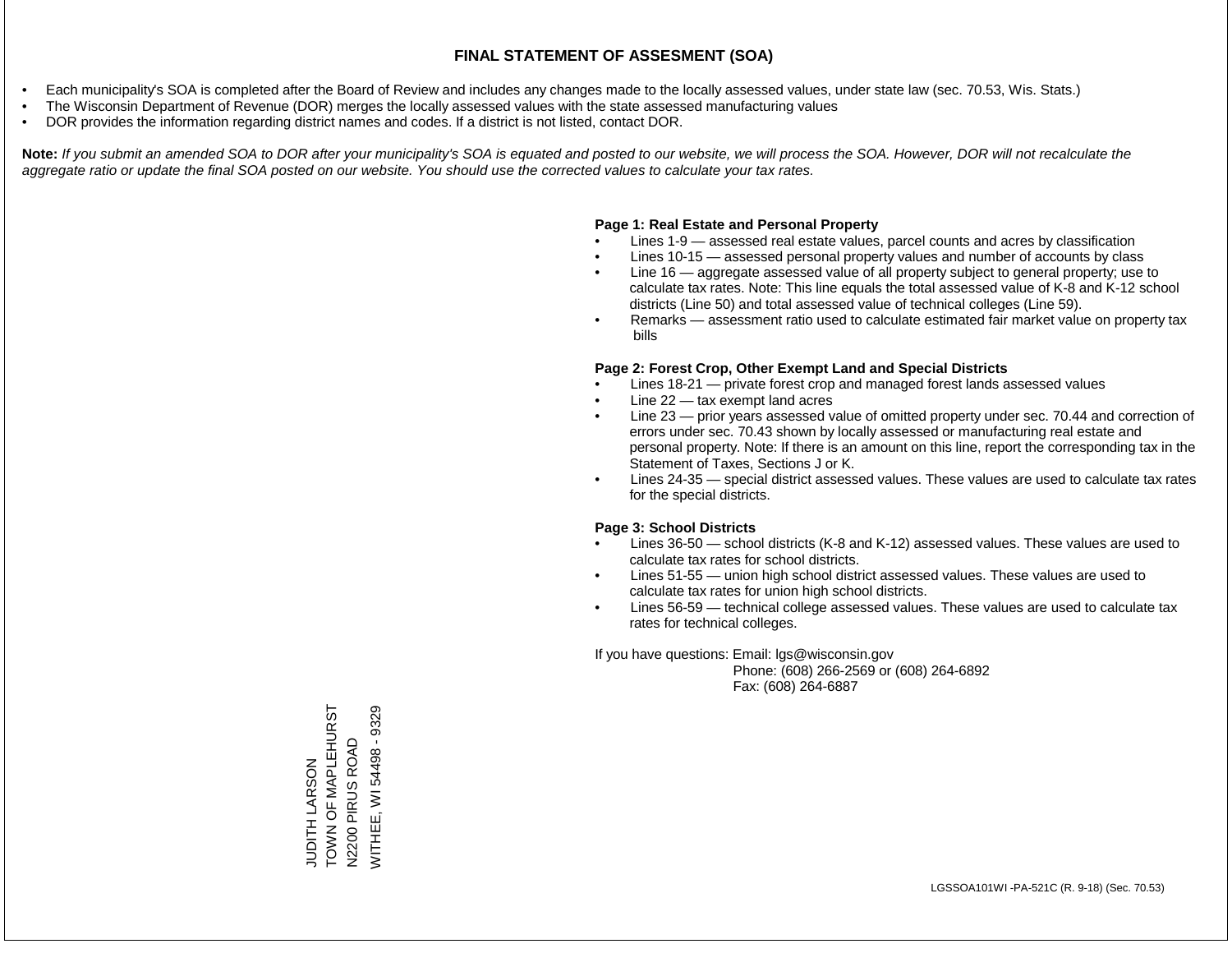- Each municipality's SOA is completed after the Board of Review and includes any changes made to the locally assessed values, under state law (sec. 70.53, Wis. Stats.)
- The Wisconsin Department of Revenue (DOR) merges the locally assessed values with the state assessed manufacturing values
- DOR provides the information regarding district names and codes. If a district is not listed, contact DOR.

Note: If you submit an amended SOA to DOR after your municipality's SOA is equated and posted to our website, we will process the SOA. However, DOR will not recalculate the *aggregate ratio or update the final SOA posted on our website. You should use the corrected values to calculate your tax rates.*

### **Page 1: Real Estate and Personal Property**

- Lines 1-9 assessed real estate values, parcel counts and acres by classification
- Lines 10-15 assessed personal property values and number of accounts by class
- Line 16 aggregate assessed value of all property subject to general property; use to calculate tax rates. Note: This line equals the total assessed value of K-8 and K-12 school districts (Line 50) and total assessed value of technical colleges (Line 59).
- Remarks assessment ratio used to calculate estimated fair market value on property tax bills

### **Page 2: Forest Crop, Other Exempt Land and Special Districts**

- Lines 18-21 private forest crop and managed forest lands assessed values
- Line  $22 -$  tax exempt land acres
- Line 23 prior years assessed value of omitted property under sec. 70.44 and correction of errors under sec. 70.43 shown by locally assessed or manufacturing real estate and personal property. Note: If there is an amount on this line, report the corresponding tax in the Statement of Taxes, Sections J or K.
- Lines 24-35 special district assessed values. These values are used to calculate tax rates for the special districts.

### **Page 3: School Districts**

- Lines 36-50 school districts (K-8 and K-12) assessed values. These values are used to calculate tax rates for school districts.
- Lines 51-55 union high school district assessed values. These values are used to calculate tax rates for union high school districts.
- Lines 56-59 technical college assessed values. These values are used to calculate tax rates for technical colleges.

If you have questions: Email: lgs@wisconsin.gov

 Phone: (608) 266-2569 or (608) 264-6892 Fax: (608) 264-6887

TOWN OF MAPLEHURST WITHEE, WI 54498 - 9329 TOWN OF MAPLEHURST WITHEE, WI 54498 - 9329PIRUS ROAD N2200 PIRUS ROAD JUDITH LARSON JUDITH LARSON N2200 F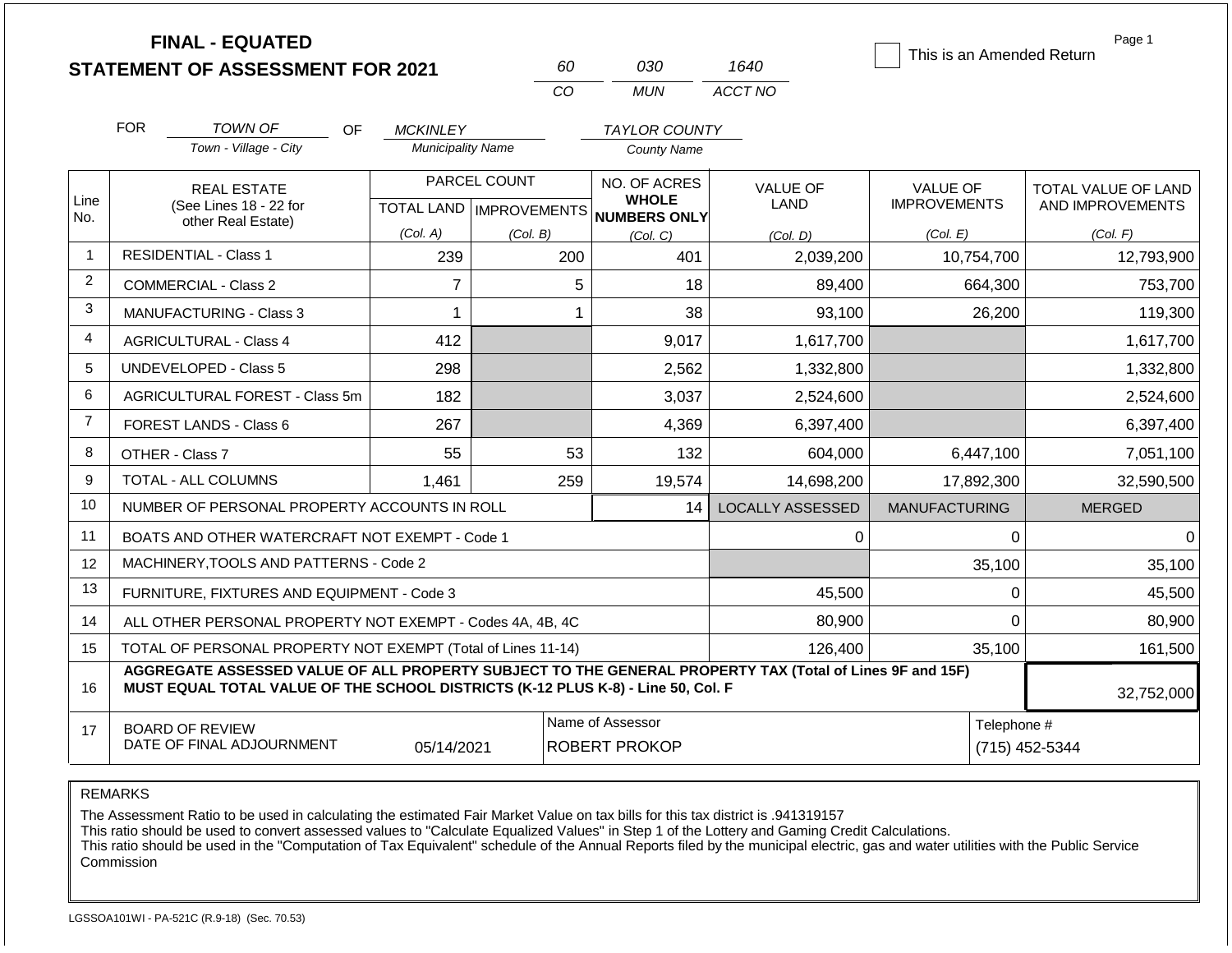|                | <b>FINAL - EQUATED</b><br><b>STATEMENT OF ASSESSMENT FOR 2021</b>                                                                                                                            |                          | 60                                        | 030                                          | 1640                    | This is an Amended Return              | Page 1                                  |
|----------------|----------------------------------------------------------------------------------------------------------------------------------------------------------------------------------------------|--------------------------|-------------------------------------------|----------------------------------------------|-------------------------|----------------------------------------|-----------------------------------------|
|                |                                                                                                                                                                                              |                          | CO                                        | <b>MUN</b>                                   | ACCT NO                 |                                        |                                         |
|                | <b>FOR</b><br><b>TOWN OF</b><br>OF.                                                                                                                                                          | <b>MCKINLEY</b>          |                                           | <b>TAYLOR COUNTY</b>                         |                         |                                        |                                         |
|                | Town - Village - City                                                                                                                                                                        | <b>Municipality Name</b> |                                           | <b>County Name</b>                           |                         |                                        |                                         |
| Line<br>No.    | <b>REAL ESTATE</b><br>(See Lines 18 - 22 for                                                                                                                                                 |                          | PARCEL COUNT<br>TOTAL LAND   IMPROVEMENTS | NO. OF ACRES<br><b>WHOLE</b><br>NUMBERS ONLY | VALUE OF<br><b>LAND</b> | <b>VALUE OF</b><br><b>IMPROVEMENTS</b> | TOTAL VALUE OF LAND<br>AND IMPROVEMENTS |
|                | other Real Estate)                                                                                                                                                                           | (Col. A)                 | (Col. B)                                  | (Col. C)                                     | (Col. D)                | (Col. E)                               | (Col. F)                                |
| $\overline{1}$ | <b>RESIDENTIAL - Class 1</b>                                                                                                                                                                 | 239                      | 200                                       | 401                                          | 2,039,200               | 10,754,700                             | 12,793,900                              |
| 2              | COMMERCIAL - Class 2                                                                                                                                                                         | $\overline{7}$           |                                           | 5<br>18                                      | 89,400                  | 664,300                                | 753,700                                 |
| 3              | <b>MANUFACTURING - Class 3</b>                                                                                                                                                               | $\mathbf{1}$             |                                           | 38<br>$\mathbf 1$                            | 93,100                  | 26,200                                 | 119,300                                 |
| 4              | <b>AGRICULTURAL - Class 4</b>                                                                                                                                                                | 412                      |                                           | 9,017                                        | 1,617,700               |                                        | 1,617,700                               |
| 5              | <b>UNDEVELOPED - Class 5</b>                                                                                                                                                                 | 298                      |                                           | 2,562                                        | 1,332,800               |                                        | 1,332,800                               |
| 6              | AGRICULTURAL FOREST - Class 5m                                                                                                                                                               | 182                      |                                           | 3,037                                        | 2,524,600               |                                        | 2,524,600                               |
| $\overline{7}$ | <b>FOREST LANDS - Class 6</b>                                                                                                                                                                | 267                      |                                           | 4,369                                        | 6,397,400               |                                        | 6,397,400                               |
| 8              | OTHER - Class 7                                                                                                                                                                              | 55                       | 53                                        | 132                                          | 604,000                 | 6,447,100                              | 7,051,100                               |
| 9              | <b>TOTAL - ALL COLUMNS</b>                                                                                                                                                                   | 1,461                    | 259                                       | 19,574                                       | 14,698,200              | 17,892,300                             | 32,590,500                              |
| 10             | NUMBER OF PERSONAL PROPERTY ACCOUNTS IN ROLL                                                                                                                                                 |                          |                                           | 14                                           | <b>LOCALLY ASSESSED</b> | <b>MANUFACTURING</b>                   | <b>MERGED</b>                           |
| 11             | BOATS AND OTHER WATERCRAFT NOT EXEMPT - Code 1                                                                                                                                               |                          |                                           |                                              | 0                       | 0                                      | $\mathbf 0$                             |
| 12             | MACHINERY.TOOLS AND PATTERNS - Code 2                                                                                                                                                        |                          |                                           |                                              |                         | 35,100                                 | 35,100                                  |
| 13             | FURNITURE, FIXTURES AND EQUIPMENT - Code 3                                                                                                                                                   |                          |                                           |                                              | 45,500                  | 0                                      | 45,500                                  |
| 14             | ALL OTHER PERSONAL PROPERTY NOT EXEMPT - Codes 4A, 4B, 4C                                                                                                                                    |                          |                                           |                                              | 80,900                  | $\mathbf 0$                            | 80,900                                  |
| 15             | TOTAL OF PERSONAL PROPERTY NOT EXEMPT (Total of Lines 11-14)                                                                                                                                 |                          |                                           |                                              | 126,400                 | 35,100                                 | 161,500                                 |
| 16             | AGGREGATE ASSESSED VALUE OF ALL PROPERTY SUBJECT TO THE GENERAL PROPERTY TAX (Total of Lines 9F and 15F)<br>MUST EQUAL TOTAL VALUE OF THE SCHOOL DISTRICTS (K-12 PLUS K-8) - Line 50, Col. F |                          |                                           |                                              |                         |                                        | 32,752,000                              |
| 17             | <b>BOARD OF REVIEW</b><br>DATE OF FINAL ADJOURNMENT                                                                                                                                          | Telephone #              | (715) 452-5344                            |                                              |                         |                                        |                                         |

The Assessment Ratio to be used in calculating the estimated Fair Market Value on tax bills for this tax district is .941319157

This ratio should be used to convert assessed values to "Calculate Equalized Values" in Step 1 of the Lottery and Gaming Credit Calculations.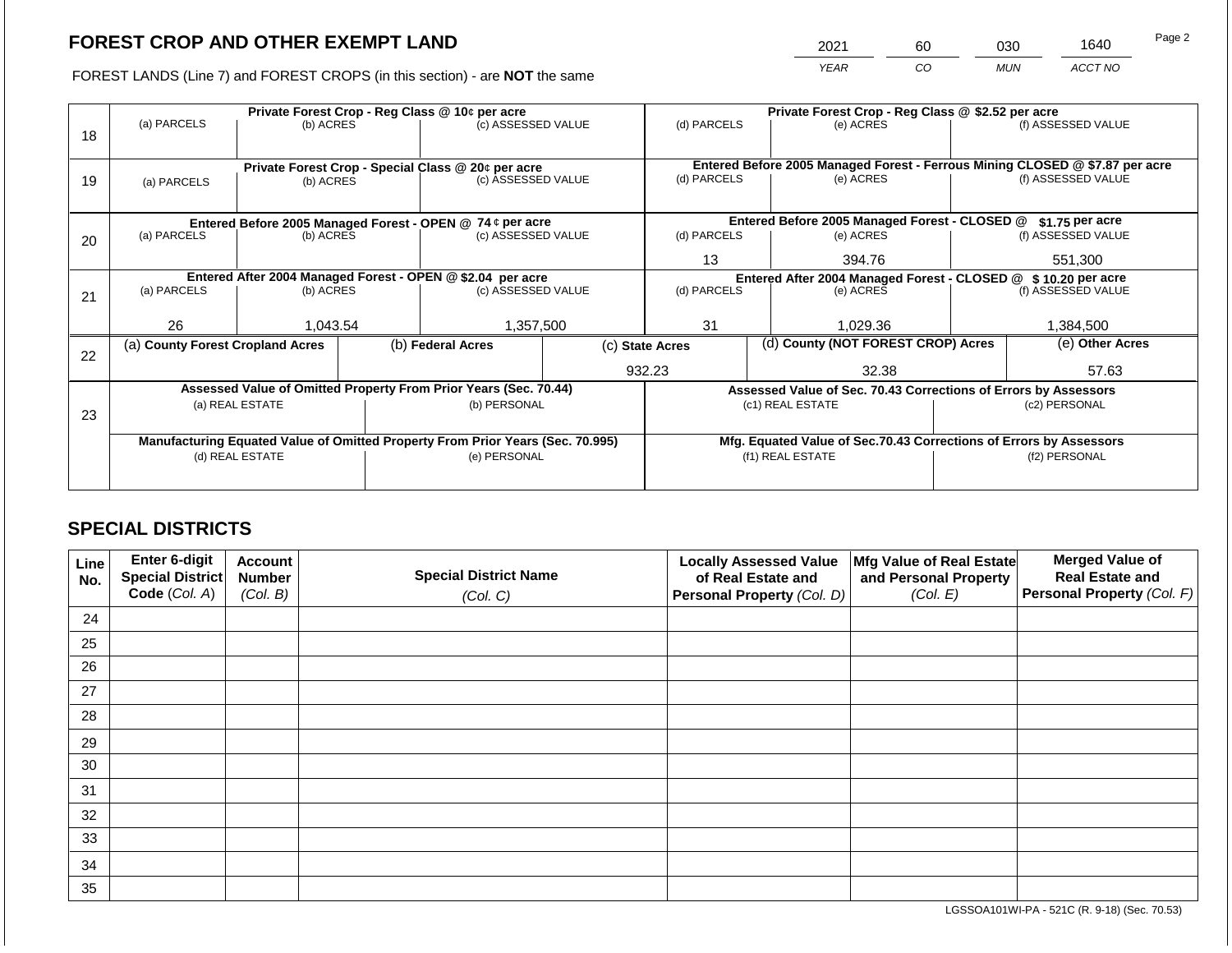2021 60 030 1640

FOREST LANDS (Line 7) and FOREST CROPS (in this section) - are **NOT** the same *YEAR CO MUN ACCT NO*

|    |                                                                                |                                                            |  | Private Forest Crop - Reg Class @ 10¢ per acre                           |  | Private Forest Crop - Reg Class @ \$2.52 per acre                  |  |                                                                                           |               |                    |
|----|--------------------------------------------------------------------------------|------------------------------------------------------------|--|--------------------------------------------------------------------------|--|--------------------------------------------------------------------|--|-------------------------------------------------------------------------------------------|---------------|--------------------|
|    | (a) PARCELS                                                                    | (b) ACRES                                                  |  | (c) ASSESSED VALUE                                                       |  | (d) PARCELS                                                        |  | (e) ACRES                                                                                 |               | (f) ASSESSED VALUE |
| 18 |                                                                                |                                                            |  |                                                                          |  |                                                                    |  |                                                                                           |               |                    |
|    |                                                                                |                                                            |  |                                                                          |  |                                                                    |  |                                                                                           |               |                    |
|    |                                                                                |                                                            |  | Private Forest Crop - Special Class @ 20¢ per acre<br>(c) ASSESSED VALUE |  | (d) PARCELS                                                        |  | Entered Before 2005 Managed Forest - Ferrous Mining CLOSED @ \$7.87 per acre<br>(e) ACRES |               | (f) ASSESSED VALUE |
| 19 | (a) PARCELS                                                                    | (b) ACRES                                                  |  |                                                                          |  |                                                                    |  |                                                                                           |               |                    |
|    |                                                                                |                                                            |  |                                                                          |  |                                                                    |  |                                                                                           |               |                    |
|    |                                                                                |                                                            |  | Entered Before 2005 Managed Forest - OPEN @ 74 ¢ per acre                |  |                                                                    |  | Entered Before 2005 Managed Forest - CLOSED @                                             |               | $$1.75$ per acre   |
| 20 | (a) PARCELS<br>(b) ACRES                                                       |                                                            |  | (c) ASSESSED VALUE                                                       |  | (d) PARCELS                                                        |  | (e) ACRES                                                                                 |               | (f) ASSESSED VALUE |
|    |                                                                                |                                                            |  |                                                                          |  |                                                                    |  |                                                                                           |               |                    |
|    |                                                                                |                                                            |  |                                                                          |  | 13<br>394.76                                                       |  |                                                                                           | 551,300       |                    |
|    |                                                                                | Entered After 2004 Managed Forest - OPEN @ \$2.04 per acre |  |                                                                          |  |                                                                    |  | Entered After 2004 Managed Forest - CLOSED @ \$10.20 per acre                             |               |                    |
| 21 | (a) PARCELS                                                                    | (b) ACRES                                                  |  | (c) ASSESSED VALUE                                                       |  | (d) PARCELS                                                        |  | (e) ACRES                                                                                 |               | (f) ASSESSED VALUE |
|    |                                                                                |                                                            |  |                                                                          |  |                                                                    |  |                                                                                           |               |                    |
|    | 26                                                                             | 1,043.54                                                   |  | 1,357,500                                                                |  | 31                                                                 |  | 1,029.36                                                                                  |               | 1,384,500          |
|    | (a) County Forest Cropland Acres                                               |                                                            |  | (b) Federal Acres                                                        |  | (c) State Acres                                                    |  | (d) County (NOT FOREST CROP) Acres                                                        |               | (e) Other Acres    |
| 22 |                                                                                |                                                            |  |                                                                          |  |                                                                    |  |                                                                                           |               |                    |
|    |                                                                                |                                                            |  |                                                                          |  | 932.23                                                             |  | 32.38                                                                                     |               | 57.63              |
|    |                                                                                |                                                            |  | Assessed Value of Omitted Property From Prior Years (Sec. 70.44)         |  |                                                                    |  | Assessed Value of Sec. 70.43 Corrections of Errors by Assessors                           |               |                    |
|    |                                                                                | (a) REAL ESTATE                                            |  | (b) PERSONAL                                                             |  |                                                                    |  | (c1) REAL ESTATE                                                                          |               | (c2) PERSONAL      |
| 23 |                                                                                |                                                            |  |                                                                          |  |                                                                    |  |                                                                                           |               |                    |
|    | Manufacturing Equated Value of Omitted Property From Prior Years (Sec. 70.995) |                                                            |  |                                                                          |  | Mfg. Equated Value of Sec.70.43 Corrections of Errors by Assessors |  |                                                                                           |               |                    |
|    | (d) REAL ESTATE                                                                |                                                            |  | (e) PERSONAL                                                             |  |                                                                    |  | (f1) REAL ESTATE                                                                          | (f2) PERSONAL |                    |
|    |                                                                                |                                                            |  |                                                                          |  |                                                                    |  |                                                                                           |               |                    |
|    |                                                                                |                                                            |  |                                                                          |  |                                                                    |  |                                                                                           |               |                    |

# **SPECIAL DISTRICTS**

| Line<br>No. | Enter 6-digit<br>Special District | <b>Account</b><br><b>Number</b> | <b>Special District Name</b> | <b>Locally Assessed Value</b><br>of Real Estate and | Mfg Value of Real Estate<br>and Personal Property | <b>Merged Value of</b><br><b>Real Estate and</b> |
|-------------|-----------------------------------|---------------------------------|------------------------------|-----------------------------------------------------|---------------------------------------------------|--------------------------------------------------|
|             | Code (Col. A)                     | (Col. B)                        | (Col. C)                     | Personal Property (Col. D)                          | (Col. E)                                          | Personal Property (Col. F)                       |
| 24          |                                   |                                 |                              |                                                     |                                                   |                                                  |
| 25          |                                   |                                 |                              |                                                     |                                                   |                                                  |
| 26          |                                   |                                 |                              |                                                     |                                                   |                                                  |
| 27          |                                   |                                 |                              |                                                     |                                                   |                                                  |
| 28          |                                   |                                 |                              |                                                     |                                                   |                                                  |
| 29          |                                   |                                 |                              |                                                     |                                                   |                                                  |
| 30          |                                   |                                 |                              |                                                     |                                                   |                                                  |
| 31          |                                   |                                 |                              |                                                     |                                                   |                                                  |
| 32          |                                   |                                 |                              |                                                     |                                                   |                                                  |
| 33          |                                   |                                 |                              |                                                     |                                                   |                                                  |
| 34          |                                   |                                 |                              |                                                     |                                                   |                                                  |
| 35          |                                   |                                 |                              |                                                     |                                                   |                                                  |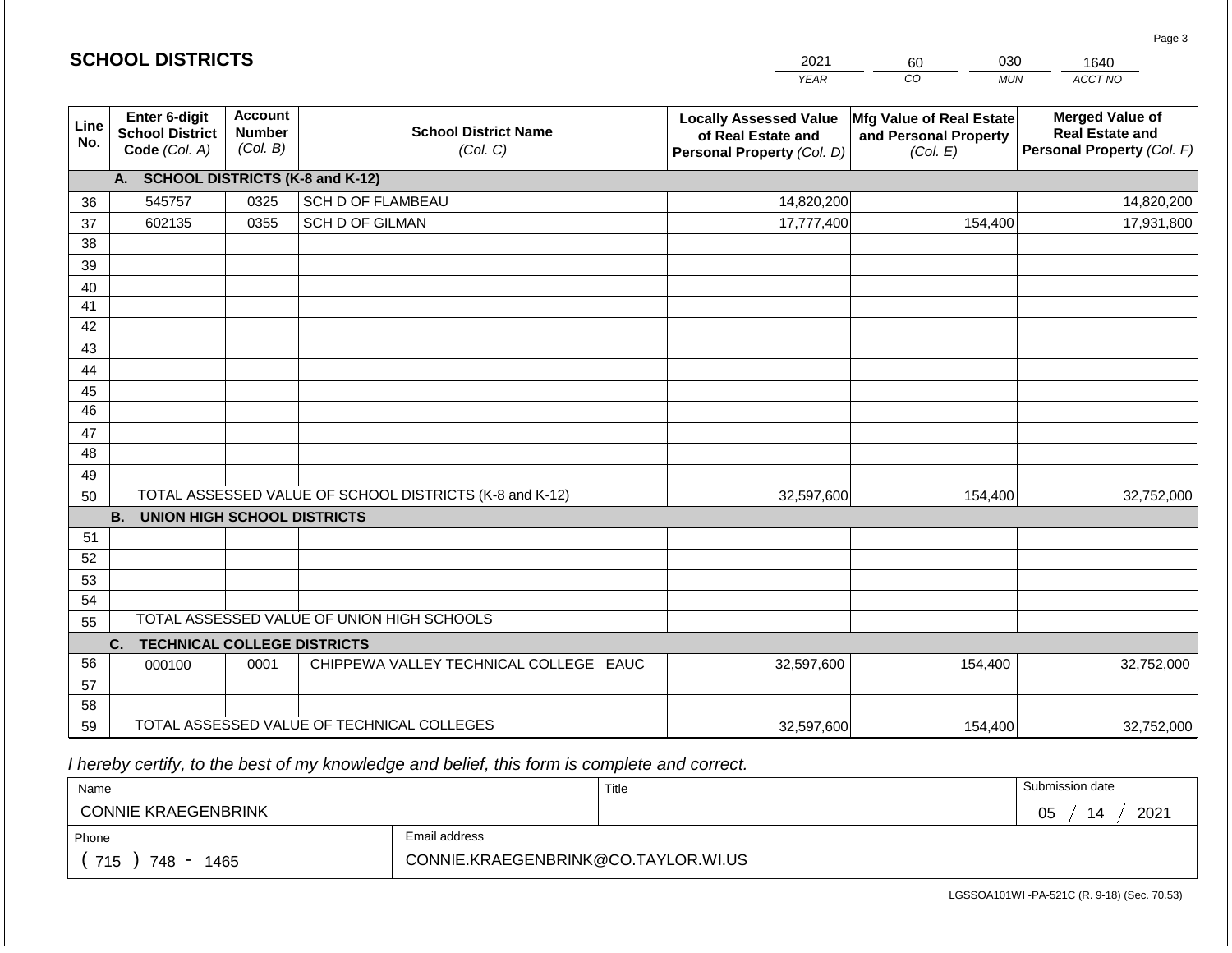|                 | <b>SCHOOL DISTRICTS</b><br>2021<br>030<br>60<br>1640     |                                             |                                                         |                                                                                   |                                                               |                                                                                |  |
|-----------------|----------------------------------------------------------|---------------------------------------------|---------------------------------------------------------|-----------------------------------------------------------------------------------|---------------------------------------------------------------|--------------------------------------------------------------------------------|--|
|                 |                                                          |                                             |                                                         | <b>YEAR</b>                                                                       | CO<br><b>MUN</b>                                              | ACCT NO                                                                        |  |
| Line<br>No.     | Enter 6-digit<br><b>School District</b><br>Code (Col. A) | <b>Account</b><br><b>Number</b><br>(Col. B) | <b>School District Name</b><br>(Col. C)                 | <b>Locally Assessed Value</b><br>of Real Estate and<br>Personal Property (Col. D) | Mfg Value of Real Estate<br>and Personal Property<br>(Col. E) | <b>Merged Value of</b><br><b>Real Estate and</b><br>Personal Property (Col. F) |  |
|                 | A. SCHOOL DISTRICTS (K-8 and K-12)                       |                                             |                                                         |                                                                                   |                                                               |                                                                                |  |
| 36              | 545757                                                   | 0325                                        | <b>SCH D OF FLAMBEAU</b>                                | 14,820,200                                                                        |                                                               | 14,820,200                                                                     |  |
| 37              | 602135                                                   | 0355                                        | SCH D OF GILMAN                                         | 17,777,400                                                                        | 154,400                                                       | 17,931,800                                                                     |  |
| 38              |                                                          |                                             |                                                         |                                                                                   |                                                               |                                                                                |  |
| 39              |                                                          |                                             |                                                         |                                                                                   |                                                               |                                                                                |  |
| 40              |                                                          |                                             |                                                         |                                                                                   |                                                               |                                                                                |  |
| 41              |                                                          |                                             |                                                         |                                                                                   |                                                               |                                                                                |  |
| 42              |                                                          |                                             |                                                         |                                                                                   |                                                               |                                                                                |  |
| 43              |                                                          |                                             |                                                         |                                                                                   |                                                               |                                                                                |  |
| 44<br>45        |                                                          |                                             |                                                         |                                                                                   |                                                               |                                                                                |  |
| $\overline{46}$ |                                                          |                                             |                                                         |                                                                                   |                                                               |                                                                                |  |
| 47              |                                                          |                                             |                                                         |                                                                                   |                                                               |                                                                                |  |
| 48              |                                                          |                                             |                                                         |                                                                                   |                                                               |                                                                                |  |
| 49              |                                                          |                                             |                                                         |                                                                                   |                                                               |                                                                                |  |
| 50              |                                                          |                                             | TOTAL ASSESSED VALUE OF SCHOOL DISTRICTS (K-8 and K-12) | 32,597,600                                                                        | 154,400                                                       | 32,752,000                                                                     |  |
|                 | <b>B.</b><br><b>UNION HIGH SCHOOL DISTRICTS</b>          |                                             |                                                         |                                                                                   |                                                               |                                                                                |  |
| 51              |                                                          |                                             |                                                         |                                                                                   |                                                               |                                                                                |  |
| 52              |                                                          |                                             |                                                         |                                                                                   |                                                               |                                                                                |  |
| 53              |                                                          |                                             |                                                         |                                                                                   |                                                               |                                                                                |  |
| 54              |                                                          |                                             |                                                         |                                                                                   |                                                               |                                                                                |  |
| 55              |                                                          |                                             | TOTAL ASSESSED VALUE OF UNION HIGH SCHOOLS              |                                                                                   |                                                               |                                                                                |  |
|                 | <b>TECHNICAL COLLEGE DISTRICTS</b><br>C.                 |                                             |                                                         |                                                                                   |                                                               |                                                                                |  |
| 56              | 000100                                                   | 0001                                        | CHIPPEWA VALLEY TECHNICAL COLLEGE EAUC                  | 32,597,600                                                                        | 154,400                                                       | 32,752,000                                                                     |  |
| 57<br>58        |                                                          |                                             |                                                         |                                                                                   |                                                               |                                                                                |  |
| 59              |                                                          |                                             | TOTAL ASSESSED VALUE OF TECHNICAL COLLEGES              |                                                                                   | 154,400                                                       |                                                                                |  |
|                 |                                                          |                                             |                                                         | 32,597,600                                                                        |                                                               | 32,752,000                                                                     |  |

**SCHOOL DISTRICTS**

| Name                       |                                     | Title | Submission date  |
|----------------------------|-------------------------------------|-------|------------------|
| <b>CONNIE KRAEGENBRINK</b> |                                     |       | 2021<br>05<br>۱4 |
| Phone                      | Email address                       |       |                  |
| 715<br>748<br>1465         | CONNIE.KRAEGENBRINK@CO.TAYLOR.WI.US |       |                  |

Page 3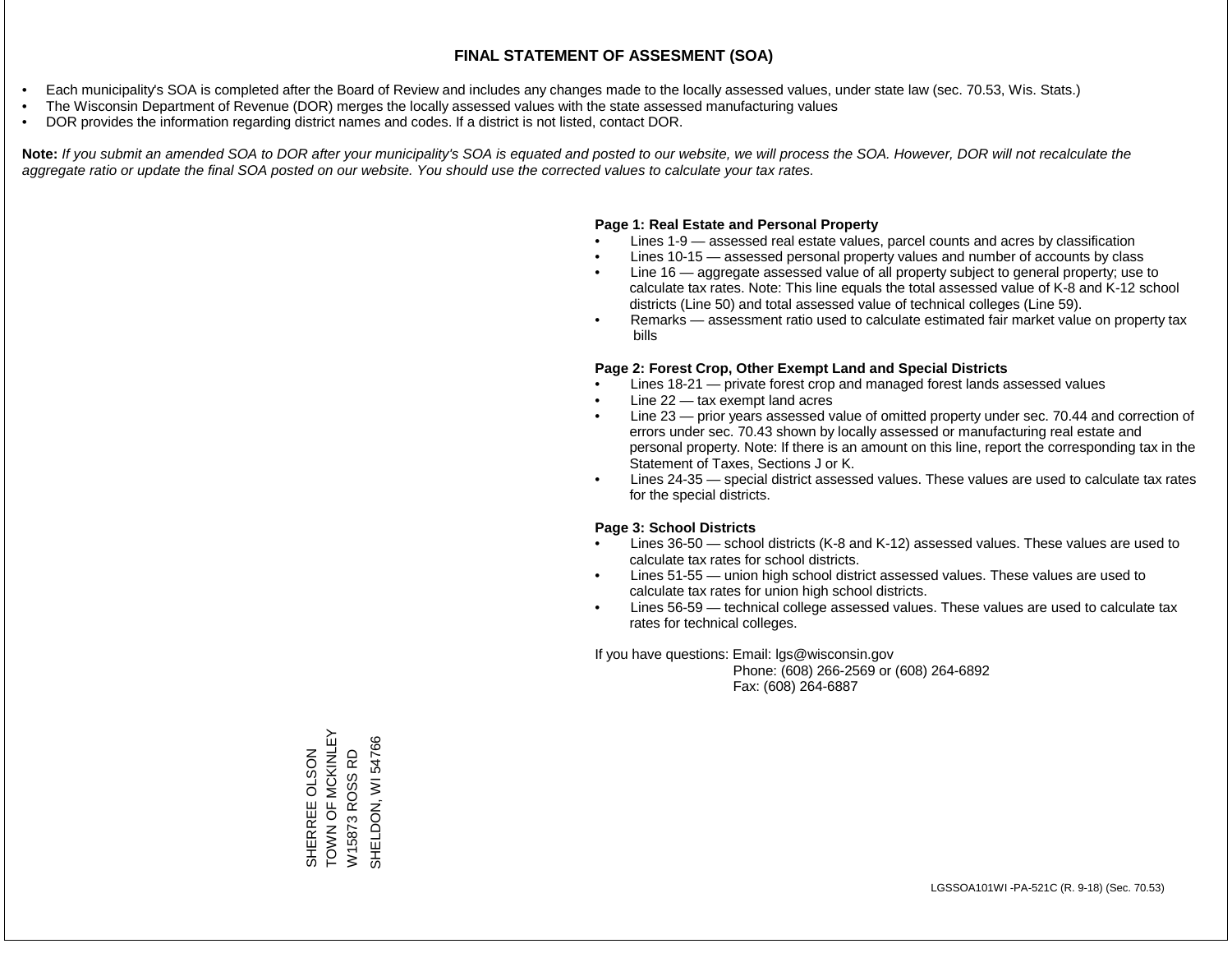- Each municipality's SOA is completed after the Board of Review and includes any changes made to the locally assessed values, under state law (sec. 70.53, Wis. Stats.)
- The Wisconsin Department of Revenue (DOR) merges the locally assessed values with the state assessed manufacturing values
- DOR provides the information regarding district names and codes. If a district is not listed, contact DOR.

Note: If you submit an amended SOA to DOR after your municipality's SOA is equated and posted to our website, we will process the SOA. However, DOR will not recalculate the *aggregate ratio or update the final SOA posted on our website. You should use the corrected values to calculate your tax rates.*

### **Page 1: Real Estate and Personal Property**

- Lines 1-9 assessed real estate values, parcel counts and acres by classification
- Lines 10-15 assessed personal property values and number of accounts by class
- Line 16 aggregate assessed value of all property subject to general property; use to calculate tax rates. Note: This line equals the total assessed value of K-8 and K-12 school districts (Line 50) and total assessed value of technical colleges (Line 59).
- Remarks assessment ratio used to calculate estimated fair market value on property tax bills

### **Page 2: Forest Crop, Other Exempt Land and Special Districts**

- Lines 18-21 private forest crop and managed forest lands assessed values
- Line  $22 -$  tax exempt land acres
- Line 23 prior years assessed value of omitted property under sec. 70.44 and correction of errors under sec. 70.43 shown by locally assessed or manufacturing real estate and personal property. Note: If there is an amount on this line, report the corresponding tax in the Statement of Taxes, Sections J or K.
- Lines 24-35 special district assessed values. These values are used to calculate tax rates for the special districts.

### **Page 3: School Districts**

- Lines 36-50 school districts (K-8 and K-12) assessed values. These values are used to calculate tax rates for school districts.
- Lines 51-55 union high school district assessed values. These values are used to calculate tax rates for union high school districts.
- Lines 56-59 technical college assessed values. These values are used to calculate tax rates for technical colleges.

If you have questions: Email: lgs@wisconsin.gov

 Phone: (608) 266-2569 or (608) 264-6892 Fax: (608) 264-6887

TOWN OF MCKINLEY SHERREE OLSON<br>TOWN OF MCKINLEY SHELDON, WI54766 SHELDON, WI 54766W15873 ROSS RD SHERREE OLSON W15873 ROSS RD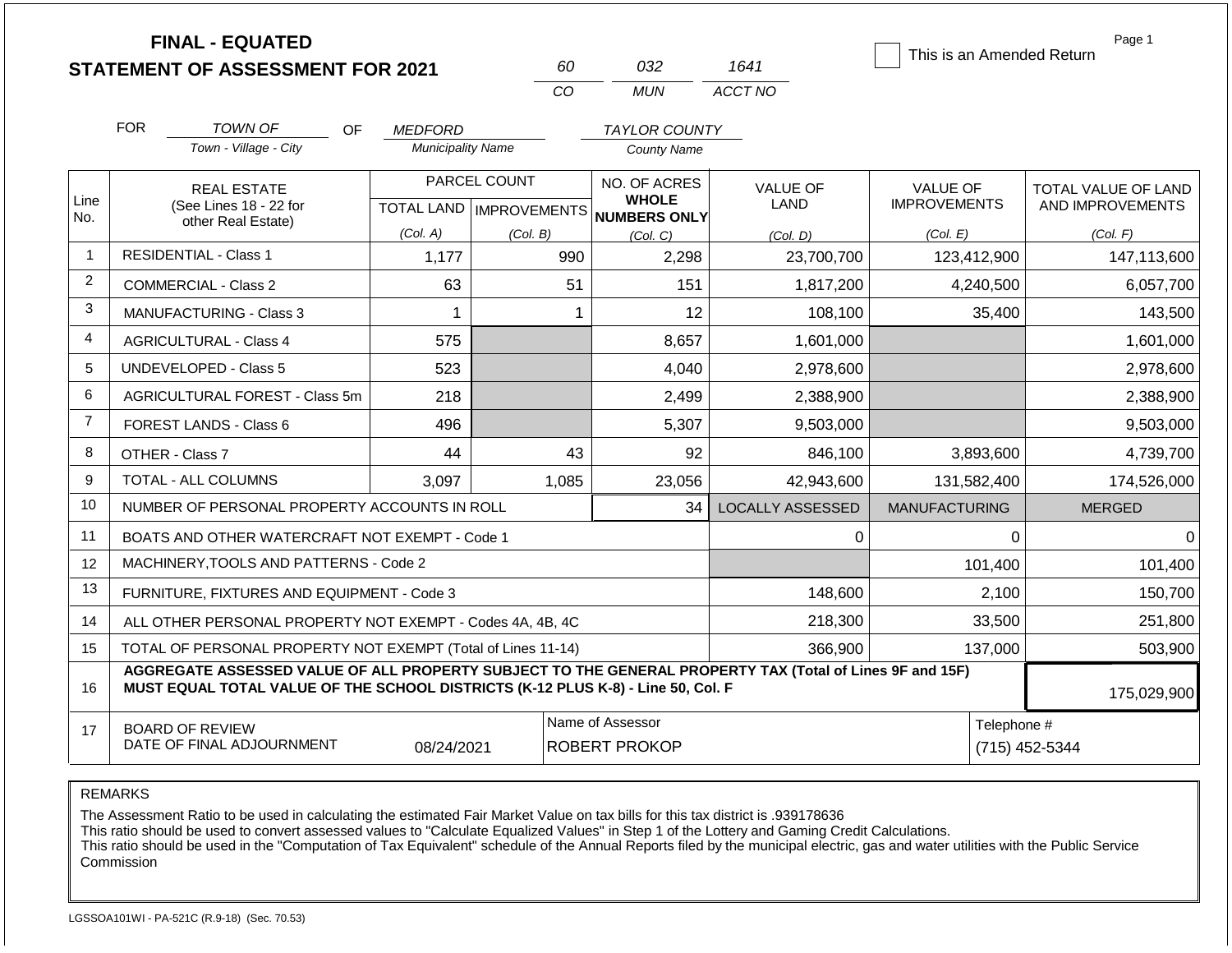|                |                                              | <b>FINAL - EQUATED</b><br><b>STATEMENT OF ASSESSMENT FOR 2021</b>                                                                                                                            |                          |                                                  | 60                                       | 032                                          | 1641                           |                                        |                | Page 1<br>This is an Amended Return     |
|----------------|----------------------------------------------|----------------------------------------------------------------------------------------------------------------------------------------------------------------------------------------------|--------------------------|--------------------------------------------------|------------------------------------------|----------------------------------------------|--------------------------------|----------------------------------------|----------------|-----------------------------------------|
|                |                                              |                                                                                                                                                                                              |                          | CO                                               |                                          | <b>MUN</b>                                   | ACCT NO                        |                                        |                |                                         |
|                | <b>FOR</b>                                   | <b>TOWN OF</b><br>OF                                                                                                                                                                         | <i>MEDFORD</i>           |                                                  |                                          | <b>TAYLOR COUNTY</b>                         |                                |                                        |                |                                         |
|                |                                              | Town - Village - City                                                                                                                                                                        | <b>Municipality Name</b> |                                                  |                                          | <b>County Name</b>                           |                                |                                        |                |                                         |
| Line<br>No.    | <b>REAL ESTATE</b><br>(See Lines 18 - 22 for |                                                                                                                                                                                              |                          | PARCEL COUNT<br><b>TOTAL LAND   IMPROVEMENTS</b> |                                          | NO. OF ACRES<br><b>WHOLE</b><br>NUMBERS ONLY | <b>VALUE OF</b><br><b>LAND</b> | <b>VALUE OF</b><br><b>IMPROVEMENTS</b> |                | TOTAL VALUE OF LAND<br>AND IMPROVEMENTS |
|                |                                              | other Real Estate)                                                                                                                                                                           | (Col. A)                 | (Col. B)                                         |                                          | (Col, C)                                     | (Col. D)                       | (Col. E)                               |                | (Col. F)                                |
| $\mathbf{1}$   |                                              | <b>RESIDENTIAL - Class 1</b>                                                                                                                                                                 | 1,177                    |                                                  | 990                                      | 2,298                                        | 23,700,700                     |                                        | 123,412,900    | 147,113,600                             |
| $\overline{2}$ |                                              | <b>COMMERCIAL - Class 2</b>                                                                                                                                                                  | 63                       |                                                  | 51                                       | 151                                          | 1,817,200                      |                                        | 4,240,500      | 6,057,700                               |
| 3              |                                              | MANUFACTURING - Class 3                                                                                                                                                                      | 1                        |                                                  | $\mathbf{1}$                             | 12                                           | 108,100                        |                                        | 35,400         | 143,500                                 |
| $\overline{4}$ |                                              | <b>AGRICULTURAL - Class 4</b>                                                                                                                                                                | 575                      |                                                  |                                          | 8,657                                        | 1,601,000                      |                                        |                | 1,601,000                               |
| 5              |                                              | <b>UNDEVELOPED - Class 5</b>                                                                                                                                                                 | 523                      |                                                  |                                          | 4,040                                        | 2,978,600                      |                                        |                | 2,978,600                               |
| 6              |                                              | AGRICULTURAL FOREST - Class 5m                                                                                                                                                               | 218                      |                                                  |                                          | 2,499                                        | 2,388,900                      |                                        |                | 2,388,900                               |
| $\overline{7}$ |                                              | <b>FOREST LANDS - Class 6</b>                                                                                                                                                                | 496                      |                                                  |                                          | 5,307                                        | 9,503,000                      |                                        |                | 9,503,000                               |
| 8              |                                              | OTHER - Class 7                                                                                                                                                                              | 44                       |                                                  | 43                                       | 92                                           | 846,100                        |                                        | 3,893,600      | 4,739,700                               |
| 9              |                                              | <b>TOTAL - ALL COLUMNS</b>                                                                                                                                                                   | 3,097                    | 1,085                                            |                                          | 23,056                                       | 42,943,600                     |                                        | 131,582,400    | 174,526,000                             |
| 10             |                                              | NUMBER OF PERSONAL PROPERTY ACCOUNTS IN ROLL                                                                                                                                                 |                          |                                                  |                                          | 34                                           | <b>LOCALLY ASSESSED</b>        | <b>MANUFACTURING</b>                   |                | <b>MERGED</b>                           |
| 11             |                                              | BOATS AND OTHER WATERCRAFT NOT EXEMPT - Code 1                                                                                                                                               |                          |                                                  |                                          |                                              | 0                              |                                        | 0              | $\Omega$                                |
| 12             |                                              | MACHINERY, TOOLS AND PATTERNS - Code 2                                                                                                                                                       |                          |                                                  |                                          |                                              |                                |                                        | 101,400        | 101,400                                 |
| 13             |                                              | FURNITURE, FIXTURES AND EQUIPMENT - Code 3                                                                                                                                                   |                          |                                                  |                                          |                                              | 148,600                        |                                        | 2,100          | 150,700                                 |
| 14             |                                              | ALL OTHER PERSONAL PROPERTY NOT EXEMPT - Codes 4A, 4B, 4C                                                                                                                                    |                          |                                                  |                                          |                                              | 218,300                        |                                        | 33,500         | 251,800                                 |
| 15             |                                              | TOTAL OF PERSONAL PROPERTY NOT EXEMPT (Total of Lines 11-14)                                                                                                                                 |                          |                                                  | 366,900                                  |                                              | 137,000                        | 503,900                                |                |                                         |
| 16             |                                              | AGGREGATE ASSESSED VALUE OF ALL PROPERTY SUBJECT TO THE GENERAL PROPERTY TAX (Total of Lines 9F and 15F)<br>MUST EQUAL TOTAL VALUE OF THE SCHOOL DISTRICTS (K-12 PLUS K-8) - Line 50, Col. F |                          |                                                  |                                          |                                              |                                |                                        |                | 175,029,900                             |
| 17             |                                              | <b>BOARD OF REVIEW</b><br>DATE OF FINAL ADJOURNMENT                                                                                                                                          | 08/24/2021               |                                                  | Name of Assessor<br><b>ROBERT PROKOP</b> | Telephone #                                  |                                |                                        | (715) 452-5344 |                                         |

The Assessment Ratio to be used in calculating the estimated Fair Market Value on tax bills for this tax district is .939178636

This ratio should be used to convert assessed values to "Calculate Equalized Values" in Step 1 of the Lottery and Gaming Credit Calculations.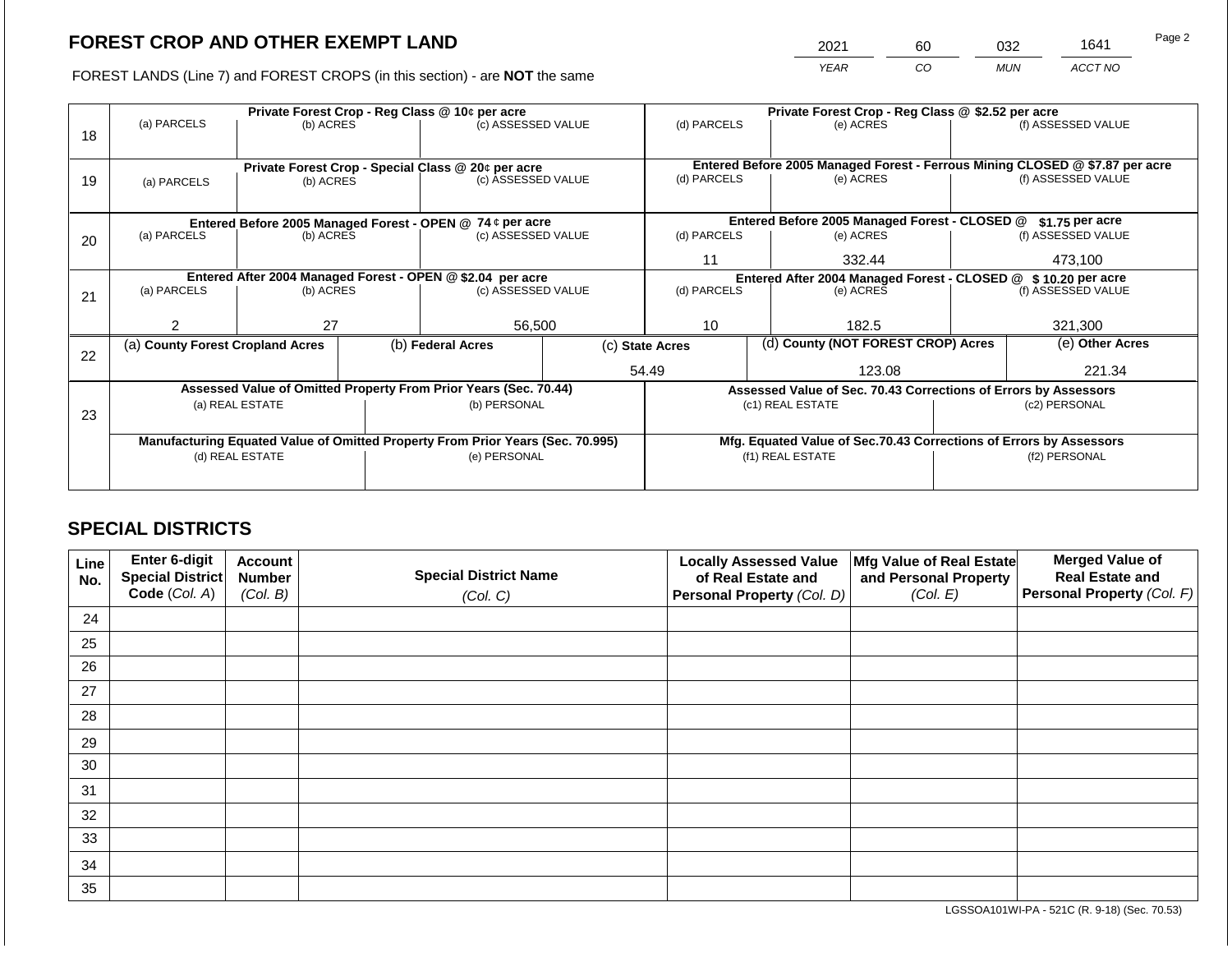2021 60 032 1641

FOREST LANDS (Line 7) and FOREST CROPS (in this section) - are **NOT** the same *YEAR CO MUN ACCT NO*

|    |                                                                                                             |                 |             | Private Forest Crop - Reg Class @ 10¢ per acre                   |                                               | Private Forest Crop - Reg Class @ \$2.52 per acre     |                                                               |                                                                    |               |                                                                              |
|----|-------------------------------------------------------------------------------------------------------------|-----------------|-------------|------------------------------------------------------------------|-----------------------------------------------|-------------------------------------------------------|---------------------------------------------------------------|--------------------------------------------------------------------|---------------|------------------------------------------------------------------------------|
|    | (a) PARCELS                                                                                                 | (b) ACRES       |             | (c) ASSESSED VALUE                                               |                                               | (d) PARCELS                                           |                                                               | (e) ACRES                                                          |               | (f) ASSESSED VALUE                                                           |
| 18 |                                                                                                             |                 |             |                                                                  |                                               |                                                       |                                                               |                                                                    |               |                                                                              |
|    |                                                                                                             |                 |             |                                                                  |                                               |                                                       |                                                               |                                                                    |               |                                                                              |
|    |                                                                                                             |                 |             | Private Forest Crop - Special Class @ 20¢ per acre               |                                               |                                                       |                                                               |                                                                    |               | Entered Before 2005 Managed Forest - Ferrous Mining CLOSED @ \$7.87 per acre |
| 19 | (a) PARCELS                                                                                                 | (b) ACRES       |             | (c) ASSESSED VALUE                                               |                                               | (d) PARCELS                                           |                                                               | (e) ACRES                                                          |               | (f) ASSESSED VALUE                                                           |
|    |                                                                                                             |                 |             |                                                                  |                                               |                                                       |                                                               |                                                                    |               |                                                                              |
|    |                                                                                                             |                 |             |                                                                  | Entered Before 2005 Managed Forest - CLOSED @ |                                                       | $$1.75$ per acre                                              |                                                                    |               |                                                                              |
| 20 | Entered Before 2005 Managed Forest - OPEN @ 74 ¢ per acre<br>(a) PARCELS<br>(b) ACRES<br>(c) ASSESSED VALUE |                 | (d) PARCELS |                                                                  | (e) ACRES                                     |                                                       | (f) ASSESSED VALUE                                            |                                                                    |               |                                                                              |
|    |                                                                                                             |                 |             |                                                                  |                                               |                                                       |                                                               |                                                                    |               |                                                                              |
|    |                                                                                                             |                 |             |                                                                  |                                               | 11<br>332.44                                          |                                                               |                                                                    | 473,100       |                                                                              |
|    |                                                                                                             |                 |             | Entered After 2004 Managed Forest - OPEN @ \$2.04 per acre       |                                               |                                                       | Entered After 2004 Managed Forest - CLOSED @ \$10.20 per acre |                                                                    |               |                                                                              |
| 21 | (a) PARCELS                                                                                                 | (b) ACRES       |             | (c) ASSESSED VALUE                                               |                                               | (d) PARCELS                                           |                                                               | (e) ACRES                                                          |               | (f) ASSESSED VALUE                                                           |
|    |                                                                                                             |                 |             |                                                                  |                                               |                                                       |                                                               |                                                                    |               |                                                                              |
|    | 2                                                                                                           | 27              |             | 56,500                                                           |                                               | 10                                                    |                                                               | 182.5                                                              |               | 321,300                                                                      |
|    | (a) County Forest Cropland Acres                                                                            |                 |             | (b) Federal Acres                                                |                                               | (d) County (NOT FOREST CROP) Acres<br>(c) State Acres |                                                               |                                                                    |               | (e) Other Acres                                                              |
| 22 |                                                                                                             |                 |             |                                                                  |                                               |                                                       |                                                               |                                                                    |               |                                                                              |
|    |                                                                                                             |                 |             |                                                                  |                                               | 54.49                                                 |                                                               | 123.08                                                             |               | 221.34                                                                       |
|    |                                                                                                             |                 |             | Assessed Value of Omitted Property From Prior Years (Sec. 70.44) |                                               |                                                       |                                                               | Assessed Value of Sec. 70.43 Corrections of Errors by Assessors    |               |                                                                              |
|    |                                                                                                             | (a) REAL ESTATE |             | (b) PERSONAL                                                     |                                               |                                                       |                                                               | (c1) REAL ESTATE                                                   |               | (c2) PERSONAL                                                                |
| 23 |                                                                                                             |                 |             |                                                                  |                                               |                                                       |                                                               |                                                                    |               |                                                                              |
|    | Manufacturing Equated Value of Omitted Property From Prior Years (Sec. 70.995)                              |                 |             |                                                                  |                                               |                                                       |                                                               | Mfg. Equated Value of Sec.70.43 Corrections of Errors by Assessors |               |                                                                              |
|    | (d) REAL ESTATE                                                                                             |                 |             | (e) PERSONAL                                                     |                                               |                                                       |                                                               | (f1) REAL ESTATE                                                   | (f2) PERSONAL |                                                                              |
|    |                                                                                                             |                 |             |                                                                  |                                               |                                                       |                                                               |                                                                    |               |                                                                              |
|    |                                                                                                             |                 |             |                                                                  |                                               |                                                       |                                                               |                                                                    |               |                                                                              |

# **SPECIAL DISTRICTS**

| Line<br>No. | Enter 6-digit<br>Special District<br>Code (Col. A) | <b>Account</b><br><b>Number</b><br>(Col. B) | <b>Special District Name</b><br>(Col. C) | <b>Locally Assessed Value</b><br>of Real Estate and<br><b>Personal Property (Col. D)</b> | Mfg Value of Real Estate<br>and Personal Property<br>(Col. E) | <b>Merged Value of</b><br><b>Real Estate and</b><br>Personal Property (Col. F) |
|-------------|----------------------------------------------------|---------------------------------------------|------------------------------------------|------------------------------------------------------------------------------------------|---------------------------------------------------------------|--------------------------------------------------------------------------------|
| 24          |                                                    |                                             |                                          |                                                                                          |                                                               |                                                                                |
| 25          |                                                    |                                             |                                          |                                                                                          |                                                               |                                                                                |
| 26          |                                                    |                                             |                                          |                                                                                          |                                                               |                                                                                |
| 27          |                                                    |                                             |                                          |                                                                                          |                                                               |                                                                                |
| 28          |                                                    |                                             |                                          |                                                                                          |                                                               |                                                                                |
| 29          |                                                    |                                             |                                          |                                                                                          |                                                               |                                                                                |
| 30          |                                                    |                                             |                                          |                                                                                          |                                                               |                                                                                |
| 31          |                                                    |                                             |                                          |                                                                                          |                                                               |                                                                                |
| 32          |                                                    |                                             |                                          |                                                                                          |                                                               |                                                                                |
| 33          |                                                    |                                             |                                          |                                                                                          |                                                               |                                                                                |
| 34          |                                                    |                                             |                                          |                                                                                          |                                                               |                                                                                |
| 35          |                                                    |                                             |                                          |                                                                                          |                                                               |                                                                                |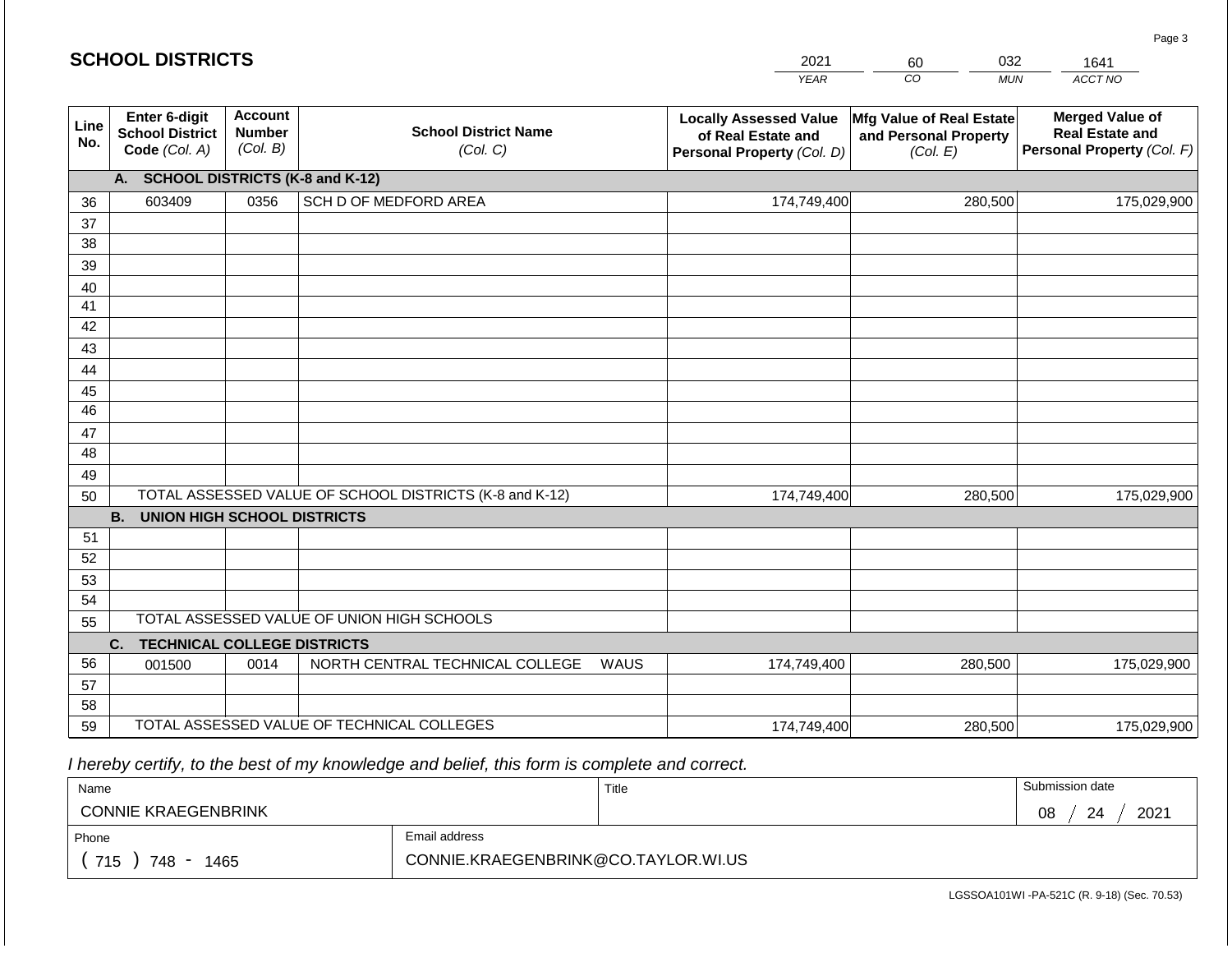#### *YEAR*  2021  $\overline{co}$ 60 *MUN*  032 *ACCT NO*  1641 **SCHOOL DISTRICTS Line No. Enter 6-digit School District Code** *(Col. A)* **Account Number** *(Col. B)* **School District Name** *(Col. C)* **Locally Assessed Value of Real Estate and Personal Property** *(Col. D)* **Mfg Value of Real Estate and Personal Property** *(Col. E)* **Merged Value of Real Estate and Personal Property** *(Col. F)* **A. SCHOOL DISTRICTS (K-8 and K-12)** 36 37 38 39 40 41 42 43 44 45 46 47 48 49 50 TOTAL ASSESSED VALUE OF SCHOOL DISTRICTS (K-8 and K-12) **B. UNION HIGH SCHOOL DISTRICTS** 51 52 53 54 55 **C. TECHNICAL COLLEGE DISTRICTS** 56 57 58 TOTAL ASSESSED VALUE OF UNION HIGH SCHOOLS 603409 0356 SCH D OF MEDFORD AREA 174,749,400 174,749,400 001500 | 0014 | NORTH CENTRAL TECHNICAL COLLEGE WAUS 280,500 175,029,900 280,500 175,029,900 174,749,400 **280,500** 280,500 175,029,900

 *I hereby certify, to the best of my knowledge and belief, this form is complete and correct.*

59 TOTAL ASSESSED VALUE OF TECHNICAL COLLEGES

| Name                       |                                     | Title | Submission date   |
|----------------------------|-------------------------------------|-------|-------------------|
| <b>CONNIE KRAEGENBRINK</b> |                                     |       | 2021<br>08<br>-24 |
| Phone                      | Email address                       |       |                   |
| 715<br>748<br>1465         | CONNIE.KRAEGENBRINK@CO.TAYLOR.WI.US |       |                   |

174,749,400

LGSSOA101WI -PA-521C (R. 9-18) (Sec. 70.53)

280,500 175,029,900

Page 3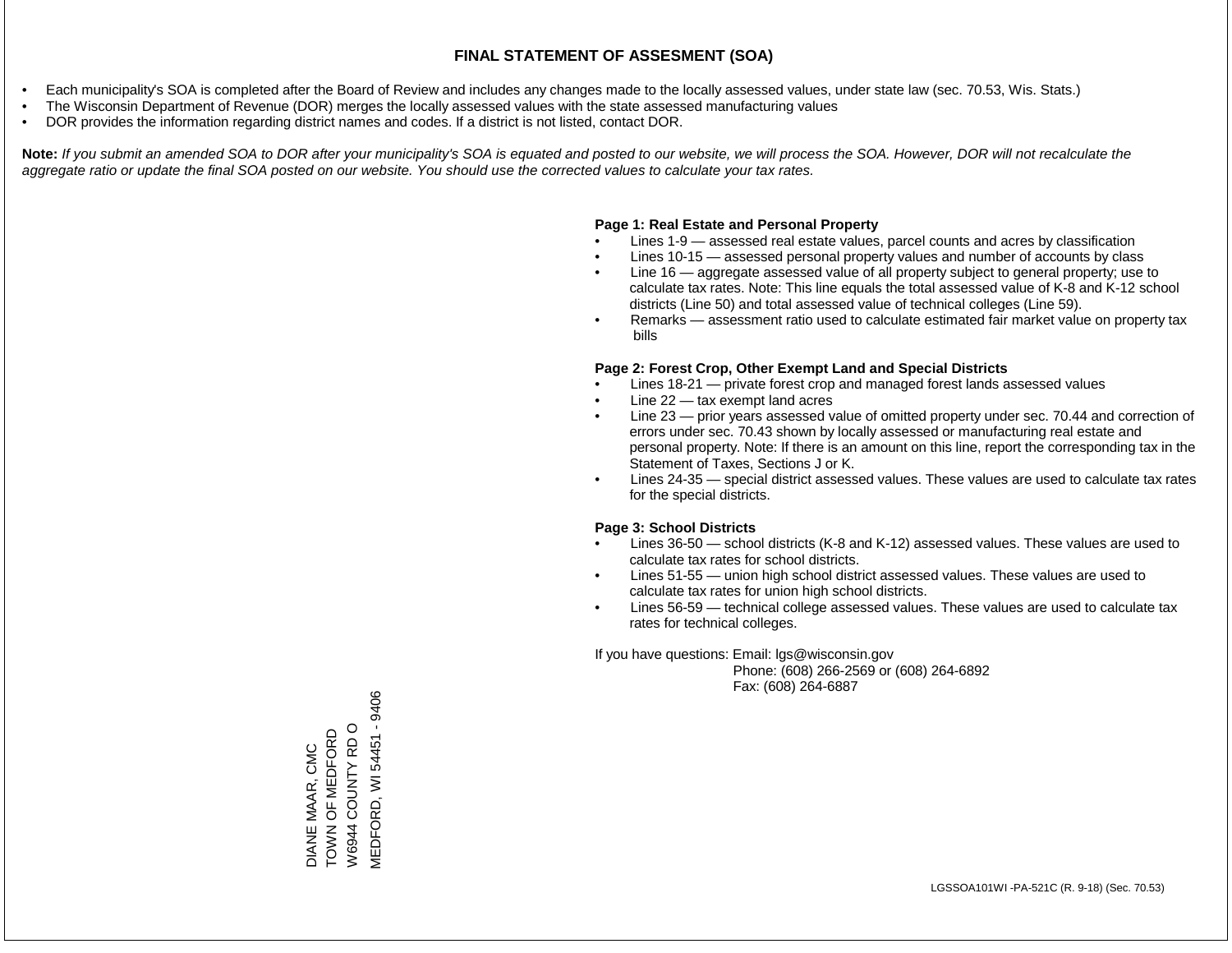- Each municipality's SOA is completed after the Board of Review and includes any changes made to the locally assessed values, under state law (sec. 70.53, Wis. Stats.)
- The Wisconsin Department of Revenue (DOR) merges the locally assessed values with the state assessed manufacturing values
- DOR provides the information regarding district names and codes. If a district is not listed, contact DOR.

Note: If you submit an amended SOA to DOR after your municipality's SOA is equated and posted to our website, we will process the SOA. However, DOR will not recalculate the *aggregate ratio or update the final SOA posted on our website. You should use the corrected values to calculate your tax rates.*

### **Page 1: Real Estate and Personal Property**

- Lines 1-9 assessed real estate values, parcel counts and acres by classification
- Lines 10-15 assessed personal property values and number of accounts by class
- Line 16 aggregate assessed value of all property subject to general property; use to calculate tax rates. Note: This line equals the total assessed value of K-8 and K-12 school districts (Line 50) and total assessed value of technical colleges (Line 59).
- Remarks assessment ratio used to calculate estimated fair market value on property tax bills

### **Page 2: Forest Crop, Other Exempt Land and Special Districts**

- Lines 18-21 private forest crop and managed forest lands assessed values
- Line  $22 -$  tax exempt land acres
- Line 23 prior years assessed value of omitted property under sec. 70.44 and correction of errors under sec. 70.43 shown by locally assessed or manufacturing real estate and personal property. Note: If there is an amount on this line, report the corresponding tax in the Statement of Taxes, Sections J or K.
- Lines 24-35 special district assessed values. These values are used to calculate tax rates for the special districts.

### **Page 3: School Districts**

- Lines 36-50 school districts (K-8 and K-12) assessed values. These values are used to calculate tax rates for school districts.
- Lines 51-55 union high school district assessed values. These values are used to calculate tax rates for union high school districts.
- Lines 56-59 technical college assessed values. These values are used to calculate tax rates for technical colleges.

If you have questions: Email: lgs@wisconsin.gov

 Phone: (608) 266-2569 or (608) 264-6892 Fax: (608) 264-6887

**MEDFORD, WI 54451 - 9406** MEDFORD, WI 54451 - 9406W6944 COUNTY RD O W6944 COUNTY RD O DIANE MAAR, CMC<br>TOWN OF MEDFORD TOWN OF MEDFORD DIANE MAAR, CMC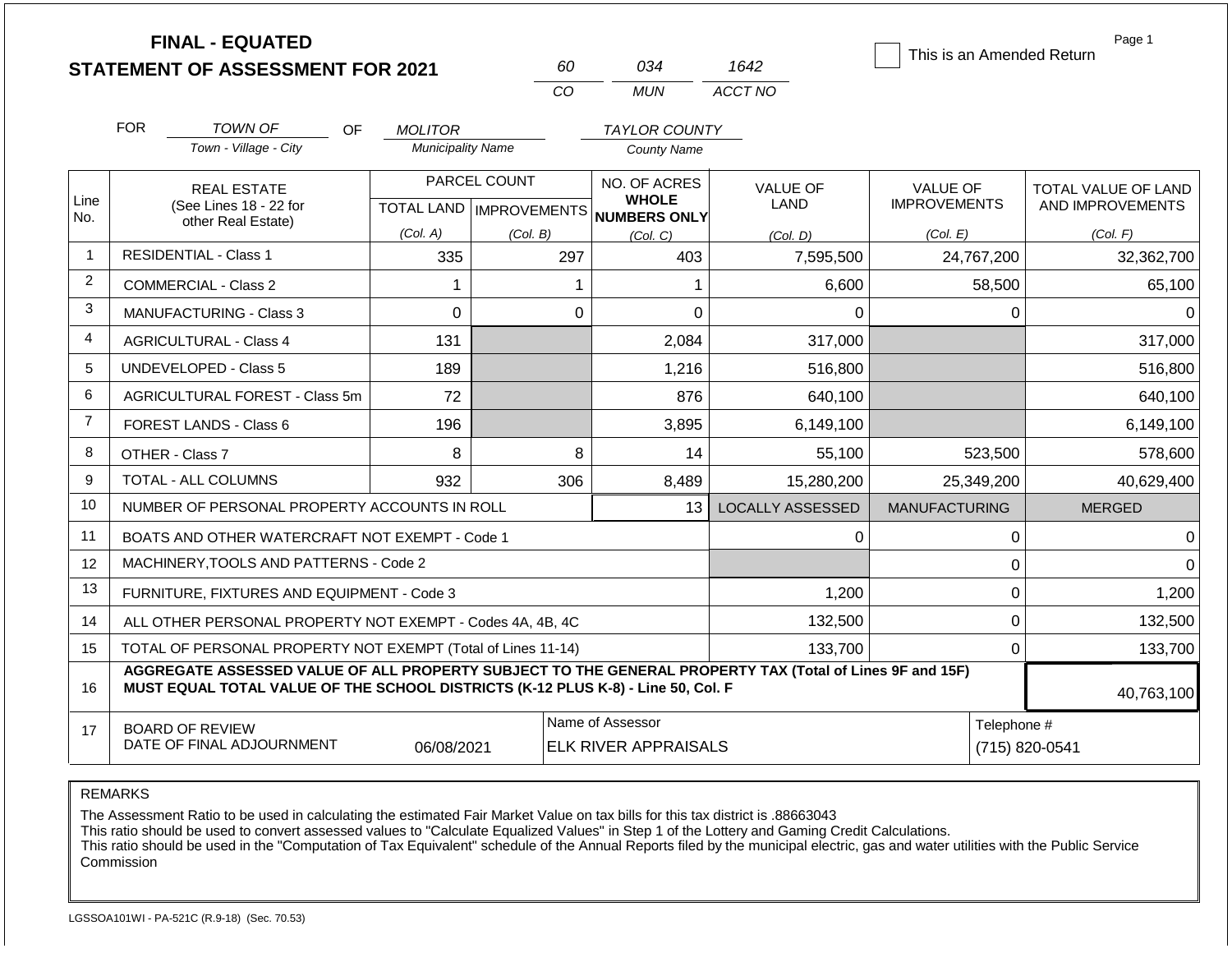|                | <b>FINAL - EQUATED</b>                                                                                                                                                                       |                                            | 60                        | 034                                        | 1642                    | This is an Amended Return       | Page 1                                  |
|----------------|----------------------------------------------------------------------------------------------------------------------------------------------------------------------------------------------|--------------------------------------------|---------------------------|--------------------------------------------|-------------------------|---------------------------------|-----------------------------------------|
|                | <b>STATEMENT OF ASSESSMENT FOR 2021</b>                                                                                                                                                      |                                            | <b>CO</b>                 | <b>MUN</b>                                 | ACCT NO                 |                                 |                                         |
|                |                                                                                                                                                                                              |                                            |                           |                                            |                         |                                 |                                         |
|                | <b>FOR</b><br><b>TOWN OF</b><br>OF.<br>Town - Village - City                                                                                                                                 | <b>MOLITOR</b><br><b>Municipality Name</b> |                           | <b>TAYLOR COUNTY</b><br><b>County Name</b> |                         |                                 |                                         |
|                |                                                                                                                                                                                              |                                            |                           |                                            |                         |                                 |                                         |
| Line           | <b>REAL ESTATE</b><br>(See Lines 18 - 22 for                                                                                                                                                 |                                            | PARCEL COUNT              | NO. OF ACRES<br><b>WHOLE</b>               | <b>VALUE OF</b><br>LAND | VALUE OF<br><b>IMPROVEMENTS</b> | TOTAL VALUE OF LAND<br>AND IMPROVEMENTS |
| No.            | other Real Estate)                                                                                                                                                                           |                                            | TOTAL LAND   IMPROVEMENTS | NUMBERS ONLY                               |                         |                                 |                                         |
| 1              | <b>RESIDENTIAL - Class 1</b>                                                                                                                                                                 | (Col. A)<br>335                            | (Col. B)<br>297           | (Col, C)<br>403                            | (Col, D)<br>7,595,500   | (Col. E)<br>24,767,200          | (Col. F)<br>32,362,700                  |
| 2              |                                                                                                                                                                                              |                                            |                           |                                            |                         |                                 |                                         |
| 3              | <b>COMMERCIAL - Class 2</b>                                                                                                                                                                  | $\mathbf{1}$                               | 1                         | 1                                          | 6,600                   | 58,500                          | 65,100                                  |
|                | <b>MANUFACTURING - Class 3</b>                                                                                                                                                               | $\Omega$                                   | $\Omega$                  | $\Omega$                                   | $\Omega$                | 0                               | $\Omega$                                |
| 4              | <b>AGRICULTURAL - Class 4</b>                                                                                                                                                                | 131                                        |                           | 2,084                                      | 317,000                 |                                 | 317,000                                 |
| 5              | <b>UNDEVELOPED - Class 5</b>                                                                                                                                                                 | 189                                        |                           | 1,216                                      | 516,800                 |                                 | 516,800                                 |
| 6              | AGRICULTURAL FOREST - Class 5m                                                                                                                                                               | 72                                         |                           | 876                                        | 640,100                 |                                 | 640,100                                 |
| $\overline{7}$ | FOREST LANDS - Class 6                                                                                                                                                                       | 196                                        |                           | 3,895                                      | 6,149,100               |                                 | 6,149,100                               |
| 8              | OTHER - Class 7                                                                                                                                                                              | 8                                          | 8                         | 14                                         | 55,100                  | 523,500                         | 578,600                                 |
| 9              | <b>TOTAL - ALL COLUMNS</b>                                                                                                                                                                   | 932                                        | 306                       | 8,489                                      | 15,280,200              | 25,349,200                      | 40,629,400                              |
| 10             | NUMBER OF PERSONAL PROPERTY ACCOUNTS IN ROLL                                                                                                                                                 |                                            |                           | 13                                         | <b>LOCALLY ASSESSED</b> | <b>MANUFACTURING</b>            | <b>MERGED</b>                           |
| 11             | BOATS AND OTHER WATERCRAFT NOT EXEMPT - Code 1                                                                                                                                               |                                            |                           |                                            | 0                       | 0                               | $\Omega$                                |
| 12             | MACHINERY, TOOLS AND PATTERNS - Code 2                                                                                                                                                       |                                            |                           |                                            |                         | 0                               | $\Omega$                                |
| 13             | FURNITURE, FIXTURES AND EQUIPMENT - Code 3                                                                                                                                                   |                                            |                           |                                            | 1,200                   | $\mathbf 0$                     | 1,200                                   |
| 14             | ALL OTHER PERSONAL PROPERTY NOT EXEMPT - Codes 4A, 4B, 4C                                                                                                                                    |                                            |                           |                                            | 132,500                 | 0                               | 132,500                                 |
| 15             | TOTAL OF PERSONAL PROPERTY NOT EXEMPT (Total of Lines 11-14)                                                                                                                                 |                                            |                           |                                            | 133,700                 | 0                               | 133,700                                 |
| 16             | AGGREGATE ASSESSED VALUE OF ALL PROPERTY SUBJECT TO THE GENERAL PROPERTY TAX (Total of Lines 9F and 15F)<br>MUST EQUAL TOTAL VALUE OF THE SCHOOL DISTRICTS (K-12 PLUS K-8) - Line 50, Col. F |                                            |                           |                                            |                         |                                 | 40,763,100                              |
| 17             | <b>BOARD OF REVIEW</b><br>DATE OF FINAL ADJOURNMENT                                                                                                                                          | Telephone #                                | (715) 820-0541            |                                            |                         |                                 |                                         |

The Assessment Ratio to be used in calculating the estimated Fair Market Value on tax bills for this tax district is .88663043

This ratio should be used to convert assessed values to "Calculate Equalized Values" in Step 1 of the Lottery and Gaming Credit Calculations.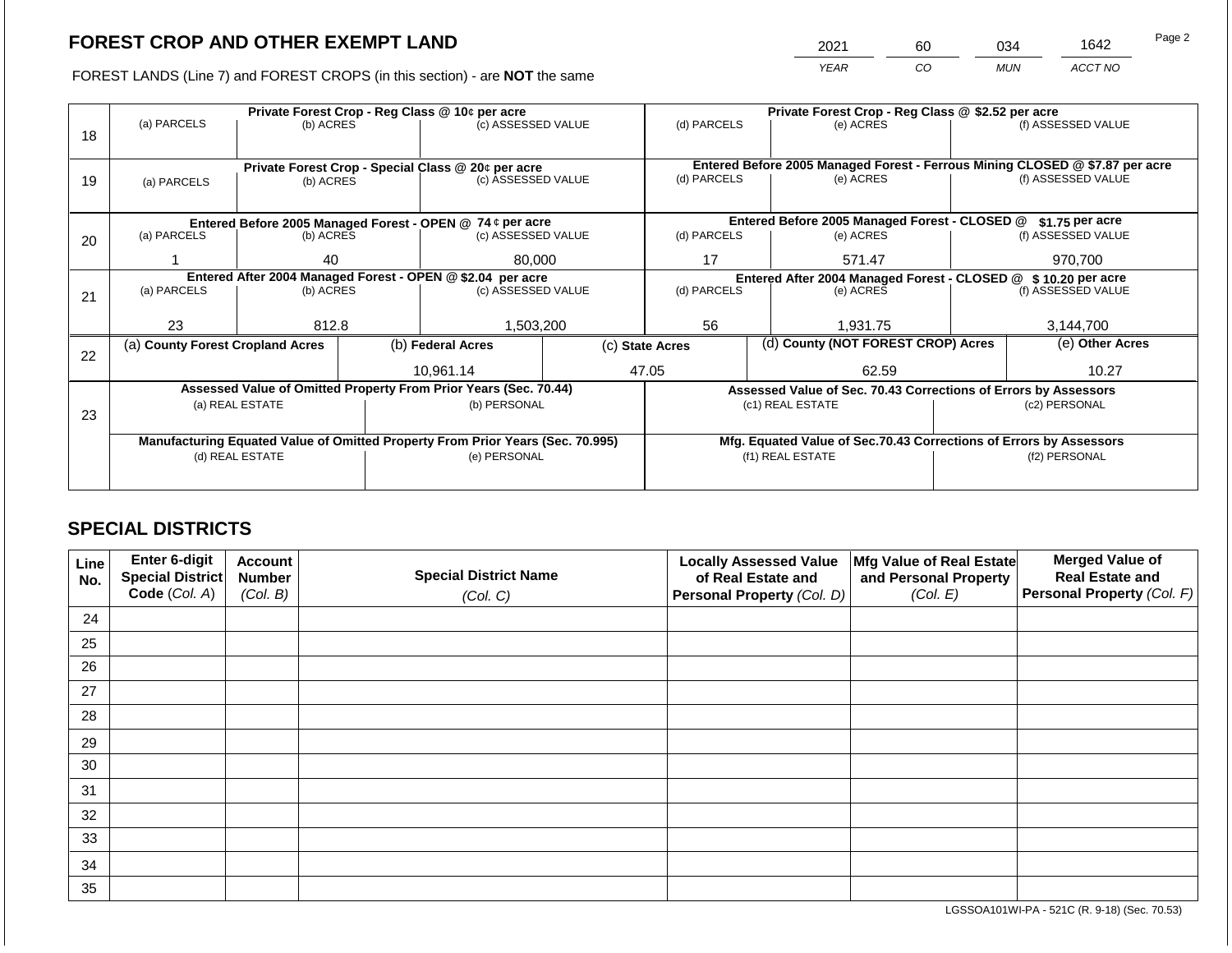2021 60 034 1642

FOREST LANDS (Line 7) and FOREST CROPS (in this section) - are **NOT** the same *YEAR CO MUN ACCT NO*

|    |                                                                                |                                                            | Private Forest Crop - Reg Class @ \$2.52 per acre |                                                                  |                                                                    |                  |                                                               |                                                                              |               |                    |
|----|--------------------------------------------------------------------------------|------------------------------------------------------------|---------------------------------------------------|------------------------------------------------------------------|--------------------------------------------------------------------|------------------|---------------------------------------------------------------|------------------------------------------------------------------------------|---------------|--------------------|
|    | (a) PARCELS                                                                    | (b) ACRES                                                  |                                                   | (c) ASSESSED VALUE                                               |                                                                    | (d) PARCELS      |                                                               | (e) ACRES                                                                    |               | (f) ASSESSED VALUE |
| 18 |                                                                                |                                                            |                                                   |                                                                  |                                                                    |                  |                                                               |                                                                              |               |                    |
|    |                                                                                |                                                            |                                                   |                                                                  |                                                                    |                  |                                                               |                                                                              |               |                    |
|    |                                                                                |                                                            |                                                   | Private Forest Crop - Special Class @ 20¢ per acre               |                                                                    |                  |                                                               | Entered Before 2005 Managed Forest - Ferrous Mining CLOSED @ \$7.87 per acre |               |                    |
| 19 | (a) PARCELS                                                                    | (b) ACRES                                                  |                                                   | (c) ASSESSED VALUE                                               |                                                                    | (d) PARCELS      |                                                               | (e) ACRES                                                                    |               | (f) ASSESSED VALUE |
|    |                                                                                |                                                            |                                                   |                                                                  |                                                                    |                  |                                                               |                                                                              |               |                    |
|    |                                                                                |                                                            |                                                   | Entered Before 2005 Managed Forest - OPEN @ 74 ¢ per acre        |                                                                    |                  |                                                               | Entered Before 2005 Managed Forest - CLOSED @                                |               | \$1.75 per acre    |
| 20 | (a) PARCELS<br>(b) ACRES                                                       |                                                            |                                                   | (c) ASSESSED VALUE                                               |                                                                    | (d) PARCELS      |                                                               | (e) ACRES                                                                    |               | (f) ASSESSED VALUE |
|    |                                                                                |                                                            |                                                   |                                                                  |                                                                    |                  |                                                               |                                                                              |               |                    |
|    |                                                                                | 40                                                         |                                                   | 80,000                                                           |                                                                    | 17               |                                                               | 571.47                                                                       |               | 970,700            |
|    |                                                                                | Entered After 2004 Managed Forest - OPEN @ \$2.04 per acre |                                                   |                                                                  |                                                                    |                  | Entered After 2004 Managed Forest - CLOSED @ \$10.20 per acre |                                                                              |               |                    |
| 21 | (a) PARCELS                                                                    | (b) ACRES                                                  |                                                   | (c) ASSESSED VALUE                                               |                                                                    | (d) PARCELS      |                                                               | (e) ACRES                                                                    |               | (f) ASSESSED VALUE |
|    |                                                                                |                                                            |                                                   |                                                                  |                                                                    |                  |                                                               |                                                                              |               |                    |
|    | 23                                                                             | 812.8                                                      |                                                   | 1,503,200                                                        |                                                                    | 56               |                                                               | 1,931.75                                                                     |               | 3,144,700          |
|    | (a) County Forest Cropland Acres                                               |                                                            |                                                   | (b) Federal Acres                                                |                                                                    | (c) State Acres  |                                                               | (d) County (NOT FOREST CROP) Acres                                           |               | (e) Other Acres    |
| 22 |                                                                                |                                                            |                                                   |                                                                  |                                                                    |                  |                                                               |                                                                              |               |                    |
|    |                                                                                |                                                            |                                                   | 10,961.14                                                        |                                                                    | 47.05            |                                                               | 62.59                                                                        |               | 10.27              |
|    |                                                                                |                                                            |                                                   | Assessed Value of Omitted Property From Prior Years (Sec. 70.44) |                                                                    |                  |                                                               | Assessed Value of Sec. 70.43 Corrections of Errors by Assessors              |               |                    |
|    |                                                                                | (a) REAL ESTATE                                            |                                                   | (b) PERSONAL                                                     |                                                                    |                  |                                                               | (c1) REAL ESTATE                                                             |               | (c2) PERSONAL      |
| 23 |                                                                                |                                                            |                                                   |                                                                  |                                                                    |                  |                                                               |                                                                              |               |                    |
|    | Manufacturing Equated Value of Omitted Property From Prior Years (Sec. 70.995) |                                                            |                                                   |                                                                  | Mfg. Equated Value of Sec.70.43 Corrections of Errors by Assessors |                  |                                                               |                                                                              |               |                    |
|    | (d) REAL ESTATE                                                                |                                                            |                                                   | (e) PERSONAL                                                     |                                                                    | (f1) REAL ESTATE |                                                               |                                                                              | (f2) PERSONAL |                    |
|    |                                                                                |                                                            |                                                   |                                                                  |                                                                    |                  |                                                               |                                                                              |               |                    |
|    |                                                                                |                                                            |                                                   |                                                                  |                                                                    |                  |                                                               |                                                                              |               |                    |

# **SPECIAL DISTRICTS**

| Line<br>No. | Enter 6-digit<br>Special District<br>Code (Col. A) | <b>Account</b><br><b>Number</b><br>(Col. B) | <b>Special District Name</b><br>(Col. C) | <b>Locally Assessed Value</b><br>of Real Estate and<br><b>Personal Property (Col. D)</b> | Mfg Value of Real Estate<br>and Personal Property<br>(Col. E) | <b>Merged Value of</b><br><b>Real Estate and</b><br>Personal Property (Col. F) |
|-------------|----------------------------------------------------|---------------------------------------------|------------------------------------------|------------------------------------------------------------------------------------------|---------------------------------------------------------------|--------------------------------------------------------------------------------|
| 24          |                                                    |                                             |                                          |                                                                                          |                                                               |                                                                                |
| 25          |                                                    |                                             |                                          |                                                                                          |                                                               |                                                                                |
| 26          |                                                    |                                             |                                          |                                                                                          |                                                               |                                                                                |
| 27          |                                                    |                                             |                                          |                                                                                          |                                                               |                                                                                |
| 28          |                                                    |                                             |                                          |                                                                                          |                                                               |                                                                                |
| 29          |                                                    |                                             |                                          |                                                                                          |                                                               |                                                                                |
| 30          |                                                    |                                             |                                          |                                                                                          |                                                               |                                                                                |
| 31          |                                                    |                                             |                                          |                                                                                          |                                                               |                                                                                |
| 32          |                                                    |                                             |                                          |                                                                                          |                                                               |                                                                                |
| 33          |                                                    |                                             |                                          |                                                                                          |                                                               |                                                                                |
| 34          |                                                    |                                             |                                          |                                                                                          |                                                               |                                                                                |
| 35          |                                                    |                                             |                                          |                                                                                          |                                                               |                                                                                |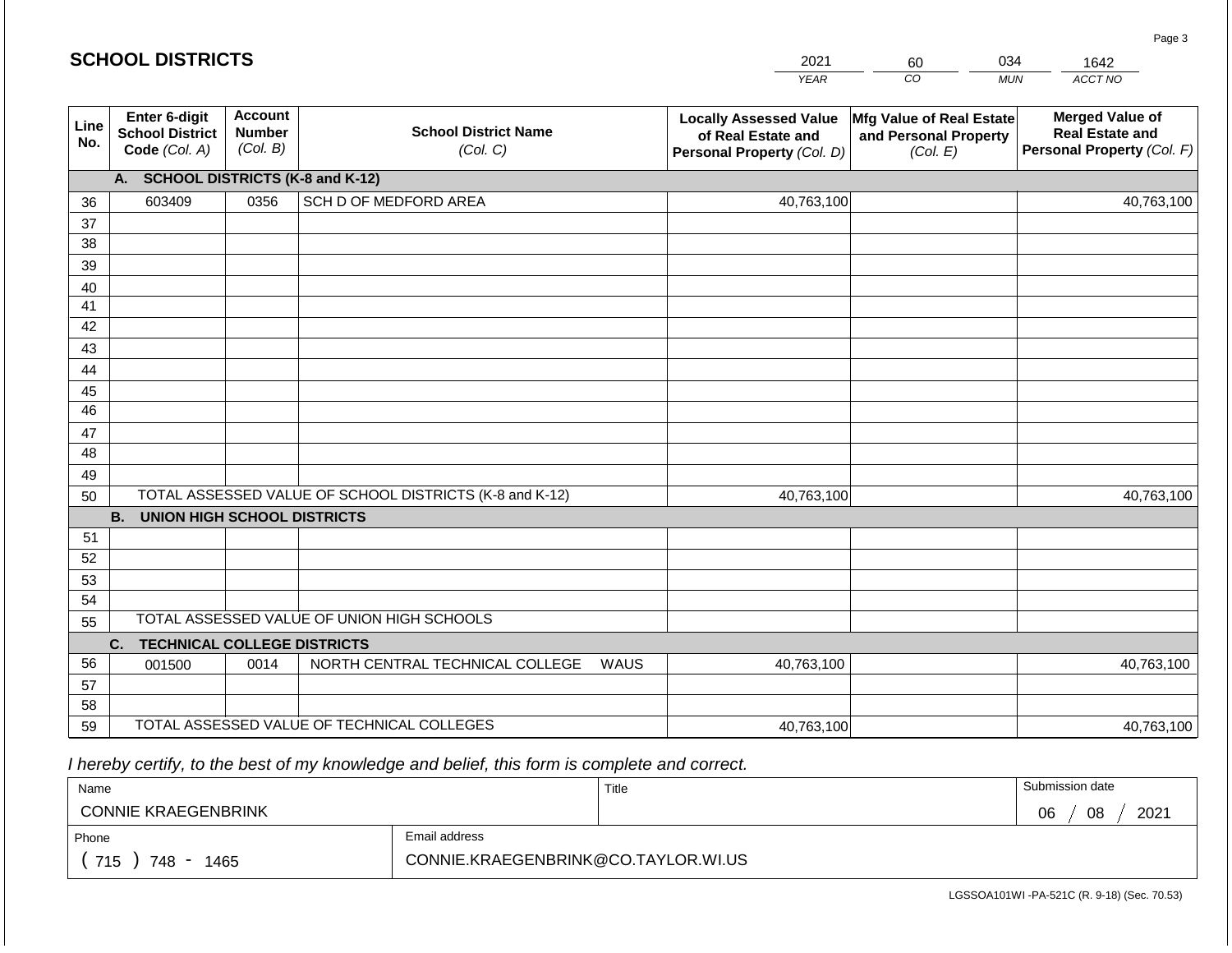|             | <b>SCHOOL DISTRICTS</b>                                  |                                             |                                                         | 2021                                                                              | 034<br>60                                                     | 1642                                                                           |  |  |
|-------------|----------------------------------------------------------|---------------------------------------------|---------------------------------------------------------|-----------------------------------------------------------------------------------|---------------------------------------------------------------|--------------------------------------------------------------------------------|--|--|
|             |                                                          |                                             |                                                         | <b>YEAR</b>                                                                       | CO                                                            | ACCT NO<br><b>MUN</b>                                                          |  |  |
| Line<br>No. | Enter 6-digit<br><b>School District</b><br>Code (Col. A) | <b>Account</b><br><b>Number</b><br>(Col. B) | <b>School District Name</b><br>(Col. C)                 | <b>Locally Assessed Value</b><br>of Real Estate and<br>Personal Property (Col. D) | Mfg Value of Real Estate<br>and Personal Property<br>(Col. E) | <b>Merged Value of</b><br><b>Real Estate and</b><br>Personal Property (Col. F) |  |  |
|             | <b>SCHOOL DISTRICTS (K-8 and K-12)</b><br>A.             |                                             |                                                         |                                                                                   |                                                               |                                                                                |  |  |
| 36          | 603409                                                   | 0356                                        | SCH D OF MEDFORD AREA                                   | 40,763,100                                                                        |                                                               | 40,763,100                                                                     |  |  |
| 37          |                                                          |                                             |                                                         |                                                                                   |                                                               |                                                                                |  |  |
| 38          |                                                          |                                             |                                                         |                                                                                   |                                                               |                                                                                |  |  |
| 39          |                                                          |                                             |                                                         |                                                                                   |                                                               |                                                                                |  |  |
| 40          |                                                          |                                             |                                                         |                                                                                   |                                                               |                                                                                |  |  |
| 41          |                                                          |                                             |                                                         |                                                                                   |                                                               |                                                                                |  |  |
| 42          |                                                          |                                             |                                                         |                                                                                   |                                                               |                                                                                |  |  |
| 43<br>44    |                                                          |                                             |                                                         |                                                                                   |                                                               |                                                                                |  |  |
| 45          |                                                          |                                             |                                                         |                                                                                   |                                                               |                                                                                |  |  |
| 46          |                                                          |                                             |                                                         |                                                                                   |                                                               |                                                                                |  |  |
| 47          |                                                          |                                             |                                                         |                                                                                   |                                                               |                                                                                |  |  |
| 48          |                                                          |                                             |                                                         |                                                                                   |                                                               |                                                                                |  |  |
| 49          |                                                          |                                             |                                                         |                                                                                   |                                                               |                                                                                |  |  |
| 50          |                                                          |                                             | TOTAL ASSESSED VALUE OF SCHOOL DISTRICTS (K-8 and K-12) | 40,763,100                                                                        |                                                               | 40,763,100                                                                     |  |  |
|             | <b>B.</b><br><b>UNION HIGH SCHOOL DISTRICTS</b>          |                                             |                                                         |                                                                                   |                                                               |                                                                                |  |  |
| 51          |                                                          |                                             |                                                         |                                                                                   |                                                               |                                                                                |  |  |
| 52          |                                                          |                                             |                                                         |                                                                                   |                                                               |                                                                                |  |  |
| 53          |                                                          |                                             |                                                         |                                                                                   |                                                               |                                                                                |  |  |
| 54          |                                                          |                                             | TOTAL ASSESSED VALUE OF UNION HIGH SCHOOLS              |                                                                                   |                                                               |                                                                                |  |  |
| 55          |                                                          |                                             |                                                         |                                                                                   |                                                               |                                                                                |  |  |
| 56          | <b>TECHNICAL COLLEGE DISTRICTS</b><br>C.                 | 0014                                        | NORTH CENTRAL TECHNICAL COLLEGE                         | 40,763,100<br>WAUS                                                                |                                                               |                                                                                |  |  |
| 57          | 001500                                                   |                                             |                                                         |                                                                                   |                                                               | 40,763,100                                                                     |  |  |
| 58          |                                                          |                                             |                                                         |                                                                                   |                                                               |                                                                                |  |  |
| 59          |                                                          |                                             | TOTAL ASSESSED VALUE OF TECHNICAL COLLEGES              | 40,763,100                                                                        |                                                               | 40,763,100                                                                     |  |  |

| Name                       |               | Title | Submission date  |
|----------------------------|---------------|-------|------------------|
| <b>CONNIE KRAEGENBRINK</b> |               |       | 2021<br>08<br>06 |
| Phone                      | Email address |       |                  |
| 715<br>748 -<br>1465       |               |       |                  |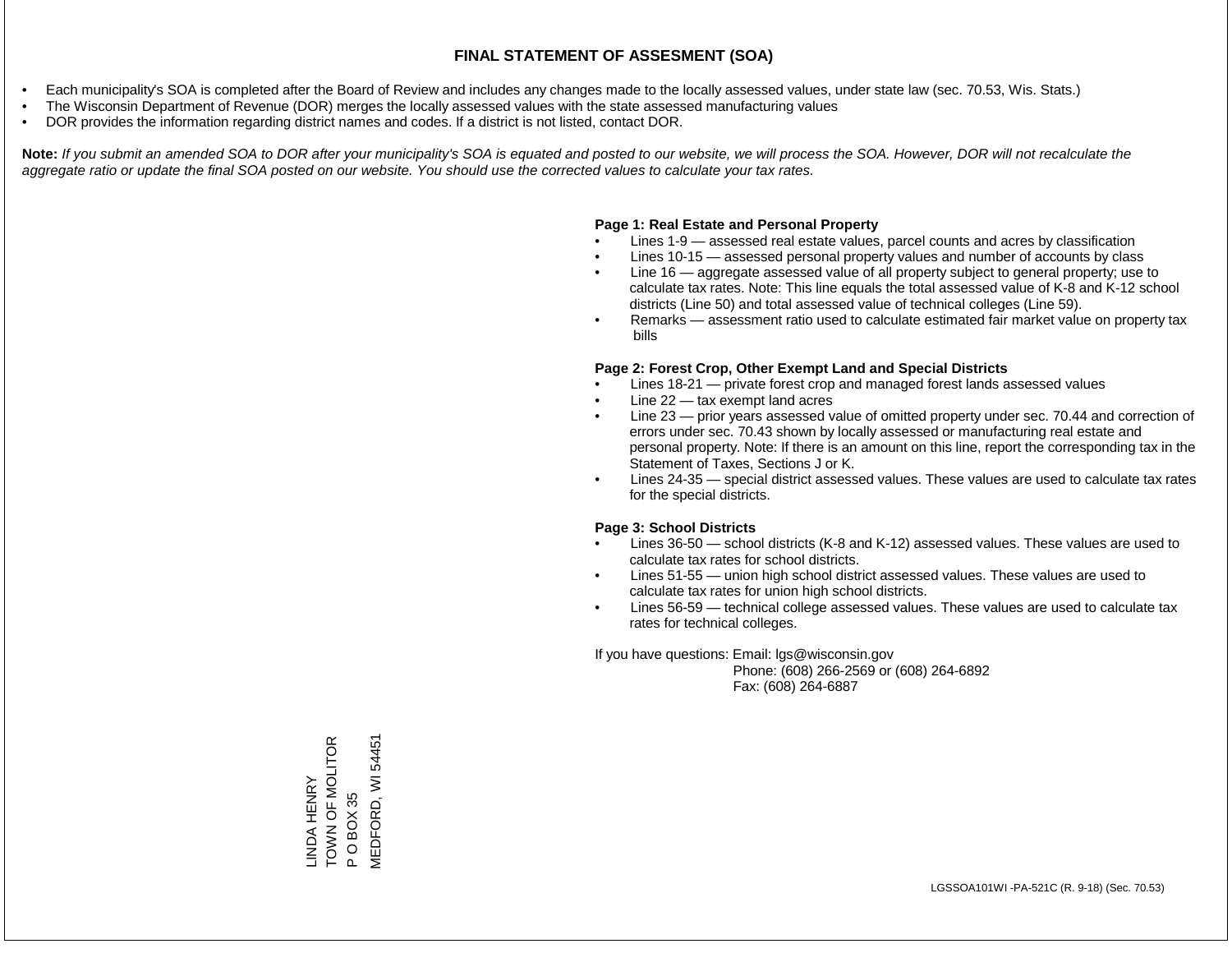- Each municipality's SOA is completed after the Board of Review and includes any changes made to the locally assessed values, under state law (sec. 70.53, Wis. Stats.)
- The Wisconsin Department of Revenue (DOR) merges the locally assessed values with the state assessed manufacturing values
- DOR provides the information regarding district names and codes. If a district is not listed, contact DOR.

Note: If you submit an amended SOA to DOR after your municipality's SOA is equated and posted to our website, we will process the SOA. However, DOR will not recalculate the *aggregate ratio or update the final SOA posted on our website. You should use the corrected values to calculate your tax rates.*

#### **Page 1: Real Estate and Personal Property**

- Lines 1-9 assessed real estate values, parcel counts and acres by classification
- Lines 10-15 assessed personal property values and number of accounts by class
- Line 16 aggregate assessed value of all property subject to general property; use to calculate tax rates. Note: This line equals the total assessed value of K-8 and K-12 school districts (Line 50) and total assessed value of technical colleges (Line 59).
- Remarks assessment ratio used to calculate estimated fair market value on property tax bills

#### **Page 2: Forest Crop, Other Exempt Land and Special Districts**

- Lines 18-21 private forest crop and managed forest lands assessed values
- Line  $22 -$  tax exempt land acres
- Line 23 prior years assessed value of omitted property under sec. 70.44 and correction of errors under sec. 70.43 shown by locally assessed or manufacturing real estate and personal property. Note: If there is an amount on this line, report the corresponding tax in the Statement of Taxes, Sections J or K.
- Lines 24-35 special district assessed values. These values are used to calculate tax rates for the special districts.

#### **Page 3: School Districts**

- Lines 36-50 school districts (K-8 and K-12) assessed values. These values are used to calculate tax rates for school districts.
- Lines 51-55 union high school district assessed values. These values are used to calculate tax rates for union high school districts.
- Lines 56-59 technical college assessed values. These values are used to calculate tax rates for technical colleges.

If you have questions: Email: lgs@wisconsin.gov

 Phone: (608) 266-2569 or (608) 264-6892 Fax: (608) 264-6887

TOWN OF MOLITOR MEDFORD, WI 54451LINDA HENRY<br>TOWN OF MOLITOR VIEDFORD, WI 54451 P O BOX 35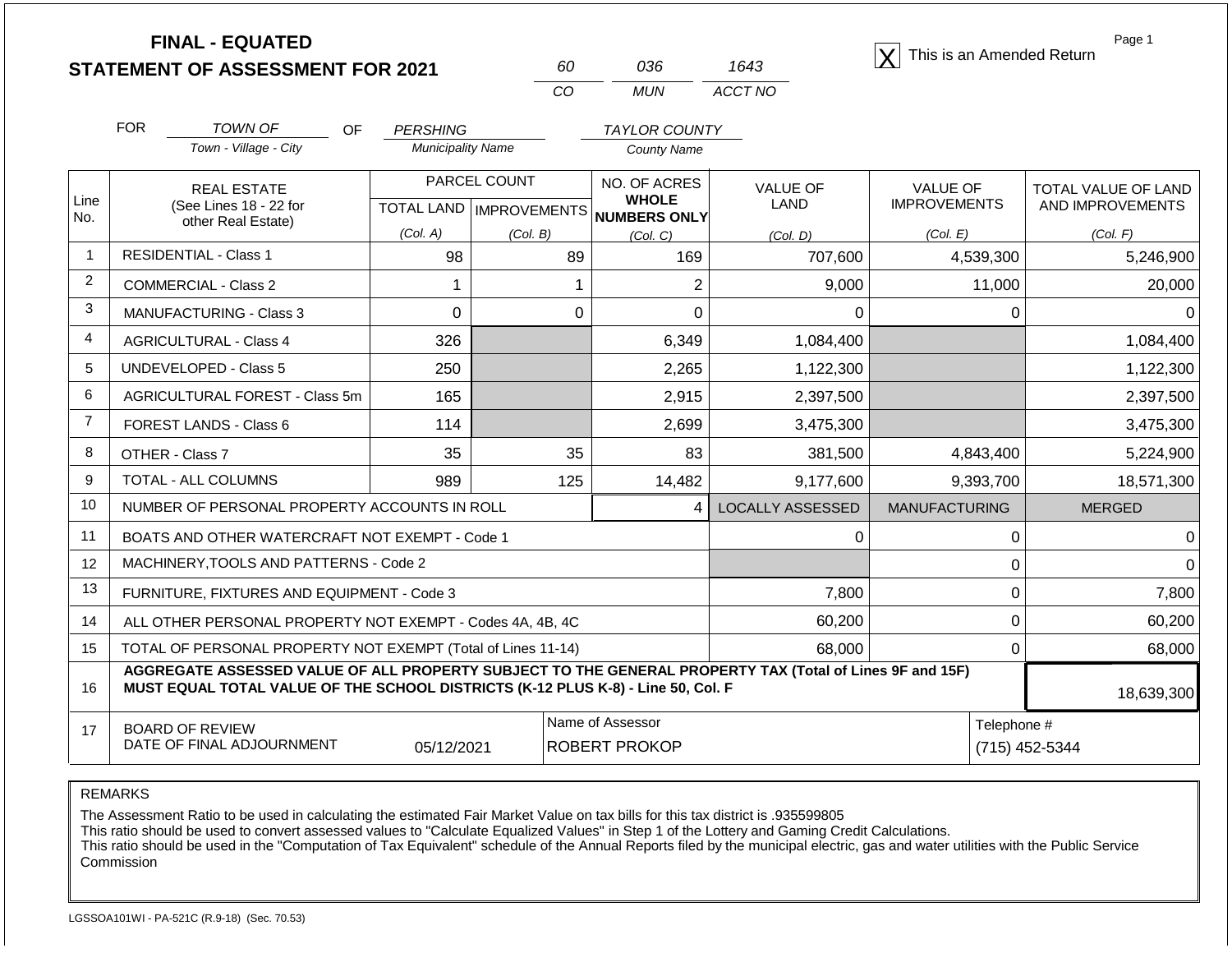| <b>FINAL - EQUATED</b>                  |  |     |      | This is an Amended Return |
|-----------------------------------------|--|-----|------|---------------------------|
| <b>STATEMENT OF ASSESSMENT FOR 2021</b> |  | 036 | 1643 |                           |

| ഩ   | റദഭ   | 1643    |  |  |
|-----|-------|---------|--|--|
| CO. | MI IN | ACCT NO |  |  |

| <b>FOR</b>                                                                                                                                                                                                       | <b>TOWN OF</b><br>OF                         | <b>PERSHING</b>                                                                                                                                                                                                                                                                             |                                                                                      | <b>TAYLOR COUNTY</b>                                                                                                                                                                                                                                                                              |                                                                                                          |                                 |                                         |
|------------------------------------------------------------------------------------------------------------------------------------------------------------------------------------------------------------------|----------------------------------------------|---------------------------------------------------------------------------------------------------------------------------------------------------------------------------------------------------------------------------------------------------------------------------------------------|--------------------------------------------------------------------------------------|---------------------------------------------------------------------------------------------------------------------------------------------------------------------------------------------------------------------------------------------------------------------------------------------------|----------------------------------------------------------------------------------------------------------|---------------------------------|-----------------------------------------|
|                                                                                                                                                                                                                  | Town - Village - City                        |                                                                                                                                                                                                                                                                                             |                                                                                      | <b>County Name</b>                                                                                                                                                                                                                                                                                |                                                                                                          |                                 |                                         |
|                                                                                                                                                                                                                  | <b>REAL ESTATE</b><br>(See Lines 18 - 22 for |                                                                                                                                                                                                                                                                                             |                                                                                      | NO. OF ACRES<br><b>WHOLE</b>                                                                                                                                                                                                                                                                      | <b>VALUE OF</b><br><b>LAND</b>                                                                           | VALUE OF<br><b>IMPROVEMENTS</b> | TOTAL VALUE OF LAND<br>AND IMPROVEMENTS |
|                                                                                                                                                                                                                  |                                              | (Col. A)                                                                                                                                                                                                                                                                                    |                                                                                      |                                                                                                                                                                                                                                                                                                   |                                                                                                          | (Col. E)                        | (Col. F)                                |
|                                                                                                                                                                                                                  |                                              | 98                                                                                                                                                                                                                                                                                          | 89                                                                                   | 169                                                                                                                                                                                                                                                                                               | 707,600                                                                                                  | 4,539,300                       | 5,246,900                               |
| <b>COMMERCIAL - Class 2</b>                                                                                                                                                                                      |                                              |                                                                                                                                                                                                                                                                                             |                                                                                      | $\overline{2}$                                                                                                                                                                                                                                                                                    | 9,000                                                                                                    | 11,000                          | 20,000                                  |
|                                                                                                                                                                                                                  |                                              | $\mathbf 0$                                                                                                                                                                                                                                                                                 | $\mathbf 0$                                                                          | $\Omega$                                                                                                                                                                                                                                                                                          | 0                                                                                                        | $\Omega$                        | 0                                       |
|                                                                                                                                                                                                                  |                                              | 326                                                                                                                                                                                                                                                                                         |                                                                                      | 6,349                                                                                                                                                                                                                                                                                             | 1,084,400                                                                                                |                                 | 1,084,400                               |
|                                                                                                                                                                                                                  |                                              | 250                                                                                                                                                                                                                                                                                         |                                                                                      | 2,265                                                                                                                                                                                                                                                                                             | 1,122,300                                                                                                |                                 | 1,122,300                               |
|                                                                                                                                                                                                                  |                                              | 165                                                                                                                                                                                                                                                                                         |                                                                                      | 2,915                                                                                                                                                                                                                                                                                             | 2,397,500                                                                                                |                                 | 2,397,500                               |
|                                                                                                                                                                                                                  |                                              | 114                                                                                                                                                                                                                                                                                         |                                                                                      | 2,699                                                                                                                                                                                                                                                                                             | 3,475,300                                                                                                |                                 | 3,475,300                               |
|                                                                                                                                                                                                                  |                                              | 35                                                                                                                                                                                                                                                                                          | 35                                                                                   | 83                                                                                                                                                                                                                                                                                                | 381,500                                                                                                  | 4,843,400                       | 5,224,900                               |
| TOTAL - ALL COLUMNS                                                                                                                                                                                              |                                              | 989                                                                                                                                                                                                                                                                                         | 125                                                                                  | 14,482                                                                                                                                                                                                                                                                                            | 9,177,600                                                                                                | 9,393,700                       | 18,571,300                              |
|                                                                                                                                                                                                                  |                                              |                                                                                                                                                                                                                                                                                             |                                                                                      | 4                                                                                                                                                                                                                                                                                                 | <b>LOCALLY ASSESSED</b>                                                                                  | <b>MANUFACTURING</b>            | <b>MERGED</b>                           |
|                                                                                                                                                                                                                  |                                              |                                                                                                                                                                                                                                                                                             |                                                                                      |                                                                                                                                                                                                                                                                                                   | 0                                                                                                        | $\Omega$                        | $\pmb{0}$                               |
|                                                                                                                                                                                                                  |                                              |                                                                                                                                                                                                                                                                                             |                                                                                      |                                                                                                                                                                                                                                                                                                   |                                                                                                          | $\Omega$                        | $\mathbf 0$                             |
|                                                                                                                                                                                                                  |                                              |                                                                                                                                                                                                                                                                                             |                                                                                      |                                                                                                                                                                                                                                                                                                   | 7,800                                                                                                    | $\mathbf{0}$                    | 7,800                                   |
|                                                                                                                                                                                                                  |                                              |                                                                                                                                                                                                                                                                                             |                                                                                      | 60,200                                                                                                                                                                                                                                                                                            | $\Omega$                                                                                                 | 60,200                          |                                         |
|                                                                                                                                                                                                                  |                                              | $\Omega$                                                                                                                                                                                                                                                                                    | 68,000                                                                               |                                                                                                                                                                                                                                                                                                   |                                                                                                          |                                 |                                         |
| AGGREGATE ASSESSED VALUE OF ALL PROPERTY SUBJECT TO THE GENERAL PROPERTY TAX (Total of Lines 9F and 15F)<br>MUST EQUAL TOTAL VALUE OF THE SCHOOL DISTRICTS (K-12 PLUS K-8) - Line 50, Col. F<br>16<br>18,639,300 |                                              |                                                                                                                                                                                                                                                                                             |                                                                                      |                                                                                                                                                                                                                                                                                                   |                                                                                                          |                                 |                                         |
|                                                                                                                                                                                                                  |                                              |                                                                                                                                                                                                                                                                                             |                                                                                      |                                                                                                                                                                                                                                                                                                   |                                                                                                          | Telephone #                     | (715) 452-5344                          |
|                                                                                                                                                                                                                  |                                              | other Real Estate)<br><b>RESIDENTIAL - Class 1</b><br><b>MANUFACTURING - Class 3</b><br><b>AGRICULTURAL - Class 4</b><br><b>UNDEVELOPED - Class 5</b><br>AGRICULTURAL FOREST - Class 5m<br>FOREST LANDS - Class 6<br>OTHER - Class 7<br><b>BOARD OF REVIEW</b><br>DATE OF FINAL ADJOURNMENT | MACHINERY, TOOLS AND PATTERNS - Code 2<br>FURNITURE, FIXTURES AND EQUIPMENT - Code 3 | <b>Municipality Name</b><br>PARCEL COUNT<br>(Col. B)<br>NUMBER OF PERSONAL PROPERTY ACCOUNTS IN ROLL<br>BOATS AND OTHER WATERCRAFT NOT EXEMPT - Code 1<br>ALL OTHER PERSONAL PROPERTY NOT EXEMPT - Codes 4A, 4B, 4C<br>TOTAL OF PERSONAL PROPERTY NOT EXEMPT (Total of Lines 11-14)<br>05/12/2021 | <b>TOTAL LAND   IMPROVEMENTS</b><br>NUMBERS ONLY<br>(Col. C)<br>Name of Assessor<br><b>ROBERT PROKOP</b> | (Col. D)<br>68,000              |                                         |

The Assessment Ratio to be used in calculating the estimated Fair Market Value on tax bills for this tax district is .935599805

This ratio should be used to convert assessed values to "Calculate Equalized Values" in Step 1 of the Lottery and Gaming Credit Calculations.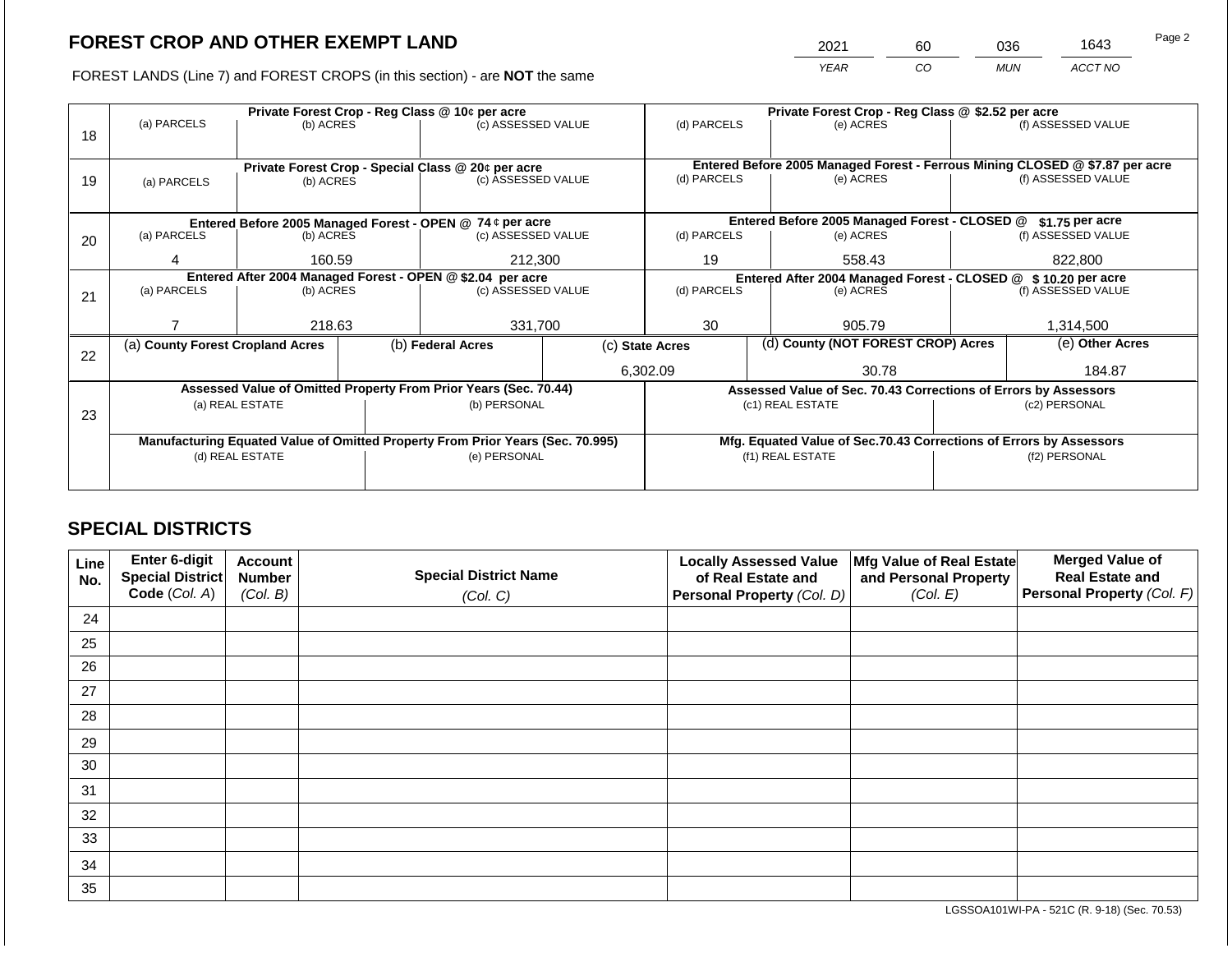2021 60 036 1643

FOREST LANDS (Line 7) and FOREST CROPS (in this section) - are **NOT** the same *YEAR CO MUN ACCT NO*

|    | Private Forest Crop - Reg Class @ 10¢ per acre             |                 |                    |                                                                                |                                                                 |                                                                    | Private Forest Crop - Reg Class @ \$2.52 per acre |                                               |               |                                                                              |
|----|------------------------------------------------------------|-----------------|--------------------|--------------------------------------------------------------------------------|-----------------------------------------------------------------|--------------------------------------------------------------------|---------------------------------------------------|-----------------------------------------------|---------------|------------------------------------------------------------------------------|
|    | (a) PARCELS<br>(b) ACRES                                   |                 | (c) ASSESSED VALUE |                                                                                |                                                                 | (d) PARCELS                                                        |                                                   | (e) ACRES                                     |               | (f) ASSESSED VALUE                                                           |
| 18 |                                                            |                 |                    |                                                                                |                                                                 |                                                                    |                                                   |                                               |               |                                                                              |
|    |                                                            |                 |                    |                                                                                |                                                                 |                                                                    |                                                   |                                               |               |                                                                              |
|    | Private Forest Crop - Special Class @ 20¢ per acre         |                 |                    |                                                                                |                                                                 |                                                                    |                                                   |                                               |               | Entered Before 2005 Managed Forest - Ferrous Mining CLOSED @ \$7.87 per acre |
| 19 | (a) PARCELS                                                | (b) ACRES       |                    | (c) ASSESSED VALUE                                                             |                                                                 | (d) PARCELS                                                        |                                                   | (e) ACRES                                     |               | (f) ASSESSED VALUE                                                           |
|    |                                                            |                 |                    |                                                                                |                                                                 |                                                                    |                                                   |                                               |               |                                                                              |
|    |                                                            |                 |                    | Entered Before 2005 Managed Forest - OPEN @ 74 ¢ per acre                      |                                                                 |                                                                    |                                                   | Entered Before 2005 Managed Forest - CLOSED @ |               | \$1.75 per acre                                                              |
| 20 | (a) PARCELS                                                | (b) ACRES       |                    | (c) ASSESSED VALUE                                                             |                                                                 | (d) PARCELS                                                        |                                                   | (e) ACRES                                     |               | (f) ASSESSED VALUE                                                           |
|    |                                                            |                 |                    |                                                                                |                                                                 |                                                                    |                                                   |                                               |               |                                                                              |
|    | 4                                                          | 160.59          |                    | 212,300                                                                        |                                                                 | 19<br>558.43                                                       |                                                   |                                               |               | 822,800                                                                      |
|    | Entered After 2004 Managed Forest - OPEN @ \$2.04 per acre |                 |                    |                                                                                |                                                                 | Entered After 2004 Managed Forest - CLOSED @ \$10.20 per acre      |                                                   |                                               |               |                                                                              |
| 21 | (a) PARCELS                                                | (b) ACRES       |                    | (c) ASSESSED VALUE                                                             |                                                                 | (d) PARCELS                                                        |                                                   | (e) ACRES                                     |               | (f) ASSESSED VALUE                                                           |
|    |                                                            |                 |                    |                                                                                |                                                                 |                                                                    |                                                   |                                               |               |                                                                              |
|    |                                                            | 218.63          |                    | 331,700                                                                        |                                                                 | 30                                                                 |                                                   | 905.79                                        |               | 1,314,500                                                                    |
|    | (a) County Forest Cropland Acres                           |                 |                    | (b) Federal Acres                                                              |                                                                 | (d) County (NOT FOREST CROP) Acres<br>(c) State Acres              |                                                   |                                               |               | (e) Other Acres                                                              |
| 22 |                                                            |                 |                    |                                                                                |                                                                 |                                                                    |                                                   |                                               |               |                                                                              |
|    |                                                            |                 |                    |                                                                                |                                                                 | 6,302.09<br>30.78                                                  |                                                   |                                               | 184.87        |                                                                              |
|    |                                                            |                 |                    | Assessed Value of Omitted Property From Prior Years (Sec. 70.44)               | Assessed Value of Sec. 70.43 Corrections of Errors by Assessors |                                                                    |                                                   |                                               |               |                                                                              |
|    |                                                            | (a) REAL ESTATE |                    | (b) PERSONAL                                                                   |                                                                 | (c1) REAL ESTATE                                                   |                                                   |                                               |               | (c2) PERSONAL                                                                |
| 23 |                                                            |                 |                    |                                                                                |                                                                 |                                                                    |                                                   |                                               |               |                                                                              |
|    |                                                            |                 |                    | Manufacturing Equated Value of Omitted Property From Prior Years (Sec. 70.995) |                                                                 | Mfg. Equated Value of Sec.70.43 Corrections of Errors by Assessors |                                                   |                                               |               |                                                                              |
|    | (d) REAL ESTATE                                            |                 |                    | (e) PERSONAL                                                                   |                                                                 | (f1) REAL ESTATE                                                   |                                                   |                                               | (f2) PERSONAL |                                                                              |
|    |                                                            |                 |                    |                                                                                |                                                                 |                                                                    |                                                   |                                               |               |                                                                              |
|    |                                                            |                 |                    |                                                                                |                                                                 |                                                                    |                                                   |                                               |               |                                                                              |

# **SPECIAL DISTRICTS**

| Line<br>No. | Enter 6-digit<br>Special District<br>Code (Col. A) | <b>Account</b><br><b>Number</b><br>(Col. B) | <b>Special District Name</b><br>(Col. C) | <b>Locally Assessed Value</b><br>of Real Estate and<br><b>Personal Property (Col. D)</b> | Mfg Value of Real Estate<br>and Personal Property<br>(Col. E) | <b>Merged Value of</b><br><b>Real Estate and</b><br>Personal Property (Col. F) |
|-------------|----------------------------------------------------|---------------------------------------------|------------------------------------------|------------------------------------------------------------------------------------------|---------------------------------------------------------------|--------------------------------------------------------------------------------|
| 24          |                                                    |                                             |                                          |                                                                                          |                                                               |                                                                                |
| 25          |                                                    |                                             |                                          |                                                                                          |                                                               |                                                                                |
| 26          |                                                    |                                             |                                          |                                                                                          |                                                               |                                                                                |
| 27          |                                                    |                                             |                                          |                                                                                          |                                                               |                                                                                |
| 28          |                                                    |                                             |                                          |                                                                                          |                                                               |                                                                                |
| 29          |                                                    |                                             |                                          |                                                                                          |                                                               |                                                                                |
| 30          |                                                    |                                             |                                          |                                                                                          |                                                               |                                                                                |
| 31          |                                                    |                                             |                                          |                                                                                          |                                                               |                                                                                |
| 32          |                                                    |                                             |                                          |                                                                                          |                                                               |                                                                                |
| 33          |                                                    |                                             |                                          |                                                                                          |                                                               |                                                                                |
| 34          |                                                    |                                             |                                          |                                                                                          |                                                               |                                                                                |
| 35          |                                                    |                                             |                                          |                                                                                          |                                                               |                                                                                |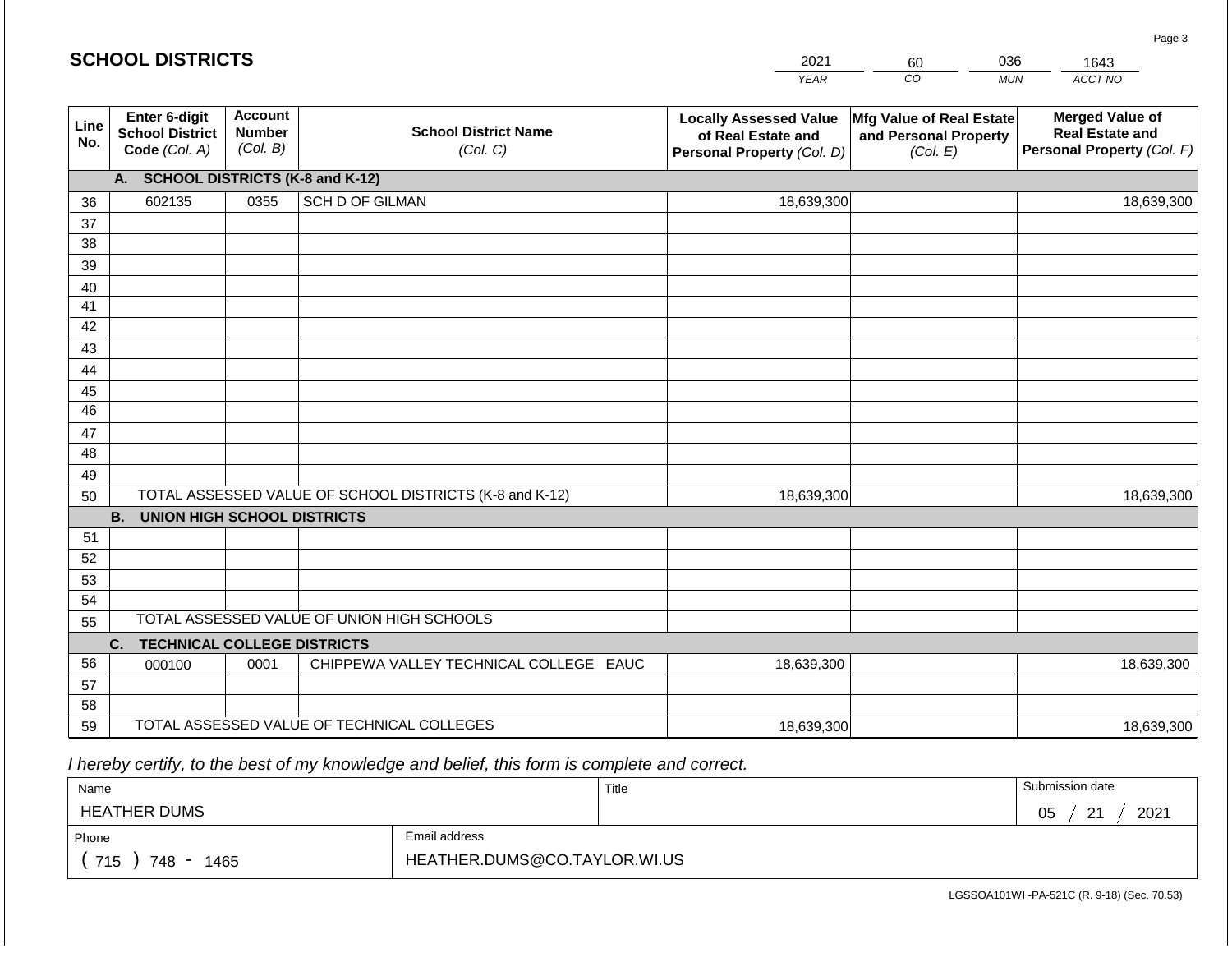|             | <b>SCHOOL DISTRICTS</b>                                  |                                             |                                                         | 2021                                                                              | 60                                                            | 036        | 1643                                                                           |
|-------------|----------------------------------------------------------|---------------------------------------------|---------------------------------------------------------|-----------------------------------------------------------------------------------|---------------------------------------------------------------|------------|--------------------------------------------------------------------------------|
|             |                                                          |                                             |                                                         | <b>YEAR</b>                                                                       | CO                                                            | <b>MUN</b> | ACCT NO                                                                        |
| Line<br>No. | Enter 6-digit<br><b>School District</b><br>Code (Col. A) | <b>Account</b><br><b>Number</b><br>(Col. B) | <b>School District Name</b><br>(Col. C)                 | <b>Locally Assessed Value</b><br>of Real Estate and<br>Personal Property (Col. D) | Mfg Value of Real Estate<br>and Personal Property<br>(Col. E) |            | <b>Merged Value of</b><br><b>Real Estate and</b><br>Personal Property (Col. F) |
|             | A. SCHOOL DISTRICTS (K-8 and K-12)                       |                                             |                                                         |                                                                                   |                                                               |            |                                                                                |
| 36          | 602135                                                   | 0355                                        | <b>SCH D OF GILMAN</b>                                  | 18,639,300                                                                        |                                                               |            | 18,639,300                                                                     |
| 37          |                                                          |                                             |                                                         |                                                                                   |                                                               |            |                                                                                |
| 38          |                                                          |                                             |                                                         |                                                                                   |                                                               |            |                                                                                |
| 39          |                                                          |                                             |                                                         |                                                                                   |                                                               |            |                                                                                |
| 40<br>41    |                                                          |                                             |                                                         |                                                                                   |                                                               |            |                                                                                |
| 42          |                                                          |                                             |                                                         |                                                                                   |                                                               |            |                                                                                |
| 43          |                                                          |                                             |                                                         |                                                                                   |                                                               |            |                                                                                |
| 44          |                                                          |                                             |                                                         |                                                                                   |                                                               |            |                                                                                |
| 45          |                                                          |                                             |                                                         |                                                                                   |                                                               |            |                                                                                |
| 46          |                                                          |                                             |                                                         |                                                                                   |                                                               |            |                                                                                |
| 47          |                                                          |                                             |                                                         |                                                                                   |                                                               |            |                                                                                |
| 48          |                                                          |                                             |                                                         |                                                                                   |                                                               |            |                                                                                |
| 49          |                                                          |                                             |                                                         |                                                                                   |                                                               |            |                                                                                |
| 50          |                                                          |                                             | TOTAL ASSESSED VALUE OF SCHOOL DISTRICTS (K-8 and K-12) | 18,639,300                                                                        |                                                               |            | 18,639,300                                                                     |
|             | <b>B. UNION HIGH SCHOOL DISTRICTS</b>                    |                                             |                                                         |                                                                                   |                                                               |            |                                                                                |
| 51<br>52    |                                                          |                                             |                                                         |                                                                                   |                                                               |            |                                                                                |
| 53          |                                                          |                                             |                                                         |                                                                                   |                                                               |            |                                                                                |
| 54          |                                                          |                                             |                                                         |                                                                                   |                                                               |            |                                                                                |
| 55          |                                                          |                                             | TOTAL ASSESSED VALUE OF UNION HIGH SCHOOLS              |                                                                                   |                                                               |            |                                                                                |
|             | C.<br><b>TECHNICAL COLLEGE DISTRICTS</b>                 |                                             |                                                         |                                                                                   |                                                               |            |                                                                                |
| 56          | 000100                                                   | 0001                                        | CHIPPEWA VALLEY TECHNICAL COLLEGE EAUC                  | 18,639,300                                                                        |                                                               |            | 18,639,300                                                                     |
| 57          |                                                          |                                             |                                                         |                                                                                   |                                                               |            |                                                                                |
| 58          |                                                          |                                             |                                                         |                                                                                   |                                                               |            |                                                                                |
| 59          |                                                          |                                             | TOTAL ASSESSED VALUE OF TECHNICAL COLLEGES              | 18,639,300                                                                        |                                                               |            | 18,639,300                                                                     |

| Name                                               |               | Title | Submission date             |  |  |
|----------------------------------------------------|---------------|-------|-----------------------------|--|--|
| <b>HEATHER DUMS</b>                                |               |       | 2021<br>$\Omega$<br>05<br>- |  |  |
| Phone                                              | Email address |       |                             |  |  |
| HEATHER.DUMS@CO.TAYLOR.WI.US<br>715<br>748<br>1465 |               |       |                             |  |  |

LGSSOA101WI -PA-521C (R. 9-18) (Sec. 70.53)

Page 3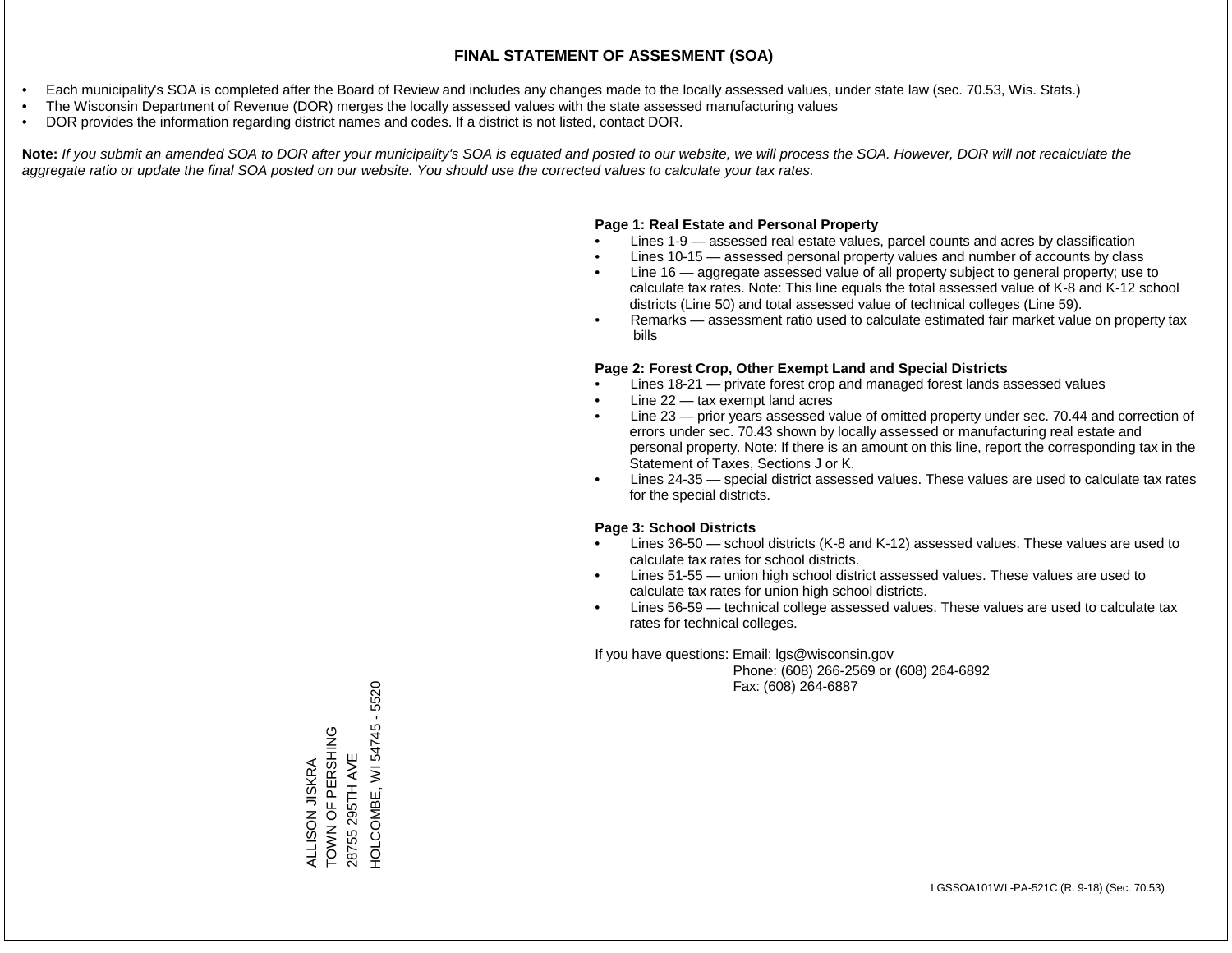- Each municipality's SOA is completed after the Board of Review and includes any changes made to the locally assessed values, under state law (sec. 70.53, Wis. Stats.)
- The Wisconsin Department of Revenue (DOR) merges the locally assessed values with the state assessed manufacturing values
- DOR provides the information regarding district names and codes. If a district is not listed, contact DOR.

Note: If you submit an amended SOA to DOR after your municipality's SOA is equated and posted to our website, we will process the SOA. However, DOR will not recalculate the *aggregate ratio or update the final SOA posted on our website. You should use the corrected values to calculate your tax rates.*

### **Page 1: Real Estate and Personal Property**

- Lines 1-9 assessed real estate values, parcel counts and acres by classification
- Lines 10-15 assessed personal property values and number of accounts by class
- Line 16 aggregate assessed value of all property subject to general property; use to calculate tax rates. Note: This line equals the total assessed value of K-8 and K-12 school districts (Line 50) and total assessed value of technical colleges (Line 59).
- Remarks assessment ratio used to calculate estimated fair market value on property tax bills

### **Page 2: Forest Crop, Other Exempt Land and Special Districts**

- Lines 18-21 private forest crop and managed forest lands assessed values
- Line  $22 -$  tax exempt land acres
- Line 23 prior years assessed value of omitted property under sec. 70.44 and correction of errors under sec. 70.43 shown by locally assessed or manufacturing real estate and personal property. Note: If there is an amount on this line, report the corresponding tax in the Statement of Taxes, Sections J or K.
- Lines 24-35 special district assessed values. These values are used to calculate tax rates for the special districts.

### **Page 3: School Districts**

- Lines 36-50 school districts (K-8 and K-12) assessed values. These values are used to calculate tax rates for school districts.
- Lines 51-55 union high school district assessed values. These values are used to calculate tax rates for union high school districts.
- Lines 56-59 technical college assessed values. These values are used to calculate tax rates for technical colleges.

If you have questions: Email: lgs@wisconsin.gov

 Phone: (608) 266-2569 or (608) 264-6892 Fax: (608) 264-6887

HOLCOMBE, WI 54745 - 5520 HOLCOMBE, WI 54745 - 5520TOWN OF PERSHING ALLISON JISKRA<br>TOWN OF PERSHING 28755 295TH AVE 28755 295TH AVE ALLISON JISKRA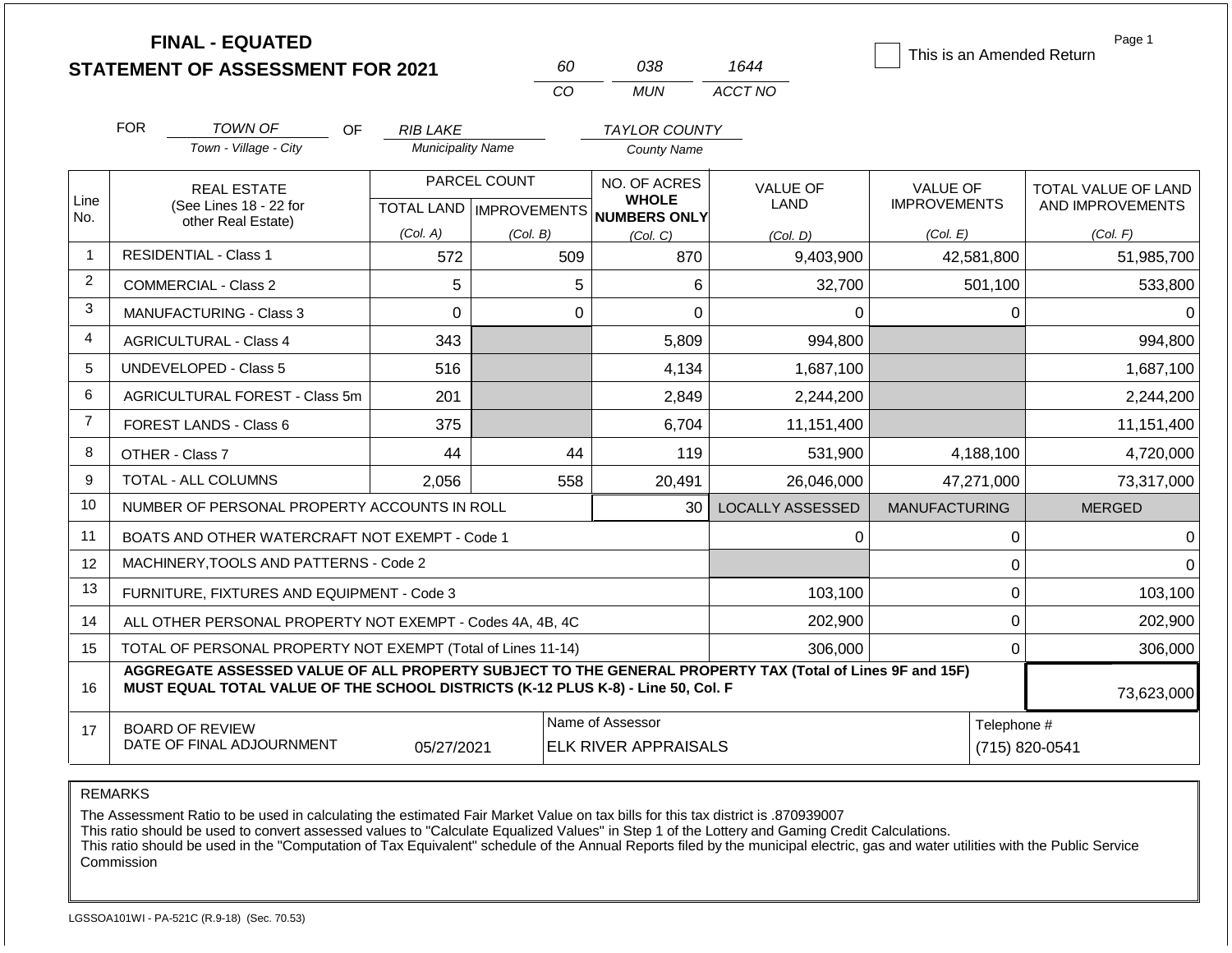|                |            | <b>FINAL - EQUATED</b><br><b>STATEMENT OF ASSESSMENT FOR 2021</b>                                                                                                                            |                          | 60                                        | 038                                                                                   | 1644                    | This is an Amended Return              | Page 1                                  |
|----------------|------------|----------------------------------------------------------------------------------------------------------------------------------------------------------------------------------------------|--------------------------|-------------------------------------------|---------------------------------------------------------------------------------------|-------------------------|----------------------------------------|-----------------------------------------|
|                |            |                                                                                                                                                                                              |                          | CO                                        | <b>MUN</b>                                                                            | ACCT NO                 |                                        |                                         |
|                | <b>FOR</b> | <b>TOWN OF</b><br><b>OF</b>                                                                                                                                                                  | <b>RIB LAKE</b>          |                                           | <b>TAYLOR COUNTY</b>                                                                  |                         |                                        |                                         |
|                |            | Town - Village - City                                                                                                                                                                        | <b>Municipality Name</b> |                                           | <b>County Name</b>                                                                    |                         |                                        |                                         |
| Line<br>No.    |            | <b>REAL ESTATE</b><br>(See Lines 18 - 22 for                                                                                                                                                 |                          | PARCEL COUNT<br>TOTAL LAND   IMPROVEMENTS | NO. OF ACRES<br><b>VALUE OF</b><br><b>WHOLE</b><br><b>LAND</b><br><b>NUMBERS ONLY</b> |                         | <b>VALUE OF</b><br><b>IMPROVEMENTS</b> | TOTAL VALUE OF LAND<br>AND IMPROVEMENTS |
|                |            | other Real Estate)                                                                                                                                                                           | (Col. A)                 | (Col. B)                                  | (Col, C)                                                                              | (Col, D)                | (Col. E)                               | (Col. F)                                |
| $\mathbf 1$    |            | <b>RESIDENTIAL - Class 1</b>                                                                                                                                                                 | 572                      | 509                                       | 870                                                                                   | 9,403,900               | 42,581,800                             | 51,985,700                              |
| 2              |            | <b>COMMERCIAL - Class 2</b>                                                                                                                                                                  | 5                        |                                           | 5<br>6                                                                                | 32,700                  | 501,100                                | 533,800                                 |
| 3              |            | <b>MANUFACTURING - Class 3</b>                                                                                                                                                               | $\Omega$                 |                                           | $\Omega$<br>$\Omega$                                                                  | $\Omega$                | $\Omega$                               | $\Omega$                                |
| 4              |            | <b>AGRICULTURAL - Class 4</b>                                                                                                                                                                | 343                      |                                           | 5,809                                                                                 | 994,800                 |                                        | 994,800                                 |
| 5              |            | <b>UNDEVELOPED - Class 5</b>                                                                                                                                                                 | 516                      |                                           | 4,134                                                                                 | 1,687,100               |                                        | 1,687,100                               |
| 6              |            | AGRICULTURAL FOREST - Class 5m                                                                                                                                                               | 201                      |                                           | 2,849                                                                                 | 2,244,200               |                                        | 2,244,200                               |
| $\overline{7}$ |            | <b>FOREST LANDS - Class 6</b>                                                                                                                                                                | 375                      |                                           | 6,704                                                                                 | 11,151,400              |                                        | 11,151,400                              |
| 8              |            | OTHER - Class 7                                                                                                                                                                              | 44                       | 44                                        | 119                                                                                   | 531,900                 | 4,188,100                              | 4,720,000                               |
| 9              |            | <b>TOTAL - ALL COLUMNS</b>                                                                                                                                                                   | 2,056                    | 558                                       | 20,491                                                                                | 26,046,000              | 47,271,000                             | 73,317,000                              |
| 10             |            | NUMBER OF PERSONAL PROPERTY ACCOUNTS IN ROLL                                                                                                                                                 |                          |                                           | 30                                                                                    | <b>LOCALLY ASSESSED</b> | <b>MANUFACTURING</b>                   | <b>MERGED</b>                           |
| 11             |            | BOATS AND OTHER WATERCRAFT NOT EXEMPT - Code 1                                                                                                                                               |                          |                                           |                                                                                       | 0                       | $\pmb{0}$                              | 0                                       |
| 12             |            | MACHINERY, TOOLS AND PATTERNS - Code 2                                                                                                                                                       |                          |                                           |                                                                                       |                         | $\mathbf 0$                            | $\Omega$                                |
| 13             |            | FURNITURE, FIXTURES AND EQUIPMENT - Code 3                                                                                                                                                   |                          |                                           |                                                                                       | 103,100                 | $\pmb{0}$                              | 103,100                                 |
| 14             |            | ALL OTHER PERSONAL PROPERTY NOT EXEMPT - Codes 4A, 4B, 4C                                                                                                                                    |                          |                                           |                                                                                       | 202,900                 | $\mathbf 0$                            | 202,900                                 |
| 15             |            | TOTAL OF PERSONAL PROPERTY NOT EXEMPT (Total of Lines 11-14)                                                                                                                                 |                          |                                           |                                                                                       | 306,000                 | $\mathbf 0$                            | 306,000                                 |
| 16             |            | AGGREGATE ASSESSED VALUE OF ALL PROPERTY SUBJECT TO THE GENERAL PROPERTY TAX (Total of Lines 9F and 15F)<br>MUST EQUAL TOTAL VALUE OF THE SCHOOL DISTRICTS (K-12 PLUS K-8) - Line 50, Col. F |                          |                                           |                                                                                       |                         |                                        | 73,623,000                              |
| 17             |            | <b>BOARD OF REVIEW</b><br>DATE OF FINAL ADJOURNMENT                                                                                                                                          | 05/27/2021               |                                           | Name of Assessor<br><b>ELK RIVER APPRAISALS</b>                                       | Telephone #             | (715) 820-0541                         |                                         |

The Assessment Ratio to be used in calculating the estimated Fair Market Value on tax bills for this tax district is .870939007

This ratio should be used to convert assessed values to "Calculate Equalized Values" in Step 1 of the Lottery and Gaming Credit Calculations.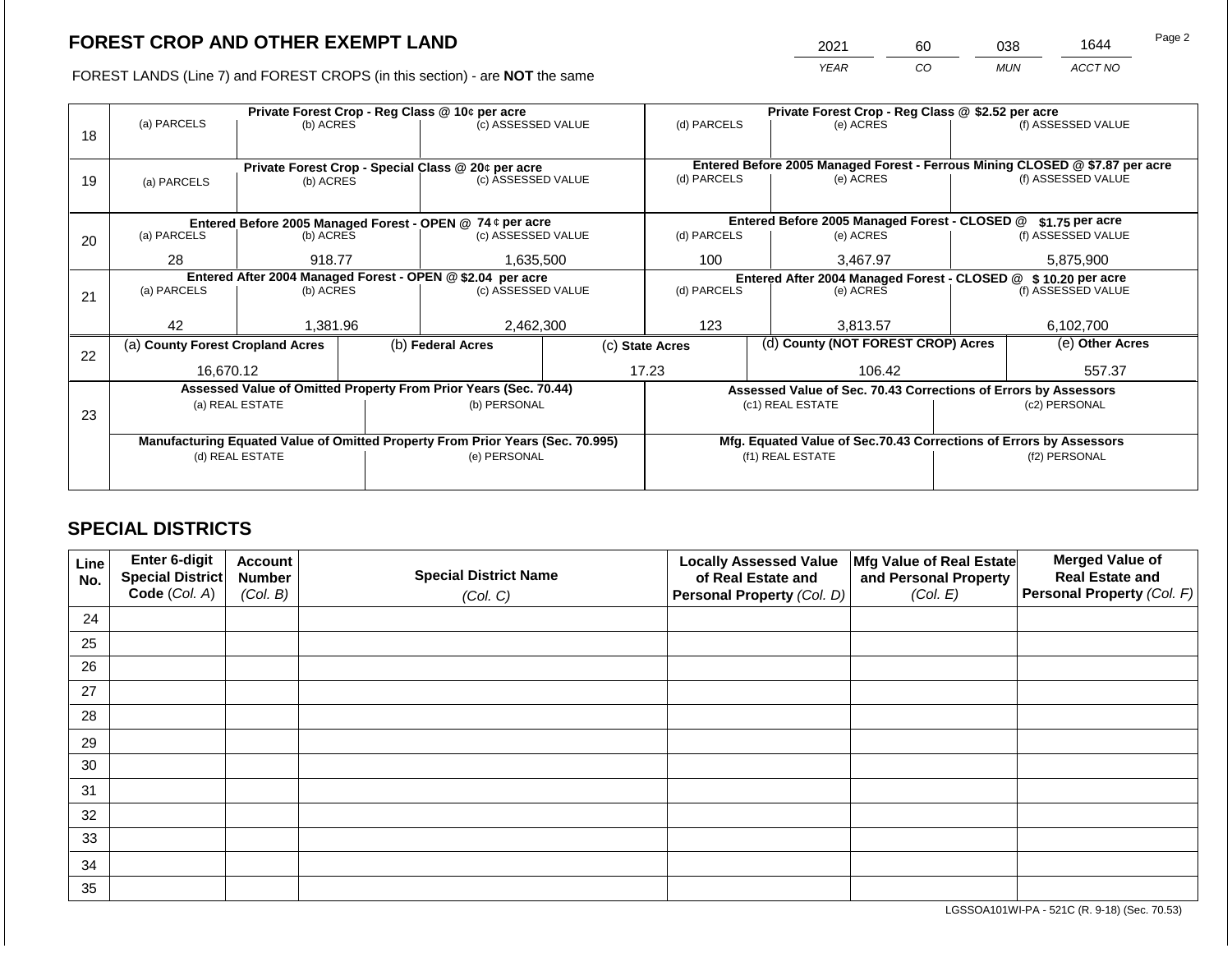2021 60 038 1644

FOREST LANDS (Line 7) and FOREST CROPS (in this section) - are **NOT** the same *YEAR CO MUN ACCT NO*

|    |                                                            |           |                                                                                | Private Forest Crop - Reg Class @ 10¢ per acre                   |                                                       | Private Forest Crop - Reg Class @ \$2.52 per acre |  |                                                                              |                                                                 |                    |
|----|------------------------------------------------------------|-----------|--------------------------------------------------------------------------------|------------------------------------------------------------------|-------------------------------------------------------|---------------------------------------------------|--|------------------------------------------------------------------------------|-----------------------------------------------------------------|--------------------|
| 18 | (a) PARCELS                                                | (b) ACRES |                                                                                | (c) ASSESSED VALUE                                               |                                                       | (d) PARCELS                                       |  | (e) ACRES                                                                    |                                                                 | (f) ASSESSED VALUE |
|    |                                                            |           |                                                                                |                                                                  |                                                       |                                                   |  |                                                                              |                                                                 |                    |
|    |                                                            |           |                                                                                | Private Forest Crop - Special Class @ 20¢ per acre               |                                                       |                                                   |  | Entered Before 2005 Managed Forest - Ferrous Mining CLOSED @ \$7.87 per acre |                                                                 |                    |
| 19 | (a) PARCELS                                                | (b) ACRES |                                                                                | (c) ASSESSED VALUE                                               |                                                       | (d) PARCELS                                       |  | (e) ACRES                                                                    |                                                                 | (f) ASSESSED VALUE |
|    |                                                            |           |                                                                                |                                                                  |                                                       |                                                   |  |                                                                              |                                                                 |                    |
|    |                                                            |           |                                                                                |                                                                  |                                                       |                                                   |  |                                                                              |                                                                 |                    |
|    |                                                            |           |                                                                                | Entered Before 2005 Managed Forest - OPEN @ 74 ¢ per acre        |                                                       |                                                   |  | Entered Before 2005 Managed Forest - CLOSED @                                |                                                                 | \$1.75 per acre    |
| 20 | (a) PARCELS<br>(b) ACRES                                   |           |                                                                                | (c) ASSESSED VALUE                                               |                                                       | (d) PARCELS                                       |  | (e) ACRES                                                                    |                                                                 | (f) ASSESSED VALUE |
|    | 28                                                         | 918.77    |                                                                                | 1,635,500                                                        |                                                       | 100                                               |  | 3,467.97                                                                     |                                                                 | 5,875,900          |
|    | Entered After 2004 Managed Forest - OPEN @ \$2.04 per acre |           |                                                                                |                                                                  |                                                       |                                                   |  |                                                                              | Entered After 2004 Managed Forest - CLOSED @ \$10.20 per acre   |                    |
| 21 | (a) PARCELS                                                | (b) ACRES |                                                                                | (c) ASSESSED VALUE                                               |                                                       | (d) PARCELS                                       |  | (e) ACRES                                                                    |                                                                 | (f) ASSESSED VALUE |
|    |                                                            |           |                                                                                |                                                                  |                                                       |                                                   |  |                                                                              |                                                                 |                    |
|    | 42                                                         | 1,381.96  |                                                                                | 2,462,300                                                        |                                                       | 123                                               |  | 3,813.57                                                                     |                                                                 | 6,102,700          |
|    | (a) County Forest Cropland Acres                           |           |                                                                                | (b) Federal Acres                                                | (d) County (NOT FOREST CROP) Acres<br>(c) State Acres |                                                   |  |                                                                              | (e) Other Acres                                                 |                    |
| 22 |                                                            |           |                                                                                |                                                                  |                                                       |                                                   |  |                                                                              |                                                                 |                    |
|    | 16,670.12                                                  |           |                                                                                |                                                                  |                                                       | 17.23                                             |  | 106.42                                                                       | 557.37                                                          |                    |
|    |                                                            |           |                                                                                | Assessed Value of Omitted Property From Prior Years (Sec. 70.44) |                                                       |                                                   |  |                                                                              | Assessed Value of Sec. 70.43 Corrections of Errors by Assessors |                    |
|    | (a) REAL ESTATE                                            |           |                                                                                | (b) PERSONAL                                                     |                                                       |                                                   |  | (c1) REAL ESTATE                                                             | (c2) PERSONAL                                                   |                    |
| 23 |                                                            |           |                                                                                |                                                                  |                                                       |                                                   |  |                                                                              |                                                                 |                    |
|    |                                                            |           | Manufacturing Equated Value of Omitted Property From Prior Years (Sec. 70.995) |                                                                  |                                                       |                                                   |  | Mfg. Equated Value of Sec.70.43 Corrections of Errors by Assessors           |                                                                 |                    |
|    | (d) REAL ESTATE                                            |           |                                                                                | (e) PERSONAL                                                     |                                                       |                                                   |  | (f1) REAL ESTATE                                                             |                                                                 | (f2) PERSONAL      |
|    |                                                            |           |                                                                                |                                                                  |                                                       |                                                   |  |                                                                              |                                                                 |                    |
|    |                                                            |           |                                                                                |                                                                  |                                                       |                                                   |  |                                                                              |                                                                 |                    |

# **SPECIAL DISTRICTS**

| Line<br>No. | Enter 6-digit<br>Special District | <b>Account</b><br><b>Number</b> | <b>Special District Name</b> | <b>Locally Assessed Value</b><br>of Real Estate and | Mfg Value of Real Estate<br>and Personal Property | <b>Merged Value of</b><br><b>Real Estate and</b> |
|-------------|-----------------------------------|---------------------------------|------------------------------|-----------------------------------------------------|---------------------------------------------------|--------------------------------------------------|
|             | Code (Col. A)                     | (Col. B)                        | (Col. C)                     | Personal Property (Col. D)                          | (Col. E)                                          | Personal Property (Col. F)                       |
| 24          |                                   |                                 |                              |                                                     |                                                   |                                                  |
| 25          |                                   |                                 |                              |                                                     |                                                   |                                                  |
| 26          |                                   |                                 |                              |                                                     |                                                   |                                                  |
| 27          |                                   |                                 |                              |                                                     |                                                   |                                                  |
| 28          |                                   |                                 |                              |                                                     |                                                   |                                                  |
| 29          |                                   |                                 |                              |                                                     |                                                   |                                                  |
| 30          |                                   |                                 |                              |                                                     |                                                   |                                                  |
| 31          |                                   |                                 |                              |                                                     |                                                   |                                                  |
| 32          |                                   |                                 |                              |                                                     |                                                   |                                                  |
| 33          |                                   |                                 |                              |                                                     |                                                   |                                                  |
| 34          |                                   |                                 |                              |                                                     |                                                   |                                                  |
| 35          |                                   |                                 |                              |                                                     |                                                   |                                                  |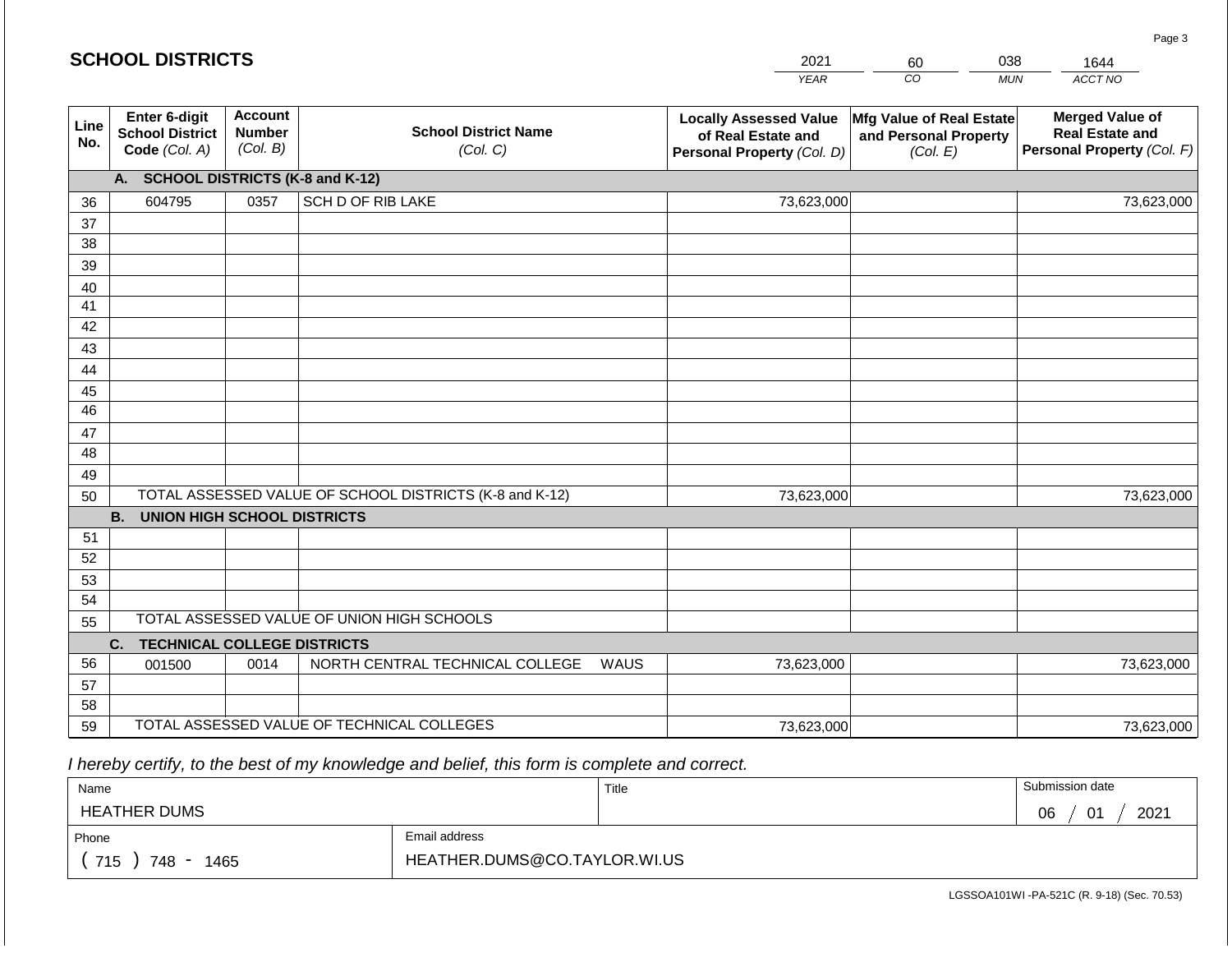|             | <b>SCHOOL DISTRICTS</b>                                  |                                             |                                                         |      | 2021                                                                              | 60                                                            | 038        | 1644                                                                           |
|-------------|----------------------------------------------------------|---------------------------------------------|---------------------------------------------------------|------|-----------------------------------------------------------------------------------|---------------------------------------------------------------|------------|--------------------------------------------------------------------------------|
|             |                                                          |                                             |                                                         |      | <b>YEAR</b>                                                                       | CO                                                            | <b>MUN</b> | ACCT NO                                                                        |
| Line<br>No. | Enter 6-digit<br><b>School District</b><br>Code (Col. A) | <b>Account</b><br><b>Number</b><br>(Col. B) | <b>School District Name</b><br>(Col. C)                 |      | <b>Locally Assessed Value</b><br>of Real Estate and<br>Personal Property (Col. D) | Mfg Value of Real Estate<br>and Personal Property<br>(Col. E) |            | <b>Merged Value of</b><br><b>Real Estate and</b><br>Personal Property (Col. F) |
|             | A. SCHOOL DISTRICTS (K-8 and K-12)                       |                                             |                                                         |      |                                                                                   |                                                               |            |                                                                                |
| 36          | 604795                                                   | 0357                                        | SCH D OF RIB LAKE                                       |      | 73,623,000                                                                        |                                                               |            | 73,623,000                                                                     |
| 37          |                                                          |                                             |                                                         |      |                                                                                   |                                                               |            |                                                                                |
| 38          |                                                          |                                             |                                                         |      |                                                                                   |                                                               |            |                                                                                |
| 39          |                                                          |                                             |                                                         |      |                                                                                   |                                                               |            |                                                                                |
| 40<br>41    |                                                          |                                             |                                                         |      |                                                                                   |                                                               |            |                                                                                |
| 42          |                                                          |                                             |                                                         |      |                                                                                   |                                                               |            |                                                                                |
| 43          |                                                          |                                             |                                                         |      |                                                                                   |                                                               |            |                                                                                |
| 44          |                                                          |                                             |                                                         |      |                                                                                   |                                                               |            |                                                                                |
| 45          |                                                          |                                             |                                                         |      |                                                                                   |                                                               |            |                                                                                |
| 46          |                                                          |                                             |                                                         |      |                                                                                   |                                                               |            |                                                                                |
| 47          |                                                          |                                             |                                                         |      |                                                                                   |                                                               |            |                                                                                |
| 48          |                                                          |                                             |                                                         |      |                                                                                   |                                                               |            |                                                                                |
| 49          |                                                          |                                             |                                                         |      |                                                                                   |                                                               |            |                                                                                |
| 50          |                                                          |                                             | TOTAL ASSESSED VALUE OF SCHOOL DISTRICTS (K-8 and K-12) |      | 73,623,000                                                                        |                                                               |            | 73,623,000                                                                     |
|             | <b>B. UNION HIGH SCHOOL DISTRICTS</b>                    |                                             |                                                         |      |                                                                                   |                                                               |            |                                                                                |
| 51          |                                                          |                                             |                                                         |      |                                                                                   |                                                               |            |                                                                                |
| 52<br>53    |                                                          |                                             |                                                         |      |                                                                                   |                                                               |            |                                                                                |
| 54          |                                                          |                                             |                                                         |      |                                                                                   |                                                               |            |                                                                                |
| 55          |                                                          |                                             | TOTAL ASSESSED VALUE OF UNION HIGH SCHOOLS              |      |                                                                                   |                                                               |            |                                                                                |
|             | C.<br><b>TECHNICAL COLLEGE DISTRICTS</b>                 |                                             |                                                         |      |                                                                                   |                                                               |            |                                                                                |
| 56          | 001500                                                   | 0014                                        | NORTH CENTRAL TECHNICAL COLLEGE                         | WAUS | 73,623,000                                                                        |                                                               |            | 73,623,000                                                                     |
| 57          |                                                          |                                             |                                                         |      |                                                                                   |                                                               |            |                                                                                |
| 58          |                                                          |                                             |                                                         |      |                                                                                   |                                                               |            |                                                                                |
| 59          |                                                          |                                             | TOTAL ASSESSED VALUE OF TECHNICAL COLLEGES              |      | 73,623,000                                                                        |                                                               |            | 73,623,000                                                                     |

 *I hereby certify, to the best of my knowledge and belief, this form is complete and correct.*

| Name                |                              | Title | Submission date  |
|---------------------|------------------------------|-------|------------------|
| <b>HEATHER DUMS</b> |                              |       | 2021<br>06<br>01 |
| Phone               | Email address                |       |                  |
| 715<br>748<br>1465  | HEATHER.DUMS@CO.TAYLOR.WI.US |       |                  |

LGSSOA101WI -PA-521C (R. 9-18) (Sec. 70.53)

Page 3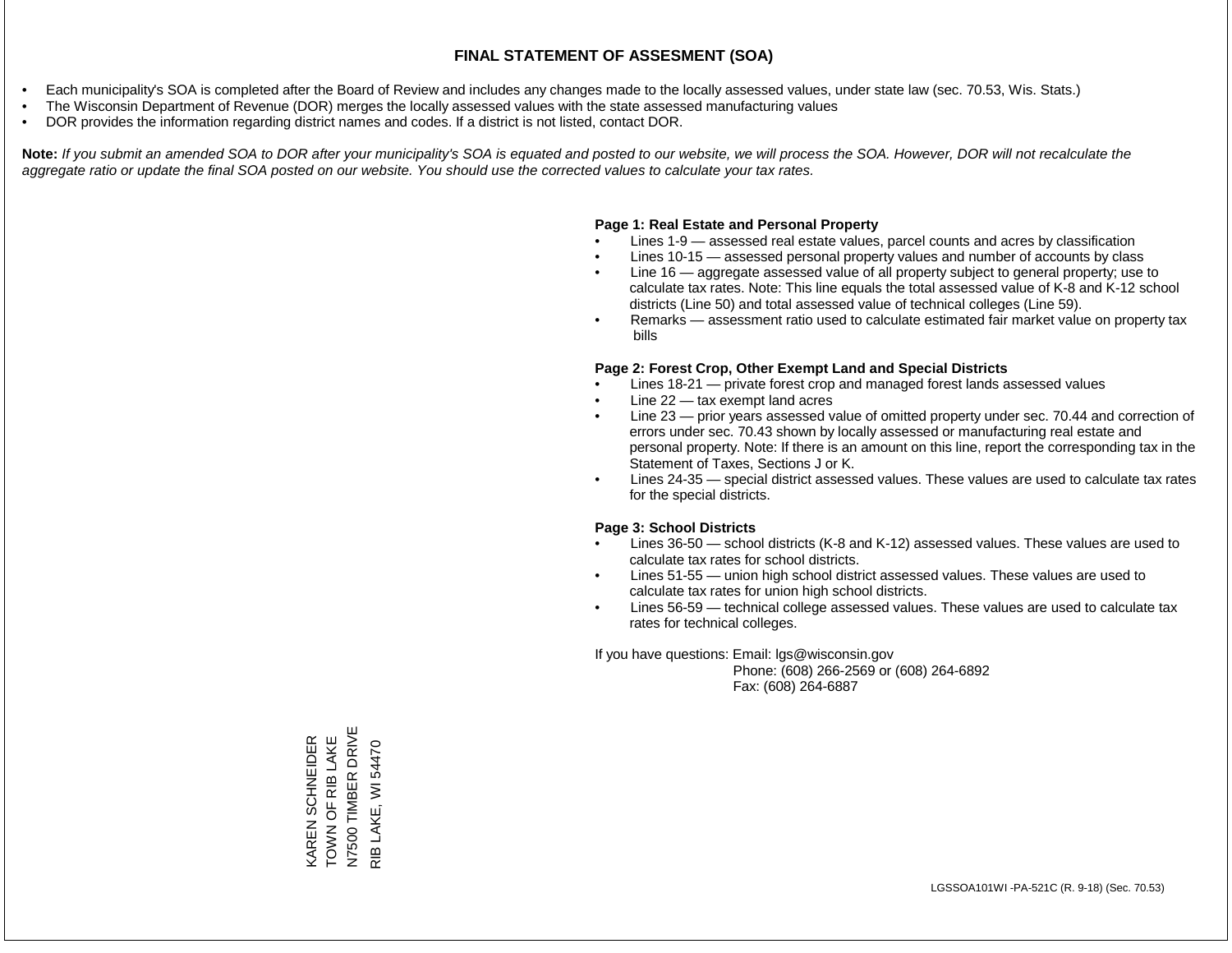- Each municipality's SOA is completed after the Board of Review and includes any changes made to the locally assessed values, under state law (sec. 70.53, Wis. Stats.)
- The Wisconsin Department of Revenue (DOR) merges the locally assessed values with the state assessed manufacturing values
- DOR provides the information regarding district names and codes. If a district is not listed, contact DOR.

Note: If you submit an amended SOA to DOR after your municipality's SOA is equated and posted to our website, we will process the SOA. However, DOR will not recalculate the *aggregate ratio or update the final SOA posted on our website. You should use the corrected values to calculate your tax rates.*

## **Page 1: Real Estate and Personal Property**

- Lines 1-9 assessed real estate values, parcel counts and acres by classification
- Lines 10-15 assessed personal property values and number of accounts by class
- Line 16 aggregate assessed value of all property subject to general property; use to calculate tax rates. Note: This line equals the total assessed value of K-8 and K-12 school districts (Line 50) and total assessed value of technical colleges (Line 59).
- Remarks assessment ratio used to calculate estimated fair market value on property tax bills

## **Page 2: Forest Crop, Other Exempt Land and Special Districts**

- Lines 18-21 private forest crop and managed forest lands assessed values
- Line  $22 -$  tax exempt land acres
- Line 23 prior years assessed value of omitted property under sec. 70.44 and correction of errors under sec. 70.43 shown by locally assessed or manufacturing real estate and personal property. Note: If there is an amount on this line, report the corresponding tax in the Statement of Taxes, Sections J or K.
- Lines 24-35 special district assessed values. These values are used to calculate tax rates for the special districts.

## **Page 3: School Districts**

- Lines 36-50 school districts (K-8 and K-12) assessed values. These values are used to calculate tax rates for school districts.
- Lines 51-55 union high school district assessed values. These values are used to calculate tax rates for union high school districts.
- Lines 56-59 technical college assessed values. These values are used to calculate tax rates for technical colleges.

If you have questions: Email: lgs@wisconsin.gov

 Phone: (608) 266-2569 or (608) 264-6892 Fax: (608) 264-6887

N7500 TIMBER DRIVE<br>RIB LAKE, WI 54470 N7500 TIMBER DRIVE KAREN SCHNEIDER<br>TOWN OF RIB LAKE TOWN OF RIB LAKE KAREN SCHNEIDER RIB LAKE, WI 54470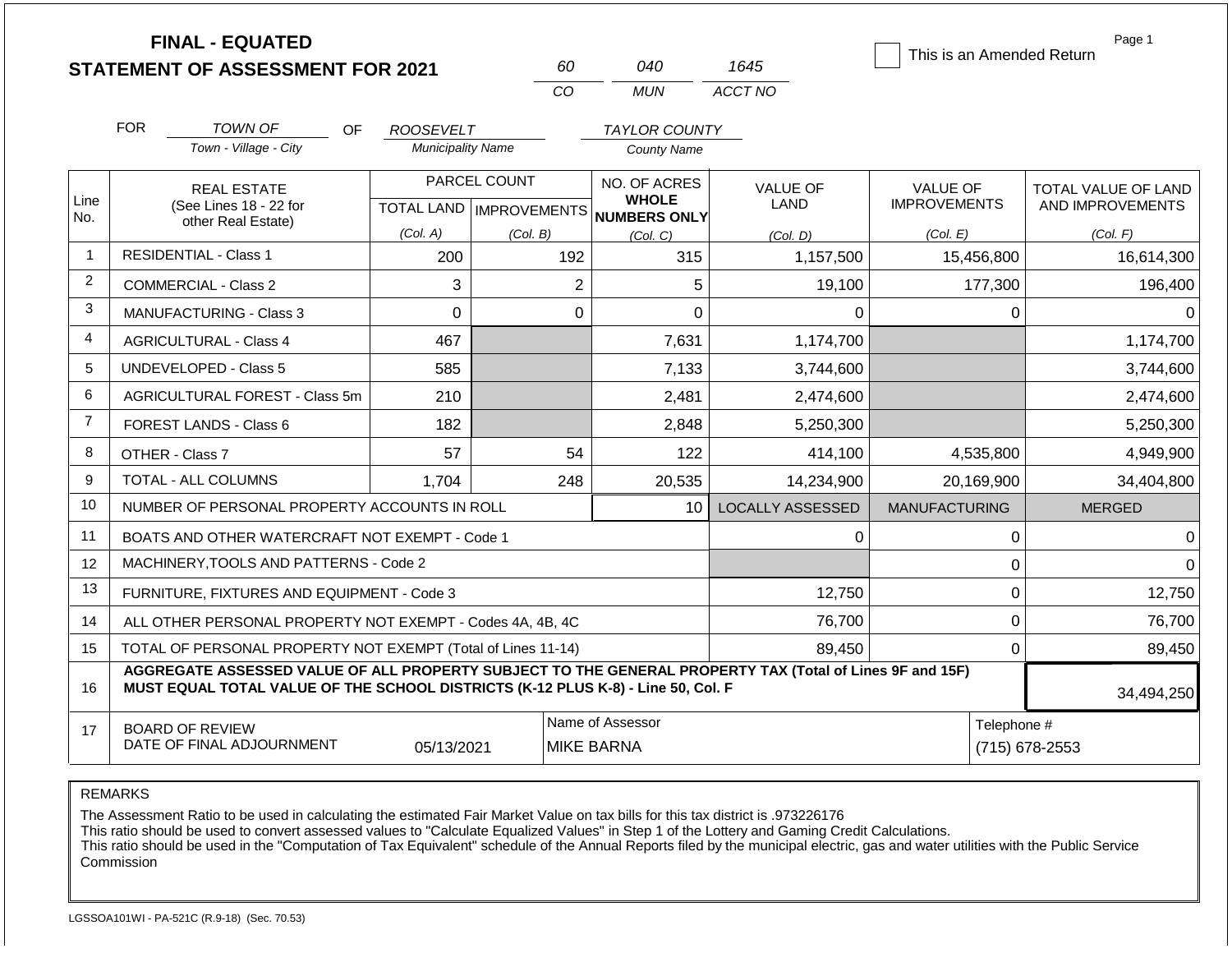|                | <b>FINAL - EQUATED</b>                                                                                                                                                                       |                          | 60                                   | 040                          | 1645             | This is an Amended Return | Page 1              |  |  |
|----------------|----------------------------------------------------------------------------------------------------------------------------------------------------------------------------------------------|--------------------------|--------------------------------------|------------------------------|------------------|---------------------------|---------------------|--|--|
|                | <b>STATEMENT OF ASSESSMENT FOR 2021</b>                                                                                                                                                      |                          | CO                                   | <b>MUN</b>                   | ACCT NO          |                           |                     |  |  |
|                |                                                                                                                                                                                              |                          |                                      |                              |                  |                           |                     |  |  |
|                | <b>FOR</b><br><b>TOWN OF</b><br>Town - Village - City                                                                                                                                        | OF.<br><b>ROOSEVELT</b>  |                                      | <b>TAYLOR COUNTY</b>         |                  |                           |                     |  |  |
|                |                                                                                                                                                                                              | <b>Municipality Name</b> |                                      | <b>County Name</b>           |                  |                           |                     |  |  |
|                | <b>REAL ESTATE</b>                                                                                                                                                                           |                          | PARCEL COUNT                         | NO. OF ACRES<br><b>WHOLE</b> | <b>VALUE OF</b>  | <b>VALUE OF</b>           | TOTAL VALUE OF LAND |  |  |
| Line<br>No.    | (See Lines 18 - 22 for<br>other Real Estate)                                                                                                                                                 |                          | TOTAL LAND IMPROVEMENTS NUMBERS ONLY |                              | <b>LAND</b>      | <b>IMPROVEMENTS</b>       | AND IMPROVEMENTS    |  |  |
|                |                                                                                                                                                                                              | (Col. A)                 | (Col. B)                             | (Col, C)                     | (Col, D)         | (Col. E)                  | (Col. F)            |  |  |
| $\mathbf{1}$   | <b>RESIDENTIAL - Class 1</b>                                                                                                                                                                 | 200                      | 192                                  | 315                          | 1,157,500        | 15,456,800                | 16,614,300          |  |  |
| $\overline{2}$ | <b>COMMERCIAL - Class 2</b>                                                                                                                                                                  | 3                        | $\overline{2}$                       | 5                            | 19,100           | 177,300                   | 196,400             |  |  |
| 3              | <b>MANUFACTURING - Class 3</b>                                                                                                                                                               | $\Omega$                 | $\mathbf 0$                          | 0                            | $\Omega$         | $\Omega$                  | 0                   |  |  |
| 4              | <b>AGRICULTURAL - Class 4</b>                                                                                                                                                                | 467                      |                                      | 7,631                        | 1,174,700        |                           | 1,174,700           |  |  |
| 5              | <b>UNDEVELOPED - Class 5</b>                                                                                                                                                                 | 585                      |                                      | 7,133                        | 3,744,600        |                           | 3,744,600           |  |  |
| 6              | AGRICULTURAL FOREST - Class 5m                                                                                                                                                               | 210                      |                                      | 2,481                        | 2,474,600        |                           | 2,474,600           |  |  |
| $\overline{7}$ | FOREST LANDS - Class 6                                                                                                                                                                       | 182                      |                                      | 2,848                        | 5,250,300        |                           | 5,250,300           |  |  |
| 8              | OTHER - Class 7                                                                                                                                                                              | 57                       | 54                                   | 122                          | 414,100          | 4,535,800                 | 4,949,900           |  |  |
| 9              | <b>TOTAL - ALL COLUMNS</b>                                                                                                                                                                   | 1,704                    | 248                                  | 20,535                       | 14,234,900       | 20,169,900                | 34,404,800          |  |  |
| 10             | NUMBER OF PERSONAL PROPERTY ACCOUNTS IN ROLL                                                                                                                                                 |                          |                                      | 10                           | LOCALLY ASSESSED | <b>MANUFACTURING</b>      | <b>MERGED</b>       |  |  |
| 11             | BOATS AND OTHER WATERCRAFT NOT EXEMPT - Code 1                                                                                                                                               |                          |                                      |                              | 0                | $\mathbf 0$               | 0                   |  |  |
| 12             | MACHINERY, TOOLS AND PATTERNS - Code 2                                                                                                                                                       |                          |                                      |                              |                  | $\mathbf 0$               | $\Omega$            |  |  |
| 13             | FURNITURE, FIXTURES AND EQUIPMENT - Code 3                                                                                                                                                   |                          |                                      |                              | 12,750           | $\pmb{0}$                 | 12,750              |  |  |
| 14             | ALL OTHER PERSONAL PROPERTY NOT EXEMPT - Codes 4A, 4B, 4C                                                                                                                                    |                          |                                      |                              | 76,700           | $\mathbf 0$               | 76,700              |  |  |
| 15             | TOTAL OF PERSONAL PROPERTY NOT EXEMPT (Total of Lines 11-14)                                                                                                                                 |                          |                                      |                              | 89,450           | $\mathbf 0$               | 89,450              |  |  |
| 16             | AGGREGATE ASSESSED VALUE OF ALL PROPERTY SUBJECT TO THE GENERAL PROPERTY TAX (Total of Lines 9F and 15F)<br>MUST EQUAL TOTAL VALUE OF THE SCHOOL DISTRICTS (K-12 PLUS K-8) - Line 50, Col. F |                          |                                      |                              |                  |                           | 34,494,250          |  |  |
| 17             | <b>BOARD OF REVIEW</b>                                                                                                                                                                       |                          |                                      | Name of Assessor             |                  |                           | Telephone #         |  |  |
|                | DATE OF FINAL ADJOURNMENT                                                                                                                                                                    | 05/13/2021               |                                      | <b>MIKE BARNA</b>            |                  |                           | (715) 678-2553      |  |  |

The Assessment Ratio to be used in calculating the estimated Fair Market Value on tax bills for this tax district is .973226176

This ratio should be used to convert assessed values to "Calculate Equalized Values" in Step 1 of the Lottery and Gaming Credit Calculations.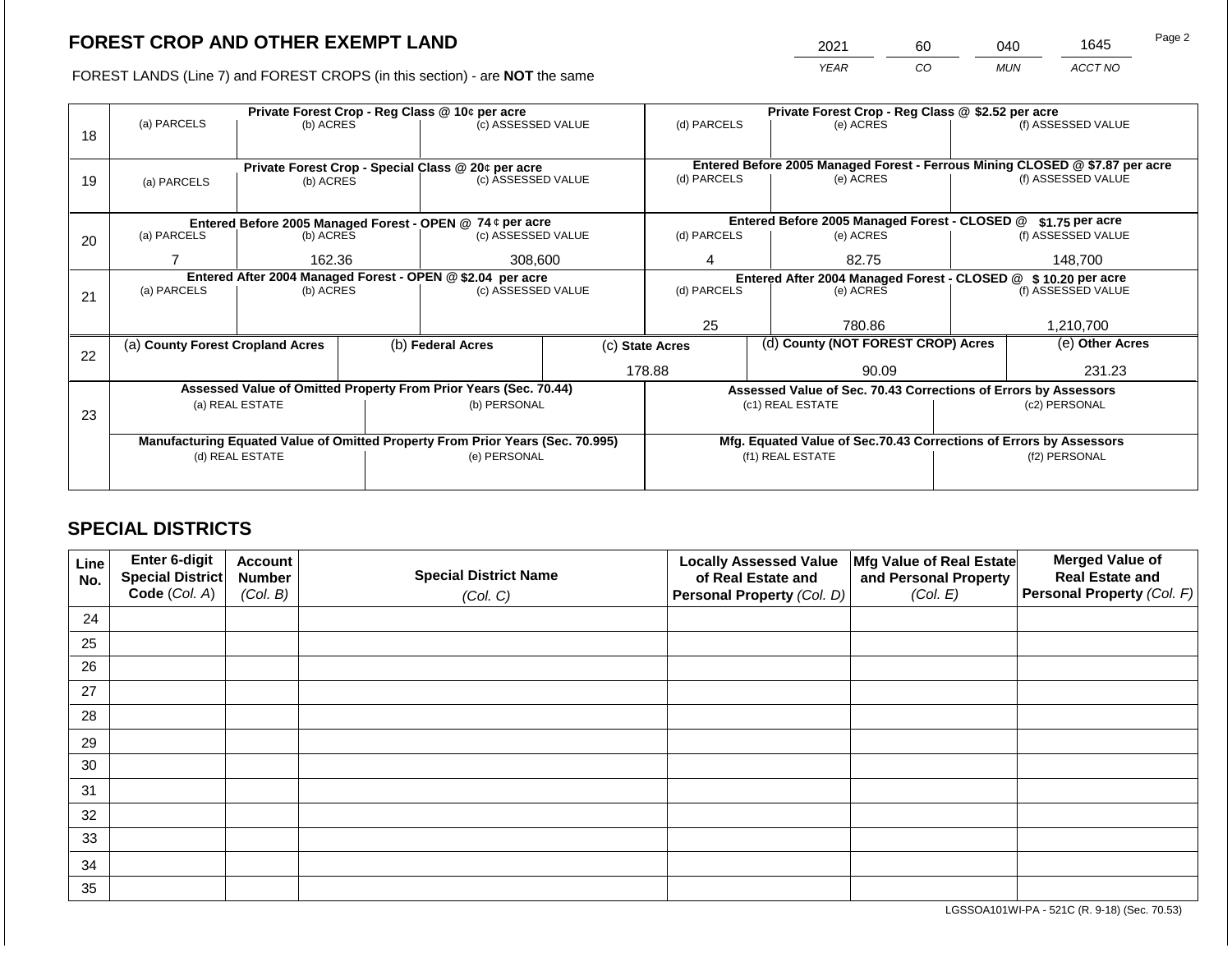2021 60 040 1645

FOREST LANDS (Line 7) and FOREST CROPS (in this section) - are **NOT** the same *YEAR CO MUN ACCT NO*

|    |                                                                                                   |                 |  | Private Forest Crop - Reg Class @ 10¢ per acre                           |    | Private Forest Crop - Reg Class @ \$2.52 per acre |        |                                                                    |               |                                                                              |
|----|---------------------------------------------------------------------------------------------------|-----------------|--|--------------------------------------------------------------------------|----|---------------------------------------------------|--------|--------------------------------------------------------------------|---------------|------------------------------------------------------------------------------|
| 18 | (a) PARCELS                                                                                       | (b) ACRES       |  | (c) ASSESSED VALUE                                                       |    | (d) PARCELS                                       |        | (e) ACRES                                                          |               | (f) ASSESSED VALUE                                                           |
|    |                                                                                                   |                 |  |                                                                          |    |                                                   |        |                                                                    |               |                                                                              |
|    |                                                                                                   |                 |  |                                                                          |    |                                                   |        |                                                                    |               | Entered Before 2005 Managed Forest - Ferrous Mining CLOSED @ \$7.87 per acre |
| 19 | (a) PARCELS                                                                                       | (b) ACRES       |  | Private Forest Crop - Special Class @ 20¢ per acre<br>(c) ASSESSED VALUE |    | (d) PARCELS                                       |        | (e) ACRES                                                          |               | (f) ASSESSED VALUE                                                           |
|    |                                                                                                   |                 |  |                                                                          |    |                                                   |        |                                                                    |               |                                                                              |
|    |                                                                                                   |                 |  |                                                                          |    |                                                   |        |                                                                    |               |                                                                              |
|    |                                                                                                   |                 |  | Entered Before 2005 Managed Forest - OPEN @ 74 ¢ per acre                |    |                                                   |        | Entered Before 2005 Managed Forest - CLOSED @                      |               | \$1.75 per acre                                                              |
| 20 | (a) PARCELS<br>(b) ACRES                                                                          |                 |  | (c) ASSESSED VALUE                                                       |    | (d) PARCELS                                       |        | (e) ACRES                                                          |               | (f) ASSESSED VALUE                                                           |
|    | 162.36                                                                                            |                 |  |                                                                          |    | 4                                                 |        | 82.75                                                              |               | 148.700                                                                      |
|    |                                                                                                   |                 |  | 308,600                                                                  |    |                                                   |        |                                                                    |               |                                                                              |
|    | Entered After 2004 Managed Forest - OPEN @ \$2.04 per acre                                        |                 |  | (c) ASSESSED VALUE                                                       |    | (d) PARCELS                                       |        | Entered After 2004 Managed Forest - CLOSED @ \$10.20 per acre      |               |                                                                              |
| 21 | (a) PARCELS                                                                                       | (b) ACRES       |  |                                                                          |    |                                                   |        | (e) ACRES                                                          |               | (f) ASSESSED VALUE                                                           |
|    |                                                                                                   |                 |  |                                                                          |    |                                                   |        |                                                                    |               |                                                                              |
|    |                                                                                                   |                 |  |                                                                          | 25 |                                                   | 780.86 |                                                                    | 1,210,700     |                                                                              |
|    | (a) County Forest Cropland Acres                                                                  |                 |  | (b) Federal Acres                                                        |    | (c) State Acres                                   |        | (d) County (NOT FOREST CROP) Acres                                 |               | (e) Other Acres                                                              |
| 22 |                                                                                                   |                 |  |                                                                          |    |                                                   |        |                                                                    |               |                                                                              |
|    |                                                                                                   |                 |  |                                                                          |    | 178.88                                            |        | 90.09                                                              | 231.23        |                                                                              |
|    |                                                                                                   |                 |  | Assessed Value of Omitted Property From Prior Years (Sec. 70.44)         |    |                                                   |        | Assessed Value of Sec. 70.43 Corrections of Errors by Assessors    |               |                                                                              |
|    |                                                                                                   | (a) REAL ESTATE |  | (b) PERSONAL                                                             |    |                                                   |        | (c1) REAL ESTATE                                                   |               | (c2) PERSONAL                                                                |
| 23 |                                                                                                   |                 |  |                                                                          |    |                                                   |        |                                                                    |               |                                                                              |
|    |                                                                                                   |                 |  |                                                                          |    |                                                   |        | Mfg. Equated Value of Sec.70.43 Corrections of Errors by Assessors |               |                                                                              |
|    | Manufacturing Equated Value of Omitted Property From Prior Years (Sec. 70.995)<br>(d) REAL ESTATE |                 |  | (e) PERSONAL                                                             |    |                                                   |        | (f1) REAL ESTATE                                                   | (f2) PERSONAL |                                                                              |
|    |                                                                                                   |                 |  |                                                                          |    |                                                   |        |                                                                    |               |                                                                              |
|    |                                                                                                   |                 |  |                                                                          |    |                                                   |        |                                                                    |               |                                                                              |

# **SPECIAL DISTRICTS**

| Line<br>No. | <b>Enter 6-digit</b><br>Special District | <b>Account</b><br><b>Number</b> | <b>Special District Name</b> | <b>Locally Assessed Value</b><br>of Real Estate and | Mfg Value of Real Estate<br>and Personal Property | <b>Merged Value of</b><br><b>Real Estate and</b> |
|-------------|------------------------------------------|---------------------------------|------------------------------|-----------------------------------------------------|---------------------------------------------------|--------------------------------------------------|
|             | Code (Col. A)                            | (Col. B)                        | (Col. C)                     | Personal Property (Col. D)                          | (Col. E)                                          | <b>Personal Property (Col. F)</b>                |
| 24          |                                          |                                 |                              |                                                     |                                                   |                                                  |
| 25          |                                          |                                 |                              |                                                     |                                                   |                                                  |
| 26          |                                          |                                 |                              |                                                     |                                                   |                                                  |
| 27          |                                          |                                 |                              |                                                     |                                                   |                                                  |
| 28          |                                          |                                 |                              |                                                     |                                                   |                                                  |
| 29          |                                          |                                 |                              |                                                     |                                                   |                                                  |
| 30          |                                          |                                 |                              |                                                     |                                                   |                                                  |
| 31          |                                          |                                 |                              |                                                     |                                                   |                                                  |
| 32          |                                          |                                 |                              |                                                     |                                                   |                                                  |
| 33          |                                          |                                 |                              |                                                     |                                                   |                                                  |
| 34          |                                          |                                 |                              |                                                     |                                                   |                                                  |
| 35          |                                          |                                 |                              |                                                     |                                                   |                                                  |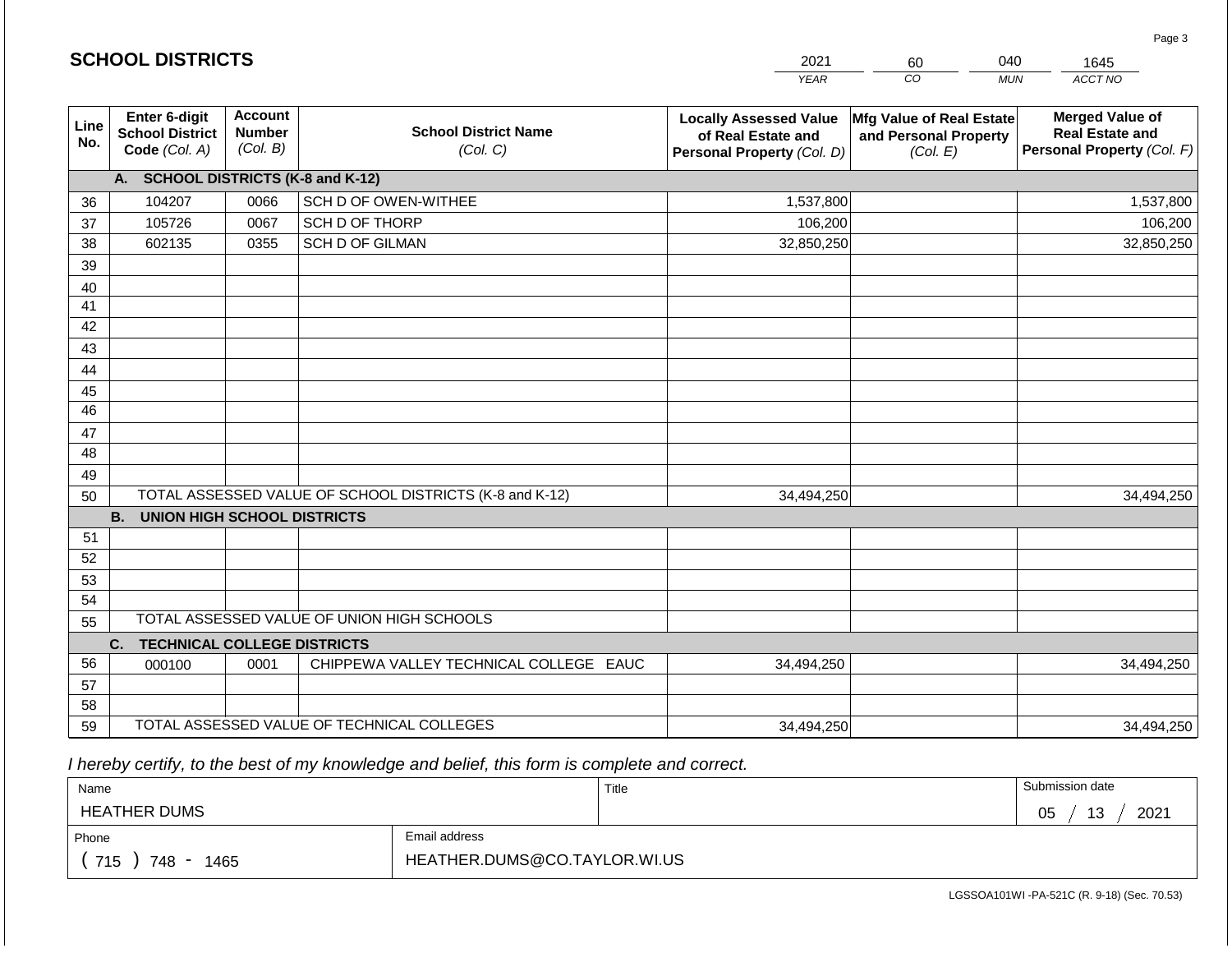|                 | <b>SCHOOL DISTRICTS</b>                                  |                                             |                                                         | 2021                                                                              | 60                                                            | 040<br>1645                                                                    |
|-----------------|----------------------------------------------------------|---------------------------------------------|---------------------------------------------------------|-----------------------------------------------------------------------------------|---------------------------------------------------------------|--------------------------------------------------------------------------------|
|                 |                                                          |                                             |                                                         | <b>YEAR</b>                                                                       | CO                                                            | ACCT NO<br><b>MUN</b>                                                          |
| Line<br>No.     | Enter 6-digit<br><b>School District</b><br>Code (Col. A) | <b>Account</b><br><b>Number</b><br>(Col. B) | <b>School District Name</b><br>(Col. C)                 | <b>Locally Assessed Value</b><br>of Real Estate and<br>Personal Property (Col. D) | Mfg Value of Real Estate<br>and Personal Property<br>(Col. E) | <b>Merged Value of</b><br><b>Real Estate and</b><br>Personal Property (Col. F) |
|                 | A. SCHOOL DISTRICTS (K-8 and K-12)                       |                                             |                                                         |                                                                                   |                                                               |                                                                                |
| 36              | 104207                                                   | 0066                                        | SCH D OF OWEN-WITHEE                                    | 1,537,800                                                                         |                                                               | 1,537,800                                                                      |
| 37              | 105726                                                   | 0067                                        | SCH D OF THORP                                          | 106,200                                                                           |                                                               | 106,200                                                                        |
| 38              | 602135                                                   | 0355                                        | <b>SCH D OF GILMAN</b>                                  | 32,850,250                                                                        |                                                               | 32,850,250                                                                     |
| 39              |                                                          |                                             |                                                         |                                                                                   |                                                               |                                                                                |
| 40              |                                                          |                                             |                                                         |                                                                                   |                                                               |                                                                                |
| 41              |                                                          |                                             |                                                         |                                                                                   |                                                               |                                                                                |
| 42              |                                                          |                                             |                                                         |                                                                                   |                                                               |                                                                                |
| 43              |                                                          |                                             |                                                         |                                                                                   |                                                               |                                                                                |
| 44              |                                                          |                                             |                                                         |                                                                                   |                                                               |                                                                                |
| 45              |                                                          |                                             |                                                         |                                                                                   |                                                               |                                                                                |
| $\overline{46}$ |                                                          |                                             |                                                         |                                                                                   |                                                               |                                                                                |
| 47              |                                                          |                                             |                                                         |                                                                                   |                                                               |                                                                                |
| 48              |                                                          |                                             |                                                         |                                                                                   |                                                               |                                                                                |
| 49<br>50        |                                                          |                                             | TOTAL ASSESSED VALUE OF SCHOOL DISTRICTS (K-8 and K-12) | 34,494,250                                                                        |                                                               | 34,494,250                                                                     |
|                 | <b>B.</b><br><b>UNION HIGH SCHOOL DISTRICTS</b>          |                                             |                                                         |                                                                                   |                                                               |                                                                                |
| 51              |                                                          |                                             |                                                         |                                                                                   |                                                               |                                                                                |
| 52              |                                                          |                                             |                                                         |                                                                                   |                                                               |                                                                                |
| 53              |                                                          |                                             |                                                         |                                                                                   |                                                               |                                                                                |
| 54              |                                                          |                                             |                                                         |                                                                                   |                                                               |                                                                                |
| 55              |                                                          |                                             | TOTAL ASSESSED VALUE OF UNION HIGH SCHOOLS              |                                                                                   |                                                               |                                                                                |
|                 | C.<br><b>TECHNICAL COLLEGE DISTRICTS</b>                 |                                             |                                                         |                                                                                   |                                                               |                                                                                |
| 56              | 000100                                                   | 0001                                        | CHIPPEWA VALLEY TECHNICAL COLLEGE EAUC                  | 34,494,250                                                                        |                                                               | 34,494,250                                                                     |
| 57              |                                                          |                                             |                                                         |                                                                                   |                                                               |                                                                                |
| 58              |                                                          |                                             |                                                         |                                                                                   |                                                               |                                                                                |
| 59              |                                                          |                                             | TOTAL ASSESSED VALUE OF TECHNICAL COLLEGES              | 34,494,250                                                                        |                                                               | 34,494,250                                                                     |

 *I hereby certify, to the best of my knowledge and belief, this form is complete and correct.*

**SCHOOL DISTRICTS**

| Name                      |                              | Title | Submission date  |
|---------------------------|------------------------------|-------|------------------|
| <b>HEATHER DUMS</b>       |                              |       | 2021<br>13<br>05 |
| Phone                     | Email address                |       |                  |
| 715<br>748<br>1465<br>- - | HEATHER.DUMS@CO.TAYLOR.WI.US |       |                  |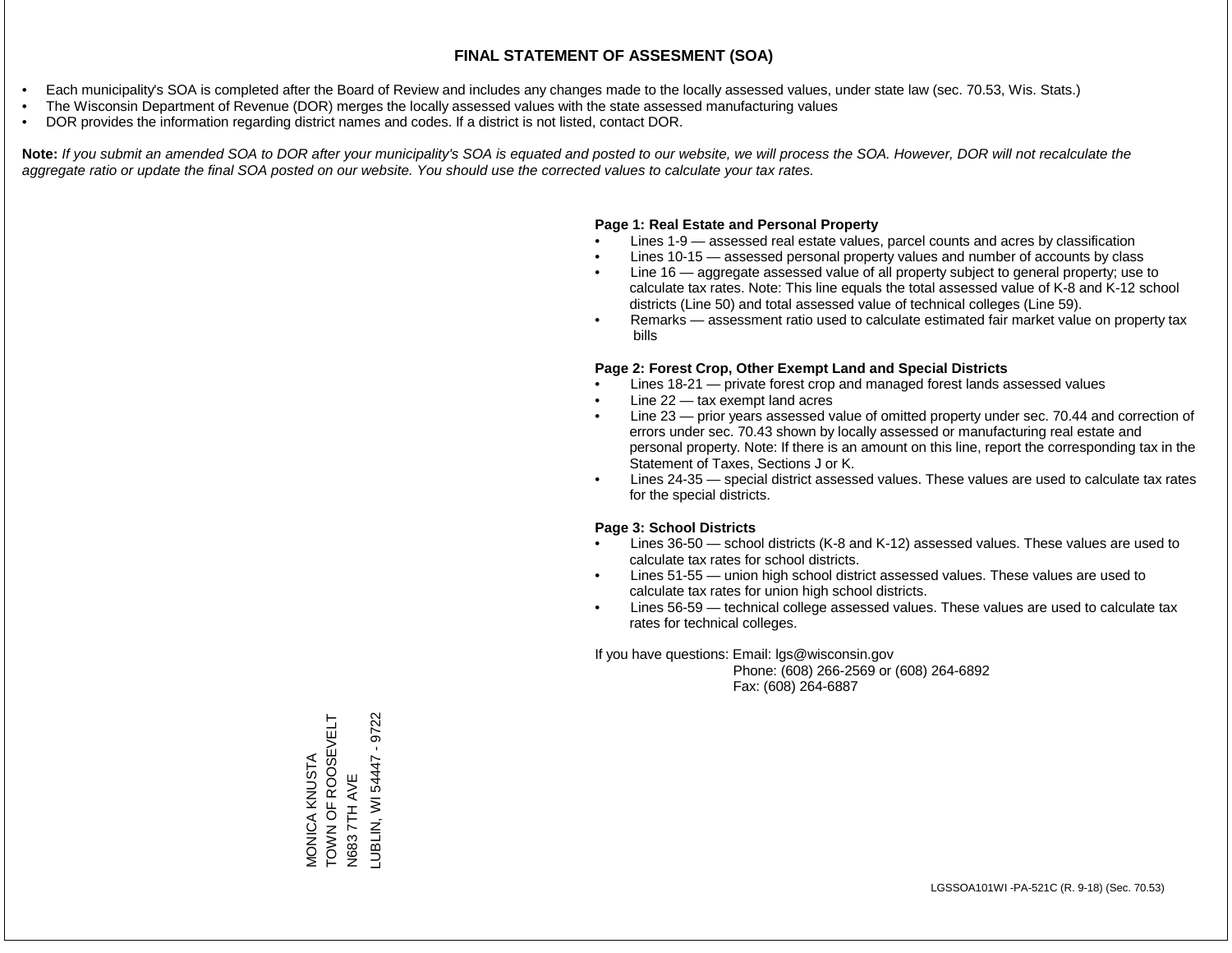- Each municipality's SOA is completed after the Board of Review and includes any changes made to the locally assessed values, under state law (sec. 70.53, Wis. Stats.)
- The Wisconsin Department of Revenue (DOR) merges the locally assessed values with the state assessed manufacturing values
- DOR provides the information regarding district names and codes. If a district is not listed, contact DOR.

Note: If you submit an amended SOA to DOR after your municipality's SOA is equated and posted to our website, we will process the SOA. However, DOR will not recalculate the *aggregate ratio or update the final SOA posted on our website. You should use the corrected values to calculate your tax rates.*

## **Page 1: Real Estate and Personal Property**

- Lines 1-9 assessed real estate values, parcel counts and acres by classification
- Lines 10-15 assessed personal property values and number of accounts by class
- Line 16 aggregate assessed value of all property subject to general property; use to calculate tax rates. Note: This line equals the total assessed value of K-8 and K-12 school districts (Line 50) and total assessed value of technical colleges (Line 59).
- Remarks assessment ratio used to calculate estimated fair market value on property tax bills

## **Page 2: Forest Crop, Other Exempt Land and Special Districts**

- Lines 18-21 private forest crop and managed forest lands assessed values
- Line  $22 -$  tax exempt land acres
- Line 23 prior years assessed value of omitted property under sec. 70.44 and correction of errors under sec. 70.43 shown by locally assessed or manufacturing real estate and personal property. Note: If there is an amount on this line, report the corresponding tax in the Statement of Taxes, Sections J or K.
- Lines 24-35 special district assessed values. These values are used to calculate tax rates for the special districts.

## **Page 3: School Districts**

- Lines 36-50 school districts (K-8 and K-12) assessed values. These values are used to calculate tax rates for school districts.
- Lines 51-55 union high school district assessed values. These values are used to calculate tax rates for union high school districts.
- Lines 56-59 technical college assessed values. These values are used to calculate tax rates for technical colleges.

If you have questions: Email: lgs@wisconsin.gov

 Phone: (608) 266-2569 or (608) 264-6892 Fax: (608) 264-6887

TOWN OF ROOSEVELT MONICA KNUSTA<br>TOWN OF ROOSEVELT N683 7TH AVE<br>\_UBLIN, WI 54447 - 9722 LUBLIN, WI 54447 - 9722MONICA KNUSTA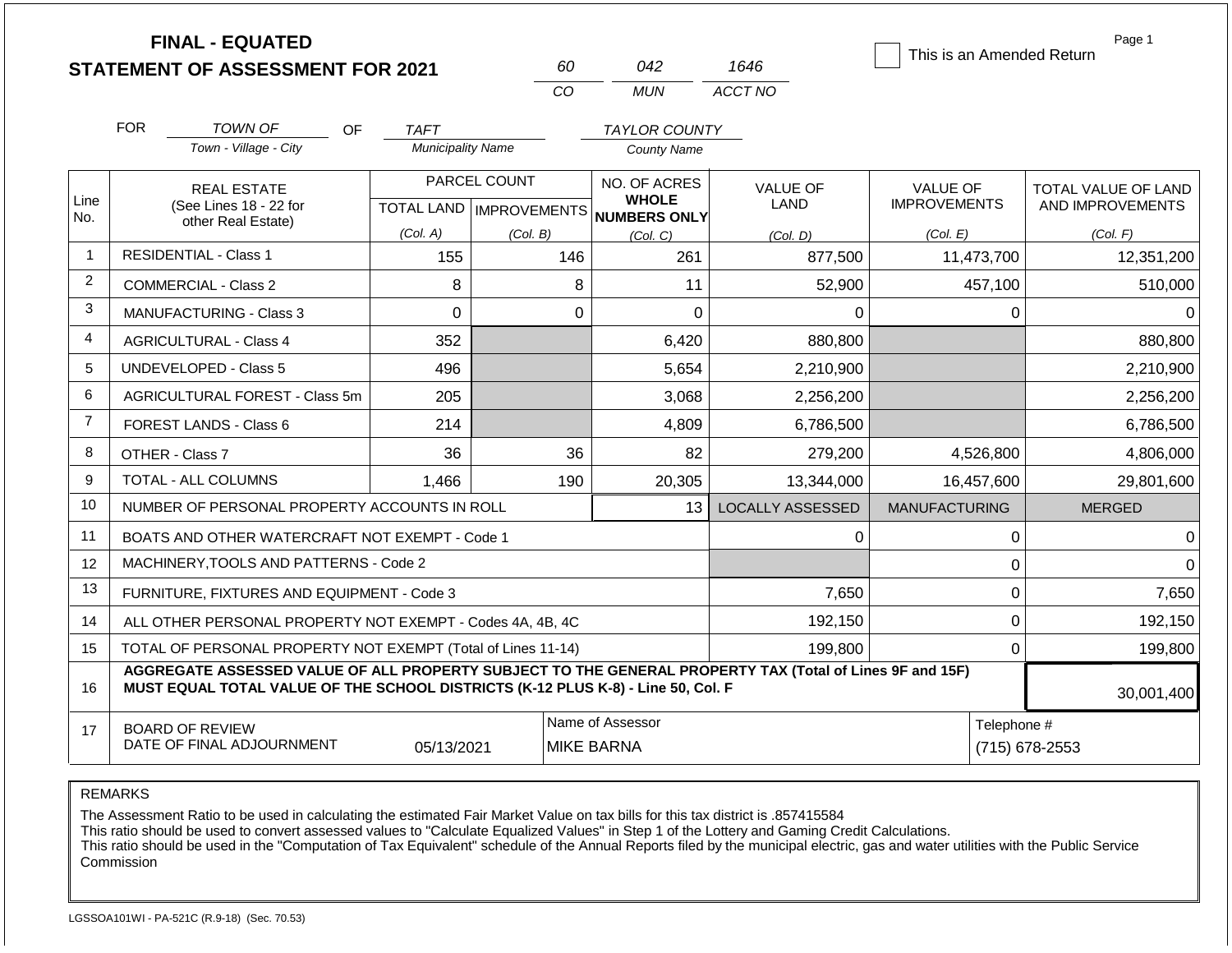|                | <b>FINAL - EQUATED</b>                                                                                                                                                                       |                          | 60           | 042                                 | 1646                    | This is an Amended Return | Page 1              |
|----------------|----------------------------------------------------------------------------------------------------------------------------------------------------------------------------------------------|--------------------------|--------------|-------------------------------------|-------------------------|---------------------------|---------------------|
|                | <b>STATEMENT OF ASSESSMENT FOR 2021</b>                                                                                                                                                      |                          | <b>CO</b>    | <b>MUN</b>                          | ACCT NO                 |                           |                     |
|                |                                                                                                                                                                                              |                          |              |                                     |                         |                           |                     |
|                | <b>FOR</b><br><b>TOWN OF</b><br>OF                                                                                                                                                           | <b>TAFT</b>              |              | <b>TAYLOR COUNTY</b>                |                         |                           |                     |
|                | Town - Village - City                                                                                                                                                                        | <b>Municipality Name</b> |              | <b>County Name</b>                  |                         |                           |                     |
| Line           | <b>REAL ESTATE</b>                                                                                                                                                                           |                          | PARCEL COUNT | NO. OF ACRES<br><b>WHOLE</b>        | <b>VALUE OF</b>         | <b>VALUE OF</b>           | TOTAL VALUE OF LAND |
| No.            | (See Lines 18 - 22 for<br>other Real Estate)                                                                                                                                                 |                          |              | TOTAL LAND MPROVEMENTS NUMBERS ONLY | LAND                    | <b>IMPROVEMENTS</b>       | AND IMPROVEMENTS    |
|                |                                                                                                                                                                                              | (Col. A)                 | (Col. B)     | (Col, C)                            | (Col, D)                | (Col. E)                  | (Col. F)            |
| $\mathbf{1}$   | <b>RESIDENTIAL - Class 1</b>                                                                                                                                                                 | 155                      | 146          | 261                                 | 877,500                 | 11,473,700                | 12,351,200          |
| $\overline{2}$ | <b>COMMERCIAL - Class 2</b>                                                                                                                                                                  | 8                        | 8            | 11                                  | 52,900                  | 457,100                   | 510,000             |
| 3              | <b>MANUFACTURING - Class 3</b>                                                                                                                                                               | 0                        | $\Omega$     | 0                                   | $\Omega$                | 0                         | $\Omega$            |
| 4              | <b>AGRICULTURAL - Class 4</b>                                                                                                                                                                | 352                      |              | 6,420                               | 880,800                 |                           | 880,800             |
| 5              | <b>UNDEVELOPED - Class 5</b>                                                                                                                                                                 | 496                      |              | 5,654                               | 2,210,900               |                           | 2,210,900           |
| 6              | <b>AGRICULTURAL FOREST - Class 5m</b>                                                                                                                                                        | 205                      |              | 3,068                               | 2,256,200               |                           | 2,256,200           |
| $\overline{7}$ | FOREST LANDS - Class 6                                                                                                                                                                       | 214                      |              | 4,809                               | 6,786,500               |                           | 6,786,500           |
| 8              | OTHER - Class 7                                                                                                                                                                              | 36                       | 36           | 82                                  | 279,200                 | 4,526,800                 | 4,806,000           |
| 9              | TOTAL - ALL COLUMNS                                                                                                                                                                          | 1,466                    | 190          | 20,305                              | 13,344,000              | 16,457,600                | 29,801,600          |
| 10             | NUMBER OF PERSONAL PROPERTY ACCOUNTS IN ROLL                                                                                                                                                 |                          |              | 13                                  | <b>LOCALLY ASSESSED</b> | <b>MANUFACTURING</b>      | <b>MERGED</b>       |
| 11             | BOATS AND OTHER WATERCRAFT NOT EXEMPT - Code 1                                                                                                                                               |                          |              |                                     | 0                       | $\pmb{0}$                 | $\Omega$            |
| 12             | MACHINERY, TOOLS AND PATTERNS - Code 2                                                                                                                                                       |                          |              |                                     |                         | $\mathbf 0$               | $\Omega$            |
| 13             | FURNITURE, FIXTURES AND EQUIPMENT - Code 3                                                                                                                                                   |                          |              |                                     | 7,650                   | $\pmb{0}$                 | 7,650               |
| 14             | ALL OTHER PERSONAL PROPERTY NOT EXEMPT - Codes 4A, 4B, 4C                                                                                                                                    |                          |              |                                     | 192,150                 | $\mathbf 0$               | 192,150             |
| 15             | TOTAL OF PERSONAL PROPERTY NOT EXEMPT (Total of Lines 11-14)                                                                                                                                 |                          |              |                                     | 199,800                 | 0                         | 199,800             |
| 16             | AGGREGATE ASSESSED VALUE OF ALL PROPERTY SUBJECT TO THE GENERAL PROPERTY TAX (Total of Lines 9F and 15F)<br>MUST EQUAL TOTAL VALUE OF THE SCHOOL DISTRICTS (K-12 PLUS K-8) - Line 50, Col. F |                          |              |                                     |                         |                           | 30,001,400          |
| 17             | <b>BOARD OF REVIEW</b><br>DATE OF FINAL ADJOURNMENT                                                                                                                                          | 05/13/2021               |              | Name of Assessor<br>MIKE BARNA      |                         | Telephone #               | (715) 678-2553      |

The Assessment Ratio to be used in calculating the estimated Fair Market Value on tax bills for this tax district is .857415584

This ratio should be used to convert assessed values to "Calculate Equalized Values" in Step 1 of the Lottery and Gaming Credit Calculations.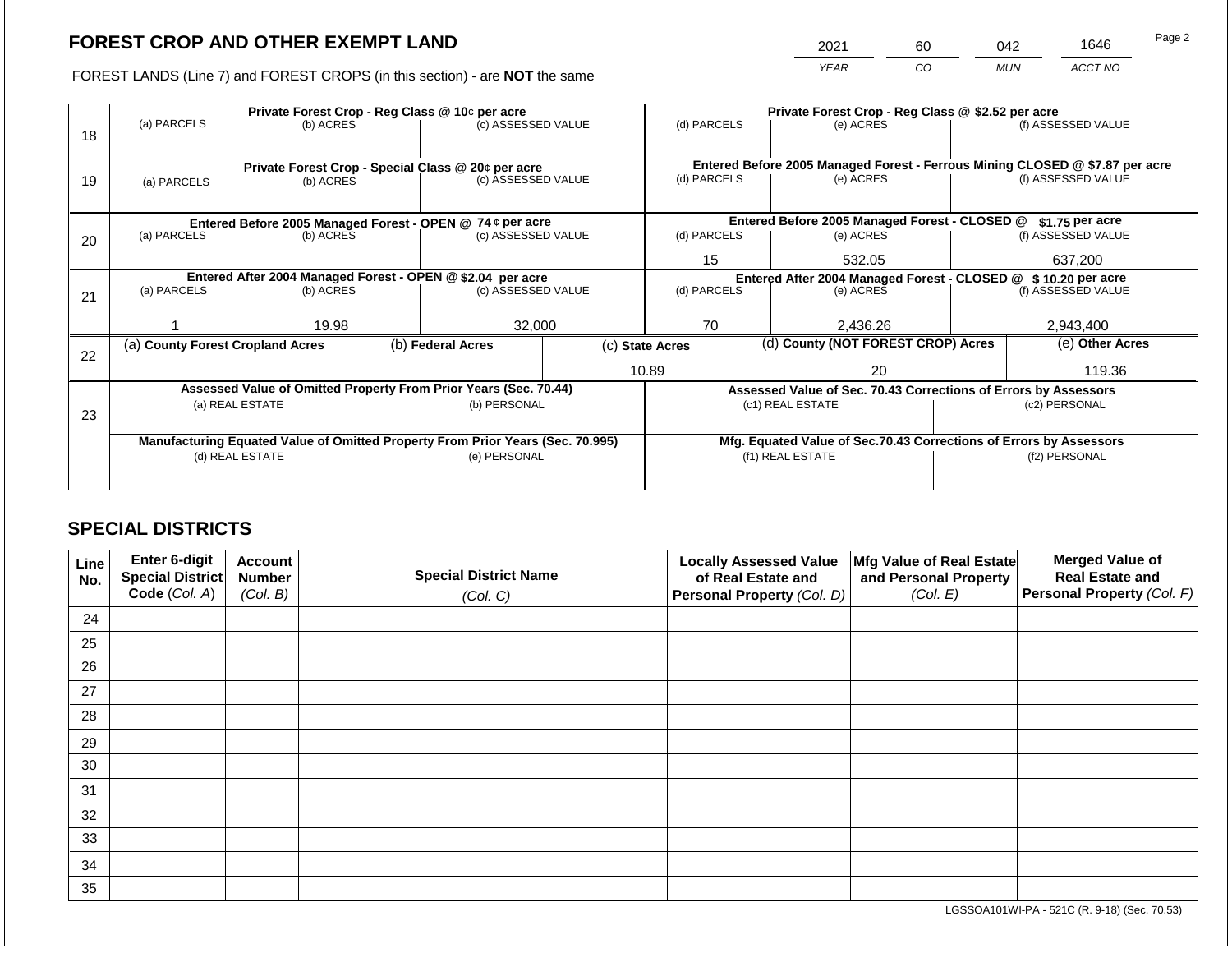2021 60 042 1646

FOREST LANDS (Line 7) and FOREST CROPS (in this section) - are **NOT** the same *YEAR CO MUN ACCT NO*

|    |                                  |                 |                                                           | Private Forest Crop - Reg Class @ 10¢ per acre                                 |                                                                    | Private Forest Crop - Reg Class @ \$2.52 per acre                            |                                               |                                                                 |                  |                    |
|----|----------------------------------|-----------------|-----------------------------------------------------------|--------------------------------------------------------------------------------|--------------------------------------------------------------------|------------------------------------------------------------------------------|-----------------------------------------------|-----------------------------------------------------------------|------------------|--------------------|
| 18 | (a) PARCELS                      | (b) ACRES       |                                                           | (c) ASSESSED VALUE                                                             |                                                                    | (d) PARCELS                                                                  |                                               | (e) ACRES                                                       |                  | (f) ASSESSED VALUE |
|    |                                  |                 |                                                           | Private Forest Crop - Special Class @ 20¢ per acre                             |                                                                    | Entered Before 2005 Managed Forest - Ferrous Mining CLOSED @ \$7.87 per acre |                                               |                                                                 |                  |                    |
| 19 | (a) PARCELS                      | (b) ACRES       |                                                           | (c) ASSESSED VALUE                                                             |                                                                    | (d) PARCELS                                                                  |                                               | (e) ACRES                                                       |                  | (f) ASSESSED VALUE |
|    |                                  |                 |                                                           |                                                                                |                                                                    |                                                                              |                                               |                                                                 |                  |                    |
|    |                                  |                 | Entered Before 2005 Managed Forest - OPEN @ 74 ¢ per acre |                                                                                |                                                                    |                                                                              | Entered Before 2005 Managed Forest - CLOSED @ |                                                                 | $$1.75$ per acre |                    |
| 20 | (a) PARCELS<br>(b) ACRES         |                 |                                                           | (c) ASSESSED VALUE                                                             |                                                                    | (d) PARCELS                                                                  |                                               | (e) ACRES                                                       |                  | (f) ASSESSED VALUE |
|    |                                  |                 |                                                           |                                                                                |                                                                    | 15                                                                           |                                               | 532.05                                                          |                  | 637.200            |
|    |                                  |                 |                                                           | Entered After 2004 Managed Forest - OPEN @ \$2.04 per acre                     |                                                                    | Entered After 2004 Managed Forest - CLOSED @ \$10.20 per acre                |                                               |                                                                 |                  |                    |
| 21 | (a) PARCELS                      | (b) ACRES       |                                                           | (c) ASSESSED VALUE                                                             |                                                                    | (d) PARCELS                                                                  |                                               | (e) ACRES                                                       |                  | (f) ASSESSED VALUE |
|    |                                  |                 |                                                           |                                                                                |                                                                    |                                                                              |                                               |                                                                 |                  |                    |
|    |                                  | 19.98           |                                                           | 32,000                                                                         |                                                                    | 70                                                                           |                                               | 2,436.26                                                        |                  | 2,943,400          |
| 22 | (a) County Forest Cropland Acres |                 |                                                           | (b) Federal Acres                                                              |                                                                    | (d) County (NOT FOREST CROP) Acres<br>(c) State Acres                        |                                               |                                                                 |                  | (e) Other Acres    |
|    |                                  |                 |                                                           |                                                                                |                                                                    | 10.89                                                                        |                                               | 20                                                              |                  | 119.36             |
|    |                                  |                 |                                                           | Assessed Value of Omitted Property From Prior Years (Sec. 70.44)               |                                                                    |                                                                              |                                               | Assessed Value of Sec. 70.43 Corrections of Errors by Assessors |                  |                    |
|    |                                  | (a) REAL ESTATE |                                                           | (b) PERSONAL                                                                   |                                                                    |                                                                              |                                               | (c1) REAL ESTATE                                                | (c2) PERSONAL    |                    |
| 23 |                                  |                 |                                                           |                                                                                |                                                                    |                                                                              |                                               |                                                                 |                  |                    |
|    |                                  |                 |                                                           | Manufacturing Equated Value of Omitted Property From Prior Years (Sec. 70.995) | Mfg. Equated Value of Sec.70.43 Corrections of Errors by Assessors |                                                                              |                                               |                                                                 |                  |                    |
|    |                                  | (d) REAL ESTATE |                                                           | (e) PERSONAL                                                                   |                                                                    |                                                                              |                                               | (f1) REAL ESTATE                                                | (f2) PERSONAL    |                    |
|    |                                  |                 |                                                           |                                                                                |                                                                    |                                                                              |                                               |                                                                 |                  |                    |
|    |                                  |                 |                                                           |                                                                                |                                                                    |                                                                              |                                               |                                                                 |                  |                    |

# **SPECIAL DISTRICTS**

| Line<br>No. | Enter 6-digit<br>Special District<br>Code (Col. A) | <b>Account</b><br><b>Number</b><br>(Col. B) | <b>Special District Name</b><br>(Col. C) | <b>Locally Assessed Value</b><br>of Real Estate and<br><b>Personal Property (Col. D)</b> | Mfg Value of Real Estate<br>and Personal Property<br>(Col. E) | <b>Merged Value of</b><br><b>Real Estate and</b><br>Personal Property (Col. F) |
|-------------|----------------------------------------------------|---------------------------------------------|------------------------------------------|------------------------------------------------------------------------------------------|---------------------------------------------------------------|--------------------------------------------------------------------------------|
| 24          |                                                    |                                             |                                          |                                                                                          |                                                               |                                                                                |
| 25          |                                                    |                                             |                                          |                                                                                          |                                                               |                                                                                |
| 26          |                                                    |                                             |                                          |                                                                                          |                                                               |                                                                                |
| 27          |                                                    |                                             |                                          |                                                                                          |                                                               |                                                                                |
| 28          |                                                    |                                             |                                          |                                                                                          |                                                               |                                                                                |
| 29          |                                                    |                                             |                                          |                                                                                          |                                                               |                                                                                |
| 30          |                                                    |                                             |                                          |                                                                                          |                                                               |                                                                                |
| 31          |                                                    |                                             |                                          |                                                                                          |                                                               |                                                                                |
| 32          |                                                    |                                             |                                          |                                                                                          |                                                               |                                                                                |
| 33          |                                                    |                                             |                                          |                                                                                          |                                                               |                                                                                |
| 34          |                                                    |                                             |                                          |                                                                                          |                                                               |                                                                                |
| 35          |                                                    |                                             |                                          |                                                                                          |                                                               |                                                                                |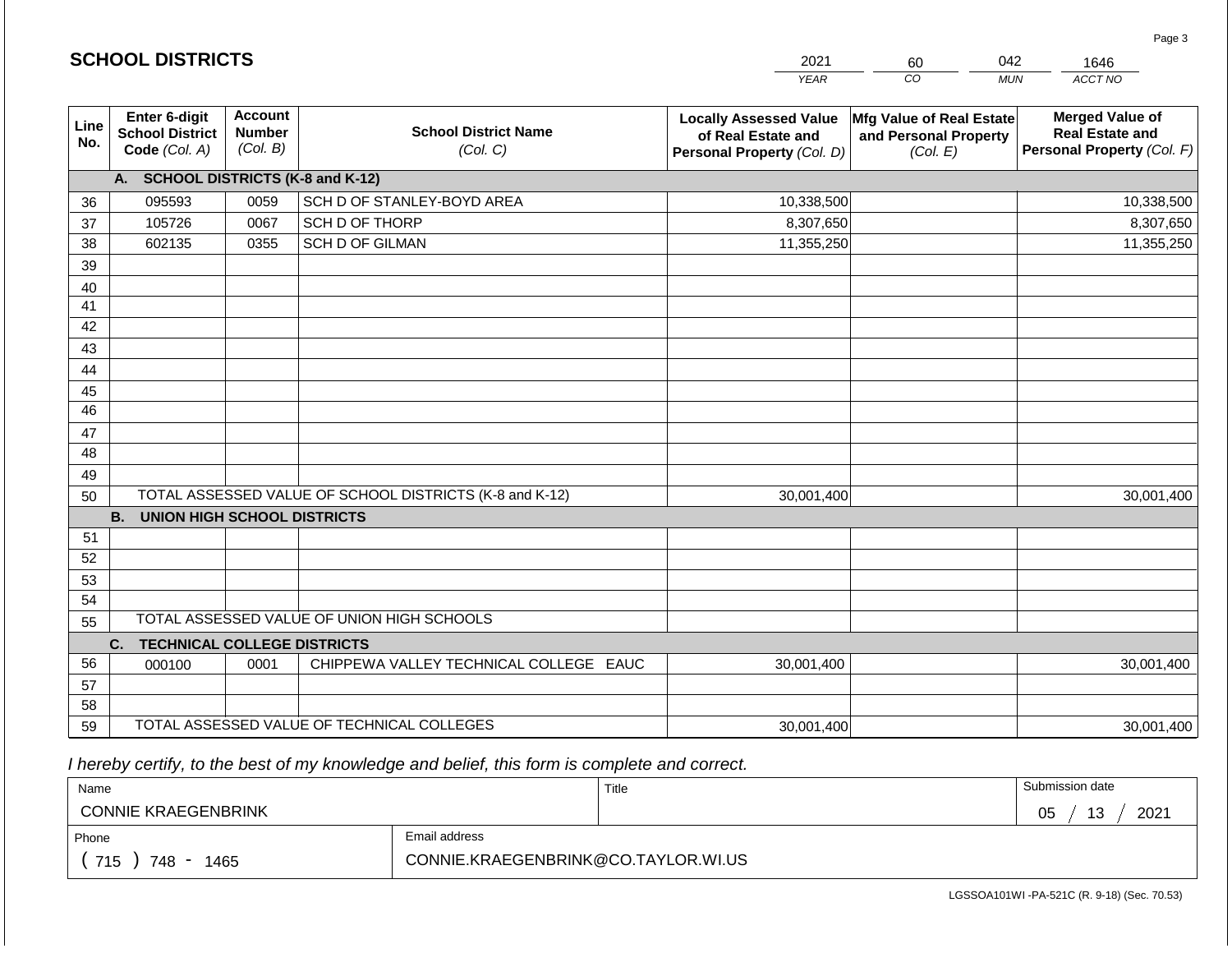|             |                                                          |                                             |                                                         | <b>YEAR</b>                                                                       | $\overline{co}$<br><b>MUN</b>                                 | ACCT NO                                                                        |
|-------------|----------------------------------------------------------|---------------------------------------------|---------------------------------------------------------|-----------------------------------------------------------------------------------|---------------------------------------------------------------|--------------------------------------------------------------------------------|
| Line<br>No. | Enter 6-digit<br><b>School District</b><br>Code (Col. A) | <b>Account</b><br><b>Number</b><br>(Col. B) | <b>School District Name</b><br>(Col. C)                 | <b>Locally Assessed Value</b><br>of Real Estate and<br>Personal Property (Col. D) | Mfg Value of Real Estate<br>and Personal Property<br>(Col. E) | <b>Merged Value of</b><br><b>Real Estate and</b><br>Personal Property (Col. F) |
|             | A. SCHOOL DISTRICTS (K-8 and K-12)                       |                                             |                                                         |                                                                                   |                                                               |                                                                                |
| 36          | 095593                                                   | 0059                                        | SCH D OF STANLEY-BOYD AREA                              | 10,338,500                                                                        |                                                               | 10,338,500                                                                     |
| 37          | 105726                                                   | 0067                                        | SCH D OF THORP                                          | 8,307,650                                                                         |                                                               | 8,307,650                                                                      |
| 38          | 602135                                                   | 0355                                        | <b>SCH D OF GILMAN</b>                                  | 11,355,250                                                                        |                                                               | 11,355,250                                                                     |
| 39          |                                                          |                                             |                                                         |                                                                                   |                                                               |                                                                                |
| 40          |                                                          |                                             |                                                         |                                                                                   |                                                               |                                                                                |
| 41          |                                                          |                                             |                                                         |                                                                                   |                                                               |                                                                                |
| 42          |                                                          |                                             |                                                         |                                                                                   |                                                               |                                                                                |
| 43          |                                                          |                                             |                                                         |                                                                                   |                                                               |                                                                                |
| 44          |                                                          |                                             |                                                         |                                                                                   |                                                               |                                                                                |
| 45          |                                                          |                                             |                                                         |                                                                                   |                                                               |                                                                                |
| 46          |                                                          |                                             |                                                         |                                                                                   |                                                               |                                                                                |
| 47          |                                                          |                                             |                                                         |                                                                                   |                                                               |                                                                                |
| 48          |                                                          |                                             |                                                         |                                                                                   |                                                               |                                                                                |
| 49          |                                                          |                                             |                                                         |                                                                                   |                                                               |                                                                                |
| 50          |                                                          |                                             | TOTAL ASSESSED VALUE OF SCHOOL DISTRICTS (K-8 and K-12) | 30,001,400                                                                        |                                                               | 30,001,400                                                                     |
|             | <b>B.</b><br><b>UNION HIGH SCHOOL DISTRICTS</b>          |                                             |                                                         |                                                                                   |                                                               |                                                                                |
| 51          |                                                          |                                             |                                                         |                                                                                   |                                                               |                                                                                |
| 52          |                                                          |                                             |                                                         |                                                                                   |                                                               |                                                                                |
| 53          |                                                          |                                             |                                                         |                                                                                   |                                                               |                                                                                |
| 54          |                                                          |                                             | TOTAL ASSESSED VALUE OF UNION HIGH SCHOOLS              |                                                                                   |                                                               |                                                                                |
| 55          |                                                          |                                             |                                                         |                                                                                   |                                                               |                                                                                |
|             | C.<br><b>TECHNICAL COLLEGE DISTRICTS</b>                 |                                             |                                                         |                                                                                   |                                                               |                                                                                |
| 56          | 000100                                                   | 0001                                        | CHIPPEWA VALLEY TECHNICAL COLLEGE EAUC                  | 30,001,400                                                                        |                                                               | 30,001,400                                                                     |
| 57          |                                                          |                                             |                                                         |                                                                                   |                                                               |                                                                                |
| 58<br>59    |                                                          |                                             | TOTAL ASSESSED VALUE OF TECHNICAL COLLEGES              |                                                                                   |                                                               |                                                                                |
|             |                                                          |                                             |                                                         | 30,001,400                                                                        |                                                               | 30,001,400                                                                     |

2021

60

042

1646

 *I hereby certify, to the best of my knowledge and belief, this form is complete and correct.*

**SCHOOL DISTRICTS**

| Name                       |                                     | Title | Submission date  |
|----------------------------|-------------------------------------|-------|------------------|
| <b>CONNIE KRAEGENBRINK</b> |                                     |       | 13<br>2021<br>05 |
| Phone                      | Email address                       |       |                  |
| 715<br>748 -<br>1465       | CONNIE.KRAEGENBRINK@CO.TAYLOR.WI.US |       |                  |

Page 3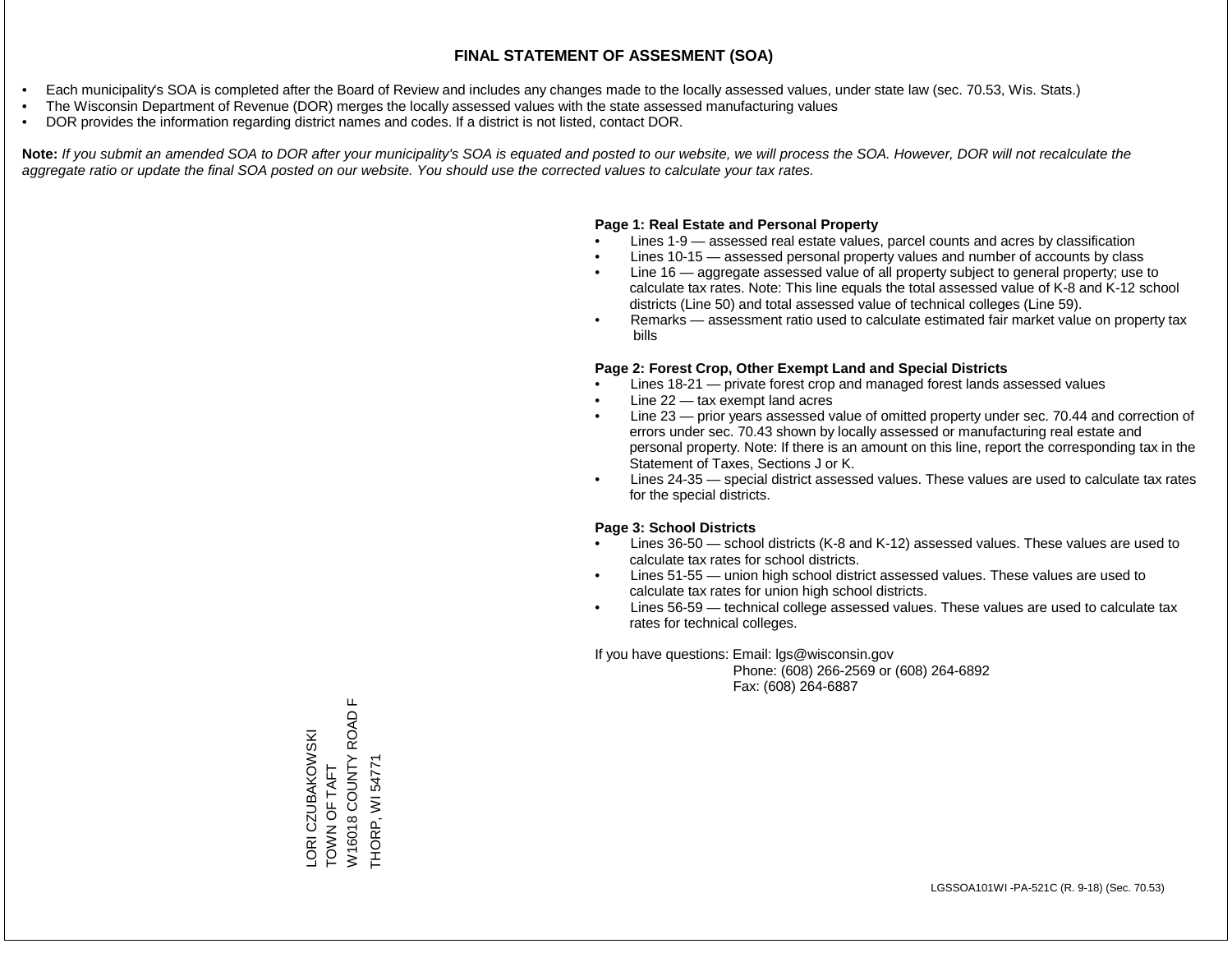- Each municipality's SOA is completed after the Board of Review and includes any changes made to the locally assessed values, under state law (sec. 70.53, Wis. Stats.)
- The Wisconsin Department of Revenue (DOR) merges the locally assessed values with the state assessed manufacturing values
- DOR provides the information regarding district names and codes. If a district is not listed, contact DOR.

Note: If you submit an amended SOA to DOR after your municipality's SOA is equated and posted to our website, we will process the SOA. However, DOR will not recalculate the *aggregate ratio or update the final SOA posted on our website. You should use the corrected values to calculate your tax rates.*

### **Page 1: Real Estate and Personal Property**

- Lines 1-9 assessed real estate values, parcel counts and acres by classification
- Lines 10-15 assessed personal property values and number of accounts by class
- Line 16 aggregate assessed value of all property subject to general property; use to calculate tax rates. Note: This line equals the total assessed value of K-8 and K-12 school districts (Line 50) and total assessed value of technical colleges (Line 59).
- Remarks assessment ratio used to calculate estimated fair market value on property tax bills

#### **Page 2: Forest Crop, Other Exempt Land and Special Districts**

- Lines 18-21 private forest crop and managed forest lands assessed values
- Line  $22 -$  tax exempt land acres
- Line 23 prior years assessed value of omitted property under sec. 70.44 and correction of errors under sec. 70.43 shown by locally assessed or manufacturing real estate and personal property. Note: If there is an amount on this line, report the corresponding tax in the Statement of Taxes, Sections J or K.
- Lines 24-35 special district assessed values. These values are used to calculate tax rates for the special districts.

#### **Page 3: School Districts**

- Lines 36-50 school districts (K-8 and K-12) assessed values. These values are used to calculate tax rates for school districts.
- Lines 51-55 union high school district assessed values. These values are used to calculate tax rates for union high school districts.
- Lines 56-59 technical college assessed values. These values are used to calculate tax rates for technical colleges.

If you have questions: Email: lgs@wisconsin.gov

 Phone: (608) 266-2569 or (608) 264-6892 Fax: (608) 264-6887

W16018 COUNTY ROAD F W16018 COUNTY ROAD LORI CZUBAKOWSKI<br>TOWN OF TAFT LORI CZUBAKOWSKI THORP, WI 54771 THORP, WI 54771TOWN OF TAFT

 $\mathbf{L}$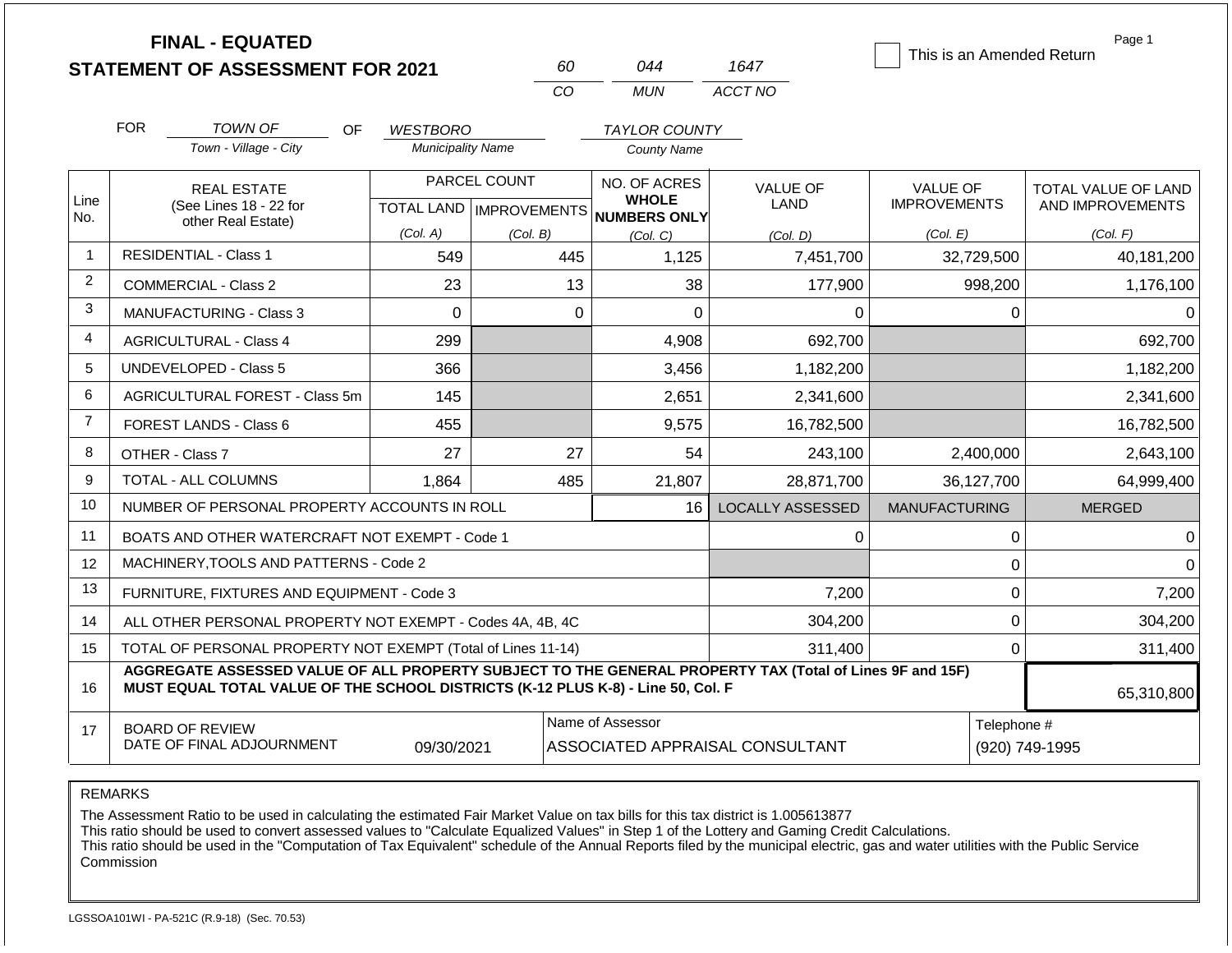|                |                                              | <b>FINAL - EQUATED</b><br><b>STATEMENT OF ASSESSMENT FOR 2021</b>                                                                                                                            |                                      | 60                                        | 044                                          | 1647                           | This is an Amended Return              | Page 1                                  |  |
|----------------|----------------------------------------------|----------------------------------------------------------------------------------------------------------------------------------------------------------------------------------------------|--------------------------------------|-------------------------------------------|----------------------------------------------|--------------------------------|----------------------------------------|-----------------------------------------|--|
|                |                                              |                                                                                                                                                                                              |                                      | CO                                        | <b>MUN</b>                                   | ACCT NO                        |                                        |                                         |  |
|                | <b>FOR</b>                                   | <b>TOWN OF</b>                                                                                                                                                                               |                                      |                                           |                                              |                                |                                        |                                         |  |
|                |                                              | OF.<br>Town - Village - City                                                                                                                                                                 | WESTBORO<br><b>Municipality Name</b> |                                           | <b>TAYLOR COUNTY</b><br><b>County Name</b>   |                                |                                        |                                         |  |
| Line           | <b>REAL ESTATE</b><br>(See Lines 18 - 22 for |                                                                                                                                                                                              |                                      | PARCEL COUNT<br>TOTAL LAND   IMPROVEMENTS | NO. OF ACRES<br><b>WHOLE</b><br>NUMBERS ONLY | <b>VALUE OF</b><br><b>LAND</b> | <b>VALUE OF</b><br><b>IMPROVEMENTS</b> | TOTAL VALUE OF LAND<br>AND IMPROVEMENTS |  |
| No.            |                                              | other Real Estate)                                                                                                                                                                           | (Col. A)                             | (Col. B)                                  | (Col, C)                                     | (Col. D)                       | (Col. E)                               | (Col. F)                                |  |
| 1              |                                              | <b>RESIDENTIAL - Class 1</b>                                                                                                                                                                 | 549                                  | 445                                       | 1,125                                        | 7,451,700                      | 32,729,500                             | 40,181,200                              |  |
| $\overline{2}$ |                                              | <b>COMMERCIAL - Class 2</b>                                                                                                                                                                  | 23                                   | 13                                        | 38                                           | 177,900                        | 998,200                                | 1,176,100                               |  |
| 3              |                                              | MANUFACTURING - Class 3                                                                                                                                                                      | $\mathbf 0$                          |                                           | $\mathbf 0$<br>$\mathbf 0$                   | $\Omega$                       | $\Omega$                               | $\Omega$                                |  |
| 4              |                                              | <b>AGRICULTURAL - Class 4</b>                                                                                                                                                                | 299                                  |                                           | 4,908                                        | 692,700                        |                                        | 692,700                                 |  |
| 5              |                                              | UNDEVELOPED - Class 5                                                                                                                                                                        | 366                                  |                                           | 3,456                                        | 1,182,200                      |                                        | 1,182,200                               |  |
| 6              |                                              | AGRICULTURAL FOREST - Class 5m                                                                                                                                                               | 145                                  |                                           | 2,651                                        | 2,341,600                      |                                        | 2,341,600                               |  |
| $\overline{7}$ |                                              | <b>FOREST LANDS - Class 6</b>                                                                                                                                                                | 455                                  |                                           | 9,575                                        | 16,782,500                     |                                        | 16,782,500                              |  |
| 8              |                                              | OTHER - Class 7                                                                                                                                                                              | 27                                   | 27                                        | 54                                           | 243,100                        | 2,400,000                              | 2,643,100                               |  |
| 9              |                                              | <b>TOTAL - ALL COLUMNS</b>                                                                                                                                                                   | 1,864                                | 485                                       | 21,807                                       | 28,871,700                     | 36,127,700                             | 64,999,400                              |  |
| 10             |                                              | NUMBER OF PERSONAL PROPERTY ACCOUNTS IN ROLL                                                                                                                                                 |                                      |                                           | 16                                           | <b>LOCALLY ASSESSED</b>        | <b>MANUFACTURING</b>                   | <b>MERGED</b>                           |  |
| 11             |                                              | BOATS AND OTHER WATERCRAFT NOT EXEMPT - Code 1                                                                                                                                               |                                      |                                           |                                              | $\Omega$                       | 0                                      | $\Omega$                                |  |
| 12             |                                              | MACHINERY, TOOLS AND PATTERNS - Code 2                                                                                                                                                       |                                      |                                           |                                              |                                | 0                                      | $\Omega$                                |  |
| 13             |                                              | FURNITURE, FIXTURES AND EQUIPMENT - Code 3                                                                                                                                                   |                                      |                                           |                                              | 7,200                          | $\mathsf 0$                            | 7,200                                   |  |
| 14             |                                              | ALL OTHER PERSONAL PROPERTY NOT EXEMPT - Codes 4A, 4B, 4C                                                                                                                                    |                                      |                                           |                                              | 304,200                        | 0                                      | 304,200                                 |  |
| 15             |                                              | TOTAL OF PERSONAL PROPERTY NOT EXEMPT (Total of Lines 11-14)                                                                                                                                 |                                      |                                           |                                              | 311,400                        | $\mathbf 0$                            | 311,400                                 |  |
| 16             |                                              | AGGREGATE ASSESSED VALUE OF ALL PROPERTY SUBJECT TO THE GENERAL PROPERTY TAX (Total of Lines 9F and 15F)<br>MUST EQUAL TOTAL VALUE OF THE SCHOOL DISTRICTS (K-12 PLUS K-8) - Line 50, Col. F |                                      |                                           |                                              |                                |                                        | 65,310,800                              |  |
| 17             |                                              | <b>BOARD OF REVIEW</b><br>DATE OF FINAL ADJOURNMENT                                                                                                                                          | 09/30/2021                           | ASSOCIATED APPRAISAL CONSULTANT           | Telephone #                                  | (920) 749-1995                 |                                        |                                         |  |

The Assessment Ratio to be used in calculating the estimated Fair Market Value on tax bills for this tax district is 1.005613877

This ratio should be used to convert assessed values to "Calculate Equalized Values" in Step 1 of the Lottery and Gaming Credit Calculations.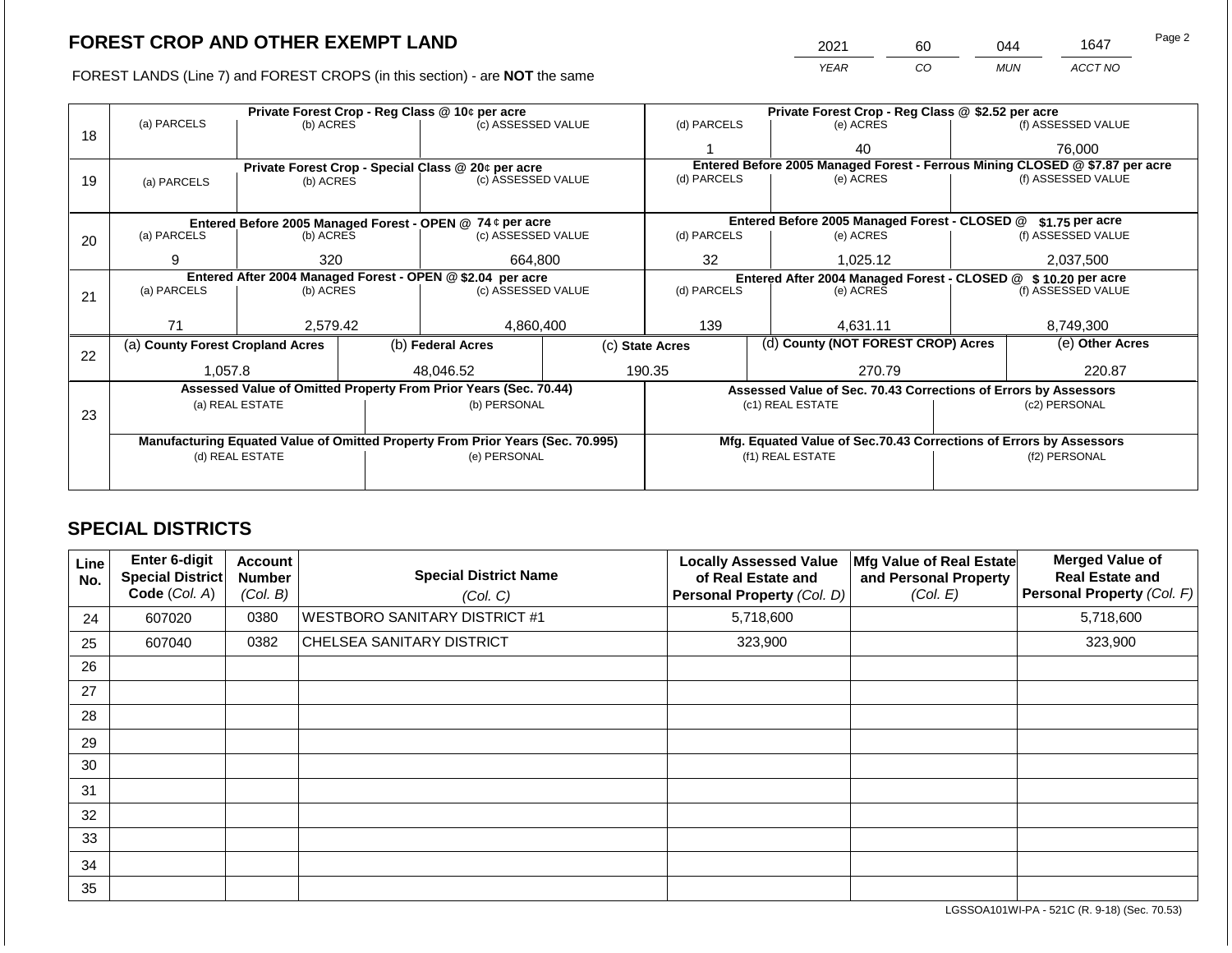2021 60 044 1647

FOREST LANDS (Line 7) and FOREST CROPS (in this section) - are **NOT** the same *YEAR CO MUN ACCT NO*

|    |                                                            |                                                                        | Private Forest Crop - Reg Class @ \$2.52 per acre |                                                                                |                                               |                                                                              |                  |                                                                    |                                         |                    |  |
|----|------------------------------------------------------------|------------------------------------------------------------------------|---------------------------------------------------|--------------------------------------------------------------------------------|-----------------------------------------------|------------------------------------------------------------------------------|------------------|--------------------------------------------------------------------|-----------------------------------------|--------------------|--|
| 18 | (a) PARCELS                                                | (b) ACRES                                                              |                                                   | (c) ASSESSED VALUE                                                             |                                               | (d) PARCELS                                                                  |                  | (e) ACRES                                                          |                                         | (f) ASSESSED VALUE |  |
|    |                                                            |                                                                        |                                                   |                                                                                |                                               |                                                                              |                  | 40                                                                 |                                         | 76,000             |  |
|    |                                                            |                                                                        |                                                   | Private Forest Crop - Special Class @ 20¢ per acre                             |                                               | Entered Before 2005 Managed Forest - Ferrous Mining CLOSED @ \$7.87 per acre |                  |                                                                    |                                         |                    |  |
| 19 | (a) PARCELS                                                | (b) ACRES                                                              |                                                   | (c) ASSESSED VALUE                                                             |                                               | (d) PARCELS                                                                  |                  | (e) ACRES                                                          |                                         | (f) ASSESSED VALUE |  |
|    |                                                            |                                                                        |                                                   |                                                                                |                                               |                                                                              |                  |                                                                    |                                         |                    |  |
|    |                                                            |                                                                        |                                                   |                                                                                | Entered Before 2005 Managed Forest - CLOSED @ |                                                                              | $$1.75$ per acre |                                                                    |                                         |                    |  |
| 20 | (a) PARCELS                                                | Entered Before 2005 Managed Forest - OPEN @ 74 ¢ per acre<br>(b) ACRES |                                                   | (c) ASSESSED VALUE                                                             |                                               | (d) PARCELS                                                                  |                  | (e) ACRES                                                          |                                         | (f) ASSESSED VALUE |  |
|    | 9                                                          | 320                                                                    |                                                   |                                                                                |                                               |                                                                              |                  |                                                                    |                                         | 2,037,500          |  |
|    |                                                            |                                                                        |                                                   | 664,800                                                                        |                                               | 32<br>1,025.12                                                               |                  |                                                                    |                                         |                    |  |
|    | Entered After 2004 Managed Forest - OPEN @ \$2.04 per acre |                                                                        |                                                   | (c) ASSESSED VALUE                                                             |                                               | Entered After 2004 Managed Forest - CLOSED @<br>(d) PARCELS                  |                  |                                                                    | $$10.20$ per acre<br>(f) ASSESSED VALUE |                    |  |
| 21 | (a) PARCELS                                                | (b) ACRES                                                              |                                                   |                                                                                |                                               |                                                                              |                  | (e) ACRES                                                          |                                         |                    |  |
|    |                                                            |                                                                        |                                                   |                                                                                |                                               |                                                                              |                  |                                                                    |                                         |                    |  |
|    | 71                                                         | 2,579.42                                                               |                                                   | 4,860,400                                                                      |                                               | 139                                                                          |                  | 4.631.11                                                           |                                         | 8,749,300          |  |
|    | (a) County Forest Cropland Acres                           |                                                                        |                                                   | (b) Federal Acres                                                              |                                               | (d) County (NOT FOREST CROP) Acres<br>(c) State Acres                        |                  |                                                                    | (e) Other Acres                         |                    |  |
| 22 |                                                            |                                                                        |                                                   |                                                                                |                                               |                                                                              |                  |                                                                    |                                         |                    |  |
|    | 1.057.8                                                    |                                                                        |                                                   | 48.046.52                                                                      |                                               | 190.35                                                                       |                  | 270.79                                                             |                                         | 220.87             |  |
|    |                                                            |                                                                        |                                                   | Assessed Value of Omitted Property From Prior Years (Sec. 70.44)               |                                               |                                                                              |                  | Assessed Value of Sec. 70.43 Corrections of Errors by Assessors    |                                         |                    |  |
|    |                                                            | (a) REAL ESTATE                                                        |                                                   | (b) PERSONAL                                                                   |                                               |                                                                              |                  | (c1) REAL ESTATE                                                   |                                         | (c2) PERSONAL      |  |
| 23 |                                                            |                                                                        |                                                   |                                                                                |                                               |                                                                              |                  |                                                                    |                                         |                    |  |
|    |                                                            |                                                                        |                                                   | Manufacturing Equated Value of Omitted Property From Prior Years (Sec. 70.995) |                                               |                                                                              |                  | Mfg. Equated Value of Sec.70.43 Corrections of Errors by Assessors |                                         |                    |  |
|    |                                                            | (d) REAL ESTATE                                                        |                                                   | (e) PERSONAL                                                                   |                                               |                                                                              | (f1) REAL ESTATE |                                                                    |                                         | (f2) PERSONAL      |  |
|    |                                                            |                                                                        |                                                   |                                                                                |                                               |                                                                              |                  |                                                                    |                                         |                    |  |
|    |                                                            |                                                                        |                                                   |                                                                                |                                               |                                                                              |                  |                                                                    |                                         |                    |  |

# **SPECIAL DISTRICTS**

| Line<br>No. | Enter 6-digit<br>Special District<br>Code (Col. A) | <b>Account</b><br><b>Number</b><br>(Col. B) | <b>Special District Name</b><br>(Col. C) | <b>Locally Assessed Value</b><br>of Real Estate and<br>Personal Property (Col. D) | Mfg Value of Real Estate<br>and Personal Property<br>(Col. E) | <b>Merged Value of</b><br><b>Real Estate and</b><br>Personal Property (Col. F) |
|-------------|----------------------------------------------------|---------------------------------------------|------------------------------------------|-----------------------------------------------------------------------------------|---------------------------------------------------------------|--------------------------------------------------------------------------------|
| 24          | 607020                                             | 0380                                        | <b>WESTBORO SANITARY DISTRICT #1</b>     | 5,718,600                                                                         |                                                               | 5,718,600                                                                      |
| 25          | 607040                                             | 0382                                        | CHELSEA SANITARY DISTRICT                | 323,900                                                                           |                                                               | 323,900                                                                        |
| 26          |                                                    |                                             |                                          |                                                                                   |                                                               |                                                                                |
| 27          |                                                    |                                             |                                          |                                                                                   |                                                               |                                                                                |
| 28          |                                                    |                                             |                                          |                                                                                   |                                                               |                                                                                |
| 29          |                                                    |                                             |                                          |                                                                                   |                                                               |                                                                                |
| 30          |                                                    |                                             |                                          |                                                                                   |                                                               |                                                                                |
| 31          |                                                    |                                             |                                          |                                                                                   |                                                               |                                                                                |
| 32          |                                                    |                                             |                                          |                                                                                   |                                                               |                                                                                |
| 33          |                                                    |                                             |                                          |                                                                                   |                                                               |                                                                                |
| 34          |                                                    |                                             |                                          |                                                                                   |                                                               |                                                                                |
| 35          |                                                    |                                             |                                          |                                                                                   |                                                               |                                                                                |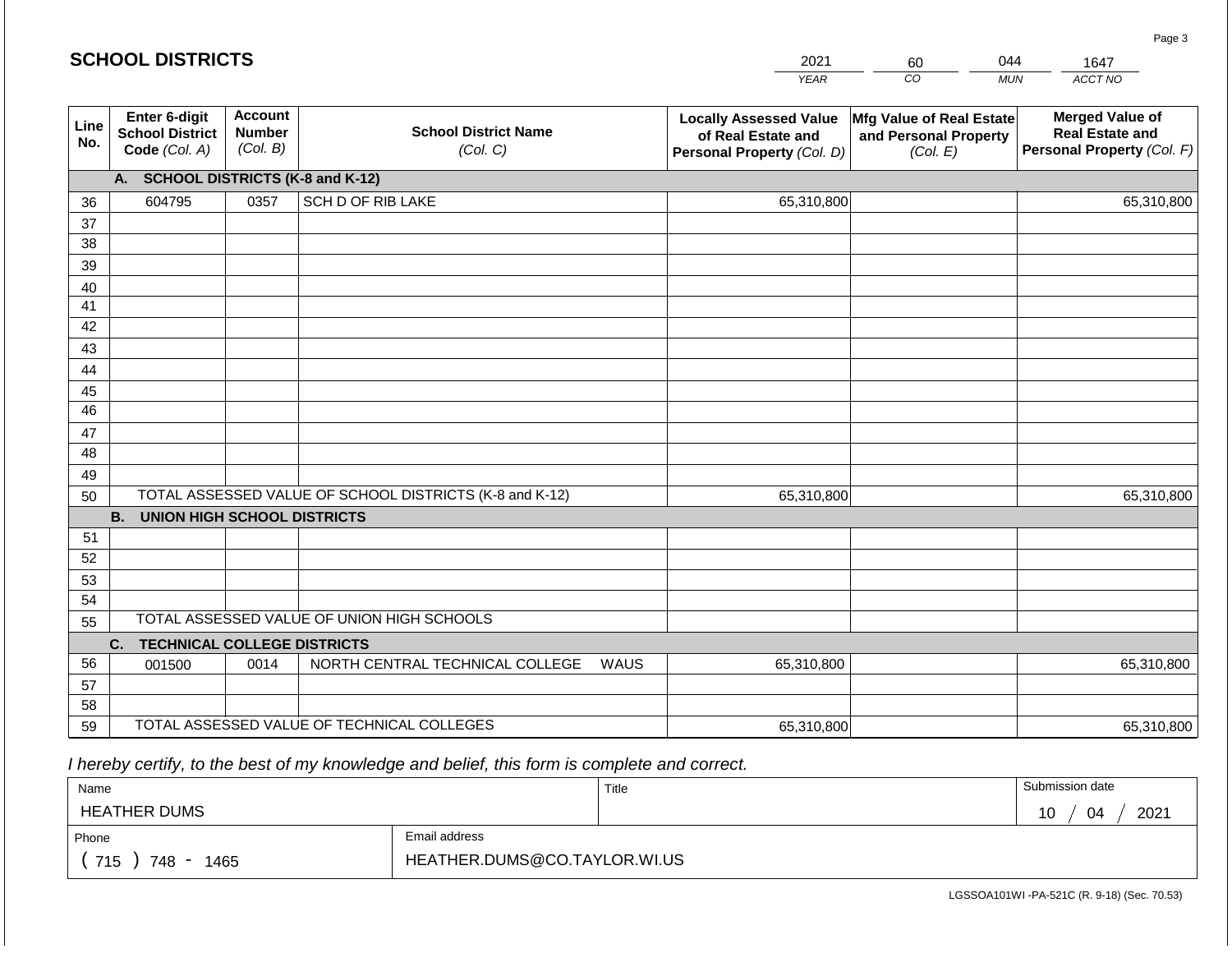|             | <b>SCHOOL DISTRICTS</b>                                  |                                             |                                                         |      | 2021                                                                              | 60                                                            | 044        | 1647                                                                           |  |  |
|-------------|----------------------------------------------------------|---------------------------------------------|---------------------------------------------------------|------|-----------------------------------------------------------------------------------|---------------------------------------------------------------|------------|--------------------------------------------------------------------------------|--|--|
|             |                                                          |                                             |                                                         |      | <b>YEAR</b>                                                                       | CO                                                            | <b>MUN</b> | ACCT NO                                                                        |  |  |
| Line<br>No. | Enter 6-digit<br><b>School District</b><br>Code (Col. A) | <b>Account</b><br><b>Number</b><br>(Col. B) | <b>School District Name</b><br>(Col. C)                 |      | <b>Locally Assessed Value</b><br>of Real Estate and<br>Personal Property (Col. D) | Mfg Value of Real Estate<br>and Personal Property<br>(Col. E) |            | <b>Merged Value of</b><br><b>Real Estate and</b><br>Personal Property (Col. F) |  |  |
|             | A. SCHOOL DISTRICTS (K-8 and K-12)                       |                                             |                                                         |      |                                                                                   |                                                               |            |                                                                                |  |  |
| 36          | 604795                                                   | 0357                                        | SCH D OF RIB LAKE                                       |      | 65,310,800                                                                        |                                                               |            | 65,310,800                                                                     |  |  |
| 37          |                                                          |                                             |                                                         |      |                                                                                   |                                                               |            |                                                                                |  |  |
| 38          |                                                          |                                             |                                                         |      |                                                                                   |                                                               |            |                                                                                |  |  |
| 39          |                                                          |                                             |                                                         |      |                                                                                   |                                                               |            |                                                                                |  |  |
| 40          |                                                          |                                             |                                                         |      |                                                                                   |                                                               |            |                                                                                |  |  |
| 41<br>42    |                                                          |                                             |                                                         |      |                                                                                   |                                                               |            |                                                                                |  |  |
| 43          |                                                          |                                             |                                                         |      |                                                                                   |                                                               |            |                                                                                |  |  |
| 44          |                                                          |                                             |                                                         |      |                                                                                   |                                                               |            |                                                                                |  |  |
| 45          |                                                          |                                             |                                                         |      |                                                                                   |                                                               |            |                                                                                |  |  |
| 46          |                                                          |                                             |                                                         |      |                                                                                   |                                                               |            |                                                                                |  |  |
| 47          |                                                          |                                             |                                                         |      |                                                                                   |                                                               |            |                                                                                |  |  |
| 48          |                                                          |                                             |                                                         |      |                                                                                   |                                                               |            |                                                                                |  |  |
| 49          |                                                          |                                             |                                                         |      |                                                                                   |                                                               |            |                                                                                |  |  |
| 50          |                                                          |                                             | TOTAL ASSESSED VALUE OF SCHOOL DISTRICTS (K-8 and K-12) |      | 65,310,800                                                                        |                                                               |            | 65,310,800                                                                     |  |  |
|             | <b>B.</b><br><b>UNION HIGH SCHOOL DISTRICTS</b>          |                                             |                                                         |      |                                                                                   |                                                               |            |                                                                                |  |  |
| 51          |                                                          |                                             |                                                         |      |                                                                                   |                                                               |            |                                                                                |  |  |
| 52          |                                                          |                                             |                                                         |      |                                                                                   |                                                               |            |                                                                                |  |  |
| 53<br>54    |                                                          |                                             |                                                         |      |                                                                                   |                                                               |            |                                                                                |  |  |
| 55          |                                                          |                                             | TOTAL ASSESSED VALUE OF UNION HIGH SCHOOLS              |      |                                                                                   |                                                               |            |                                                                                |  |  |
|             | <b>TECHNICAL COLLEGE DISTRICTS</b><br>C.                 |                                             |                                                         |      |                                                                                   |                                                               |            |                                                                                |  |  |
| 56          | 001500                                                   | 0014                                        | NORTH CENTRAL TECHNICAL COLLEGE                         | WAUS | 65,310,800                                                                        |                                                               |            | 65,310,800                                                                     |  |  |
| 57          |                                                          |                                             |                                                         |      |                                                                                   |                                                               |            |                                                                                |  |  |
| 58          |                                                          |                                             |                                                         |      |                                                                                   |                                                               |            |                                                                                |  |  |
| 59          |                                                          |                                             | TOTAL ASSESSED VALUE OF TECHNICAL COLLEGES              |      | 65,310,800                                                                        |                                                               |            | 65,310,800                                                                     |  |  |

 *I hereby certify, to the best of my knowledge and belief, this form is complete and correct.*

| Name                                           |                              | Title | Submission date       |  |  |  |
|------------------------------------------------|------------------------------|-------|-----------------------|--|--|--|
| <b>HEATHER DUMS</b>                            |                              |       | 2021<br>10<br>04<br>U |  |  |  |
| Phone                                          | Email address                |       |                       |  |  |  |
| 715<br>748<br>1465<br>$\overline{\phantom{a}}$ | HEATHER.DUMS@CO.TAYLOR.WI.US |       |                       |  |  |  |

Page 3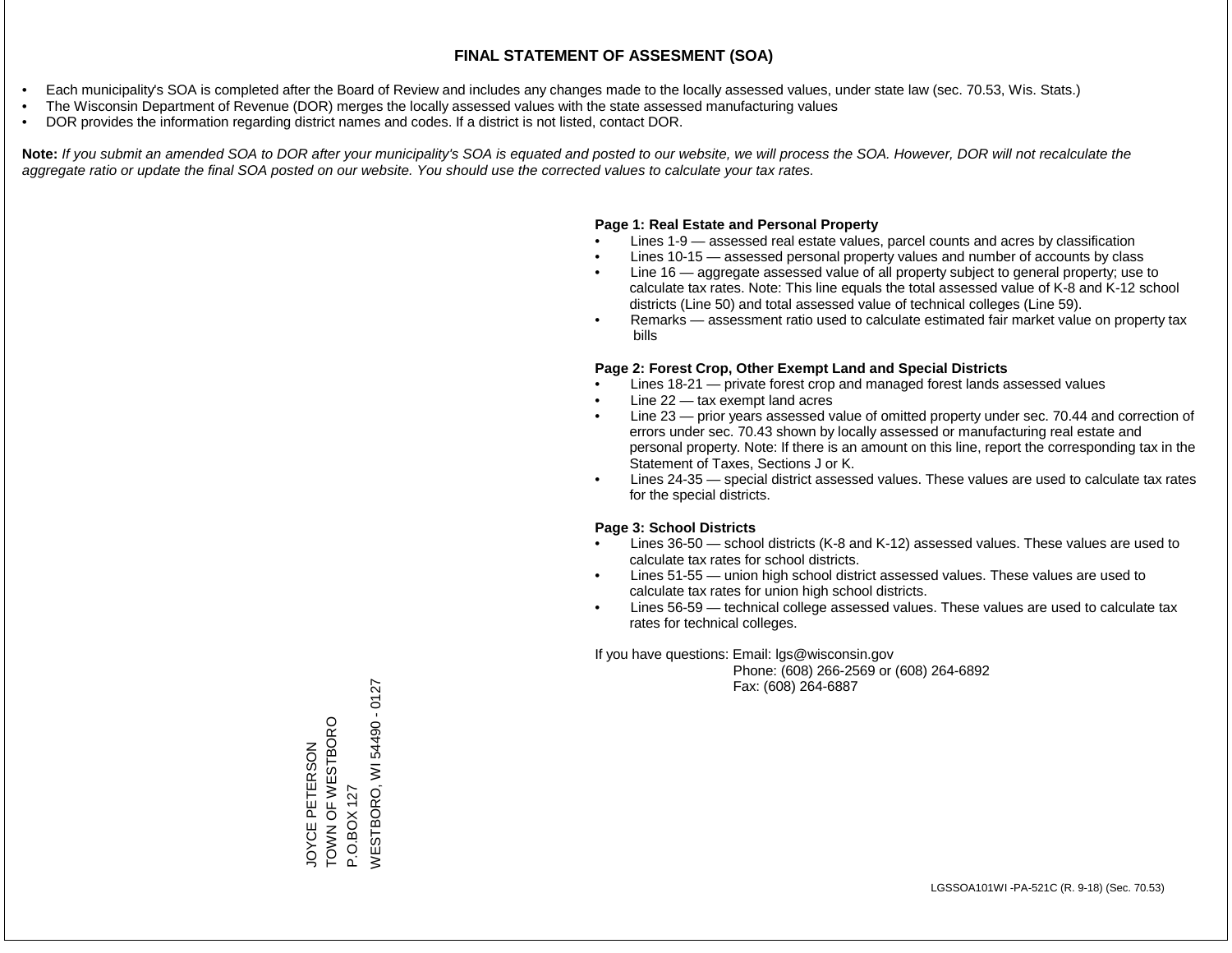- Each municipality's SOA is completed after the Board of Review and includes any changes made to the locally assessed values, under state law (sec. 70.53, Wis. Stats.)
- The Wisconsin Department of Revenue (DOR) merges the locally assessed values with the state assessed manufacturing values
- DOR provides the information regarding district names and codes. If a district is not listed, contact DOR.

Note: If you submit an amended SOA to DOR after your municipality's SOA is equated and posted to our website, we will process the SOA. However, DOR will not recalculate the *aggregate ratio or update the final SOA posted on our website. You should use the corrected values to calculate your tax rates.*

### **Page 1: Real Estate and Personal Property**

- Lines 1-9 assessed real estate values, parcel counts and acres by classification
- Lines 10-15 assessed personal property values and number of accounts by class
- Line 16 aggregate assessed value of all property subject to general property; use to calculate tax rates. Note: This line equals the total assessed value of K-8 and K-12 school districts (Line 50) and total assessed value of technical colleges (Line 59).
- Remarks assessment ratio used to calculate estimated fair market value on property tax bills

#### **Page 2: Forest Crop, Other Exempt Land and Special Districts**

- Lines 18-21 private forest crop and managed forest lands assessed values
- Line  $22 -$  tax exempt land acres
- Line 23 prior years assessed value of omitted property under sec. 70.44 and correction of errors under sec. 70.43 shown by locally assessed or manufacturing real estate and personal property. Note: If there is an amount on this line, report the corresponding tax in the Statement of Taxes, Sections J or K.
- Lines 24-35 special district assessed values. These values are used to calculate tax rates for the special districts.

#### **Page 3: School Districts**

- Lines 36-50 school districts (K-8 and K-12) assessed values. These values are used to calculate tax rates for school districts.
- Lines 51-55 union high school district assessed values. These values are used to calculate tax rates for union high school districts.
- Lines 56-59 technical college assessed values. These values are used to calculate tax rates for technical colleges.

If you have questions: Email: lgs@wisconsin.gov

 Phone: (608) 266-2569 or (608) 264-6892 Fax: (608) 264-6887

WESTBORO, WI 54490 - 0127 WESTBORO, WI 54490 - 0127TOWN OF WESTBORO TOWN OF WESTBORO JOYCE PETERSON JOYCE PETERSON P.O.BOX 127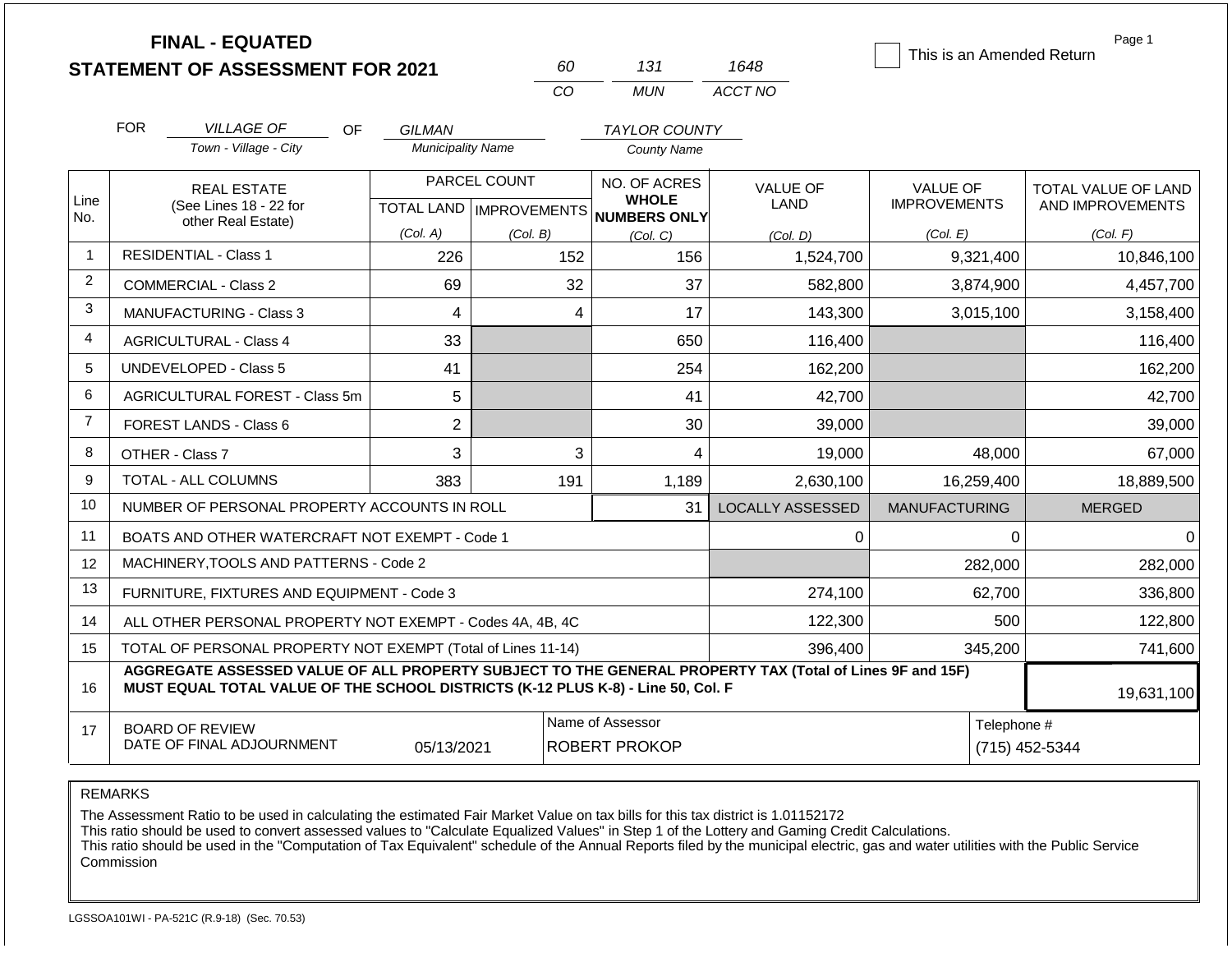|                | <b>FINAL - EQUATED</b><br><b>STATEMENT OF ASSESSMENT FOR 2021</b>                                                                                                                            |                                    | 60                                        | 131                                          | 1648                    | This is an Amended Return              | Page 1                                  |
|----------------|----------------------------------------------------------------------------------------------------------------------------------------------------------------------------------------------|------------------------------------|-------------------------------------------|----------------------------------------------|-------------------------|----------------------------------------|-----------------------------------------|
|                |                                                                                                                                                                                              |                                    | <b>CO</b>                                 | <b>MUN</b>                                   | ACCT NO                 |                                        |                                         |
|                | <b>FOR</b><br><b>VILLAGE OF</b>                                                                                                                                                              |                                    |                                           |                                              |                         |                                        |                                         |
|                | OF.<br>Town - Village - City                                                                                                                                                                 | GILMAN<br><b>Municipality Name</b> |                                           | <b>TAYLOR COUNTY</b><br><b>County Name</b>   |                         |                                        |                                         |
| Line<br>No.    | <b>REAL ESTATE</b><br>(See Lines 18 - 22 for                                                                                                                                                 |                                    | PARCEL COUNT<br>TOTAL LAND   IMPROVEMENTS | NO. OF ACRES<br><b>WHOLE</b><br>NUMBERS ONLY | VALUE OF<br>LAND        | <b>VALUE OF</b><br><b>IMPROVEMENTS</b> | TOTAL VALUE OF LAND<br>AND IMPROVEMENTS |
|                | other Real Estate)                                                                                                                                                                           | (Col. A)                           | (Col. B)                                  | (Col, C)                                     | (Col. D)                | (Col. E)                               | (Col. F)                                |
| $\overline{1}$ | <b>RESIDENTIAL - Class 1</b>                                                                                                                                                                 | 226                                | 152                                       | 156                                          | 1,524,700               | 9,321,400                              | 10,846,100                              |
| $\overline{2}$ | <b>COMMERCIAL - Class 2</b>                                                                                                                                                                  | 69                                 | 32                                        | 37                                           | 582,800                 | 3,874,900                              | 4,457,700                               |
| 3              | <b>MANUFACTURING - Class 3</b>                                                                                                                                                               | 4                                  |                                           | 17<br>$\overline{4}$                         | 143,300                 | 3,015,100                              | 3,158,400                               |
| 4              | <b>AGRICULTURAL - Class 4</b>                                                                                                                                                                | 33                                 |                                           | 650                                          | 116,400                 |                                        | 116,400                                 |
| 5              | <b>UNDEVELOPED - Class 5</b>                                                                                                                                                                 | 41                                 |                                           | 254                                          | 162,200                 |                                        | 162,200                                 |
| 6              | <b>AGRICULTURAL FOREST - Class 5m</b>                                                                                                                                                        | 5                                  |                                           | 41                                           | 42,700                  |                                        | 42,700                                  |
| $\overline{7}$ | <b>FOREST LANDS - Class 6</b>                                                                                                                                                                | $\overline{2}$                     |                                           | 30                                           | 39,000                  |                                        | 39,000                                  |
| 8              | OTHER - Class 7                                                                                                                                                                              | 3                                  |                                           | 3<br>4                                       | 19,000                  | 48,000                                 | 67,000                                  |
| 9              | <b>TOTAL - ALL COLUMNS</b>                                                                                                                                                                   | 383                                | 191                                       | 1,189                                        | 2,630,100               | 16,259,400                             | 18,889,500                              |
| 10             | NUMBER OF PERSONAL PROPERTY ACCOUNTS IN ROLL                                                                                                                                                 |                                    |                                           | 31                                           | <b>LOCALLY ASSESSED</b> | <b>MANUFACTURING</b>                   | <b>MERGED</b>                           |
| 11             | BOATS AND OTHER WATERCRAFT NOT EXEMPT - Code 1                                                                                                                                               |                                    |                                           |                                              | 0                       | 0                                      | $\Omega$                                |
| 12             | MACHINERY, TOOLS AND PATTERNS - Code 2                                                                                                                                                       |                                    |                                           |                                              |                         | 282,000                                | 282,000                                 |
| 13             | FURNITURE, FIXTURES AND EQUIPMENT - Code 3                                                                                                                                                   |                                    |                                           |                                              | 274,100                 | 62,700                                 | 336,800                                 |
| 14             | ALL OTHER PERSONAL PROPERTY NOT EXEMPT - Codes 4A, 4B, 4C                                                                                                                                    |                                    |                                           |                                              | 122,300                 | 500                                    | 122,800                                 |
| 15             | TOTAL OF PERSONAL PROPERTY NOT EXEMPT (Total of Lines 11-14)                                                                                                                                 |                                    |                                           |                                              | 396,400                 | 345,200                                | 741,600                                 |
| 16             | AGGREGATE ASSESSED VALUE OF ALL PROPERTY SUBJECT TO THE GENERAL PROPERTY TAX (Total of Lines 9F and 15F)<br>MUST EQUAL TOTAL VALUE OF THE SCHOOL DISTRICTS (K-12 PLUS K-8) - Line 50, Col. F |                                    |                                           |                                              |                         |                                        | 19,631,100                              |
| 17             | <b>BOARD OF REVIEW</b><br>DATE OF FINAL ADJOURNMENT                                                                                                                                          | 05/13/2021                         |                                           | Name of Assessor<br><b>ROBERT PROKOP</b>     |                         | Telephone #                            | (715) 452-5344                          |

The Assessment Ratio to be used in calculating the estimated Fair Market Value on tax bills for this tax district is 1.01152172

This ratio should be used to convert assessed values to "Calculate Equalized Values" in Step 1 of the Lottery and Gaming Credit Calculations.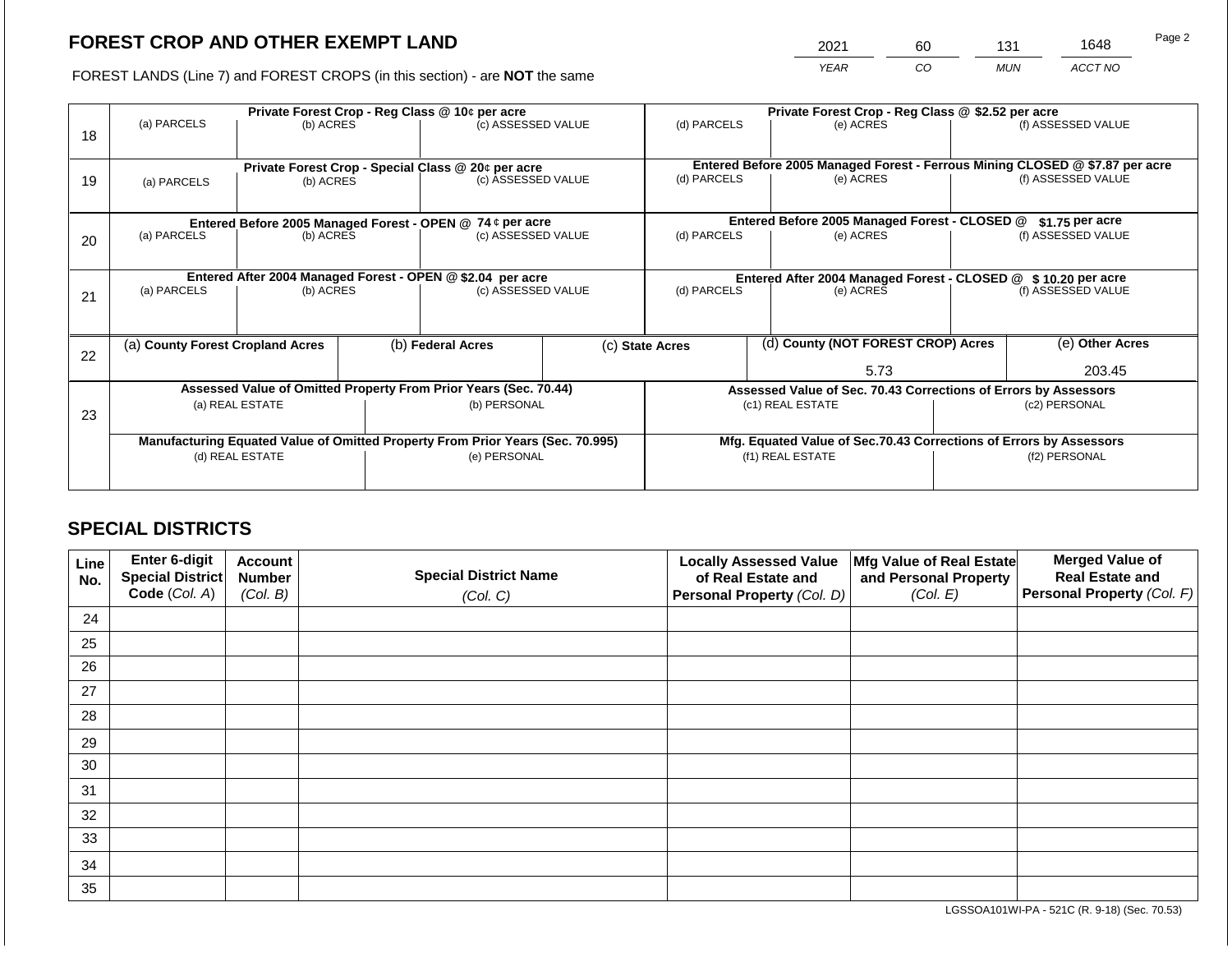2021 60 131 1648

FOREST LANDS (Line 7) and FOREST CROPS (in this section) - are **NOT** the same *YEAR CO MUN ACCT NO*

|    |                                                                                |                 |  | Private Forest Crop - Reg Class @ 10¢ per acre                                 |                 | Private Forest Crop - Reg Class @ \$2.52 per acre                                         |                                    |                                                                              |                 |                    |
|----|--------------------------------------------------------------------------------|-----------------|--|--------------------------------------------------------------------------------|-----------------|-------------------------------------------------------------------------------------------|------------------------------------|------------------------------------------------------------------------------|-----------------|--------------------|
|    | (a) PARCELS                                                                    | (b) ACRES       |  | (c) ASSESSED VALUE                                                             |                 | (d) PARCELS                                                                               |                                    | (e) ACRES                                                                    |                 | (f) ASSESSED VALUE |
| 18 |                                                                                |                 |  |                                                                                |                 |                                                                                           |                                    |                                                                              |                 |                    |
|    |                                                                                |                 |  |                                                                                |                 |                                                                                           |                                    | Entered Before 2005 Managed Forest - Ferrous Mining CLOSED @ \$7.87 per acre |                 |                    |
| 19 | Private Forest Crop - Special Class @ 20¢ per acre<br>(a) PARCELS<br>(b) ACRES |                 |  | (c) ASSESSED VALUE                                                             |                 | (d) PARCELS                                                                               |                                    | (e) ACRES                                                                    |                 | (f) ASSESSED VALUE |
|    |                                                                                |                 |  |                                                                                |                 |                                                                                           |                                    |                                                                              |                 |                    |
|    |                                                                                |                 |  |                                                                                |                 |                                                                                           |                                    |                                                                              |                 |                    |
|    |                                                                                |                 |  | Entered Before 2005 Managed Forest - OPEN @ 74 ¢ per acre                      |                 |                                                                                           |                                    | Entered Before 2005 Managed Forest - CLOSED @                                |                 | \$1.75 per acre    |
| 20 | (a) PARCELS                                                                    | (b) ACRES       |  | (c) ASSESSED VALUE                                                             |                 | (d) PARCELS                                                                               |                                    | (e) ACRES                                                                    |                 | (f) ASSESSED VALUE |
|    |                                                                                |                 |  |                                                                                |                 |                                                                                           |                                    |                                                                              |                 |                    |
|    |                                                                                |                 |  | Entered After 2004 Managed Forest - OPEN @ \$2.04 per acre                     |                 |                                                                                           |                                    |                                                                              |                 |                    |
|    | (a) PARCELS                                                                    | (b) ACRES       |  | (c) ASSESSED VALUE                                                             |                 | Entered After 2004 Managed Forest - CLOSED @ \$10.20 per acre<br>(d) PARCELS<br>(e) ACRES |                                    | (f) ASSESSED VALUE                                                           |                 |                    |
| 21 |                                                                                |                 |  |                                                                                |                 |                                                                                           |                                    |                                                                              |                 |                    |
|    |                                                                                |                 |  |                                                                                |                 |                                                                                           |                                    |                                                                              |                 |                    |
|    | (a) County Forest Cropland Acres                                               |                 |  | (b) Federal Acres                                                              | (c) State Acres |                                                                                           | (d) County (NOT FOREST CROP) Acres |                                                                              | (e) Other Acres |                    |
| 22 |                                                                                |                 |  |                                                                                |                 |                                                                                           |                                    |                                                                              |                 |                    |
|    |                                                                                |                 |  |                                                                                |                 |                                                                                           |                                    | 5.73                                                                         |                 | 203.45             |
|    |                                                                                |                 |  | Assessed Value of Omitted Property From Prior Years (Sec. 70.44)               |                 |                                                                                           |                                    | Assessed Value of Sec. 70.43 Corrections of Errors by Assessors              |                 |                    |
|    |                                                                                | (a) REAL ESTATE |  | (b) PERSONAL                                                                   |                 |                                                                                           |                                    | (c1) REAL ESTATE                                                             | (c2) PERSONAL   |                    |
| 23 |                                                                                |                 |  |                                                                                |                 |                                                                                           |                                    |                                                                              |                 |                    |
|    |                                                                                |                 |  | Manufacturing Equated Value of Omitted Property From Prior Years (Sec. 70.995) |                 |                                                                                           |                                    | Mfg. Equated Value of Sec.70.43 Corrections of Errors by Assessors           |                 |                    |
|    |                                                                                | (d) REAL ESTATE |  | (e) PERSONAL                                                                   |                 | (f1) REAL ESTATE                                                                          |                                    |                                                                              | (f2) PERSONAL   |                    |
|    |                                                                                |                 |  |                                                                                |                 |                                                                                           |                                    |                                                                              |                 |                    |
|    |                                                                                |                 |  |                                                                                |                 |                                                                                           |                                    |                                                                              |                 |                    |

# **SPECIAL DISTRICTS**

| Line<br>No. | Enter 6-digit<br>Special District<br>Code (Col. A) | <b>Account</b><br><b>Number</b><br>(Col. B) | <b>Special District Name</b><br>(Col. C) | <b>Locally Assessed Value</b><br>of Real Estate and<br><b>Personal Property (Col. D)</b> | Mfg Value of Real Estate<br>and Personal Property<br>(Col. E) | <b>Merged Value of</b><br><b>Real Estate and</b><br>Personal Property (Col. F) |
|-------------|----------------------------------------------------|---------------------------------------------|------------------------------------------|------------------------------------------------------------------------------------------|---------------------------------------------------------------|--------------------------------------------------------------------------------|
| 24          |                                                    |                                             |                                          |                                                                                          |                                                               |                                                                                |
| 25          |                                                    |                                             |                                          |                                                                                          |                                                               |                                                                                |
| 26          |                                                    |                                             |                                          |                                                                                          |                                                               |                                                                                |
| 27          |                                                    |                                             |                                          |                                                                                          |                                                               |                                                                                |
| 28          |                                                    |                                             |                                          |                                                                                          |                                                               |                                                                                |
| 29          |                                                    |                                             |                                          |                                                                                          |                                                               |                                                                                |
| 30          |                                                    |                                             |                                          |                                                                                          |                                                               |                                                                                |
| 31          |                                                    |                                             |                                          |                                                                                          |                                                               |                                                                                |
| 32          |                                                    |                                             |                                          |                                                                                          |                                                               |                                                                                |
| 33          |                                                    |                                             |                                          |                                                                                          |                                                               |                                                                                |
| 34          |                                                    |                                             |                                          |                                                                                          |                                                               |                                                                                |
| 35          |                                                    |                                             |                                          |                                                                                          |                                                               |                                                                                |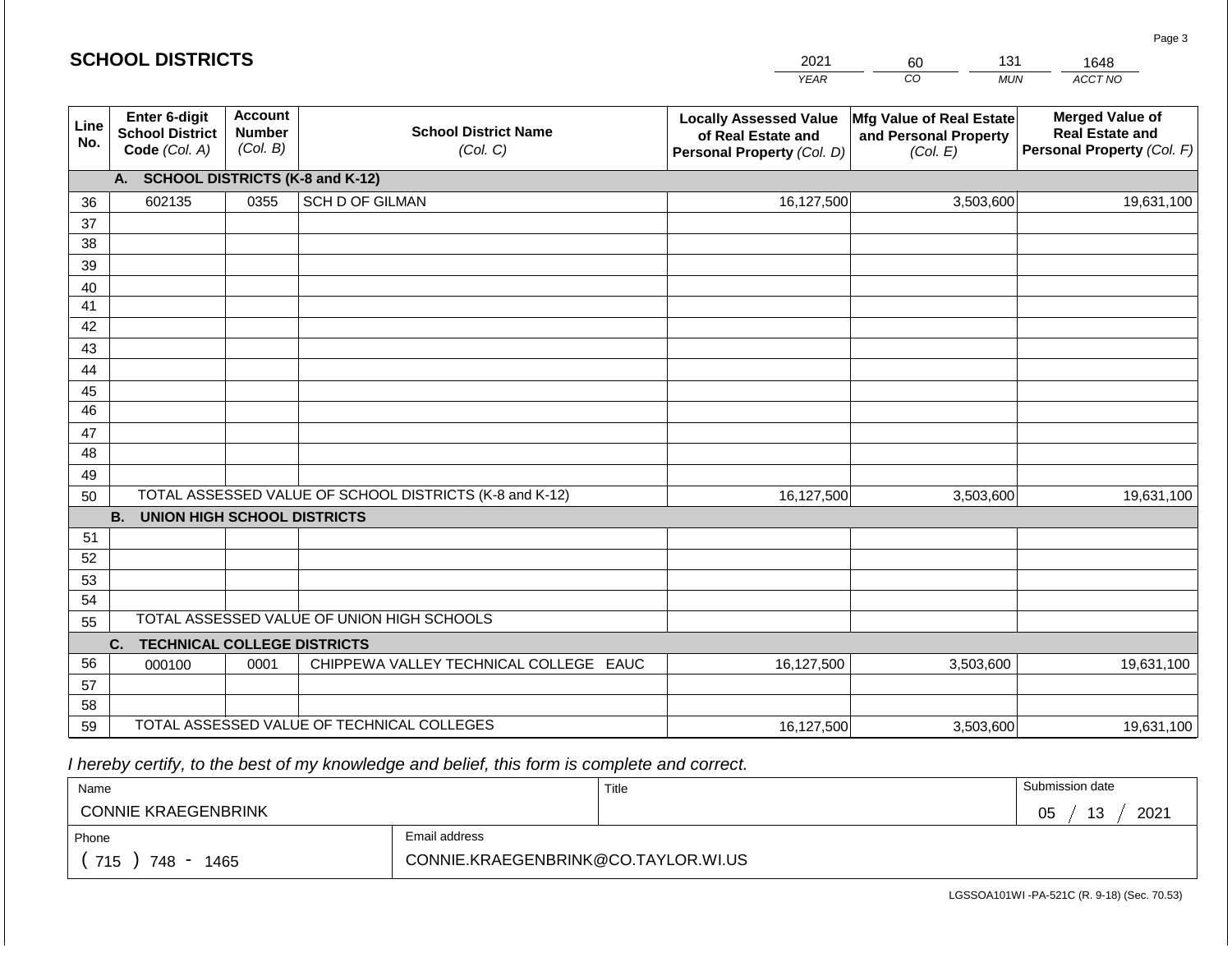|             | <b>SCHOOL DISTRICTS</b>                                  |                                             |                                                         | 2021                                                                              | 131<br>60                                                     | 1648                                                                           |  |  |  |  |  |  |
|-------------|----------------------------------------------------------|---------------------------------------------|---------------------------------------------------------|-----------------------------------------------------------------------------------|---------------------------------------------------------------|--------------------------------------------------------------------------------|--|--|--|--|--|--|
|             |                                                          |                                             |                                                         | <b>YEAR</b>                                                                       | CO<br><b>MUN</b>                                              | ACCT NO                                                                        |  |  |  |  |  |  |
| Line<br>No. | Enter 6-digit<br><b>School District</b><br>Code (Col. A) | <b>Account</b><br><b>Number</b><br>(Col. B) | <b>School District Name</b><br>(Col. C)                 | <b>Locally Assessed Value</b><br>of Real Estate and<br>Personal Property (Col. D) | Mfg Value of Real Estate<br>and Personal Property<br>(Col. E) | <b>Merged Value of</b><br><b>Real Estate and</b><br>Personal Property (Col. F) |  |  |  |  |  |  |
|             | <b>SCHOOL DISTRICTS (K-8 and K-12)</b><br>А.             |                                             |                                                         |                                                                                   |                                                               |                                                                                |  |  |  |  |  |  |
| 36          | 602135                                                   | 0355                                        | <b>SCH D OF GILMAN</b>                                  | 16,127,500                                                                        | 3,503,600                                                     | 19,631,100                                                                     |  |  |  |  |  |  |
| 37          |                                                          |                                             |                                                         |                                                                                   |                                                               |                                                                                |  |  |  |  |  |  |
| 38          |                                                          |                                             |                                                         |                                                                                   |                                                               |                                                                                |  |  |  |  |  |  |
| 39          |                                                          |                                             |                                                         |                                                                                   |                                                               |                                                                                |  |  |  |  |  |  |
| 40          |                                                          |                                             |                                                         |                                                                                   |                                                               |                                                                                |  |  |  |  |  |  |
| 41          |                                                          |                                             |                                                         |                                                                                   |                                                               |                                                                                |  |  |  |  |  |  |
| 42          |                                                          |                                             |                                                         |                                                                                   |                                                               |                                                                                |  |  |  |  |  |  |
| 43          |                                                          |                                             |                                                         |                                                                                   |                                                               |                                                                                |  |  |  |  |  |  |
| 44<br>45    |                                                          |                                             |                                                         |                                                                                   |                                                               |                                                                                |  |  |  |  |  |  |
| 46          |                                                          |                                             |                                                         |                                                                                   |                                                               |                                                                                |  |  |  |  |  |  |
| 47          |                                                          |                                             |                                                         |                                                                                   |                                                               |                                                                                |  |  |  |  |  |  |
| 48          |                                                          |                                             |                                                         |                                                                                   |                                                               |                                                                                |  |  |  |  |  |  |
| 49          |                                                          |                                             |                                                         |                                                                                   |                                                               |                                                                                |  |  |  |  |  |  |
| 50          |                                                          |                                             | TOTAL ASSESSED VALUE OF SCHOOL DISTRICTS (K-8 and K-12) | 16,127,500                                                                        | 3,503,600                                                     | 19,631,100                                                                     |  |  |  |  |  |  |
|             | <b>B.</b><br><b>UNION HIGH SCHOOL DISTRICTS</b>          |                                             |                                                         |                                                                                   |                                                               |                                                                                |  |  |  |  |  |  |
| 51          |                                                          |                                             |                                                         |                                                                                   |                                                               |                                                                                |  |  |  |  |  |  |
| 52          |                                                          |                                             |                                                         |                                                                                   |                                                               |                                                                                |  |  |  |  |  |  |
| 53          |                                                          |                                             |                                                         |                                                                                   |                                                               |                                                                                |  |  |  |  |  |  |
| 54          |                                                          |                                             |                                                         |                                                                                   |                                                               |                                                                                |  |  |  |  |  |  |
|             | TOTAL ASSESSED VALUE OF UNION HIGH SCHOOLS<br>55         |                                             |                                                         |                                                                                   |                                                               |                                                                                |  |  |  |  |  |  |
|             | <b>TECHNICAL COLLEGE DISTRICTS</b><br>C.                 |                                             |                                                         |                                                                                   |                                                               |                                                                                |  |  |  |  |  |  |
| 56          | 000100                                                   | 0001                                        | CHIPPEWA VALLEY TECHNICAL COLLEGE EAUC                  | 16,127,500                                                                        | 3,503,600                                                     | 19,631,100                                                                     |  |  |  |  |  |  |
| 57<br>58    |                                                          |                                             |                                                         |                                                                                   |                                                               |                                                                                |  |  |  |  |  |  |
| 59          |                                                          |                                             | TOTAL ASSESSED VALUE OF TECHNICAL COLLEGES              | 16,127,500                                                                        | 3,503,600                                                     | 19,631,100                                                                     |  |  |  |  |  |  |
|             |                                                          |                                             |                                                         |                                                                                   |                                                               |                                                                                |  |  |  |  |  |  |

 *I hereby certify, to the best of my knowledge and belief, this form is complete and correct.*

| Name                       |                                     | Title | Submission date         |
|----------------------------|-------------------------------------|-------|-------------------------|
| <b>CONNIE KRAEGENBRINK</b> |                                     |       | 12<br>2021<br>05<br>د ا |
| Phone                      | Email address                       |       |                         |
| 715<br>748<br>1465         | CONNIE.KRAEGENBRINK@CO.TAYLOR.WI.US |       |                         |

Page 3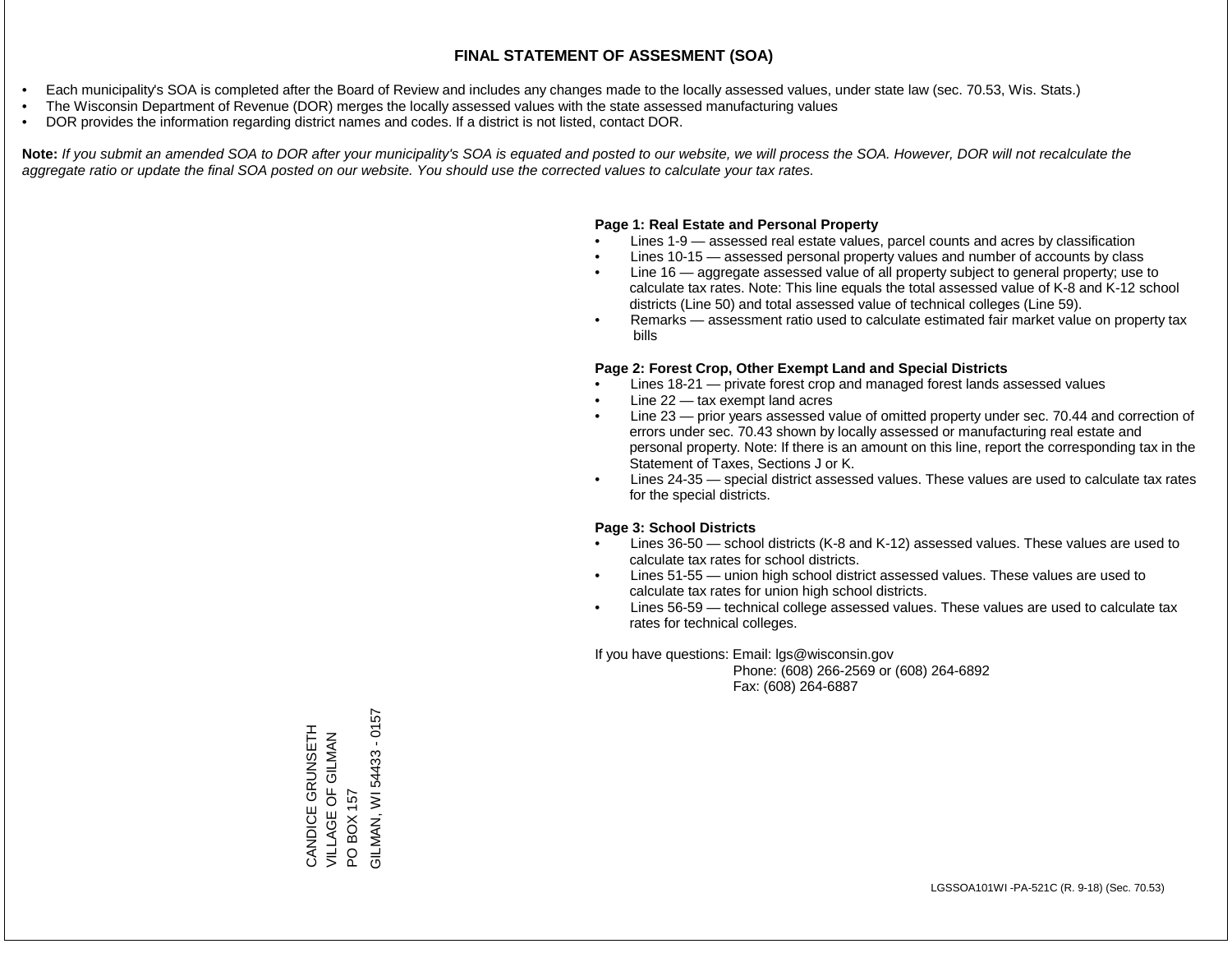- Each municipality's SOA is completed after the Board of Review and includes any changes made to the locally assessed values, under state law (sec. 70.53, Wis. Stats.)
- The Wisconsin Department of Revenue (DOR) merges the locally assessed values with the state assessed manufacturing values
- DOR provides the information regarding district names and codes. If a district is not listed, contact DOR.

Note: If you submit an amended SOA to DOR after your municipality's SOA is equated and posted to our website, we will process the SOA. However, DOR will not recalculate the *aggregate ratio or update the final SOA posted on our website. You should use the corrected values to calculate your tax rates.*

### **Page 1: Real Estate and Personal Property**

- Lines 1-9 assessed real estate values, parcel counts and acres by classification
- Lines 10-15 assessed personal property values and number of accounts by class
- Line 16 aggregate assessed value of all property subject to general property; use to calculate tax rates. Note: This line equals the total assessed value of K-8 and K-12 school districts (Line 50) and total assessed value of technical colleges (Line 59).
- Remarks assessment ratio used to calculate estimated fair market value on property tax bills

#### **Page 2: Forest Crop, Other Exempt Land and Special Districts**

- Lines 18-21 private forest crop and managed forest lands assessed values
- Line  $22 -$  tax exempt land acres
- Line 23 prior years assessed value of omitted property under sec. 70.44 and correction of errors under sec. 70.43 shown by locally assessed or manufacturing real estate and personal property. Note: If there is an amount on this line, report the corresponding tax in the Statement of Taxes, Sections J or K.
- Lines 24-35 special district assessed values. These values are used to calculate tax rates for the special districts.

#### **Page 3: School Districts**

- Lines 36-50 school districts (K-8 and K-12) assessed values. These values are used to calculate tax rates for school districts.
- Lines 51-55 union high school district assessed values. These values are used to calculate tax rates for union high school districts.
- Lines 56-59 technical college assessed values. These values are used to calculate tax rates for technical colleges.

If you have questions: Email: lgs@wisconsin.gov

 Phone: (608) 266-2569 or (608) 264-6892 Fax: (608) 264-6887

PO BOX 157<br>SILMAN, WI 54433 - 0157 GILMAN, WI 54433 - 0157CANDICE GRUNSETH<br>VILLAGE OF GILMAN CANDICE GRUNSETH VILLAGE OF GILMAN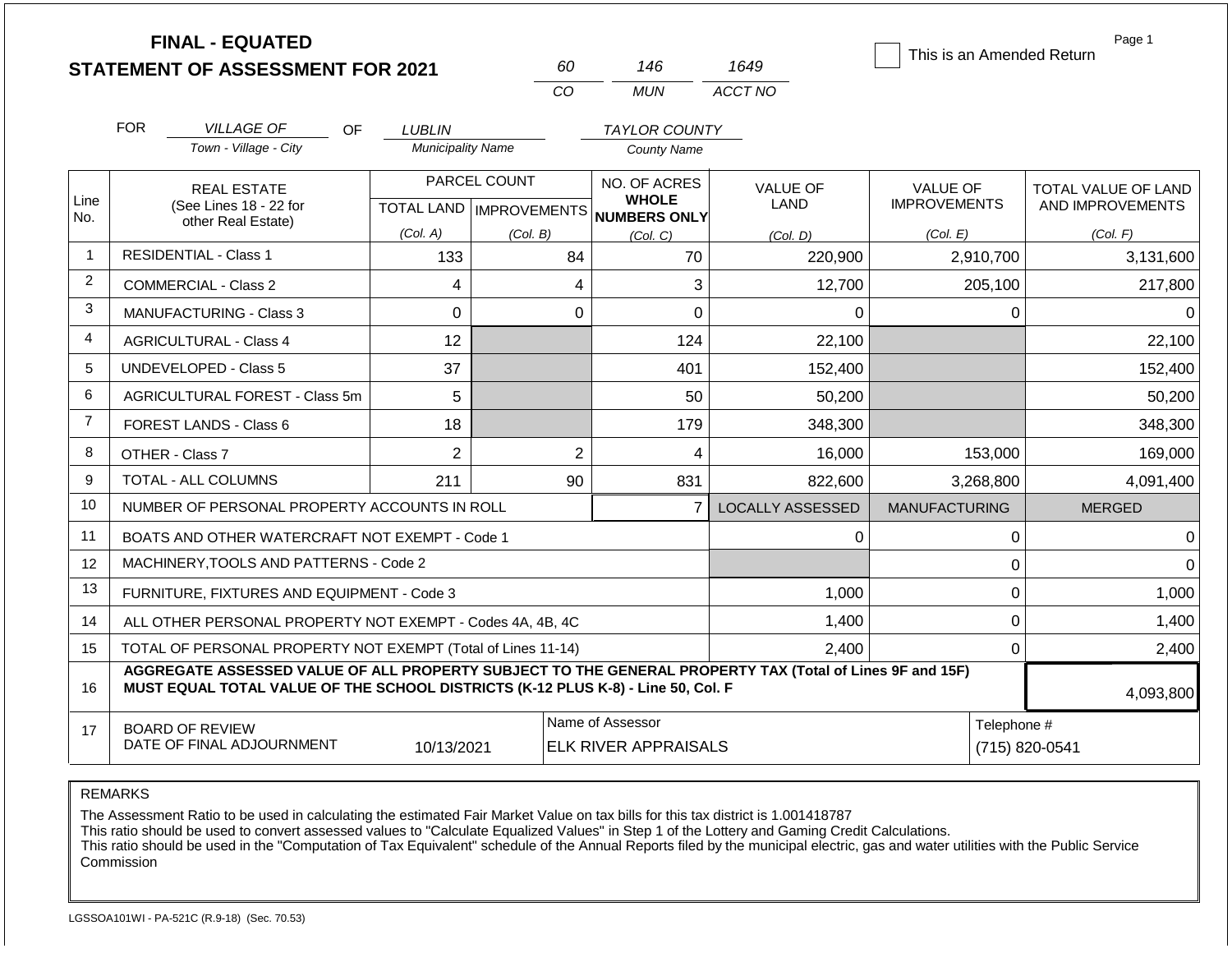|                | <b>FINAL - EQUATED</b>                                                                                                                                                                       |                          |                |                                                      |                         | This is an Amended Return | Page 1              |  |
|----------------|----------------------------------------------------------------------------------------------------------------------------------------------------------------------------------------------|--------------------------|----------------|------------------------------------------------------|-------------------------|---------------------------|---------------------|--|
|                | <b>STATEMENT OF ASSESSMENT FOR 2021</b>                                                                                                                                                      |                          | 60             | 146                                                  | 1649                    |                           |                     |  |
|                |                                                                                                                                                                                              |                          | CO             | <b>MUN</b>                                           | ACCT NO                 |                           |                     |  |
|                | <b>FOR</b><br><b>VILLAGE OF</b><br>OF.                                                                                                                                                       | <b>LUBLIN</b>            |                | <b>TAYLOR COUNTY</b>                                 |                         |                           |                     |  |
|                | Town - Village - City                                                                                                                                                                        | <b>Municipality Name</b> |                | <b>County Name</b>                                   |                         |                           |                     |  |
|                | <b>REAL ESTATE</b>                                                                                                                                                                           | PARCEL COUNT             |                | NO. OF ACRES                                         | <b>VALUE OF</b>         | <b>VALUE OF</b>           | TOTAL VALUE OF LAND |  |
| Line<br>No.    | (See Lines 18 - 22 for<br>other Real Estate)                                                                                                                                                 |                          |                | <b>WHOLE</b><br>TOTAL LAND IMPROVEMENTS NUMBERS ONLY | <b>LAND</b>             | <b>IMPROVEMENTS</b>       | AND IMPROVEMENTS    |  |
|                |                                                                                                                                                                                              | (Col. A)                 | (Col. B)       | (Col, C)                                             | (Col, D)                | (Col. E)                  | (Col. F)            |  |
| $\mathbf{1}$   | <b>RESIDENTIAL - Class 1</b><br>133<br>84<br>70                                                                                                                                              |                          | 220,900        | 2,910,700                                            | 3,131,600               |                           |                     |  |
| $\overline{2}$ | <b>COMMERCIAL - Class 2</b>                                                                                                                                                                  | 4                        | 4              | 3                                                    | 12,700                  | 205,100                   | 217,800             |  |
| 3              | <b>MANUFACTURING - Class 3</b>                                                                                                                                                               | 0                        | $\mathbf 0$    | 0                                                    | $\Omega$                | $\Omega$                  | 0                   |  |
| 4              | <b>AGRICULTURAL - Class 4</b>                                                                                                                                                                | 12                       |                | 124                                                  | 22,100                  |                           | 22,100              |  |
| 5              | <b>UNDEVELOPED - Class 5</b>                                                                                                                                                                 | 37                       |                | 401                                                  | 152,400                 |                           | 152,400             |  |
| 6              | AGRICULTURAL FOREST - Class 5m                                                                                                                                                               | 5                        |                | 50                                                   | 50,200                  |                           | 50,200              |  |
| $\overline{7}$ | FOREST LANDS - Class 6                                                                                                                                                                       | 18                       |                | 179                                                  | 348,300                 |                           | 348,300             |  |
| 8              | OTHER - Class 7                                                                                                                                                                              | $\overline{2}$           | $\overline{2}$ | 4                                                    | 16,000                  | 153,000                   | 169,000             |  |
| 9              | <b>TOTAL - ALL COLUMNS</b>                                                                                                                                                                   | 211                      | 90             | 831                                                  | 822,600                 | 3,268,800                 | 4,091,400           |  |
| 10             | NUMBER OF PERSONAL PROPERTY ACCOUNTS IN ROLL                                                                                                                                                 |                          |                | $\overline{7}$                                       | <b>LOCALLY ASSESSED</b> | <b>MANUFACTURING</b>      | <b>MERGED</b>       |  |
| 11             | BOATS AND OTHER WATERCRAFT NOT EXEMPT - Code 1                                                                                                                                               |                          |                |                                                      | 0                       | $\mathbf 0$               | 0                   |  |
| 12             | MACHINERY, TOOLS AND PATTERNS - Code 2                                                                                                                                                       |                          |                |                                                      |                         | $\mathbf 0$               | $\Omega$            |  |
| 13             | FURNITURE, FIXTURES AND EQUIPMENT - Code 3                                                                                                                                                   |                          |                |                                                      | 1,000                   | $\pmb{0}$                 | 1,000               |  |
| 14             | ALL OTHER PERSONAL PROPERTY NOT EXEMPT - Codes 4A, 4B, 4C                                                                                                                                    |                          |                |                                                      | 1,400                   | $\mathbf 0$               | 1,400               |  |
| 15             | TOTAL OF PERSONAL PROPERTY NOT EXEMPT (Total of Lines 11-14)                                                                                                                                 |                          |                |                                                      | 2,400                   | $\mathbf 0$               | 2,400               |  |
| 16             | AGGREGATE ASSESSED VALUE OF ALL PROPERTY SUBJECT TO THE GENERAL PROPERTY TAX (Total of Lines 9F and 15F)<br>MUST EQUAL TOTAL VALUE OF THE SCHOOL DISTRICTS (K-12 PLUS K-8) - Line 50, Col. F |                          |                |                                                      |                         |                           | 4,093,800           |  |
| 17             | <b>BOARD OF REVIEW</b>                                                                                                                                                                       |                          |                | Name of Assessor                                     |                         | Telephone #               |                     |  |
|                | DATE OF FINAL ADJOURNMENT                                                                                                                                                                    | 10/13/2021               |                | <b>ELK RIVER APPRAISALS</b>                          |                         |                           | (715) 820-0541      |  |

The Assessment Ratio to be used in calculating the estimated Fair Market Value on tax bills for this tax district is 1.001418787

This ratio should be used to convert assessed values to "Calculate Equalized Values" in Step 1 of the Lottery and Gaming Credit Calculations.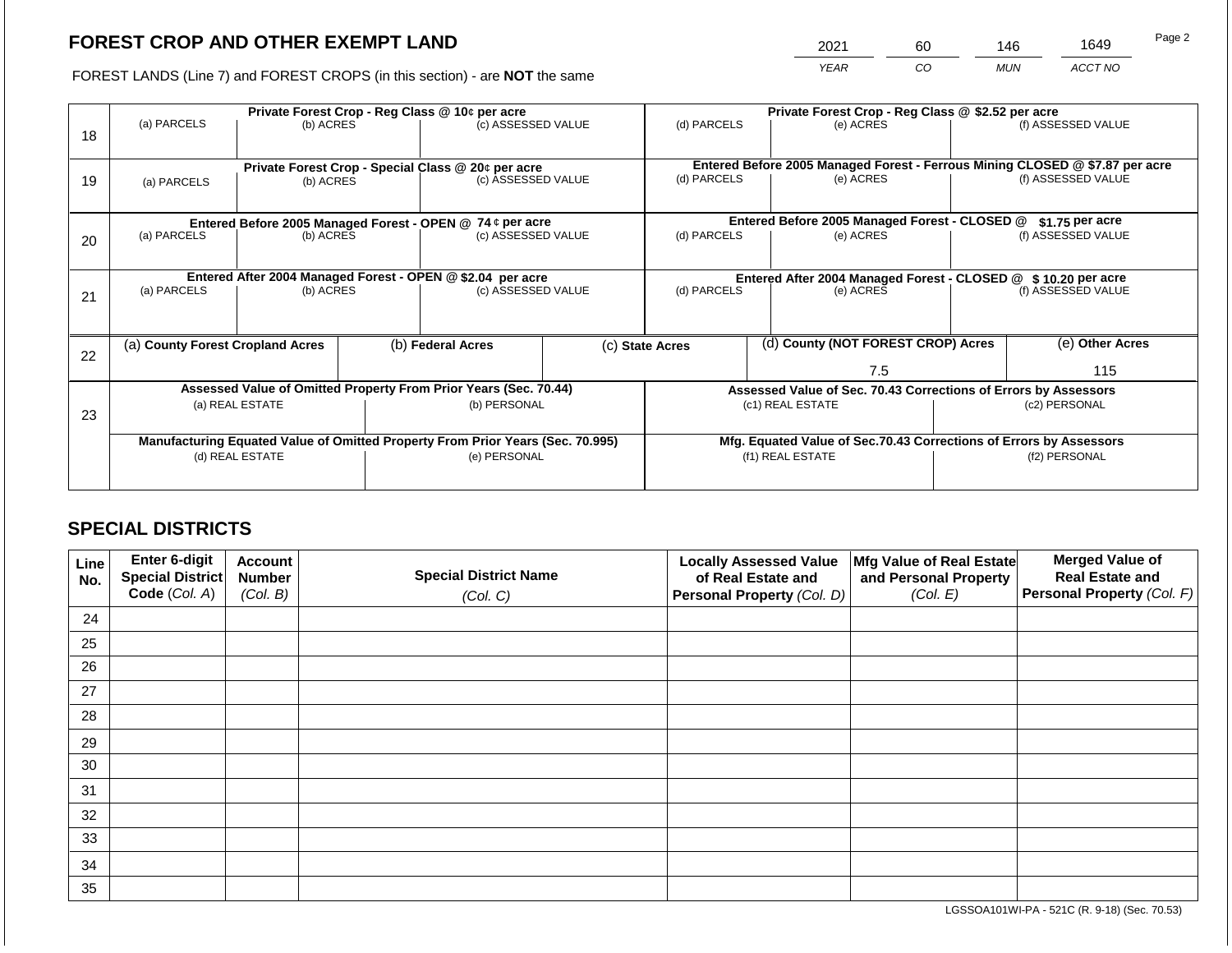2021 60 146 1649

FOREST LANDS (Line 7) and FOREST CROPS (in this section) - are **NOT** the same *YEAR CO MUN ACCT NO*

|    |                                                                                                 |                 |  | Private Forest Crop - Reg Class @ 10¢ per acre                                 |                    | Private Forest Crop - Reg Class @ \$2.52 per acre                            |  |                                                                            |  |                    |  |
|----|-------------------------------------------------------------------------------------------------|-----------------|--|--------------------------------------------------------------------------------|--------------------|------------------------------------------------------------------------------|--|----------------------------------------------------------------------------|--|--------------------|--|
| 18 | (a) PARCELS                                                                                     | (b) ACRES       |  | (c) ASSESSED VALUE                                                             |                    | (d) PARCELS                                                                  |  | (e) ACRES                                                                  |  | (f) ASSESSED VALUE |  |
|    |                                                                                                 |                 |  | Private Forest Crop - Special Class @ 20¢ per acre                             |                    | Entered Before 2005 Managed Forest - Ferrous Mining CLOSED @ \$7.87 per acre |  |                                                                            |  |                    |  |
| 19 | (a) PARCELS                                                                                     | (b) ACRES       |  |                                                                                | (c) ASSESSED VALUE |                                                                              |  | (e) ACRES                                                                  |  | (f) ASSESSED VALUE |  |
|    |                                                                                                 |                 |  |                                                                                |                    |                                                                              |  |                                                                            |  |                    |  |
|    |                                                                                                 |                 |  | Entered Before 2005 Managed Forest - OPEN @ 74 ¢ per acre                      |                    |                                                                              |  | Entered Before 2005 Managed Forest - CLOSED @                              |  | $$1.75$ per acre   |  |
| 20 | (a) PARCELS                                                                                     | (b) ACRES       |  | (c) ASSESSED VALUE                                                             |                    | (d) PARCELS                                                                  |  | (e) ACRES                                                                  |  | (f) ASSESSED VALUE |  |
|    |                                                                                                 |                 |  |                                                                                |                    |                                                                              |  |                                                                            |  |                    |  |
|    | Entered After 2004 Managed Forest - OPEN @ \$2.04 per acre<br>(a) PARCELS<br>(c) ASSESSED VALUE |                 |  |                                                                                |                    |                                                                              |  | Entered After 2004 Managed Forest - CLOSED @ \$10.20 per acre<br>(e) ACRES |  |                    |  |
| 21 |                                                                                                 | (b) ACRES       |  |                                                                                |                    | (d) PARCELS                                                                  |  |                                                                            |  | (f) ASSESSED VALUE |  |
|    |                                                                                                 |                 |  |                                                                                |                    |                                                                              |  |                                                                            |  |                    |  |
| 22 | (a) County Forest Cropland Acres                                                                |                 |  | (b) Federal Acres                                                              |                    | (c) State Acres                                                              |  | (d) County (NOT FOREST CROP) Acres                                         |  | (e) Other Acres    |  |
|    |                                                                                                 |                 |  |                                                                                |                    |                                                                              |  | 7.5                                                                        |  | 115                |  |
|    |                                                                                                 |                 |  | Assessed Value of Omitted Property From Prior Years (Sec. 70.44)               |                    |                                                                              |  | Assessed Value of Sec. 70.43 Corrections of Errors by Assessors            |  |                    |  |
| 23 |                                                                                                 | (a) REAL ESTATE |  | (b) PERSONAL                                                                   |                    |                                                                              |  | (c1) REAL ESTATE                                                           |  | (c2) PERSONAL      |  |
|    |                                                                                                 |                 |  |                                                                                |                    |                                                                              |  |                                                                            |  |                    |  |
|    |                                                                                                 |                 |  | Manufacturing Equated Value of Omitted Property From Prior Years (Sec. 70.995) |                    |                                                                              |  | Mfg. Equated Value of Sec.70.43 Corrections of Errors by Assessors         |  |                    |  |
|    |                                                                                                 | (d) REAL ESTATE |  | (e) PERSONAL                                                                   |                    |                                                                              |  | (f1) REAL ESTATE                                                           |  | (f2) PERSONAL      |  |
|    |                                                                                                 |                 |  |                                                                                |                    |                                                                              |  |                                                                            |  |                    |  |

# **SPECIAL DISTRICTS**

| Line<br>No. | Enter 6-digit<br>Special District | <b>Account</b><br><b>Number</b> | <b>Special District Name</b> | <b>Locally Assessed Value</b><br>of Real Estate and | Mfg Value of Real Estate<br>and Personal Property | <b>Merged Value of</b><br><b>Real Estate and</b> |
|-------------|-----------------------------------|---------------------------------|------------------------------|-----------------------------------------------------|---------------------------------------------------|--------------------------------------------------|
|             | Code (Col. A)                     | (Col. B)                        | (Col. C)                     | Personal Property (Col. D)                          | (Col. E)                                          | Personal Property (Col. F)                       |
| 24          |                                   |                                 |                              |                                                     |                                                   |                                                  |
| 25          |                                   |                                 |                              |                                                     |                                                   |                                                  |
| 26          |                                   |                                 |                              |                                                     |                                                   |                                                  |
| 27          |                                   |                                 |                              |                                                     |                                                   |                                                  |
| 28          |                                   |                                 |                              |                                                     |                                                   |                                                  |
| 29          |                                   |                                 |                              |                                                     |                                                   |                                                  |
| 30          |                                   |                                 |                              |                                                     |                                                   |                                                  |
| 31          |                                   |                                 |                              |                                                     |                                                   |                                                  |
| 32          |                                   |                                 |                              |                                                     |                                                   |                                                  |
| 33          |                                   |                                 |                              |                                                     |                                                   |                                                  |
| 34          |                                   |                                 |                              |                                                     |                                                   |                                                  |
| 35          |                                   |                                 |                              |                                                     |                                                   |                                                  |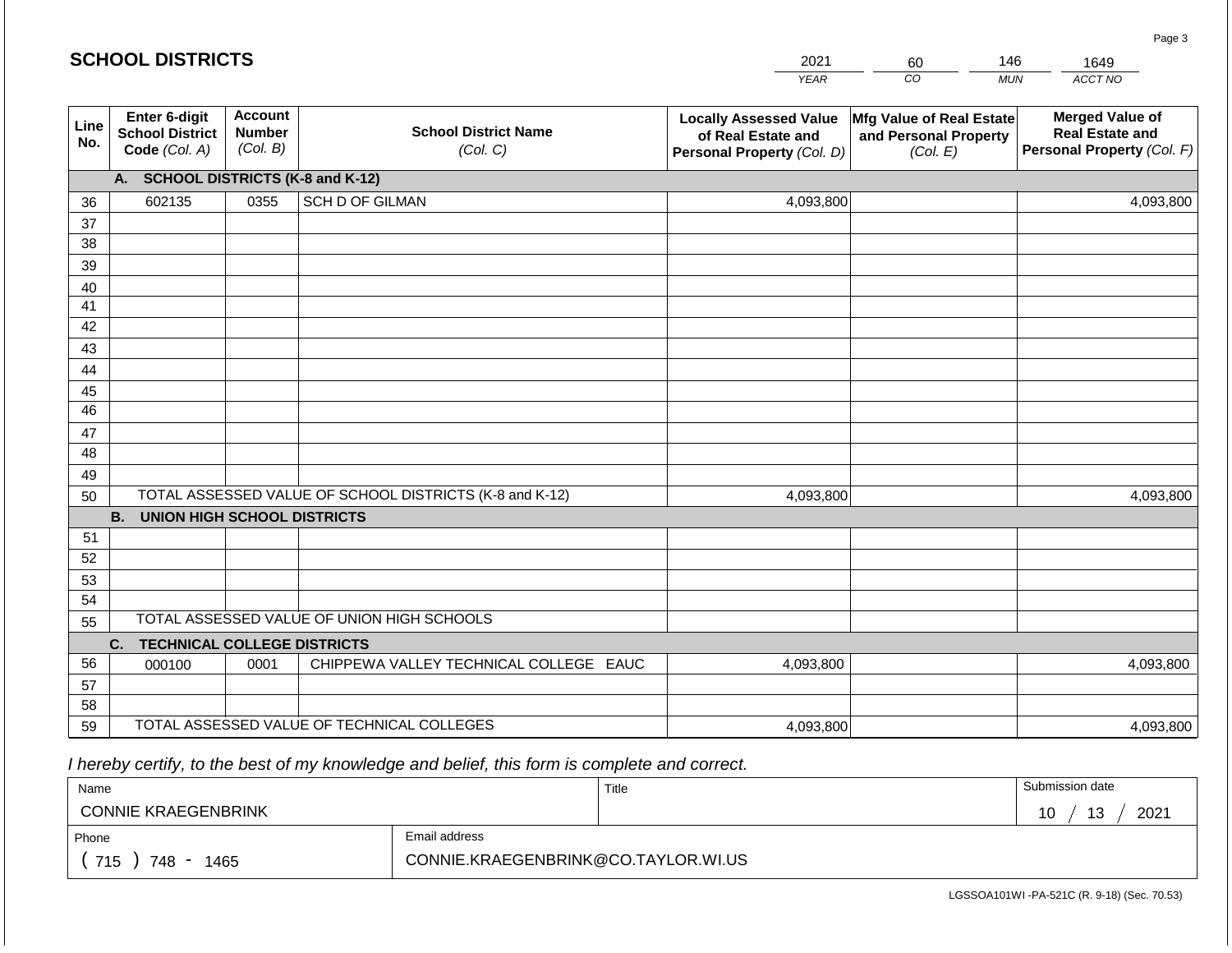|             | <b>SCHOOL DISTRICTS</b>                                  |                                             |                                                         | 2021                                                                              | 60                                                            | 146<br>1649                                                                    |  |  |  |  |  |  |
|-------------|----------------------------------------------------------|---------------------------------------------|---------------------------------------------------------|-----------------------------------------------------------------------------------|---------------------------------------------------------------|--------------------------------------------------------------------------------|--|--|--|--|--|--|
|             |                                                          |                                             |                                                         | <b>YEAR</b>                                                                       | CO                                                            | ACCT NO<br><b>MUN</b>                                                          |  |  |  |  |  |  |
| Line<br>No. | Enter 6-digit<br><b>School District</b><br>Code (Col. A) | <b>Account</b><br><b>Number</b><br>(Col. B) | <b>School District Name</b><br>(Col. C)                 | <b>Locally Assessed Value</b><br>of Real Estate and<br>Personal Property (Col. D) | Mfg Value of Real Estate<br>and Personal Property<br>(Col. E) | <b>Merged Value of</b><br><b>Real Estate and</b><br>Personal Property (Col. F) |  |  |  |  |  |  |
|             | A. SCHOOL DISTRICTS (K-8 and K-12)                       |                                             |                                                         |                                                                                   |                                                               |                                                                                |  |  |  |  |  |  |
| 36          | 602135                                                   | 0355                                        | <b>SCH D OF GILMAN</b>                                  | 4,093,800                                                                         |                                                               | 4,093,800                                                                      |  |  |  |  |  |  |
| 37          |                                                          |                                             |                                                         |                                                                                   |                                                               |                                                                                |  |  |  |  |  |  |
| 38          |                                                          |                                             |                                                         |                                                                                   |                                                               |                                                                                |  |  |  |  |  |  |
| 39          |                                                          |                                             |                                                         |                                                                                   |                                                               |                                                                                |  |  |  |  |  |  |
| 40          |                                                          |                                             |                                                         |                                                                                   |                                                               |                                                                                |  |  |  |  |  |  |
| 41<br>42    |                                                          |                                             |                                                         |                                                                                   |                                                               |                                                                                |  |  |  |  |  |  |
| 43          |                                                          |                                             |                                                         |                                                                                   |                                                               |                                                                                |  |  |  |  |  |  |
| 44          |                                                          |                                             |                                                         |                                                                                   |                                                               |                                                                                |  |  |  |  |  |  |
| 45          |                                                          |                                             |                                                         |                                                                                   |                                                               |                                                                                |  |  |  |  |  |  |
| 46          |                                                          |                                             |                                                         |                                                                                   |                                                               |                                                                                |  |  |  |  |  |  |
| 47          |                                                          |                                             |                                                         |                                                                                   |                                                               |                                                                                |  |  |  |  |  |  |
| 48          |                                                          |                                             |                                                         |                                                                                   |                                                               |                                                                                |  |  |  |  |  |  |
| 49          |                                                          |                                             |                                                         |                                                                                   |                                                               |                                                                                |  |  |  |  |  |  |
| 50          |                                                          |                                             | TOTAL ASSESSED VALUE OF SCHOOL DISTRICTS (K-8 and K-12) | 4,093,800                                                                         |                                                               | 4,093,800                                                                      |  |  |  |  |  |  |
|             | <b>B. UNION HIGH SCHOOL DISTRICTS</b>                    |                                             |                                                         |                                                                                   |                                                               |                                                                                |  |  |  |  |  |  |
| 51          |                                                          |                                             |                                                         |                                                                                   |                                                               |                                                                                |  |  |  |  |  |  |
| 52          |                                                          |                                             |                                                         |                                                                                   |                                                               |                                                                                |  |  |  |  |  |  |
| 53          |                                                          |                                             |                                                         |                                                                                   |                                                               |                                                                                |  |  |  |  |  |  |
| 54          |                                                          |                                             | TOTAL ASSESSED VALUE OF UNION HIGH SCHOOLS              |                                                                                   |                                                               |                                                                                |  |  |  |  |  |  |
| 55          |                                                          |                                             |                                                         |                                                                                   |                                                               |                                                                                |  |  |  |  |  |  |
| 56          | <b>TECHNICAL COLLEGE DISTRICTS</b><br>C.                 | 0001                                        | CHIPPEWA VALLEY TECHNICAL COLLEGE EAUC                  |                                                                                   |                                                               |                                                                                |  |  |  |  |  |  |
| 57          | 000100                                                   |                                             |                                                         | 4,093,800                                                                         |                                                               | 4,093,800                                                                      |  |  |  |  |  |  |
| 58          |                                                          |                                             |                                                         |                                                                                   |                                                               |                                                                                |  |  |  |  |  |  |
| 59          |                                                          |                                             | TOTAL ASSESSED VALUE OF TECHNICAL COLLEGES              | 4,093,800                                                                         |                                                               | 4,093,800                                                                      |  |  |  |  |  |  |

 *I hereby certify, to the best of my knowledge and belief, this form is complete and correct.*

| Name                       |                                     | Title | Submission date   |
|----------------------------|-------------------------------------|-------|-------------------|
| <b>CONNIE KRAEGENBRINK</b> |                                     |       | 2021<br>12<br>ن ا |
| Phone                      | Email address                       |       |                   |
| 715<br>748<br>1465         | CONNIE.KRAEGENBRINK@CO.TAYLOR.WI.US |       |                   |

LGSSOA101WI -PA-521C (R. 9-18) (Sec. 70.53)

Page 3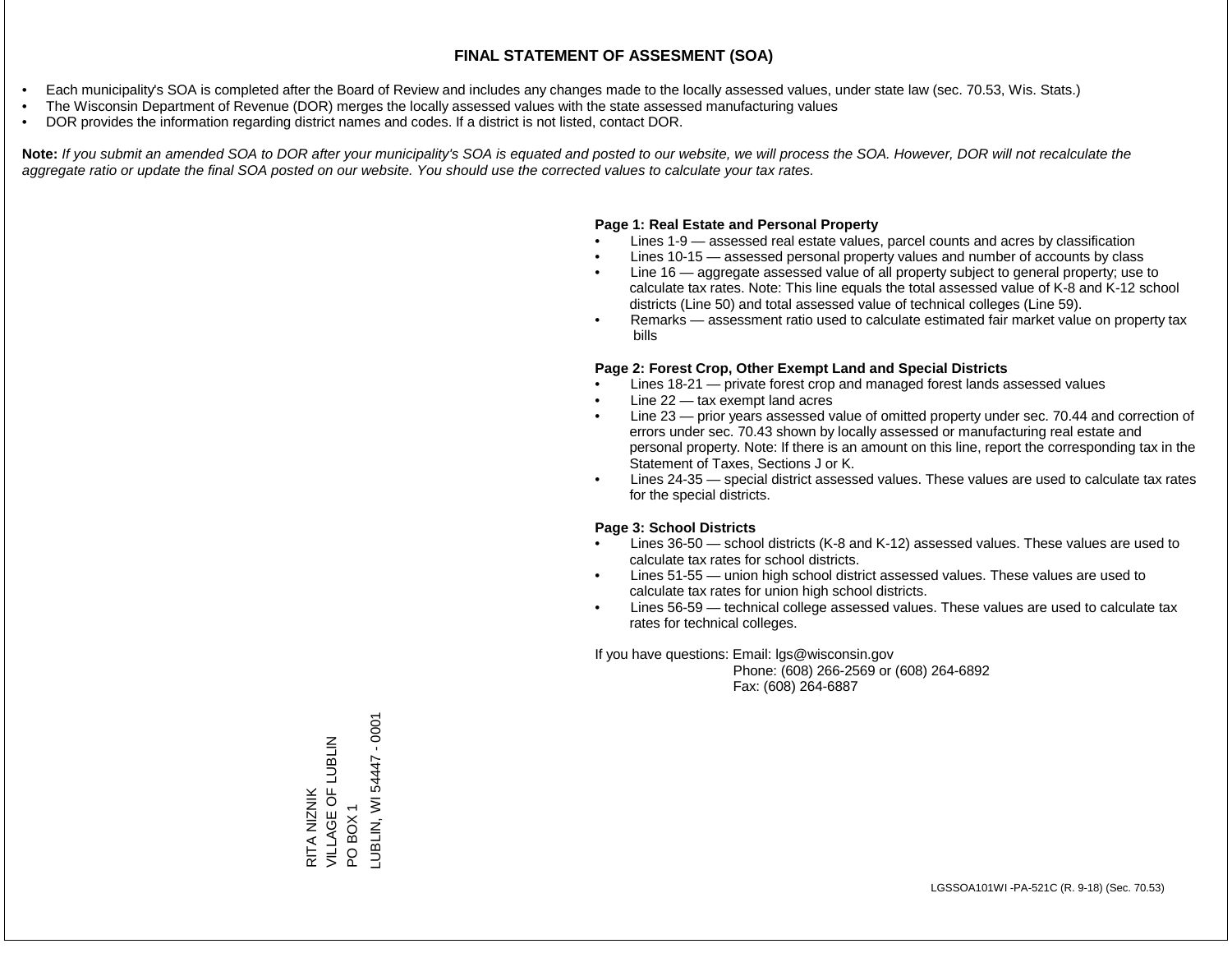- Each municipality's SOA is completed after the Board of Review and includes any changes made to the locally assessed values, under state law (sec. 70.53, Wis. Stats.)
- The Wisconsin Department of Revenue (DOR) merges the locally assessed values with the state assessed manufacturing values
- DOR provides the information regarding district names and codes. If a district is not listed, contact DOR.

Note: If you submit an amended SOA to DOR after your municipality's SOA is equated and posted to our website, we will process the SOA. However, DOR will not recalculate the *aggregate ratio or update the final SOA posted on our website. You should use the corrected values to calculate your tax rates.*

### **Page 1: Real Estate and Personal Property**

- Lines 1-9 assessed real estate values, parcel counts and acres by classification
- Lines 10-15 assessed personal property values and number of accounts by class
- Line 16 aggregate assessed value of all property subject to general property; use to calculate tax rates. Note: This line equals the total assessed value of K-8 and K-12 school districts (Line 50) and total assessed value of technical colleges (Line 59).
- Remarks assessment ratio used to calculate estimated fair market value on property tax bills

#### **Page 2: Forest Crop, Other Exempt Land and Special Districts**

- Lines 18-21 private forest crop and managed forest lands assessed values
- Line  $22 -$  tax exempt land acres
- Line 23 prior years assessed value of omitted property under sec. 70.44 and correction of errors under sec. 70.43 shown by locally assessed or manufacturing real estate and personal property. Note: If there is an amount on this line, report the corresponding tax in the Statement of Taxes, Sections J or K.
- Lines 24-35 special district assessed values. These values are used to calculate tax rates for the special districts.

#### **Page 3: School Districts**

- Lines 36-50 school districts (K-8 and K-12) assessed values. These values are used to calculate tax rates for school districts.
- Lines 51-55 union high school district assessed values. These values are used to calculate tax rates for union high school districts.
- Lines 56-59 technical college assessed values. These values are used to calculate tax rates for technical colleges.

If you have questions: Email: lgs@wisconsin.gov

 Phone: (608) 266-2569 or (608) 264-6892 Fax: (608) 264-6887

RITA NIZNIK<br>VILLAGE OF LUBLIN VILLAGE OF LUBLIN PO BOX 1<br>\_UBLIN, WI 54447 - 0001 LUBLIN, WI 54447 - 0001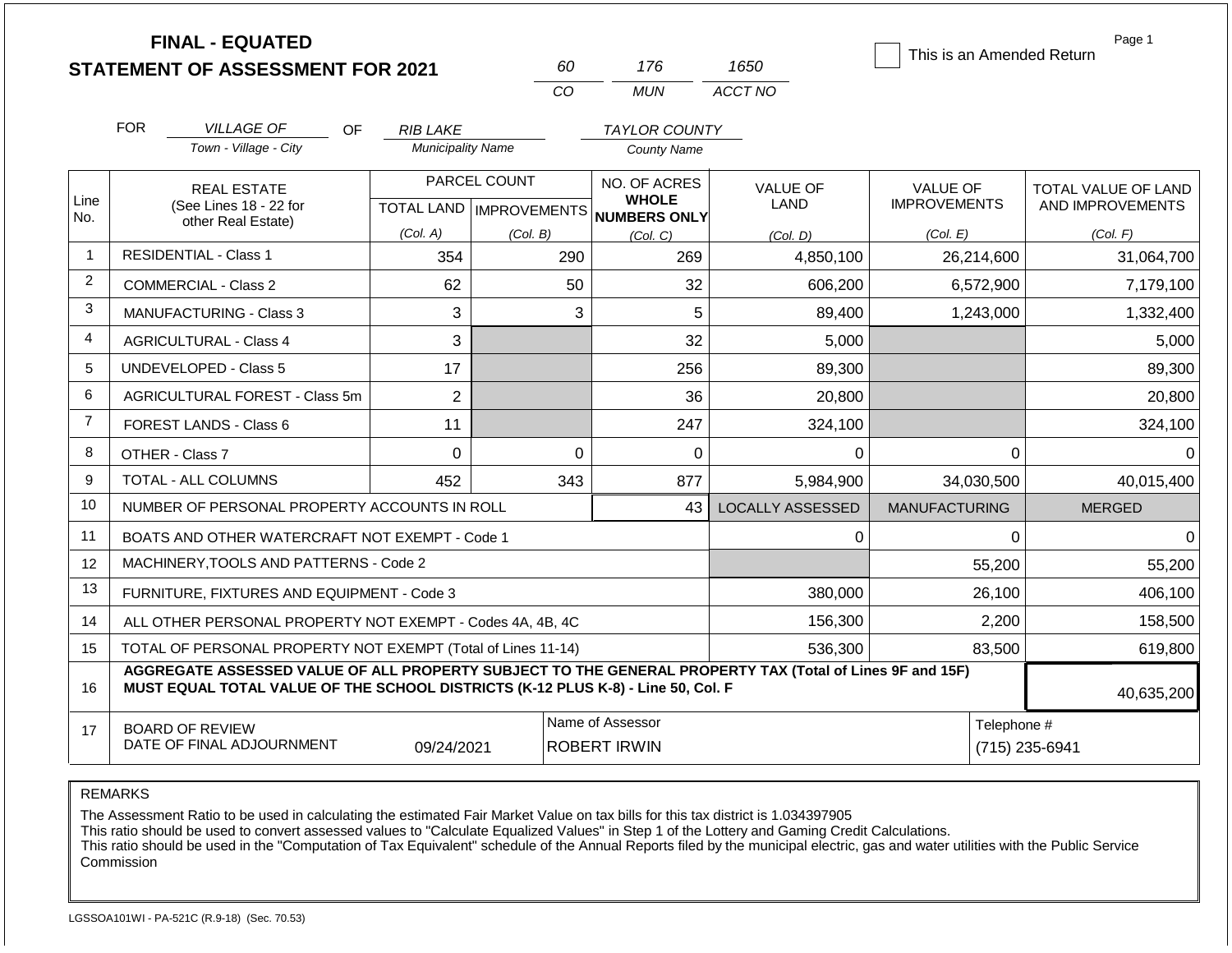|                | <b>FINAL - EQUATED</b><br><b>STATEMENT OF ASSESSMENT FOR 2021</b>                                                                                                                                          |                               | 60                                        | 176                                          | 1650                           | This is an Amended Return       | Page 1                                  |  |  |
|----------------|------------------------------------------------------------------------------------------------------------------------------------------------------------------------------------------------------------|-------------------------------|-------------------------------------------|----------------------------------------------|--------------------------------|---------------------------------|-----------------------------------------|--|--|
|                |                                                                                                                                                                                                            |                               | <b>CO</b>                                 | <b>MUN</b>                                   | ACCT NO                        |                                 |                                         |  |  |
|                | <b>FOR</b><br><b>VILLAGE OF</b><br>OF.                                                                                                                                                                     | <b>RIB LAKE</b>               |                                           | <b>TAYLOR COUNTY</b>                         |                                |                                 |                                         |  |  |
|                | Town - Village - City                                                                                                                                                                                      | <b>Municipality Name</b>      |                                           | <b>County Name</b>                           |                                |                                 |                                         |  |  |
| Line<br>No.    | <b>REAL ESTATE</b><br>(See Lines 18 - 22 for                                                                                                                                                               |                               | PARCEL COUNT<br>TOTAL LAND   IMPROVEMENTS | NO. OF ACRES<br><b>WHOLE</b><br>NUMBERS ONLY | <b>VALUE OF</b><br><b>LAND</b> | VALUE OF<br><b>IMPROVEMENTS</b> | TOTAL VALUE OF LAND<br>AND IMPROVEMENTS |  |  |
|                | other Real Estate)                                                                                                                                                                                         | (Col. A)                      | (Col. B)                                  | (Col. C)                                     | (Col. D)                       | (Col. E)                        | (Col. F)                                |  |  |
| $\overline{1}$ | <b>RESIDENTIAL - Class 1</b>                                                                                                                                                                               | 354                           | 290                                       | 269                                          | 4,850,100                      | 26,214,600                      | 31,064,700                              |  |  |
| $\overline{2}$ | COMMERCIAL - Class 2                                                                                                                                                                                       | 62                            | 50                                        | 32                                           | 606,200                        | 6,572,900                       | 7,179,100                               |  |  |
| 3              | <b>MANUFACTURING - Class 3</b>                                                                                                                                                                             | 3                             |                                           | 5<br>3                                       | 89,400                         | 1,243,000                       | 1,332,400                               |  |  |
| 4              | <b>AGRICULTURAL - Class 4</b>                                                                                                                                                                              |                               |                                           | 32                                           | 5,000                          |                                 | 5,000                                   |  |  |
| 5              | <b>UNDEVELOPED - Class 5</b>                                                                                                                                                                               | 17                            |                                           | 256                                          | 89,300                         |                                 | 89,300                                  |  |  |
| 6              | AGRICULTURAL FOREST - Class 5m                                                                                                                                                                             | $\overline{2}$                |                                           | 36                                           | 20,800                         |                                 | 20,800                                  |  |  |
| $\overline{7}$ | FOREST LANDS - Class 6                                                                                                                                                                                     | 11                            |                                           | 247                                          | 324,100                        |                                 | 324,100                                 |  |  |
| 8              | OTHER - Class 7                                                                                                                                                                                            | $\mathbf 0$                   |                                           | $\Omega$<br>$\Omega$                         | $\Omega$                       | $\Omega$                        | $\Omega$                                |  |  |
| 9              | <b>TOTAL - ALL COLUMNS</b>                                                                                                                                                                                 | 452                           | 343                                       | 877                                          | 5,984,900                      | 34,030,500                      | 40,015,400                              |  |  |
| 10             | NUMBER OF PERSONAL PROPERTY ACCOUNTS IN ROLL                                                                                                                                                               |                               |                                           | 43                                           | <b>LOCALLY ASSESSED</b>        | <b>MANUFACTURING</b>            | <b>MERGED</b>                           |  |  |
| 11             | BOATS AND OTHER WATERCRAFT NOT EXEMPT - Code 1                                                                                                                                                             |                               |                                           |                                              | 0                              | 0                               | $\mathbf 0$                             |  |  |
| 12             | MACHINERY.TOOLS AND PATTERNS - Code 2                                                                                                                                                                      |                               |                                           |                                              |                                | 55,200                          | 55,200                                  |  |  |
| 13             | FURNITURE, FIXTURES AND EQUIPMENT - Code 3                                                                                                                                                                 |                               |                                           |                                              | 380,000                        | 26,100                          | 406,100                                 |  |  |
| 14             | ALL OTHER PERSONAL PROPERTY NOT EXEMPT - Codes 4A, 4B, 4C                                                                                                                                                  |                               |                                           |                                              | 156,300                        | 2,200                           | 158,500                                 |  |  |
| 15             | TOTAL OF PERSONAL PROPERTY NOT EXEMPT (Total of Lines 11-14)                                                                                                                                               |                               |                                           |                                              | 536,300                        | 83,500                          | 619,800                                 |  |  |
| 16             | AGGREGATE ASSESSED VALUE OF ALL PROPERTY SUBJECT TO THE GENERAL PROPERTY TAX (Total of Lines 9F and 15F)<br>MUST EQUAL TOTAL VALUE OF THE SCHOOL DISTRICTS (K-12 PLUS K-8) - Line 50, Col. F<br>40,635,200 |                               |                                           |                                              |                                |                                 |                                         |  |  |
| 17             | <b>BOARD OF REVIEW</b><br>DATE OF FINAL ADJOURNMENT                                                                                                                                                        | Telephone #<br>(715) 235-6941 |                                           |                                              |                                |                                 |                                         |  |  |

The Assessment Ratio to be used in calculating the estimated Fair Market Value on tax bills for this tax district is 1.034397905

This ratio should be used to convert assessed values to "Calculate Equalized Values" in Step 1 of the Lottery and Gaming Credit Calculations.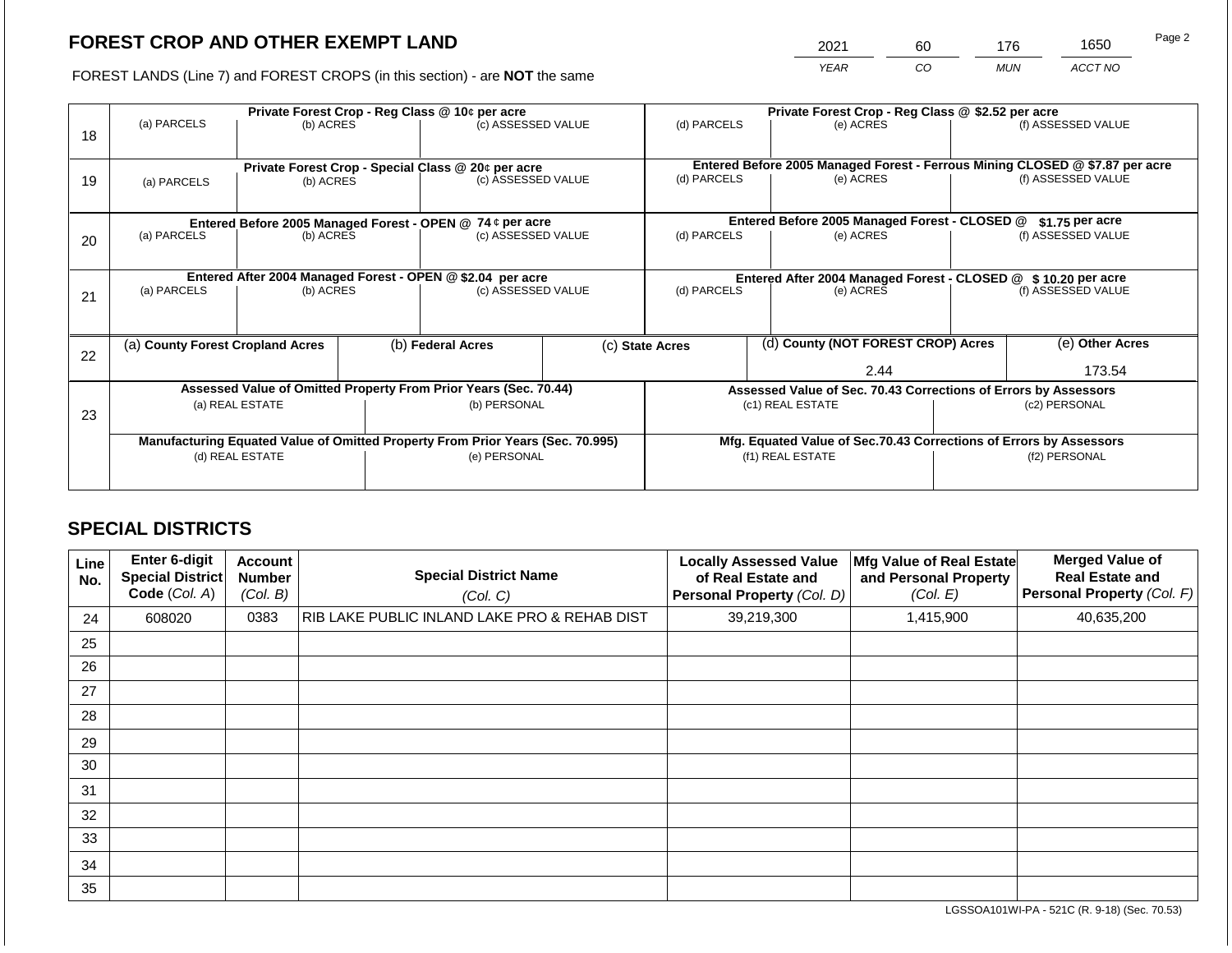2021 60 176 1650

FOREST LANDS (Line 7) and FOREST CROPS (in this section) - are **NOT** the same *YEAR CO MUN ACCT NO*

|    |                                                                                | Private Forest Crop - Reg Class @ 10¢ per acre                   |  |                                                    |                                                               | Private Forest Crop - Reg Class @ \$2.52 per acre                            |                    |                                                                    |               |                    |
|----|--------------------------------------------------------------------------------|------------------------------------------------------------------|--|----------------------------------------------------|---------------------------------------------------------------|------------------------------------------------------------------------------|--------------------|--------------------------------------------------------------------|---------------|--------------------|
| 18 | (a) PARCELS                                                                    | (b) ACRES                                                        |  | (c) ASSESSED VALUE                                 |                                                               | (d) PARCELS                                                                  |                    | (e) ACRES                                                          |               | (f) ASSESSED VALUE |
|    |                                                                                |                                                                  |  |                                                    |                                                               |                                                                              |                    |                                                                    |               |                    |
|    |                                                                                |                                                                  |  | Private Forest Crop - Special Class @ 20¢ per acre |                                                               | Entered Before 2005 Managed Forest - Ferrous Mining CLOSED @ \$7.87 per acre |                    |                                                                    |               |                    |
| 19 | (c) ASSESSED VALUE<br>(b) ACRES<br>(a) PARCELS                                 |                                                                  |  | (d) PARCELS<br>(e) ACRES                           |                                                               |                                                                              | (f) ASSESSED VALUE |                                                                    |               |                    |
|    |                                                                                |                                                                  |  |                                                    |                                                               |                                                                              |                    |                                                                    |               |                    |
|    |                                                                                | Entered Before 2005 Managed Forest - OPEN @ 74 ¢ per acre        |  |                                                    |                                                               | Entered Before 2005 Managed Forest - CLOSED @<br>$$1.75$ per acre            |                    |                                                                    |               |                    |
| 20 | (a) PARCELS                                                                    | (b) ACRES                                                        |  | (c) ASSESSED VALUE                                 |                                                               | (d) PARCELS                                                                  |                    | (e) ACRES                                                          |               | (f) ASSESSED VALUE |
|    |                                                                                |                                                                  |  |                                                    |                                                               |                                                                              |                    |                                                                    |               |                    |
|    | Entered After 2004 Managed Forest - OPEN @ \$2.04 per acre                     |                                                                  |  |                                                    | Entered After 2004 Managed Forest - CLOSED @ \$10.20 per acre |                                                                              |                    |                                                                    |               |                    |
| 21 | (a) PARCELS                                                                    | (b) ACRES                                                        |  | (c) ASSESSED VALUE                                 |                                                               | (d) PARCELS<br>(e) ACRES                                                     |                    |                                                                    |               | (f) ASSESSED VALUE |
|    |                                                                                |                                                                  |  |                                                    |                                                               |                                                                              |                    |                                                                    |               |                    |
|    |                                                                                |                                                                  |  |                                                    |                                                               |                                                                              |                    |                                                                    |               |                    |
|    | (a) County Forest Cropland Acres                                               |                                                                  |  | (b) Federal Acres                                  |                                                               | (c) State Acres                                                              |                    | (d) County (NOT FOREST CROP) Acres                                 |               | (e) Other Acres    |
| 22 |                                                                                |                                                                  |  |                                                    |                                                               |                                                                              |                    | 2.44                                                               |               | 173.54             |
|    |                                                                                |                                                                  |  |                                                    |                                                               |                                                                              |                    |                                                                    |               |                    |
|    |                                                                                | Assessed Value of Omitted Property From Prior Years (Sec. 70.44) |  |                                                    |                                                               |                                                                              |                    | Assessed Value of Sec. 70.43 Corrections of Errors by Assessors    |               |                    |
| 23 |                                                                                | (a) REAL ESTATE                                                  |  | (b) PERSONAL                                       |                                                               |                                                                              |                    | (c1) REAL ESTATE                                                   | (c2) PERSONAL |                    |
|    |                                                                                |                                                                  |  |                                                    |                                                               |                                                                              |                    |                                                                    |               |                    |
|    | Manufacturing Equated Value of Omitted Property From Prior Years (Sec. 70.995) |                                                                  |  |                                                    |                                                               |                                                                              |                    | Mfg. Equated Value of Sec.70.43 Corrections of Errors by Assessors |               |                    |
|    |                                                                                | (d) REAL ESTATE                                                  |  | (e) PERSONAL                                       |                                                               |                                                                              | (f1) REAL ESTATE   |                                                                    | (f2) PERSONAL |                    |
|    |                                                                                |                                                                  |  |                                                    |                                                               |                                                                              |                    |                                                                    |               |                    |
|    |                                                                                |                                                                  |  |                                                    |                                                               |                                                                              |                    |                                                                    |               |                    |

# **SPECIAL DISTRICTS**

| Line<br>No. | <b>Enter 6-digit</b><br><b>Special District</b><br>Code (Col. A) | <b>Account</b><br><b>Number</b><br>(Col. B) | <b>Special District Name</b><br>(Col. C)     | <b>Locally Assessed Value</b><br>of Real Estate and<br>Personal Property (Col. D) | Mfg Value of Real Estate<br>and Personal Property<br>(Col. E) | <b>Merged Value of</b><br><b>Real Estate and</b><br>Personal Property (Col. F) |
|-------------|------------------------------------------------------------------|---------------------------------------------|----------------------------------------------|-----------------------------------------------------------------------------------|---------------------------------------------------------------|--------------------------------------------------------------------------------|
| 24          | 608020                                                           | 0383                                        | RIB LAKE PUBLIC INLAND LAKE PRO & REHAB DIST | 39,219,300                                                                        | 1,415,900                                                     | 40,635,200                                                                     |
| 25          |                                                                  |                                             |                                              |                                                                                   |                                                               |                                                                                |
| 26          |                                                                  |                                             |                                              |                                                                                   |                                                               |                                                                                |
| 27          |                                                                  |                                             |                                              |                                                                                   |                                                               |                                                                                |
| 28          |                                                                  |                                             |                                              |                                                                                   |                                                               |                                                                                |
| 29          |                                                                  |                                             |                                              |                                                                                   |                                                               |                                                                                |
| 30          |                                                                  |                                             |                                              |                                                                                   |                                                               |                                                                                |
| 31          |                                                                  |                                             |                                              |                                                                                   |                                                               |                                                                                |
| 32          |                                                                  |                                             |                                              |                                                                                   |                                                               |                                                                                |
| 33          |                                                                  |                                             |                                              |                                                                                   |                                                               |                                                                                |
| 34          |                                                                  |                                             |                                              |                                                                                   |                                                               |                                                                                |
| 35          |                                                                  |                                             |                                              |                                                                                   |                                                               |                                                                                |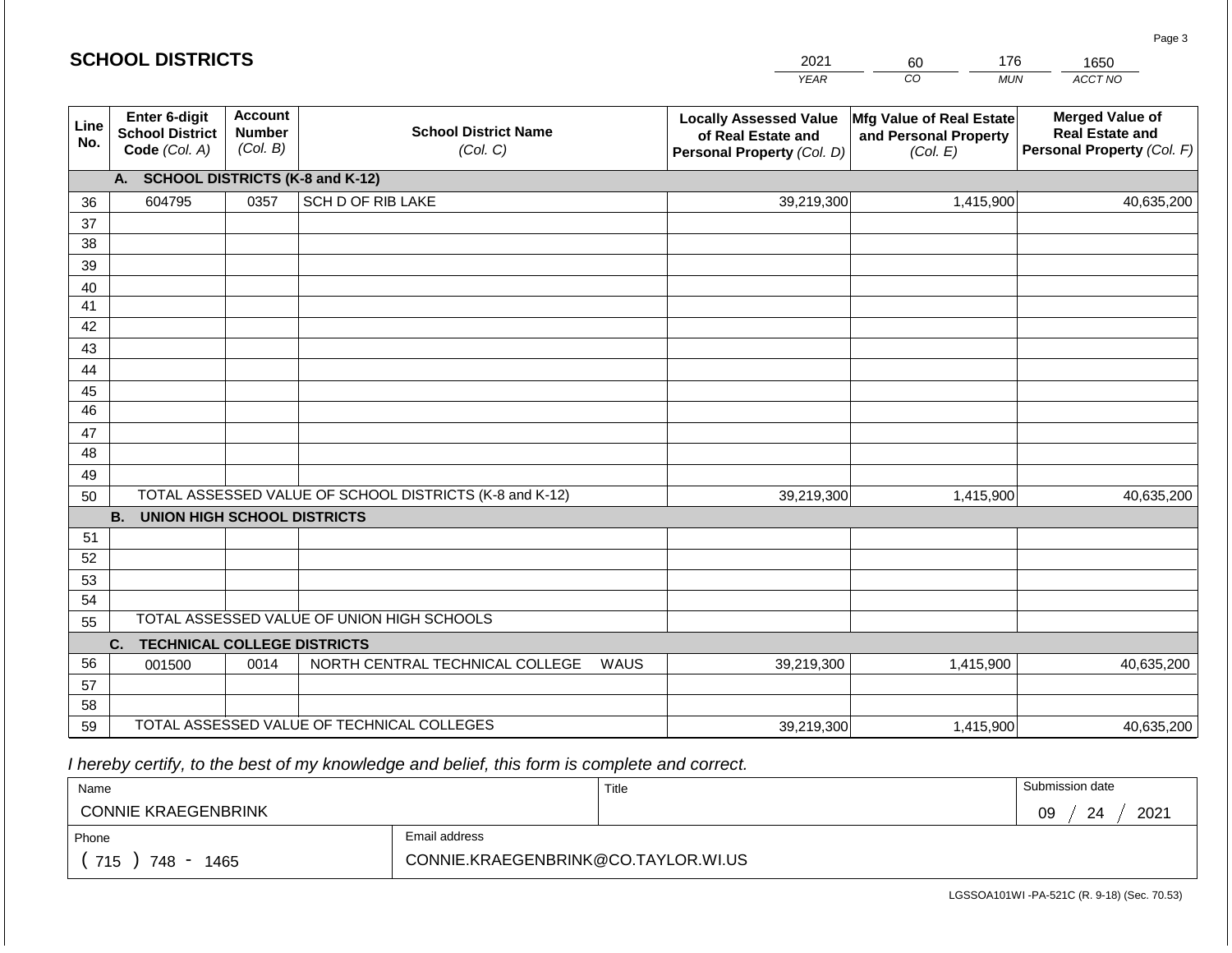|                 | <b>SCHOOL DISTRICTS</b>                                  |                                             |                                                         |                                                                                                                                                                                  | 2021        | 176<br>60        | 1650       |  |  |  |  |  |  |
|-----------------|----------------------------------------------------------|---------------------------------------------|---------------------------------------------------------|----------------------------------------------------------------------------------------------------------------------------------------------------------------------------------|-------------|------------------|------------|--|--|--|--|--|--|
|                 |                                                          |                                             |                                                         |                                                                                                                                                                                  | <b>YEAR</b> | CO<br><b>MUN</b> | ACCT NO    |  |  |  |  |  |  |
| Line<br>No.     | Enter 6-digit<br><b>School District</b><br>Code (Col. A) | <b>Account</b><br><b>Number</b><br>(Col. B) | <b>School District Name</b><br>(Col. C)                 | <b>Locally Assessed Value</b><br>Mfg Value of Real Estate<br>and Personal Property<br>of Real Estate and<br>Personal Property (Col. F)<br>Personal Property (Col. D)<br>(Col. E) |             |                  |            |  |  |  |  |  |  |
|                 | <b>SCHOOL DISTRICTS (K-8 and K-12)</b><br>А.             |                                             |                                                         |                                                                                                                                                                                  |             |                  |            |  |  |  |  |  |  |
| 36              | 604795                                                   | 0357                                        | SCH D OF RIB LAKE                                       |                                                                                                                                                                                  | 39,219,300  | 1,415,900        | 40,635,200 |  |  |  |  |  |  |
| 37              |                                                          |                                             |                                                         |                                                                                                                                                                                  |             |                  |            |  |  |  |  |  |  |
| 38              |                                                          |                                             |                                                         |                                                                                                                                                                                  |             |                  |            |  |  |  |  |  |  |
| 39              |                                                          |                                             |                                                         |                                                                                                                                                                                  |             |                  |            |  |  |  |  |  |  |
| 40              |                                                          |                                             |                                                         |                                                                                                                                                                                  |             |                  |            |  |  |  |  |  |  |
| 41<br>42        |                                                          |                                             |                                                         |                                                                                                                                                                                  |             |                  |            |  |  |  |  |  |  |
| 43              |                                                          |                                             |                                                         |                                                                                                                                                                                  |             |                  |            |  |  |  |  |  |  |
| 44              |                                                          |                                             |                                                         |                                                                                                                                                                                  |             |                  |            |  |  |  |  |  |  |
| 45              |                                                          |                                             |                                                         |                                                                                                                                                                                  |             |                  |            |  |  |  |  |  |  |
| $\overline{46}$ |                                                          |                                             |                                                         |                                                                                                                                                                                  |             |                  |            |  |  |  |  |  |  |
| 47              |                                                          |                                             |                                                         |                                                                                                                                                                                  |             |                  |            |  |  |  |  |  |  |
| 48              |                                                          |                                             |                                                         |                                                                                                                                                                                  |             |                  |            |  |  |  |  |  |  |
| 49              |                                                          |                                             |                                                         |                                                                                                                                                                                  |             |                  |            |  |  |  |  |  |  |
| 50              |                                                          |                                             | TOTAL ASSESSED VALUE OF SCHOOL DISTRICTS (K-8 and K-12) |                                                                                                                                                                                  | 39,219,300  | 1,415,900        | 40,635,200 |  |  |  |  |  |  |
|                 | <b>B.</b><br><b>UNION HIGH SCHOOL DISTRICTS</b>          |                                             |                                                         |                                                                                                                                                                                  |             |                  |            |  |  |  |  |  |  |
| 51              |                                                          |                                             |                                                         |                                                                                                                                                                                  |             |                  |            |  |  |  |  |  |  |
| 52              |                                                          |                                             |                                                         |                                                                                                                                                                                  |             |                  |            |  |  |  |  |  |  |
| 53              |                                                          |                                             |                                                         |                                                                                                                                                                                  |             |                  |            |  |  |  |  |  |  |
| 54              |                                                          |                                             | TOTAL ASSESSED VALUE OF UNION HIGH SCHOOLS              |                                                                                                                                                                                  |             |                  |            |  |  |  |  |  |  |
| 55              |                                                          |                                             |                                                         |                                                                                                                                                                                  |             |                  |            |  |  |  |  |  |  |
| 56              | <b>TECHNICAL COLLEGE DISTRICTS</b><br>C.<br>001500       | 0014                                        | NORTH CENTRAL TECHNICAL COLLEGE                         | <b>WAUS</b>                                                                                                                                                                      | 39,219,300  | 1,415,900        | 40,635,200 |  |  |  |  |  |  |
| 57              |                                                          |                                             |                                                         |                                                                                                                                                                                  |             |                  |            |  |  |  |  |  |  |
| 58              |                                                          |                                             |                                                         |                                                                                                                                                                                  |             |                  |            |  |  |  |  |  |  |
| 59              |                                                          |                                             | TOTAL ASSESSED VALUE OF TECHNICAL COLLEGES              |                                                                                                                                                                                  | 39,219,300  | 1,415,900        | 40,635,200 |  |  |  |  |  |  |

 *I hereby certify, to the best of my knowledge and belief, this form is complete and correct.*

| Name                       |                                     | Title | Submission date  |
|----------------------------|-------------------------------------|-------|------------------|
| <b>CONNIE KRAEGENBRINK</b> |                                     |       | 2021<br>09<br>24 |
| Phone                      | Email address                       |       |                  |
| 715<br>748<br>1465         | CONNIE.KRAEGENBRINK@CO.TAYLOR.WI.US |       |                  |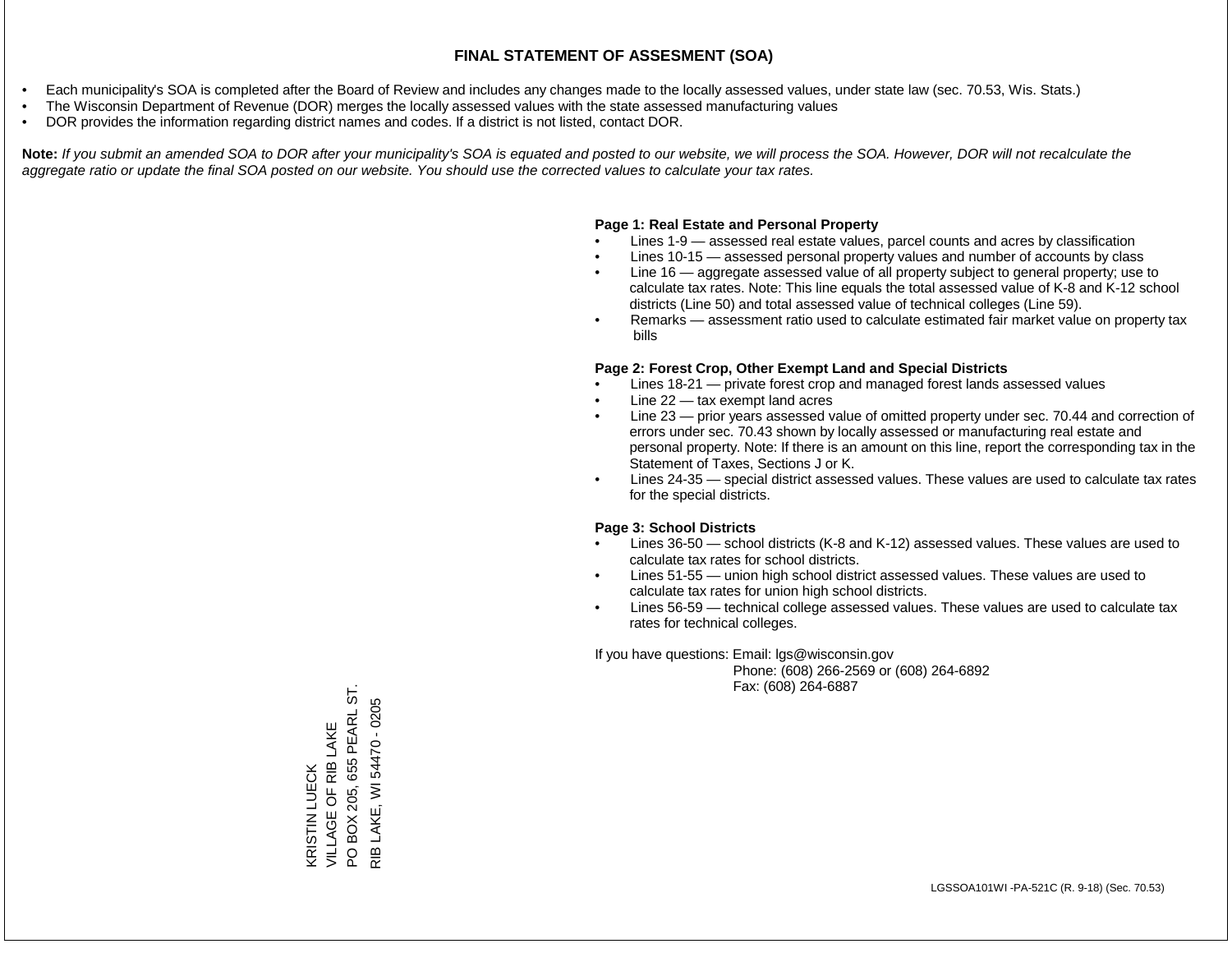- Each municipality's SOA is completed after the Board of Review and includes any changes made to the locally assessed values, under state law (sec. 70.53, Wis. Stats.)
- The Wisconsin Department of Revenue (DOR) merges the locally assessed values with the state assessed manufacturing values
- DOR provides the information regarding district names and codes. If a district is not listed, contact DOR.

Note: If you submit an amended SOA to DOR after your municipality's SOA is equated and posted to our website, we will process the SOA. However, DOR will not recalculate the *aggregate ratio or update the final SOA posted on our website. You should use the corrected values to calculate your tax rates.*

### **Page 1: Real Estate and Personal Property**

- Lines 1-9 assessed real estate values, parcel counts and acres by classification
- Lines 10-15 assessed personal property values and number of accounts by class
- Line 16 aggregate assessed value of all property subject to general property; use to calculate tax rates. Note: This line equals the total assessed value of K-8 and K-12 school districts (Line 50) and total assessed value of technical colleges (Line 59).
- Remarks assessment ratio used to calculate estimated fair market value on property tax bills

#### **Page 2: Forest Crop, Other Exempt Land and Special Districts**

- Lines 18-21 private forest crop and managed forest lands assessed values
- Line  $22 -$  tax exempt land acres
- Line 23 prior years assessed value of omitted property under sec. 70.44 and correction of errors under sec. 70.43 shown by locally assessed or manufacturing real estate and personal property. Note: If there is an amount on this line, report the corresponding tax in the Statement of Taxes, Sections J or K.
- Lines 24-35 special district assessed values. These values are used to calculate tax rates for the special districts.

#### **Page 3: School Districts**

- Lines 36-50 school districts (K-8 and K-12) assessed values. These values are used to calculate tax rates for school districts.
- Lines 51-55 union high school district assessed values. These values are used to calculate tax rates for union high school districts.
- Lines 56-59 technical college assessed values. These values are used to calculate tax rates for technical colleges.

If you have questions: Email: lgs@wisconsin.gov

 Phone: (608) 266-2569 or (608) 264-6892 Fax: (608) 264-6887

BOX 205, 655 PEARL ST. PO BOX 205, 655 PEARL ST. LAKE, WI 54470 - 0205 RIB LAKE, WI 54470 - 0205VILLAGE OF RIB LAKE KRISTIN LUECK<br>VILLAGE OF RIB LAKE KRISTIN LUECK  $\Omega$  $\frac{1}{2}$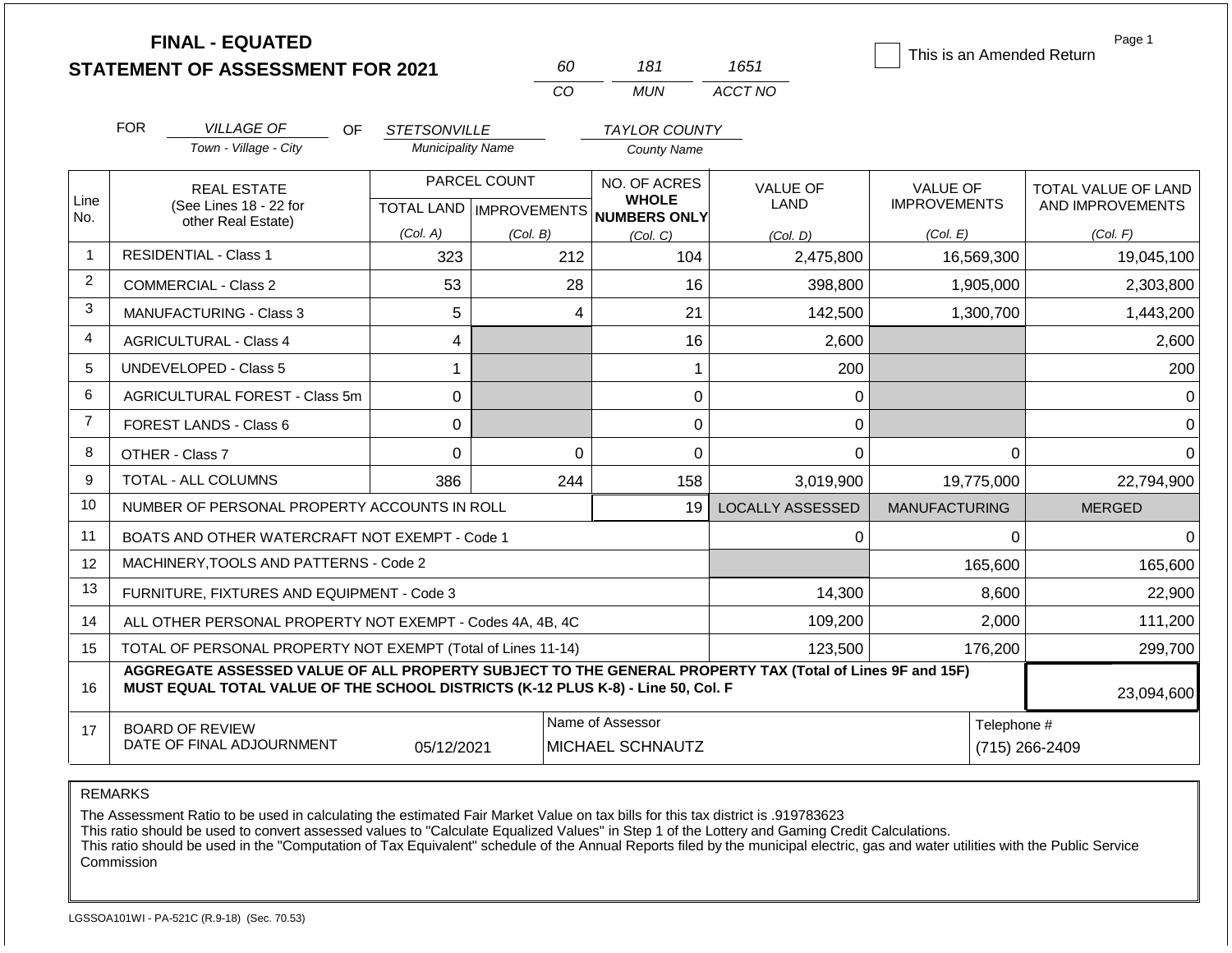|                |                                                                                                                                                                                              | <b>FINAL - EQUATED</b><br><b>STATEMENT OF ASSESSMENT FOR 2021</b> |                          | 60             | 181                                                                  | 1651                    | This is an Amended Return              | Page 1                                  |  |
|----------------|----------------------------------------------------------------------------------------------------------------------------------------------------------------------------------------------|-------------------------------------------------------------------|--------------------------|----------------|----------------------------------------------------------------------|-------------------------|----------------------------------------|-----------------------------------------|--|
|                |                                                                                                                                                                                              |                                                                   |                          | CO             | <b>MUN</b>                                                           | ACCT NO                 |                                        |                                         |  |
|                | <b>FOR</b>                                                                                                                                                                                   | <b>VILLAGE OF</b><br>OF.                                          | <b>STETSONVILLE</b>      |                | <b>TAYLOR COUNTY</b>                                                 |                         |                                        |                                         |  |
|                |                                                                                                                                                                                              | Town - Village - City                                             | <b>Municipality Name</b> |                | <b>County Name</b>                                                   |                         |                                        |                                         |  |
| Line           |                                                                                                                                                                                              | <b>REAL ESTATE</b><br>(See Lines 18 - 22 for                      |                          | PARCEL COUNT   | NO. OF ACRES<br><b>WHOLE</b><br>TOTAL LAND IMPROVEMENTS NUMBERS ONLY | <b>VALUE OF</b><br>LAND | <b>VALUE OF</b><br><b>IMPROVEMENTS</b> | TOTAL VALUE OF LAND<br>AND IMPROVEMENTS |  |
| No.            |                                                                                                                                                                                              | other Real Estate)                                                | (Col. A)                 | (Col. B)       | (Col, C)                                                             | (Col. D)                | (Col. E)                               | (Col. F)                                |  |
| $\mathbf 1$    |                                                                                                                                                                                              | <b>RESIDENTIAL - Class 1</b>                                      | 323                      | 212            | 104                                                                  | 2,475,800               | 16,569,300                             | 19,045,100                              |  |
| $\overline{2}$ |                                                                                                                                                                                              | <b>COMMERCIAL - Class 2</b>                                       | 53                       |                | 28<br>16                                                             | 398,800                 | 1,905,000                              | 2,303,800                               |  |
| 3              |                                                                                                                                                                                              | <b>MANUFACTURING - Class 3</b>                                    | 5                        |                | 21<br>4                                                              | 142,500                 | 1,300,700                              | 1,443,200                               |  |
| 4              |                                                                                                                                                                                              | <b>AGRICULTURAL - Class 4</b>                                     | 4                        |                | 16                                                                   | 2,600                   |                                        | 2,600                                   |  |
| 5              |                                                                                                                                                                                              | <b>UNDEVELOPED - Class 5</b>                                      | 1                        |                |                                                                      | 1<br>200                |                                        | 200                                     |  |
| 6              |                                                                                                                                                                                              | AGRICULTURAL FOREST - Class 5m                                    | 0                        |                |                                                                      | 0                       | 0                                      | $\overline{0}$                          |  |
| $\overline{7}$ |                                                                                                                                                                                              | <b>FOREST LANDS - Class 6</b>                                     | $\Omega$                 |                |                                                                      | 0                       | 0                                      | $\Omega$                                |  |
| 8              |                                                                                                                                                                                              | OTHER - Class 7                                                   | 0                        |                | $\mathbf 0$                                                          | 0                       | 0<br>$\Omega$                          | $\Omega$                                |  |
| 9              |                                                                                                                                                                                              | <b>TOTAL - ALL COLUMNS</b>                                        | 386                      | 244            | 158                                                                  | 3,019,900               | 19,775,000                             | 22,794,900                              |  |
| 10             |                                                                                                                                                                                              | NUMBER OF PERSONAL PROPERTY ACCOUNTS IN ROLL                      |                          |                | 19                                                                   | LOCALLY ASSESSED        | <b>MANUFACTURING</b>                   | <b>MERGED</b>                           |  |
| 11             |                                                                                                                                                                                              | BOATS AND OTHER WATERCRAFT NOT EXEMPT - Code 1                    |                          |                |                                                                      |                         | 0<br>$\Omega$                          | $\Omega$                                |  |
| 12             |                                                                                                                                                                                              | MACHINERY, TOOLS AND PATTERNS - Code 2                            |                          |                |                                                                      |                         | 165,600                                | 165,600                                 |  |
| 13             |                                                                                                                                                                                              | FURNITURE, FIXTURES AND EQUIPMENT - Code 3                        |                          |                |                                                                      | 14,300                  | 8,600                                  | 22,900                                  |  |
| 14             |                                                                                                                                                                                              | ALL OTHER PERSONAL PROPERTY NOT EXEMPT - Codes 4A, 4B, 4C         |                          |                | 109,200                                                              | 2,000                   | 111,200                                |                                         |  |
| 15             |                                                                                                                                                                                              | TOTAL OF PERSONAL PROPERTY NOT EXEMPT (Total of Lines 11-14)      |                          |                | 123,500                                                              | 176,200                 | 299,700                                |                                         |  |
| 16             | AGGREGATE ASSESSED VALUE OF ALL PROPERTY SUBJECT TO THE GENERAL PROPERTY TAX (Total of Lines 9F and 15F)<br>MUST EQUAL TOTAL VALUE OF THE SCHOOL DISTRICTS (K-12 PLUS K-8) - Line 50, Col. F |                                                                   |                          |                |                                                                      |                         |                                        |                                         |  |
| 17             |                                                                                                                                                                                              | <b>BOARD OF REVIEW</b><br>DATE OF FINAL ADJOURNMENT               | Telephone #              | (715) 266-2409 |                                                                      |                         |                                        |                                         |  |

The Assessment Ratio to be used in calculating the estimated Fair Market Value on tax bills for this tax district is .919783623

This ratio should be used to convert assessed values to "Calculate Equalized Values" in Step 1 of the Lottery and Gaming Credit Calculations.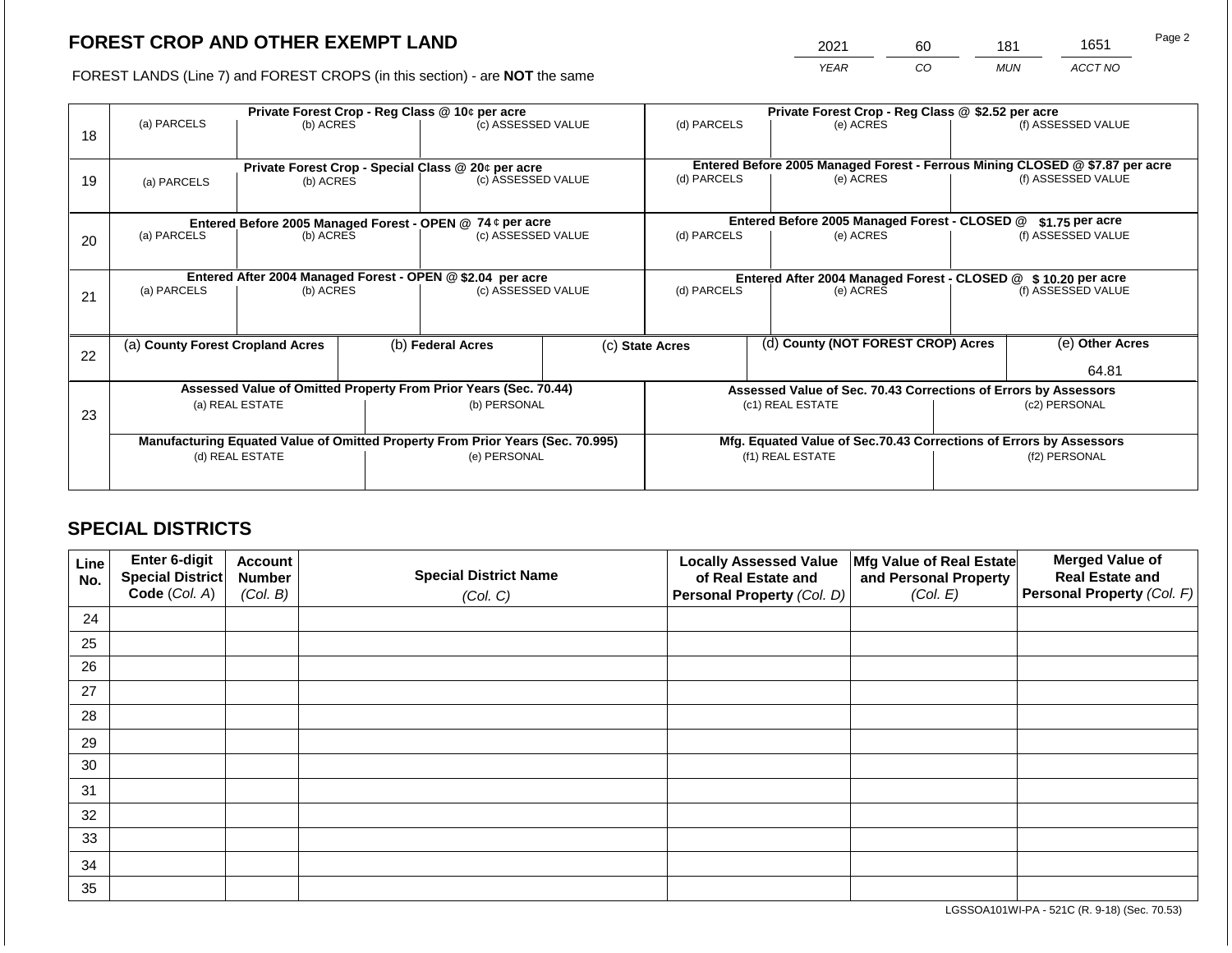2021 60 181 1651

FOREST LANDS (Line 7) and FOREST CROPS (in this section) - are **NOT** the same *YEAR CO MUN ACCT NO*

|    | Private Forest Crop - Reg Class @ 10¢ per acre                                 |                                                                                  |              |                                                                  |                  | Private Forest Crop - Reg Class @ \$2.52 per acre                                         |  |                                               |                    |                    |  |
|----|--------------------------------------------------------------------------------|----------------------------------------------------------------------------------|--------------|------------------------------------------------------------------|------------------|-------------------------------------------------------------------------------------------|--|-----------------------------------------------|--------------------|--------------------|--|
| 18 | (a) PARCELS                                                                    | (b) ACRES                                                                        |              | (c) ASSESSED VALUE                                               |                  | (d) PARCELS                                                                               |  | (e) ACRES                                     |                    | (f) ASSESSED VALUE |  |
|    |                                                                                |                                                                                  |              | Private Forest Crop - Special Class @ 20¢ per acre               |                  | Entered Before 2005 Managed Forest - Ferrous Mining CLOSED @ \$7.87 per acre              |  |                                               |                    |                    |  |
| 19 | (a) PARCELS                                                                    | (b) ACRES                                                                        |              | (c) ASSESSED VALUE                                               |                  | (d) PARCELS                                                                               |  | (e) ACRES                                     |                    | (f) ASSESSED VALUE |  |
|    |                                                                                |                                                                                  |              |                                                                  |                  |                                                                                           |  |                                               |                    |                    |  |
|    |                                                                                |                                                                                  |              | Entered Before 2005 Managed Forest - OPEN @ 74 ¢ per acre        |                  |                                                                                           |  | Entered Before 2005 Managed Forest - CLOSED @ |                    | $$1.75$ per acre   |  |
| 20 | (a) PARCELS                                                                    | (b) ACRES                                                                        |              | (c) ASSESSED VALUE                                               |                  | (d) PARCELS                                                                               |  | (e) ACRES                                     |                    | (f) ASSESSED VALUE |  |
|    |                                                                                |                                                                                  |              |                                                                  |                  |                                                                                           |  |                                               |                    |                    |  |
|    | (a) PARCELS                                                                    | Entered After 2004 Managed Forest - OPEN @ \$2.04 per acre<br>(c) ASSESSED VALUE |              |                                                                  |                  | Entered After 2004 Managed Forest - CLOSED @ \$10.20 per acre<br>(d) PARCELS<br>(e) ACRES |  |                                               | (f) ASSESSED VALUE |                    |  |
| 21 |                                                                                | (b) ACRES                                                                        |              |                                                                  |                  |                                                                                           |  |                                               |                    |                    |  |
|    |                                                                                |                                                                                  |              |                                                                  |                  |                                                                                           |  |                                               |                    |                    |  |
| 22 | (a) County Forest Cropland Acres                                               |                                                                                  |              | (b) Federal Acres                                                |                  | (c) State Acres                                                                           |  | (d) County (NOT FOREST CROP) Acres            |                    | (e) Other Acres    |  |
|    |                                                                                |                                                                                  |              |                                                                  |                  |                                                                                           |  |                                               |                    | 64.81              |  |
|    |                                                                                |                                                                                  |              | Assessed Value of Omitted Property From Prior Years (Sec. 70.44) |                  | Assessed Value of Sec. 70.43 Corrections of Errors by Assessors                           |  |                                               |                    |                    |  |
| 23 |                                                                                | (a) REAL ESTATE                                                                  |              | (b) PERSONAL                                                     |                  | (c1) REAL ESTATE                                                                          |  |                                               | (c2) PERSONAL      |                    |  |
|    |                                                                                |                                                                                  |              |                                                                  |                  |                                                                                           |  |                                               |                    |                    |  |
|    | Manufacturing Equated Value of Omitted Property From Prior Years (Sec. 70.995) |                                                                                  |              |                                                                  |                  | Mfg. Equated Value of Sec.70.43 Corrections of Errors by Assessors                        |  |                                               |                    |                    |  |
|    | (d) REAL ESTATE                                                                |                                                                                  | (e) PERSONAL |                                                                  | (f1) REAL ESTATE |                                                                                           |  | (f2) PERSONAL                                 |                    |                    |  |
|    |                                                                                |                                                                                  |              |                                                                  |                  |                                                                                           |  |                                               |                    |                    |  |

# **SPECIAL DISTRICTS**

| Line<br>No. | Enter 6-digit<br>Special District | <b>Account</b><br><b>Number</b> | <b>Special District Name</b> | <b>Locally Assessed Value</b><br>of Real Estate and | Mfg Value of Real Estate<br>and Personal Property | <b>Merged Value of</b><br><b>Real Estate and</b> |
|-------------|-----------------------------------|---------------------------------|------------------------------|-----------------------------------------------------|---------------------------------------------------|--------------------------------------------------|
|             | Code (Col. A)                     | (Col. B)                        | (Col. C)                     | Personal Property (Col. D)                          | (Col. E)                                          | Personal Property (Col. F)                       |
| 24          |                                   |                                 |                              |                                                     |                                                   |                                                  |
| 25          |                                   |                                 |                              |                                                     |                                                   |                                                  |
| 26          |                                   |                                 |                              |                                                     |                                                   |                                                  |
| 27          |                                   |                                 |                              |                                                     |                                                   |                                                  |
| 28          |                                   |                                 |                              |                                                     |                                                   |                                                  |
| 29          |                                   |                                 |                              |                                                     |                                                   |                                                  |
| 30          |                                   |                                 |                              |                                                     |                                                   |                                                  |
| 31          |                                   |                                 |                              |                                                     |                                                   |                                                  |
| 32          |                                   |                                 |                              |                                                     |                                                   |                                                  |
| 33          |                                   |                                 |                              |                                                     |                                                   |                                                  |
| 34          |                                   |                                 |                              |                                                     |                                                   |                                                  |
| 35          |                                   |                                 |                              |                                                     |                                                   |                                                  |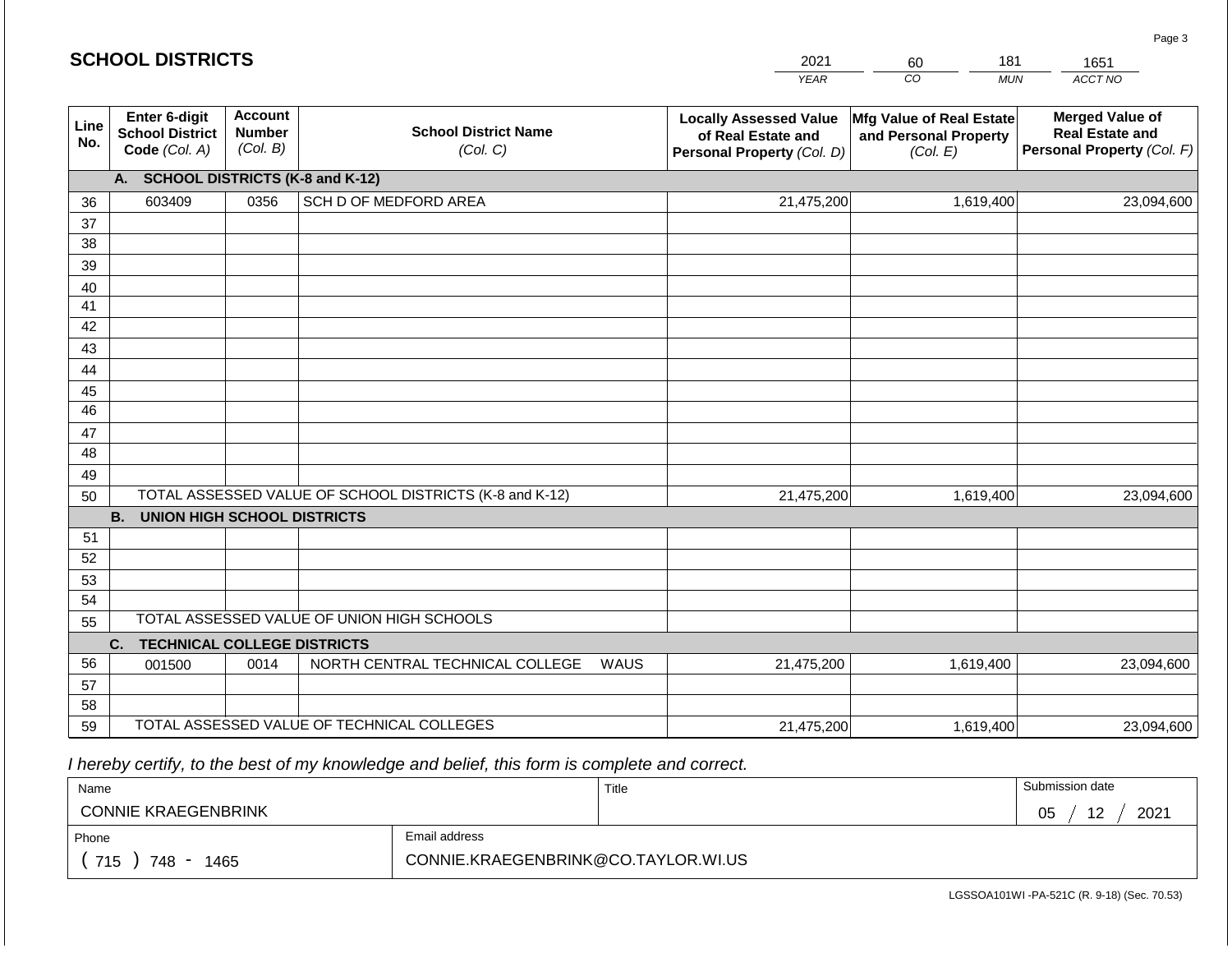#### *YEAR*  2021  $\overline{co}$ 60 *MUN*  181 *ACCT NO*  1651 **Line No. Enter 6-digit School District Code** *(Col. A)* **Account Number** *(Col. B)* **School District Name** *(Col. C)* **Locally Assessed Value of Real Estate and Personal Property** *(Col. D)* **Mfg Value of Real Estate and Personal Property** *(Col. E)* **Merged Value of Real Estate and Personal Property** *(Col. F)* **A. SCHOOL DISTRICTS (K-8 and K-12)** 36 37 38 39 40 41 42 43 44 45 46 47 48 49 50 TOTAL ASSESSED VALUE OF SCHOOL DISTRICTS (K-8 and K-12) **B. UNION HIGH SCHOOL DISTRICTS** 51 52 53 54 55 **C. TECHNICAL COLLEGE DISTRICTS** 56 57 58 59 TOTAL ASSESSED VALUE OF TECHNICAL COLLEGES TOTAL ASSESSED VALUE OF UNION HIGH SCHOOLS 603409 0356 SCH D OF MEDFORD AREA 21,475,200 21,475,200 001500 | 0014 | NORTH CENTRAL TECHNICAL COLLEGE WAUS 21,475,200 1,619,400 23,094,600 1,619,400 23,094,600 1,619,400 23,094,600 21,475,200 1,619,400 23,094,600

 *I hereby certify, to the best of my knowledge and belief, this form is complete and correct.*

| Name                                           |                                     | Title | Submission date              |
|------------------------------------------------|-------------------------------------|-------|------------------------------|
| <b>CONNIE KRAEGENBRINK</b>                     |                                     |       | 2021<br>$\overline{ }$<br>05 |
| Phone                                          | Email address                       |       |                              |
| 715<br>1465<br>748<br>$\overline{\phantom{0}}$ | CONNIE.KRAEGENBRINK@CO.TAYLOR.WI.US |       |                              |

LGSSOA101WI -PA-521C (R. 9-18) (Sec. 70.53)

Page 3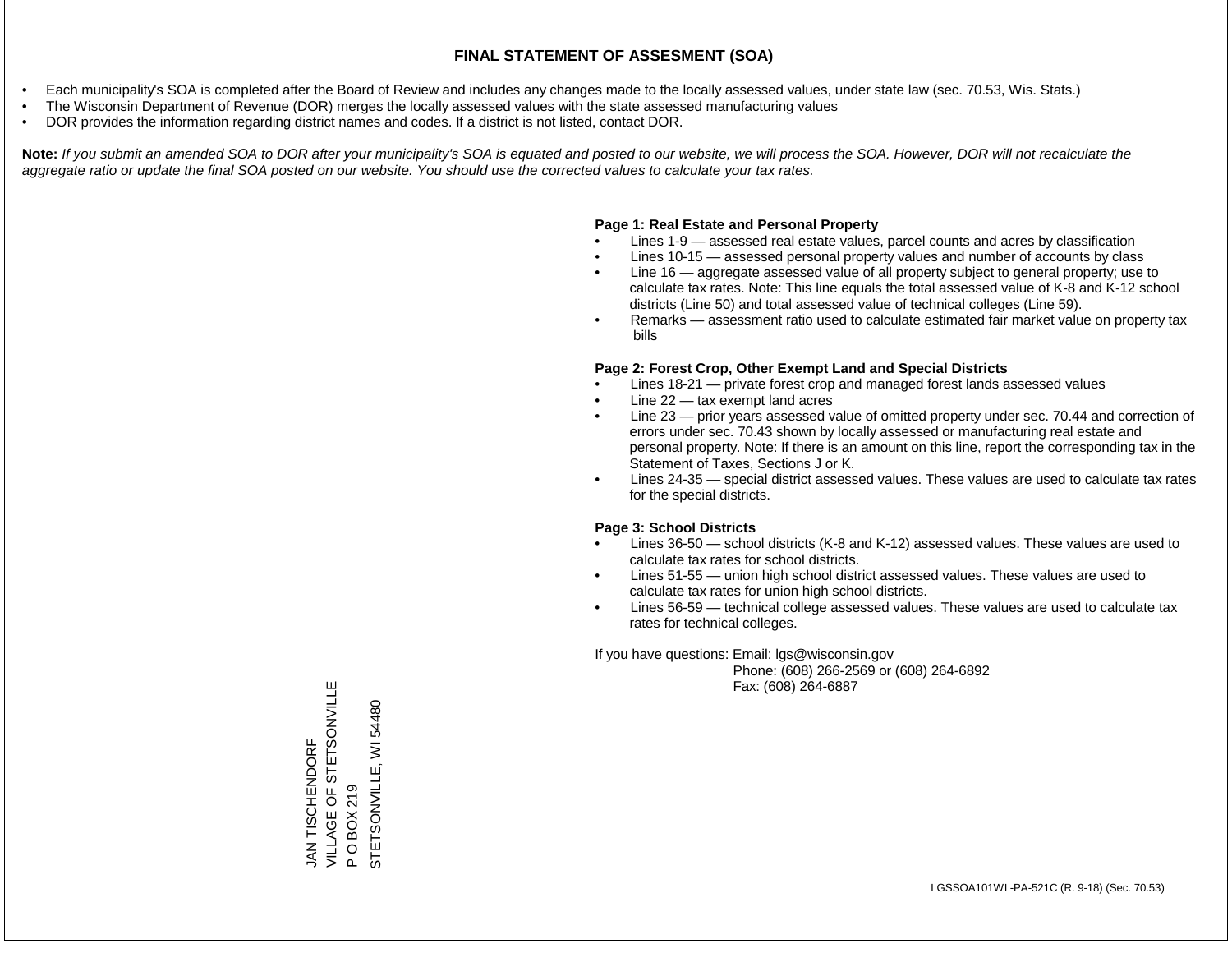- Each municipality's SOA is completed after the Board of Review and includes any changes made to the locally assessed values, under state law (sec. 70.53, Wis. Stats.)
- The Wisconsin Department of Revenue (DOR) merges the locally assessed values with the state assessed manufacturing values
- DOR provides the information regarding district names and codes. If a district is not listed, contact DOR.

Note: If you submit an amended SOA to DOR after your municipality's SOA is equated and posted to our website, we will process the SOA. However, DOR will not recalculate the *aggregate ratio or update the final SOA posted on our website. You should use the corrected values to calculate your tax rates.*

### **Page 1: Real Estate and Personal Property**

- Lines 1-9 assessed real estate values, parcel counts and acres by classification
- Lines 10-15 assessed personal property values and number of accounts by class
- Line 16 aggregate assessed value of all property subject to general property; use to calculate tax rates. Note: This line equals the total assessed value of K-8 and K-12 school districts (Line 50) and total assessed value of technical colleges (Line 59).
- Remarks assessment ratio used to calculate estimated fair market value on property tax bills

#### **Page 2: Forest Crop, Other Exempt Land and Special Districts**

- Lines 18-21 private forest crop and managed forest lands assessed values
- Line  $22 -$  tax exempt land acres
- Line 23 prior years assessed value of omitted property under sec. 70.44 and correction of errors under sec. 70.43 shown by locally assessed or manufacturing real estate and personal property. Note: If there is an amount on this line, report the corresponding tax in the Statement of Taxes, Sections J or K.
- Lines 24-35 special district assessed values. These values are used to calculate tax rates for the special districts.

#### **Page 3: School Districts**

- Lines 36-50 school districts (K-8 and K-12) assessed values. These values are used to calculate tax rates for school districts.
- Lines 51-55 union high school district assessed values. These values are used to calculate tax rates for union high school districts.
- Lines 56-59 technical college assessed values. These values are used to calculate tax rates for technical colleges.

If you have questions: Email: lgs@wisconsin.gov

 Phone: (608) 266-2569 or (608) 264-6892 Fax: (608) 264-6887

VILLAGE OF STETSONVILLE VILLAGE OF STETSONVILLE<br>P O BOX 219 STETSONVILLE, WI54480 STETSONJINNOSTH **JAN TISCHENDORF** JAN TISCHENDORF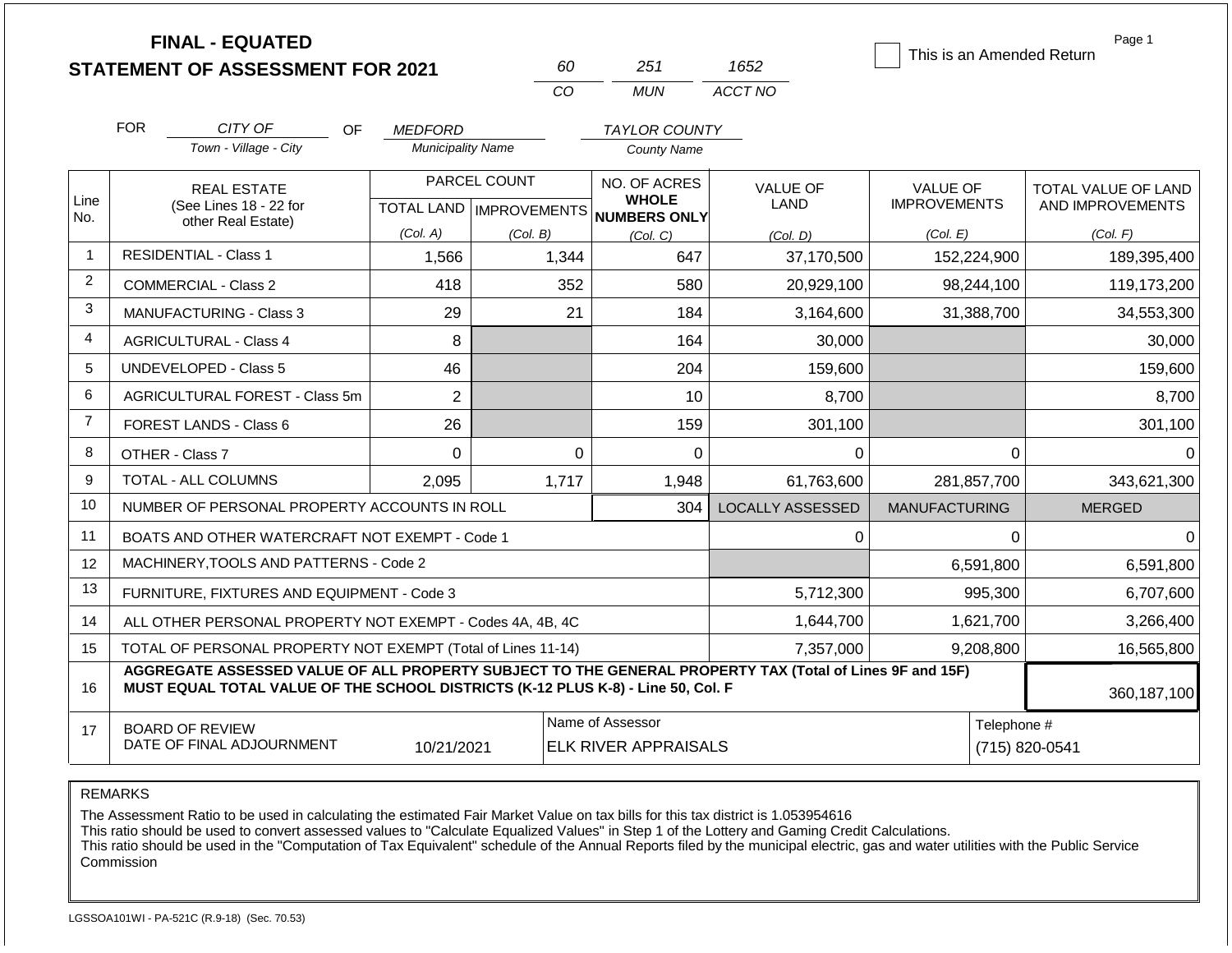|                |                                                                                                                                                                                              | <b>FINAL - EQUATED</b><br><b>STATEMENT OF ASSESSMENT FOR 2021</b> |                          | 60             | 251                                                      | 1652                    | This is an Amended Return | Page 1              |
|----------------|----------------------------------------------------------------------------------------------------------------------------------------------------------------------------------------------|-------------------------------------------------------------------|--------------------------|----------------|----------------------------------------------------------|-------------------------|---------------------------|---------------------|
|                |                                                                                                                                                                                              |                                                                   |                          | CO             | <b>MUN</b>                                               | ACCT NO                 |                           |                     |
|                | <b>FOR</b>                                                                                                                                                                                   | CITY OF<br>OF.                                                    | <b>MEDFORD</b>           |                | <b>TAYLOR COUNTY</b>                                     |                         |                           |                     |
|                |                                                                                                                                                                                              | Town - Village - City                                             | <b>Municipality Name</b> |                | County Name                                              |                         |                           |                     |
|                |                                                                                                                                                                                              | <b>REAL ESTATE</b>                                                |                          | PARCEL COUNT   | NO. OF ACRES                                             | <b>VALUE OF</b>         | VALUE OF                  | TOTAL VALUE OF LAND |
| Line<br>No.    |                                                                                                                                                                                              | (See Lines 18 - 22 for<br>other Real Estate)                      |                          |                | <b>WHOLE</b><br>TOTAL LAND   IMPROVEMENTS   NUMBERS ONLY | <b>LAND</b>             | <b>IMPROVEMENTS</b>       | AND IMPROVEMENTS    |
|                |                                                                                                                                                                                              |                                                                   | (Col. A)                 | (Col. B)       | (Col, C)                                                 | (Col. D)                | (Col. E)                  | (Col. F)            |
| $\mathbf{1}$   |                                                                                                                                                                                              | <b>RESIDENTIAL - Class 1</b>                                      | 1,566                    | 1,344          | 647                                                      | 37,170,500              | 152,224,900               | 189,395,400         |
| $\overline{2}$ |                                                                                                                                                                                              | <b>COMMERCIAL - Class 2</b>                                       | 418                      | 352            | 580                                                      | 20,929,100              | 98,244,100                | 119,173,200         |
| 3              |                                                                                                                                                                                              | MANUFACTURING - Class 3                                           | 29                       | 21             | 184                                                      | 3,164,600               | 31,388,700                | 34,553,300          |
| 4              |                                                                                                                                                                                              | <b>AGRICULTURAL - Class 4</b>                                     | 8                        |                | 164                                                      | 30,000                  |                           | 30,000              |
| 5              |                                                                                                                                                                                              | UNDEVELOPED - Class 5                                             | 46                       |                | 204                                                      | 159,600                 |                           | 159,600             |
| 6              |                                                                                                                                                                                              | <b>AGRICULTURAL FOREST - Class 5m</b>                             | $\overline{2}$           |                | 10                                                       | 8,700                   |                           | 8,700               |
| $\overline{7}$ |                                                                                                                                                                                              | FOREST LANDS - Class 6                                            | 26                       |                | 159                                                      | 301,100                 |                           | 301,100             |
| 8              |                                                                                                                                                                                              | OTHER - Class 7                                                   | $\Omega$                 |                | $\Omega$<br>$\Omega$                                     | $\Omega$                | $\Omega$                  | $\Omega$            |
| 9              |                                                                                                                                                                                              | <b>TOTAL - ALL COLUMNS</b>                                        | 2,095                    | 1,717          | 1,948                                                    | 61.763.600              | 281,857,700               | 343,621,300         |
| 10             |                                                                                                                                                                                              | NUMBER OF PERSONAL PROPERTY ACCOUNTS IN ROLL                      |                          |                | 304                                                      | <b>LOCALLY ASSESSED</b> | <b>MANUFACTURING</b>      | <b>MERGED</b>       |
| 11             |                                                                                                                                                                                              | BOATS AND OTHER WATERCRAFT NOT EXEMPT - Code 1                    |                          |                |                                                          | 0                       | 0                         | $\Omega$            |
| 12             |                                                                                                                                                                                              | MACHINERY, TOOLS AND PATTERNS - Code 2                            |                          |                |                                                          |                         | 6,591,800                 | 6,591,800           |
| 13             |                                                                                                                                                                                              | FURNITURE, FIXTURES AND EQUIPMENT - Code 3                        |                          |                |                                                          | 5,712,300               | 995,300                   | 6,707,600           |
| 14             |                                                                                                                                                                                              | ALL OTHER PERSONAL PROPERTY NOT EXEMPT - Codes 4A, 4B, 4C         |                          |                | 1,644,700                                                | 1,621,700               | 3,266,400                 |                     |
| 15             |                                                                                                                                                                                              | TOTAL OF PERSONAL PROPERTY NOT EXEMPT (Total of Lines 11-14)      |                          |                | 7,357,000                                                | 9,208,800               | 16,565,800                |                     |
| 16             | AGGREGATE ASSESSED VALUE OF ALL PROPERTY SUBJECT TO THE GENERAL PROPERTY TAX (Total of Lines 9F and 15F)<br>MUST EQUAL TOTAL VALUE OF THE SCHOOL DISTRICTS (K-12 PLUS K-8) - Line 50, Col. F | 360,187,100                                                       |                          |                |                                                          |                         |                           |                     |
| 17             |                                                                                                                                                                                              | <b>BOARD OF REVIEW</b><br>DATE OF FINAL ADJOURNMENT               | Telephone #              | (715) 820-0541 |                                                          |                         |                           |                     |

The Assessment Ratio to be used in calculating the estimated Fair Market Value on tax bills for this tax district is 1.053954616

This ratio should be used to convert assessed values to "Calculate Equalized Values" in Step 1 of the Lottery and Gaming Credit Calculations.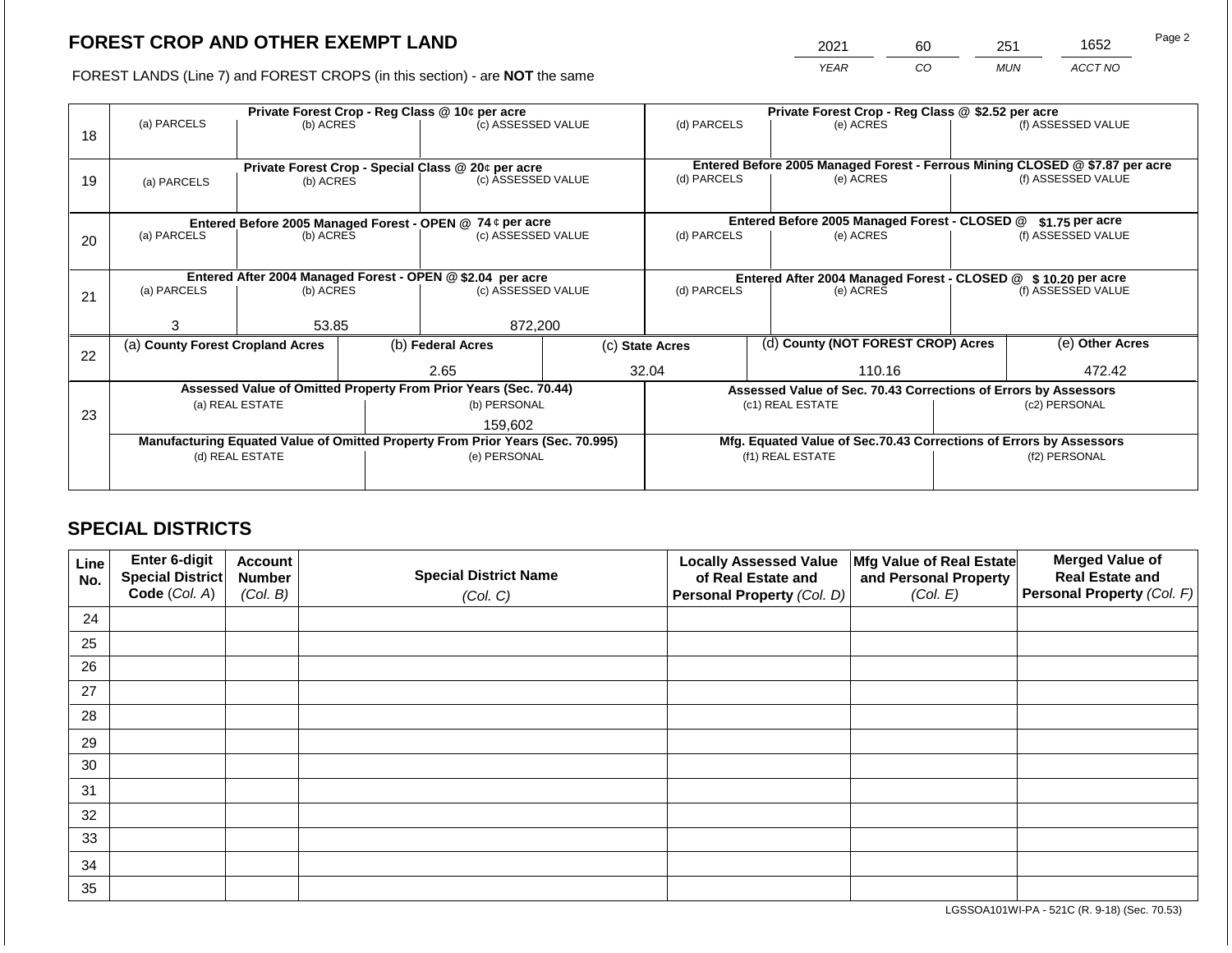2021 60 251 1652

FOREST LANDS (Line 7) and FOREST CROPS (in this section) - are **NOT** the same *YEAR CO MUN ACCT NO*

|    | Private Forest Crop - Reg Class @ 10¢ per acre                                 |                 |  |                                                                  |  | Private Forest Crop - Reg Class @ \$2.52 per acre                  |  |                                                                              |                 |                    |
|----|--------------------------------------------------------------------------------|-----------------|--|------------------------------------------------------------------|--|--------------------------------------------------------------------|--|------------------------------------------------------------------------------|-----------------|--------------------|
| 18 | (a) PARCELS                                                                    | (b) ACRES       |  | (c) ASSESSED VALUE                                               |  | (d) PARCELS                                                        |  | (e) ACRES                                                                    |                 | (f) ASSESSED VALUE |
|    |                                                                                |                 |  |                                                                  |  |                                                                    |  |                                                                              |                 |                    |
|    |                                                                                |                 |  | Private Forest Crop - Special Class @ 20¢ per acre               |  |                                                                    |  | Entered Before 2005 Managed Forest - Ferrous Mining CLOSED @ \$7.87 per acre |                 |                    |
| 19 | (a) PARCELS                                                                    | (b) ACRES       |  | (c) ASSESSED VALUE                                               |  | (d) PARCELS                                                        |  | (e) ACRES                                                                    |                 | (f) ASSESSED VALUE |
|    |                                                                                |                 |  |                                                                  |  |                                                                    |  |                                                                              |                 |                    |
|    |                                                                                |                 |  | Entered Before 2005 Managed Forest - OPEN @ 74 ¢ per acre        |  |                                                                    |  | Entered Before 2005 Managed Forest - CLOSED @                                |                 | $$1.75$ per acre   |
| 20 | (a) PARCELS                                                                    | (b) ACRES       |  | (c) ASSESSED VALUE                                               |  | (d) PARCELS                                                        |  | (e) ACRES                                                                    |                 | (f) ASSESSED VALUE |
|    |                                                                                |                 |  |                                                                  |  |                                                                    |  |                                                                              |                 |                    |
|    |                                                                                |                 |  | Entered After 2004 Managed Forest - OPEN @ \$2.04 per acre       |  | Entered After 2004 Managed Forest - CLOSED @ \$10.20 per acre      |  |                                                                              |                 |                    |
| 21 | (a) PARCELS                                                                    | (b) ACRES       |  | (c) ASSESSED VALUE                                               |  | (d) PARCELS                                                        |  | (e) ACRES                                                                    |                 | (f) ASSESSED VALUE |
|    |                                                                                |                 |  |                                                                  |  |                                                                    |  |                                                                              |                 |                    |
|    | 3                                                                              | 53.85           |  | 872,200                                                          |  |                                                                    |  |                                                                              |                 |                    |
| 22 | (a) County Forest Cropland Acres                                               |                 |  | (b) Federal Acres                                                |  | (c) State Acres                                                    |  | (d) County (NOT FOREST CROP) Acres                                           | (e) Other Acres |                    |
|    |                                                                                |                 |  | 2.65                                                             |  | 32.04                                                              |  | 110.16                                                                       |                 | 472.42             |
|    |                                                                                |                 |  | Assessed Value of Omitted Property From Prior Years (Sec. 70.44) |  | Assessed Value of Sec. 70.43 Corrections of Errors by Assessors    |  |                                                                              |                 |                    |
|    |                                                                                | (a) REAL ESTATE |  | (b) PERSONAL                                                     |  | (c1) REAL ESTATE                                                   |  |                                                                              | (c2) PERSONAL   |                    |
| 23 |                                                                                |                 |  | 159,602                                                          |  |                                                                    |  |                                                                              |                 |                    |
|    | Manufacturing Equated Value of Omitted Property From Prior Years (Sec. 70.995) |                 |  |                                                                  |  | Mfg. Equated Value of Sec.70.43 Corrections of Errors by Assessors |  |                                                                              |                 |                    |
|    | (d) REAL ESTATE                                                                |                 |  | (e) PERSONAL                                                     |  | (f1) REAL ESTATE                                                   |  |                                                                              | (f2) PERSONAL   |                    |
|    |                                                                                |                 |  |                                                                  |  |                                                                    |  |                                                                              |                 |                    |
|    |                                                                                |                 |  |                                                                  |  |                                                                    |  |                                                                              |                 |                    |

# **SPECIAL DISTRICTS**

| Line<br>No. | Enter 6-digit<br>Special District | <b>Account</b><br><b>Number</b> | <b>Special District Name</b> | <b>Locally Assessed Value</b><br>of Real Estate and | Mfg Value of Real Estate<br>and Personal Property | <b>Merged Value of</b><br><b>Real Estate and</b> |
|-------------|-----------------------------------|---------------------------------|------------------------------|-----------------------------------------------------|---------------------------------------------------|--------------------------------------------------|
|             | Code (Col. A)                     | (Col. B)                        | (Col. C)                     | Personal Property (Col. D)                          | (Col. E)                                          | Personal Property (Col. F)                       |
| 24          |                                   |                                 |                              |                                                     |                                                   |                                                  |
| 25          |                                   |                                 |                              |                                                     |                                                   |                                                  |
| 26          |                                   |                                 |                              |                                                     |                                                   |                                                  |
| 27          |                                   |                                 |                              |                                                     |                                                   |                                                  |
| 28          |                                   |                                 |                              |                                                     |                                                   |                                                  |
| 29          |                                   |                                 |                              |                                                     |                                                   |                                                  |
| 30          |                                   |                                 |                              |                                                     |                                                   |                                                  |
| 31          |                                   |                                 |                              |                                                     |                                                   |                                                  |
| 32          |                                   |                                 |                              |                                                     |                                                   |                                                  |
| 33          |                                   |                                 |                              |                                                     |                                                   |                                                  |
| 34          |                                   |                                 |                              |                                                     |                                                   |                                                  |
| 35          |                                   |                                 |                              |                                                     |                                                   |                                                  |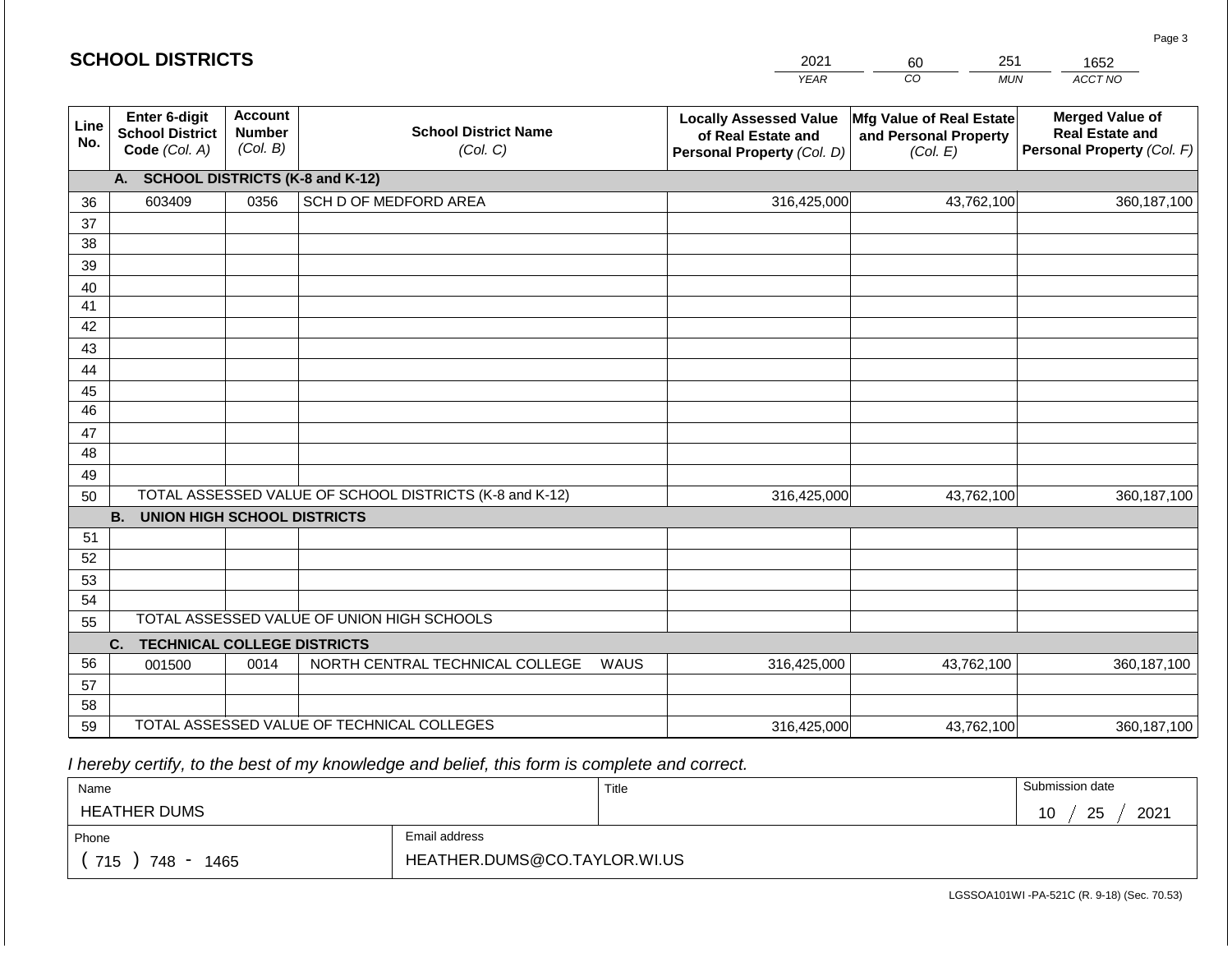#### *YEAR CO MUN ACCT NO*  1652 **Line No. Enter 6-digit School District Code** *(Col. A)* **Account Number** *(Col. B)* **School District Name** *(Col. C)* **Locally Assessed Value of Real Estate and Personal Property** *(Col. D)* **Mfg Value of Real Estate and Personal Property** *(Col. E)* **Merged Value of Real Estate and Personal Property** *(Col. F)* **A. SCHOOL DISTRICTS (K-8 and K-12)** 36 37 38 39 40 41 42 43 44 45 46 47 48 49 50 TOTAL ASSESSED VALUE OF SCHOOL DISTRICTS (K-8 and K-12) **B. UNION HIGH SCHOOL DISTRICTS** 51 52 53 54 55 **C. TECHNICAL COLLEGE DISTRICTS** 56 57 58 59 TOTAL ASSESSED VALUE OF TECHNICAL COLLEGES TOTAL ASSESSED VALUE OF UNION HIGH SCHOOLS 603409 0356 SCH D OF MEDFORD AREA 316,425,000 316,425,000 001500 | 0014 | NORTH CENTRAL TECHNICAL COLLEGE WAUS 316,425,000 43,762,100 360,187,100 43,762,100 360,187,100 43,762,100 360,187,100 316,425,000 43,762,100 43,762,100

 *I hereby certify, to the best of my knowledge and belief, this form is complete and correct.*

| Name                      |                              | Title | Submission date         |
|---------------------------|------------------------------|-------|-------------------------|
| <b>HEATHER DUMS</b>       |                              |       | 2021<br>25<br>1 N<br>ັບ |
| Phone                     | Email address                |       |                         |
| 715<br>748<br>1465<br>- - | HEATHER.DUMS@CO.TAYLOR.WI.US |       |                         |

LGSSOA101WI -PA-521C (R. 9-18) (Sec. 70.53)

Page 3

| .1004<br>_____ |    |                  | ____ |
|----------------|----|------------------|------|
| 7 L A LJ       | `` | 111 <sub>h</sub> |      |

**SCHOOL DISTRICTS**